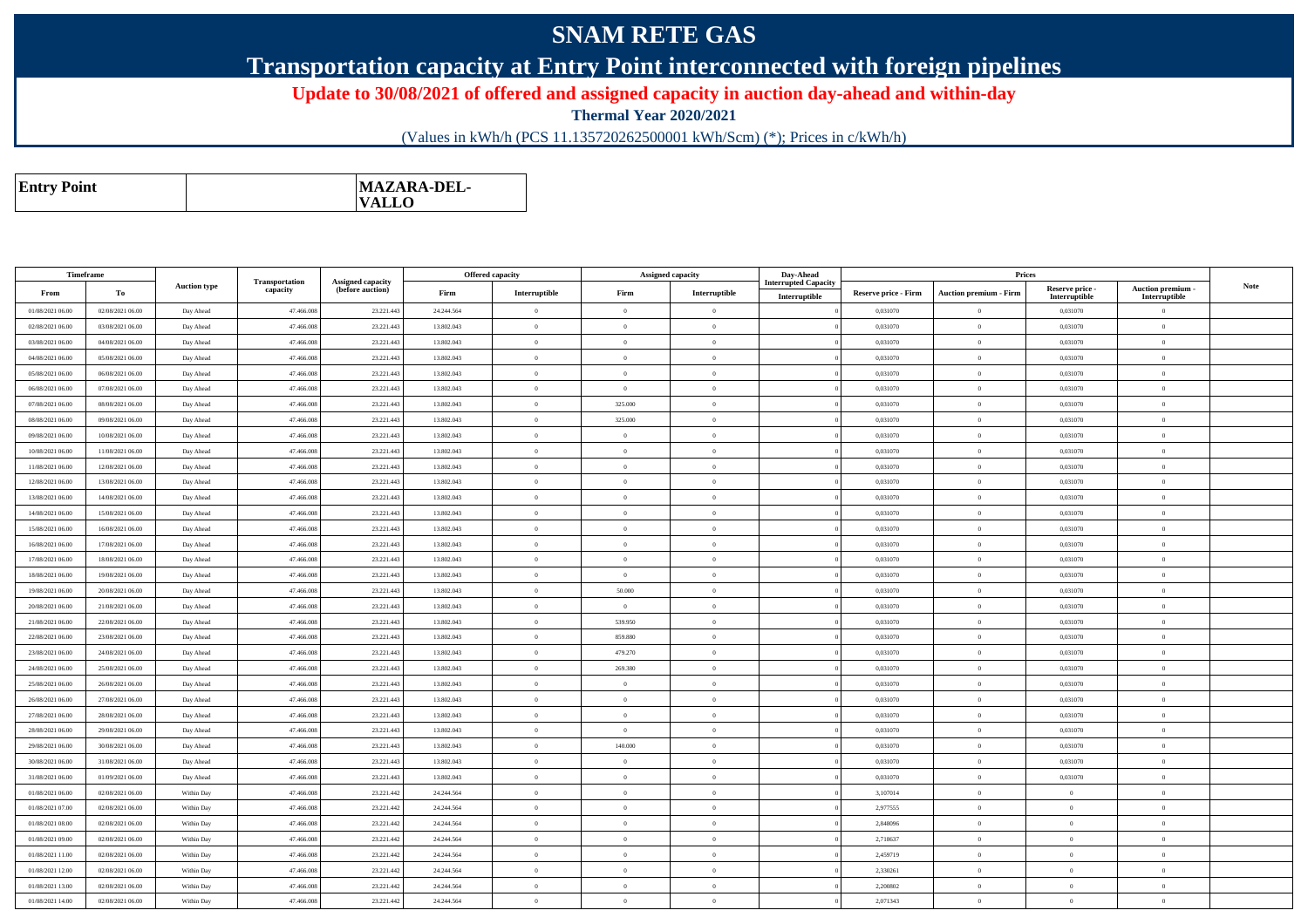## **SNAM RETE GAS**

## **Transportation capacity at Entry Point interconnected with foreign pipelines**

**Update to 30/08/2021 of offered and assigned capacity in auction day-ahead and within-day**

**Thermal Year 2020/2021**

(Values in kWh/h (PCS 11.135720262500001 kWh/Scm) (\*); Prices in c/kWh/h)

| <b>MAZARA-DEL-</b><br><b>Entry Point</b><br><b>VALLO</b> |
|----------------------------------------------------------|
|----------------------------------------------------------|

| Timeframe        |                  |                     |                            |                                              |            | Offered capacity | <b>Assigned capacity</b> |                                         | Day-Ahead                                    |                             | Prices                        |                                  |                                    |             |
|------------------|------------------|---------------------|----------------------------|----------------------------------------------|------------|------------------|--------------------------|-----------------------------------------|----------------------------------------------|-----------------------------|-------------------------------|----------------------------------|------------------------------------|-------------|
| From             | To               | <b>Auction type</b> | Transportation<br>capacity | <b>Assigned capacity</b><br>(before auction) | Firm       | Interruptible    | Firm                     | $\label{prop:1} \textbf{Interruptible}$ | <b>Interrupted Capacity</b><br>Interruptible | <b>Reserve price - Firm</b> | <b>Auction premium - Firm</b> | Reserve price -<br>Interruptible | Auction premium -<br>Interruptible | <b>Note</b> |
| 01/08/2021 06:00 | 02/08/2021 06:00 | Day Ahead           | 47.466.00                  | 23.221.443                                   | 24.244.564 | $\theta$         | $\Omega$                 | $\overline{0}$                          |                                              | 0,031070                    | $\Omega$                      | 0,031070                         | $\theta$                           |             |
| 02/08/2021 06:00 | 03/08/2021 06:00 | Day Ahead           | 47.466.008                 | 23.221.443                                   | 13.802.043 | $\theta$         | $\Omega$                 | $\overline{0}$                          |                                              | 0,031070                    | $\theta$                      | 0,031070                         | $\theta$                           |             |
| 03/08/2021 06:00 | 04/08/2021 06:00 | Day Ahead           | 47,466,008                 | 23.221.443                                   | 13.802.043 | $\theta$         | $\overline{0}$           | $\theta$                                |                                              | 0.031070                    | $\theta$                      | 0.031070                         | $\Omega$                           |             |
| 04/08/2021 06:00 | 05/08/2021 06:00 | Day Ahead           | 47,466,008                 | 23.221.443                                   | 13.802.043 | $\theta$         | $\theta$                 | $\overline{0}$                          |                                              | 0.031070                    | $\bf{0}$                      | 0,031070                         | $\theta$                           |             |
| 05/08/2021 06:00 | 06/08/2021 06:00 | Day Ahead           | 47,466,008                 | 23.221.443                                   | 13.802.043 | $\theta$         | $\theta$                 | $\theta$                                |                                              | 0.031070                    | $\theta$                      | 0.031070                         | $\theta$                           |             |
| 06/08/2021 06:00 | 07/08/2021 06:00 | Day Ahead           | 47.466.008                 | 23.221.44                                    | 13.802.043 | $\theta$         | $\Omega$                 | $\theta$                                |                                              | 0,031070                    | $\bf{0}$                      | 0,031070                         | $\Omega$                           |             |
| 07/08/2021 06:00 | 08/08/2021 06:00 | Day Ahead           | 47.466.008                 | 23.221.443                                   | 13.802.043 | $\theta$         | 325.000                  | $\overline{0}$                          |                                              | 0,031070                    | $\overline{0}$                | 0,031070                         | $\overline{0}$                     |             |
| 08/08/2021 06:00 | 09/08/2021 06:00 | Day Ahead           | 47.466.00                  | 23.221.443                                   | 13.802.043 | $\theta$         | 325.000                  | $\overline{0}$                          |                                              | 0,031070                    | $\bf{0}$                      | 0,031070                         | $\theta$                           |             |
| 09/08/2021 06:00 | 10/08/2021 06:00 | Day Ahead           | 47,466,008                 | 23.221.443                                   | 13.802.043 | $\theta$         | $\theta$                 | $\overline{0}$                          |                                              | 0.031070                    | $\theta$                      | 0.031070                         | $\Omega$                           |             |
| 10/08/2021 06:00 | 11/08/2021 06:00 | Day Ahead           | 47,466,008                 | 23.221.443                                   | 13.802.043 | $\theta$         | $\sqrt{2}$               | $\Omega$                                |                                              | 0,031070                    | $\Omega$                      | 0,031070                         | $\theta$                           |             |
| 11/08/2021 06:00 | 12/08/2021 06:00 | Day Ahead           | 47.466.00                  | 23.221.443                                   | 13.802.043 | $\theta$         | $\Omega$                 | $\theta$                                |                                              | 0,031070                    | $\bf{0}$                      | 0,031070                         | $\theta$                           |             |
| 12/08/2021 06:00 | 13/08/2021 06:00 | Day Ahead           | 47.466.008                 | 23.221.443                                   | 13.802.043 | $\theta$         | $\overline{0}$           | $\overline{0}$                          |                                              | 0,031070                    | $\,$ 0 $\,$                   | 0,031070                         | $\overline{0}$                     |             |
| 13/08/2021 06:00 | 14/08/2021 06:00 | Day Ahead           | 47.466.008                 | 23.221.443                                   | 13.802.043 | $\theta$         | $\Omega$                 | $\overline{0}$                          |                                              | 0,031070                    | $\bf{0}$                      | 0,031070                         | $\theta$                           |             |
| 14/08/2021 06:00 | 15/08/2021 06:00 | Day Ahead           | 47,466,008                 | 23.221.443                                   | 13.802.043 | $\theta$         | $\theta$                 | $\overline{0}$                          |                                              | 0.031070                    | $\theta$                      | 0,031070                         | $\Omega$                           |             |
| 15/08/2021 06:00 | 16/08/2021 06:00 | Day Ahead           | 47,466,008                 | 23.221.443                                   | 13.802.043 | $\theta$         | $\theta$                 | $\theta$                                |                                              | 0.031070                    | $\theta$                      | 0.031070                         | $\theta$                           |             |
| 16/08/2021 06:00 | 17/08/2021 06:00 | Day Ahead           | 47.466.008                 | 23.221.443                                   | 13.802.043 | $\theta$         | $\Omega$                 | $\Omega$                                |                                              | 0,031070                    | $\bf{0}$                      | 0,031070                         | $\theta$                           |             |
| 17/08/2021 06:00 | 18/08/2021 06:00 | Day Ahead           | 47.466.008                 | 23.221.443                                   | 13.802.043 | $\theta$         | $\overline{0}$           | $\overline{0}$                          |                                              | 0,031070                    | $\theta$                      | 0,031070                         | $\theta$                           |             |
| 18/08/2021 06:00 | 19/08/2021 06:00 | Day Ahead           | 47.466.00                  | 23.221.443                                   | 13.802.043 | $\theta$         | $\overline{0}$           | $\theta$                                |                                              | 0,031070                    | $\bf{0}$                      | 0,031070                         | $\theta$                           |             |
| 19/08/2021 06:00 | 20/08/2021 06:00 | Day Ahead           | 47.466.008                 | 23.221.443                                   | 13.802.043 | $\theta$         | 50.000                   | $\overline{0}$                          |                                              | 0,031070                    | $\bf{0}$                      | 0,031070                         | $\theta$                           |             |
| 20/08/2021 06:00 | 21/08/2021 06:00 | Day Ahead           | 47,466,008                 | 23.221.443                                   | 13.802.043 | $\theta$         | $\Omega$                 | $\theta$                                |                                              | 0.031070                    | $\theta$                      | 0.031070                         | $\theta$                           |             |
| 21/08/2021 06:00 | 22/08/2021 06:00 | Day Ahead           | 47.466.008                 | 23.221.443                                   | 13.802.043 | $\theta$         | 539.950                  | $\theta$                                |                                              | 0,031070                    | $\overline{0}$                | 0,031070                         | $\overline{0}$                     |             |
| 22/08/2021 06:00 | 23/08/2021 06:00 | Day Ahead           | 47.466.008                 | 23.221.443                                   | 13.802.043 | $\overline{0}$   | 859.880                  | $\overline{0}$                          |                                              | 0,031070                    | $\,$ 0                        | 0,031070                         | $\bf{0}$                           |             |
| 23/08/2021 06:00 | 24/08/2021 06:00 | Day Ahead           | 47.466.00                  | 23.221.44                                    | 13.802.043 | $\theta$         | 479.270                  | $\theta$                                |                                              | 0,031070                    | $\bf{0}$                      | 0,031070                         | $\theta$                           |             |
| 24/08/2021 06:00 | 25/08/2021 06:00 | Day Ahead           | 47.466.008                 | 23.221.443                                   | 13.802.043 | $\theta$         | 269.380                  | $\overline{0}$                          |                                              | 0,031070                    | $\bf{0}$                      | 0,031070                         | $\overline{0}$                     |             |
| 25/08/2021 06:00 | 26/08/2021 06:00 | Day Ahead           | 47.466.008                 | 23.221.443                                   | 13.802.043 | $\theta$         | $\Omega$                 | $\overline{0}$                          |                                              | 0,031070                    | $\bf{0}$                      | 0,031070                         | $\theta$                           |             |
| 26/08/2021 06:00 | 27/08/2021 06:00 | Day Ahead           | 47.466.008                 | 23.221.443                                   | 13.802.043 | $\theta$         | $\overline{0}$           | $\overline{0}$                          |                                              | 0.031070                    | $\overline{0}$                | 0,031070                         | $\mathbf{0}$                       |             |
| 27/08/2021 06:00 | 28/08/2021 06:00 | Day Ahead           | 47.466.008                 | 23.221.443                                   | 13.802.043 | $\overline{0}$   | $\theta$                 | $\overline{0}$                          |                                              | 0,031070                    | $\,$ 0                        | 0,031070                         | $\overline{0}$                     |             |
| 28/08/2021 06:00 | 29/08/2021 06:00 | Day Ahead           | 47.466.008                 | 23.221.443                                   | 13.802.043 | $\theta$         | $\Omega$                 | $\theta$                                |                                              | 0,031070                    | $\bf{0}$                      | 0,031070                         | $\theta$                           |             |
| 29/08/2021 06:00 | 30/08/2021 06:00 | Day Ahead           | 47.466.008                 | 23.221.443                                   | 13.802.043 | $\theta$         | 140.000                  | $\overline{0}$                          |                                              | 0,031070                    | $\theta$                      | 0,031070                         | $\Omega$                           |             |
| 30/08/2021 06:00 | 31/08/2021 06:00 | Day Ahead           | 47.466.00                  | 23.221.443                                   | 13.802.043 | $\theta$         | $\Omega$                 | $\Omega$                                |                                              | 0,031070                    | $\theta$                      | 0,031070                         | $\theta$                           |             |
| 31/08/2021 06:00 | 01/09/2021 06:00 | Day Ahead           | 47,466,008                 | 23.221.443                                   | 13,802,043 | $\theta$         | $\Omega$                 | $\overline{0}$                          |                                              | 0.031070                    | $\theta$                      | 0.031070                         | $\theta$                           |             |
| 01/08/2021 06:00 | 02/08/2021 06:00 | Within Day          | 47,466,008                 | 23.221.442                                   | 24.244.564 | $\theta$         | $\theta$                 | $\theta$                                |                                              | 3,107014                    | $\theta$                      | $\Omega$                         | $\theta$                           |             |
| 01/08/2021 07:00 | 02/08/2021 06:00 | Within Day          | 47,466,008                 | 23.221.442                                   | 24.244.564 | $\overline{0}$   | $\overline{0}$           | $\overline{0}$                          |                                              | 2,977555                    | $\theta$                      | $\Omega$                         | $\Omega$                           |             |
| 01/08/2021 08:00 | 02/08/2021 06:00 | Within Day          | 47.466.008                 | 23.221.442                                   | 24.244.564 | $\theta$         | $\theta$                 | $\overline{0}$                          |                                              | 2,848096                    | $\theta$                      | $\Omega$                         | $\theta$                           |             |
| 01/08/2021 09:00 | 02/08/2021 06:00 | Within Day          | 47.466.00                  | 23.221.442                                   | 24.244.564 | $\theta$         | $\Omega$                 | $\overline{0}$                          |                                              | 2,718637                    | $\bf{0}$                      | $\theta$                         | $\theta$                           |             |
| 01/08/2021 11:00 | 02/08/2021 06:00 | Within Day          | 47.466.008                 | 23.221.442                                   | 24.244.564 | $\theta$         | $\theta$                 | $\overline{0}$                          |                                              | 2,459719                    | $\theta$                      | $\theta$                         | $\overline{0}$                     |             |
| 01/08/2021 12:00 | 02/08/2021 06:00 | Within Day          | 47,466,008                 | 23.221.442                                   | 24.244.564 | $\theta$         | $\Omega$                 | $\theta$                                |                                              | 2.330261                    | $\theta$                      | $\Omega$                         | $\theta$                           |             |
| 01/08/2021 13:00 | 02/08/2021 06:00 | Within Day          | 47 466 00                  | 23.221.44                                    | 24.244.564 | $\theta$         | $\theta$                 | $\theta$                                |                                              | 2,200802                    | $\bf{0}$                      | $\Omega$                         | $\overline{0}$                     |             |
| 01/08/2021 14:00 | 02/08/2021 06:00 | Within Day          | 47,466,008                 | 23.221.442                                   | 24.244.564 | $\theta$         | $\theta$                 | $\theta$                                |                                              | 2,071343                    | $\theta$                      | $\Omega$                         | $\theta$                           |             |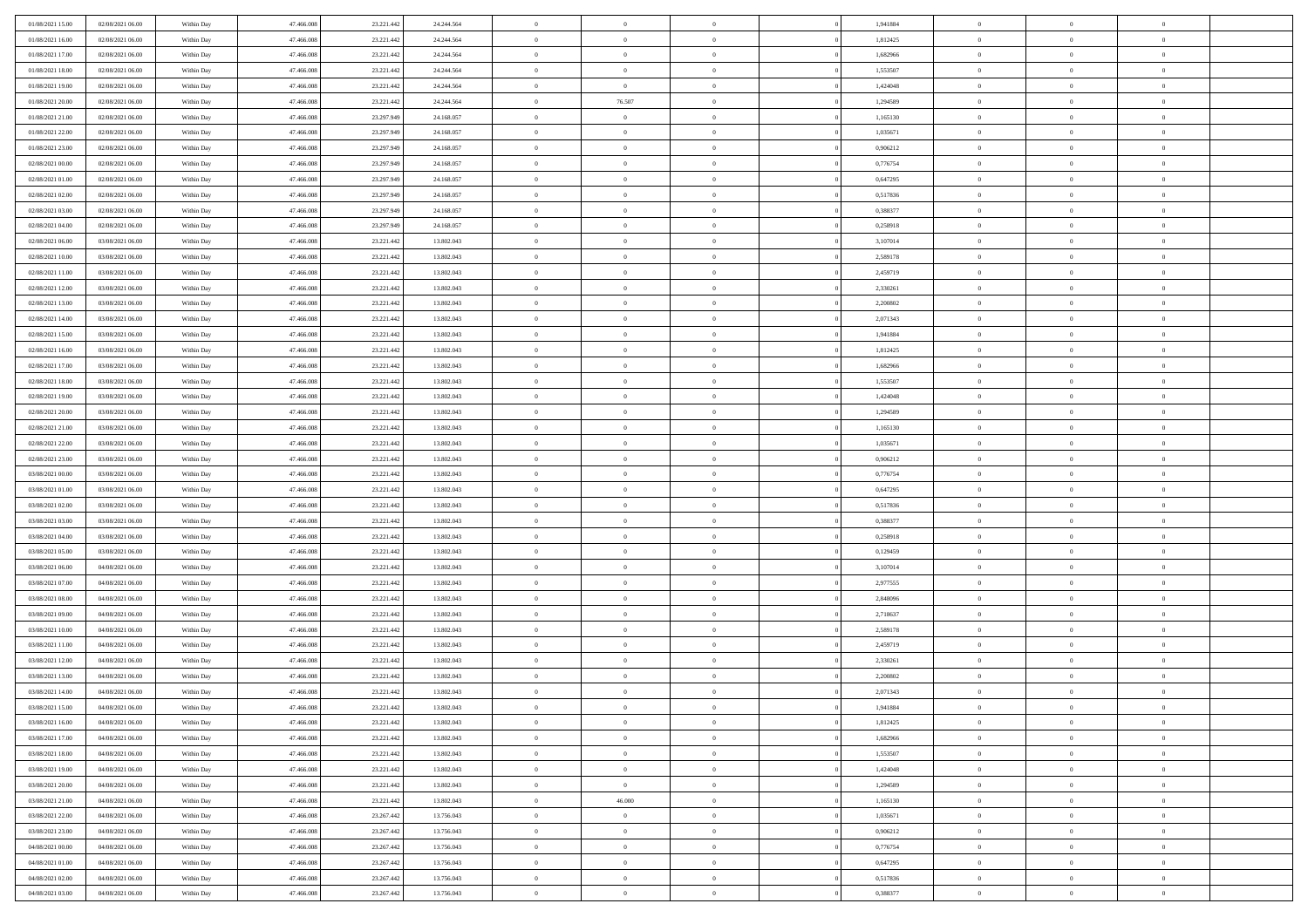| 01/08/2021 15:00                     | 02/08/2021 06:00 | Within Day | 47.466.008 | 23.221.442 | 24.244.564 | $\,$ 0         | $\bf{0}$       | $\theta$       |          | 1,941884 | $\bf{0}$       | $\overline{0}$ | $\,0\,$        |  |
|--------------------------------------|------------------|------------|------------|------------|------------|----------------|----------------|----------------|----------|----------|----------------|----------------|----------------|--|
| 01/08/2021 16:00                     | 02/08/2021 06:00 | Within Day | 47,466,008 | 23.221.442 | 24.244.564 | $\overline{0}$ | $\overline{0}$ | $\overline{0}$ |          | 1,812425 | $\overline{0}$ | $\overline{0}$ | $\theta$       |  |
| 01/08/2021 17:00                     | 02/08/2021 06:00 | Within Dav | 47.466.008 | 23.221.442 | 24.244.564 | $\mathbf{0}$   | $\overline{0}$ | $\overline{0}$ |          | 1,682966 | $\mathbf{0}$   | $\overline{0}$ | $\overline{0}$ |  |
| 01/08/2021 18:00                     | 02/08/2021 06:00 | Within Day | 47.466.008 | 23.221.442 | 24.244.564 | $\bf{0}$       | $\overline{0}$ | $\bf{0}$       |          | 1,553507 | $\bf{0}$       | $\overline{0}$ | $\bf{0}$       |  |
| 01/08/2021 19:00                     | 02/08/2021 06:00 | Within Day | 47,466,008 | 23.221.442 | 24.244.564 | $\bf{0}$       | $\overline{0}$ | $\overline{0}$ |          | 1,424048 | $\bf{0}$       | $\bf{0}$       | $\,0\,$        |  |
| 01/08/2021 20:00                     | 02/08/2021 06:00 | Within Dav | 47.466.008 | 23.221.442 | 24.244.564 | $\mathbf{0}$   | 76.507         | $\overline{0}$ |          | 1,294589 | $\mathbf{0}$   | $\overline{0}$ | $\overline{0}$ |  |
| 01/08/2021 21:00                     | 02/08/2021 06:00 | Within Day | 47.466.008 | 23.297.949 | 24.168.057 | $\bf{0}$       | $\bf{0}$       | $\overline{0}$ |          | 1,165130 | $\bf{0}$       | $\overline{0}$ | $\,0\,$        |  |
| 01/08/2021 22:00                     | 02/08/2021 06:00 | Within Day | 47,466,008 | 23.297.949 | 24.168.057 | $\theta$       | $\overline{0}$ | $\overline{0}$ |          | 1,035671 | $\,$ 0 $\,$    | $\overline{0}$ | $\theta$       |  |
| 01/08/2021 23:00                     | 02/08/2021 06:00 | Within Dav | 47.466.008 | 23.297.949 | 24.168.057 | $\mathbf{0}$   | $\overline{0}$ | $\overline{0}$ |          | 0,906212 | $\mathbf{0}$   | $\overline{0}$ | $\overline{0}$ |  |
| 02/08/2021 00:00                     | 02/08/2021 06:00 | Within Day | 47.466.008 | 23.297.949 | 24.168.057 | $\bf{0}$       | $\bf{0}$       | $\overline{0}$ |          | 0,776754 | $\bf{0}$       | $\overline{0}$ | $\,0\,$        |  |
|                                      |                  |            | 47,466,008 |            |            | $\overline{0}$ | $\overline{0}$ | $\overline{0}$ |          |          | $\bf{0}$       | $\mathbf{0}$   | $\theta$       |  |
| 02/08/2021 01:00<br>02/08/2021 02:00 | 02/08/2021 06:00 | Within Day |            | 23.297.949 | 24.168.057 | $\mathbf{0}$   |                |                |          | 0,647295 | $\mathbf{0}$   |                | $\overline{0}$ |  |
|                                      | 02/08/2021 06:00 | Within Dav | 47.466.008 | 23.297.949 | 24.168.057 |                | $\overline{0}$ | $\overline{0}$ |          | 0,517836 |                | $\overline{0}$ |                |  |
| 02/08/2021 03:00                     | 02/08/2021 06:00 | Within Day | 47.466.008 | 23.297.949 | 24.168.057 | $\bf{0}$       | $\overline{0}$ | $\bf{0}$       |          | 0,388377 | $\bf{0}$       | $\overline{0}$ | $\overline{0}$ |  |
| 02/08/2021 04:00                     | 02/08/2021 06:00 | Within Day | 47,466,008 | 23.297.949 | 24.168.057 | $\bf{0}$       | $\overline{0}$ | $\overline{0}$ |          | 0,258918 | $\bf{0}$       | $\theta$       | $\,0\,$        |  |
| 02/08/2021 06:00                     | 03/08/2021 06:00 | Within Dav | 47.466.008 | 23.221.442 | 13.802.043 | $\mathbf{0}$   | $\overline{0}$ | $\overline{0}$ |          | 3,107014 | $\mathbf{0}$   | $\overline{0}$ | $\overline{0}$ |  |
| 02/08/2021 10:00                     | 03/08/2021 06:00 | Within Day | 47.466.008 | 23.221.442 | 13.802.043 | $\bf{0}$       | $\bf{0}$       | $\overline{0}$ |          | 2,589178 | $\bf{0}$       | $\overline{0}$ | $\bf{0}$       |  |
| 02/08/2021 11:00                     | 03/08/2021 06:00 | Within Day | 47,466,008 | 23.221.442 | 13.802.043 | $\overline{0}$ | $\overline{0}$ | $\overline{0}$ |          | 2,459719 | $\bf{0}$       | $\overline{0}$ | $\theta$       |  |
| 02/08/2021 12:00                     | 03/08/2021 06:00 | Within Day | 47.466.008 | 23.221.442 | 13.802.043 | $\mathbf{0}$   | $\overline{0}$ | $\overline{0}$ |          | 2,330261 | $\mathbf{0}$   | $\overline{0}$ | $\overline{0}$ |  |
| 02/08/2021 13:00                     | 03/08/2021 06:00 | Within Day | 47.466.008 | 23.221.442 | 13.802.043 | $\,$ 0         | $\bf{0}$       | $\overline{0}$ |          | 2,200802 | $\bf{0}$       | $\overline{0}$ | $\,0\,$        |  |
| 02/08/2021 14:00                     | 03/08/2021 06:00 | Within Day | 47,466,008 | 23.221.442 | 13.802.043 | $\overline{0}$ | $\overline{0}$ | $\overline{0}$ |          | 2,071343 | $\bf{0}$       | $\overline{0}$ | $\overline{0}$ |  |
| 02/08/2021 15:00                     | 03/08/2021 06:00 | Within Dav | 47.466.008 | 23.221.442 | 13.802.043 | $\mathbf{0}$   | $\overline{0}$ | $\overline{0}$ |          | 1,941884 | $\mathbf{0}$   | $\overline{0}$ | $\overline{0}$ |  |
| 02/08/2021 16:00                     | 03/08/2021 06:00 | Within Day | 47.466.008 | 23.221.442 | 13.802.043 | $\bf{0}$       | $\overline{0}$ | $\bf{0}$       |          | 1,812425 | $\bf{0}$       | $\overline{0}$ | $\bf{0}$       |  |
| 02/08/2021 17:00                     | 03/08/2021 06:00 | Within Day | 47,466,008 | 23.221.442 | 13.802.043 | $\bf{0}$       | $\overline{0}$ | $\overline{0}$ |          | 1,682966 | $\bf{0}$       | $\bf{0}$       | $\,0\,$        |  |
| 02/08/2021 18:00                     | 03/08/2021 06:00 | Within Dav | 47.466.008 | 23.221.442 | 13.802.043 | $\mathbf{0}$   | $\overline{0}$ | $\overline{0}$ |          | 1,553507 | $\mathbf{0}$   | $\overline{0}$ | $\overline{0}$ |  |
| 02/08/2021 19:00                     | 03/08/2021 06:00 | Within Day | 47.466.008 | 23.221.442 | 13.802.043 | $\bf{0}$       | $\overline{0}$ | $\overline{0}$ |          | 1,424048 | $\bf{0}$       | $\overline{0}$ | $\,0\,$        |  |
| 02/08/2021 20:00                     | 03/08/2021 06:00 | Within Day | 47,466,008 | 23.221.442 | 13.802.043 | $\overline{0}$ | $\overline{0}$ | $\overline{0}$ |          | 1,294589 | $\bf{0}$       | $\overline{0}$ | $\theta$       |  |
| 02/08/2021 21:00                     | 03/08/2021 06:00 | Within Dav | 47.466.008 | 23.221.442 | 13.802.043 | $\mathbf{0}$   | $\overline{0}$ | $\overline{0}$ |          | 1,165130 | $\mathbf{0}$   | $\overline{0}$ | $\overline{0}$ |  |
| 02/08/2021 22:00                     | 03/08/2021 06:00 | Within Day | 47.466.008 | 23.221.442 | 13.802.043 | $\bf{0}$       | $\overline{0}$ | $\overline{0}$ |          | 1,035671 | $\bf{0}$       | $\overline{0}$ | $\,0\,$        |  |
| 02/08/2021 23:00                     | 03/08/2021 06:00 | Within Day | 47,466,008 | 23.221.442 | 13.802.043 | $\bf{0}$       | $\overline{0}$ | $\overline{0}$ |          | 0,906212 | $\bf{0}$       | $\bf{0}$       | $\bf{0}$       |  |
| 03/08/2021 00:00                     | 03/08/2021 06:00 | Within Dav | 47.466.008 | 23.221.442 | 13.802.043 | $\mathbf{0}$   | $\overline{0}$ | $\overline{0}$ |          | 0,776754 | $\mathbf{0}$   | $\overline{0}$ | $\overline{0}$ |  |
| 03/08/2021 01:00                     | 03/08/2021 06:00 | Within Day | 47.466.008 | 23.221.442 | 13.802.043 | $\bf{0}$       | $\overline{0}$ | $\overline{0}$ |          | 0,647295 | $\,$ 0         | $\overline{0}$ | $\theta$       |  |
| 03/08/2021 02:00                     | 03/08/2021 06:00 | Within Day | 47,466,008 | 23.221.442 | 13.802.043 | $\bf{0}$       | $\bf{0}$       | $\overline{0}$ |          | 0,517836 | $\bf{0}$       | $\mathbf{0}$   | $\bf{0}$       |  |
| 03/08/2021 03:00                     | 03/08/2021 06:00 | Within Dav | 47.466.008 | 23.221.442 | 13.802.043 | $\mathbf{0}$   | $\overline{0}$ | $\overline{0}$ |          | 0,388377 | $\mathbf{0}$   | $\overline{0}$ | $\overline{0}$ |  |
| 03/08/2021 04:00                     | 03/08/2021 06:00 | Within Day | 47.466.008 | 23.221.442 | 13.802.043 | $\bf{0}$       | $\overline{0}$ | $\overline{0}$ |          | 0,258918 | $\,$ 0         | $\overline{0}$ | $\theta$       |  |
| 03/08/2021 05:00                     | 03/08/2021 06:00 | Within Day | 47,466,008 | 23.221.442 | 13.802.043 | $\overline{0}$ | $\overline{0}$ | $\overline{0}$ |          | 0,129459 | $\bf{0}$       | $\overline{0}$ | $\overline{0}$ |  |
| 03/08/2021 06:00                     | 04/08/2021 06:00 | Within Day | 47.466.008 | 23.221.442 | 13.802.043 | $\mathbf{0}$   | $\overline{0}$ | $\overline{0}$ |          | 3,107014 | $\mathbf{0}$   | $\overline{0}$ | $\overline{0}$ |  |
| 03/08/2021 07:00                     | 04/08/2021 06:00 | Within Day | 47.466.008 | 23.221.442 | 13.802.043 | $\bf{0}$       | $\overline{0}$ | $\overline{0}$ |          | 2,977555 | $\,$ 0         | $\overline{0}$ | $\theta$       |  |
| 03/08/2021 08:00                     | 04/08/2021 06:00 | Within Day | 47,466,008 | 23.221.442 | 13.802.043 | $\bf{0}$       | $\overline{0}$ | $\overline{0}$ |          | 2,848096 | $\bf{0}$       | $\mathbf{0}$   | $\bf{0}$       |  |
| 03/08/2021 09:00                     | 04/08/2021 06:00 | Within Dav | 47.466.008 | 23.221.442 | 13.802.043 | $\mathbf{0}$   | $\overline{0}$ | $\overline{0}$ |          | 2,718637 | $\mathbf{0}$   | $\overline{0}$ | $\overline{0}$ |  |
| 03/08/2021 10:00                     | 04/08/2021 06:00 | Within Day | 47.466.008 | 23.221.442 | 13.802.043 | $\bf{0}$       | $\overline{0}$ | $\overline{0}$ |          | 2,589178 | $\,$ 0         | $\overline{0}$ | $\theta$       |  |
| 03/08/2021 11:00                     | 04/08/2021 06:00 | Within Day | 47,466,008 | 23.221.442 | 13.802.043 | $\bf{0}$       | $\bf{0}$       | $\overline{0}$ |          | 2,459719 | $\bf{0}$       | $\overline{0}$ | $\bf{0}$       |  |
| 03/08/2021 12:00                     | 04/08/2021 06:00 | Within Dav | 47.466.008 | 23.221.442 | 13.802.043 | $\mathbf{0}$   | $\overline{0}$ | $\overline{0}$ |          | 2,330261 | $\mathbf{0}$   | $\overline{0}$ | $\overline{0}$ |  |
| 03/08/2021 13:00                     | 04/08/2021 06:00 | Within Day | 47.466.008 | 23.221.442 | 13.802.043 | $\bf{0}$       | $\overline{0}$ | $\overline{0}$ |          | 2,200802 | $\,$ 0         | $\overline{0}$ | $\theta$       |  |
| 03/08/2021 14:00                     | 04/08/2021 06:00 | Within Day | 47.466.008 | 23.221.442 | 13.802.043 | $\bf{0}$       | $\overline{0}$ | $\overline{0}$ |          | 2,071343 | $\,$ 0 $\,$    | $\overline{0}$ | $\overline{0}$ |  |
| 03/08/2021 15:00                     | 04/08/2021 06:00 | Within Day | 47.466.008 | 23.221.442 | 13.802.043 | $\bf{0}$       | $\overline{0}$ |                |          | 1,941884 | $\overline{0}$ | $\theta$       | $\theta$       |  |
| 03/08/2021 16:00                     | 04/08/2021 06:00 | Within Day | 47.466.008 | 23.221.442 | 13.802.043 | $\,0\,$        | $\overline{0}$ | $\overline{0}$ |          | 1,812425 | $\,$ 0 $\,$    | $\overline{0}$ | $\theta$       |  |
| 03/08/2021 17:00                     | 04/08/2021 06:00 | Within Day | 47,466,008 | 23.221.442 | 13.802.043 | $\overline{0}$ | $\overline{0}$ | $\overline{0}$ |          | 1,682966 | $\overline{0}$ | $\overline{0}$ | $\overline{0}$ |  |
| 03/08/2021 18:00                     | 04/08/2021 06:00 | Within Day | 47.466.008 | 23.221.442 | 13.802.043 | $\bf{0}$       | $\overline{0}$ | $\overline{0}$ |          | 1,553507 | $\overline{0}$ | $\bf{0}$       | $\mathbf{0}$   |  |
| 03/08/2021 19:00                     | 04/08/2021 06:00 | Within Day | 47.466.008 | 23.221.442 | 13.802.043 | $\,$ 0 $\,$    | $\overline{0}$ | $\overline{0}$ | $\theta$ | 1,424048 | $\,$ 0 $\,$    | $\bf{0}$       | $\,$ 0 $\,$    |  |
| 03/08/2021 20:00                     | 04/08/2021 06:00 | Within Day | 47,466,008 | 23.221.442 | 13.802.043 | $\bf{0}$       | $\overline{0}$ | $\overline{0}$ |          | 1,294589 | $\,$ 0 $\,$    | $\overline{0}$ | $\overline{0}$ |  |
| 03/08/2021 21:00                     | 04/08/2021 06:00 | Within Day | 47.466.008 | 23.221.442 | 13.802.043 | $\bf{0}$       | 46.000         | $\overline{0}$ |          | 1,165130 | $\mathbf{0}$   | $\overline{0}$ | $\overline{0}$ |  |
|                                      |                  |            |            |            |            |                |                |                |          |          |                |                |                |  |
| 03/08/2021 22:00                     | 04/08/2021 06:00 | Within Day | 47.466.008 | 23.267.442 | 13.756.043 | $\,$ 0 $\,$    | $\overline{0}$ | $\overline{0}$ | $\theta$ | 1,035671 | $\,$ 0 $\,$    | $\overline{0}$ | $\overline{0}$ |  |
| 03/08/2021 23:00                     | 04/08/2021 06:00 | Within Day | 47,466,008 | 23.267.442 | 13.756.043 | $\bf{0}$       | $\overline{0}$ | $\overline{0}$ |          | 0,906212 | $\overline{0}$ | $\overline{0}$ | $\overline{0}$ |  |
| 04/08/2021 00:00                     | 04/08/2021 06:00 | Within Day | 47.466.008 | 23.267.442 | 13.756.043 | $\bf{0}$       | $\overline{0}$ | $\overline{0}$ |          | 0,776754 | $\mathbf{0}$   | $\overline{0}$ | $\mathbf{0}$   |  |
| 04/08/2021 01:00                     | 04/08/2021 06:00 | Within Day | 47.466.008 | 23.267.442 | 13.756.043 | $\,0\,$        | $\overline{0}$ | $\overline{0}$ |          | 0,647295 | $\,$ 0 $\,$    | $\mathbf{0}$   | $\theta$       |  |
| 04/08/2021 02.00                     | 04/08/2021 06:00 | Within Day | 47,466,008 | 23.267.442 | 13.756.043 | $\bf{0}$       | $\bf{0}$       | $\overline{0}$ |          | 0,517836 | $\bf{0}$       | $\mathbf{0}$   | $\overline{0}$ |  |
| 04/08/2021 03:00                     | 04/08/2021 06:00 | Within Day | 47.466.008 | 23.267.442 | 13.756.043 | $\mathbf{0}$   | $\overline{0}$ | $\overline{0}$ |          | 0,388377 | $\mathbf{0}$   | $\overline{0}$ | $\overline{0}$ |  |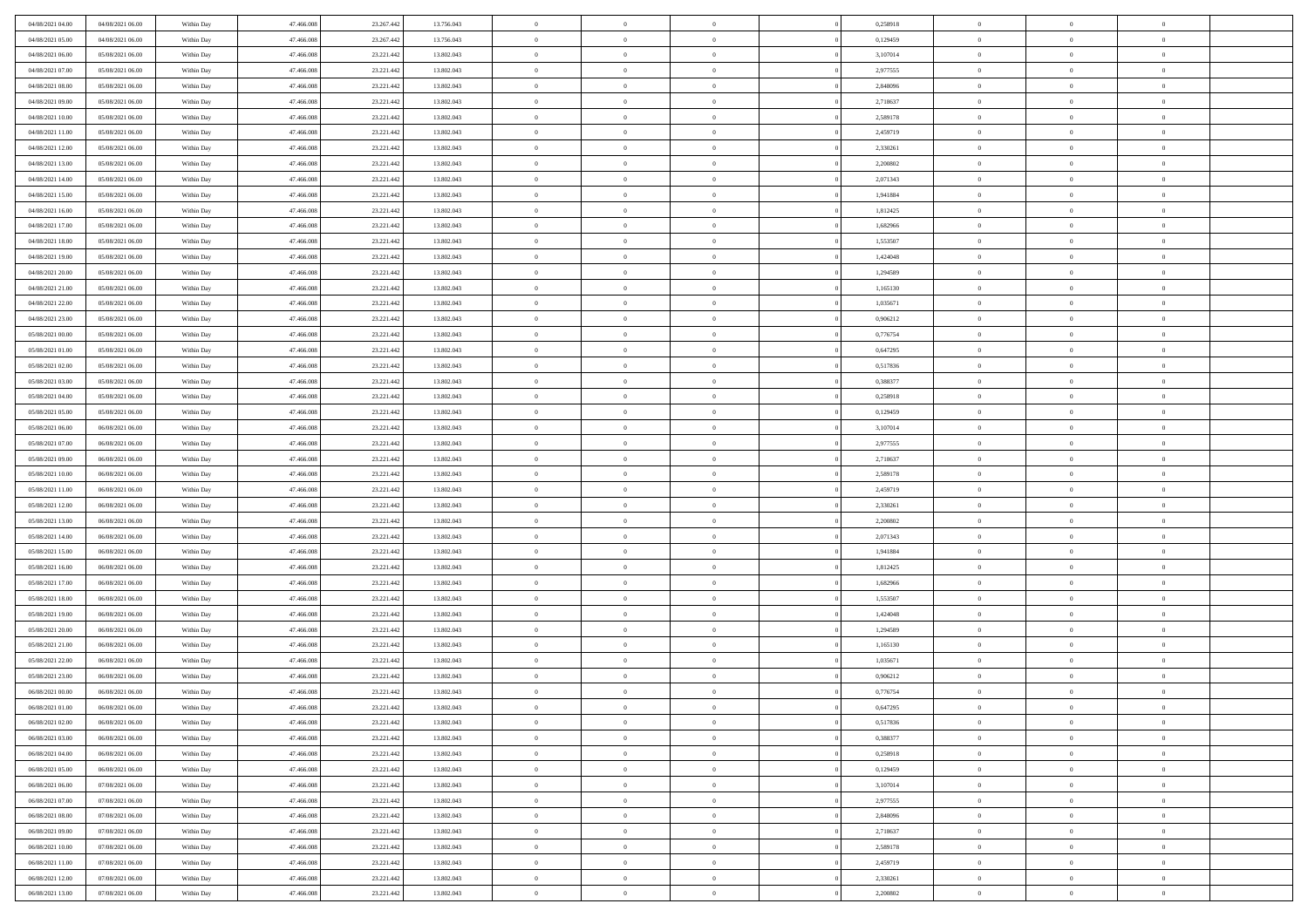| 04/08/2021 04:00 | 04/08/2021 06:00 | Within Day | 47.466.008 | 23.267.442 | 13.756.043 | $\,$ 0         | $\bf{0}$       | $\overline{0}$ |                | 0,258918 | $\bf{0}$             | $\overline{0}$ | $\theta$       |  |
|------------------|------------------|------------|------------|------------|------------|----------------|----------------|----------------|----------------|----------|----------------------|----------------|----------------|--|
| 04/08/2021 05:00 | 04/08/2021 06:00 | Within Day | 47,466,008 | 23.267.442 | 13.756.043 | $\overline{0}$ | $\overline{0}$ | $\overline{0}$ |                | 0,129459 | $\theta$             | $\theta$       | $\overline{0}$ |  |
| 04/08/2021 06:00 | 05/08/2021 06:00 | Within Dav | 47.466.008 | 23.221.442 | 13.802.043 | $\mathbf{0}$   | $\overline{0}$ | $\overline{0}$ |                | 3,107014 | $\theta$             | $\overline{0}$ | $\theta$       |  |
| 04/08/2021 07:00 | 05/08/2021 06:00 | Within Day | 47.466.008 | 23.221.442 | 13.802.043 | $\bf{0}$       | $\bf{0}$       | $\bf{0}$       |                | 2,977555 | $\bf{0}$             | $\overline{0}$ | $\bf{0}$       |  |
| 04/08/2021 08:00 | 05/08/2021 06:00 | Within Day | 47,466,008 | 23.221.442 | 13.802.043 | $\bf{0}$       | $\bf{0}$       | $\overline{0}$ |                | 2,848096 | $\bf{0}$             | $\Omega$       | $\bf{0}$       |  |
| 04/08/2021 09:00 | 05/08/2021 06:00 | Within Dav | 47.466.008 | 23.221.442 | 13.802.043 | $\mathbf{0}$   | $\overline{0}$ | $\overline{0}$ |                | 2,718637 | $\theta$             | $\overline{0}$ | $\theta$       |  |
|                  |                  |            |            |            |            |                |                |                |                |          |                      |                |                |  |
| 04/08/2021 10:00 | 05/08/2021 06:00 | Within Day | 47.466.008 | 23.221.442 | 13.802.043 | $\bf{0}$       | $\bf{0}$       | $\overline{0}$ |                | 2,589178 | $\bf{0}$             | $\overline{0}$ | $\theta$       |  |
| 04/08/2021 11:00 | 05/08/2021 06:00 | Within Day | 47,466,008 | 23.221.442 | 13.802.043 | $\overline{0}$ | $\overline{0}$ | $\overline{0}$ |                | 2,459719 | $\,$ 0 $\,$          | $\theta$       | $\overline{0}$ |  |
| 04/08/2021 12:00 | 05/08/2021 06:00 | Within Day | 47.466.008 | 23.221.442 | 13.802.043 | $\mathbf{0}$   | $\overline{0}$ | $\overline{0}$ |                | 2,330261 | $\theta$             | $\overline{0}$ | $\theta$       |  |
| 04/08/2021 13:00 | 05/08/2021 06:00 | Within Day | 47.466.008 | 23.221.442 | 13.802.043 | $\bf{0}$       | $\bf{0}$       | $\overline{0}$ |                | 2,200802 | $\bf{0}$             | $\overline{0}$ | $\theta$       |  |
| 04/08/2021 14:00 | 05/08/2021 06:00 | Within Day | 47,466,008 | 23.221.442 | 13.802.043 | $\bf{0}$       | $\overline{0}$ | $\overline{0}$ |                | 2,071343 | $\bf{0}$             | $\theta$       | $\overline{0}$ |  |
| 04/08/2021 15:00 | 05/08/2021 06:00 | Within Dav | 47.466.008 | 23.221.442 | 13.802.043 | $\mathbf{0}$   | $\overline{0}$ | $\overline{0}$ |                | 1,941884 | $\theta$             | $\overline{0}$ | $\theta$       |  |
| 04/08/2021 16:00 | 05/08/2021 06:00 | Within Day | 47.466.008 | 23.221.442 | 13.802.043 | $\bf{0}$       | $\overline{0}$ | $\bf{0}$       |                | 1,812425 | $\bf{0}$             | $\overline{0}$ | $\bf{0}$       |  |
| 04/08/2021 17:00 | 05/08/2021 06:00 | Within Day | 47.466.008 | 23.221.442 | 13.802.043 | $\bf{0}$       | $\overline{0}$ | $\overline{0}$ |                | 1,682966 | $\bf{0}$             | $\Omega$       | $\bf{0}$       |  |
| 04/08/2021 18:00 | 05/08/2021 06:00 | Within Dav | 47.466.008 | 23.221.442 | 13.802.043 | $\mathbf{0}$   | $\overline{0}$ | $\overline{0}$ |                | 1,553507 | $\theta$             | $\overline{0}$ | $\theta$       |  |
| 04/08/2021 19:00 | 05/08/2021 06:00 | Within Day | 47.466.008 | 23.221.442 | 13.802.043 | $\bf{0}$       | $\bf{0}$       | $\overline{0}$ |                | 1,424048 | $\bf{0}$             | $\overline{0}$ | $\theta$       |  |
| 04/08/2021 20:00 | 05/08/2021 06:00 | Within Day | 47,466,008 | 23.221.442 | 13.802.043 | $\bf{0}$       | $\overline{0}$ | $\overline{0}$ |                | 1,294589 | $\,$ 0 $\,$          | $\overline{0}$ | $\overline{0}$ |  |
| 04/08/2021 21:00 | 05/08/2021 06:00 | Within Day | 47.466.008 | 23.221.442 | 13.802.043 | $\mathbf{0}$   | $\overline{0}$ | $\overline{0}$ |                | 1,165130 | $\theta$             | $\overline{0}$ | $\theta$       |  |
| 04/08/2021 22:00 | 05/08/2021 06:00 | Within Day | 47.466.008 | 23.221.442 | 13.802.043 | $\,$ 0         | $\bf{0}$       | $\overline{0}$ |                | 1,035671 | $\bf{0}$             | $\overline{0}$ | $\theta$       |  |
| 04/08/2021 23:00 | 05/08/2021 06:00 | Within Day | 47,466,008 | 23.221.442 | 13.802.043 | $\bf{0}$       | $\overline{0}$ | $\overline{0}$ |                | 0,906212 | $\bf{0}$             | $\theta$       | $\overline{0}$ |  |
| 05/08/2021 00:00 | 05/08/2021 06:00 | Within Dav | 47.466.008 | 23.221.442 | 13.802.043 | $\mathbf{0}$   | $\overline{0}$ | $\overline{0}$ |                | 0,776754 | $\theta$             | $\overline{0}$ | $\theta$       |  |
| 05/08/2021 01:00 | 05/08/2021 06:00 | Within Day | 47.466.008 | 23.221.442 | 13.802.043 | $\bf{0}$       | $\bf{0}$       | $\bf{0}$       |                | 0,647295 | $\bf{0}$             | $\overline{0}$ | $\bf{0}$       |  |
| 05/08/2021 02:00 | 05/08/2021 06:00 | Within Day | 47,466,008 | 23.221.442 | 13.802.043 | $\bf{0}$       | $\bf{0}$       | $\overline{0}$ |                | 0,517836 | $\bf{0}$             | $\overline{0}$ | $\bf{0}$       |  |
| 05/08/2021 03:00 | 05/08/2021 06:00 | Within Dav | 47.466.008 | 23.221.442 | 13.802.043 | $\mathbf{0}$   | $\overline{0}$ | $\overline{0}$ |                | 0,388377 | $\theta$             | $\overline{0}$ | $\theta$       |  |
| 05/08/2021 04:00 | 05/08/2021 06:00 | Within Day | 47.466.008 | 23.221.442 | 13.802.043 | $\bf{0}$       | $\bf{0}$       | $\overline{0}$ |                | 0,258918 | $\bf{0}$             | $\overline{0}$ | $\theta$       |  |
| 05/08/2021 05:00 | 05/08/2021 06:00 | Within Day | 47,466,008 | 23.221.442 | 13.802.043 | $\bf{0}$       | $\overline{0}$ | $\overline{0}$ |                | 0,129459 | $\,$ 0 $\,$          | $\theta$       | $\overline{0}$ |  |
| 05/08/2021 06:00 | 06/08/2021 06:00 | Within Day | 47.466.008 | 23.221.442 | 13.802.043 | $\mathbf{0}$   | $\overline{0}$ | $\overline{0}$ |                | 3,107014 | $\theta$             | $\overline{0}$ | $\theta$       |  |
| 05/08/2021 07:00 | 06/08/2021 06:00 | Within Day | 47.466.008 | 23.221.442 | 13.802.043 | $\bf{0}$       | $\bf{0}$       | $\overline{0}$ |                | 2,977555 | $\bf{0}$             | $\overline{0}$ | $\theta$       |  |
| 05/08/2021 09:00 | 06/08/2021 06:00 | Within Day | 47,466,008 | 23.221.442 | 13.802.043 | $\bf{0}$       | $\overline{0}$ | $\overline{0}$ |                | 2,718637 | $\bf{0}$             | $\theta$       | $\bf{0}$       |  |
| 05/08/2021 10:00 | 06/08/2021 06:00 | Within Dav | 47.466.008 | 23.221.442 | 13.802.043 | $\mathbf{0}$   | $\overline{0}$ | $\overline{0}$ |                | 2,589178 | $\theta$             | $\overline{0}$ | $\theta$       |  |
| 05/08/2021 11:00 | 06/08/2021 06:00 | Within Day | 47.466.008 | 23.221.442 | 13.802.043 | $\bf{0}$       | $\overline{0}$ | $\overline{0}$ |                | 2,459719 | $\,0\,$              | $\overline{0}$ | $\theta$       |  |
| 05/08/2021 12:00 | 06/08/2021 06:00 | Within Day | 47.466.008 | 23.221.442 | 13.802.043 | $\bf{0}$       | $\overline{0}$ | $\overline{0}$ |                | 2,330261 | $\bf{0}$             | $\overline{0}$ | $\bf{0}$       |  |
| 05/08/2021 13:00 | 06/08/2021 06:00 | Within Dav | 47.466.008 | 23.221.442 | 13.802.043 | $\mathbf{0}$   | $\overline{0}$ | $\overline{0}$ |                | 2,200802 | $\theta$             | $\overline{0}$ | $\theta$       |  |
| 05/08/2021 14:00 |                  |            | 47.466.008 | 23.221.442 |            | $\bf{0}$       | $\overline{0}$ | $\overline{0}$ |                | 2,071343 | $\,0\,$              | $\overline{0}$ | $\theta$       |  |
|                  | 06/08/2021 06:00 | Within Day | 47,466,008 | 23.221.442 | 13.802.043 | $\bf{0}$       | $\overline{0}$ | $\overline{0}$ |                |          |                      | $\overline{0}$ | $\bf{0}$       |  |
| 05/08/2021 15:00 | 06/08/2021 06:00 | Within Day |            |            | 13.802.043 | $\mathbf{0}$   |                |                |                | 1,941884 | $\bf{0}$<br>$\theta$ |                |                |  |
| 05/08/2021 16:00 | 06/08/2021 06:00 | Within Day | 47.466.008 | 23.221.442 | 13.802.043 |                | $\overline{0}$ | $\overline{0}$ |                | 1,812425 |                      | $\overline{0}$ | $\theta$       |  |
| 05/08/2021 17:00 | 06/08/2021 06:00 | Within Day | 47.466.008 | 23.221.442 | 13.802.043 | $\bf{0}$       | $\overline{0}$ | $\overline{0}$ |                | 1,682966 | $\,0\,$              | $\overline{0}$ | $\theta$       |  |
| 05/08/2021 18:00 | 06/08/2021 06:00 | Within Day | 47,466,008 | 23.221.442 | 13.802.043 | $\bf{0}$       | $\overline{0}$ | $\overline{0}$ |                | 1,553507 | $\bf{0}$             | $\theta$       | $\bf{0}$       |  |
| 05/08/2021 19:00 | 06/08/2021 06:00 | Within Dav | 47.466.008 | 23.221.442 | 13.802.043 | $\mathbf{0}$   | $\overline{0}$ | $\overline{0}$ |                | 1,424048 | $\theta$             | $\overline{0}$ | $\theta$       |  |
| 05/08/2021 20:00 | 06/08/2021 06:00 | Within Day | 47.466.008 | 23.221.442 | 13.802.043 | $\bf{0}$       | $\overline{0}$ | $\overline{0}$ |                | 1,294589 | $\,0\,$              | $\overline{0}$ | $\theta$       |  |
| 05/08/2021 21:00 | 06/08/2021 06:00 | Within Day | 47,466,008 | 23.221.442 | 13.802.043 | $\bf{0}$       | $\bf{0}$       | $\overline{0}$ |                | 1,165130 | $\bf{0}$             | $\overline{0}$ | $\bf{0}$       |  |
| 05/08/2021 22:00 | 06/08/2021 06:00 | Within Dav | 47.466.008 | 23.221.442 | 13.802.043 | $\mathbf{0}$   | $\overline{0}$ | $\overline{0}$ |                | 1,035671 | $\theta$             | $\overline{0}$ | $\theta$       |  |
| 05/08/2021 23:00 | 06/08/2021 06:00 | Within Day | 47.466.008 | 23.221.442 | 13.802.043 | $\bf{0}$       | $\overline{0}$ | $\overline{0}$ |                | 0,906212 | $\,0\,$              | $\overline{0}$ | $\theta$       |  |
| 06/08/2021 00:00 | 06/08/2021 06:00 | Within Day | 47,466,008 | 23.221.442 | 13.802.043 | $\bf{0}$       | $\overline{0}$ | $\overline{0}$ |                | 0,776754 | $\,$ 0 $\,$          | $\overline{0}$ | $\bf{0}$       |  |
| 06/08/2021 01:00 | 06/08/2021 06:00 | Within Day | 47.466.008 | 23.221.442 | 13.802.043 | $\bf{0}$       | $\overline{0}$ |                |                | 0,647295 | $\bf{0}$             | $\Omega$       | $\Omega$       |  |
| 06/08/2021 02:00 | 06/08/2021 06:00 | Within Day | 47.466.008 | 23.221.442 | 13.802.043 | $\,0\,$        | $\overline{0}$ | $\overline{0}$ |                | 0,517836 | $\,$ 0 $\,$          | $\overline{0}$ | $\theta$       |  |
| 06/08/2021 03:00 | 06/08/2021 06:00 | Within Day | 47,466,008 | 23.221.442 | 13.802.043 | $\overline{0}$ | $\overline{0}$ | $\overline{0}$ |                | 0.388377 | $\overline{0}$       | $\overline{0}$ | $\overline{0}$ |  |
| 06/08/2021 04:00 | 06/08/2021 06:00 | Within Day | 47.466.008 | 23.221.442 | 13.802.043 | $\mathbf{0}$   | $\overline{0}$ | $\overline{0}$ |                | 0,258918 | $\mathbf{0}$         | $\overline{0}$ | $\overline{0}$ |  |
| 06/08/2021 05:00 | 06/08/2021 06:00 | Within Day | 47.466.008 | 23.221.442 | 13.802.043 | $\,$ 0 $\,$    | $\overline{0}$ | $\overline{0}$ | $\overline{0}$ | 0,129459 | $\,$ 0 $\,$          | $\overline{0}$ | $\,$ 0         |  |
| 06/08/2021 06:00 | 07/08/2021 06:00 | Within Day | 47,466,008 | 23.221.442 | 13.802.043 | $\mathbf{0}$   | $\overline{0}$ | $\overline{0}$ |                | 3,107014 | $\,$ 0 $\,$          | $\overline{0}$ | $\overline{0}$ |  |
| 06/08/2021 07:00 | 07/08/2021 06:00 | Within Day | 47.466.008 | 23.221.442 | 13.802.043 | $\mathbf{0}$   | $\overline{0}$ | $\overline{0}$ |                | 2,977555 | $\overline{0}$       | $\overline{0}$ | $\overline{0}$ |  |
| 06/08/2021 08:00 | 07/08/2021 06:00 | Within Day | 47.466.008 | 23.221.442 | 13.802.043 | $\,$ 0 $\,$    | $\overline{0}$ | $\overline{0}$ |                | 2,848096 | $\,$ 0 $\,$          | $\overline{0}$ | $\theta$       |  |
| 06/08/2021 09:00 | 07/08/2021 06:00 | Within Day | 47,466,008 | 23.221.442 | 13.802.043 | $\overline{0}$ | $\overline{0}$ | $\overline{0}$ |                | 2,718637 | $\overline{0}$       | $\overline{0}$ | $\overline{0}$ |  |
| 06/08/2021 10:00 | 07/08/2021 06:00 | Within Day | 47.466.008 | 23.221.442 | 13.802.043 | $\mathbf{0}$   | $\overline{0}$ | $\overline{0}$ |                | 2,589178 | $\mathbf{0}$         | $\overline{0}$ | $\overline{0}$ |  |
| 06/08/2021 11:00 | 07/08/2021 06:00 | Within Day | 47.466.008 | 23.221.442 | 13.802.043 | $\,0\,$        | $\overline{0}$ | $\overline{0}$ |                | 2,459719 | $\,$ 0 $\,$          | $\overline{0}$ | $\theta$       |  |
| 06/08/2021 12:00 | 07/08/2021 06:00 | Within Day | 47,466,008 | 23.221.442 | 13.802.043 | $\bf{0}$       | $\bf{0}$       | $\overline{0}$ |                | 2,330261 | $\,$ 0 $\,$          | $\overline{0}$ | $\overline{0}$ |  |
| 06/08/2021 13:00 | 07/08/2021 06:00 | Within Day | 47.466.008 | 23.221.442 | 13.802.043 | $\mathbf{0}$   | $\overline{0}$ | $\overline{0}$ |                | 2,200802 | $\mathbf{0}$         | $\overline{0}$ | $\overline{0}$ |  |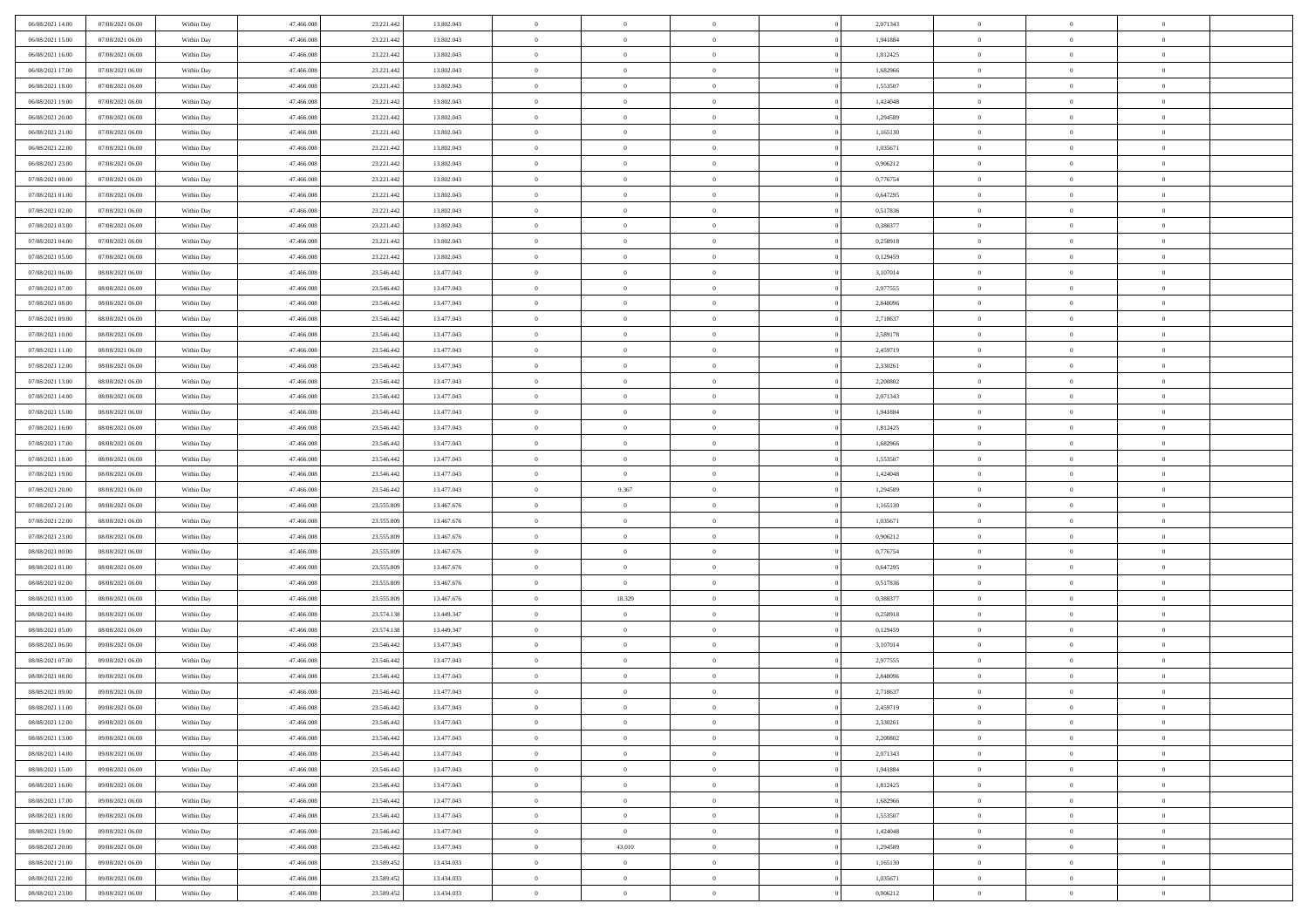| 06/08/2021 14:00 | 07/08/2021 06:00 | Within Day | 47,466,008 | 23.221.442 | 13.802.043 | $\overline{0}$ | $\overline{0}$ | $\Omega$       | 2,071343 | $\bf{0}$       | $\mathbf{0}$   | $\bf{0}$       |  |
|------------------|------------------|------------|------------|------------|------------|----------------|----------------|----------------|----------|----------------|----------------|----------------|--|
| 06/08/2021 15:00 | 07/08/2021 06:00 | Within Day | 47.466.008 | 23.221.442 | 13.802.043 | $\mathbf{0}$   | $\overline{0}$ | $\overline{0}$ | 1,941884 | $\overline{0}$ | $\overline{0}$ | $\theta$       |  |
| 06/08/2021 16:00 | 07/08/2021 06:00 | Within Day | 47.466.008 | 23.221.442 | 13.802.043 | $\,$ 0         | $\overline{0}$ | $\bf{0}$       | 1,812425 | $\,$ 0         | $\overline{0}$ | $\,$ 0 $\,$    |  |
| 06/08/2021 17:00 | 07/08/2021 06:00 | Within Day | 47,466,008 | 23.221.442 | 13.802.043 | $\bf{0}$       | $\overline{0}$ | $\Omega$       | 1.682966 | $\bf{0}$       | $\mathbf{0}$   | $\theta$       |  |
| 06/08/2021 18:00 | 07/08/2021 06:00 | Within Dav | 47.466.008 | 23.221.442 | 13.802.043 | $\bf{0}$       | $\overline{0}$ | $\overline{0}$ | 1,553507 | $\mathbf{0}$   | $\overline{0}$ | $\overline{0}$ |  |
| 06/08/2021 19:00 | 07/08/2021 06:00 | Within Day | 47.466.008 | 23.221.442 | 13.802.043 | $\bf{0}$       | $\overline{0}$ | $\bf{0}$       | 1,424048 | $\,$ 0         | $\overline{0}$ | $\,$ 0 $\,$    |  |
| 06/08/2021 20:00 | 07/08/2021 06:00 | Within Day | 47,466,008 | 23.221.442 | 13.802.043 | $\bf{0}$       | $\overline{0}$ | $\Omega$       | 1,294589 | $\theta$       | $\mathbf{0}$   | $\theta$       |  |
| 06/08/2021 21:00 | 07/08/2021 06:00 | Within Dav | 47.466.008 | 23.221.442 | 13.802.043 | $\overline{0}$ | $\overline{0}$ | $\overline{0}$ | 1,165130 | $\mathbf{0}$   | $\overline{0}$ | $\overline{0}$ |  |
| 06/08/2021 22:00 | 07/08/2021 06:00 | Within Day | 47.466.008 | 23.221.442 | 13.802.043 | $\bf{0}$       | $\overline{0}$ | $\bf{0}$       | 1,035671 | $\,$ 0         | $\overline{0}$ | $\,$ 0 $\,$    |  |
| 06/08/2021 23:00 | 07/08/2021 06:00 | Within Day | 47,466,008 | 23.221.442 | 13,802,043 | $\bf{0}$       | $\overline{0}$ | $\Omega$       | 0.906212 | $\theta$       | $\mathbf{0}$   | $\theta$       |  |
| 07/08/2021 00:00 | 07/08/2021 06:00 | Within Day | 47.466.008 | 23.221.442 | 13.802.043 | $\overline{0}$ | $\overline{0}$ | $\overline{0}$ | 0,776754 | $\mathbf{0}$   | $\overline{0}$ | $\overline{0}$ |  |
| 07/08/2021 01:00 | 07/08/2021 06:00 | Within Day | 47.466.008 | 23.221.442 | 13.802.043 | $\,$ 0         | $\overline{0}$ | $\bf{0}$       | 0,647295 | $\,$ 0         | $\overline{0}$ | $\,$ 0 $\,$    |  |
| 07/08/2021 02:00 | 07/08/2021 06:00 | Within Day | 47,466,008 | 23.221.442 | 13.802.043 | $\bf{0}$       | $\overline{0}$ | $\Omega$       | 0,517836 | $\overline{0}$ | $\mathbf{0}$   | $\theta$       |  |
| 07/08/2021 03:00 | 07/08/2021 06:00 | Within Dav | 47.466.008 | 23.221.442 | 13.802.043 | $\overline{0}$ | $\overline{0}$ | $\overline{0}$ | 0,388377 | $\mathbf{0}$   | $\overline{0}$ | $\overline{0}$ |  |
| 07/08/2021 04:00 | 07/08/2021 06:00 | Within Day | 47.466.008 | 23.221.442 | 13.802.043 | $\bf{0}$       | $\overline{0}$ | $\bf{0}$       | 0,258918 | $\,$ 0         | $\overline{0}$ | $\,$ 0 $\,$    |  |
| 07/08/2021 05:00 | 07/08/2021 06:00 | Within Day | 47,466,008 | 23.221.442 | 13.802.043 | $\bf{0}$       | $\overline{0}$ | $\overline{0}$ | 0,129459 | $\bf{0}$       | $\mathbf{0}$   | $\bf{0}$       |  |
| 07/08/2021 06:00 | 08/08/2021 06:00 | Within Dav | 47.466.008 | 23.546.442 | 13.477.043 | $\overline{0}$ | $\overline{0}$ | $\overline{0}$ | 3,107014 | $\mathbf{0}$   | $\overline{0}$ | $\overline{0}$ |  |
| 07/08/2021 07:00 | 08/08/2021 06:00 | Within Day | 47.466.008 | 23.546.442 | 13.477.043 | $\bf{0}$       | $\overline{0}$ | $\bf{0}$       | 2,977555 | $\,$ 0         | $\overline{0}$ | $\,$ 0 $\,$    |  |
| 07/08/2021 08:00 | 08/08/2021 06:00 | Within Day | 47,466,008 | 23.546.442 | 13.477.043 | $\bf{0}$       | $\overline{0}$ | $\Omega$       | 2.848096 | $\theta$       | $\mathbf{0}$   | $\theta$       |  |
| 07/08/2021 09:00 | 08/08/2021 06:00 | Within Day | 47.466.008 | 23.546.442 | 13.477.043 | $\overline{0}$ | $\overline{0}$ | $\overline{0}$ | 2,718637 | $\mathbf{0}$   | $\overline{0}$ | $\overline{0}$ |  |
| 07/08/2021 10:00 | 08/08/2021 06:00 | Within Day | 47.466.008 | 23.546.442 | 13.477.043 | $\bf{0}$       | $\overline{0}$ | $\bf{0}$       | 2,589178 | $\,$ 0         | $\overline{0}$ | $\,$ 0 $\,$    |  |
| 07/08/2021 11:00 | 08/08/2021 06:00 | Within Day | 47.466.008 | 23.546.442 | 13.477.043 | $\bf{0}$       | $\overline{0}$ | $\Omega$       | 2.459719 | $\bf{0}$       | $\theta$       | $\theta$       |  |
| 07/08/2021 12:00 | 08/08/2021 06:00 | Within Dav | 47.466.008 | 23.546.442 | 13.477.043 | $\overline{0}$ | $\overline{0}$ | $\overline{0}$ | 2,330261 | $\mathbf{0}$   | $\overline{0}$ | $\overline{0}$ |  |
| 07/08/2021 13:00 | 08/08/2021 06:00 | Within Day | 47.466.008 | 23.546.442 | 13.477.043 | $\bf{0}$       | $\overline{0}$ | $\bf{0}$       | 2,200802 | $\,$ 0         | $\overline{0}$ | $\,$ 0 $\,$    |  |
| 07/08/2021 14:00 | 08/08/2021 06:00 | Within Day | 47,466,008 | 23.546.442 | 13.477.043 | $\bf{0}$       | $\overline{0}$ | $\overline{0}$ | 2,071343 | $\bf{0}$       | $\bf{0}$       | $\theta$       |  |
| 07/08/2021 15:00 | 08/08/2021 06:00 | Within Day | 47.466.008 | 23.546.442 | 13.477.043 | $\overline{0}$ | $\overline{0}$ | $\overline{0}$ | 1,941884 | $\mathbf{0}$   | $\overline{0}$ | $\overline{0}$ |  |
| 07/08/2021 16:00 | 08/08/2021 06:00 | Within Day | 47.466.008 | 23.546.442 | 13.477.043 | $\bf{0}$       | $\overline{0}$ | $\bf{0}$       | 1,812425 | $\,$ 0         | $\overline{0}$ | $\,$ 0 $\,$    |  |
| 07/08/2021 17:00 | 08/08/2021 06:00 | Within Day | 47,466,008 | 23.546.442 | 13.477.043 | $\bf{0}$       | $\overline{0}$ | $\Omega$       | 1.682966 | $\theta$       | $\mathbf{0}$   | $\theta$       |  |
| 07/08/2021 18:00 | 08/08/2021 06:00 | Within Day | 47.466.008 | 23.546.442 | 13.477.043 | $\overline{0}$ | $\overline{0}$ | $\overline{0}$ | 1,553507 | $\mathbf{0}$   | $\overline{0}$ | $\overline{0}$ |  |
| 07/08/2021 19:00 | 08/08/2021 06:00 | Within Day | 47.466.008 | 23.546.442 | 13.477.043 | $\bf{0}$       | $\overline{0}$ | $\bf{0}$       | 1,424048 | $\,$ 0         | $\overline{0}$ | $\,$ 0 $\,$    |  |
| 07/08/2021 20:00 | 08/08/2021 06:00 | Within Day | 47.466.008 | 23.546.442 | 13.477.043 | $\,$ 0         | 9.367          | $\overline{0}$ | 1,294589 | $\bf{0}$       | $\overline{0}$ | $\,0\,$        |  |
| 07/08/2021 21:00 | 08/08/2021 06:00 | Within Dav | 47.466.008 | 23.555.809 | 13.467.676 | $\overline{0}$ | $\overline{0}$ | $\overline{0}$ | 1,165130 | $\mathbf{0}$   | $\overline{0}$ | $\overline{0}$ |  |
| 07/08/2021 22.00 | 08/08/2021 06:00 | Within Day | 47.466.008 | 23.555.809 | 13.467.676 | $\bf{0}$       | $\overline{0}$ | $\bf{0}$       | 1,035671 | $\,$ 0         | $\overline{0}$ | $\,$ 0 $\,$    |  |
| 07/08/2021 23.00 | 08/08/2021 06:00 | Within Day | 47.466.008 | 23.555.809 | 13.467.676 | $\bf{0}$       | $\overline{0}$ | $\bf{0}$       | 0,906212 | $\bf{0}$       | $\overline{0}$ | $\,0\,$        |  |
| 08/08/2021 00:00 | 08/08/2021 06:00 | Within Day | 47.466.008 | 23.555.809 | 13.467.676 | $\overline{0}$ | $\overline{0}$ | $\overline{0}$ | 0,776754 | $\overline{0}$ | $\overline{0}$ | $\overline{0}$ |  |
| 08/08/2021 01:00 | 08/08/2021 06:00 | Within Day | 47.466.008 | 23.555.809 | 13.467.676 | $\bf{0}$       | $\overline{0}$ | $\bf{0}$       | 0,647295 | $\,$ 0         | $\overline{0}$ | $\,$ 0 $\,$    |  |
| 08/08/2021 02:00 | 08/08/2021 06:00 | Within Day | 47.466.008 | 23.555.809 | 13.467.676 | $\bf{0}$       | $\overline{0}$ | $\theta$       | 0,517836 | $\bf{0}$       | $\overline{0}$ | $\,0\,$        |  |
| 08/08/2021 03:00 | 08/08/2021 06:00 | Within Day | 47.466.008 | 23.555.809 | 13.467.676 | $\overline{0}$ | 18.329         | $\overline{0}$ | 0,388377 | $\mathbf{0}$   | $\overline{0}$ | $\overline{0}$ |  |
| 08/08/2021 04:00 | 08/08/2021 06:00 | Within Day | 47.466.008 | 23.574.138 | 13.449.347 | $\bf{0}$       | $\overline{0}$ | $\bf{0}$       | 0,258918 | $\,$ 0         | $\overline{0}$ | $\,$ 0 $\,$    |  |
| 08/08/2021 05:00 | 08/08/2021 06:00 | Within Day | 47.466.008 | 23.574.138 | 13.449.347 | $\bf{0}$       | $\bf{0}$       | $\overline{0}$ | 0,129459 | $\bf{0}$       | $\overline{0}$ | $\,0\,$        |  |
| 08/08/2021 06:00 | 09/08/2021 06:00 | Within Day | 47.466.008 | 23.546.442 | 13.477.043 | $\overline{0}$ | $\overline{0}$ | $\overline{0}$ | 3,107014 | $\overline{0}$ | $\overline{0}$ | $\overline{0}$ |  |
| 08/08/2021 07:00 | 09/08/2021 06:00 | Within Day | 47.466.008 | 23.546.442 | 13.477.043 | $\bf{0}$       | $\overline{0}$ | $\bf{0}$       | 2,977555 | $\,$ 0         | $\overline{0}$ | $\,$ 0 $\,$    |  |
| 08/08/2021 08:00 | 09/08/2021 06:00 | Within Day | 47.466.008 | 23.546.442 | 13.477.043 | $\bf{0}$       | $\bf{0}$       | $\bf{0}$       | 2,848096 | $\bf{0}$       | $\overline{0}$ | $\,0\,$        |  |
| 08/08/2021 09:00 | 09/08/2021 06:00 | Within Day | 47.466.008 | 23.546.442 | 13.477.043 | $\mathbf{0}$   | $\overline{0}$ | $\overline{0}$ | 2,718637 | $\overline{0}$ | $\overline{0}$ | $\overline{0}$ |  |
| 08/08/2021 11:00 | 09/08/2021 06:00 | Within Day | 47.466.008 | 23.546.442 | 13.477.043 | $\bf{0}$       | $\overline{0}$ | $\overline{0}$ | 2,459719 | $\overline{0}$ | $\theta$       | $\theta$       |  |
| 08/08/2021 12:00 | 09/08/2021 06:00 | Within Day | 47.466.008 | 23.546.442 | 13.477.043 | $\bf{0}$       | $\bf{0}$       | $\bf{0}$       | 2,330261 | $\bf{0}$       | $\overline{0}$ | $\,0\,$        |  |
| 08/08/2021 13:00 | 09/08/2021 06:00 | Within Day | 47.466.008 | 23.546.442 | 13.477.043 | $\overline{0}$ | $\overline{0}$ | $\overline{0}$ | 2,200802 | $\overline{0}$ | $\bf{0}$       | $\overline{0}$ |  |
| 08/08/2021 14:00 | 09/08/2021 06:00 | Within Day | 47.466.008 | 23.546.442 | 13.477.043 | $\,$ 0 $\,$    | $\overline{0}$ | $\overline{0}$ | 2,071343 | $\mathbf{0}$   | $\overline{0}$ | $\,$ 0 $\,$    |  |
| 08/08/2021 15:00 | 09/08/2021 06:00 | Within Day | 47.466.008 | 23.546.442 | 13.477.043 | $\bf{0}$       | $\bf{0}$       | $\overline{0}$ | 1,941884 | $\bf{0}$       | $\overline{0}$ | $\bf{0}$       |  |
| 08/08/2021 16:00 | 09/08/2021 06:00 | Within Day | 47.466.008 | 23.546.442 | 13.477.043 | $\bf{0}$       | $\overline{0}$ | $\overline{0}$ | 1,812425 | $\mathbf{0}$   | $\overline{0}$ | $\overline{0}$ |  |
| 08/08/2021 17:00 | 09/08/2021 06:00 | Within Day | 47.466.008 | 23.546.442 | 13.477.043 | $\,$ 0 $\,$    | $\overline{0}$ | $\overline{0}$ | 1,682966 | $\,$ 0 $\,$    | $\overline{0}$ | $\,$ 0 $\,$    |  |
| 08/08/2021 18:00 | 09/08/2021 06:00 | Within Day | 47.466.008 | 23.546.442 | 13.477.043 | $\bf{0}$       | $\overline{0}$ | $\overline{0}$ | 1,553507 | $\bf{0}$       | $\overline{0}$ | $\overline{0}$ |  |
| 08/08/2021 19:00 | 09/08/2021 06:00 | Within Day | 47.466.008 | 23.546.442 | 13.477.043 | $\overline{0}$ | $\overline{0}$ | $\overline{0}$ | 1,424048 | $\overline{0}$ | $\bf{0}$       | $\overline{0}$ |  |
| 08/08/2021 20:00 | 09/08/2021 06:00 | Within Day | 47.466.008 | 23.546.442 | 13.477.043 | $\,$ 0 $\,$    | 43.010         | $\overline{0}$ | 1,294589 | $\,$ 0 $\,$    | $\overline{0}$ | $\,$ 0 $\,$    |  |
| 08/08/2021 21:00 | 09/08/2021 06:00 | Within Day | 47.466.008 | 23.589.452 | 13.434.033 | $\bf{0}$       | $\bf{0}$       | $\overline{0}$ | 1,165130 | $\mathbf{0}$   | $\overline{0}$ | $\bf{0}$       |  |
| 08/08/2021 22:00 | 09/08/2021 06:00 | Within Day | 47.466.008 | 23.589.452 | 13.434.033 | $\bf{0}$       | $\overline{0}$ | $\overline{0}$ | 1,035671 | $\mathbf{0}$   | $\bf{0}$       | $\overline{0}$ |  |
| 08/08/2021 23:00 | 09/08/2021 06:00 | Within Day | 47.466.008 | 23.589.452 | 13.434.033 | $\,0\,$        | $\overline{0}$ | $\overline{0}$ | 0,906212 | $\,$ 0         | $\overline{0}$ | $\,$ 0 $\,$    |  |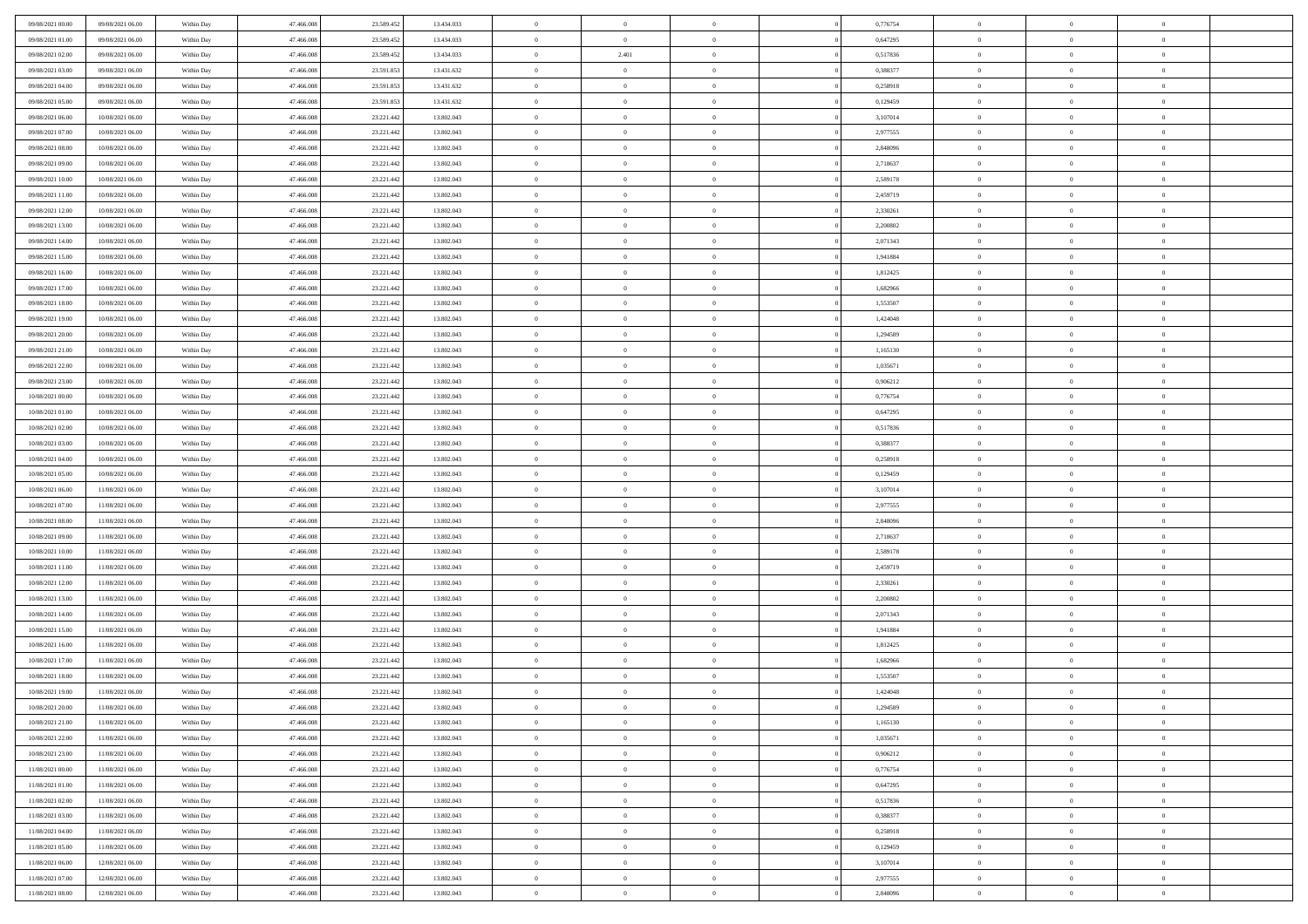| 09/08/2021 00:00 | 09/08/2021 06:00 | Within Day | 47,466,008 | 23.589.452 | 13.434.033 | $\bf{0}$       | $\overline{0}$ | $\Omega$       | 0,776754 | $\bf{0}$       | $\overline{0}$ | $\bf{0}$       |  |
|------------------|------------------|------------|------------|------------|------------|----------------|----------------|----------------|----------|----------------|----------------|----------------|--|
| 09/08/2021 01:00 | 09/08/2021 06:00 | Within Day | 47.466.008 | 23.589.452 | 13.434.033 | $\theta$       | $\overline{0}$ | $\overline{0}$ | 0,647295 | $\mathbf{0}$   | $\bf{0}$       | $\overline{0}$ |  |
| 09/08/2021 02:00 | 09/08/2021 06:00 | Within Day | 47.466.008 | 23.589.452 | 13.434.033 | $\bf{0}$       | 2.401          | $\bf{0}$       | 0,517836 | $\,$ 0         | $\overline{0}$ | $\,$ 0 $\,$    |  |
| 09/08/2021 03:00 | 09/08/2021 06:00 | Within Day | 47,466,008 | 23.591.853 | 13.431.632 | $\mathbf{0}$   | $\overline{0}$ | $\mathbf{0}$   | 0.388377 | $\bf{0}$       | $\mathbf{0}$   | $\theta$       |  |
| 09/08/2021 04:00 | 09/08/2021 06:00 | Within Day | 47.466.008 | 23.591.853 | 13.431.632 | $\mathbf{0}$   | $\overline{0}$ | $\overline{0}$ | 0,258918 | $\mathbf{0}$   | $\bf{0}$       | $\overline{0}$ |  |
| 09/08/2021 05:00 | 09/08/2021 06:00 | Within Day | 47.466.008 | 23.591.853 | 13.431.632 | $\theta$       | $\overline{0}$ | $\bf{0}$       | 0,129459 | $\,$ 0         | $\overline{0}$ | $\,$ 0 $\,$    |  |
| 09/08/2021 06:00 | 10/08/2021 06:00 | Within Day | 47,466,008 | 23.221.442 | 13.802.043 | $\,$ 0 $\,$    | $\overline{0}$ | $\Omega$       | 3,107014 | $\bf{0}$       | $\mathbf{0}$   | $\theta$       |  |
| 09/08/2021 07:00 | 10/08/2021 06:00 | Within Day | 47.466.008 | 23.221.442 | 13.802.043 | $\overline{0}$ | $\overline{0}$ | $\overline{0}$ | 2,977555 | $\mathbf{0}$   | $\bf{0}$       | $\overline{0}$ |  |
| 09/08/2021 08:00 | 10/08/2021 06:00 | Within Day | 47.466.008 | 23.221.442 | 13.802.043 | $\theta$       | $\overline{0}$ | $\overline{0}$ | 2,848096 | $\,$ 0         | $\overline{0}$ | $\,$ 0 $\,$    |  |
| 09/08/2021 09:00 | 10/08/2021 06:00 | Within Day | 47,466,008 | 23.221.442 | 13,802,043 | $\mathbf{0}$   | $\overline{0}$ | $\mathbf{0}$   | 2,718637 | $\bf{0}$       | $\mathbf{0}$   | $\theta$       |  |
| 09/08/2021 10:00 | 10/08/2021 06:00 | Within Day | 47.466.008 | 23.221.442 | 13.802.043 | $\mathbf{0}$   | $\overline{0}$ | $\overline{0}$ | 2,589178 | $\mathbf{0}$   | $\bf{0}$       | $\overline{0}$ |  |
| 09/08/2021 11:00 | 10/08/2021 06:00 | Within Day | 47.466.008 | 23.221.442 | 13.802.043 | $\theta$       | $\overline{0}$ | $\bf{0}$       | 2,459719 | $\,$ 0         | $\overline{0}$ | $\,$ 0 $\,$    |  |
| 09/08/2021 12:00 | 10/08/2021 06:00 | Within Day | 47,466,008 | 23.221.442 | 13,802,043 | $\theta$       | $\overline{0}$ | $\mathbf{0}$   | 2,330261 | $\bf{0}$       | $\theta$       | $\theta$       |  |
| 09/08/2021 13:00 | 10/08/2021 06:00 | Within Day | 47.466.008 | 23.221.442 | 13.802.043 | $\overline{0}$ | $\overline{0}$ | $\overline{0}$ | 2,200802 | $\mathbf{0}$   | $\bf{0}$       | $\overline{0}$ |  |
| 09/08/2021 14:00 | 10/08/2021 06:00 | Within Day | 47.466.008 | 23.221.442 | 13.802.043 | $\theta$       | $\overline{0}$ | $\overline{0}$ | 2,071343 | $\,$ 0         | $\overline{0}$ | $\,$ 0 $\,$    |  |
| 09/08/2021 15:00 | 10/08/2021 06:00 | Within Day | 47,466,008 | 23.221.442 | 13.802.043 | $\bf{0}$       | $\overline{0}$ | $\mathbf{0}$   | 1.941884 | $\bf{0}$       | $\mathbf{0}$   | $\bf{0}$       |  |
| 09/08/2021 16:00 | 10/08/2021 06:00 | Within Day | 47.466.008 | 23.221.442 | 13.802.043 | $\theta$       | $\overline{0}$ | $\overline{0}$ | 1,812425 | $\mathbf{0}$   | $\bf{0}$       | $\overline{0}$ |  |
| 09/08/2021 17:00 | 10/08/2021 06:00 | Within Day | 47.466.008 | 23.221.442 | 13.802.043 | $\theta$       | $\overline{0}$ | $\bf{0}$       | 1,682966 | $\,$ 0         | $\overline{0}$ | $\,0\,$        |  |
| 09/08/2021 18:00 | 10/08/2021 06:00 | Within Day | 47,466,008 | 23.221.442 | 13,802,043 | $\mathbf{0}$   | $\overline{0}$ | $\mathbf{0}$   | 1,553507 | $\bf{0}$       | $\mathbf{0}$   | $\theta$       |  |
| 09/08/2021 19:00 | 10/08/2021 06:00 | Within Day | 47.466.008 | 23.221.442 | 13.802.043 | $\overline{0}$ | $\overline{0}$ | $\overline{0}$ | 1,424048 | $\mathbf{0}$   | $\bf{0}$       | $\overline{0}$ |  |
| 09/08/2021 20:00 | 10/08/2021 06:00 | Within Day | 47.466.008 | 23.221.442 | 13.802.043 | $\theta$       | $\overline{0}$ | $\bf{0}$       | 1,294589 | $\,$ 0         | $\overline{0}$ | $\,$ 0 $\,$    |  |
| 09/08/2021 21:00 | 10/08/2021 06:00 | Within Day | 47,466,008 | 23.221.442 | 13,802,043 | $\mathbf{0}$   | $\overline{0}$ | $\mathbf{0}$   | 1.165130 | $\bf{0}$       | $\mathbf{0}$   | $\theta$       |  |
| 09/08/2021 22:00 | 10/08/2021 06:00 | Within Day | 47.466.008 | 23.221.442 | 13.802.043 | $\overline{0}$ | $\overline{0}$ | $\overline{0}$ | 1,035671 | $\mathbf{0}$   | $\bf{0}$       | $\overline{0}$ |  |
| 09/08/2021 23:00 | 10/08/2021 06:00 | Within Day | 47.466.008 | 23.221.442 | 13.802.043 | $\theta$       | $\overline{0}$ | $\bf{0}$       | 0,906212 | $\,$ 0         | $\overline{0}$ | $\,$ 0 $\,$    |  |
| 10/08/2021 00:00 | 10/08/2021 06:00 | Within Day | 47,466,008 | 23.221.442 | 13.802.043 | $\bf{0}$       | $\overline{0}$ | $\mathbf{0}$   | 0,776754 | $\bf{0}$       | $\overline{0}$ | $\bf{0}$       |  |
| 10/08/2021 01:00 | 10/08/2021 06:00 | Within Day | 47.466.008 | 23.221.442 | 13.802.043 | $\overline{0}$ | $\overline{0}$ | $\overline{0}$ | 0,647295 | $\mathbf{0}$   | $\bf{0}$       | $\overline{0}$ |  |
| 10/08/2021 02:00 | 10/08/2021 06:00 | Within Day | 47.466.008 | 23.221.442 | 13.802.043 | $\theta$       | $\overline{0}$ | $\overline{0}$ | 0,517836 | $\,$ 0         | $\overline{0}$ | $\,$ 0 $\,$    |  |
| 10/08/2021 03:00 | 10/08/2021 06:00 | Within Day | 47,466,008 | 23.221.442 | 13,802,043 | $\mathbf{0}$   | $\overline{0}$ | $\mathbf{0}$   | 0.388377 | $\bf{0}$       | $\mathbf{0}$   | $\theta$       |  |
| 10/08/2021 04:00 | 10/08/2021 06:00 | Within Day | 47.466.008 | 23.221.442 | 13.802.043 | $\overline{0}$ | $\overline{0}$ | $\overline{0}$ | 0,258918 | $\mathbf{0}$   | $\bf{0}$       | $\overline{0}$ |  |
| 10/08/2021 05:00 | 10/08/2021 06:00 | Within Day | 47.466.008 | 23.221.442 | 13.802.043 | $\theta$       | $\overline{0}$ | $\bf{0}$       | 0,129459 | $\,$ 0         | $\overline{0}$ | $\,$ 0 $\,$    |  |
| 10/08/2021 06:00 | 11/08/2021 06:00 | Within Day | 47.466.008 | 23.221.442 | 13.802.043 | $\bf{0}$       | $\overline{0}$ | $\overline{0}$ | 3,107014 | $\bf{0}$       | $\overline{0}$ | $\,0\,$        |  |
| 10/08/2021 07:00 | 11/08/2021 06:00 | Within Day | 47.466.008 | 23.221.442 | 13.802.043 | $\overline{0}$ | $\overline{0}$ | $\overline{0}$ | 2,977555 | $\mathbf{0}$   | $\bf{0}$       | $\overline{0}$ |  |
| 10/08/2021 08:00 | 11/08/2021 06:00 | Within Day | 47.466.008 | 23.221.442 | 13.802.043 | $\theta$       | $\overline{0}$ | $\overline{0}$ | 2,848096 | $\,$ 0         | $\overline{0}$ | $\,$ 0 $\,$    |  |
| 10/08/2021 09:00 | 11/08/2021 06:00 | Within Day | 47.466.008 | 23.221.442 | 13.802.043 | $\,$ 0 $\,$    | $\overline{0}$ | $\overline{0}$ | 2,718637 | $\bf{0}$       | $\overline{0}$ | $\,0\,$        |  |
| 10/08/2021 10:00 | 11/08/2021 06:00 | Within Dav | 47.466.008 | 23.221.442 | 13.802.043 | $\theta$       | $\overline{0}$ | $\overline{0}$ | 2,589178 | $\mathbf{0}$   | $\bf{0}$       | $\overline{0}$ |  |
| 10/08/2021 11:00 | 11/08/2021 06:00 | Within Day | 47.466.008 | 23.221.442 | 13.802.043 | $\theta$       | $\overline{0}$ | $\bf{0}$       | 2,459719 | $\,$ 0         | $\overline{0}$ | $\,$ 0 $\,$    |  |
| 10/08/2021 12:00 | 11/08/2021 06:00 | Within Day | 47.466.008 | 23.221.442 | 13.802.043 | $\,$ 0 $\,$    | $\overline{0}$ | $\overline{0}$ | 2,330261 | $\bf{0}$       | $\overline{0}$ | $\,0\,$        |  |
| 10/08/2021 13:00 | 11/08/2021 06:00 | Within Dav | 47.466.008 | 23.221.442 | 13.802.043 | $\overline{0}$ | $\overline{0}$ | $\overline{0}$ | 2,200802 | $\mathbf{0}$   | $\bf{0}$       | $\overline{0}$ |  |
| 10/08/2021 14:00 | 11/08/2021 06:00 | Within Day | 47.466.008 | 23.221.442 | 13.802.043 | $\theta$       | $\overline{0}$ | $\bf{0}$       | 2,071343 | $\,$ 0         | $\overline{0}$ | $\,$ 0 $\,$    |  |
| 10/08/2021 15:00 | 11/08/2021 06:00 | Within Day | 47.466.008 | 23.221.442 | 13.802.043 | $\,$ 0 $\,$    | $\overline{0}$ | $\overline{0}$ | 1,941884 | $\bf{0}$       | $\overline{0}$ | $\,0\,$        |  |
| 10/08/2021 16:00 | 11/08/2021 06:00 | Within Dav | 47.466.008 | 23.221.442 | 13.802.043 | $\theta$       | $\overline{0}$ | $\overline{0}$ | 1,812425 | $\mathbf{0}$   | $\bf{0}$       | $\overline{0}$ |  |
| 10/08/2021 17:00 | 11/08/2021 06:00 | Within Day | 47.466.008 | 23.221.442 | 13.802.043 | $\theta$       | $\overline{0}$ | $\bf{0}$       | 1,682966 | $\,$ 0         | $\overline{0}$ | $\,$ 0 $\,$    |  |
| 10/08/2021 18:00 | 11/08/2021 06:00 | Within Day | 47.466.008 | 23.221.442 | 13.802.043 | $\,$ 0 $\,$    | $\overline{0}$ | $\overline{0}$ | 1,553507 | $\bf{0}$       | $\overline{0}$ | $\,0\,$        |  |
| 10/08/2021 19:00 | 11/08/2021 06:00 | Within Dav | 47.466.008 | 23.221.442 | 13.802.043 | $\theta$       | $\overline{0}$ | $\overline{0}$ | 1,424048 | $\mathbf{0}$   | $\bf{0}$       | $\overline{0}$ |  |
| 10/08/2021 20:00 | 11/08/2021 06:00 | Within Day | 47.466.008 | 23.221.442 | 13.802.043 | $\overline{0}$ | $\overline{0}$ | $\overline{0}$ | 1,294589 | $\overline{0}$ | $\theta$       | $\theta$       |  |
| 10/08/2021 21:00 | 11/08/2021 06:00 | Within Day | 47.466.008 | 23.221.442 | 13.802.043 | $\bf{0}$       | $\overline{0}$ | $\overline{0}$ | 1,165130 | $\mathbf{0}$   | $\overline{0}$ | $\bf{0}$       |  |
| 10/08/2021 22:00 | 11/08/2021 06:00 | Within Day | 47.466.008 | 23.221.442 | 13.802.043 | $\overline{0}$ | $\overline{0}$ | $\overline{0}$ | 1,035671 | $\overline{0}$ | $\overline{0}$ | $\overline{0}$ |  |
| 10/08/2021 23:00 | 11/08/2021 06:00 | Within Day | 47.466.008 | 23.221.442 | 13.802.043 | $\,$ 0         | $\overline{0}$ | $\overline{0}$ | 0,906212 | $\,$ 0 $\,$    | $\,$ 0 $\,$    | $\,$ 0 $\,$    |  |
| 11/08/2021 00:00 | 11/08/2021 06:00 | Within Day | 47.466.008 | 23.221.442 | 13.802.043 | $\bf{0}$       | $\overline{0}$ | $\overline{0}$ | 0,776754 | $\mathbf{0}$   | $\overline{0}$ | $\bf{0}$       |  |
| 11/08/2021 01:00 | 11/08/2021 06:00 | Within Day | 47.466.008 | 23.221.442 | 13.802.043 | $\,$ 0 $\,$    | $\overline{0}$ | $\overline{0}$ | 0,647295 | $\,$ 0 $\,$    | $\bf{0}$       | $\overline{0}$ |  |
| 11/08/2021 02:00 | 11/08/2021 06:00 | Within Day | 47.466.008 | 23.221.442 | 13.802.043 | $\,$ 0         | $\overline{0}$ | $\overline{0}$ | 0,517836 | $\,$ 0 $\,$    | $\overline{0}$ | $\,$ 0 $\,$    |  |
| 11/08/2021 03:00 | 11/08/2021 06:00 | Within Day | 47.466.008 | 23.221.442 | 13.802.043 | $\bf{0}$       | $\overline{0}$ | $\overline{0}$ | 0,388377 | $\overline{0}$ | $\overline{0}$ | $\overline{0}$ |  |
| 11/08/2021 04:00 | 11/08/2021 06:00 | Within Day | 47.466.008 | 23.221.442 | 13.802.043 | $\,$ 0 $\,$    | $\overline{0}$ | $\overline{0}$ | 0,258918 | $\,$ 0 $\,$    | $\bf{0}$       | $\overline{0}$ |  |
| 11/08/2021 05:00 | 11/08/2021 06:00 | Within Day | 47.466.008 | 23.221.442 | 13.802.043 | $\,$ 0         | $\overline{0}$ | $\overline{0}$ | 0,129459 | $\,$ 0 $\,$    | $\,$ 0 $\,$    | $\,$ 0 $\,$    |  |
| 11/08/2021 06:00 | 12/08/2021 06:00 | Within Day | 47.466.008 | 23.221.442 | 13.802.043 | $\bf{0}$       | $\overline{0}$ | $\overline{0}$ | 3,107014 | $\mathbf{0}$   | $\overline{0}$ | $\bf{0}$       |  |
| 11/08/2021 07:00 | 12/08/2021 06:00 | Within Day | 47.466.008 | 23.221.442 | 13.802.043 | $\mathbf{0}$   | $\overline{0}$ | $\overline{0}$ | 2,977555 | $\overline{0}$ | $\bf{0}$       | $\overline{0}$ |  |
| 11/08/2021 08:00 | 12/08/2021 06:00 | Within Day | 47.466.008 | 23.221.442 | 13.802.043 | $\,$ 0 $\,$    | $\overline{0}$ | $\overline{0}$ | 2,848096 | $\,$ 0 $\,$    | $\overline{0}$ | $\,$ 0 $\,$    |  |
|                  |                  |            |            |            |            |                |                |                |          |                |                |                |  |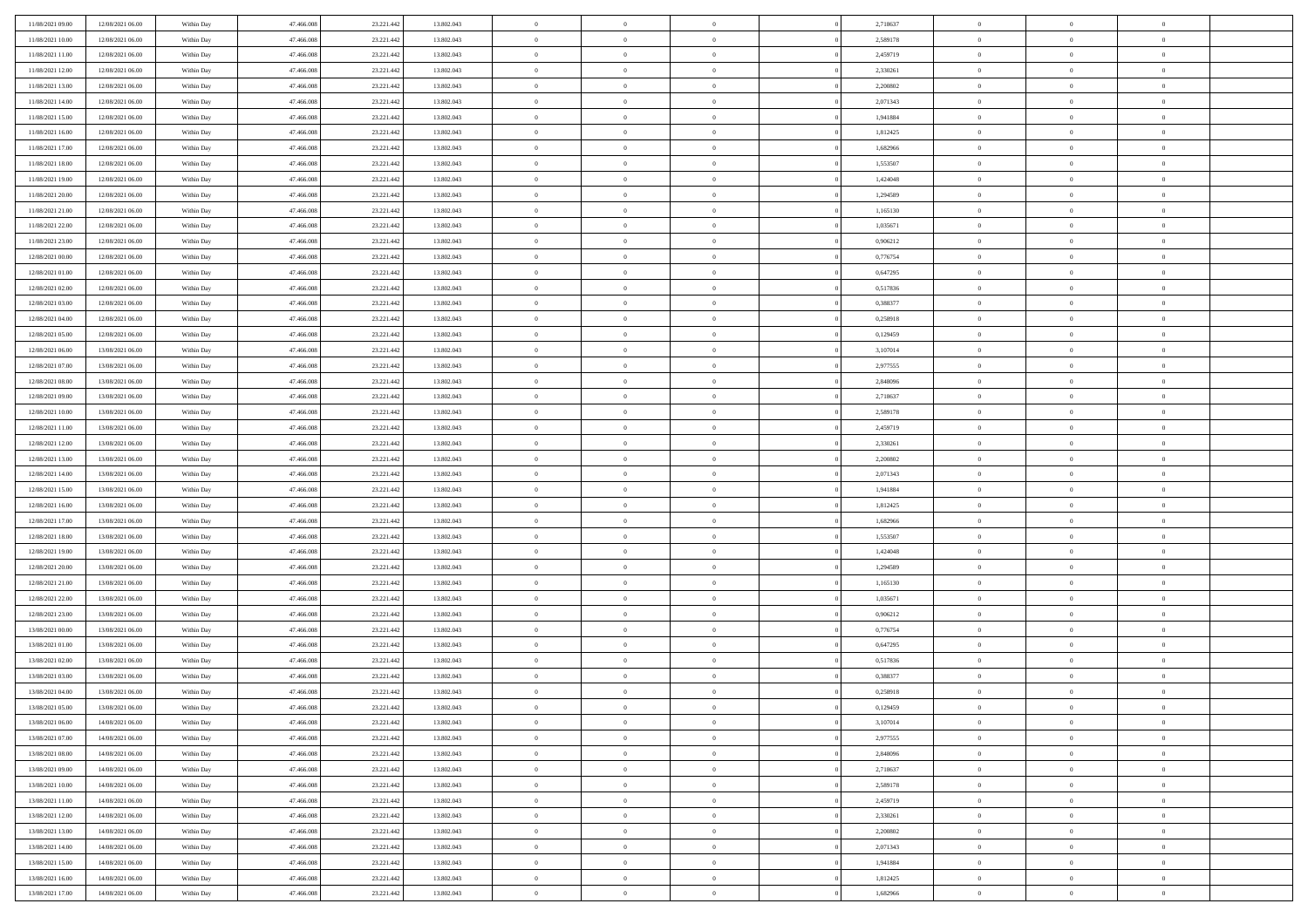| 11/08/2021 09:00                     | 12/08/2021 06:00                     | Within Day               | 47,466,008               | 23.221.442               | 13.802.043               | $\bf{0}$                | $\overline{0}$                   | $\Omega$                   | 2,718637             | $\bf{0}$           | $\overline{0}$                   | $\bf{0}$               |  |
|--------------------------------------|--------------------------------------|--------------------------|--------------------------|--------------------------|--------------------------|-------------------------|----------------------------------|----------------------------|----------------------|--------------------|----------------------------------|------------------------|--|
| 11/08/2021 10:00                     | 12/08/2021 06:00                     | Within Dav               | 47.466.008               | 23.221.442               | 13.802.043               | $\theta$                | $\overline{0}$                   | $\overline{0}$             | 2,589178             | $\mathbf{0}$       | $\bf{0}$                         | $\overline{0}$         |  |
| 11/08/2021 11:00                     | 12/08/2021 06:00                     | Within Day               | 47.466.008               | 23.221.442               | 13.802.043               | $\theta$                | $\overline{0}$                   | $\overline{0}$             | 2,459719             | $\,$ 0             | $\overline{0}$                   | $\,$ 0 $\,$            |  |
| 11/08/2021 12:00                     | 12/08/2021 06:00                     | Within Day               | 47,466,008               | 23.221.442               | 13.802.043               | $\overline{0}$          | $\overline{0}$                   | $\mathbf{0}$               | 2,330261             | $\bf{0}$           | $\mathbf{0}$                     | $\theta$               |  |
| 11/08/2021 13:00                     | 12/08/2021 06:00                     | Within Dav               | 47.466.008               | 23.221.442               | 13.802.043               | $\mathbf{0}$            | $\overline{0}$                   | $\overline{0}$             | 2,200802             | $\mathbf{0}$       | $\bf{0}$                         | $\overline{0}$         |  |
| 11/08/2021 14:00                     | 12/08/2021 06:00                     | Within Day               | 47.466.008               | 23.221.442               | 13.802.043               | $\theta$                | $\overline{0}$                   | $\bf{0}$                   | 2,071343             | $\,$ 0             | $\overline{0}$                   | $\,$ 0 $\,$            |  |
| 11/08/2021 15:00                     | 12/08/2021 06:00                     | Within Day               | 47,466,008               | 23.221.442               | 13.802.043               | $\,$ 0 $\,$             | $\overline{0}$                   | $\mathbf{0}$               | 1.941884             | $\bf{0}$           | $\overline{0}$                   | $\theta$               |  |
| 11/08/2021 16:00                     | 12/08/2021 06:00                     | Within Dav               | 47.466.008               | 23.221.442               | 13.802.043               | $\overline{0}$          | $\overline{0}$                   | $\overline{0}$             | 1,812425             | $\mathbf{0}$       | $\bf{0}$                         | $\overline{0}$         |  |
| 11/08/2021 17:00                     | 12/08/2021 06:00                     | Within Day               | 47.466.008               | 23.221.442               | 13.802.043               | $\theta$                | $\overline{0}$                   | $\bf{0}$                   | 1,682966             | $\,$ 0             | $\overline{0}$                   | $\,$ 0 $\,$            |  |
| 11/08/2021 18:00                     | 12/08/2021 06:00                     | Within Day               | 47,466,008               | 23.221.442               | 13,802,043               | $\overline{0}$          | $\overline{0}$                   | $\mathbf{0}$               | 1,553507             | $\bf{0}$           | $\mathbf{0}$                     | $\theta$               |  |
| 11/08/2021 19:00                     | 12/08/2021 06:00                     | Within Dav               | 47.466.008               | 23.221.442               | 13.802.043               | $\mathbf{0}$            | $\overline{0}$                   | $\overline{0}$             | 1,424048             | $\mathbf{0}$       | $\bf{0}$                         | $\overline{0}$         |  |
| 11/08/2021 20:00                     | 12/08/2021 06:00                     | Within Day               | 47.466.008               | 23.221.442               | 13.802.043               | $\theta$                | $\overline{0}$                   | $\bf{0}$                   | 1,294589             | $\,$ 0             | $\overline{0}$                   | $\,$ 0 $\,$            |  |
| 11/08/2021 21:00                     | 12/08/2021 06:00                     | Within Day               | 47,466,008               | 23.221.442               | 13.802.043               | $\theta$                | $\overline{0}$                   | $\mathbf{0}$               | 1,165130             | $\bf{0}$           | $\mathbf{0}$                     | $\theta$               |  |
| 11/08/2021 22:00                     | 12/08/2021 06:00                     | Within Dav               | 47.466.008               | 23.221.442               | 13.802.043               | $\mathbf{0}$            | $\overline{0}$                   | $\overline{0}$             | 1,035671             | $\mathbf{0}$       | $\bf{0}$                         | $\overline{0}$         |  |
| 11/08/2021 23:00                     | 12/08/2021 06:00                     | Within Day               | 47.466.008               | 23.221.442               | 13.802.043               | $\theta$                | $\overline{0}$                   | $\bf{0}$                   | 0,906212             | $\,$ 0             | $\overline{0}$                   | $\,$ 0 $\,$            |  |
| 12/08/2021 00:00                     | 12/08/2021 06:00                     | Within Day               | 47,466,008               | 23.221.442               | 13.802.043               | $\bf{0}$                | $\overline{0}$                   | $\mathbf{0}$               | 0.776754             | $\bf{0}$           | $\mathbf{0}$                     | $\bf{0}$               |  |
| 12/08/2021 01:00                     | 12/08/2021 06:00                     | Within Dav               | 47.466.008               | 23.221.442               | 13.802.043               | $\overline{0}$          | $\overline{0}$                   | $\overline{0}$             | 0,647295             | $\mathbf{0}$       | $\bf{0}$                         | $\overline{0}$         |  |
| 12/08/2021 02:00                     | 12/08/2021 06:00                     | Within Day               | 47.466.008               | 23.221.442               | 13.802.043               | $\theta$                | $\overline{0}$                   | $\bf{0}$                   | 0,517836             | $\,$ 0             | $\overline{0}$                   | $\,$ 0 $\,$            |  |
| 12/08/2021 03:00                     | 12/08/2021 06:00                     | Within Day               | 47.466.008               | 23.221.442               | 13,802,043               | $\overline{0}$          | $\overline{0}$                   | $\mathbf{0}$               | 0.388377             | $\theta$           | $\mathbf{0}$                     | $\theta$               |  |
| 12/08/2021 04:00                     | 12/08/2021 06:00                     | Within Dav               | 47.466.008               | 23.221.442               | 13.802.043               | $\overline{0}$          | $\overline{0}$                   | $\overline{0}$             | 0,258918             | $\mathbf{0}$       | $\bf{0}$                         | $\overline{0}$         |  |
| 12/08/2021 05:00                     | 12/08/2021 06:00                     | Within Day               | 47.466.008               | 23.221.442               | 13.802.043               | $\theta$                | $\overline{0}$                   | $\bf{0}$                   | 0,129459             | $\,$ 0             | $\overline{0}$                   | $\,$ 0 $\,$            |  |
| 12/08/2021 06:00                     | 13/08/2021 06:00                     | Within Day               | 47,466,008               | 23.221.442               | 13,802,043               | $\theta$                | $\overline{0}$                   | $\mathbf{0}$               | 3,107014             | $\bf{0}$           | $\mathbf{0}$                     | $\theta$               |  |
| 12/08/2021 07:00                     | 13/08/2021 06:00                     | Within Dav               | 47.466.008               | 23.221.442               | 13.802.043               | $\mathbf{0}$            | $\overline{0}$                   | $\overline{0}$             | 2,977555             | $\mathbf{0}$       | $\bf{0}$                         | $\overline{0}$         |  |
| 12/08/2021 08:00                     | 13/08/2021 06:00                     | Within Day               | 47.466.008               | 23.221.442               | 13.802.043               | $\theta$                | $\overline{0}$                   | $\bf{0}$                   | 2,848096             | $\,$ 0             | $\overline{0}$                   | $\,$ 0 $\,$            |  |
| 12/08/2021 09:00                     | 13/08/2021 06:00                     | Within Day               | 47,466,008               | 23.221.442               | 13.802.043               | $\bf{0}$                | $\overline{0}$                   | $\mathbf{0}$               | 2,718637             | $\bf{0}$           | $\overline{0}$                   | $\bf{0}$               |  |
| 12/08/2021 10:00                     | 13/08/2021 06:00                     | Within Dav               | 47.466.008               | 23.221.442               | 13.802.043               | $\overline{0}$          | $\overline{0}$                   | $\overline{0}$             | 2,589178             | $\mathbf{0}$       | $\bf{0}$                         | $\overline{0}$         |  |
| 12/08/2021 11:00                     | 13/08/2021 06:00                     | Within Day               | 47.466.008               | 23.221.442               | 13.802.043               | $\theta$                | $\overline{0}$                   | $\bf{0}$                   | 2,459719             | $\,$ 0             | $\overline{0}$                   | $\,$ 0 $\,$            |  |
| 12/08/2021 12:00                     | 13/08/2021 06:00                     | Within Day               | 47,466,008               | 23.221.442               | 13,802,043               | $\overline{0}$          | $\overline{0}$                   | $\mathbf{0}$               | 2.330261             | $\bf{0}$           | $\mathbf{0}$                     | $\theta$               |  |
| 12/08/2021 13:00                     | 13/08/2021 06:00                     | Within Dav               | 47.466.008               | 23.221.442               | 13.802.043               | $\overline{0}$          | $\overline{0}$                   | $\overline{0}$             | 2,200802             | $\mathbf{0}$       | $\bf{0}$                         | $\overline{0}$         |  |
| 12/08/2021 14:00                     | 13/08/2021 06:00                     | Within Day               | 47.466.008               | 23.221.442               | 13.802.043               | $\theta$                | $\overline{0}$                   | $\bf{0}$                   | 2,071343             | $\,$ 0             | $\overline{0}$                   | $\,$ 0 $\,$            |  |
| 12/08/2021 15:00                     | 13/08/2021 06:00                     | Within Day               | 47.466.008               | 23.221.442               | 13.802.043               | $\,$ 0 $\,$             | $\overline{0}$                   | $\overline{0}$             | 1,941884             | $\bf{0}$           | $\overline{0}$                   | $\,0\,$                |  |
| 12/08/2021 16:00                     | 13/08/2021 06:00                     | Within Dav               | 47.466.008               | 23.221.442               | 13.802.043               | $\overline{0}$          | $\overline{0}$                   | $\overline{0}$             | 1,812425             | $\mathbf{0}$       | $\bf{0}$                         | $\overline{0}$         |  |
| 12/08/2021 17:00                     | 13/08/2021 06:00                     | Within Day               | 47.466.008               | 23.221.442               | 13.802.043               | $\theta$                | $\overline{0}$                   | $\bf{0}$                   | 1,682966             | $\,$ 0             | $\overline{0}$                   | $\,$ 0 $\,$            |  |
| 12/08/2021 18:00                     | 13/08/2021 06:00                     | Within Day               | 47.466.008               | 23.221.442               | 13.802.043               | $\,$ 0 $\,$             | $\overline{0}$                   | $\overline{0}$             | 1,553507             | $\bf{0}$           | $\overline{0}$                   | $\bf{0}$               |  |
| 12/08/2021 19:00                     | 13/08/2021 06:00                     | Within Dav               | 47.466.008               | 23.221.442               | 13.802.043               | $\theta$                | $\overline{0}$                   | $\overline{0}$             | 1,424048             | $\mathbf{0}$       | $\bf{0}$                         | $\overline{0}$         |  |
| 12/08/2021 20:00                     | 13/08/2021 06:00                     | Within Day               | 47.466.008               | 23.221.442               | 13.802.043               | $\theta$                | $\overline{0}$                   | $\bf{0}$                   | 1,294589             | $\,$ 0             | $\overline{0}$                   | $\,$ 0 $\,$            |  |
| 12/08/2021 21:00                     | 13/08/2021 06:00                     | Within Day               | 47.466.008               | 23.221.442               | 13.802.043               | $\,$ 0 $\,$             | $\overline{0}$                   | $\overline{0}$             | 1,165130             | $\bf{0}$           | $\overline{0}$                   | $\,0\,$                |  |
| 12/08/2021 22:00                     | 13/08/2021 06:00                     | Within Dav               | 47.466.008               | 23.221.442               | 13.802.043               | $\mathbf{0}$            | $\overline{0}$                   | $\overline{0}$             | 1,035671             | $\mathbf{0}$       | $\bf{0}$                         | $\overline{0}$         |  |
| 12/08/2021 23:00                     | 13/08/2021 06:00                     | Within Day               | 47.466.008               | 23.221.442               | 13.802.043               | $\theta$                | $\overline{0}$                   | $\bf{0}$                   | 0,906212             | $\,$ 0             | $\overline{0}$                   | $\,$ 0 $\,$            |  |
| 13/08/2021 00:00                     | 13/08/2021 06:00                     | Within Day               | 47.466.008               | 23.221.442               | 13.802.043               | $\,$ 0 $\,$             | $\overline{0}$                   | $\overline{0}$             | 0,776754             | $\bf{0}$           | $\overline{0}$                   | $\,0\,$                |  |
| 13/08/2021 01:00                     | 13/08/2021 06:00                     | Within Dav               | 47.466.008               | 23.221.442               | 13.802.043               | $\theta$                | $\overline{0}$                   | $\overline{0}$             | 0,647295             | $\mathbf{0}$       | $\bf{0}$                         | $\overline{0}$         |  |
| 13/08/2021 02:00<br>13/08/2021 03:00 | 13/08/2021 06:00<br>13/08/2021 06:00 | Within Day<br>Within Day | 47.466.008<br>47.466.008 | 23.221.442<br>23.221.442 | 13.802.043<br>13.802.043 | $\theta$<br>$\,$ 0 $\,$ | $\overline{0}$<br>$\overline{0}$ | $\bf{0}$<br>$\overline{0}$ | 0,517836<br>0,388377 | $\,$ 0<br>$\bf{0}$ | $\overline{0}$<br>$\overline{0}$ | $\,$ 0 $\,$<br>$\,0\,$ |  |
| 13/08/2021 04:00                     | 13/08/2021 06:00                     | Within Dav               | 47.466.008               | 23.221.442               | 13.802.043               | $\theta$                | $\overline{0}$                   | $\overline{0}$             | 0,258918             | $\mathbf{0}$       | $\bf{0}$                         | $\overline{0}$         |  |
| 13/08/2021 05:00                     | 13/08/2021 06:00                     | Within Day               | 47.466.008               | 23.221.442               | 13.802.043               | $\overline{0}$          | $\overline{0}$                   | $\overline{0}$             | 0,129459             | $\overline{0}$     | $\overline{0}$                   | $\theta$               |  |
| 13/08/2021 06:00                     | 14/08/2021 06:00                     | Within Day               | 47.466.008               | 23.221.442               | 13.802.043               | $\bf{0}$                | $\overline{0}$                   | $\overline{0}$             | 3,107014             | $\bf{0}$           | $\overline{0}$                   | $\bf{0}$               |  |
| 13/08/2021 07:00                     | 14/08/2021 06:00                     | Within Day               | 47.466.008               | 23.221.442               | 13.802.043               | $\overline{0}$          | $\overline{0}$                   | $\overline{0}$             | 2,977555             | $\overline{0}$     | $\bf{0}$                         | $\overline{0}$         |  |
| 13/08/2021 08:00                     | 14/08/2021 06:00                     | Within Day               | 47.466.008               | 23.221.442               | 13.802.043               | $\,$ 0 $\,$             | $\overline{0}$                   | $\overline{0}$             | 2,848096             | $\,$ 0 $\,$        | $\,$ 0 $\,$                      | $\,$ 0 $\,$            |  |
| 13/08/2021 09:00                     | 14/08/2021 06:00                     | Within Day               | 47.466.008               | 23.221.442               | 13.802.043               | $\bf{0}$                | $\overline{0}$                   | $\overline{0}$             | 2,718637             | $\mathbf{0}$       | $\overline{0}$                   | $\bf{0}$               |  |
| 13/08/2021 10:00                     | 14/08/2021 06:00                     | Within Day               | 47.466.008               | 23.221.442               | 13.802.043               | $\mathbf{0}$            | $\overline{0}$                   | $\overline{0}$             | 2,589178             | $\,$ 0 $\,$        | $\bf{0}$                         | $\overline{0}$         |  |
| 13/08/2021 11:00                     | 14/08/2021 06:00                     | Within Day               | 47.466.008               | 23.221.442               | 13.802.043               | $\,$ 0                  | $\overline{0}$                   | $\overline{0}$             | 2,459719             | $\,$ 0 $\,$        | $\overline{0}$                   | $\,$ 0 $\,$            |  |
| 13/08/2021 12:00                     | 14/08/2021 06:00                     | Within Day               | 47.466.008               | 23.221.442               | 13.802.043               | $\bf{0}$                | $\overline{0}$                   | $\overline{0}$             | 2,330261             | $\overline{0}$     | $\overline{0}$                   | $\overline{0}$         |  |
| 13/08/2021 13:00                     | 14/08/2021 06:00                     | Within Day               | 47.466.008               | 23.221.442               | 13.802.043               | $\mathbf{0}$            | $\overline{0}$                   | $\overline{0}$             | 2,200802             | $\,$ 0 $\,$        | $\bf{0}$                         | $\overline{0}$         |  |
| 13/08/2021 14:00                     | 14/08/2021 06:00                     | Within Day               | 47.466.008               | 23.221.442               | 13.802.043               | $\,$ 0                  | $\overline{0}$                   | $\overline{0}$             | 2,071343             | $\,$ 0 $\,$        | $\,$ 0 $\,$                      | $\,$ 0 $\,$            |  |
| 13/08/2021 15:00                     | 14/08/2021 06:00                     | Within Day               | 47.466.008               | 23.221.442               | 13.802.043               | $\bf{0}$                | $\overline{0}$                   | $\overline{0}$             | 1,941884             | $\mathbf{0}$       | $\overline{0}$                   | $\bf{0}$               |  |
| 13/08/2021 16:00                     | 14/08/2021 06:00                     | Within Day               | 47.466.008               | 23.221.442               | 13.802.043               | $\mathbf{0}$            | $\overline{0}$                   | $\overline{0}$             | 1,812425             | $\overline{0}$     | $\bf{0}$                         | $\overline{0}$         |  |
| 13/08/2021 17:00                     | 14/08/2021 06:00                     | Within Day               | 47.466.008               | 23.221.442               | 13.802.043               | $\,$ 0 $\,$             | $\overline{0}$                   | $\overline{0}$             | 1,682966             | $\,$ 0 $\,$        | $\overline{0}$                   | $\,$ 0 $\,$            |  |
|                                      |                                      |                          |                          |                          |                          |                         |                                  |                            |                      |                    |                                  |                        |  |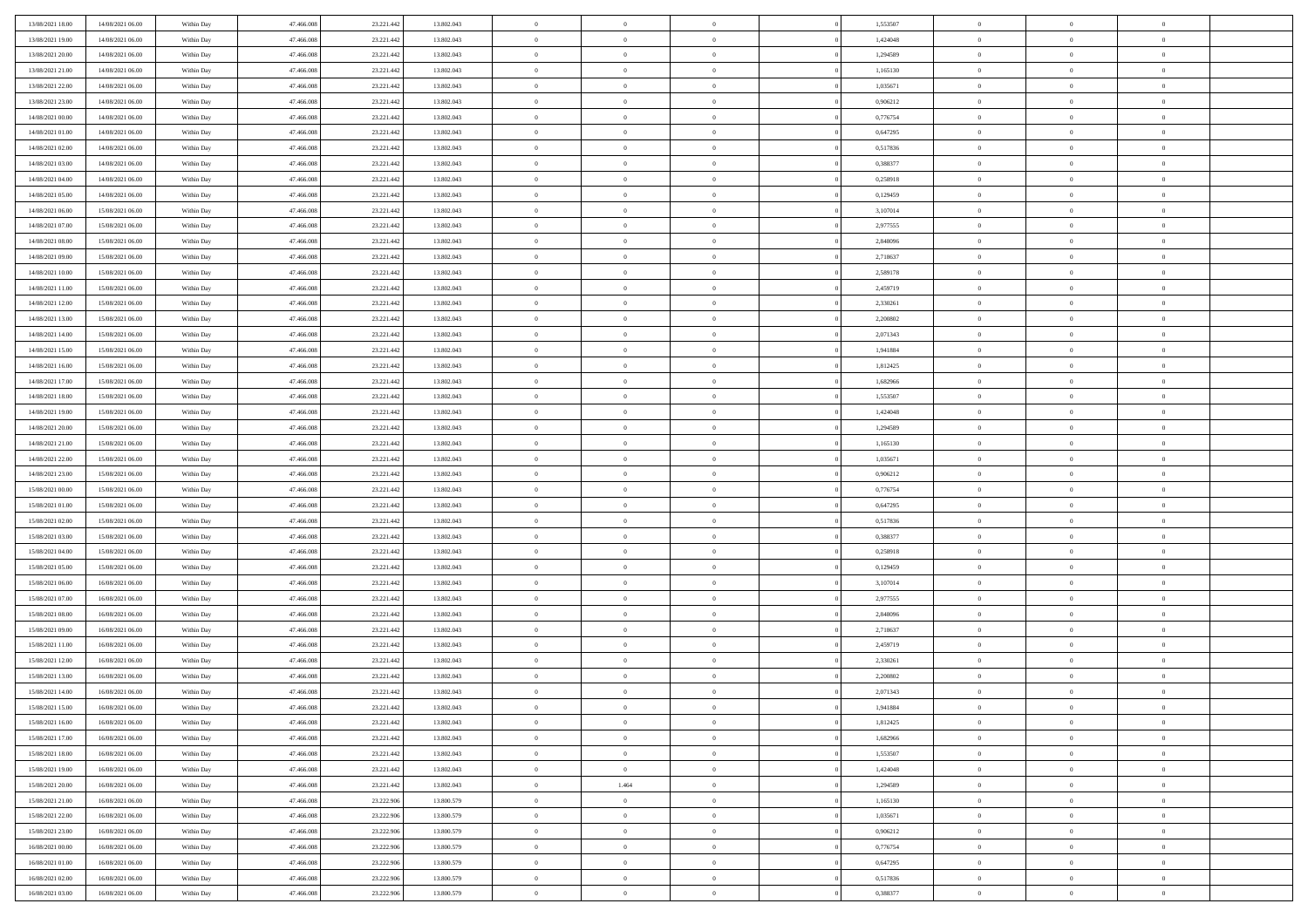| 13/08/2021 18:00 | 14/08/2021 06:00                     | Within Day               | 47,466,008               | 23.221.442               | 13.802.043               | $\bf{0}$                | $\overline{0}$                   | $\Omega$                         | 1,553507             | $\bf{0}$                      | $\overline{0}$             | $\bf{0}$                         |  |
|------------------|--------------------------------------|--------------------------|--------------------------|--------------------------|--------------------------|-------------------------|----------------------------------|----------------------------------|----------------------|-------------------------------|----------------------------|----------------------------------|--|
| 13/08/2021 19:00 | 14/08/2021 06:00                     | Within Dav               | 47.466.008               | 23.221.442               | 13.802.043               | $\theta$                | $\overline{0}$                   | $\overline{0}$                   | 1,424048             | $\mathbf{0}$                  | $\bf{0}$                   | $\overline{0}$                   |  |
| 13/08/2021 20:00 | 14/08/2021 06:00                     | Within Day               | 47.466.008               | 23.221.442               | 13.802.043               | $\theta$                | $\overline{0}$                   | $\overline{0}$                   | 1,294589             | $\,$ 0                        | $\overline{0}$             | $\,$ 0 $\,$                      |  |
| 13/08/2021 21:00 | 14/08/2021 06:00                     | Within Day               | 47,466,008               | 23.221.442               | 13.802.043               | $\mathbf{0}$            | $\overline{0}$                   | $\mathbf{0}$                     | 1,165130             | $\bf{0}$                      | $\mathbf{0}$               | $\theta$                         |  |
| 13/08/2021 22:00 | 14/08/2021 06:00                     | Within Dav               | 47.466.008               | 23.221.442               | 13.802.043               | $\overline{0}$          | $\overline{0}$                   | $\overline{0}$                   | 1,035671             | $\mathbf{0}$                  | $\bf{0}$                   | $\overline{0}$                   |  |
| 13/08/2021 23:00 | 14/08/2021 06:00                     | Within Day               | 47.466.008               | 23.221.442               | 13.802.043               | $\theta$                | $\overline{0}$                   | $\bf{0}$                         | 0,906212             | $\,$ 0                        | $\overline{0}$             | $\,$ 0 $\,$                      |  |
| 14/08/2021 00:00 | 14/08/2021 06:00                     | Within Day               | 47,466,008               | 23.221.442               | 13.802.043               | $\,$ 0 $\,$             | $\overline{0}$                   | $\Omega$                         | 0.776754             | $\bf{0}$                      | $\bf{0}$                   | $\theta$                         |  |
| 14/08/2021 01:00 | 14/08/2021 06:00                     | Within Dav               | 47.466.008               | 23.221.442               | 13.802.043               | $\overline{0}$          | $\overline{0}$                   | $\overline{0}$                   | 0,647295             | $\mathbf{0}$                  | $\bf{0}$                   | $\overline{0}$                   |  |
| 14/08/2021 02:00 | 14/08/2021 06:00                     |                          | 47.466.008               | 23.221.442               | 13.802.043               | $\theta$                | $\overline{0}$                   | $\bf{0}$                         | 0,517836             | $\,$ 0                        | $\overline{0}$             | $\,$ 0 $\,$                      |  |
|                  |                                      | Within Day               | 47,466,008               |                          | 13,802,043               | $\mathbf{0}$            |                                  | $\mathbf{0}$                     | 0.388377             | $\bf{0}$                      | $\mathbf{0}$               | $\theta$                         |  |
| 14/08/2021 03:00 | 14/08/2021 06:00                     | Within Day               |                          | 23.221.442               |                          |                         | $\overline{0}$<br>$\overline{0}$ |                                  |                      | $\mathbf{0}$                  |                            | $\overline{0}$                   |  |
| 14/08/2021 04:00 | 14/08/2021 06:00                     | Within Dav               | 47.466.008               | 23.221.442               | 13.802.043               | $\overline{0}$          |                                  | $\overline{0}$                   | 0,258918             |                               | $\bf{0}$                   |                                  |  |
| 14/08/2021 05:00 | 14/08/2021 06:00                     | Within Day               | 47.466.008               | 23.221.442               | 13.802.043               | $\theta$                | $\overline{0}$                   | $\bf{0}$                         | 0,129459             | $\,$ 0                        | $\overline{0}$             | $\,$ 0 $\,$                      |  |
| 14/08/2021 06:00 | 15/08/2021 06:00                     | Within Day               | 47,466,008               | 23.221.442               | 13.802.043               | $\theta$                | $\overline{0}$                   | $\mathbf{0}$                     | 3,107014             | $\bf{0}$                      | $\mathbf{0}$               | $\theta$                         |  |
| 14/08/2021 07:00 | 15/08/2021 06:00                     | Within Dav               | 47.466.008               | 23.221.442               | 13.802.043               | $\overline{0}$          | $\overline{0}$                   | $\overline{0}$                   | 2,977555             | $\mathbf{0}$                  | $\bf{0}$                   | $\overline{0}$                   |  |
| 14/08/2021 08:00 | 15/08/2021 06:00                     | Within Day               | 47.466.008               | 23.221.442               | 13.802.043               | $\theta$                | $\overline{0}$                   | $\overline{0}$                   | 2,848096             | $\,$ 0                        | $\overline{0}$             | $\,$ 0 $\,$                      |  |
| 14/08/2021 09:00 | 15/08/2021 06:00                     | Within Day               | 47,466,008               | 23.221.442               | 13.802.043               | $\bf{0}$                | $\overline{0}$                   | $\mathbf{0}$                     | 2,718637             | $\bf{0}$                      | $\mathbf{0}$               | $\bf{0}$                         |  |
| 14/08/2021 10:00 | 15/08/2021 06:00                     | Within Dav               | 47.466.008               | 23.221.442               | 13.802.043               | $\overline{0}$          | $\overline{0}$                   | $\overline{0}$                   | 2,589178             | $\mathbf{0}$                  | $\bf{0}$                   | $\overline{0}$                   |  |
| 14/08/2021 11:00 | 15/08/2021 06:00                     | Within Day               | 47.466.008               | 23.221.442               | 13.802.043               | $\theta$                | $\overline{0}$                   | $\bf{0}$                         | 2,459719             | $\,$ 0                        | $\overline{0}$             | $\,$ 0 $\,$                      |  |
| 14/08/2021 12:00 | 15/08/2021 06:00                     | Within Day               | 47,466,008               | 23.221.442               | 13,802,043               | $\mathbf{0}$            | $\overline{0}$                   | $\mathbf{0}$                     | 2.330261             | $\theta$                      | $\mathbf{0}$               | $\theta$                         |  |
| 14/08/2021 13:00 | 15/08/2021 06:00                     | Within Dav               | 47.466.008               | 23.221.442               | 13.802.043               | $\overline{0}$          | $\overline{0}$                   | $\overline{0}$                   | 2,200802             | $\mathbf{0}$                  | $\bf{0}$                   | $\overline{0}$                   |  |
| 14/08/2021 14:00 | 15/08/2021 06:00                     | Within Day               | 47.466.008               | 23.221.442               | 13.802.043               | $\theta$                | $\overline{0}$                   | $\bf{0}$                         | 2,071343             | $\,$ 0                        | $\overline{0}$             | $\,$ 0 $\,$                      |  |
| 14/08/2021 15:00 | 15/08/2021 06:00                     | Within Day               | 47,466,008               | 23.221.442               | 13,802,043               | $\mathbf{0}$            | $\overline{0}$                   | $\mathbf{0}$                     | 1.941884             | $\bf{0}$                      | $\mathbf{0}$               | $\theta$                         |  |
| 14/08/2021 16:00 | 15/08/2021 06:00                     | Within Dav               | 47.466.008               | 23.221.442               | 13.802.043               | $\mathbf{0}$            | $\overline{0}$                   | $\overline{0}$                   | 1,812425             | $\mathbf{0}$                  | $\bf{0}$                   | $\overline{0}$                   |  |
| 14/08/2021 17:00 | 15/08/2021 06:00                     | Within Day               | 47.466.008               | 23.221.442               | 13.802.043               | $\theta$                | $\overline{0}$                   | $\bf{0}$                         | 1,682966             | $\,$ 0                        | $\overline{0}$             | $\,$ 0 $\,$                      |  |
| 14/08/2021 18:00 | 15/08/2021 06:00                     | Within Day               | 47,466,008               | 23.221.442               | 13.802.043               | $\bf{0}$                | $\overline{0}$                   | $\mathbf{0}$                     | 1,553507             | $\bf{0}$                      | $\bf{0}$                   | $\bf{0}$                         |  |
| 14/08/2021 19:00 | 15/08/2021 06:00                     | Within Day               | 47.466.008               | 23.221.442               | 13.802.043               | $\overline{0}$          | $\overline{0}$                   | $\overline{0}$                   | 1,424048             | $\mathbf{0}$                  | $\bf{0}$                   | $\overline{0}$                   |  |
| 14/08/2021 20:00 | 15/08/2021 06:00                     | Within Day               | 47.466.008               | 23.221.442               | 13.802.043               | $\theta$                | $\overline{0}$                   | $\bf{0}$                         | 1,294589             | $\,$ 0                        | $\overline{0}$             | $\,$ 0 $\,$                      |  |
| 14/08/2021 21:00 | 15/08/2021 06:00                     | Within Day               | 47,466,008               | 23.221.442               | 13,802,043               | $\mathbf{0}$            | $\overline{0}$                   | $\mathbf{0}$                     | 1.165130             | $\bf{0}$                      | $\mathbf{0}$               | $\theta$                         |  |
| 14/08/2021 22:00 | 15/08/2021 06:00                     | Within Day               | 47.466.008               | 23.221.442               | 13.802.043               | $\mathbf{0}$            | $\overline{0}$                   | $\overline{0}$                   | 1,035671             | $\mathbf{0}$                  | $\bf{0}$                   | $\overline{0}$                   |  |
| 14/08/2021 23:00 | 15/08/2021 06:00                     | Within Day               | 47.466.008               | 23.221.442               | 13.802.043               | $\theta$                | $\overline{0}$                   | $\bf{0}$                         | 0,906212             | $\,$ 0                        | $\overline{0}$             | $\,$ 0 $\,$                      |  |
| 15/08/2021 00:00 | 15/08/2021 06:00                     | Within Day               | 47.466.008               | 23.221.442               | 13.802.043               | $\,$ 0 $\,$             | $\overline{0}$                   | $\overline{0}$                   | 0,776754             | $\bf{0}$                      | $\overline{0}$             | $\,0\,$                          |  |
| 15/08/2021 01:00 | 15/08/2021 06:00                     | Within Day               | 47.466.008               | 23.221.442               | 13.802.043               | $\overline{0}$          | $\overline{0}$                   | $\overline{0}$                   | 0,647295             | $\mathbf{0}$                  | $\bf{0}$                   | $\overline{0}$                   |  |
| 15/08/2021 02:00 | 15/08/2021 06:00                     | Within Day               | 47.466.008               | 23.221.442               | 13.802.043               | $\theta$                | $\overline{0}$                   | $\overline{0}$                   | 0,517836             | $\,$ 0                        | $\overline{0}$             | $\,$ 0 $\,$                      |  |
| 15/08/2021 03:00 | 15/08/2021 06:00                     | Within Day               | 47.466.008               | 23.221.442               | 13.802.043               | $\,$ 0 $\,$             | $\overline{0}$                   | $\overline{0}$                   | 0,388377             | $\bf{0}$                      | $\overline{0}$             | $\,0\,$                          |  |
| 15/08/2021 04:00 | 15/08/2021 06:00                     | Within Day               | 47.466.008               | 23.221.442               | 13.802.043               | $\theta$                | $\overline{0}$                   | $\overline{0}$                   | 0,258918             | $\mathbf{0}$                  | $\bf{0}$                   | $\overline{0}$                   |  |
| 15/08/2021 05:00 | 15/08/2021 06:00                     | Within Day               | 47.466.008               | 23.221.442               | 13.802.043               | $\theta$                | $\overline{0}$                   | $\bf{0}$                         | 0,129459             | $\,$ 0                        | $\overline{0}$             | $\,$ 0 $\,$                      |  |
| 15/08/2021 06:00 | 16/08/2021 06:00                     | Within Day               | 47.466.008               | 23.221.442               | 13.802.043               | $\,$ 0 $\,$             | $\overline{0}$                   | $\overline{0}$                   | 3,107014             | $\bf{0}$                      | $\overline{0}$             | $\,0\,$                          |  |
| 15/08/2021 07:00 | 16/08/2021 06:00                     | Within Day               | 47.466.008               | 23.221.442               | 13.802.043               | $\mathbf{0}$            | $\overline{0}$                   | $\overline{0}$                   | 2,977555             | $\mathbf{0}$                  | $\bf{0}$                   | $\overline{0}$                   |  |
| 15/08/2021 08:00 | 16/08/2021 06:00                     | Within Day               | 47.466.008               | 23.221.442               | 13.802.043               | $\theta$                | $\overline{0}$                   | $\bf{0}$                         | 2,848096             | $\,$ 0                        | $\overline{0}$             | $\,$ 0 $\,$                      |  |
| 15/08/2021 09:00 | 16/08/2021 06:00                     | Within Day               | 47.466.008               | 23.221.442               | 13.802.043               | $\,$ 0 $\,$             | $\overline{0}$                   | $\overline{0}$                   | 2,718637             | $\bf{0}$                      | $\overline{0}$             | $\,0\,$                          |  |
| 15/08/2021 11:00 | 16/08/2021 06:00                     | Within Day               | 47.466.008               | 23.221.442               | 13.802.043               | $\theta$                | $\overline{0}$                   | $\overline{0}$                   | 2,459719             | $\mathbf{0}$                  | $\bf{0}$                   | $\overline{0}$                   |  |
| 15/08/2021 12:00 | 16/08/2021 06:00                     | Within Day               | 47.466.008               | 23.221.442               | 13.802.043               | $\theta$                | $\overline{0}$                   | $\bf{0}$                         | 2,330261             | $\,$ 0                        | $\overline{0}$             | $\,$ 0 $\,$                      |  |
| 15/08/2021 13:00 | 16/08/2021 06:00                     | Within Day               | 47.466.008               | 23.221.442               | 13.802.043               | $\,$ 0 $\,$             | $\overline{0}$                   | $\overline{0}$                   | 2,200802             | $\bf{0}$                      | $\overline{0}$             | $\,0\,$                          |  |
| 15/08/2021 14:00 | 16/08/2021 06:00                     | Within Dav               | 47.466.008               | 23.221.442               | 13.802.043               | $\theta$                | $\overline{0}$                   | $\overline{0}$                   | 2,071343             | $\mathbf{0}$                  | $\bf{0}$                   | $\overline{0}$                   |  |
| 15/08/2021 15:00 | 16/08/2021 06:00                     | Within Day               | 47.466.008               | 23.221.442               | 13.802.043               | $\overline{0}$          | $\overline{0}$                   | $\overline{0}$                   | 1,941884             | $\overline{0}$                | $\overline{0}$             | $\theta$                         |  |
| 15/08/2021 16:00 | 16/08/2021 06:00                     | Within Day               | 47.466.008               | 23.221.442               | 13.802.043               | $\bf{0}$                | $\overline{0}$                   | $\overline{0}$                   | 1,812425             | $\bf{0}$                      | $\overline{0}$             | $\bf{0}$                         |  |
| 15/08/2021 17:00 | 16/08/2021 06:00                     | Within Day               | 47.466.008               | 23.221.442               | 13.802.043               | $\overline{0}$          | $\overline{0}$                   | $\overline{0}$                   | 1,682966             | $\overline{0}$                | $\bf{0}$                   | $\overline{0}$                   |  |
| 15/08/2021 18:00 | 16/08/2021 06:00                     | Within Day               | 47.466.008               | 23.221.442               | 13.802.043               | $\,$ 0 $\,$             | $\overline{0}$                   | $\overline{0}$                   | 1,553507             | $\,$ 0 $\,$                   | $\,$ 0 $\,$                | $\,$ 0 $\,$                      |  |
| 15/08/2021 19:00 | 16/08/2021 06:00                     | Within Day               | 47.466.008               | 23.221.442               | 13.802.043               | $\bf{0}$                | $\overline{0}$                   | $\overline{0}$                   | 1,424048             | $\mathbf{0}$                  | $\overline{0}$             | $\bf{0}$                         |  |
| 15/08/2021 20:00 | 16/08/2021 06:00                     | Within Day               | 47.466.008               | 23.221.442               | 13.802.043               | $\,$ 0 $\,$             | 1.464                            | $\overline{0}$                   | 1,294589             | $\,$ 0 $\,$                   | $\bf{0}$                   | $\overline{0}$                   |  |
| 15/08/2021 21:00 | 16/08/2021 06:00                     | Within Day               | 47.466.008               | 23.222.906               | 13.800.579               | $\,$ 0                  | $\overline{0}$                   | $\overline{0}$                   | 1,165130             | $\,$ 0 $\,$                   | $\overline{0}$             | $\,$ 0 $\,$                      |  |
| 15/08/2021 22:00 |                                      |                          |                          |                          |                          |                         |                                  |                                  |                      |                               |                            |                                  |  |
| 15/08/2021 23:00 | 16/08/2021 06:00<br>16/08/2021 06:00 | Within Day<br>Within Day | 47.466.008<br>47.466.008 | 23.222.906<br>23.222.906 | 13.800.579<br>13.800.579 | $\bf{0}$<br>$\,$ 0 $\,$ | $\overline{0}$<br>$\overline{0}$ | $\overline{0}$<br>$\overline{0}$ | 1,035671<br>0,906212 | $\overline{0}$<br>$\,$ 0 $\,$ | $\overline{0}$<br>$\bf{0}$ | $\overline{0}$<br>$\overline{0}$ |  |
|                  |                                      |                          |                          |                          |                          |                         |                                  |                                  |                      |                               |                            |                                  |  |
| 16/08/2021 00:00 | 16/08/2021 06:00                     | Within Day               | 47.466.008               | 23.222.906               | 13.800.579               | $\,$ 0                  | $\overline{0}$                   | $\overline{0}$                   | 0,776754             | $\,$ 0 $\,$                   | $\,$ 0 $\,$                | $\,$ 0 $\,$                      |  |
| 16/08/2021 01:00 | 16/08/2021 06:00                     | Within Day               | 47.466.008               | 23.222.906               | 13.800.579               | $\bf{0}$                | $\overline{0}$                   | $\overline{0}$                   | 0,647295             | $\mathbf{0}$                  | $\overline{0}$             | $\bf{0}$                         |  |
| 16/08/2021 02:00 | 16/08/2021 06:00                     | Within Day               | 47.466.008               | 23.222.906               | 13.800.579               | $\mathbf{0}$            | $\overline{0}$                   | $\overline{0}$                   | 0,517836             | $\overline{0}$                | $\bf{0}$                   | $\overline{0}$                   |  |
| 16/08/2021 03:00 | 16/08/2021 06:00                     | Within Day               | 47.466.008               | 23.222.906               | 13.800.579               | $\,$ 0 $\,$             | $\overline{0}$                   | $\overline{0}$                   | 0,388377             | $\,$ 0 $\,$                   | $\overline{0}$             | $\,$ 0 $\,$                      |  |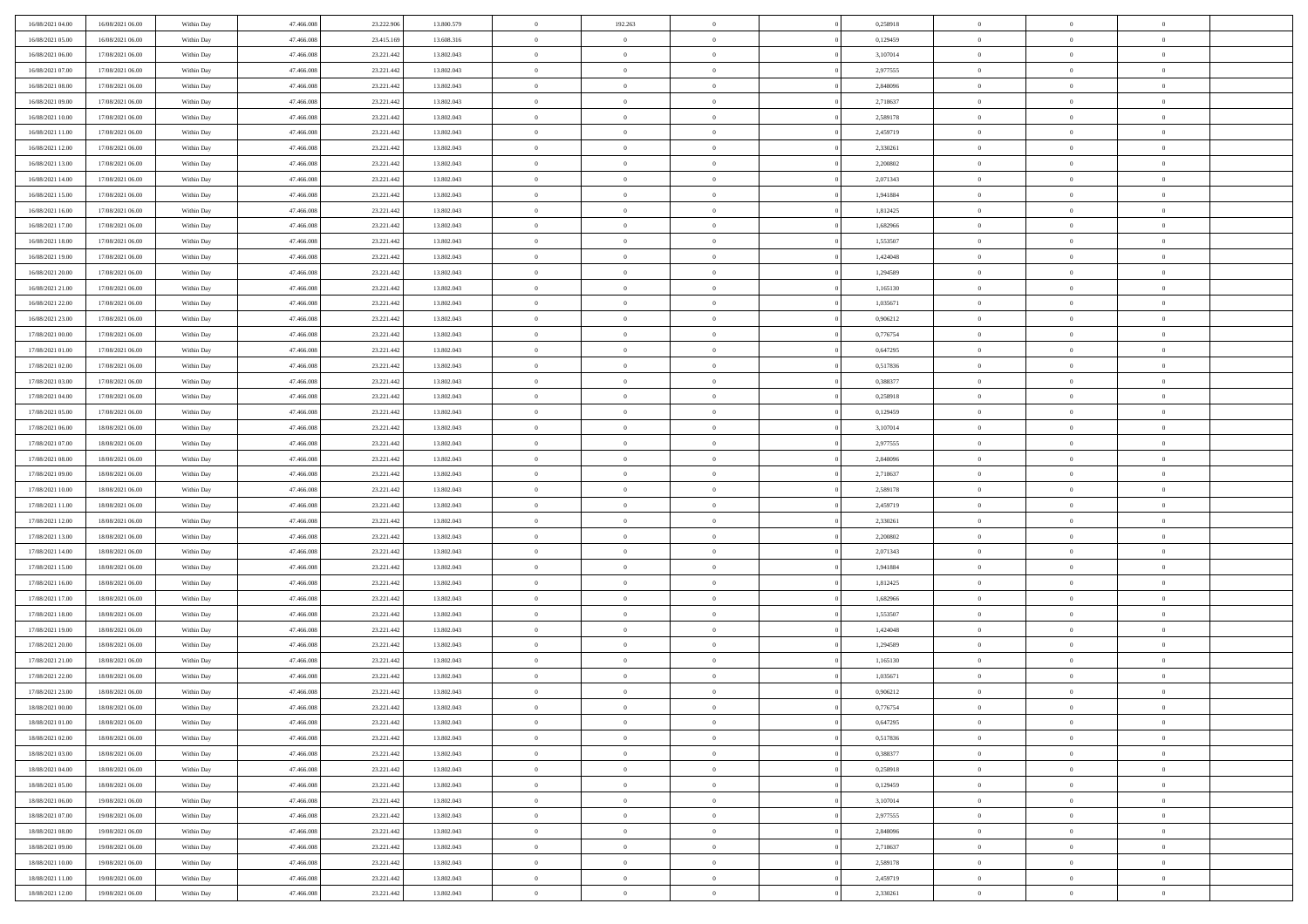| 16/08/2021 04:00 | 16/08/2021 06:00 | Within Day | 47,466,008 | 23.222.906 | 13.800.579 | $\bf{0}$       | 192.263        | $^{\circ}$     | 0,258918 | $\bf{0}$       | $\overline{0}$ | $\bf{0}$       |  |
|------------------|------------------|------------|------------|------------|------------|----------------|----------------|----------------|----------|----------------|----------------|----------------|--|
| 16/08/2021 05:00 | 16/08/2021 06:00 | Within Day | 47.466.008 | 23.415.169 | 13.608.316 | $\theta$       | $\overline{0}$ | $\overline{0}$ | 0,129459 | $\mathbf{0}$   | $\bf{0}$       | $\overline{0}$ |  |
| 16/08/2021 06:00 | 17/08/2021 06:00 | Within Day | 47.466.008 | 23.221.442 | 13.802.043 | $\theta$       | $\overline{0}$ | $\bf{0}$       | 3,107014 | $\,$ 0         | $\overline{0}$ | $\,$ 0 $\,$    |  |
| 16/08/2021 07:00 | 17/08/2021 06:00 | Within Day | 47,466,008 | 23.221.442 | 13.802.043 | $\mathbf{0}$   | $\overline{0}$ | $\mathbf{0}$   | 2,977555 | $\bf{0}$       | $\mathbf{0}$   | $\theta$       |  |
| 16/08/2021 08:00 | 17/08/2021 06:00 | Within Day | 47.466.008 | 23.221.442 | 13.802.043 | $\mathbf{0}$   | $\overline{0}$ | $\overline{0}$ | 2,848096 | $\mathbf{0}$   | $\bf{0}$       | $\overline{0}$ |  |
| 16/08/2021 09:00 | 17/08/2021 06:00 | Within Day | 47.466.008 | 23.221.442 | 13.802.043 | $\theta$       | $\overline{0}$ | $\bf{0}$       | 2,718637 | $\,$ 0         | $\overline{0}$ | $\,$ 0 $\,$    |  |
| 16/08/2021 10:00 | 17/08/2021 06:00 | Within Day | 47,466,008 | 23.221.442 | 13.802.043 | $\,$ 0 $\,$    | $\overline{0}$ | $\Omega$       | 2,589178 | $\bf{0}$       | $\bf{0}$       | $\theta$       |  |
| 16/08/2021 11:00 | 17/08/2021 06:00 | Within Day | 47.466.008 | 23.221.442 | 13.802.043 | $\overline{0}$ | $\overline{0}$ | $\overline{0}$ | 2,459719 | $\mathbf{0}$   | $\bf{0}$       | $\overline{0}$ |  |
| 16/08/2021 12:00 | 17/08/2021 06:00 | Within Day | 47.466.008 | 23.221.442 | 13.802.043 | $\theta$       | $\overline{0}$ | $\bf{0}$       | 2,330261 | $\,$ 0         | $\overline{0}$ | $\,$ 0 $\,$    |  |
| 16/08/2021 13:00 | 17/08/2021 06:00 | Within Day | 47,466,008 | 23.221.442 | 13,802,043 | $\mathbf{0}$   | $\overline{0}$ | $\mathbf{0}$   | 2.200802 | $\bf{0}$       | $\mathbf{0}$   | $\theta$       |  |
| 16/08/2021 14:00 | 17/08/2021 06:00 | Within Dav | 47.466.008 | 23.221.442 | 13.802.043 | $\mathbf{0}$   | $\overline{0}$ | $\overline{0}$ | 2,071343 | $\mathbf{0}$   | $\bf{0}$       | $\overline{0}$ |  |
| 16/08/2021 15:00 | 17/08/2021 06:00 | Within Day | 47.466.008 | 23.221.442 | 13.802.043 | $\theta$       | $\overline{0}$ | $\bf{0}$       | 1,941884 | $\,$ 0         | $\overline{0}$ | $\,$ 0 $\,$    |  |
| 16/08/2021 16:00 | 17/08/2021 06:00 | Within Day | 47,466,008 | 23.221.442 | 13.802.043 | $\theta$       | $\overline{0}$ | $\mathbf{0}$   | 1,812425 | $\bf{0}$       | $\mathbf{0}$   | $\theta$       |  |
| 16/08/2021 17:00 | 17/08/2021 06:00 | Within Dav | 47.466.008 | 23.221.442 | 13.802.043 | $\mathbf{0}$   | $\overline{0}$ | $\overline{0}$ | 1,682966 | $\mathbf{0}$   | $\bf{0}$       | $\overline{0}$ |  |
| 16/08/2021 18:00 | 17/08/2021 06:00 | Within Day | 47.466.008 | 23.221.442 | 13.802.043 | $\theta$       | $\overline{0}$ | $\overline{0}$ | 1,553507 | $\,$ 0         | $\overline{0}$ | $\,$ 0 $\,$    |  |
| 16/08/2021 19:00 | 17/08/2021 06:00 | Within Day | 47,466,008 | 23.221.442 | 13,802,043 | $\bf{0}$       | $\overline{0}$ | $\mathbf{0}$   | 1,424048 | $\bf{0}$       | $\mathbf{0}$   | $\bf{0}$       |  |
| 16/08/2021 20:00 | 17/08/2021 06:00 | Within Dav | 47.466.008 | 23.221.442 | 13.802.043 | $\overline{0}$ | $\overline{0}$ | $\overline{0}$ | 1,294589 | $\mathbf{0}$   | $\bf{0}$       | $\overline{0}$ |  |
| 16/08/2021 21:00 | 17/08/2021 06:00 | Within Day | 47.466.008 | 23.221.442 | 13.802.043 | $\theta$       | $\overline{0}$ | $\bf{0}$       | 1,165130 | $\,$ 0         | $\overline{0}$ | $\,$ 0 $\,$    |  |
| 16/08/2021 22:00 | 17/08/2021 06:00 | Within Day | 47,466,008 | 23.221.442 | 13,802,043 | $\mathbf{0}$   | $\overline{0}$ | $\mathbf{0}$   | 1.035671 | $\theta$       | $\mathbf{0}$   | $\theta$       |  |
| 16/08/2021 23:00 | 17/08/2021 06:00 | Within Dav | 47.466.008 | 23.221.442 | 13.802.043 | $\overline{0}$ | $\overline{0}$ | $\overline{0}$ | 0,906212 | $\mathbf{0}$   | $\bf{0}$       | $\overline{0}$ |  |
| 17/08/2021 00:00 | 17/08/2021 06:00 | Within Day | 47.466.008 | 23.221.442 | 13.802.043 | $\theta$       | $\overline{0}$ | $\bf{0}$       | 0,776754 | $\,$ 0         | $\overline{0}$ | $\,$ 0 $\,$    |  |
| 17/08/2021 01:00 | 17/08/2021 06:00 | Within Day | 47,466,008 | 23.221.442 | 13,802,043 | $\theta$       | $\overline{0}$ | $\mathbf{0}$   | 0,647295 | $\bf{0}$       | $\mathbf{0}$   | $\theta$       |  |
| 17/08/2021 02:00 | 17/08/2021 06:00 | Within Dav | 47.466.008 | 23.221.442 | 13.802.043 | $\mathbf{0}$   | $\overline{0}$ | $\overline{0}$ | 0,517836 | $\mathbf{0}$   | $\bf{0}$       | $\overline{0}$ |  |
| 17/08/2021 03:00 | 17/08/2021 06:00 | Within Day | 47.466.008 | 23.221.442 | 13.802.043 | $\theta$       | $\overline{0}$ | $\bf{0}$       | 0,388377 | $\,$ 0         | $\overline{0}$ | $\,$ 0 $\,$    |  |
| 17/08/2021 04:00 | 17/08/2021 06:00 | Within Day | 47,466,008 | 23.221.442 | 13.802.043 | $\bf{0}$       | $\overline{0}$ | $\mathbf{0}$   | 0,258918 | $\bf{0}$       | $\overline{0}$ | $\bf{0}$       |  |
| 17/08/2021 05:00 | 17/08/2021 06:00 | Within Dav | 47.466.008 | 23.221.442 | 13.802.043 | $\overline{0}$ | $\overline{0}$ | $\overline{0}$ | 0,129459 | $\mathbf{0}$   | $\bf{0}$       | $\overline{0}$ |  |
| 17/08/2021 06:00 | 18/08/2021 06:00 | Within Day | 47.466.008 | 23.221.442 | 13.802.043 | $\theta$       | $\overline{0}$ | $\overline{0}$ | 3,107014 | $\,$ 0         | $\overline{0}$ | $\,$ 0 $\,$    |  |
| 17/08/2021 07:00 | 18/08/2021 06:00 | Within Day | 47,466,008 | 23.221.442 | 13,802,043 | $\mathbf{0}$   | $\overline{0}$ | $\mathbf{0}$   | 2.977555 | $\bf{0}$       | $\mathbf{0}$   | $\theta$       |  |
| 17/08/2021 08:00 | 18/08/2021 06:00 | Within Dav | 47.466.008 | 23.221.442 | 13.802.043 | $\mathbf{0}$   | $\overline{0}$ | $\overline{0}$ | 2,848096 | $\mathbf{0}$   | $\bf{0}$       | $\overline{0}$ |  |
| 17/08/2021 09:00 | 18/08/2021 06:00 | Within Day | 47.466.008 | 23.221.442 | 13.802.043 | $\theta$       | $\overline{0}$ | $\bf{0}$       | 2,718637 | $\,$ 0         | $\overline{0}$ | $\,$ 0 $\,$    |  |
| 17/08/2021 10:00 | 18/08/2021 06:00 | Within Day | 47.466.008 | 23.221.442 | 13.802.043 | $\,$ 0 $\,$    | $\overline{0}$ | $\overline{0}$ | 2,589178 | $\bf{0}$       | $\overline{0}$ | $\,0\,$        |  |
| 17/08/2021 11:00 | 18/08/2021 06:00 | Within Dav | 47.466.008 | 23.221.442 | 13.802.043 | $\overline{0}$ | $\overline{0}$ | $\overline{0}$ | 2,459719 | $\mathbf{0}$   | $\bf{0}$       | $\overline{0}$ |  |
| 17/08/2021 12:00 | 18/08/2021 06:00 | Within Day | 47.466.008 | 23.221.442 | 13.802.043 | $\theta$       | $\overline{0}$ | $\overline{0}$ | 2,330261 | $\,$ 0         | $\overline{0}$ | $\,$ 0 $\,$    |  |
| 17/08/2021 13:00 | 18/08/2021 06:00 | Within Day | 47.466.008 | 23.221.442 | 13.802.043 | $\,$ 0 $\,$    | $\overline{0}$ | $\overline{0}$ | 2,200802 | $\bf{0}$       | $\overline{0}$ | $\,0\,$        |  |
| 17/08/2021 14:00 | 18/08/2021 06:00 | Within Dav | 47.466.008 | 23.221.442 | 13.802.043 | $\theta$       | $\overline{0}$ | $\overline{0}$ | 2,071343 | $\mathbf{0}$   | $\bf{0}$       | $\overline{0}$ |  |
| 17/08/2021 15:00 | 18/08/2021 06:00 | Within Day | 47.466.008 | 23.221.442 | 13.802.043 | $\theta$       | $\overline{0}$ | $\bf{0}$       | 1,941884 | $\,$ 0         | $\overline{0}$ | $\,$ 0 $\,$    |  |
| 17/08/2021 16:00 | 18/08/2021 06:00 | Within Day | 47.466.008 | 23.221.442 | 13.802.043 | $\,$ 0 $\,$    | $\overline{0}$ | $\overline{0}$ | 1,812425 | $\bf{0}$       | $\overline{0}$ | $\,0\,$        |  |
| 17/08/2021 17:00 | 18/08/2021 06:00 | Within Dav | 47.466.008 | 23.221.442 | 13.802.043 | $\overline{0}$ | $\overline{0}$ | $\overline{0}$ | 1,682966 | $\mathbf{0}$   | $\bf{0}$       | $\overline{0}$ |  |
| 17/08/2021 18:00 | 18/08/2021 06:00 | Within Day | 47.466.008 | 23.221.442 | 13.802.043 | $\theta$       | $\overline{0}$ | $\bf{0}$       | 1,553507 | $\,$ 0         | $\overline{0}$ | $\,$ 0 $\,$    |  |
| 17/08/2021 19:00 | 18/08/2021 06:00 | Within Day | 47.466.008 | 23.221.442 | 13.802.043 | $\,$ 0 $\,$    | $\overline{0}$ | $\overline{0}$ | 1,424048 | $\bf{0}$       | $\overline{0}$ | $\,0\,$        |  |
| 17/08/2021 20:00 | 18/08/2021 06:00 | Within Dav | 47.466.008 | 23.221.442 | 13.802.043 | $\theta$       | $\overline{0}$ | $\overline{0}$ | 1,294589 | $\mathbf{0}$   | $\bf{0}$       | $\overline{0}$ |  |
| 17/08/2021 21:00 | 18/08/2021 06:00 | Within Day | 47.466.008 | 23.221.442 | 13.802.043 | $\theta$       | $\overline{0}$ | $\bf{0}$       | 1,165130 | $\,$ 0         | $\overline{0}$ | $\,$ 0 $\,$    |  |
| 17/08/2021 22:00 | 18/08/2021 06:00 | Within Day | 47.466.008 | 23.221.442 | 13.802.043 | $\,$ 0 $\,$    | $\overline{0}$ | $\overline{0}$ | 1,035671 | $\bf{0}$       | $\overline{0}$ | $\,0\,$        |  |
| 17/08/2021 23:00 | 18/08/2021 06:00 | Within Dav | 47.466.008 | 23.221.442 | 13.802.043 | $\theta$       | $\overline{0}$ | $\overline{0}$ | 0,906212 | $\mathbf{0}$   | $\bf{0}$       | $\overline{0}$ |  |
| 18/08/2021 00:00 | 18/08/2021 06:00 | Within Day | 47.466.008 | 23.221.442 | 13.802.043 | $\overline{0}$ | $\overline{0}$ | $\overline{0}$ | 0,776754 | $\overline{0}$ | $\overline{0}$ | $\theta$       |  |
| 18/08/2021 01:00 | 18/08/2021 06:00 | Within Day | 47.466.008 | 23.221.442 | 13.802.043 | $\bf{0}$       | $\overline{0}$ | $\overline{0}$ | 0,647295 | $\bf{0}$       | $\overline{0}$ | $\bf{0}$       |  |
| 18/08/2021 02:00 | 18/08/2021 06:00 | Within Day | 47.466.008 | 23.221.442 | 13.802.043 | $\overline{0}$ | $\overline{0}$ | $\overline{0}$ | 0,517836 | $\overline{0}$ | $\bf{0}$       | $\overline{0}$ |  |
| 18/08/2021 03:00 | 18/08/2021 06:00 | Within Day | 47.466.008 | 23.221.442 | 13.802.043 | $\,$ 0 $\,$    | $\overline{0}$ | $\overline{0}$ | 0,388377 | $\,$ 0 $\,$    | $\,$ 0 $\,$    | $\,$ 0 $\,$    |  |
| 18/08/2021 04:00 | 18/08/2021 06:00 | Within Day | 47.466.008 | 23.221.442 | 13.802.043 | $\bf{0}$       | $\overline{0}$ | $\overline{0}$ | 0,258918 | $\mathbf{0}$   | $\overline{0}$ | $\bf{0}$       |  |
| 18/08/2021 05:00 | 18/08/2021 06:00 | Within Day | 47.466.008 | 23.221.442 | 13.802.043 | $\mathbf{0}$   | $\overline{0}$ | $\overline{0}$ | 0,129459 | $\,$ 0 $\,$    | $\bf{0}$       | $\overline{0}$ |  |
| 18/08/2021 06:00 | 19/08/2021 06:00 | Within Day | 47.466.008 | 23.221.442 | 13.802.043 | $\,$ 0         | $\overline{0}$ | $\overline{0}$ | 3,107014 | $\,$ 0 $\,$    | $\overline{0}$ | $\,$ 0 $\,$    |  |
| 18/08/2021 07:00 | 19/08/2021 06:00 | Within Day | 47.466.008 | 23.221.442 | 13.802.043 | $\bf{0}$       | $\overline{0}$ | $\overline{0}$ | 2,977555 | $\overline{0}$ | $\overline{0}$ | $\overline{0}$ |  |
| 18/08/2021 08:00 | 19/08/2021 06:00 | Within Day | 47.466.008 | 23.221.442 | 13.802.043 | $\mathbf{0}$   | $\overline{0}$ | $\overline{0}$ | 2,848096 | $\,$ 0 $\,$    | $\bf{0}$       | $\overline{0}$ |  |
| 18/08/2021 09:00 | 19/08/2021 06:00 | Within Day | 47.466.008 | 23.221.442 | 13.802.043 | $\,$ 0         | $\overline{0}$ | $\overline{0}$ | 2,718637 | $\,$ 0 $\,$    | $\,$ 0 $\,$    | $\,$ 0 $\,$    |  |
| 18/08/2021 10:00 | 19/08/2021 06:00 | Within Day | 47.466.008 | 23.221.442 | 13.802.043 | $\bf{0}$       | $\overline{0}$ | $\overline{0}$ | 2,589178 | $\mathbf{0}$   | $\overline{0}$ | $\bf{0}$       |  |
| 18/08/2021 11:00 | 19/08/2021 06:00 | Within Day | 47.466.008 | 23.221.442 | 13.802.043 | $\,$ 0 $\,$    | $\overline{0}$ | $\overline{0}$ | 2,459719 | $\overline{0}$ | $\bf{0}$       | $\overline{0}$ |  |
| 18/08/2021 12:00 | 19/08/2021 06:00 | Within Day | 47.466.008 | 23.221.442 | 13.802.043 | $\,$ 0 $\,$    | $\overline{0}$ | $\overline{0}$ | 2,330261 | $\,$ 0 $\,$    | $\overline{0}$ | $\,$ 0 $\,$    |  |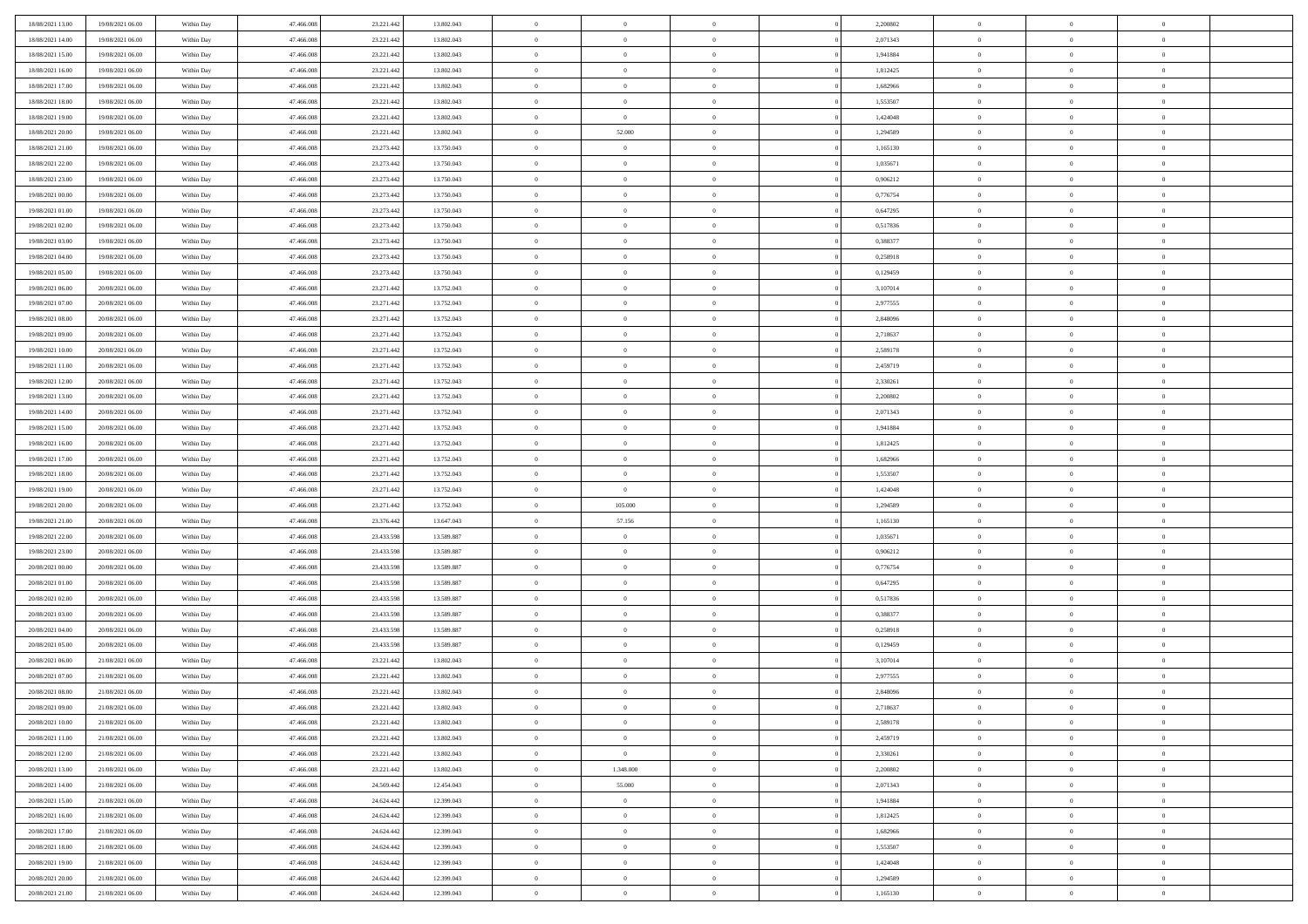| 18/08/2021 13:00 | 19/08/2021 06:00 | Within Day | 47.466.008 | 23.221.442 | 13.802.043 | $\,$ 0                   | $\bf{0}$       | $\theta$       |                | 2,200802 | $\bf{0}$             | $\overline{0}$ | $\theta$       |  |
|------------------|------------------|------------|------------|------------|------------|--------------------------|----------------|----------------|----------------|----------|----------------------|----------------|----------------|--|
| 18/08/2021 14:00 | 19/08/2021 06:00 | Within Day | 47,466,008 | 23.221.442 | 13.802.043 | $\overline{0}$           | $\overline{0}$ | $\overline{0}$ |                | 2,071343 | $\theta$             | $\theta$       | $\overline{0}$ |  |
| 18/08/2021 15:00 | 19/08/2021 06:00 | Within Dav | 47.466.008 | 23.221.442 | 13.802.043 | $\mathbf{0}$             | $\overline{0}$ | $\overline{0}$ |                | 1,941884 | $\theta$             | $\overline{0}$ | $\theta$       |  |
| 18/08/2021 16:00 | 19/08/2021 06:00 | Within Day | 47.466.008 | 23.221.442 | 13.802.043 | $\bf{0}$                 | $\overline{0}$ | $\bf{0}$       |                | 1,812425 | $\bf{0}$             | $\overline{0}$ | $\bf{0}$       |  |
| 18/08/2021 17:00 | 19/08/2021 06:00 | Within Day | 47,466,008 | 23.221.442 | 13.802.043 | $\bf{0}$                 | $\bf{0}$       | $\overline{0}$ |                | 1,682966 | $\bf{0}$             | $\Omega$       | $\bf{0}$       |  |
| 18/08/2021 18:00 | 19/08/2021 06:00 | Within Dav | 47.466.008 | 23.221.442 | 13.802.043 | $\mathbf{0}$             | $\overline{0}$ | $\overline{0}$ |                | 1,553507 | $\theta$             | $\overline{0}$ | $\theta$       |  |
| 18/08/2021 19:00 | 19/08/2021 06:00 | Within Day | 47.466.008 | 23.221.442 | 13.802.043 | $\bf{0}$                 | $\bf{0}$       | $\overline{0}$ |                | 1,424048 | $\bf{0}$             | $\overline{0}$ | $\theta$       |  |
| 18/08/2021 20:00 | 19/08/2021 06:00 | Within Day | 47,466,008 | 23.221.442 | 13.802.043 | $\overline{0}$           | 52.000         | $\overline{0}$ |                | 1,294589 | $\,$ 0 $\,$          | $\overline{0}$ | $\overline{0}$ |  |
| 18/08/2021 21:00 | 19/08/2021 06:00 | Within Day | 47.466.008 | 23.273.442 | 13.750.043 | $\mathbf{0}$             | $\overline{0}$ | $\overline{0}$ |                | 1,165130 | $\theta$             | $\overline{0}$ | $\theta$       |  |
|                  | 19/08/2021 06:00 |            | 47.466.008 | 23.273.442 | 13.750.043 | $\bf{0}$                 | $\bf{0}$       | $\overline{0}$ |                | 1,035671 | $\bf{0}$             | $\overline{0}$ | $\theta$       |  |
| 18/08/2021 22:00 |                  | Within Day | 47,466,008 |            |            |                          | $\overline{0}$ |                |                |          |                      | $\theta$       | $\overline{0}$ |  |
| 18/08/2021 23:00 | 19/08/2021 06:00 | Within Day |            | 23.273.442 | 13.750.043 | $\bf{0}$<br>$\mathbf{0}$ |                | $\overline{0}$ |                | 0,906212 | $\bf{0}$<br>$\theta$ |                | $\theta$       |  |
| 19/08/2021 00:00 | 19/08/2021 06:00 | Within Dav | 47.466.008 | 23.273.442 | 13.750.043 |                          | $\overline{0}$ | $\overline{0}$ |                | 0,776754 |                      | $\overline{0}$ |                |  |
| 19/08/2021 01:00 | 19/08/2021 06:00 | Within Day | 47.466.008 | 23.273.442 | 13.750.043 | $\bf{0}$                 | $\overline{0}$ | $\bf{0}$       |                | 0,647295 | $\bf{0}$             | $\overline{0}$ | $\bf{0}$       |  |
| 19/08/2021 02:00 | 19/08/2021 06:00 | Within Day | 47.466.008 | 23.273.442 | 13.750.043 | $\bf{0}$                 | $\overline{0}$ | $\overline{0}$ |                | 0,517836 | $\bf{0}$             | $\Omega$       | $\bf{0}$       |  |
| 19/08/2021 03:00 | 19/08/2021 06:00 | Within Dav | 47.466.008 | 23.273.442 | 13.750.043 | $\mathbf{0}$             | $\overline{0}$ | $\overline{0}$ |                | 0,388377 | $\theta$             | $\overline{0}$ | $\theta$       |  |
| 19/08/2021 04:00 | 19/08/2021 06:00 | Within Day | 47.466.008 | 23.273.442 | 13.750.043 | $\bf{0}$                 | $\bf{0}$       | $\overline{0}$ |                | 0,258918 | $\bf{0}$             | $\overline{0}$ | $\theta$       |  |
| 19/08/2021 05:00 | 19/08/2021 06:00 | Within Day | 47,466,008 | 23.273.442 | 13.750.043 | $\bf{0}$                 | $\overline{0}$ | $\overline{0}$ |                | 0,129459 | $\,$ 0 $\,$          | $\overline{0}$ | $\overline{0}$ |  |
| 19/08/2021 06:00 | 20/08/2021 06:00 | Within Day | 47.466.008 | 23.271.442 | 13.752.043 | $\mathbf{0}$             | $\overline{0}$ | $\overline{0}$ |                | 3,107014 | $\theta$             | $\overline{0}$ | $\theta$       |  |
| 19/08/2021 07:00 | 20/08/2021 06:00 | Within Day | 47.466.008 | 23.271.442 | 13.752.043 | $\bf{0}$                 | $\bf{0}$       | $\overline{0}$ |                | 2,977555 | $\bf{0}$             | $\overline{0}$ | $\theta$       |  |
| 19/08/2021 08:00 | 20/08/2021 06:00 | Within Day | 47,466,008 | 23.271.442 | 13.752.043 | $\bf{0}$                 | $\overline{0}$ | $\overline{0}$ |                | 2,848096 | $\bf{0}$             | $\theta$       | $\overline{0}$ |  |
| 19/08/2021 09:00 | 20/08/2021 06:00 | Within Dav | 47.466.008 | 23.271.442 | 13.752.043 | $\mathbf{0}$             | $\overline{0}$ | $\overline{0}$ |                | 2,718637 | $\theta$             | $\overline{0}$ | $\theta$       |  |
| 19/08/2021 10:00 | 20/08/2021 06:00 | Within Day | 47.466.008 | 23.271.442 | 13.752.043 | $\bf{0}$                 | $\bf{0}$       | $\bf{0}$       |                | 2,589178 | $\bf{0}$             | $\overline{0}$ | $\bf{0}$       |  |
| 19/08/2021 11:00 | 20/08/2021 06:00 | Within Day | 47,466,008 | 23.271.442 | 13.752.043 | $\bf{0}$                 | $\bf{0}$       | $\overline{0}$ |                | 2,459719 | $\bf{0}$             | $\overline{0}$ | $\bf{0}$       |  |
| 19/08/2021 12:00 | 20/08/2021 06:00 | Within Dav | 47.466.008 | 23.271.442 | 13.752.043 | $\mathbf{0}$             | $\overline{0}$ | $\overline{0}$ |                | 2,330261 | $\theta$             | $\overline{0}$ | $\theta$       |  |
| 19/08/2021 13:00 | 20/08/2021 06:00 | Within Day | 47.466.008 | 23.271.442 | 13.752.043 | $\bf{0}$                 | $\bf{0}$       | $\overline{0}$ |                | 2,200802 | $\bf{0}$             | $\overline{0}$ | $\theta$       |  |
| 19/08/2021 14:00 | 20/08/2021 06:00 | Within Day | 47,466,008 | 23.271.442 | 13.752.043 | $\bf{0}$                 | $\overline{0}$ | $\overline{0}$ |                | 2,071343 | $\bf{0}$             | $\overline{0}$ | $\bf{0}$       |  |
| 19/08/2021 15:00 | 20/08/2021 06:00 | Within Day | 47.466.008 | 23.271.442 | 13.752.043 | $\mathbf{0}$             | $\overline{0}$ | $\overline{0}$ |                | 1,941884 | $\theta$             | $\overline{0}$ | $\theta$       |  |
| 19/08/2021 16:00 | 20/08/2021 06:00 | Within Day | 47.466.008 | 23.271.442 | 13.752.043 | $\bf{0}$                 | $\bf{0}$       | $\overline{0}$ |                | 1,812425 | $\bf{0}$             | $\overline{0}$ | $\theta$       |  |
| 19/08/2021 17:00 | 20/08/2021 06:00 | Within Day | 47,466,008 | 23.271.442 | 13.752.043 | $\bf{0}$                 | $\overline{0}$ | $\overline{0}$ |                | 1,682966 | $\bf{0}$             | $\theta$       | $\bf{0}$       |  |
| 19/08/2021 18:00 | 20/08/2021 06:00 | Within Dav | 47.466.008 | 23.271.442 | 13.752.043 | $\mathbf{0}$             | $\overline{0}$ | $\overline{0}$ |                | 1,553507 | $\theta$             | $\overline{0}$ | $\theta$       |  |
| 19/08/2021 19:00 | 20/08/2021 06:00 | Within Day | 47.466.008 | 23.271.442 | 13.752.043 | $\bf{0}$                 | $\overline{0}$ | $\overline{0}$ |                | 1,424048 | $\,0\,$              | $\overline{0}$ | $\theta$       |  |
| 19/08/2021 20:00 | 20/08/2021 06:00 | Within Day | 47.466.008 | 23.271.442 | 13.752.043 | $\bf{0}$                 | 105.000        | $\overline{0}$ |                | 1,294589 | $\bf{0}$             | $\overline{0}$ | $\bf{0}$       |  |
| 19/08/2021 21:00 | 20/08/2021 06:00 | Within Dav | 47.466.008 | 23.376.442 | 13.647.043 | $\mathbf{0}$             | 57.156         | $\overline{0}$ |                | 1,165130 | $\theta$             | $\overline{0}$ | $\theta$       |  |
| 19/08/2021 22:00 | 20/08/2021 06:00 | Within Day | 47.466.008 | 23.433.598 | 13.589.887 | $\bf{0}$                 | $\overline{0}$ | $\theta$       |                | 1,035671 | $\,0\,$              | $\overline{0}$ | $\theta$       |  |
| 19/08/2021 23:00 | 20/08/2021 06:00 | Within Day | 47,466,008 | 23.433.598 | 13.589.887 | $\bf{0}$                 | $\overline{0}$ | $\overline{0}$ |                | 0,906212 | $\bf{0}$             | $\overline{0}$ | $\bf{0}$       |  |
| 20/08/2021 00:00 | 20/08/2021 06:00 | Within Day | 47.466.008 | 23.433.598 | 13.589.887 | $\mathbf{0}$             | $\overline{0}$ | $\overline{0}$ |                | 0,776754 | $\theta$             | $\overline{0}$ | $\theta$       |  |
| 20/08/2021 01:00 | 20/08/2021 06:00 | Within Day | 47.466.008 | 23.433.598 | 13.589.887 | $\bf{0}$                 | $\overline{0}$ | $\theta$       |                | 0,647295 | $\,0\,$              | $\overline{0}$ | $\theta$       |  |
| 20/08/2021 02:00 | 20/08/2021 06:00 | Within Day | 47,466,008 | 23.433.598 | 13.589.887 | $\bf{0}$                 | $\overline{0}$ | $\overline{0}$ |                | 0,517836 | $\bf{0}$             | $\theta$       | $\bf{0}$       |  |
| 20/08/2021 03:00 | 20/08/2021 06:00 | Within Dav | 47.466.008 | 23.433.598 | 13.589.887 | $\mathbf{0}$             | $\overline{0}$ | $\overline{0}$ |                | 0,388377 | $\theta$             | $\overline{0}$ | $\theta$       |  |
| 20/08/2021 04:00 | 20/08/2021 06:00 | Within Day | 47.466.008 | 23.433.598 | 13.589.887 | $\bf{0}$                 | $\overline{0}$ | $\theta$       |                | 0,258918 | $\,0\,$              | $\overline{0}$ | $\theta$       |  |
| 20/08/2021 05:00 | 20/08/2021 06:00 | Within Day | 47,466,008 | 23.433.598 | 13.589.887 | $\bf{0}$                 | $\bf{0}$       | $\overline{0}$ |                | 0,129459 | $\bf{0}$             | $\overline{0}$ | $\bf{0}$       |  |
| 20/08/2021 06:00 | 21/08/2021 06:00 | Within Day | 47.466.008 | 23.221.442 | 13.802.043 | $\mathbf{0}$             | $\overline{0}$ | $\overline{0}$ |                | 3,107014 | $\theta$             | $\overline{0}$ | $\theta$       |  |
| 20/08/2021 07:00 | 21/08/2021 06:00 | Within Day | 47.466.008 | 23.221.442 | 13.802.043 | $\bf{0}$                 | $\overline{0}$ | $\theta$       |                | 2,977555 | $\,0\,$              | $\overline{0}$ | $\theta$       |  |
| 20/08/2021 08:00 | 21/08/2021 06:00 | Within Day | 47,466,008 | 23.221.442 | 13.802.043 | $\bf{0}$                 | $\overline{0}$ | $\overline{0}$ |                | 2,848096 | $\,$ 0 $\,$          | $\overline{0}$ | $\bf{0}$       |  |
| 20/08/2021 09:00 | 21/08/2021 06:00 | Within Day | 47.466.008 | 23.221.442 | 13.802.043 | $\bf{0}$                 | $\overline{0}$ |                |                | 2,718637 | $\bf{0}$             | $\Omega$       | $\theta$       |  |
| 20/08/2021 10:00 | 21/08/2021 06:00 | Within Day | 47.466.008 | 23.221.442 | 13.802.043 | $\,0\,$                  | $\overline{0}$ | $\theta$       |                | 2,589178 | $\,$ 0 $\,$          | $\overline{0}$ | $\theta$       |  |
| 20/08/2021 11:00 | 21/08/2021 06:00 | Within Day | 47,466,008 | 23.221.442 | 13.802.043 | $\overline{0}$           | $\overline{0}$ | $\overline{0}$ |                | 2,459719 | $\overline{0}$       | $\overline{0}$ | $\overline{0}$ |  |
| 20/08/2021 12:00 | 21/08/2021 06:00 | Within Day | 47.466.008 | 23.221.442 | 13.802.043 | $\mathbf{0}$             | $\overline{0}$ | $\overline{0}$ |                | 2,330261 | $\mathbf{0}$         | $\overline{0}$ | $\overline{0}$ |  |
|                  |                  |            |            |            |            |                          |                |                | $\overline{0}$ |          |                      | $\mathbf{0}$   | $\,$ 0         |  |
| 20/08/2021 13:00 | 21/08/2021 06:00 | Within Day | 47.466.008 | 23.221.442 | 13.802.043 | $\,$ 0 $\,$              | 1.348.000      | $\bf{0}$       |                | 2,200802 | $\,$ 0 $\,$          |                |                |  |
| 20/08/2021 14:00 | 21/08/2021 06:00 | Within Day | 47,466,008 | 24.569.442 | 12.454.043 | $\mathbf{0}$             | 55.000         | $\overline{0}$ |                | 2,071343 | $\,$ 0 $\,$          | $\overline{0}$ | $\overline{0}$ |  |
| 20/08/2021 15:00 | 21/08/2021 06:00 | Within Day | 47.466.008 | 24.624.442 | 12.399.043 | $\mathbf{0}$             | $\overline{0}$ | $\overline{0}$ |                | 1,941884 | $\overline{0}$       | $\overline{0}$ | $\overline{0}$ |  |
| 20/08/2021 16:00 | 21/08/2021 06:00 | Within Day | 47.466.008 | 24.624.442 | 12.399.043 | $\,$ 0 $\,$              | $\overline{0}$ | $\overline{0}$ |                | 1,812425 | $\,$ 0 $\,$          | $\overline{0}$ | $\theta$       |  |
| 20/08/2021 17:00 | 21/08/2021 06:00 | Within Day | 47,466,008 | 24.624.442 | 12.399.043 | $\overline{0}$           | $\overline{0}$ | $\overline{0}$ |                | 1,682966 | $\,$ 0 $\,$          | $\overline{0}$ | $\overline{0}$ |  |
| 20/08/2021 18:00 | 21/08/2021 06:00 | Within Day | 47.466.008 | 24.624.442 | 12.399.043 | $\mathbf{0}$             | $\overline{0}$ | $\overline{0}$ |                | 1,553507 | $\mathbf{0}$         | $\overline{0}$ | $\overline{0}$ |  |
| 20/08/2021 19:00 | 21/08/2021 06:00 | Within Day | 47.466.008 | 24.624.442 | 12.399.043 | $\,0\,$                  | $\overline{0}$ | $\overline{0}$ |                | 1,424048 | $\,$ 0 $\,$          | $\overline{0}$ | $\theta$       |  |
| 20/08/2021 20:00 | 21/08/2021 06:00 | Within Day | 47,466,008 | 24.624.442 | 12.399.043 | $\bf{0}$                 | $\bf{0}$       | $\overline{0}$ |                | 1,294589 | $\bf{0}$             | $\overline{0}$ | $\overline{0}$ |  |
| 20/08/2021 21:00 | 21/08/2021 06:00 | Within Day | 47.466.008 | 24.624.442 | 12.399.043 | $\mathbf{0}$             | $\overline{0}$ | $\overline{0}$ |                | 1,165130 | $\mathbf{0}$         | $\overline{0}$ | $\overline{0}$ |  |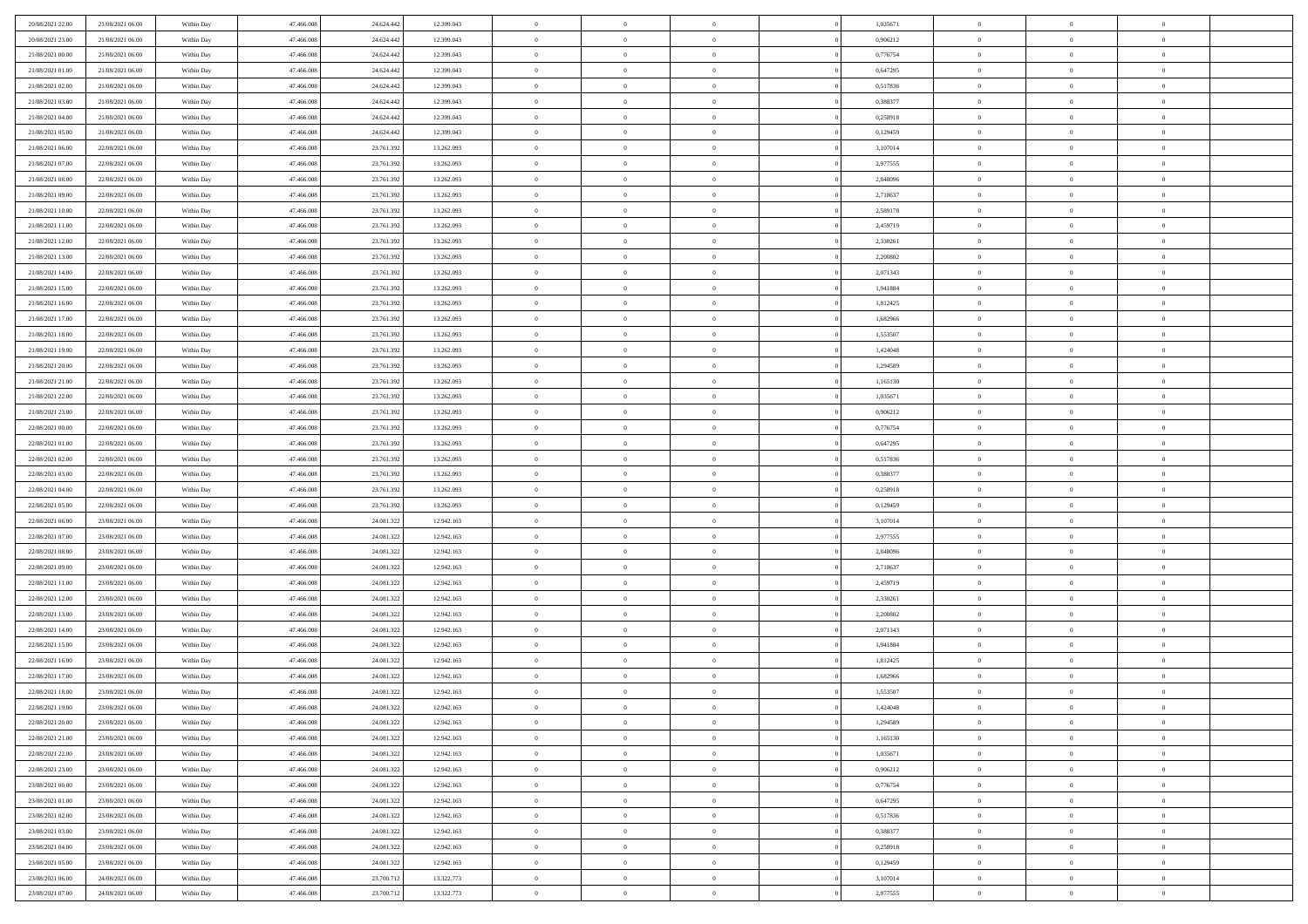| 20/08/2021 22:00 | 21/08/2021 06:00 | Within Day | 47,466,008 | 24.624.442 | 12.399.043 | $\overline{0}$ | $\overline{0}$ | $\Omega$       | 1,035671 | $\bf{0}$       | $\mathbf{0}$   | $\bf{0}$       |  |
|------------------|------------------|------------|------------|------------|------------|----------------|----------------|----------------|----------|----------------|----------------|----------------|--|
| 20/08/2021 23:00 | 21/08/2021 06:00 | Within Day | 47.466.008 | 24.624.442 | 12.399.043 | $\mathbf{0}$   | $\overline{0}$ | $\overline{0}$ | 0,906212 | $\mathbf{0}$   | $\overline{0}$ | $\overline{0}$ |  |
| 21/08/2021 00:00 | 21/08/2021 06:00 | Within Day | 47.466.008 | 24.624.442 | 12.399.043 | $\,$ 0         | $\overline{0}$ | $\bf{0}$       | 0,776754 | $\,$ 0         | $\overline{0}$ | $\,$ 0 $\,$    |  |
| 21/08/2021 01:00 | 21/08/2021 06:00 | Within Day | 47,466,008 | 24.624.442 | 12.399.043 | $\bf{0}$       | $\overline{0}$ | $\Omega$       | 0,647295 | $\bf{0}$       | $\mathbf{0}$   | $\theta$       |  |
| 21/08/2021 02:00 | 21/08/2021 06:00 | Within Day | 47.466.008 | 24.624.442 | 12.399.043 | $\bf{0}$       | $\overline{0}$ | $\overline{0}$ | 0,517836 | $\mathbf{0}$   | $\overline{0}$ | $\overline{0}$ |  |
| 21/08/2021 03:00 | 21/08/2021 06:00 | Within Day | 47.466.008 | 24.624.442 | 12.399.043 | $\bf{0}$       | $\overline{0}$ | $\bf{0}$       | 0,388377 | $\,$ 0         | $\overline{0}$ | $\,$ 0 $\,$    |  |
| 21/08/2021 04:00 | 21/08/2021 06:00 | Within Day | 47,466,008 | 24.624.442 | 12.399.043 | $\bf{0}$       | $\overline{0}$ | $\overline{0}$ | 0,258918 | $\bf{0}$       | $\overline{0}$ | $\theta$       |  |
| 21/08/2021 05:00 | 21/08/2021 06:00 | Within Day | 47.466.008 | 24.624.442 | 12.399.043 | $\overline{0}$ | $\overline{0}$ | $\overline{0}$ | 0,129459 | $\mathbf{0}$   | $\overline{0}$ | $\overline{0}$ |  |
| 21/08/2021 06:00 | 22/08/2021 06:00 | Within Day | 47.466.008 | 23.761.392 | 13.262.093 | $\bf{0}$       | $\overline{0}$ | $\bf{0}$       | 3,107014 | $\,$ 0         | $\overline{0}$ | $\,$ 0 $\,$    |  |
| 21/08/2021 07:00 | 22/08/2021 06:00 | Within Day | 47,466,008 | 23.761.392 | 13.262.093 | $\bf{0}$       | $\overline{0}$ | $\Omega$       | 2,977555 | $\theta$       | $\mathbf{0}$   | $\theta$       |  |
| 21/08/2021 08:00 | 22/08/2021 06:00 | Within Day | 47.466.008 | 23.761.392 | 13.262.093 | $\overline{0}$ | $\overline{0}$ | $\overline{0}$ | 2,848096 | $\mathbf{0}$   | $\overline{0}$ | $\overline{0}$ |  |
| 21/08/2021 09:00 | 22/08/2021 06:00 | Within Day | 47.466.008 | 23.761.392 | 13.262.093 | $\bf{0}$       | $\overline{0}$ | $\bf{0}$       | 2,718637 | $\,$ 0         | $\overline{0}$ | $\,$ 0 $\,$    |  |
| 21/08/2021 10:00 | 22/08/2021 06:00 | Within Day | 47,466,008 | 23.761.392 | 13.262.093 | $\bf{0}$       | $\overline{0}$ | $\Omega$       | 2.589178 | $\bf{0}$       | $\mathbf{0}$   | $\theta$       |  |
| 21/08/2021 11:00 | 22/08/2021 06:00 | Within Day | 47.466.008 | 23.761.392 | 13.262.093 | $\overline{0}$ | $\overline{0}$ | $\overline{0}$ | 2,459719 | $\mathbf{0}$   | $\overline{0}$ | $\overline{0}$ |  |
| 21/08/2021 12:00 | 22/08/2021 06:00 | Within Day | 47.466.008 | 23.761.392 | 13.262.093 | $\bf{0}$       | $\overline{0}$ | $\bf{0}$       | 2,330261 | $\,$ 0         | $\overline{0}$ | $\,$ 0 $\,$    |  |
| 21/08/2021 13:00 | 22/08/2021 06:00 | Within Day | 47,466,008 | 23.761.392 | 13.262.093 | $\bf{0}$       | $\overline{0}$ | $\overline{0}$ | 2,200802 | $\bf{0}$       | $\mathbf{0}$   | $\bf{0}$       |  |
| 21/08/2021 14:00 | 22/08/2021 06:00 | Within Day | 47.466.008 | 23.761.392 | 13.262.093 | $\overline{0}$ | $\overline{0}$ | $\overline{0}$ | 2,071343 | $\mathbf{0}$   | $\overline{0}$ | $\overline{0}$ |  |
| 21/08/2021 15:00 | 22/08/2021 06:00 | Within Day | 47.466.008 | 23.761.392 | 13.262.093 | $\bf{0}$       | $\overline{0}$ | $\bf{0}$       | 1,941884 | $\,$ 0         | $\overline{0}$ | $\,$ 0 $\,$    |  |
| 21/08/2021 16:00 | 22/08/2021 06:00 | Within Day | 47,466,008 | 23,761,392 | 13.262.093 | $\bf{0}$       | $\overline{0}$ | $\Omega$       | 1,812425 | $\theta$       | $\mathbf{0}$   | $\theta$       |  |
| 21/08/2021 17:00 | 22/08/2021 06:00 | Within Day | 47.466.008 | 23.761.392 | 13.262.093 | $\overline{0}$ | $\overline{0}$ | $\overline{0}$ | 1,682966 | $\mathbf{0}$   | $\overline{0}$ | $\overline{0}$ |  |
| 21/08/2021 18:00 | 22/08/2021 06:00 | Within Day | 47.466.008 | 23.761.392 | 13.262.093 | $\bf{0}$       | $\overline{0}$ | $\bf{0}$       | 1,553507 | $\,$ 0         | $\overline{0}$ | $\,$ 0 $\,$    |  |
| 21/08/2021 19:00 | 22/08/2021 06:00 | Within Day | 47.466.008 | 23.761.392 | 13.262.093 | $\bf{0}$       | $\overline{0}$ | $\Omega$       | 1.424048 | $\bf{0}$       | $\mathbf{0}$   | $\theta$       |  |
| 21/08/2021 20:00 | 22/08/2021 06:00 | Within Day | 47.466.008 | 23.761.392 | 13.262.093 | $\overline{0}$ | $\overline{0}$ | $\overline{0}$ | 1,294589 | $\mathbf{0}$   | $\overline{0}$ | $\overline{0}$ |  |
| 21/08/2021 21:00 | 22/08/2021 06:00 | Within Day | 47.466.008 | 23.761.392 | 13.262.093 | $\bf{0}$       | $\overline{0}$ | $\bf{0}$       | 1,165130 | $\,$ 0         | $\overline{0}$ | $\,$ 0 $\,$    |  |
| 21/08/2021 22.00 | 22/08/2021 06:00 | Within Day | 47,466,008 | 23.761.392 | 13.262.093 | $\bf{0}$       | $\overline{0}$ | $\overline{0}$ | 1.035671 | $\bf{0}$       | $\overline{0}$ | $\bf{0}$       |  |
| 21/08/2021 23:00 | 22/08/2021 06:00 | Within Day | 47.466.008 | 23.761.392 | 13.262.093 | $\overline{0}$ | $\overline{0}$ | $\overline{0}$ | 0,906212 | $\mathbf{0}$   | $\overline{0}$ | $\overline{0}$ |  |
| 22/08/2021 00:00 | 22/08/2021 06:00 | Within Day | 47.466.008 | 23.761.392 | 13.262.093 | $\bf{0}$       | $\overline{0}$ | $\bf{0}$       | 0,776754 | $\,$ 0         | $\overline{0}$ | $\,$ 0 $\,$    |  |
| 22/08/2021 01:00 | 22/08/2021 06:00 | Within Day | 47,466,008 | 23,761,392 | 13.262.093 | $\bf{0}$       | $\overline{0}$ | $\Omega$       | 0.647295 | $\theta$       | $\mathbf{0}$   | $\theta$       |  |
| 22/08/2021 02:00 | 22/08/2021 06:00 | Within Day | 47.466.008 | 23.761.392 | 13.262.093 | $\overline{0}$ | $\overline{0}$ | $\overline{0}$ | 0,517836 | $\mathbf{0}$   | $\overline{0}$ | $\overline{0}$ |  |
| 22/08/2021 03:00 | 22/08/2021 06:00 | Within Day | 47.466.008 | 23.761.392 | 13.262.093 | $\bf{0}$       | $\overline{0}$ | $\bf{0}$       | 0,388377 | $\,$ 0         | $\overline{0}$ | $\,$ 0 $\,$    |  |
| 22/08/2021 04:00 | 22/08/2021 06:00 | Within Day | 47.466.008 | 23.761.392 | 13.262.093 | $\,$ 0         | $\bf{0}$       | $\overline{0}$ | 0,258918 | $\bf{0}$       | $\overline{0}$ | $\,0\,$        |  |
| 22/08/2021 05:00 | 22/08/2021 06:00 | Within Day | 47.466.008 | 23.761.392 | 13.262.093 | $\overline{0}$ | $\overline{0}$ | $\overline{0}$ | 0,129459 | $\mathbf{0}$   | $\overline{0}$ | $\overline{0}$ |  |
| 22/08/2021 06:00 | 23/08/2021 06:00 | Within Day | 47.466.008 | 24.081.322 | 12.942.163 | $\bf{0}$       | $\overline{0}$ | $\bf{0}$       | 3,107014 | $\,$ 0         | $\overline{0}$ | $\,$ 0 $\,$    |  |
| 22/08/2021 07:00 | 23/08/2021 06:00 | Within Day | 47.466.008 | 24.081.322 | 12.942.163 | $\bf{0}$       | $\bf{0}$       | $\bf{0}$       | 2,977555 | $\bf{0}$       | $\overline{0}$ | $\,0\,$        |  |
| 22/08/2021 08:00 | 23/08/2021 06:00 | Within Day | 47.466.008 | 24.081.322 | 12.942.163 | $\overline{0}$ | $\overline{0}$ | $\overline{0}$ | 2,848096 | $\mathbf{0}$   | $\overline{0}$ | $\overline{0}$ |  |
| 22/08/2021 09:00 | 23/08/2021 06:00 | Within Day | 47.466.008 | 24.081.322 | 12.942.163 | $\bf{0}$       | $\overline{0}$ | $\bf{0}$       | 2,718637 | $\,$ 0         | $\overline{0}$ | $\,$ 0 $\,$    |  |
| 22/08/2021 11:00 | 23/08/2021 06:00 | Within Day | 47.466.008 | 24.081.322 | 12.942.163 | $\bf{0}$       | $\bf{0}$       | $\overline{0}$ | 2,459719 | $\bf{0}$       | $\overline{0}$ | $\,0\,$        |  |
| 22/08/2021 12:00 | 23/08/2021 06:00 | Within Day | 47.466.008 | 24.081.322 | 12.942.163 | $\overline{0}$ | $\overline{0}$ | $\overline{0}$ | 2,330261 | $\mathbf{0}$   | $\overline{0}$ | $\overline{0}$ |  |
| 22/08/2021 13:00 | 23/08/2021 06:00 | Within Day | 47.466.008 | 24.081.322 | 12.942.163 | $\bf{0}$       | $\overline{0}$ | $\bf{0}$       | 2,200802 | $\,$ 0         | $\overline{0}$ | $\,$ 0 $\,$    |  |
| 22/08/2021 14:00 | 23/08/2021 06:00 | Within Day | 47.466.008 | 24.081.322 | 12.942.163 | $\bf{0}$       | $\overline{0}$ | $\overline{0}$ | 2,071343 | $\bf{0}$       | $\overline{0}$ | $\,0\,$        |  |
| 22/08/2021 15:00 | 23/08/2021 06:00 | Within Day | 47.466.008 | 24.081.322 | 12.942.163 | $\overline{0}$ | $\overline{0}$ | $\overline{0}$ | 1,941884 | $\mathbf{0}$   | $\overline{0}$ | $\overline{0}$ |  |
| 22/08/2021 16:00 | 23/08/2021 06:00 | Within Day | 47.466.008 | 24.081.322 | 12.942.163 | $\bf{0}$       | $\overline{0}$ | $\bf{0}$       | 1,812425 | $\,$ 0         | $\overline{0}$ | $\,$ 0 $\,$    |  |
| 22/08/2021 17:00 | 23/08/2021 06:00 | Within Day | 47.466.008 | 24.081.322 | 12.942.163 | $\bf{0}$       | $\overline{0}$ | $\bf{0}$       | 1,682966 | $\bf{0}$       | $\overline{0}$ | $\,0\,$        |  |
| 22/08/2021 18:00 | 23/08/2021 06:00 | Within Dav | 47.466.008 | 24.081.322 | 12.942.163 | $\mathbf{0}$   | $\overline{0}$ | $\overline{0}$ | 1,553507 | $\mathbf{0}$   | $\overline{0}$ | $\overline{0}$ |  |
| 22/08/2021 19:00 | 23/08/2021 06:00 | Within Day | 47.466.008 | 24.081.322 | 12.942.163 | $\bf{0}$       | $\overline{0}$ | $\theta$       | 1,424048 | $\overline{0}$ | $\theta$       | $\theta$       |  |
| 22/08/2021 20:00 | 23/08/2021 06:00 | Within Day | 47.466.008 | 24.081.322 | 12.942.163 | $\bf{0}$       | $\overline{0}$ | $\bf{0}$       | 1,294589 | $\bf{0}$       | $\overline{0}$ | $\bf{0}$       |  |
| 22/08/2021 21:00 | 23/08/2021 06:00 | Within Day | 47.466.008 | 24.081.322 | 12.942.163 | $\overline{0}$ | $\overline{0}$ | $\overline{0}$ | 1,165130 | $\overline{0}$ | $\overline{0}$ | $\overline{0}$ |  |
| 22/08/2021 22:00 | 23/08/2021 06:00 | Within Day | 47.466.008 | 24.081.322 | 12.942.163 | $\,$ 0 $\,$    | $\overline{0}$ | $\overline{0}$ | 1,035671 | $\,$ 0 $\,$    | $\,$ 0 $\,$    | $\,$ 0 $\,$    |  |
| 22/08/2021 23:00 | 23/08/2021 06:00 | Within Day | 47.466.008 | 24.081.322 | 12.942.163 | $\bf{0}$       | $\bf{0}$       | $\overline{0}$ | 0,906212 | $\bf{0}$       | $\overline{0}$ | $\bf{0}$       |  |
| 23/08/2021 00:00 | 23/08/2021 06:00 | Within Day | 47.466.008 | 24.081.322 | 12.942.163 | $\overline{0}$ | $\overline{0}$ | $\overline{0}$ | 0,776754 | $\overline{0}$ | $\bf{0}$       | $\overline{0}$ |  |
| 23/08/2021 01:00 | 23/08/2021 06:00 | Within Day | 47.466.008 | 24.081.322 | 12.942.163 | $\,$ 0 $\,$    | $\overline{0}$ | $\overline{0}$ | 0,647295 | $\,$ 0 $\,$    | $\overline{0}$ | $\,$ 0 $\,$    |  |
| 23/08/2021 02:00 | 23/08/2021 06:00 | Within Day | 47.466.008 | 24.081.322 | 12.942.163 | $\overline{0}$ | $\overline{0}$ | $\overline{0}$ | 0,517836 | $\bf{0}$       | $\overline{0}$ | $\overline{0}$ |  |
| 23/08/2021 03:00 | 23/08/2021 06:00 | Within Day | 47.466.008 | 24.081.322 | 12.942.163 | $\overline{0}$ | $\overline{0}$ | $\overline{0}$ | 0,388377 | $\overline{0}$ | $\bf{0}$       | $\overline{0}$ |  |
| 23/08/2021 04:00 | 23/08/2021 06:00 | Within Day | 47.466.008 | 24.081.322 | 12.942.163 | $\,$ 0 $\,$    | $\overline{0}$ | $\overline{0}$ | 0,258918 | $\,$ 0 $\,$    | $\,$ 0 $\,$    | $\,$ 0 $\,$    |  |
| 23/08/2021 05:00 | 23/08/2021 06:00 | Within Day | 47.466.008 | 24.081.322 | 12.942.163 | $\bf{0}$       | $\bf{0}$       | $\overline{0}$ | 0,129459 | $\bf{0}$       | $\overline{0}$ | $\bf{0}$       |  |
| 23/08/2021 06:00 | 24/08/2021 06:00 | Within Day | 47.466.008 | 23.700.712 | 13.322.773 | $\bf{0}$       | $\overline{0}$ | $\overline{0}$ | 3,107014 | $\mathbf{0}$   | $\bf{0}$       | $\overline{0}$ |  |
| 23/08/2021 07:00 | 24/08/2021 06:00 | Within Day | 47.466.008 | 23.700.712 | 13.322.773 | $\,0\,$        | $\overline{0}$ | $\overline{0}$ | 2,977555 | $\,$ 0 $\,$    | $\overline{0}$ | $\,$ 0 $\,$    |  |
|                  |                  |            |            |            |            |                |                |                |          |                |                |                |  |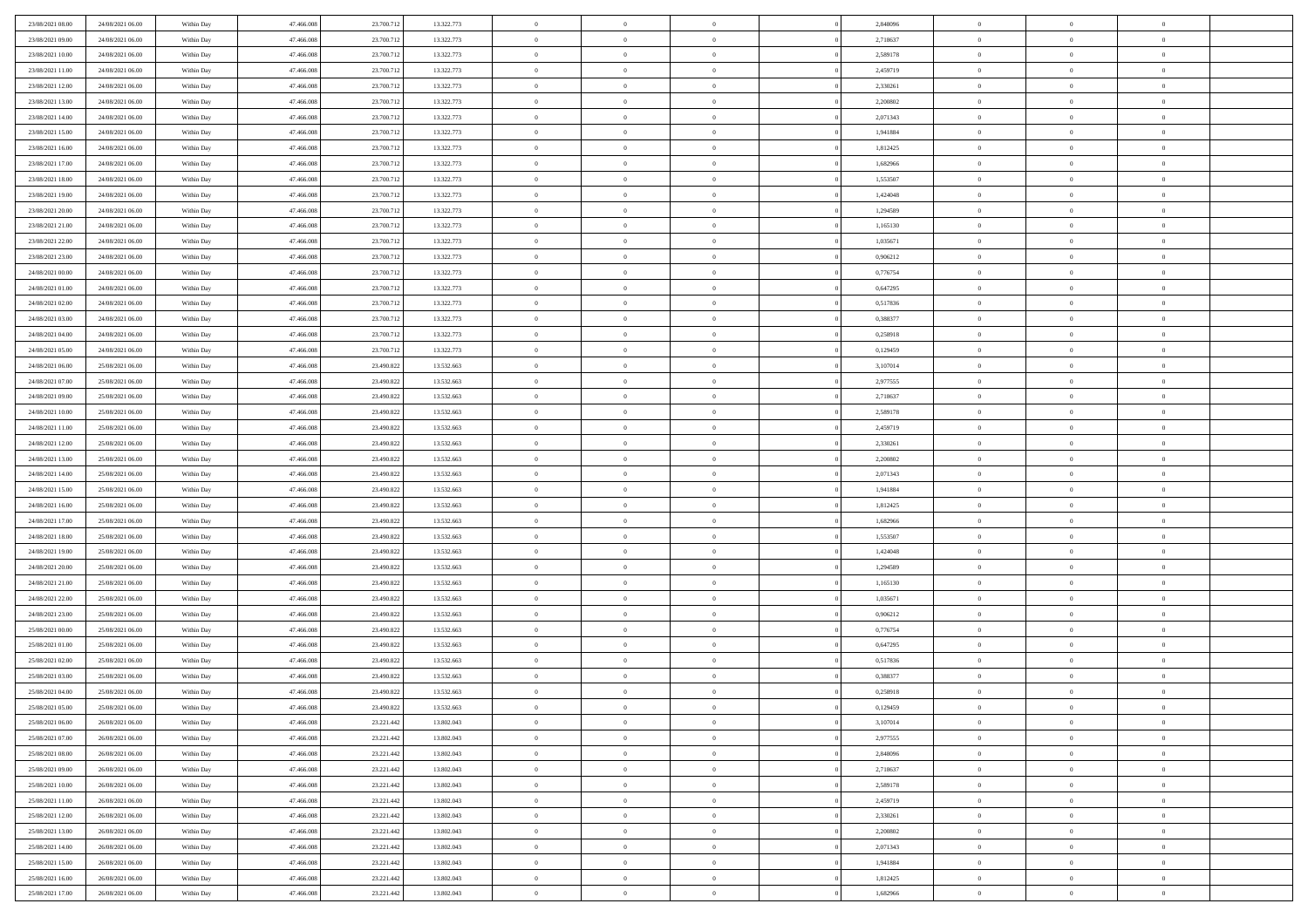| 23/08/2021 08:00                     | 24/08/2021 06:00                     | Within Day               | 47,466,008               | 23.700.712               | 13.322.773               | $\bf{0}$                | $\overline{0}$                   | $\Omega$                         | 2,848096             | $\bf{0}$                 | $\overline{0}$             | $\bf{0}$                  |  |
|--------------------------------------|--------------------------------------|--------------------------|--------------------------|--------------------------|--------------------------|-------------------------|----------------------------------|----------------------------------|----------------------|--------------------------|----------------------------|---------------------------|--|
| 23/08/2021 09:00                     | 24/08/2021 06:00                     | Within Day               | 47.466.008               | 23.700.712               | 13.322.773               | $\theta$                | $\overline{0}$                   | $\overline{0}$                   | 2,718637             | $\mathbf{0}$             | $\bf{0}$                   | $\overline{0}$            |  |
| 23/08/2021 10:00                     | 24/08/2021 06:00                     | Within Day               | 47.466.008               | 23.700.712               | 13.322.773               | $\theta$                | $\overline{0}$                   | $\overline{0}$                   | 2,589178             | $\,$ 0                   | $\overline{0}$             | $\,$ 0 $\,$               |  |
| 23/08/2021 11:00                     | 24/08/2021 06:00                     | Within Day               | 47,466,008               | 23.700.712               | 13.322.773               | $\overline{0}$          | $\overline{0}$                   | $\mathbf{0}$                     | 2,459719             | $\bf{0}$                 | $\mathbf{0}$               | $\theta$                  |  |
| 23/08/2021 12:00                     | 24/08/2021 06:00                     | Within Day               | 47.466.008               | 23.700.712               | 13.322.773               | $\mathbf{0}$            | $\overline{0}$                   | $\overline{0}$                   | 2,330261             | $\mathbf{0}$             | $\bf{0}$                   | $\overline{0}$            |  |
| 23/08/2021 13:00                     | 24/08/2021 06:00                     | Within Day               | 47.466.008               | 23.700.712               | 13.322.773               | $\theta$                | $\overline{0}$                   | $\bf{0}$                         | 2,200802             | $\,$ 0                   | $\overline{0}$             | $\,$ 0 $\,$               |  |
| 23/08/2021 14:00                     | 24/08/2021 06:00                     | Within Day               | 47,466,008               | 23.700.712               | 13.322.773               | $\,$ 0 $\,$             | $\overline{0}$                   | $\Omega$                         | 2,071343             | $\bf{0}$                 | $\overline{0}$             | $\theta$                  |  |
| 23/08/2021 15:00                     | 24/08/2021 06:00                     | Within Day               | 47.466.008               | 23.700.712               | 13.322.773               | $\overline{0}$          | $\overline{0}$                   | $\overline{0}$                   | 1,941884             | $\mathbf{0}$             | $\bf{0}$                   | $\overline{0}$            |  |
| 23/08/2021 16:00                     | 24/08/2021 06:00                     | Within Day               | 47.466.008               | 23.700.712               | 13.322.773               | $\theta$                | $\overline{0}$                   | $\bf{0}$                         | 1,812425             | $\,$ 0                   | $\overline{0}$             | $\,$ 0 $\,$               |  |
| 23/08/2021 17:00                     | 24/08/2021 06:00                     | Within Day               | 47,466,008               | 23.700.712               | 13.322.773               | $\mathbf{0}$            | $\overline{0}$                   | $\mathbf{0}$                     | 1.682966             | $\bf{0}$                 | $\mathbf{0}$               | $\theta$                  |  |
| 23/08/2021 18:00                     | 24/08/2021 06:00                     | Within Dav               | 47.466.008               | 23.700.712               | 13.322.773               | $\mathbf{0}$            | $\overline{0}$                   | $\overline{0}$                   | 1,553507             | $\mathbf{0}$             | $\bf{0}$                   | $\overline{0}$            |  |
| 23/08/2021 19:00                     | 24/08/2021 06:00                     | Within Day               | 47.466.008               | 23.700.712               | 13.322.773               | $\theta$                | $\overline{0}$                   | $\bf{0}$                         | 1,424048             | $\,$ 0                   | $\overline{0}$             | $\,$ 0 $\,$               |  |
| 23/08/2021 20:00                     | 24/08/2021 06:00                     | Within Day               | 47,466,008               | 23.700.712               | 13.322.773               | $\theta$                | $\overline{0}$                   | $\mathbf{0}$                     | 1,294589             | $\bf{0}$                 | $\theta$                   | $\theta$                  |  |
| 23/08/2021 21:00                     | 24/08/2021 06:00                     | Within Dav               | 47.466.008               | 23.700.712               | 13.322.773               | $\overline{0}$          | $\overline{0}$                   | $\overline{0}$                   | 1,165130             | $\mathbf{0}$             | $\bf{0}$                   | $\overline{0}$            |  |
| 23/08/2021 22:00                     | 24/08/2021 06:00                     | Within Day               | 47.466.008               | 23.700.712               | 13.322.773               | $\theta$                | $\overline{0}$                   | $\overline{0}$                   | 1,035671             | $\,$ 0                   | $\overline{0}$             | $\,$ 0 $\,$               |  |
| 23/08/2021 23:00                     | 24/08/2021 06:00                     | Within Day               | 47,466,008               | 23.700.712               | 13.322.773               | $\bf{0}$                | $\overline{0}$                   | $\mathbf{0}$                     | 0,906212             | $\bf{0}$                 | $\mathbf{0}$               | $\bf{0}$                  |  |
| 24/08/2021 00:00                     | 24/08/2021 06:00                     | Within Dav               | 47.466.008               | 23.700.712               | 13.322.773               | $\overline{0}$          | $\overline{0}$                   | $\overline{0}$                   | 0,776754             | $\mathbf{0}$             | $\bf{0}$                   | $\overline{0}$            |  |
| 24/08/2021 01:00                     | 24/08/2021 06:00                     | Within Day               | 47.466.008               | 23.700.712               | 13.322.773               | $\theta$                | $\overline{0}$                   | $\bf{0}$                         | 0,647295             | $\,$ 0                   | $\overline{0}$             | $\,$ 0 $\,$               |  |
| 24/08/2021 02:00                     | 24/08/2021 06:00                     | Within Day               | 47.466.008               | 23.700.712               | 13.322.773               | $\mathbf{0}$            | $\overline{0}$                   | $\mathbf{0}$                     | 0,517836             | $\theta$                 | $\mathbf{0}$               | $\theta$                  |  |
| 24/08/2021 03:00                     | 24/08/2021 06:00                     | Within Dav               | 47.466.008               | 23.700.712               | 13.322.773               | $\overline{0}$          | $\overline{0}$                   | $\overline{0}$                   | 0,388377             | $\mathbf{0}$             | $\bf{0}$                   | $\overline{0}$            |  |
| 24/08/2021 04:00                     | 24/08/2021 06:00                     | Within Day               | 47.466.008               | 23.700.712               | 13.322.773               | $\theta$                | $\overline{0}$                   | $\bf{0}$                         | 0,258918             | $\,$ 0                   | $\overline{0}$             | $\,$ 0 $\,$               |  |
| 24/08/2021 05:00                     | 24/08/2021 06:00                     | Within Day               | 47,466,008               | 23.700.712               | 13.322.773               | $\mathbf{0}$            | $\overline{0}$                   | $\mathbf{0}$                     | 0,129459             | $\bf{0}$                 | $\mathbf{0}$               | $\theta$                  |  |
| 24/08/2021 06:00                     | 25/08/2021 06:00                     | Within Dav               | 47.466.008               | 23.490.822               | 13.532.663               | $\overline{0}$          | $\overline{0}$                   | $\overline{0}$                   | 3,107014             | $\mathbf{0}$             | $\bf{0}$                   | $\overline{0}$            |  |
| 24/08/2021 07:00                     | 25/08/2021 06:00                     | Within Day               | 47.466.008               | 23.490.822               | 13.532.663               | $\theta$                | $\overline{0}$                   | $\bf{0}$                         | 2,977555             | $\,$ 0                   | $\overline{0}$             | $\,$ 0 $\,$               |  |
| 24/08/2021 09:00                     | 25/08/2021 06:00                     | Within Day               | 47,466,008               | 23.490.822               | 13.532.663               | $\bf{0}$                | $\overline{0}$                   | $\mathbf{0}$                     | 2,718637             | $\bf{0}$                 | $\overline{0}$             | $\bf{0}$                  |  |
| 24/08/2021 10:00                     | 25/08/2021 06:00                     | Within Dav               | 47.466.008               | 23.490.822               | 13.532.663               | $\overline{0}$          | $\overline{0}$                   | $\overline{0}$                   | 2,589178             | $\mathbf{0}$             | $\bf{0}$                   | $\overline{0}$            |  |
| 24/08/2021 11:00                     | 25/08/2021 06:00                     | Within Day               | 47.466.008               | 23.490.822               | 13.532.663               | $\theta$                | $\overline{0}$                   | $\overline{0}$                   | 2,459719             | $\,$ 0                   | $\overline{0}$             | $\,$ 0 $\,$               |  |
| 24/08/2021 12:00                     | 25/08/2021 06:00                     | Within Day               | 47,466,008               | 23,490,822               | 13.532.663               | $\mathbf{0}$            | $\overline{0}$                   | $\mathbf{0}$                     | 2.330261             | $\bf{0}$                 | $\mathbf{0}$               | $\theta$                  |  |
| 24/08/2021 13:00                     | 25/08/2021 06:00                     | Within Dav               | 47.466.008               | 23.490.822               | 13.532.663               | $\mathbf{0}$            | $\overline{0}$                   | $\overline{0}$                   | 2,200802             | $\mathbf{0}$             | $\bf{0}$                   | $\overline{0}$            |  |
| 24/08/2021 14:00                     | 25/08/2021 06:00                     | Within Day               | 47.466.008               | 23.490.822               | 13.532.663               | $\theta$                | $\overline{0}$                   | $\bf{0}$                         | 2,071343             | $\,$ 0                   | $\overline{0}$             | $\,$ 0 $\,$               |  |
| 24/08/2021 15:00                     | 25/08/2021 06:00                     | Within Day               | 47.466.008               | 23.490.822               | 13.532.663               | $\bf{0}$                | $\overline{0}$                   | $\overline{0}$                   | 1,941884             | $\bf{0}$                 | $\overline{0}$             | $\,0\,$                   |  |
| 24/08/2021 16:00                     | 25/08/2021 06:00                     | Within Dav               | 47.466.008               | 23.490.822               | 13.532.663               | $\overline{0}$          | $\overline{0}$                   | $\overline{0}$                   | 1,812425             | $\mathbf{0}$             | $\bf{0}$                   | $\overline{0}$            |  |
| 24/08/2021 17:00                     | 25/08/2021 06:00                     | Within Day               | 47.466.008               | 23.490.822               | 13.532.663               | $\theta$                | $\overline{0}$                   | $\overline{0}$                   | 1,682966             | $\,$ 0                   | $\overline{0}$             | $\,$ 0 $\,$               |  |
| 24/08/2021 18:00<br>24/08/2021 19:00 | 25/08/2021 06:00<br>25/08/2021 06:00 | Within Day<br>Within Dav | 47.466.008<br>47.466.008 | 23.490.822<br>23.490.822 | 13.532.663<br>13.532.663 | $\,$ 0 $\,$<br>$\theta$ | $\overline{0}$<br>$\overline{0}$ | $\overline{0}$<br>$\overline{0}$ | 1,553507<br>1,424048 | $\bf{0}$<br>$\mathbf{0}$ | $\overline{0}$<br>$\bf{0}$ | $\,0\,$<br>$\overline{0}$ |  |
| 24/08/2021 20:00                     | 25/08/2021 06:00                     | Within Day               | 47.466.008               | 23.490.822               | 13.532.663               | $\theta$                | $\overline{0}$                   | $\bf{0}$                         | 1,294589             | $\,$ 0                   | $\overline{0}$             | $\,$ 0 $\,$               |  |
| 24/08/2021 21:00                     | 25/08/2021 06:00                     | Within Day               | 47.466.008               | 23.490.822               | 13.532.663               | $\,$ 0 $\,$             | $\overline{0}$                   | $\overline{0}$                   | 1,165130             | $\bf{0}$                 | $\overline{0}$             | $\,0\,$                   |  |
| 24/08/2021 22:00                     | 25/08/2021 06:00                     | Within Dav               | 47.466.008               | 23.490.822               | 13.532.663               | $\overline{0}$          | $\overline{0}$                   | $\overline{0}$                   | 1,035671             | $\mathbf{0}$             | $\bf{0}$                   | $\overline{0}$            |  |
| 24/08/2021 23:00                     | 25/08/2021 06:00                     | Within Day               | 47.466.008               | 23.490.822               | 13.532.663               | $\theta$                | $\overline{0}$                   | $\bf{0}$                         | 0,906212             | $\,$ 0                   | $\overline{0}$             | $\,$ 0 $\,$               |  |
| 25/08/2021 00:00                     | 25/08/2021 06:00                     | Within Day               | 47.466.008               | 23.490.822               | 13.532.663               | $\,$ 0 $\,$             | $\overline{0}$                   | $\overline{0}$                   | 0,776754             | $\bf{0}$                 | $\overline{0}$             | $\,0\,$                   |  |
| 25/08/2021 01:00                     | 25/08/2021 06:00                     | Within Dav               | 47.466.008               | 23.490.822               | 13.532.663               | $\theta$                | $\overline{0}$                   | $\overline{0}$                   | 0,647295             | $\mathbf{0}$             | $\bf{0}$                   | $\overline{0}$            |  |
| 25/08/2021 02:00                     | 25/08/2021 06:00                     | Within Day               | 47.466.008               | 23.490.822               | 13.532.663               | $\theta$                | $\overline{0}$                   | $\bf{0}$                         | 0,517836             | $\,$ 0                   | $\overline{0}$             | $\,$ 0 $\,$               |  |
| 25/08/2021 03:00                     | 25/08/2021 06:00                     | Within Day               | 47.466.008               | 23.490.822               | 13.532.663               | $\,$ 0 $\,$             | $\overline{0}$                   | $\overline{0}$                   | 0,388377             | $\bf{0}$                 | $\overline{0}$             | $\,0\,$                   |  |
| 25/08/2021 04:00                     | 25/08/2021 06:00                     | Within Dav               | 47.466.008               | 23.490.822               | 13.532.663               | $\theta$                | $\overline{0}$                   | $\overline{0}$                   | 0,258918             | $\mathbf{0}$             | $\bf{0}$                   | $\overline{0}$            |  |
| 25/08/2021 05:00                     | 25/08/2021 06:00                     | Within Day               | 47.466.008               | 23.490.822               | 13.532.663               | $\overline{0}$          | $\overline{0}$                   | $\overline{0}$                   | 0,129459             | $\overline{0}$           | $\overline{0}$             | $\theta$                  |  |
| 25/08/2021 06:00                     | 26/08/2021 06:00                     | Within Day               | 47.466.008               | 23.221.442               | 13.802.043               | $\bf{0}$                | $\overline{0}$                   | $\overline{0}$                   | 3,107014             | $\bf{0}$                 | $\overline{0}$             | $\bf{0}$                  |  |
| 25/08/2021 07:00                     | 26/08/2021 06:00                     | Within Day               | 47.466.008               | 23.221.442               | 13.802.043               | $\overline{0}$          | $\overline{0}$                   | $\overline{0}$                   | 2,977555             | $\overline{0}$           | $\overline{0}$             | $\overline{0}$            |  |
| 25/08/2021 08:00                     | 26/08/2021 06:00                     | Within Day               | 47.466.008               | 23.221.442               | 13.802.043               | $\,$ 0 $\,$             | $\overline{0}$                   | $\overline{0}$                   | 2,848096             | $\,$ 0 $\,$              | $\,$ 0 $\,$                | $\,$ 0 $\,$               |  |
| 25/08/2021 09:00                     | 26/08/2021 06:00                     | Within Day               | 47.466.008               | 23.221.442               | 13.802.043               | $\bf{0}$                | $\overline{0}$                   | $\overline{0}$                   | 2,718637             | $\mathbf{0}$             | $\overline{0}$             | $\bf{0}$                  |  |
| 25/08/2021 10:00                     | 26/08/2021 06:00                     | Within Day               | 47.466.008               | 23.221.442               | 13.802.043               | $\,$ 0 $\,$             | $\overline{0}$                   | $\overline{0}$                   | 2,589178             | $\,$ 0 $\,$              | $\bf{0}$                   | $\overline{0}$            |  |
| 25/08/2021 11:00                     | 26/08/2021 06:00                     | Within Day               | 47.466.008               | 23.221.442               | 13.802.043               | $\,$ 0                  | $\overline{0}$                   | $\overline{0}$                   | 2,459719             | $\,$ 0 $\,$              | $\overline{0}$             | $\,$ 0 $\,$               |  |
| 25/08/2021 12:00                     | 26/08/2021 06:00                     | Within Day               | 47.466.008               | 23.221.442               | 13.802.043               | $\bf{0}$                | $\overline{0}$                   | $\overline{0}$                   | 2,330261             | $\overline{0}$           | $\overline{0}$             | $\overline{0}$            |  |
| 25/08/2021 13:00                     | 26/08/2021 06:00                     | Within Day               | 47.466.008               | 23.221.442               | 13.802.043               | $\,$ 0 $\,$             | $\overline{0}$                   | $\overline{0}$                   | 2,200802             | $\,$ 0 $\,$              | $\bf{0}$                   | $\mathbf{0}$              |  |
| 25/08/2021 14:00                     | 26/08/2021 06:00                     | Within Day               | 47.466.008               | 23.221.442               | 13.802.043               | $\,$ 0                  | $\overline{0}$                   | $\overline{0}$                   | 2,071343             | $\,$ 0 $\,$              | $\,$ 0 $\,$                | $\,$ 0 $\,$               |  |
| 25/08/2021 15:00                     | 26/08/2021 06:00                     | Within Day               | 47.466.008               | 23.221.442               | 13.802.043               | $\bf{0}$                | $\overline{0}$                   | $\overline{0}$                   | 1,941884             | $\mathbf{0}$             | $\overline{0}$             | $\bf{0}$                  |  |
| 25/08/2021 16:00                     | 26/08/2021 06:00                     | Within Day               | 47.466.008               | 23.221.442               | 13.802.043               | $\mathbf{0}$            | $\overline{0}$                   | $\overline{0}$                   | 1,812425             | $\overline{0}$           | $\bf{0}$                   | $\overline{0}$            |  |
| 25/08/2021 17:00                     | 26/08/2021 06:00                     | Within Day               | 47.466.008               | 23.221.442               | 13.802.043               | $\,$ 0 $\,$             | $\overline{0}$                   | $\overline{0}$                   | 1,682966             | $\,$ 0 $\,$              | $\overline{0}$             | $\,$ 0 $\,$               |  |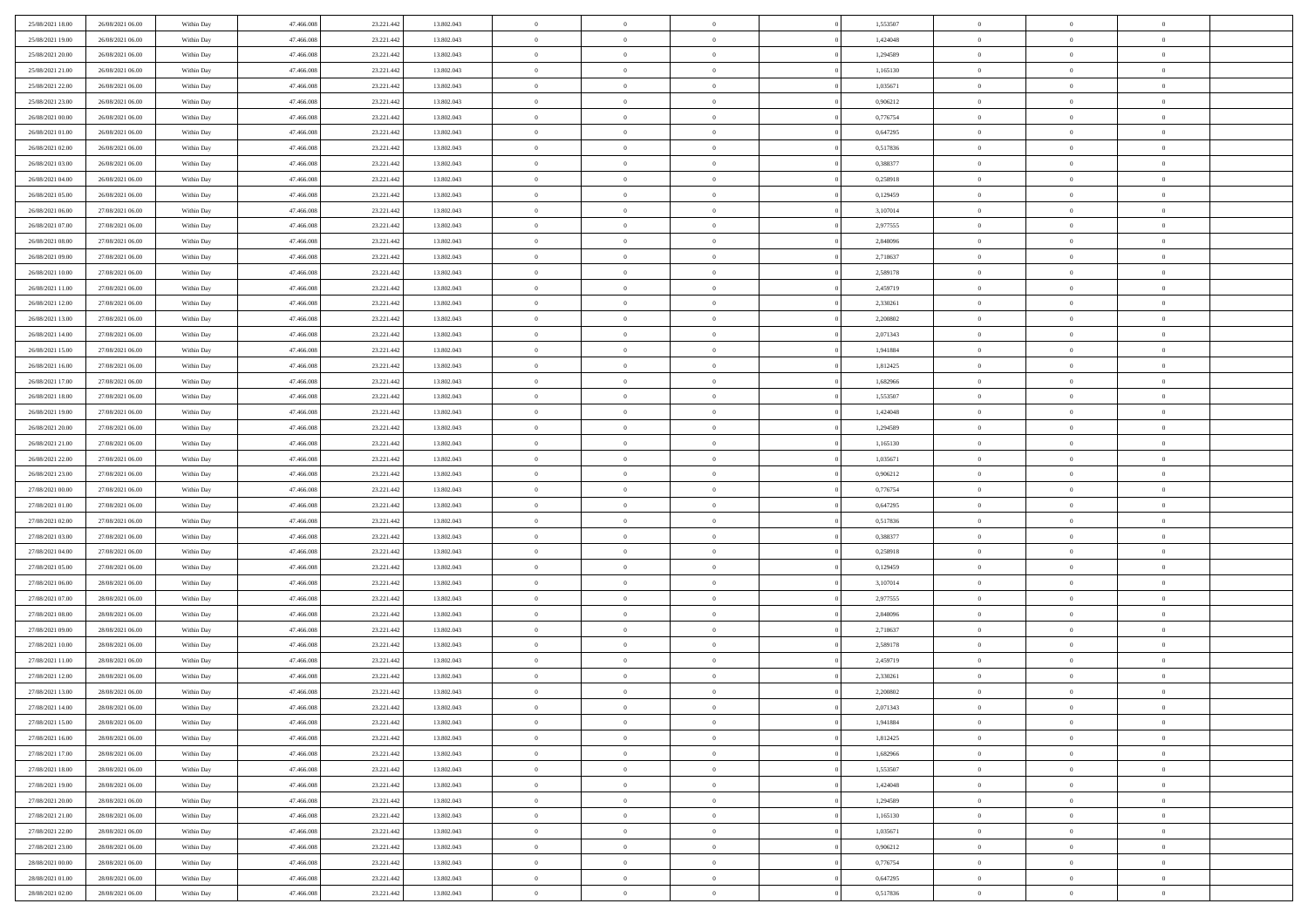| 25/08/2021 18:00 | 26/08/2021 06:00 | Within Day | 47,466,008 | 23.221.442 | 13.802.043 | $\overline{0}$ | $\overline{0}$ | $\Omega$       | 1,553507 | $\bf{0}$       | $\mathbf{0}$   | $\bf{0}$       |  |
|------------------|------------------|------------|------------|------------|------------|----------------|----------------|----------------|----------|----------------|----------------|----------------|--|
| 25/08/2021 19:00 | 26/08/2021 06:00 | Within Day | 47.466.008 | 23.221.442 | 13.802.043 | $\mathbf{0}$   | $\overline{0}$ | $\overline{0}$ | 1,424048 | $\overline{0}$ | $\overline{0}$ | $\overline{0}$ |  |
| 25/08/2021 20:00 | 26/08/2021 06:00 | Within Day | 47.466.008 | 23.221.442 | 13.802.043 | $\,$ 0         | $\overline{0}$ | $\bf{0}$       | 1,294589 | $\,$ 0         | $\overline{0}$ | $\,$ 0 $\,$    |  |
| 25/08/2021 21:00 | 26/08/2021 06:00 | Within Day | 47,466,008 | 23.221.442 | 13.802.043 | $\bf{0}$       | $\overline{0}$ | $\Omega$       | 1,165130 | $\bf{0}$       | $\mathbf{0}$   | $\theta$       |  |
| 25/08/2021 22:00 | 26/08/2021 06:00 | Within Day | 47.466.008 | 23.221.442 | 13.802.043 | $\bf{0}$       | $\overline{0}$ | $\overline{0}$ | 1,035671 | $\mathbf{0}$   | $\overline{0}$ | $\overline{0}$ |  |
| 25/08/2021 23:00 | 26/08/2021 06:00 | Within Day | 47.466.008 | 23.221.442 | 13.802.043 | $\bf{0}$       | $\overline{0}$ | $\bf{0}$       | 0,906212 | $\,$ 0         | $\overline{0}$ | $\,$ 0 $\,$    |  |
| 26/08/2021 00:00 | 26/08/2021 06:00 | Within Day | 47,466,008 | 23.221.442 | 13.802.043 | $\bf{0}$       | $\overline{0}$ | $\overline{0}$ | 0,776754 | $\bf{0}$       | $\bf{0}$       | $\theta$       |  |
| 26/08/2021 01:00 | 26/08/2021 06:00 | Within Day | 47.466.008 | 23.221.442 | 13.802.043 | $\overline{0}$ | $\overline{0}$ | $\overline{0}$ | 0,647295 | $\mathbf{0}$   | $\overline{0}$ | $\overline{0}$ |  |
| 26/08/2021 02:00 | 26/08/2021 06:00 | Within Day | 47.466.008 | 23.221.442 | 13.802.043 | $\bf{0}$       | $\overline{0}$ | $\bf{0}$       | 0,517836 | $\,$ 0         | $\overline{0}$ | $\,$ 0 $\,$    |  |
| 26/08/2021 03:00 | 26/08/2021 06:00 | Within Day | 47,466,008 | 23.221.442 | 13,802,043 | $\bf{0}$       | $\overline{0}$ | $\Omega$       | 0.388377 | $\theta$       | $\mathbf{0}$   | $\theta$       |  |
| 26/08/2021 04:00 | 26/08/2021 06:00 | Within Day | 47.466.008 | 23.221.442 | 13.802.043 | $\overline{0}$ | $\overline{0}$ | $\overline{0}$ | 0,258918 | $\mathbf{0}$   | $\overline{0}$ | $\overline{0}$ |  |
| 26/08/2021 05:00 | 26/08/2021 06:00 | Within Day | 47.466.008 | 23.221.442 | 13.802.043 | $\bf{0}$       | $\overline{0}$ | $\bf{0}$       | 0,129459 | $\,$ 0         | $\overline{0}$ | $\,$ 0 $\,$    |  |
| 26/08/2021 06:00 | 27/08/2021 06:00 | Within Day | 47,466,008 | 23.221.442 | 13.802.043 | $\bf{0}$       | $\overline{0}$ | $\Omega$       | 3,107014 | $\bf{0}$       | $\mathbf{0}$   | $\theta$       |  |
| 26/08/2021 07:00 | 27/08/2021 06:00 | Within Day | 47.466.008 | 23.221.442 | 13.802.043 | $\overline{0}$ | $\overline{0}$ | $\overline{0}$ | 2,977555 | $\mathbf{0}$   | $\overline{0}$ | $\overline{0}$ |  |
| 26/08/2021 08:00 | 27/08/2021 06:00 | Within Day | 47.466.008 | 23.221.442 | 13.802.043 | $\bf{0}$       | $\overline{0}$ | $\bf{0}$       | 2,848096 | $\,$ 0         | $\overline{0}$ | $\,$ 0 $\,$    |  |
| 26/08/2021 09:00 | 27/08/2021 06:00 | Within Day | 47,466,008 | 23.221.442 | 13.802.043 | $\bf{0}$       | $\overline{0}$ | $\overline{0}$ | 2,718637 | $\bf{0}$       | $\mathbf{0}$   | $\bf{0}$       |  |
| 26/08/2021 10:00 | 27/08/2021 06:00 | Within Day | 47.466.008 | 23.221.442 | 13.802.043 | $\overline{0}$ | $\overline{0}$ | $\overline{0}$ | 2,589178 | $\mathbf{0}$   | $\overline{0}$ | $\overline{0}$ |  |
| 26/08/2021 11:00 | 27/08/2021 06:00 | Within Day | 47.466.008 | 23.221.442 | 13.802.043 | $\bf{0}$       | $\overline{0}$ | $\bf{0}$       | 2,459719 | $\,$ 0         | $\overline{0}$ | $\,$ 0 $\,$    |  |
| 26/08/2021 12:00 | 27/08/2021 06:00 | Within Day | 47,466,008 | 23.221.442 | 13,802,043 | $\bf{0}$       | $\overline{0}$ | $\Omega$       | 2.330261 | $\theta$       | $\mathbf{0}$   | $\theta$       |  |
| 26/08/2021 13:00 | 27/08/2021 06:00 | Within Day | 47.466.008 | 23.221.442 | 13.802.043 | $\overline{0}$ | $\overline{0}$ | $\overline{0}$ | 2,200802 | $\mathbf{0}$   | $\overline{0}$ | $\overline{0}$ |  |
| 26/08/2021 14:00 | 27/08/2021 06:00 | Within Day | 47.466.008 | 23.221.442 | 13.802.043 | $\bf{0}$       | $\overline{0}$ | $\bf{0}$       | 2,071343 | $\,$ 0         | $\overline{0}$ | $\,$ 0 $\,$    |  |
| 26/08/2021 15:00 | 27/08/2021 06:00 | Within Day | 47.466.008 | 23.221.442 | 13.802.043 | $\bf{0}$       | $\overline{0}$ | $\Omega$       | 1.941884 | $\bf{0}$       | $\mathbf{0}$   | $\theta$       |  |
| 26/08/2021 16:00 | 27/08/2021 06:00 | Within Day | 47.466.008 | 23.221.442 | 13.802.043 | $\overline{0}$ | $\overline{0}$ | $\overline{0}$ | 1,812425 | $\mathbf{0}$   | $\overline{0}$ | $\overline{0}$ |  |
| 26/08/2021 17:00 | 27/08/2021 06:00 | Within Day | 47.466.008 | 23.221.442 | 13.802.043 | $\bf{0}$       | $\overline{0}$ | $\bf{0}$       | 1,682966 | $\,$ 0         | $\overline{0}$ | $\,$ 0 $\,$    |  |
| 26/08/2021 18:00 | 27/08/2021 06:00 | Within Day | 47,466,008 | 23.221.442 | 13.802.043 | $\bf{0}$       | $\overline{0}$ | $\overline{0}$ | 1,553507 | $\bf{0}$       | $\bf{0}$       | $\bf{0}$       |  |
| 26/08/2021 19:00 | 27/08/2021 06:00 | Within Day | 47.466.008 | 23.221.442 | 13.802.043 | $\overline{0}$ | $\overline{0}$ | $\overline{0}$ | 1,424048 | $\mathbf{0}$   | $\overline{0}$ | $\overline{0}$ |  |
| 26/08/2021 20:00 | 27/08/2021 06:00 | Within Day | 47.466.008 | 23.221.442 | 13.802.043 | $\bf{0}$       | $\overline{0}$ | $\bf{0}$       | 1,294589 | $\,$ 0         | $\overline{0}$ | $\,$ 0 $\,$    |  |
| 26/08/2021 21:00 | 27/08/2021 06:00 | Within Day | 47,466,008 | 23.221.442 | 13,802,043 | $\bf{0}$       | $\overline{0}$ | $\Omega$       | 1.165130 | $\theta$       | $\mathbf{0}$   | $\theta$       |  |
| 26/08/2021 22:00 | 27/08/2021 06:00 | Within Day | 47.466.008 | 23.221.442 | 13.802.043 | $\overline{0}$ | $\overline{0}$ | $\overline{0}$ | 1,035671 | $\mathbf{0}$   | $\overline{0}$ | $\overline{0}$ |  |
| 26/08/2021 23:00 | 27/08/2021 06:00 | Within Day | 47.466.008 | 23.221.442 | 13.802.043 | $\bf{0}$       | $\overline{0}$ | $\bf{0}$       | 0,906212 | $\,$ 0         | $\overline{0}$ | $\,$ 0 $\,$    |  |
| 27/08/2021 00:00 | 27/08/2021 06:00 | Within Day | 47.466.008 | 23.221.442 | 13.802.043 | $\,$ 0         | $\overline{0}$ | $\overline{0}$ | 0,776754 | $\bf{0}$       | $\overline{0}$ | $\,0\,$        |  |
| 27/08/2021 01:00 | 27/08/2021 06:00 | Within Day | 47.466.008 | 23.221.442 | 13.802.043 | $\overline{0}$ | $\overline{0}$ | $\overline{0}$ | 0,647295 | $\mathbf{0}$   | $\overline{0}$ | $\overline{0}$ |  |
| 27/08/2021 02:00 | 27/08/2021 06:00 | Within Day | 47.466.008 | 23.221.442 | 13.802.043 | $\bf{0}$       | $\overline{0}$ | $\bf{0}$       | 0,517836 | $\,$ 0         | $\overline{0}$ | $\,$ 0 $\,$    |  |
| 27/08/2021 03:00 | 27/08/2021 06:00 | Within Day | 47.466.008 | 23.221.442 | 13.802.043 | $\bf{0}$       | $\bf{0}$       | $\bf{0}$       | 0,388377 | $\bf{0}$       | $\overline{0}$ | $\,0\,$        |  |
| 27/08/2021 04:00 | 27/08/2021 06:00 | Within Day | 47.466.008 | 23.221.442 | 13.802.043 | $\overline{0}$ | $\overline{0}$ | $\overline{0}$ | 0,258918 | $\mathbf{0}$   | $\overline{0}$ | $\overline{0}$ |  |
| 27/08/2021 05:00 | 27/08/2021 06:00 | Within Day | 47.466.008 | 23.221.442 | 13.802.043 | $\bf{0}$       | $\overline{0}$ | $\bf{0}$       | 0,129459 | $\,$ 0         | $\overline{0}$ | $\,$ 0 $\,$    |  |
| 27/08/2021 06:00 | 28/08/2021 06:00 | Within Day | 47.466.008 | 23.221.442 | 13.802.043 | $\bf{0}$       | $\bf{0}$       | $\overline{0}$ | 3,107014 | $\bf{0}$       | $\overline{0}$ | $\,0\,$        |  |
| 27/08/2021 07:00 | 28/08/2021 06:00 | Within Day | 47.466.008 | 23.221.442 | 13.802.043 | $\overline{0}$ | $\overline{0}$ | $\overline{0}$ | 2,977555 | $\mathbf{0}$   | $\overline{0}$ | $\overline{0}$ |  |
| 27/08/2021 08:00 | 28/08/2021 06:00 | Within Day | 47.466.008 | 23.221.442 | 13.802.043 | $\bf{0}$       | $\overline{0}$ | $\bf{0}$       | 2,848096 | $\,$ 0         | $\overline{0}$ | $\,$ 0 $\,$    |  |
| 27/08/2021 09:00 | 28/08/2021 06:00 | Within Day | 47.466.008 | 23.221.442 | 13.802.043 | $\bf{0}$       | $\bf{0}$       | $\overline{0}$ | 2,718637 | $\bf{0}$       | $\overline{0}$ | $\,0\,$        |  |
| 27/08/2021 10:00 | 28/08/2021 06:00 | Within Day | 47.466.008 | 23.221.442 | 13.802.043 | $\overline{0}$ | $\overline{0}$ | $\overline{0}$ | 2,589178 | $\mathbf{0}$   | $\overline{0}$ | $\overline{0}$ |  |
| 27/08/2021 11:00 | 28/08/2021 06:00 | Within Day | 47.466.008 | 23.221.442 | 13.802.043 | $\bf{0}$       | $\overline{0}$ | $\bf{0}$       | 2,459719 | $\,$ 0         | $\overline{0}$ | $\,$ 0 $\,$    |  |
| 27/08/2021 12:00 | 28/08/2021 06:00 | Within Day | 47.466.008 | 23.221.442 | 13.802.043 | $\bf{0}$       | $\bf{0}$       | $\bf{0}$       | 2,330261 | $\bf{0}$       | $\overline{0}$ | $\,0\,$        |  |
| 27/08/2021 13:00 | 28/08/2021 06:00 | Within Dav | 47.466.008 | 23.221.442 | 13.802.043 | $\mathbf{0}$   | $\overline{0}$ | $\overline{0}$ | 2,200802 | $\mathbf{0}$   | $\overline{0}$ | $\overline{0}$ |  |
| 27/08/2021 14:00 | 28/08/2021 06:00 | Within Day | 47.466.008 | 23.221.442 | 13.802.043 | $\bf{0}$       | $\overline{0}$ | $\theta$       | 2,071343 | $\overline{0}$ | $\overline{0}$ | $\theta$       |  |
| 27/08/2021 15:00 | 28/08/2021 06:00 | Within Day | 47.466.008 | 23.221.442 | 13.802.043 | $\bf{0}$       | $\bf{0}$       | $\bf{0}$       | 1,941884 | $\bf{0}$       | $\overline{0}$ | $\bf{0}$       |  |
| 27/08/2021 16:00 | 28/08/2021 06:00 | Within Day | 47.466.008 | 23.221.442 | 13.802.043 | $\overline{0}$ | $\overline{0}$ | $\overline{0}$ | 1,812425 | $\overline{0}$ | $\bf{0}$       | $\overline{0}$ |  |
| 27/08/2021 17:00 | 28/08/2021 06:00 | Within Day | 47.466.008 | 23.221.442 | 13.802.043 | $\,$ 0 $\,$    | $\overline{0}$ | $\overline{0}$ | 1,682966 | $\mathbf{0}$   | $\,$ 0 $\,$    | $\,$ 0 $\,$    |  |
| 27/08/2021 18:00 | 28/08/2021 06:00 | Within Day | 47.466.008 | 23.221.442 | 13.802.043 | $\bf{0}$       | $\bf{0}$       | $\overline{0}$ | 1,553507 | $\bf{0}$       | $\overline{0}$ | $\bf{0}$       |  |
| 27/08/2021 19:00 | 28/08/2021 06:00 | Within Day | 47.466.008 | 23.221.442 | 13.802.043 | $\bf{0}$       | $\overline{0}$ | $\overline{0}$ | 1,424048 | $\overline{0}$ | $\bf{0}$       | $\overline{0}$ |  |
| 27/08/2021 20:00 | 28/08/2021 06:00 | Within Day | 47.466.008 | 23.221.442 | 13.802.043 | $\,$ 0 $\,$    | $\overline{0}$ | $\overline{0}$ | 1,294589 | $\mathbf{0}$   | $\overline{0}$ | $\,$ 0 $\,$    |  |
| 27/08/2021 21:00 | 28/08/2021 06:00 | Within Day | 47.466.008 | 23.221.442 | 13.802.043 | $\overline{0}$ | $\overline{0}$ | $\overline{0}$ | 1,165130 | $\bf{0}$       | $\overline{0}$ | $\overline{0}$ |  |
| 27/08/2021 22:00 | 28/08/2021 06:00 | Within Day | 47.466.008 | 23.221.442 | 13.802.043 | $\overline{0}$ | $\overline{0}$ | $\overline{0}$ | 1,035671 | $\overline{0}$ | $\bf{0}$       | $\overline{0}$ |  |
| 27/08/2021 23:00 | 28/08/2021 06:00 | Within Day | 47.466.008 | 23.221.442 | 13.802.043 | $\,$ 0 $\,$    | $\overline{0}$ | $\overline{0}$ | 0,906212 | $\mathbf{0}$   | $\,$ 0 $\,$    | $\,$ 0 $\,$    |  |
| 28/08/2021 00:00 | 28/08/2021 06:00 | Within Day | 47.466.008 | 23.221.442 | 13.802.043 | $\bf{0}$       | $\bf{0}$       | $\overline{0}$ | 0,776754 | $\bf{0}$       | $\overline{0}$ | $\bf{0}$       |  |
| 28/08/2021 01:00 | 28/08/2021 06:00 | Within Day | 47.466.008 | 23.221.442 | 13.802.043 | $\overline{0}$ | $\overline{0}$ | $\overline{0}$ | 0,647295 | $\mathbf{0}$   | $\bf{0}$       | $\overline{0}$ |  |
| 28/08/2021 02:00 | 28/08/2021 06:00 | Within Day | 47.466.008 | 23.221.442 | 13.802.043 | $\,0\,$        | $\overline{0}$ | $\overline{0}$ | 0,517836 | $\,$ 0 $\,$    | $\overline{0}$ | $\,$ 0 $\,$    |  |
|                  |                  |            |            |            |            |                |                |                |          |                |                |                |  |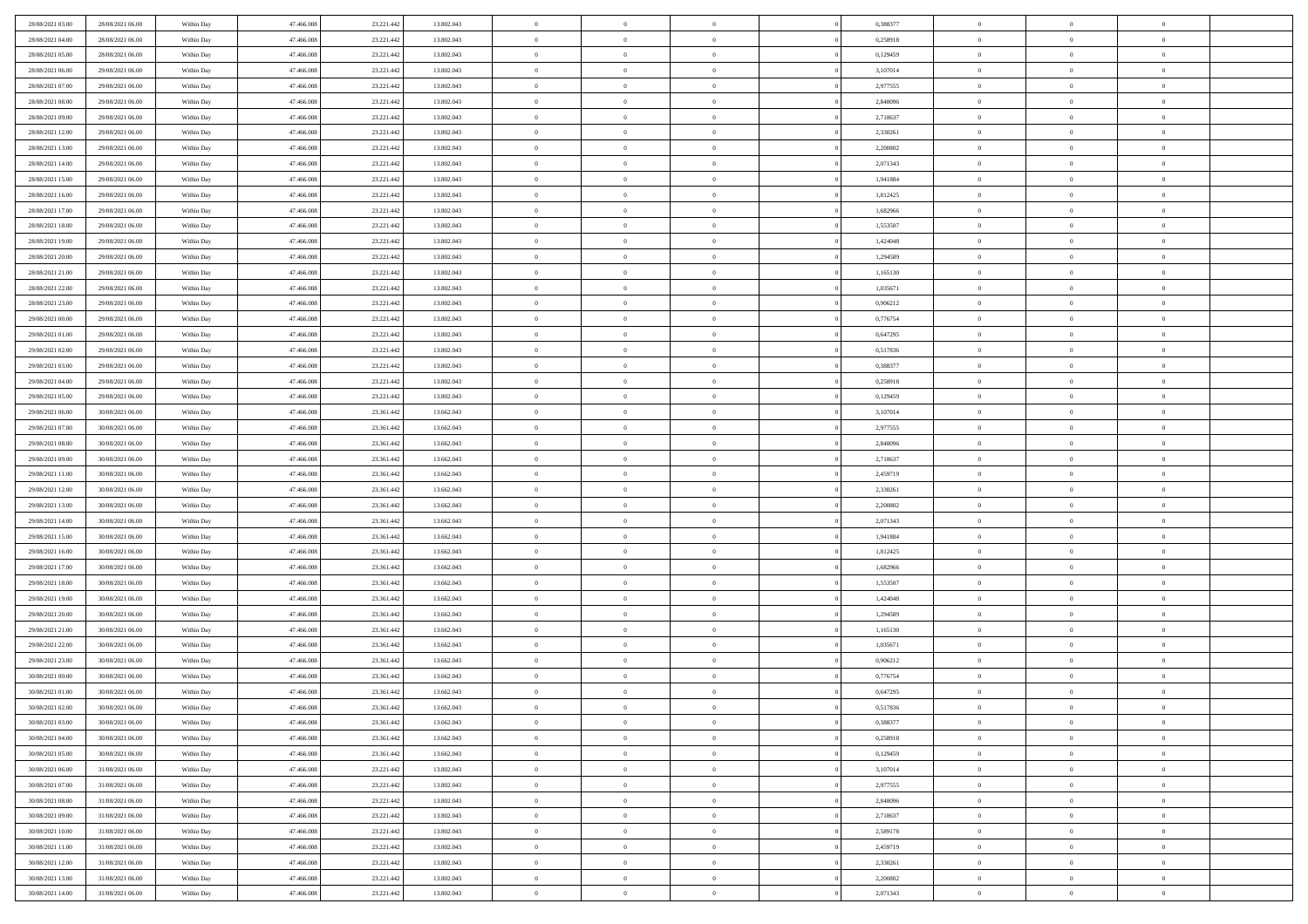| 28/08/2021 03:00 | 28/08/2021 06:00 | Within Day | 47,466,008 | 23.221.442 | 13.802.043 | $\overline{0}$             | $\overline{0}$ | $\Omega$       | 0.388377 | $\bf{0}$                 | $\mathbf{0}$   | $\bf{0}$       |  |
|------------------|------------------|------------|------------|------------|------------|----------------------------|----------------|----------------|----------|--------------------------|----------------|----------------|--|
| 28/08/2021 04:00 | 28/08/2021 06:00 | Within Day | 47.466.008 | 23.221.442 | 13.802.043 | $\mathbf{0}$               | $\overline{0}$ | $\overline{0}$ | 0,258918 | $\mathbf{0}$             | $\overline{0}$ | $\overline{0}$ |  |
| 28/08/2021 05:00 | 28/08/2021 06:00 | Within Day | 47.466.008 | 23.221.442 | 13.802.043 | $\,$ 0                     | $\overline{0}$ | $\bf{0}$       | 0,129459 | $\,$ 0                   | $\overline{0}$ | $\,$ 0 $\,$    |  |
| 28/08/2021 06:00 | 29/08/2021 06:00 | Within Day | 47,466,008 | 23.221.442 | 13.802.043 | $\bf{0}$                   | $\overline{0}$ | $\Omega$       | 3,107014 | $\bf{0}$                 | $\mathbf{0}$   | $\theta$       |  |
| 28/08/2021 07:00 | 29/08/2021 06:00 | Within Day | 47.466.008 | 23.221.442 | 13.802.043 | $\bf{0}$                   | $\overline{0}$ | $\overline{0}$ | 2,977555 | $\mathbf{0}$             | $\overline{0}$ | $\overline{0}$ |  |
| 28/08/2021 08:00 | 29/08/2021 06:00 | Within Day | 47.466.008 | 23.221.442 | 13.802.043 | $\bf{0}$                   | $\overline{0}$ | $\bf{0}$       | 2,848096 | $\,$ 0                   | $\overline{0}$ | $\,$ 0 $\,$    |  |
|                  |                  |            | 47,466,008 |            |            |                            |                | $\Omega$       |          | $\theta$                 | $\mathbf{0}$   | $\theta$       |  |
| 28/08/2021 09:00 | 29/08/2021 06:00 | Within Day |            | 23.221.442 | 13.802.043 | $\bf{0}$                   | $\overline{0}$ |                | 2,718637 |                          |                |                |  |
| 28/08/2021 12:00 | 29/08/2021 06:00 | Within Day | 47.466.008 | 23.221.442 | 13.802.043 | $\overline{0}$             | $\overline{0}$ | $\overline{0}$ | 2,330261 | $\mathbf{0}$             | $\overline{0}$ | $\overline{0}$ |  |
| 28/08/2021 13:00 | 29/08/2021 06:00 | Within Day | 47.466.008 | 23.221.442 | 13.802.043 | $\bf{0}$                   | $\overline{0}$ | $\bf{0}$       | 2,200802 | $\,$ 0                   | $\overline{0}$ | $\,$ 0 $\,$    |  |
| 28/08/2021 14:00 | 29/08/2021 06:00 | Within Day | 47,466,008 | 23.221.442 | 13,802,043 | $\bf{0}$                   | $\overline{0}$ | $\Omega$       | 2.071343 | $\theta$                 | $\mathbf{0}$   | $\theta$       |  |
| 28/08/2021 15:00 | 29/08/2021 06:00 | Within Day | 47.466.008 | 23.221.442 | 13.802.043 | $\overline{0}$             | $\overline{0}$ | $\overline{0}$ | 1,941884 | $\mathbf{0}$             | $\overline{0}$ | $\overline{0}$ |  |
| 28/08/2021 16:00 | 29/08/2021 06:00 | Within Day | 47.466.008 | 23.221.442 | 13.802.043 | $\bf{0}$                   | $\overline{0}$ | $\bf{0}$       | 1,812425 | $\,$ 0                   | $\overline{0}$ | $\,$ 0 $\,$    |  |
| 28/08/2021 17:00 | 29/08/2021 06:00 | Within Day | 47,466,008 | 23.221.442 | 13.802.043 | $\bf{0}$                   | $\overline{0}$ | $\Omega$       | 1.682966 | $\bf{0}$                 | $\mathbf{0}$   | $\theta$       |  |
| 28/08/2021 18:00 | 29/08/2021 06:00 | Within Day | 47.466.008 | 23.221.442 | 13.802.043 | $\overline{0}$             | $\overline{0}$ | $\overline{0}$ | 1,553507 | $\mathbf{0}$             | $\overline{0}$ | $\overline{0}$ |  |
| 28/08/2021 19:00 | 29/08/2021 06:00 | Within Day | 47.466.008 | 23.221.442 | 13.802.043 | $\bf{0}$                   | $\overline{0}$ | $\bf{0}$       | 1,424048 | $\,$ 0                   | $\overline{0}$ | $\,$ 0 $\,$    |  |
| 28/08/2021 20:00 | 29/08/2021 06:00 | Within Day | 47,466,008 | 23.221.442 | 13.802.043 | $\bf{0}$                   | $\overline{0}$ | $\overline{0}$ | 1,294589 | $\bf{0}$                 | $\mathbf{0}$   | $\bf{0}$       |  |
| 28/08/2021 21:00 | 29/08/2021 06:00 | Within Day | 47.466.008 | 23.221.442 | 13.802.043 | $\overline{0}$             | $\overline{0}$ | $\overline{0}$ | 1,165130 | $\mathbf{0}$             | $\overline{0}$ | $\overline{0}$ |  |
| 28/08/2021 22:00 | 29/08/2021 06:00 | Within Day | 47.466.008 | 23.221.442 | 13.802.043 | $\bf{0}$                   | $\overline{0}$ | $\bf{0}$       | 1,035671 | $\,$ 0                   | $\overline{0}$ | $\,$ 0 $\,$    |  |
| 28/08/2021 23:00 | 29/08/2021 06:00 | Within Day | 47,466,008 | 23.221.442 | 13,802,043 | $\bf{0}$                   | $\overline{0}$ | $\Omega$       | 0.906212 | $\theta$                 | $\mathbf{0}$   | $\theta$       |  |
| 29/08/2021 00:00 | 29/08/2021 06:00 | Within Day | 47.466.008 | 23.221.442 | 13.802.043 | $\overline{0}$             | $\overline{0}$ | $\overline{0}$ | 0,776754 | $\mathbf{0}$             | $\overline{0}$ | $\overline{0}$ |  |
| 29/08/2021 01:00 | 29/08/2021 06:00 | Within Day | 47.466.008 | 23.221.442 | 13.802.043 | $\bf{0}$                   | $\overline{0}$ | $\bf{0}$       | 0,647295 | $\,$ 0                   | $\overline{0}$ | $\,$ 0 $\,$    |  |
| 29/08/2021 02:00 | 29/08/2021 06:00 | Within Day | 47.466.008 | 23.221.442 | 13.802.043 | $\bf{0}$                   | $\overline{0}$ | $\Omega$       | 0,517836 | $\bf{0}$                 | $\mathbf{0}$   | $\theta$       |  |
| 29/08/2021 03:00 | 29/08/2021 06:00 | Within Day | 47.466.008 | 23.221.442 | 13.802.043 | $\overline{0}$             | $\overline{0}$ | $\overline{0}$ | 0,388377 | $\mathbf{0}$             | $\overline{0}$ | $\overline{0}$ |  |
| 29/08/2021 04:00 | 29/08/2021 06:00 | Within Day | 47.466.008 | 23.221.442 | 13.802.043 | $\bf{0}$                   | $\overline{0}$ | $\bf{0}$       | 0,258918 | $\,$ 0                   | $\overline{0}$ | $\,$ 0 $\,$    |  |
| 29/08/2021 05:00 | 29/08/2021 06:00 | Within Day | 47,466,008 | 23.221.442 | 13.802.043 | $\bf{0}$                   | $\overline{0}$ | $\overline{0}$ | 0,129459 | $\bf{0}$                 | $\bf{0}$       | $\bf{0}$       |  |
| 29/08/2021 06:00 | 30/08/2021 06:00 | Within Day | 47.466.008 | 23.361.442 | 13.662.043 | $\overline{0}$             | $\overline{0}$ | $\overline{0}$ | 3,107014 | $\mathbf{0}$             | $\overline{0}$ | $\overline{0}$ |  |
| 29/08/2021 07:00 | 30/08/2021 06:00 | Within Day | 47.466.008 | 23.361.442 | 13.662.043 | $\bf{0}$                   | $\overline{0}$ | $\bf{0}$       | 2,977555 | $\,$ 0                   | $\overline{0}$ | $\,$ 0 $\,$    |  |
| 29/08/2021 08:00 | 30/08/2021 06:00 | Within Day | 47,466,008 | 23.361.442 | 13.662.043 | $\bf{0}$                   | $\overline{0}$ | $\Omega$       | 2.848096 | $\theta$                 | $\mathbf{0}$   | $\theta$       |  |
| 29/08/2021 09:00 | 30/08/2021 06:00 | Within Day | 47.466.008 | 23.361.442 | 13.662.043 | $\overline{0}$             | $\overline{0}$ | $\overline{0}$ | 2,718637 | $\mathbf{0}$             | $\overline{0}$ | $\overline{0}$ |  |
| 29/08/2021 11:00 | 30/08/2021 06:00 | Within Day | 47.466.008 | 23.361.442 | 13.662.043 | $\bf{0}$                   | $\overline{0}$ | $\bf{0}$       | 2,459719 | $\,$ 0                   | $\overline{0}$ | $\,$ 0 $\,$    |  |
| 29/08/2021 12:00 | 30/08/2021 06:00 | Within Day | 47.466.008 | 23.361.442 | 13.662.043 | $\,$ 0                     | $\bf{0}$       | $\overline{0}$ | 2,330261 | $\bf{0}$                 | $\overline{0}$ | $\,0\,$        |  |
| 29/08/2021 13:00 | 30/08/2021 06:00 | Within Day | 47.466.008 | 23.361.442 | 13.662.043 | $\overline{0}$             | $\overline{0}$ | $\overline{0}$ | 2,200802 | $\mathbf{0}$             | $\overline{0}$ | $\overline{0}$ |  |
| 29/08/2021 14:00 | 30/08/2021 06:00 | Within Day | 47.466.008 | 23.361.442 | 13.662.043 | $\bf{0}$                   | $\overline{0}$ | $\bf{0}$       | 2,071343 | $\,$ 0                   | $\overline{0}$ | $\,$ 0 $\,$    |  |
| 29/08/2021 15:00 | 30/08/2021 06:00 | Within Day | 47.466.008 | 23.361.442 | 13.662.043 | $\bf{0}$                   | $\bf{0}$       | $\bf{0}$       | 1,941884 | $\bf{0}$                 | $\overline{0}$ | $\,0\,$        |  |
| 29/08/2021 16:00 | 30/08/2021 06:00 | Within Day | 47.466.008 | 23.361.442 | 13.662.043 | $\mathbf{0}$               | $\overline{0}$ | $\overline{0}$ | 1,812425 | $\overline{0}$           | $\overline{0}$ | $\overline{0}$ |  |
|                  |                  |            |            |            |            | $\bf{0}$                   |                |                |          | $\,$ 0                   | $\overline{0}$ | $\,$ 0 $\,$    |  |
| 29/08/2021 17:00 | 30/08/2021 06:00 | Within Day | 47.466.008 | 23.361.442 | 13.662.043 |                            | $\overline{0}$ | $\bf{0}$       | 1,682966 |                          |                |                |  |
| 29/08/2021 18:00 | 30/08/2021 06:00 | Within Day | 47.466.008 | 23.361.442 | 13.662.043 | $\bf{0}$<br>$\overline{0}$ | $\bf{0}$       | $\overline{0}$ | 1,553507 | $\bf{0}$<br>$\mathbf{0}$ | $\overline{0}$ | $\,0\,$        |  |
| 29/08/2021 19:00 | 30/08/2021 06:00 | Within Day | 47.466.008 | 23.361.442 | 13.662.043 |                            | $\overline{0}$ | $\overline{0}$ | 1,424048 |                          | $\overline{0}$ | $\overline{0}$ |  |
| 29/08/2021 20:00 | 30/08/2021 06:00 | Within Day | 47.466.008 | 23.361.442 | 13.662.043 | $\bf{0}$                   | $\overline{0}$ | $\bf{0}$       | 1,294589 | $\,$ 0                   | $\overline{0}$ | $\,$ 0 $\,$    |  |
| 29/08/2021 21:00 | 30/08/2021 06:00 | Within Day | 47.466.008 | 23.361.442 | 13.662.043 | $\bf{0}$                   | $\bf{0}$       | $\overline{0}$ | 1,165130 | $\bf{0}$                 | $\overline{0}$ | $\,0\,$        |  |
| 29/08/2021 22:00 | 30/08/2021 06:00 | Within Day | 47.466.008 | 23.361.442 | 13.662.043 | $\overline{0}$             | $\overline{0}$ | $\overline{0}$ | 1,035671 | $\overline{0}$           | $\overline{0}$ | $\overline{0}$ |  |
| 29/08/2021 23:00 | 30/08/2021 06:00 | Within Day | 47.466.008 | 23.361.442 | 13.662.043 | $\bf{0}$                   | $\overline{0}$ | $\bf{0}$       | 0,906212 | $\,$ 0                   | $\overline{0}$ | $\,$ 0 $\,$    |  |
| 30/08/2021 00:00 | 30/08/2021 06:00 | Within Day | 47.466.008 | 23.361.442 | 13.662.043 | $\bf{0}$                   | $\bf{0}$       | $\bf{0}$       | 0,776754 | $\bf{0}$                 | $\overline{0}$ | $\,0\,$        |  |
| 30/08/2021 01:00 | 30/08/2021 06:00 | Within Dav | 47.466.008 | 23.361.442 | 13.662.043 | $\mathbf{0}$               | $\overline{0}$ | $\overline{0}$ | 0,647295 | $\mathbf{0}$             | $\overline{0}$ | $\overline{0}$ |  |
| 30/08/2021 02:00 | 30/08/2021 06:00 | Within Day | 47.466.008 | 23.361.442 | 13.662.043 | $\bf{0}$                   | $\overline{0}$ | $\theta$       | 0,517836 | $\overline{0}$           | $\overline{0}$ | $\theta$       |  |
| 30/08/2021 03:00 | 30/08/2021 06:00 | Within Day | 47.466.008 | 23.361.442 | 13.662.043 | $\bf{0}$                   | $\bf{0}$       | $\bf{0}$       | 0,388377 | $\bf{0}$                 | $\overline{0}$ | $\bf{0}$       |  |
| 30/08/2021 04:00 | 30/08/2021 06:00 | Within Day | 47.466.008 | 23.361.442 | 13.662.043 | $\overline{0}$             | $\overline{0}$ | $\overline{0}$ | 0,258918 | $\overline{0}$           | $\bf{0}$       | $\overline{0}$ |  |
| 30/08/2021 05:00 | 30/08/2021 06:00 | Within Day | 47.466.008 | 23.361.442 | 13.662.043 | $\,$ 0 $\,$                | $\overline{0}$ | $\overline{0}$ | 0,129459 | $\mathbf{0}$             | $\,$ 0 $\,$    | $\,$ 0 $\,$    |  |
| 30/08/2021 06:00 | 31/08/2021 06:00 | Within Day | 47.466.008 | 23.221.442 | 13.802.043 | $\bf{0}$                   | $\bf{0}$       | $\overline{0}$ | 3,107014 | $\bf{0}$                 | $\overline{0}$ | $\bf{0}$       |  |
| 30/08/2021 07:00 | 31/08/2021 06:00 | Within Day | 47.466.008 | 23.221.442 | 13.802.043 | $\bf{0}$                   | $\overline{0}$ | $\overline{0}$ | 2,977555 | $\mathbf{0}$             | $\overline{0}$ | $\overline{0}$ |  |
| 30/08/2021 08:00 | 31/08/2021 06:00 | Within Day | 47.466.008 | 23.221.442 | 13.802.043 | $\,$ 0 $\,$                | $\overline{0}$ | $\overline{0}$ | 2,848096 | $\,$ 0 $\,$              | $\overline{0}$ | $\,$ 0 $\,$    |  |
| 30/08/2021 09:00 | 31/08/2021 06:00 | Within Day | 47.466.008 | 23.221.442 | 13.802.043 | $\bf{0}$                   | $\overline{0}$ | $\overline{0}$ | 2,718637 | $\bf{0}$                 | $\overline{0}$ | $\overline{0}$ |  |
| 30/08/2021 10:00 | 31/08/2021 06:00 | Within Day | 47.466.008 | 23.221.442 | 13.802.043 | $\overline{0}$             | $\overline{0}$ | $\overline{0}$ | 2,589178 | $\overline{0}$           | $\bf{0}$       | $\overline{0}$ |  |
| 30/08/2021 11:00 | 31/08/2021 06:00 | Within Day | 47.466.008 | 23.221.442 | 13.802.043 | $\,$ 0 $\,$                | $\overline{0}$ | $\overline{0}$ | 2,459719 | $\,$ 0 $\,$              | $\,$ 0 $\,$    | $\,$ 0 $\,$    |  |
| 30/08/2021 12:00 | 31/08/2021 06:00 | Within Day | 47.466.008 | 23.221.442 | 13.802.043 | $\bf{0}$                   | $\bf{0}$       | $\overline{0}$ | 2,330261 | $\mathbf{0}$             | $\overline{0}$ | $\bf{0}$       |  |
| 30/08/2021 13:00 | 31/08/2021 06:00 | Within Day | 47.466.008 | 23.221.442 | 13.802.043 | $\bf{0}$                   | $\overline{0}$ | $\overline{0}$ | 2,200802 | $\mathbf{0}$             | $\bf{0}$       | $\overline{0}$ |  |
| 30/08/2021 14:00 | 31/08/2021 06:00 | Within Day | 47.466.008 | 23.221.442 | 13.802.043 | $\,0\,$                    | $\overline{0}$ | $\overline{0}$ | 2,071343 | $\,$ 0                   | $\overline{0}$ | $\,$ 0 $\,$    |  |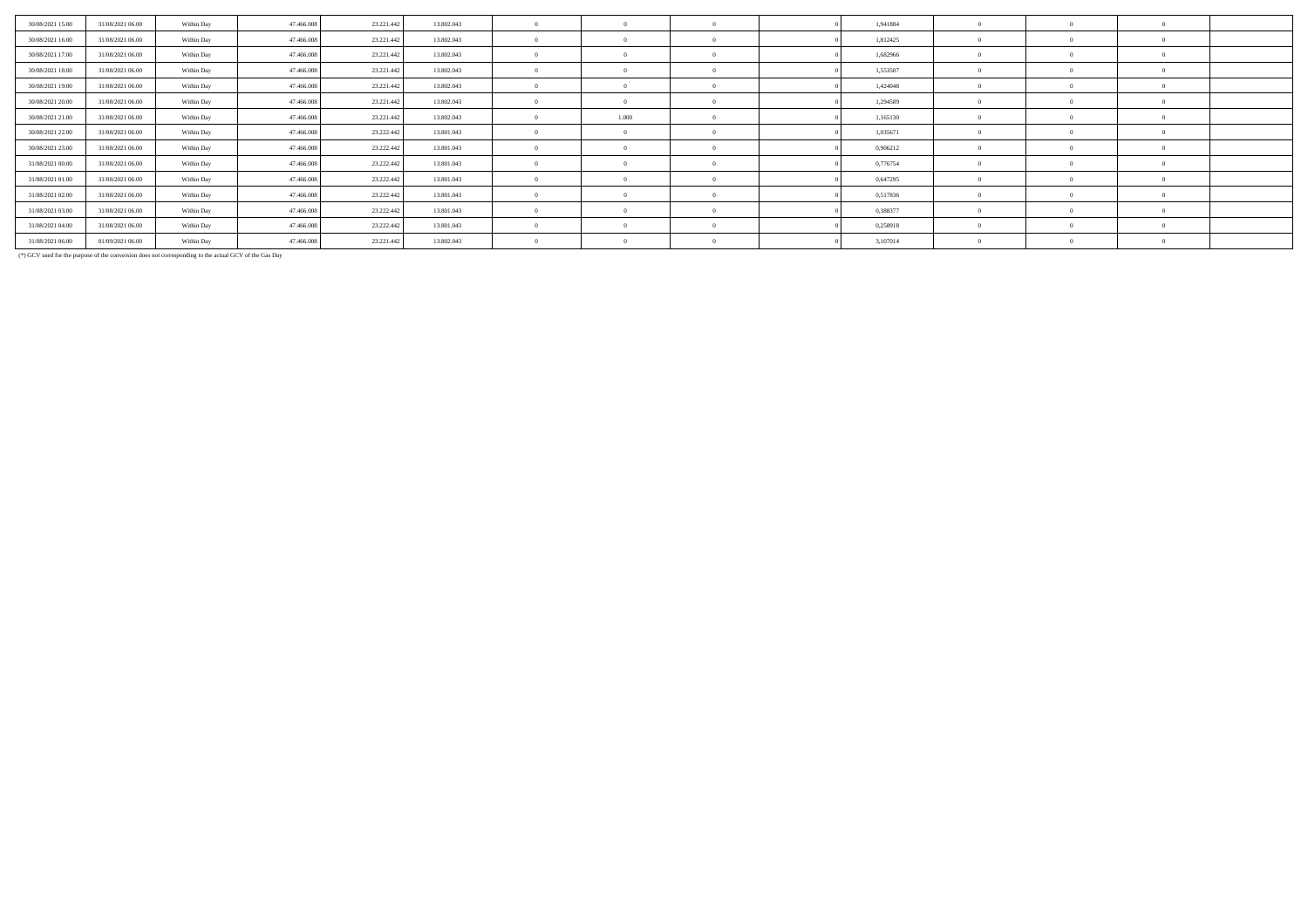| 30/08/2021 15:00 | 31/08/2021 06:00 | Within Day | 47.466.008 | 23.221.442 | 13.802.043 |            |  | 1,941884 |  |  |
|------------------|------------------|------------|------------|------------|------------|------------|--|----------|--|--|
| 30/08/2021 16:00 | 31/08/2021 06:00 | Within Day | 47.466.008 | 23.221.442 | 13.802.043 |            |  | 1,812425 |  |  |
| 30/08/2021 17:00 | 31/08/2021 06:00 | Within Day | 47.466.008 | 23.221.442 | 13.802.043 | - 0        |  | 1,682966 |  |  |
| 30/08/2021 18:00 | 31/08/2021 06:00 | Within Day | 47.466.008 | 23.221.442 | 13.802.043 | $\sqrt{2}$ |  | 1,553507 |  |  |
| 30/08/2021 19:00 | 31/08/2021 06:00 | Within Day | 47.466.008 | 23.221.442 | 13.802.043 | $\sqrt{2}$ |  | 1,424048 |  |  |
| 30/08/2021 20:00 | 31/08/2021 06:00 | Within Day | 47.466.008 | 23.221.442 | 13.802.043 | - 0        |  | 1,294589 |  |  |
| 30/08/2021 21:00 | 31/08/2021 06:00 | Within Day | 47.466.008 | 23.221.442 | 13.802.043 | 1.000      |  | 1,165130 |  |  |
| 30/08/2021 22.00 | 31/08/2021 06:00 | Within Day | 47.466.008 | 23.222.442 | 13.801.043 | $^{\circ}$ |  | 1,035671 |  |  |
| 30/08/2021 23:00 | 31/08/2021 06:00 | Within Day | 47.466.008 | 23.222.442 | 13.801.043 | - 0        |  | 0,906212 |  |  |
| 31/08/2021 00:00 | 31/08/2021 06:00 | Within Day | 47.466.008 | 23.222.442 | 13.801.043 | $^{\circ}$ |  | 0,776754 |  |  |
| 31/08/2021 01:00 | 31/08/2021 06:00 | Within Day | 47.466.008 | 23.222.442 | 13.801.043 | - 0        |  | 0,647295 |  |  |
| 31/08/2021 02:00 | 31/08/2021 06:00 | Within Day | 47.466.008 | 23.222.442 | 13.801.043 | $^{\circ}$ |  | 0,517836 |  |  |
| 31/08/2021 03:00 | 31/08/2021 06:00 | Within Day | 47.466.008 | 23.222.442 | 13.801.043 | $\sqrt{2}$ |  | 0,388377 |  |  |
| 31/08/2021 04:00 | 31/08/2021 06:00 | Within Day | 47.466.008 | 23.222.442 | 13.801.043 | $^{\circ}$ |  | 0,258918 |  |  |
| 31/08/2021 06:00 | 01/09/2021 06:00 | Within Day | 47,466,008 | 23.221.442 | 13.802.043 | $^{\circ}$ |  | 3,107014 |  |  |

(\*) GCV used for the purpose of the conversion does not corresponding to the actual GCV of the Gas Day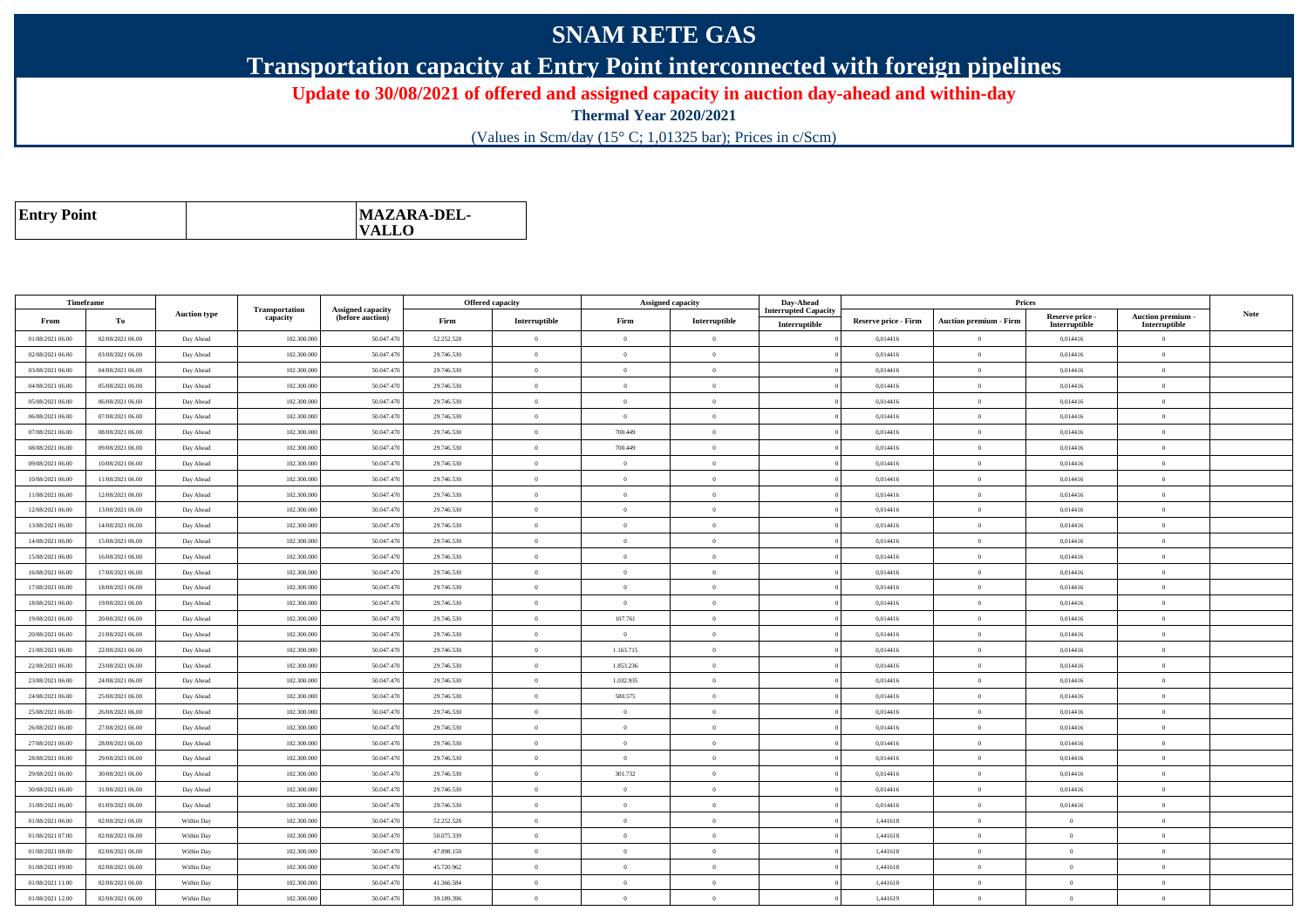## **SNAM RETE GAS**

**Transportation capacity at Entry Point interconnected with foreign pipelines**

**Update to 30/08/2021 of offered and assigned capacity in auction day-ahead and within-day**

**Thermal Year 2020/2021**

(Values in Scm/day (15° C; 1,01325 bar); Prices in c/Scm)

| <b>Entry Point</b> | <b>MAZARA-DEL-</b><br><b>VALLO</b> |
|--------------------|------------------------------------|
|--------------------|------------------------------------|

| Timeframe        |                  |                     |                            |                                              |            | <b>Offered capacity</b> |                | <b>Assigned capacity</b> | Day-Ahead                                    |                             | Prices                        |                                  |                                         |             |
|------------------|------------------|---------------------|----------------------------|----------------------------------------------|------------|-------------------------|----------------|--------------------------|----------------------------------------------|-----------------------------|-------------------------------|----------------------------------|-----------------------------------------|-------------|
| From             | To               | <b>Auction type</b> | Transportation<br>capacity | <b>Assigned capacity</b><br>(before auction) | Firm       | Interruptible           | Firm           | Interruptible            | <b>Interrupted Capacity</b><br>Interruptible | <b>Reserve price - Firm</b> | <b>Auction premium - Firm</b> | Reserve price -<br>Interruptible | <b>Auction premium</b><br>Interruptible | <b>Note</b> |
| 01/08/2021 06:00 | 02/08/2021 06:00 | Day Ahead           | 102.300.000                | 50.047.470                                   | 52.252.528 | $\overline{0}$          | $\Omega$       | $\theta$                 |                                              | 0,014416                    | $\mathbf{0}$                  | 0,014416                         | $\overline{0}$                          |             |
| 02/08/2021 06:00 | 03/08/2021 06:00 | Day Ahead           | 102.300,000                | 50.047.470                                   | 29.746.530 | $\overline{0}$          | $\Omega$       | $\theta$                 |                                              | 0.014416                    | $\theta$                      | 0.014416                         | $\Omega$                                |             |
| 03/08/2021 06:00 | 04/08/2021 06:00 | Day Ahead           | 102.300.000                | 50.047.47                                    | 29.746.530 | $\overline{0}$          | $\overline{0}$ | $\overline{0}$           |                                              | 0,014416                    | $\mathbf{0}$                  | 0,014416                         | $\overline{0}$                          |             |
| 04/08/2021 06:00 | 05/08/2021 06:00 | Day Ahead           | 102.300.000                | 50.047.470                                   | 29.746.530 | $\overline{0}$          | $\Omega$       | $\Omega$                 |                                              | 0,014416                    | $\theta$                      | 0,014416                         | $\Omega$                                |             |
| 05/08/2021 06:00 | 06/08/2021 06:00 | Day Ahead           | 102.300.000                | 50.047.470                                   | 29.746.530 | $\overline{0}$          | $\overline{0}$ | $\theta$                 |                                              | 0,014416                    | $\mathbf{0}$                  | 0,014416                         | $\overline{0}$                          |             |
| 06/08/2021 06:00 | 07/08/2021 06:00 | Day Ahead           | 102,300,000                | 50.047.470                                   | 29.746.530 | $\bf{0}$                | $\theta$       | $\overline{0}$           |                                              | 0.014416                    | $\overline{0}$                | 0.014416                         | $\overline{0}$                          |             |
| 07/08/2021 06:00 | 08/08/2021 06:00 | Day Ahead           | 102.300.000                | 50.047.470                                   | 29.746.530 | $\overline{0}$          | 700.449        | $\overline{0}$           |                                              | 0,014416                    | $\mathbf{0}$                  | 0,014416                         | $\overline{0}$                          |             |
| 08/08/2021 06:00 | 09/08/2021 06:00 | Day Ahead           | 102,300,000                | 50.047.470                                   | 29.746.530 | $\overline{0}$          | 700,449        | $\Omega$                 |                                              | 0.014416                    | $\theta$                      | 0,014416                         | $\overline{0}$                          |             |
| 09/08/2021 06:00 | 10/08/2021 06:00 | Day Ahead           | 102.300.000                | 50.047.470                                   | 29.746.530 | $\bf{0}$                | $\Omega$       | $\overline{0}$           |                                              | 0,014416                    | $\mathbf{0}$                  | 0,014416                         | $\overline{0}$                          |             |
| 10/08/2021 06:00 | 11/08/2021 06:00 | Day Ahead           | 102.300.000                | 50.047.470                                   | 29.746.530 | $\overline{0}$          | $\Omega$       | $\theta$                 |                                              | 0,014416                    | $\Omega$                      | 0,014416                         | $\overline{0}$                          |             |
| 11/08/2021 06:00 | 12/08/2021 06:00 | Day Ahead           | 102.300.000                | 50.047.470                                   | 29.746.530 | $\overline{0}$          | $\Omega$       | $\theta$                 |                                              | 0.014416                    | $\Omega$                      | 0.014416                         | $\Omega$                                |             |
| 12/08/2021 06:00 | 13/08/2021 06:00 | Day Ahead           | 102.300.000                | 50.047.470                                   | 29.746.530 | $\overline{0}$          | $\Omega$       | $\overline{0}$           |                                              | 0,014416                    | $\theta$                      | 0,014416                         | $\overline{0}$                          |             |
| 13/08/2021 06:00 | 14/08/2021 06:00 | Day Ahead           | 102.300.000                | 50.047.470                                   | 29.746.530 | $\bf{0}$                | $\Omega$       | $\overline{0}$           |                                              | 0,014416                    | $\overline{0}$                | 0,014416                         | $\overline{0}$                          |             |
| 14/08/2021 06:00 | 15/08/2021 06:00 | Day Ahead           | 102.300.000                | 50.047.470                                   | 29.746.530 | $\overline{0}$          | $\Omega$       | $\theta$                 |                                              | 0,014416                    | $\Omega$                      | 0,014416                         | $\Omega$                                |             |
| 15/08/2021 06:00 | 16/08/2021 06:00 | Day Ahead           | 102,300,000                | 50.047.470                                   | 29.746.530 | $\overline{0}$          | $\Omega$       | $\theta$                 |                                              | 0.014416                    | $\theta$                      | 0.014416                         | $\overline{0}$                          |             |
| 16/08/2021 06:00 | 17/08/2021 06:00 | Day Ahead           | 102.300.000                | 50.047.470                                   | 29.746.530 | $\overline{0}$          | $\overline{0}$ | $\overline{0}$           |                                              | 0,014416                    | $\mathbf{0}$                  | 0,014416                         | $\overline{0}$                          |             |
| 17/08/2021 06:00 | 18/08/2021 06:00 | Day Ahead           | 102.300.000                | 50.047.470                                   | 29.746.530 | $\overline{0}$          | $\Omega$       | $\mathbf{0}$             |                                              | 0,014416                    | $\mathbf{0}$                  | 0,014416                         | $\overline{0}$                          |             |
| 18/08/2021 06:00 | 19/08/2021 06:00 | Day Ahead           | 102.300.000                | 50.047.470                                   | 29.746.530 | $\overline{0}$          | $\Omega$       | $\overline{0}$           |                                              | 0,014416                    | $\mathbf{0}$                  | 0,014416                         | $\overline{0}$                          |             |
| 19/08/2021 06:00 | 20/08/2021 06:00 | Day Ahead           | 102.300.000                | 50.047.470                                   | 29.746.530 | $\overline{0}$          | 107.761        | $\theta$                 |                                              | 0.014416                    | $\Omega$                      | 0.014416                         | $\theta$                                |             |
| 20/08/2021 06:00 | 21/08/2021 06:00 | Day Ahead           | 102.300.000                | 50.047.470                                   | 29.746.530 | $\overline{0}$          | $\Omega$       | $\overline{0}$           |                                              | 0,014416                    | $\Omega$                      | 0,014416                         | $\mathbf{0}$                            |             |
| 21/08/2021 06:00 | 22/08/2021 06:00 | Day Ahead           | 102,300,000                | 50.047.470                                   | 29.746.530 | $\overline{0}$          | 1.163.715      | $\Omega$                 |                                              | 0.014416                    | $\theta$                      | 0,014416                         | $\overline{0}$                          |             |
| 22/08/2021 06:00 | 23/08/2021 06:00 | Day Ahead           | 102.300.000                | 50.047.470                                   | 29.746.530 | $\overline{0}$          | 1.853.236      | $\theta$                 |                                              | 0,014416                    | $\overline{0}$                | 0,014416                         | $\overline{0}$                          |             |
| 23/08/2021 06:00 | 24/08/2021 06:00 | Day Ahead           | 102.300.000                | 50.047.470                                   | 29.746.530 | $\bf{0}$                | 1.032.935      | $\overline{0}$           |                                              | 0,014416                    | $\mathbf{0}$                  | 0,014416                         | $\overline{0}$                          |             |
| 24/08/2021 06:00 | 25/08/2021 06:00 | Day Ahead           | 102.300.000                | 50.047.470                                   | 29.746.530 | $\overline{0}$          | 580.575        | $\overline{0}$           |                                              | 0,014416                    | $\mathbf{0}$                  | 0,014416                         | $\overline{0}$                          |             |
| 25/08/2021 06:00 | 26/08/2021 06:00 | Day Ahead           | 102.300.000                | 50.047.470                                   | 29.746.530 | $\overline{0}$          | $\overline{0}$ | $\theta$                 |                                              | 0,014416                    | $\overline{0}$                | 0,014416                         | $\overline{0}$                          |             |
| 26/08/2021 06:00 | 27/08/2021 06:00 | Day Ahead           | 102.300.000                | 50.047.470                                   | 29.746.530 | $\bf{0}$                | $\Omega$       | $\overline{0}$           |                                              | 0,014416                    | $\overline{0}$                | 0,014416                         | $\overline{0}$                          |             |
| 27/08/2021 06:00 | 28/08/2021 06:00 | Day Ahead           | 102.300.000                | 50.047.470                                   | 29.746.530 | $\overline{0}$          | $\Omega$       | $\theta$                 |                                              | 0,014416                    | $\Omega$                      | 0,014416                         | $\overline{0}$                          |             |
| 28/08/2021 06:00 | 29/08/2021 06:00 | Day Ahead           | 102.300.000                | 50.047.470                                   | 29.746.530 | $\overline{0}$          | $\Omega$       | $\theta$                 |                                              | 0.014416                    | $\theta$                      | 0.014416                         | $\Omega$                                |             |
| 29/08/2021 06:00 | 30/08/2021 06:00 | Day Ahead           | 102.300.000                | 50.047.470                                   | 29.746.530 | $\overline{0}$          | 301.732        | $\Omega$                 |                                              | 0,014416                    | $\Omega$                      | 0,014416                         | $\Omega$                                |             |
| 30/08/2021 06:00 | 31/08/2021 06:00 | Day Ahead           | 102.300.000                | 50.047.470                                   | 29.746.530 | $\overline{0}$          | $\Omega$       | $\Omega$                 |                                              | 0.014416                    | $\theta$                      | 0.014416                         | $\Omega$                                |             |
| 31/08/2021 06:00 | 01/09/2021 06:00 | Day Ahead           | 102.300.000                | 50.047.470                                   | 29.746.530 | $\overline{0}$          | $\overline{0}$ | $\theta$                 |                                              | 0,014416                    | $\mathbf{0}$                  | 0,014416                         | $\overline{0}$                          |             |
| 01/08/2021 06:00 | 02/08/2021 06:00 | Within Day          | 102.300.000                | 50.047.470                                   | 52.252.528 | $\bf{0}$                | $\Omega$       | $\overline{0}$           |                                              | 1,441618                    | $\mathbf{0}$                  | $\theta$                         | $\overline{0}$                          |             |
| 01/08/2021 07:00 | 02/08/2021 06:00 | Within Day          | 102.300.000                | 50.047.470                                   | 50.075.339 | $\overline{0}$          | $\overline{0}$ | $\theta$                 |                                              | 1,441618                    | $\overline{0}$                | $\overline{0}$                   | $\overline{0}$                          |             |
| 01/08/2021 08:00 | 02/08/2021 06:00 | Within Day          | 102.300.000                | 50.047.470                                   | 47.898.150 | $\overline{0}$          | $\Omega$       | $\Omega$                 |                                              | 1,441618                    | $\theta$                      | $\theta$                         | $\overline{0}$                          |             |
| 01/08/2021 09:00 | 02/08/2021 06:00 | Within Day          | 102.300.000                | 50.047.470                                   | 45.720.962 | $\overline{0}$          | $\Omega$       | $\theta$                 |                                              | 1,441618                    | $\mathbf{0}$                  | $\overline{0}$                   | $\overline{0}$                          |             |
| 01/08/2021 11:00 | 02/08/2021 06:00 | Within Day          | 102.300.000                | 50.047.470                                   | 41.366.584 | $\bf{0}$                | $\theta$       | $\Omega$                 |                                              | 1,441618                    | $\Omega$                      | $\theta$                         | $\overline{0}$                          |             |
| 01/08/2021 12:00 | 02/08/2021 06:00 | Within Day          | 102.300.000                | 50.047.470                                   | 39.189.396 | $\overline{0}$          | $\Omega$       | $\overline{0}$           |                                              | 1,441619                    | $\theta$                      | $\theta$                         | $\mathbf{0}$                            |             |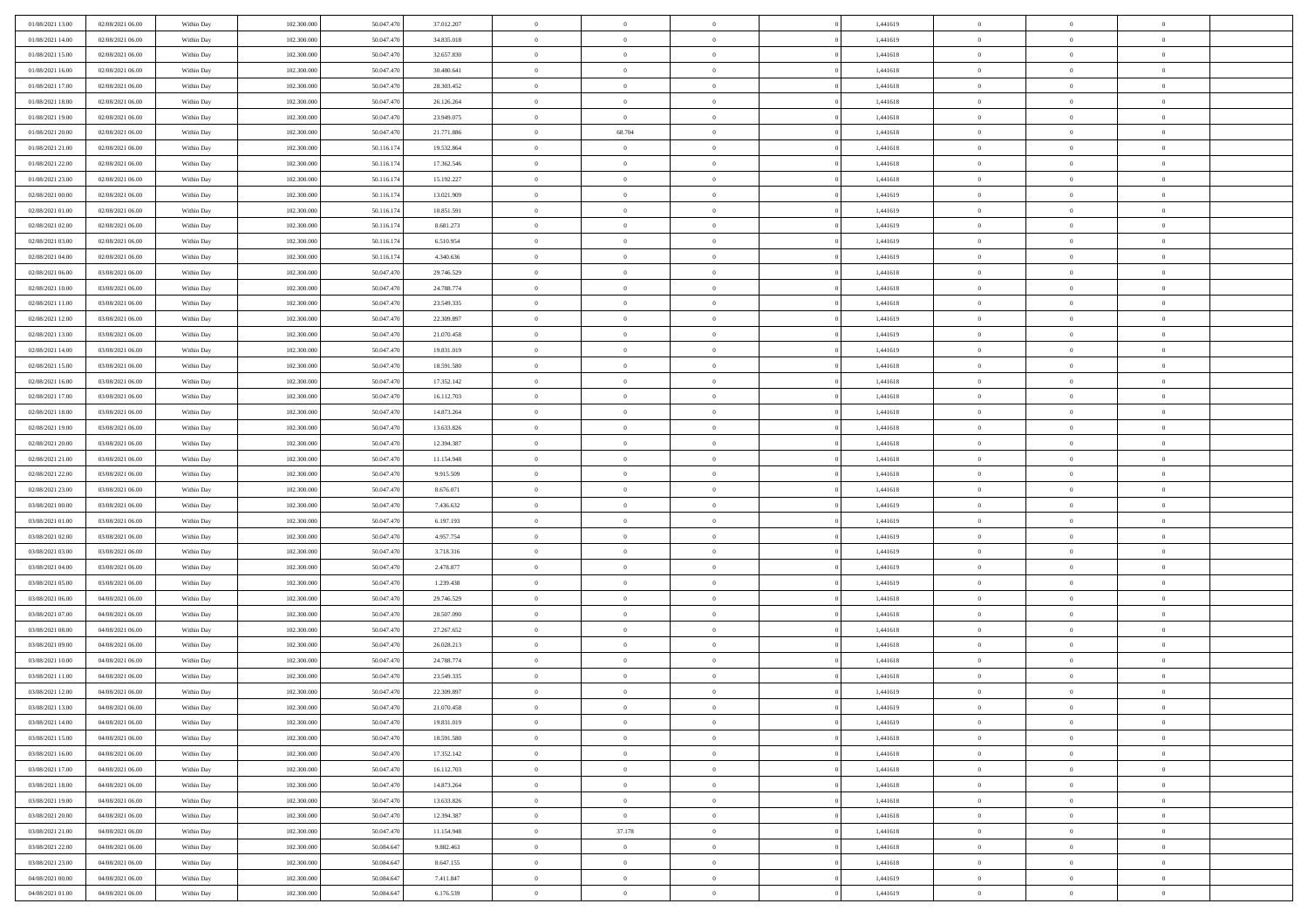| 01/08/2021 13:00                     | 02/08/2021 06:00 | Within Day | 102.300.000 | 50.047.470 | 37.012.207 | $\,$ 0         | $\bf{0}$       | $\theta$       |          | 1,441619 | $\bf{0}$                 | $\overline{0}$ | $\,0\,$        |  |
|--------------------------------------|------------------|------------|-------------|------------|------------|----------------|----------------|----------------|----------|----------|--------------------------|----------------|----------------|--|
| 01/08/2021 14:00                     | 02/08/2021 06:00 | Within Day | 102.300,000 | 50.047.470 | 34.835.018 | $\overline{0}$ | $\overline{0}$ | $\overline{0}$ |          | 1,441619 | $\overline{0}$           | $\overline{0}$ | $\theta$       |  |
| 01/08/2021 15:00                     | 02/08/2021 06:00 | Within Dav | 102.300.000 | 50.047.470 | 32.657.830 | $\mathbf{0}$   | $\overline{0}$ | $\overline{0}$ |          | 1,441618 | $\mathbf{0}$             | $\overline{0}$ | $\overline{0}$ |  |
| 01/08/2021 16:00                     | 02/08/2021 06:00 | Within Day | 102.300.000 | 50.047.470 | 30.480.641 | $\bf{0}$       | $\overline{0}$ | $\bf{0}$       |          | 1,441618 | $\bf{0}$                 | $\overline{0}$ | $\,0\,$        |  |
| 01/08/2021 17:00                     | 02/08/2021 06:00 | Within Day | 102.300.000 | 50.047.470 | 28.303.452 | $\bf{0}$       | $\bf{0}$       | $\overline{0}$ |          | 1,441618 | $\bf{0}$                 | $\bf{0}$       | $\,0\,$        |  |
| 01/08/2021 18:00                     | 02/08/2021 06:00 | Within Dav | 102.300.000 | 50.047.470 | 26.126.264 | $\mathbf{0}$   | $\overline{0}$ | $\overline{0}$ |          | 1,441618 | $\mathbf{0}$             | $\overline{0}$ | $\theta$       |  |
| 01/08/2021 19:00                     | 02/08/2021 06:00 | Within Day | 102.300.000 | 50.047.470 | 23.949.075 | $\bf{0}$       | $\bf{0}$       | $\overline{0}$ |          | 1,441618 | $\bf{0}$                 | $\overline{0}$ | $\,0\,$        |  |
| 01/08/2021 20:00                     | 02/08/2021 06:00 | Within Day | 102.300.000 | 50.047.470 | 21.771.886 | $\theta$       | 68.704         | $\overline{0}$ |          | 1,441618 | $\,$ 0 $\,$              | $\overline{0}$ | $\theta$       |  |
| 01/08/2021 21:00                     | 02/08/2021 06:00 | Within Dav | 102.300.000 | 50.116.174 | 19.532.864 | $\mathbf{0}$   | $\overline{0}$ | $\overline{0}$ |          | 1,441618 | $\mathbf{0}$             | $\overline{0}$ | $\overline{0}$ |  |
| 01/08/2021 22.00                     | 02/08/2021 06:00 |            | 102.300.000 | 50.116.174 | 17.362.546 | $\bf{0}$       | $\bf{0}$       | $\overline{0}$ |          | 1,441618 | $\bf{0}$                 | $\overline{0}$ | $\,0\,$        |  |
|                                      |                  | Within Day | 102.300,000 |            |            | $\overline{0}$ | $\overline{0}$ |                |          |          |                          | $\mathbf{0}$   | $\theta$       |  |
| 01/08/2021 23:00<br>02/08/2021 00:00 | 02/08/2021 06:00 | Within Day |             | 50.116.174 | 15.192.227 | $\mathbf{0}$   |                | $\overline{0}$ |          | 1,441618 | $\bf{0}$<br>$\mathbf{0}$ |                | $\overline{0}$ |  |
|                                      | 02/08/2021 06:00 | Within Dav | 102.300.000 | 50.116.174 | 13.021.909 |                | $\overline{0}$ | $\overline{0}$ |          | 1,441619 |                          | $\overline{0}$ |                |  |
| 02/08/2021 01:00                     | 02/08/2021 06:00 | Within Day | 102.300.000 | 50.116.174 | 10.851.591 | $\bf{0}$       | $\overline{0}$ | $\bf{0}$       |          | 1,441619 | $\bf{0}$                 | $\overline{0}$ | $\bf{0}$       |  |
| 02/08/2021 02:00                     | 02/08/2021 06:00 | Within Day | 102.300.000 | 50.116.174 | 8.681.273  | $\bf{0}$       | $\overline{0}$ | $\overline{0}$ |          | 1,441619 | $\bf{0}$                 | $\theta$       | $\,0\,$        |  |
| 02/08/2021 03:00                     | 02/08/2021 06:00 | Within Dav | 102.300.000 | 50.116.174 | 6.510.954  | $\mathbf{0}$   | $\overline{0}$ | $\overline{0}$ |          | 1,441619 | $\mathbf{0}$             | $\overline{0}$ | $\overline{0}$ |  |
| 02/08/2021 04:00                     | 02/08/2021 06:00 | Within Day | 102.300.000 | 50.116.174 | 4.340.636  | $\bf{0}$       | $\bf{0}$       | $\overline{0}$ |          | 1,441619 | $\bf{0}$                 | $\overline{0}$ | $\,0\,$        |  |
| 02/08/2021 06:00                     | 03/08/2021 06:00 | Within Day | 102.300,000 | 50.047.470 | 29.746.529 | $\overline{0}$ | $\overline{0}$ | $\overline{0}$ |          | 1,441618 | $\bf{0}$                 | $\overline{0}$ | $\theta$       |  |
| 02/08/2021 10:00                     | 03/08/2021 06:00 | Within Day | 102.300.000 | 50.047.470 | 24.788.774 | $\mathbf{0}$   | $\overline{0}$ | $\overline{0}$ |          | 1,441618 | $\mathbf{0}$             | $\overline{0}$ | $\overline{0}$ |  |
| 02/08/2021 11:00                     | 03/08/2021 06:00 | Within Day | 102.300.000 | 50.047.470 | 23.549.335 | $\,$ 0         | $\bf{0}$       | $\overline{0}$ |          | 1,441618 | $\bf{0}$                 | $\overline{0}$ | $\,0\,$        |  |
| 02/08/2021 12:00                     | 03/08/2021 06:00 | Within Day | 102.300.000 | 50.047.470 | 22.309.897 | $\overline{0}$ | $\overline{0}$ | $\overline{0}$ |          | 1,441619 | $\bf{0}$                 | $\overline{0}$ | $\overline{0}$ |  |
| 02/08/2021 13:00                     | 03/08/2021 06:00 | Within Dav | 102.300.000 | 50.047.470 | 21.070.458 | $\mathbf{0}$   | $\overline{0}$ | $\overline{0}$ |          | 1,441619 | $\mathbf{0}$             | $\overline{0}$ | $\overline{0}$ |  |
| 02/08/2021 14:00                     | 03/08/2021 06:00 | Within Day | 102.300.000 | 50.047.470 | 19.831.019 | $\bf{0}$       | $\overline{0}$ | $\bf{0}$       |          | 1,441619 | $\bf{0}$                 | $\overline{0}$ | $\bf{0}$       |  |
| 02/08/2021 15:00                     | 03/08/2021 06:00 | Within Day | 102.300.000 | 50.047.470 | 18.591.580 | $\bf{0}$       | $\bf{0}$       | $\overline{0}$ |          | 1,441618 | $\bf{0}$                 | $\bf{0}$       | $\,0\,$        |  |
| 02/08/2021 16:00                     | 03/08/2021 06:00 | Within Dav | 102.300.000 | 50.047.470 | 17.352.142 | $\mathbf{0}$   | $\overline{0}$ | $\overline{0}$ |          | 1,441618 | $\mathbf{0}$             | $\overline{0}$ | $\theta$       |  |
| 02/08/2021 17:00                     | 03/08/2021 06:00 | Within Day | 102.300.000 | 50.047.470 | 16.112.703 | $\bf{0}$       | $\bf{0}$       | $\overline{0}$ |          | 1,441618 | $\bf{0}$                 | $\overline{0}$ | $\,0\,$        |  |
| 02/08/2021 18:00                     | 03/08/2021 06:00 | Within Day | 102.300.000 | 50.047.470 | 14.873.264 | $\overline{0}$ | $\overline{0}$ | $\overline{0}$ |          | 1,441618 | $\bf{0}$                 | $\overline{0}$ | $\overline{0}$ |  |
| 02/08/2021 19:00                     | 03/08/2021 06:00 | Within Dav | 102.300.000 | 50.047.470 | 13.633.826 | $\mathbf{0}$   | $\overline{0}$ | $\overline{0}$ |          | 1,441618 | $\mathbf{0}$             | $\overline{0}$ | $\overline{0}$ |  |
| 02/08/2021 20:00                     | 03/08/2021 06:00 | Within Day | 102.300.000 | 50.047.470 | 12.394.387 | $\bf{0}$       | $\bf{0}$       | $\overline{0}$ |          | 1,441618 | $\bf{0}$                 | $\overline{0}$ | $\,0\,$        |  |
| 02/08/2021 21:00                     | 03/08/2021 06:00 | Within Day | 102.300,000 | 50.047.470 | 11.154.948 | $\bf{0}$       | $\bf{0}$       | $\overline{0}$ |          | 1,441618 | $\bf{0}$                 | $\overline{0}$ | $\overline{0}$ |  |
| 02/08/2021 22:00                     | 03/08/2021 06:00 | Within Dav | 102.300.000 | 50.047.470 | 9.915.509  | $\mathbf{0}$   | $\overline{0}$ | $\overline{0}$ |          | 1,441618 | $\mathbf{0}$             | $\overline{0}$ | $\overline{0}$ |  |
| 02/08/2021 23:00                     | 03/08/2021 06:00 | Within Day | 102.300.000 | 50.047.470 | 8.676.071  | $\bf{0}$       | $\overline{0}$ | $\theta$       |          | 1,441618 | $\,$ 0                   | $\overline{0}$ | $\theta$       |  |
| 03/08/2021 00:00                     | 03/08/2021 06:00 | Within Day | 102.300.000 | 50.047.470 | 7.436.632  | $\bf{0}$       | $\bf{0}$       | $\overline{0}$ |          | 1,441619 | $\bf{0}$                 | $\mathbf{0}$   | $\overline{0}$ |  |
| 03/08/2021 01:00                     | 03/08/2021 06:00 | Within Dav | 102.300.000 | 50.047.470 | 6.197.193  | $\mathbf{0}$   | $\overline{0}$ | $\overline{0}$ |          | 1,441619 | $\mathbf{0}$             | $\overline{0}$ | $\overline{0}$ |  |
| 03/08/2021 02:00                     | 03/08/2021 06:00 | Within Day | 102.300.000 | 50.047.470 | 4.957.754  | $\bf{0}$       | $\overline{0}$ | $\theta$       |          | 1,441619 | $\,$ 0                   | $\overline{0}$ | $\theta$       |  |
| 03/08/2021 03:00                     | 03/08/2021 06:00 | Within Day | 102.300,000 | 50.047.470 | 3.718.316  | $\overline{0}$ | $\overline{0}$ | $\overline{0}$ |          | 1,441619 | $\bf{0}$                 | $\overline{0}$ | $\overline{0}$ |  |
| 03/08/2021 04:00                     | 03/08/2021 06:00 | Within Day | 102.300.000 | 50.047.470 | 2.478.877  | $\mathbf{0}$   | $\overline{0}$ | $\overline{0}$ |          | 1,441619 | $\mathbf{0}$             | $\overline{0}$ | $\overline{0}$ |  |
| 03/08/2021 05:00                     | 03/08/2021 06:00 | Within Day | 102.300.000 | 50.047.470 | 1.239.438  | $\bf{0}$       | $\overline{0}$ | $\theta$       |          | 1,441619 | $\,$ 0                   | $\overline{0}$ | $\theta$       |  |
| 03/08/2021 06:00                     | 04/08/2021 06:00 | Within Day | 102.300.000 | 50.047.470 | 29.746.529 | $\bf{0}$       | $\bf{0}$       | $\overline{0}$ |          | 1,441618 | $\bf{0}$                 | $\mathbf{0}$   | $\overline{0}$ |  |
| 03/08/2021 07:00                     | 04/08/2021 06:00 | Within Dav | 102.300.000 | 50.047.470 | 28.507.090 | $\mathbf{0}$   | $\overline{0}$ | $\overline{0}$ |          | 1,441618 | $\mathbf{0}$             | $\overline{0}$ | $\overline{0}$ |  |
| 03/08/2021 08:00                     | 04/08/2021 06:00 | Within Day | 102.300.000 | 50.047.470 | 27.267.652 | $\bf{0}$       | $\overline{0}$ | $\theta$       |          | 1,441618 | $\,$ 0                   | $\overline{0}$ | $\theta$       |  |
| 03/08/2021 09:00                     | 04/08/2021 06:00 | Within Day | 102.300.000 | 50.047.470 | 26.028.213 | $\bf{0}$       | $\bf{0}$       | $\overline{0}$ |          | 1,441618 | $\bf{0}$                 | $\overline{0}$ | $\overline{0}$ |  |
| 03/08/2021 10:00                     | 04/08/2021 06:00 | Within Dav | 102.300.000 | 50.047.470 | 24.788.774 | $\mathbf{0}$   | $\overline{0}$ | $\overline{0}$ |          | 1,441618 | $\mathbf{0}$             | $\overline{0}$ | $\overline{0}$ |  |
| 03/08/2021 11:00                     | 04/08/2021 06:00 | Within Day | 102.300.000 | 50.047.470 | 23.549.335 | $\bf{0}$       | $\overline{0}$ | $\theta$       |          | 1,441618 | $\,$ 0                   | $\overline{0}$ | $\theta$       |  |
| 03/08/2021 12:00                     | 04/08/2021 06:00 | Within Day | 102.300,000 | 50.047.470 | 22.309.897 | $\bf{0}$       | $\overline{0}$ | $\overline{0}$ |          | 1,441619 | $\,$ 0 $\,$              | $\overline{0}$ | $\overline{0}$ |  |
| 03/08/2021 13:00                     | 04/08/2021 06:00 | Within Day | 102.300.000 | 50.047.470 | 21.070.458 | $\bf{0}$       | $\overline{0}$ |                |          | 1,441619 | $\overline{0}$           | $\theta$       | $\theta$       |  |
| 03/08/2021 14:00                     | 04/08/2021 06:00 | Within Day | 102.300.000 | 50.047.470 | 19.831.019 | $\,0\,$        | $\overline{0}$ | $\theta$       |          | 1,441619 | $\,$ 0 $\,$              | $\overline{0}$ | $\theta$       |  |
| 03/08/2021 15:00                     | 04/08/2021 06:00 | Within Day | 102.300.000 | 50.047.470 | 18.591.580 | $\overline{0}$ | $\overline{0}$ | $\overline{0}$ |          | 1,441618 | $\overline{0}$           | $\overline{0}$ | $\overline{0}$ |  |
| 03/08/2021 16:00                     | 04/08/2021 06:00 | Within Day | 102.300.000 | 50.047.470 | 17.352.142 | $\bf{0}$       | $\overline{0}$ | $\overline{0}$ |          | 1,441618 | $\overline{0}$           | $\bf{0}$       | $\mathbf{0}$   |  |
| 03/08/2021 17:00                     | 04/08/2021 06:00 | Within Day | 102.300.000 | 50.047.470 | 16.112.703 | $\bf{0}$       | $\overline{0}$ | $\overline{0}$ | $\theta$ | 1,441618 | $\mathbf{0}$             | $\bf{0}$       | $\,$ 0 $\,$    |  |
| 03/08/2021 18:00                     | 04/08/2021 06:00 | Within Day | 102.300.000 | 50.047.470 | 14.873.264 | $\bf{0}$       | $\overline{0}$ | $\overline{0}$ |          | 1,441618 | $\,$ 0 $\,$              | $\overline{0}$ | $\overline{0}$ |  |
| 03/08/2021 19:00                     | 04/08/2021 06:00 | Within Day | 102.300.000 | 50.047.470 | 13.633.826 | $\bf{0}$       | $\overline{0}$ | $\overline{0}$ |          | 1,441618 | $\mathbf{0}$             | $\overline{0}$ | $\overline{0}$ |  |
|                                      |                  |            |             |            |            |                |                |                |          |          |                          |                |                |  |
| 03/08/2021 20:00                     | 04/08/2021 06:00 | Within Day | 102.300.000 | 50.047.470 | 12.394.387 | $\,0\,$        | $\overline{0}$ | $\mathbf{0}$   | $\theta$ | 1,441618 | $\,$ 0 $\,$              | $\overline{0}$ | $\overline{0}$ |  |
| 03/08/2021 21:00                     | 04/08/2021 06:00 | Within Day | 102.300.000 | 50.047.470 | 11.154.948 | $\bf{0}$       | 37.178         | $\overline{0}$ |          | 1,441618 | $\overline{0}$           | $\overline{0}$ | $\overline{0}$ |  |
| 03/08/2021 22:00                     | 04/08/2021 06:00 | Within Day | 102.300.000 | 50.084.647 | 9.882.463  | $\bf{0}$       | $\overline{0}$ | $\overline{0}$ |          | 1,441618 | $\mathbf{0}$             | $\overline{0}$ | $\mathbf{0}$   |  |
| 03/08/2021 23:00                     | 04/08/2021 06:00 | Within Day | 102.300.000 | 50.084.647 | 8.647.155  | $\,0\,$        | $\overline{0}$ | $\overline{0}$ |          | 1,441618 | $\,$ 0 $\,$              | $\mathbf{0}$   | $\theta$       |  |
| 04/08/2021 00:00                     | 04/08/2021 06:00 | Within Day | 102.300.000 | 50.084.647 | 7.411.847  | $\overline{0}$ | $\bf{0}$       | $\overline{0}$ |          | 1,441619 | $\mathbf{0}$             | $\mathbf{0}$   | $\overline{0}$ |  |
| 04/08/2021 01:00                     | 04/08/2021 06:00 | Within Day | 102.300.000 | 50.084.647 | 6.176.539  | $\mathbf{0}$   | $\overline{0}$ | $\overline{0}$ |          | 1,441619 | $\mathbf{0}$             | $\overline{0}$ | $\overline{0}$ |  |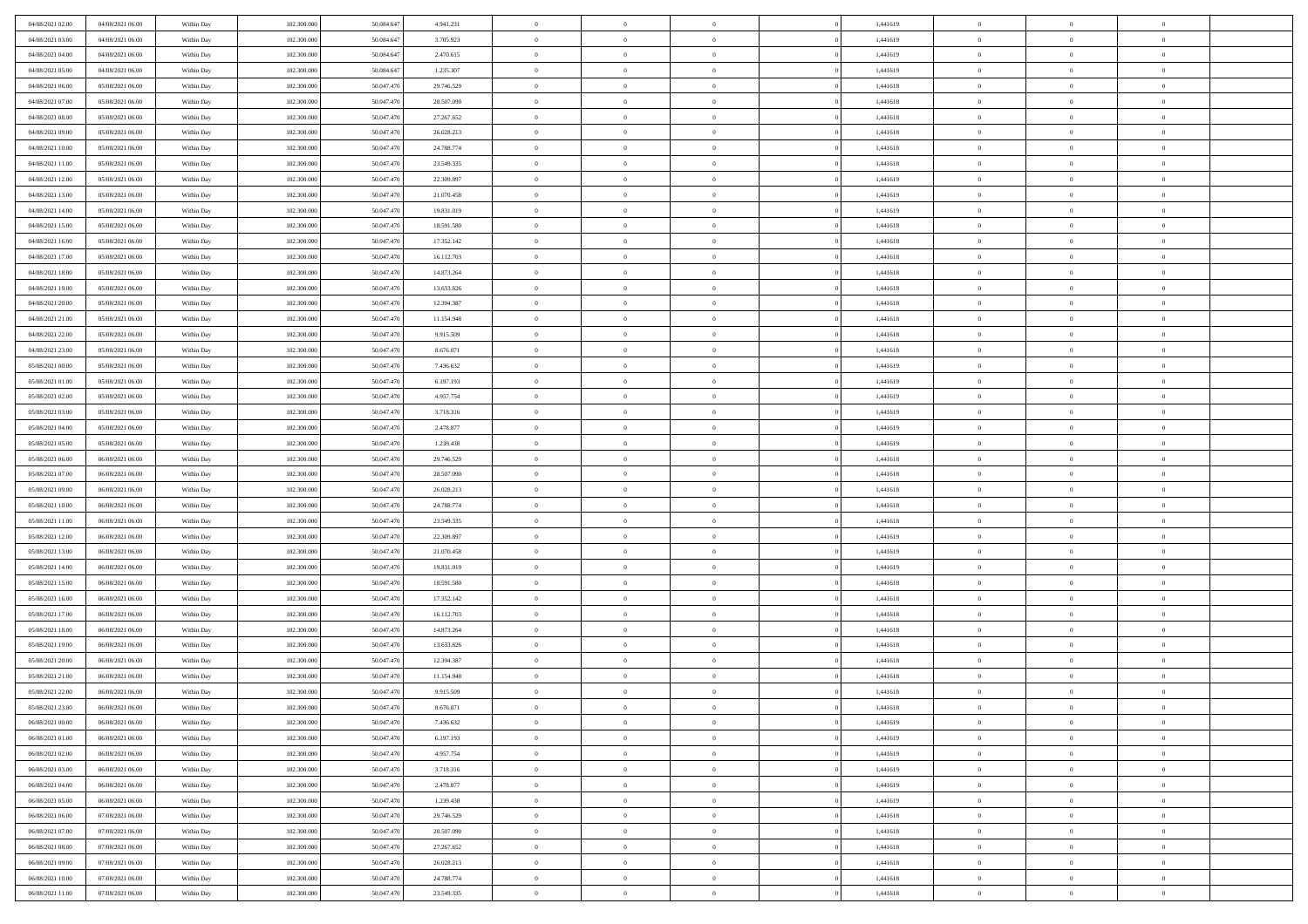| 04/08/2021 02:00                     | 04/08/2021 06:00                     | Within Day               | 102.300.000                | 50.084.647               | 4.941.231                | $\,$ 0 $\,$             | $\overline{0}$                   | $\overline{0}$                   | 1,441619             | $\bf{0}$                     | $\overline{0}$                   | $\,0\,$                    |  |
|--------------------------------------|--------------------------------------|--------------------------|----------------------------|--------------------------|--------------------------|-------------------------|----------------------------------|----------------------------------|----------------------|------------------------------|----------------------------------|----------------------------|--|
| 04/08/2021 03:00                     | 04/08/2021 06:00                     | Within Day               | 102,300,000                | 50.084.64                | 3.705.923                | $\theta$                | $\overline{0}$                   | $\mathbf{0}$                     | 1,441619             | $\theta$                     | $\overline{0}$                   | $\theta$                   |  |
| 04/08/2021 04:00                     | 04/08/2021 06:00                     | Within Dav               | 102.300.000                | 50.084.647               | 2.470.615                | $\theta$                | $\overline{0}$                   | $\mathbf{0}$                     | 1,441619             | $\mathbf{0}$                 | $\overline{0}$                   | $\overline{0}$             |  |
| 04/08/2021 05:00                     | 04/08/2021 06:00                     | Within Day               | 102.300.000                | 50.084.647               | 1.235.307                | $\,$ 0 $\,$             | $\overline{0}$                   | $\overline{0}$                   | 1,441619             | $\bf{0}$                     | $\overline{0}$                   | $\bf{0}$                   |  |
| 04/08/2021 06:00                     | 05/08/2021 06:00                     | Within Day               | 102.300.000                | 50.047.470               | 29.746.529               | $\bf{0}$                | $\overline{0}$                   | $\mathbf{0}$                     | 1,441618             | $\bf{0}$                     | $\theta$                         | $\,0\,$                    |  |
| 04/08/2021 07:00                     | 05/08/2021 06:00                     | Within Dav               | 102.300.000                | 50.047.470               | 28.507.090               | $\theta$                | $\overline{0}$                   | $\mathbf{0}$                     | 1,441618             | $\mathbf{0}$                 | $\overline{0}$                   | $\overline{0}$             |  |
| 04/08/2021 08:00                     | 05/08/2021 06:00                     | Within Day               | 102.300.000                | 50.047.470               | 27.267.652               | $\,$ 0 $\,$             | $\overline{0}$                   | $\overline{0}$                   | 1,441618             | $\bf{0}$                     | $\overline{0}$                   | $\,0\,$                    |  |
| 04/08/2021 09:00                     | 05/08/2021 06:00                     | Within Day               | 102.300.000                | 50,047.470               | 26.028.213               | $\theta$                | $\overline{0}$                   | $\mathbf{0}$                     | 1,441618             | $\,$ 0 $\,$                  | $\overline{0}$                   | $\theta$                   |  |
| 04/08/2021 10:00                     | 05/08/2021 06:00                     | Within Day               | 102.300.000                | 50.047.470               | 24.788.774               | $\theta$                | $\overline{0}$                   | $\mathbf{0}$                     | 1,441618             | $\mathbf{0}$                 | $\bf{0}$                         | $\overline{0}$             |  |
| 04/08/2021 11:00                     | 05/08/2021 06:00                     | Within Day               | 102.300.000                | 50.047.470               | 23.549.335               | $\,$ 0 $\,$             | $\overline{0}$                   | $\Omega$                         | 1,441618             | $\bf{0}$                     | $\overline{0}$                   | $\,0\,$                    |  |
| 04/08/2021 12:00                     | 05/08/2021 06:00                     | Within Day               | 102,300,000                | 50.047.470               | 22.309.897               | $\bf{0}$                | $\overline{0}$                   | $\mathbf{0}$                     | 1,441619             | $\bf{0}$                     | $\mathbf{0}$                     | $\theta$                   |  |
| 04/08/2021 13:00                     | 05/08/2021 06:00                     | Within Dav               | 102.300.000                | 50.047.470               | 21.070.458               | $\theta$                | $\overline{0}$                   | $\mathbf{0}$                     | 1,441619             | $\mathbf{0}$                 | $\overline{0}$                   | $\overline{0}$             |  |
| 04/08/2021 14:00                     | 05/08/2021 06:00                     | Within Day               | 102.300.000                | 50.047.470               | 19.831.019               | $\,$ 0 $\,$             | $\overline{0}$                   | $\overline{0}$                   | 1,441619             | $\bf{0}$                     | $\overline{0}$                   | $\bf{0}$                   |  |
| 04/08/2021 15:00                     | 05/08/2021 06:00                     | Within Day               | 102.300.000                | 50.047.470               | 18.591.580               | $\bf{0}$                | $\overline{0}$                   | $\mathbf{0}$                     | 1,441618             | $\bf{0}$                     | $\theta$                         | $\,0\,$                    |  |
| 04/08/2021 16:00                     | 05/08/2021 06:00                     | Within Dav               | 102.300.000                | 50.047.470               | 17.352.142               | $\theta$                | $\overline{0}$                   | $\mathbf{0}$                     | 1,441618             | $\mathbf{0}$                 | $\bf{0}$                         | $\overline{0}$             |  |
| 04/08/2021 17:00                     | 05/08/2021 06:00                     | Within Day               | 102.300.000                | 50.047.470               | 16.112.703               | $\,$ 0 $\,$             | $\overline{0}$                   | $\Omega$                         | 1,441618             | $\bf{0}$                     | $\overline{0}$                   | $\,0\,$                    |  |
| 04/08/2021 18:00                     | 05/08/2021 06:00                     |                          | 102,300,000                | 50,047.470               | 14.873.264               | $\,$ 0                  | $\overline{0}$                   | $\mathbf{0}$                     | 1,441618             | $\bf{0}$                     | $\overline{0}$                   | $\theta$                   |  |
| 04/08/2021 19:00                     | 05/08/2021 06:00                     | Within Day<br>Within Day | 102.300.000                | 50.047.470               | 13.633.826               | $\theta$                | $\overline{0}$                   | $\mathbf{0}$                     | 1,441618             | $\mathbf{0}$                 | $\overline{0}$                   | $\overline{0}$             |  |
| 04/08/2021 20:00                     | 05/08/2021 06:00                     | Within Day               | 102.300.000                | 50.047.470               | 12.394.387               | $\,$ 0 $\,$             | $\overline{0}$                   | $\Omega$                         | 1,441618             | $\bf{0}$                     | $\overline{0}$                   | $\,0\,$                    |  |
|                                      | 05/08/2021 06:00                     |                          | 102.300.000                | 50,047.470               | 11.154.948               | $\bf{0}$                | $\overline{0}$                   | $\mathbf{0}$                     | 1,441618             | $\bf{0}$                     | $\mathbf{0}$                     | $\theta$                   |  |
| 04/08/2021 21:00<br>04/08/2021 22:00 | 05/08/2021 06:00                     | Within Day<br>Within Day | 102.300.000                | 50.047.470               | 9.915.509                | $\theta$                | $\overline{0}$                   | $\mathbf{0}$                     | 1,441618             | $\mathbf{0}$                 | $\overline{0}$                   | $\overline{0}$             |  |
|                                      |                                      |                          |                            |                          |                          | $\,$ 0 $\,$             |                                  | $\overline{0}$                   |                      | $\bf{0}$                     | $\overline{0}$                   | $\bf{0}$                   |  |
| 04/08/2021 23:00                     | 05/08/2021 06:00                     | Within Day               | 102.300.000                | 50.047.470<br>50.047.470 | 8.676.071                |                         | $\overline{0}$                   |                                  | 1,441618             |                              | $\theta$                         |                            |  |
| 05/08/2021 00:00<br>05/08/2021 01:00 | 05/08/2021 06:00<br>05/08/2021 06:00 | Within Day               | 102.300.000                |                          | 7.436.632                | $\,$ 0<br>$\theta$      | $\overline{0}$                   | $\mathbf{0}$                     | 1,441619             | $\bf{0}$<br>$\mathbf{0}$     |                                  | $\,0\,$                    |  |
|                                      |                                      | Within Day               | 102.300.000                | 50.047.470               | 6.197.193                |                         | $\overline{0}$                   | $\mathbf{0}$<br>$\overline{0}$   | 1,441619             |                              | $\overline{0}$<br>$\overline{0}$ | $\theta$                   |  |
| 05/08/2021 02:00                     | 05/08/2021 06:00                     | Within Day               | 102.300.000                | 50.047.470               | 4.957.754                | $\,$ 0 $\,$             | $\overline{0}$                   |                                  | 1,441619             | $\bf{0}$                     |                                  | $\,0\,$                    |  |
| 05/08/2021 03:00                     | 05/08/2021 06:00                     | Within Day               | 102,300,000                | 50,047.470               | 3.718.316                | $\,$ 0                  | $\overline{0}$                   | $\mathbf{0}$                     | 1,441619             | $\bf{0}$                     | $\overline{0}$                   | $\theta$                   |  |
| 05/08/2021 04:00                     | 05/08/2021 06:00                     | Within Day               | 102.300.000                | 50.047.470               | 2.478.877                | $\theta$                | $\overline{0}$                   | $\overline{0}$                   | 1,441619             | $\mathbf{0}$                 | $\bf{0}$                         | $\overline{0}$             |  |
| 05/08/2021 05:00                     | 05/08/2021 06:00                     | Within Day               | 102.300.000                | 50.047.470               | 1.239.438                | $\,$ 0 $\,$             | $\overline{0}$                   | $\Omega$                         | 1,441619             | $\bf{0}$                     | $\overline{0}$                   | $\,0\,$                    |  |
| 05/08/2021 06:00                     | 06/08/2021 06:00                     | Within Day               | 102,300,000                | 50,047.470               | 29.746.529               | $\bf{0}$                | $\overline{0}$                   | $\mathbf{0}$                     | 1,441618             | $\bf{0}$                     | $\mathbf{0}$                     | $\theta$                   |  |
| 05/08/2021 07:00                     | 06/08/2021 06:00                     | Within Day               | 102.300.000                | 50.047.470               | 28.507.090               | $\theta$                | $\overline{0}$                   | $\overline{0}$                   | 1,441618             | $\mathbf{0}$                 | $\overline{0}$                   | $\overline{0}$             |  |
| 05/08/2021 09:00                     | 06/08/2021 06:00                     | Within Day               | 102.300.000                | 50.047.470               | 26.028.213               | $\theta$                | $\overline{0}$                   | $\overline{0}$                   | 1,441618             | $\,$ 0                       | $\overline{0}$                   | $\,$ 0 $\,$                |  |
| 05/08/2021 10:00                     | 06/08/2021 06:00                     | Within Day               | 102.300.000                | 50.047.470               | 24.788.774               | $\bf{0}$<br>$\theta$    | $\overline{0}$                   | $\mathbf{0}$                     | 1,441618             | $\bf{0}$<br>$\mathbf{0}$     | $\mathbf{0}$                     | $\bf{0}$<br>$\overline{0}$ |  |
| 05/08/2021 11:00                     | 06/08/2021 06:00                     | Within Day               | 102.300.000                | 50.047.470               | 23.549.335               |                         | $\overline{0}$<br>$\overline{0}$ | $\mathbf{0}$                     | 1,441618             |                              | $\bf{0}$                         | $\theta$                   |  |
| 05/08/2021 12:00                     | 06/08/2021 06:00                     | Within Day               | 102.300.000<br>102,300,000 | 50.047.470<br>50,047.470 | 22.309.897               | $\theta$                |                                  | $\overline{0}$                   | 1,441619             | $\,$ 0                       | $\overline{0}$<br>$\overline{0}$ | $\overline{0}$             |  |
| 05/08/2021 13:00<br>05/08/2021 14:00 | 06/08/2021 06:00<br>06/08/2021 06:00 | Within Day<br>Within Day | 102.300.000                | 50.047.470               | 21.070.458<br>19.831.019 | $\bf{0}$<br>$\theta$    | $\overline{0}$<br>$\overline{0}$ | $\mathbf{0}$                     | 1,441619<br>1,441619 | $\mathbf{0}$<br>$\mathbf{0}$ | $\overline{0}$                   | $\overline{0}$             |  |
|                                      |                                      |                          |                            |                          |                          | $\theta$                | $\overline{0}$                   | $\mathbf{0}$<br>$\overline{0}$   |                      | $\,$ 0                       | $\overline{0}$                   | $\theta$                   |  |
| 05/08/2021 15:00<br>05/08/2021 16:00 | 06/08/2021 06:00<br>06/08/2021 06:00 | Within Day               | 102.300.000<br>102,300,000 | 50.047.470<br>50,047.470 | 18.591.580               | $\bf{0}$                | $\overline{0}$                   | $\mathbf{0}$                     | 1,441618<br>1,441618 | $\bf{0}$                     | $\mathbf{0}$                     | $\bf{0}$                   |  |
| 05/08/2021 17:00                     | 06/08/2021 06:00                     | Within Day<br>Within Day | 102.300.000                | 50.047.470               | 17.352.142<br>16.112.703 | $\theta$                | $\overline{0}$                   | $\mathbf{0}$                     | 1,441618             | $\mathbf{0}$                 | $\overline{0}$                   | $\overline{0}$             |  |
|                                      |                                      |                          |                            |                          |                          | $\,$ 0 $\,$             |                                  | $\overline{0}$                   |                      | $\,$ 0                       | $\overline{0}$                   | $\,$ 0 $\,$                |  |
| 05/08/2021 18:00<br>05/08/2021 19:00 | 06/08/2021 06:00<br>06/08/2021 06:00 | Within Day               | 102.300.000<br>102.300.000 | 50.047.470<br>50.047.470 | 14.873.264<br>13.633.826 | $\,$ 0                  | $\overline{0}$<br>$\,$ 0 $\,$    | $\overline{0}$                   | 1,441618<br>1,441618 | $\,$ 0 $\,$                  | $\bf{0}$                         | $\overline{0}$             |  |
| 05/08/2021 20:00                     | 06/08/2021 06:00                     | Within Day<br>Within Day | 102.300.000                | 50.047.470               | 12.394.387               | $\theta$                | $\overline{0}$                   | $\mathbf{0}$                     | 1,441618             | $\mathbf{0}$                 | $\overline{0}$                   | $\theta$                   |  |
| 05/08/2021 21:00                     | 06/08/2021 06:00                     | Within Day               | 102.300.000                | 50.047.470               | 11.154.948               | $\overline{0}$          | $\overline{0}$                   | $\overline{0}$                   | 1,441618             | $\,$ 0                       | $\overline{0}$                   | $\theta$                   |  |
| 05/08/2021 22:00                     | 06/08/2021 06:00                     | Within Day               | 102,300,000                | 50,047.470               | 9.915.509                | $\bf{0}$                | $\overline{0}$                   | $\mathbf{0}$                     | 1,441618             | $\bf{0}$                     | $\overline{0}$                   | $\overline{0}$             |  |
| 05/08/2021 23:00                     | 06/08/2021 06:00                     | Within Day               | 102.300.000                | 50.047.470               | 8.676.071                | $\overline{0}$          | $\theta$                         |                                  | 1,441618             | $\overline{0}$               | $^{\circ}$                       | $\theta$                   |  |
| 06/08/2021 00:00                     | 06/08/2021 06:00                     | Within Day               | 102.300.000                | 50.047.470               | 7.436.632                | $\,$ 0 $\,$             | $\overline{0}$                   | $\overline{0}$                   | 1,441619             | $\,$ 0 $\,$                  | $\bf{0}$                         | $\theta$                   |  |
| 06/08/2021 01:00                     | 06/08/2021 06:00                     | Within Day               | 102.300.000                | 50.047.470               | 6.197.193                | $\overline{0}$          | $\,$ 0 $\,$                      | $\mathbf{0}$                     | 1,441619             | $\,$ 0 $\,$                  | $\overline{0}$                   | $\overline{0}$             |  |
| 06/08/2021 02:00                     | 06/08/2021 06:00                     | Within Day               | 102.300.000                | 50.047.470               | 4.957.754                | $\mathbf{0}$            | $\overline{0}$                   | $\overline{0}$                   | 1,441619             | $\,$ 0 $\,$                  | $\bf{0}$                         | $\mathbf{0}$               |  |
| 06/08/2021 03:00                     | 06/08/2021 06:00                     | Within Day               | 102.300.000                | 50.047.470               | 3.718.316                | $\,$ 0 $\,$             | $\overline{0}$                   | $\overline{0}$                   | 1,441619             | $\,$ 0 $\,$                  | $\bf{0}$                         | $\,$ 0 $\,$                |  |
| 06/08/2021 04:00                     | 06/08/2021 06:00                     | Within Day               | 102.300.000                | 50.047.470               | 2.478.877                | $\,$ 0 $\,$             | $\,$ 0 $\,$                      | $\overline{0}$                   | 1,441619             | $\,$ 0 $\,$                  | $\overline{0}$                   | $\overline{0}$             |  |
| 06/08/2021 05:00                     | 06/08/2021 06:00                     | Within Day               | 102.300.000                | 50.047.470               | 1.239.438                | $\mathbf{0}$            | $\overline{0}$                   | $\overline{0}$                   | 1,441619             | $\mathbf{0}$                 | $\overline{0}$                   | $\overline{0}$             |  |
|                                      |                                      |                          |                            |                          |                          |                         |                                  |                                  |                      |                              |                                  |                            |  |
| 06/08/2021 06:00                     | 07/08/2021 06:00                     | Within Day               | 102.300.000<br>102.300.000 | 50.047.470<br>50,047.470 | 29.746.529               | $\,$ 0 $\,$             | $\overline{0}$                   | $\overline{0}$<br>$\overline{0}$ | 1,441618             | $\,$ 0 $\,$                  | $\mathbf{0}$<br>$\overline{0}$   | $\,$ 0 $\,$                |  |
| 06/08/2021 07:00                     | 07/08/2021 06:00<br>07/08/2021 06:00 | Within Day               |                            | 50.047.470               | 28.507.090               | $\bf{0}$<br>$\,$ 0 $\,$ | $\overline{0}$                   |                                  | 1,441618             | $\,$ 0 $\,$                  |                                  | $\overline{0}$             |  |
| 06/08/2021 08:00                     |                                      | Within Day               | 102.300.000                |                          | 27.267.652               |                         | $\overline{0}$                   | $\overline{0}$                   | 1,441618             | $\mathbf{0}$                 | $\bf{0}$                         | $\overline{0}$             |  |
| 06/08/2021 09:00                     | 07/08/2021 06:00                     | Within Day               | 102.300.000                | 50.047.470               | 26.028.213               | $\,$ 0 $\,$             | $\overline{0}$                   | $\overline{0}$                   | 1,441618             | $\,$ 0 $\,$                  | $\mathbf{0}$                     | $\,$ 0 $\,$                |  |
| 06/08/2021 10:00                     | 07/08/2021 06:00                     | Within Day               | 102,300,000                | 50.047.470               | 24.788.774               | $\,$ 0 $\,$             | $\,$ 0 $\,$                      | $\overline{0}$                   | 1,441618             | $\,$ 0 $\,$                  | $\overline{0}$                   | $\overline{0}$             |  |
| 06/08/2021 11:00                     | 07/08/2021 06:00                     | Within Day               | 102.300.000                | 50.047.470               | 23.549.335               | $\theta$                | $\overline{0}$                   | $\overline{0}$                   | 1,441618             | $\mathbf{0}$                 | $\overline{0}$                   | $\overline{0}$             |  |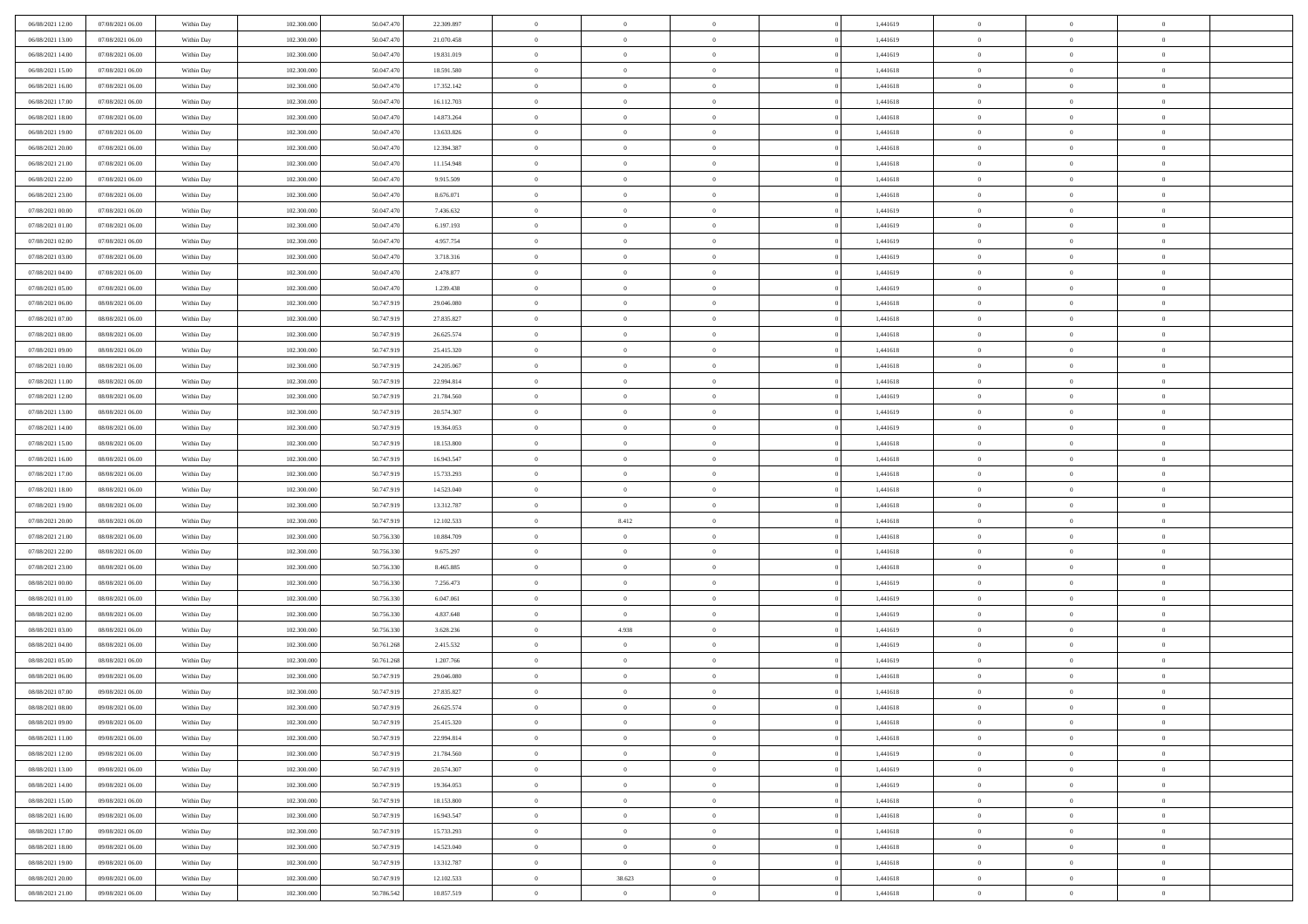| 06/08/2021 12:00 | 07/08/2021 06:00 | Within Day | 102.300,000 | 50.047.470 | 22.309.897 | $\overline{0}$ | $\overline{0}$ | $\Omega$       | 1,441619 | $\bf{0}$       | $\mathbf{0}$   | $\bf{0}$       |  |
|------------------|------------------|------------|-------------|------------|------------|----------------|----------------|----------------|----------|----------------|----------------|----------------|--|
| 06/08/2021 13:00 | 07/08/2021 06:00 | Within Day | 102.300.000 | 50.047.470 | 21.070.458 | $\mathbf{0}$   | $\overline{0}$ | $\overline{0}$ | 1,441619 | $\overline{0}$ | $\overline{0}$ | $\theta$       |  |
| 06/08/2021 14:00 | 07/08/2021 06:00 | Within Day | 102.300.000 | 50.047.470 | 19.831.019 | $\,$ 0         | $\overline{0}$ | $\bf{0}$       | 1,441619 | $\,$ 0         | $\overline{0}$ | $\,$ 0 $\,$    |  |
| 06/08/2021 15:00 | 07/08/2021 06:00 | Within Day | 102.300,000 | 50.047.470 | 18.591.580 | $\bf{0}$       | $\overline{0}$ | $\Omega$       | 1,441618 | $\bf{0}$       | $\mathbf{0}$   | $\theta$       |  |
| 06/08/2021 16:00 | 07/08/2021 06:00 | Within Dav | 102.300.000 | 50.047.470 | 17.352.142 | $\bf{0}$       | $\overline{0}$ | $\overline{0}$ | 1,441618 | $\mathbf{0}$   | $\overline{0}$ | $\overline{0}$ |  |
| 06/08/2021 17:00 | 07/08/2021 06:00 | Within Day | 102.300.000 | 50.047.470 | 16.112.703 | $\bf{0}$       | $\overline{0}$ | $\bf{0}$       | 1,441618 | $\,$ 0         | $\overline{0}$ | $\,$ 0 $\,$    |  |
| 06/08/2021 18:00 | 07/08/2021 06:00 | Within Day | 102.300,000 | 50.047.470 | 14.873.264 | $\bf{0}$       | $\overline{0}$ | $\Omega$       | 1,441618 | $\overline{0}$ | $\mathbf{0}$   | $\theta$       |  |
| 06/08/2021 19:00 | 07/08/2021 06:00 | Within Dav | 102.300.000 | 50.047.470 | 13.633.826 | $\overline{0}$ | $\overline{0}$ | $\overline{0}$ | 1,441618 | $\mathbf{0}$   | $\overline{0}$ | $\overline{0}$ |  |
| 06/08/2021 20:00 | 07/08/2021 06:00 | Within Day | 102.300.000 | 50.047.470 | 12.394.387 | $\bf{0}$       | $\overline{0}$ | $\bf{0}$       | 1,441618 | $\,$ 0         | $\overline{0}$ | $\,$ 0 $\,$    |  |
| 06/08/2021 21:00 | 07/08/2021 06:00 | Within Day | 102.300,000 | 50.047.470 | 11.154.948 | $\bf{0}$       | $\overline{0}$ | $\Omega$       | 1,441618 | $\bf{0}$       | $\mathbf{0}$   | $\theta$       |  |
| 06/08/2021 22:00 | 07/08/2021 06:00 | Within Day | 102.300.000 | 50.047.470 | 9.915.509  | $\overline{0}$ | $\overline{0}$ | $\overline{0}$ | 1,441618 | $\overline{0}$ | $\overline{0}$ | $\overline{0}$ |  |
| 06/08/2021 23:00 | 07/08/2021 06:00 | Within Day | 102.300.000 | 50.047.470 | 8.676.071  | $\,$ 0         | $\overline{0}$ | $\bf{0}$       | 1,441618 | $\,$ 0         | $\overline{0}$ | $\,$ 0 $\,$    |  |
| 07/08/2021 00:00 | 07/08/2021 06:00 | Within Day | 102.300,000 | 50.047.470 | 7.436.632  | $\bf{0}$       | $\overline{0}$ | $\Omega$       | 1,441619 | $\overline{0}$ | $\theta$       | $\theta$       |  |
| 07/08/2021 01:00 | 07/08/2021 06:00 | Within Dav | 102.300.000 | 50.047.470 | 6.197.193  | $\overline{0}$ | $\overline{0}$ | $\overline{0}$ | 1,441619 | $\mathbf{0}$   | $\overline{0}$ | $\overline{0}$ |  |
| 07/08/2021 02:00 | 07/08/2021 06:00 | Within Day | 102.300.000 | 50.047.470 | 4.957.754  | $\bf{0}$       | $\overline{0}$ | $\bf{0}$       | 1,441619 | $\,$ 0         | $\overline{0}$ | $\,$ 0 $\,$    |  |
| 07/08/2021 03:00 | 07/08/2021 06:00 | Within Day | 102.300,000 | 50.047.470 | 3.718.316  | $\bf{0}$       | $\overline{0}$ | $\overline{0}$ | 1,441619 | $\bf{0}$       | $\mathbf{0}$   | $\bf{0}$       |  |
| 07/08/2021 04:00 | 07/08/2021 06:00 | Within Day | 102.300.000 | 50.047.470 | 2.478.877  | $\overline{0}$ | $\overline{0}$ | $\overline{0}$ | 1,441619 | $\overline{0}$ | $\overline{0}$ | $\overline{0}$ |  |
| 07/08/2021 05:00 | 07/08/2021 06:00 | Within Day | 102.300.000 | 50.047.470 | 1.239.438  | $\bf{0}$       | $\overline{0}$ | $\bf{0}$       | 1,441619 | $\,$ 0         | $\overline{0}$ | $\,0\,$        |  |
| 07/08/2021 06:00 | 08/08/2021 06:00 | Within Day | 102.300,000 | 50.747.919 | 29,046,080 | $\bf{0}$       | $\overline{0}$ | $\Omega$       | 1,441618 | $\overline{0}$ | $\mathbf{0}$   | $\theta$       |  |
| 07/08/2021 07:00 | 08/08/2021 06:00 | Within Day | 102.300.000 | 50.747.919 | 27.835.827 | $\overline{0}$ | $\overline{0}$ | $\overline{0}$ | 1,441618 | $\overline{0}$ | $\overline{0}$ | $\overline{0}$ |  |
| 07/08/2021 08:00 | 08/08/2021 06:00 | Within Day | 102.300.000 | 50.747.919 | 26.625.574 | $\bf{0}$       | $\overline{0}$ | $\bf{0}$       | 1,441618 | $\,$ 0         | $\overline{0}$ | $\,$ 0 $\,$    |  |
| 07/08/2021 09:00 | 08/08/2021 06:00 | Within Day | 102.300,000 | 50.747.919 | 25.415.320 | $\bf{0}$       | $\overline{0}$ | $\Omega$       | 1,441618 | $\overline{0}$ | $\theta$       | $\theta$       |  |
| 07/08/2021 10:00 | 08/08/2021 06:00 | Within Dav | 102.300.000 | 50.747.919 | 24.205.067 | $\overline{0}$ | $\overline{0}$ | $\overline{0}$ | 1,441618 | $\mathbf{0}$   | $\overline{0}$ | $\overline{0}$ |  |
| 07/08/2021 11:00 | 08/08/2021 06:00 | Within Day | 102.300.000 | 50.747.919 | 22.994.814 | $\bf{0}$       | $\overline{0}$ | $\bf{0}$       | 1,441618 | $\,$ 0         | $\overline{0}$ | $\,$ 0 $\,$    |  |
| 07/08/2021 12:00 | 08/08/2021 06:00 | Within Day | 102.300,000 | 50.747.919 | 21.784.560 | $\bf{0}$       | $\overline{0}$ | $\overline{0}$ | 1,441619 | $\bf{0}$       | $\bf{0}$       | $\theta$       |  |
| 07/08/2021 13:00 | 08/08/2021 06:00 | Within Day | 102.300.000 | 50.747.919 | 20.574.307 | $\overline{0}$ | $\overline{0}$ | $\overline{0}$ | 1,441619 | $\overline{0}$ | $\overline{0}$ | $\overline{0}$ |  |
| 07/08/2021 14:00 | 08/08/2021 06:00 | Within Day | 102.300.000 | 50.747.919 | 19.364.053 | $\bf{0}$       | $\overline{0}$ | $\bf{0}$       | 1,441619 | $\,$ 0         | $\overline{0}$ | $\,$ 0 $\,$    |  |
| 07/08/2021 15:00 | 08/08/2021 06:00 | Within Day | 102.300,000 | 50.747.919 | 18.153.800 | $\bf{0}$       | $\overline{0}$ | $\Omega$       | 1,441618 | $\bf{0}$       | $\mathbf{0}$   | $\theta$       |  |
| 07/08/2021 16:00 | 08/08/2021 06:00 | Within Day | 102.300.000 | 50.747.919 | 16.943.547 | $\overline{0}$ | $\overline{0}$ | $\overline{0}$ | 1,441618 | $\mathbf{0}$   | $\overline{0}$ | $\overline{0}$ |  |
| 07/08/2021 17:00 | 08/08/2021 06:00 | Within Day | 102.300.000 | 50.747.919 | 15.733.293 | $\bf{0}$       | $\overline{0}$ | $\bf{0}$       | 1,441618 | $\,$ 0         | $\overline{0}$ | $\,$ 0 $\,$    |  |
| 07/08/2021 18:00 | 08/08/2021 06:00 | Within Day | 102.300.000 | 50.747.919 | 14.523.040 | $\,$ 0         | $\bf{0}$       | $\overline{0}$ | 1,441618 | $\bf{0}$       | $\overline{0}$ | $\,0\,$        |  |
| 07/08/2021 19:00 | 08/08/2021 06:00 | Within Dav | 102.300.000 | 50.747.919 | 13.312.787 | $\overline{0}$ | $\overline{0}$ | $\overline{0}$ | 1,441618 | $\mathbf{0}$   | $\overline{0}$ | $\overline{0}$ |  |
| 07/08/2021 20:00 | 08/08/2021 06:00 | Within Day | 102.300.000 | 50.747.919 | 12.102.533 | $\bf{0}$       | 8.412          | $\bf{0}$       | 1,441618 | $\,$ 0         | $\overline{0}$ | $\,$ 0 $\,$    |  |
| 07/08/2021 21:00 | 08/08/2021 06:00 | Within Day | 102.300.000 | 50.756.330 | 10.884.709 | $\bf{0}$       | $\bf{0}$       | $\bf{0}$       | 1,441618 | $\bf{0}$       | $\overline{0}$ | $\,0\,$        |  |
| 07/08/2021 22:00 | 08/08/2021 06:00 | Within Day | 102.300.000 | 50.756.330 | 9.675.297  | $\overline{0}$ | $\overline{0}$ | $\overline{0}$ | 1,441618 | $\overline{0}$ | $\overline{0}$ | $\overline{0}$ |  |
| 07/08/2021 23:00 | 08/08/2021 06:00 | Within Day | 102.300.000 | 50.756.330 | 8.465.885  | $\bf{0}$       | $\overline{0}$ | $\bf{0}$       | 1,441618 | $\,$ 0         | $\overline{0}$ | $\,$ 0 $\,$    |  |
| 08/08/2021 00:00 | 08/08/2021 06:00 | Within Day | 102.300.000 | 50.756.330 | 7.256.473  | $\bf{0}$       | $\bf{0}$       | $\overline{0}$ | 1,441619 | $\bf{0}$       | $\overline{0}$ | $\,0\,$        |  |
| 08/08/2021 01:00 | 08/08/2021 06:00 | Within Day | 102.300.000 | 50.756.330 | 6.047.061  | $\overline{0}$ | $\overline{0}$ | $\overline{0}$ | 1,441619 | $\mathbf{0}$   | $\overline{0}$ | $\overline{0}$ |  |
| 08/08/2021 02:00 | 08/08/2021 06:00 | Within Day | 102.300.000 | 50.756.330 | 4.837.648  | $\bf{0}$       | $\overline{0}$ | $\bf{0}$       | 1,441619 | $\,$ 0         | $\overline{0}$ | $\,$ 0 $\,$    |  |
| 08/08/2021 03:00 | 08/08/2021 06:00 | Within Day | 102.300.000 | 50.756.330 | 3.628.236  | $\bf{0}$       | 4.938          | $\overline{0}$ | 1,441619 | $\bf{0}$       | $\overline{0}$ | $\,0\,$        |  |
| 08/08/2021 04:00 | 08/08/2021 06:00 | Within Day | 102.300.000 | 50.761.268 | 2.415.532  | $\overline{0}$ | $\overline{0}$ | $\overline{0}$ | 1,441619 | $\overline{0}$ | $\overline{0}$ | $\overline{0}$ |  |
| 08/08/2021 05:00 | 08/08/2021 06:00 | Within Day | 102.300.000 | 50.761.268 | 1.207.766  | $\bf{0}$       | $\overline{0}$ | $\bf{0}$       | 1,441619 | $\,$ 0         | $\overline{0}$ | $\,$ 0 $\,$    |  |
| 08/08/2021 06:00 | 09/08/2021 06:00 | Within Day | 102.300.000 | 50.747.919 | 29.046.080 | $\bf{0}$       | $\bf{0}$       | $\bf{0}$       | 1,441618 | $\bf{0}$       | $\overline{0}$ | $\,0\,$        |  |
| 08/08/2021 07:00 | 09/08/2021 06:00 | Within Day | 102.300.000 | 50.747.919 | 27.835.827 | $\mathbf{0}$   | $\overline{0}$ | $\overline{0}$ | 1,441618 | $\overline{0}$ | $\overline{0}$ | $\overline{0}$ |  |
| 08/08/2021 08:00 | 09/08/2021 06:00 | Within Day | 102.300.000 | 50.747.919 | 26.625.574 | $\bf{0}$       | $\overline{0}$ | $\theta$       | 1,441618 | $\overline{0}$ | $\theta$       | $\theta$       |  |
| 08/08/2021 09:00 | 09/08/2021 06:00 | Within Day | 102.300.000 | 50.747.919 | 25.415.320 | $\bf{0}$       | $\bf{0}$       | $\bf{0}$       | 1,441618 | $\bf{0}$       | $\overline{0}$ | $\,0\,$        |  |
| 08/08/2021 11:00 | 09/08/2021 06:00 | Within Day | 102.300.000 | 50.747.919 | 22.994.814 | $\overline{0}$ | $\overline{0}$ | $\overline{0}$ | 1,441618 | $\mathbf{0}$   | $\bf{0}$       | $\overline{0}$ |  |
| 08/08/2021 12:00 | 09/08/2021 06:00 | Within Day | 102.300.000 | 50.747.919 | 21.784.560 | $\,$ 0 $\,$    | $\overline{0}$ | $\overline{0}$ | 1,441619 | $\,$ 0 $\,$    | $\overline{0}$ | $\,$ 0 $\,$    |  |
| 08/08/2021 13:00 | 09/08/2021 06:00 | Within Day | 102.300.000 | 50.747.919 | 20.574.307 | $\bf{0}$       | $\bf{0}$       | $\overline{0}$ | 1,441619 | $\mathbf{0}$   | $\overline{0}$ | $\bf{0}$       |  |
| 08/08/2021 14:00 | 09/08/2021 06:00 | Within Day | 102.300.000 | 50.747.919 | 19.364.053 | $\bf{0}$       | $\overline{0}$ | $\overline{0}$ | 1,441619 | $\overline{0}$ | $\overline{0}$ | $\overline{0}$ |  |
| 08/08/2021 15:00 | 09/08/2021 06:00 | Within Day | 102.300.000 | 50.747.919 | 18.153.800 | $\,$ 0 $\,$    | $\overline{0}$ | $\overline{0}$ | 1,441618 | $\,$ 0 $\,$    | $\overline{0}$ | $\,$ 0 $\,$    |  |
| 08/08/2021 16:00 | 09/08/2021 06:00 | Within Day | 102.300.000 | 50.747.919 | 16.943.547 | $\bf{0}$       | $\overline{0}$ | $\overline{0}$ | 1,441618 | $\bf{0}$       | $\overline{0}$ | $\overline{0}$ |  |
| 08/08/2021 17:00 | 09/08/2021 06:00 | Within Day | 102.300.000 | 50.747.919 | 15.733.293 | $\overline{0}$ | $\overline{0}$ | $\overline{0}$ | 1,441618 | $\overline{0}$ | $\overline{0}$ | $\overline{0}$ |  |
| 08/08/2021 18:00 | 09/08/2021 06:00 | Within Day | 102.300.000 | 50.747.919 | 14.523.040 | $\,$ 0 $\,$    | $\overline{0}$ | $\overline{0}$ | 1,441618 | $\,$ 0 $\,$    | $\overline{0}$ | $\,$ 0 $\,$    |  |
| 08/08/2021 19:00 | 09/08/2021 06:00 | Within Day | 102.300.000 | 50.747.919 | 13.312.787 | $\bf{0}$       | $\bf{0}$       | $\overline{0}$ | 1,441618 | $\mathbf{0}$   | $\overline{0}$ | $\bf{0}$       |  |
| 08/08/2021 20:00 | 09/08/2021 06:00 | Within Day | 102.300.000 | 50.747.919 | 12.102.533 | $\bf{0}$       | 38.623         | $\overline{0}$ | 1,441618 | $\overline{0}$ | $\bf{0}$       | $\overline{0}$ |  |
| 08/08/2021 21:00 | 09/08/2021 06:00 | Within Day | 102.300.000 | 50.786.542 | 10.857.519 | $\,0\,$        | $\overline{0}$ | $\bf{0}$       | 1,441618 | $\,$ 0         | $\overline{0}$ | $\,$ 0 $\,$    |  |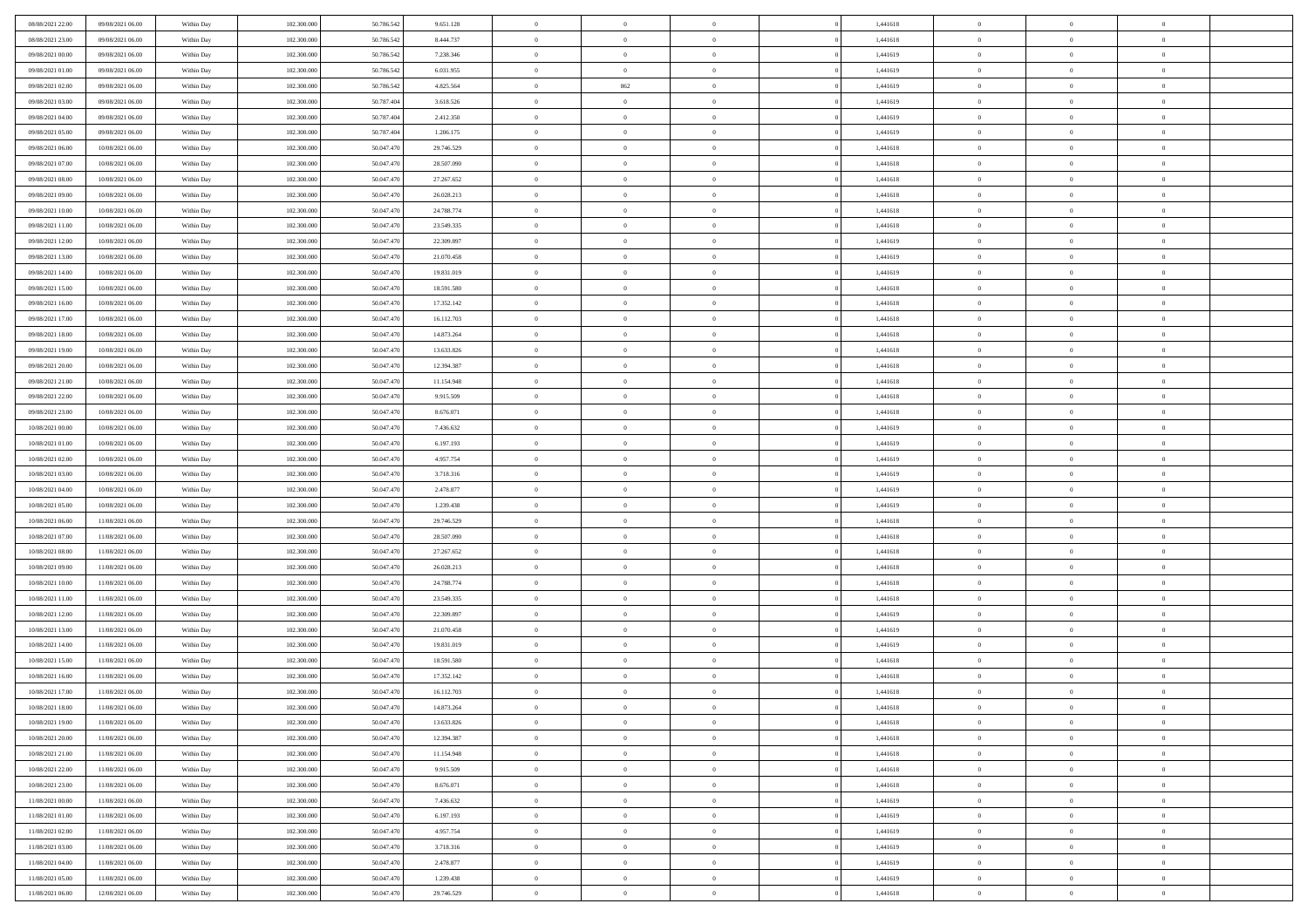| 08/08/2021 22.00 | 09/08/2021 06:00 | Within Day | 102.300.000 | 50.786.542 | 9.651.128  | $\,$ 0         | $\bf{0}$       | $\theta$       |          | 1,441618 | $\bf{0}$       | $\overline{0}$ | $\,0\,$        |  |
|------------------|------------------|------------|-------------|------------|------------|----------------|----------------|----------------|----------|----------|----------------|----------------|----------------|--|
| 08/08/2021 23:00 | 09/08/2021 06:00 | Within Day | 102.300,000 | 50.786.542 | 8.444.737  | $\overline{0}$ | $\overline{0}$ | $\overline{0}$ |          | 1,441618 | $\overline{0}$ | $\overline{0}$ | $\theta$       |  |
| 09/08/2021 00:00 | 09/08/2021 06:00 | Within Dav | 102.300.000 | 50.786.542 | 7.238.346  | $\mathbf{0}$   | $\overline{0}$ | $\overline{0}$ |          | 1,441619 | $\mathbf{0}$   | $\overline{0}$ | $\overline{0}$ |  |
| 09/08/2021 01:00 | 09/08/2021 06:00 | Within Day | 102.300.000 | 50.786.542 | 6.031.955  | $\bf{0}$       | $\overline{0}$ | $\bf{0}$       |          | 1,441619 | $\bf{0}$       | $\overline{0}$ | $\,0\,$        |  |
| 09/08/2021 02:00 | 09/08/2021 06:00 | Within Day | 102.300.000 | 50.786.542 | 4.825.564  | $\bf{0}$       | 862            | $\overline{0}$ |          | 1,441619 | $\bf{0}$       | $\bf{0}$       | $\,0\,$        |  |
| 09/08/2021 03:00 | 09/08/2021 06:00 | Within Dav | 102.300.000 | 50.787.404 | 3.618.526  | $\mathbf{0}$   | $\overline{0}$ | $\overline{0}$ |          | 1,441619 | $\mathbf{0}$   | $\overline{0}$ | $\theta$       |  |
| 09/08/2021 04:00 | 09/08/2021 06:00 | Within Day | 102.300.000 | 50.787.404 | 2.412.350  | $\bf{0}$       | $\bf{0}$       | $\overline{0}$ |          | 1,441619 | $\bf{0}$       | $\overline{0}$ | $\,0\,$        |  |
| 09/08/2021 05:00 | 09/08/2021 06:00 | Within Day | 102.300.000 | 50.787.404 | 1.206.175  | $\theta$       | $\overline{0}$ | $\overline{0}$ |          | 1,441619 | $\,$ 0 $\,$    | $\overline{0}$ | $\theta$       |  |
| 09/08/2021 06:00 | 10/08/2021 06:00 | Within Day | 102.300.000 | 50.047.470 | 29.746.529 | $\mathbf{0}$   | $\overline{0}$ | $\overline{0}$ |          | 1,441618 | $\mathbf{0}$   | $\overline{0}$ | $\overline{0}$ |  |
| 09/08/2021 07:00 | 10/08/2021 06:00 | Within Day | 102.300.000 | 50.047.470 | 28.507.090 | $\bf{0}$       | $\bf{0}$       | $\theta$       |          | 1,441618 | $\bf{0}$       | $\overline{0}$ | $\,0\,$        |  |
|                  |                  |            | 102.300,000 | 50.047.470 |            | $\overline{0}$ | $\overline{0}$ | $\overline{0}$ |          | 1,441618 | $\bf{0}$       | $\mathbf{0}$   | $\theta$       |  |
| 09/08/2021 08:00 | 10/08/2021 06:00 | Within Day |             |            | 27.267.652 | $\mathbf{0}$   |                |                |          |          | $\mathbf{0}$   |                | $\overline{0}$ |  |
| 09/08/2021 09:00 | 10/08/2021 06:00 | Within Dav | 102.300.000 | 50.047.470 | 26.028.213 |                | $\overline{0}$ | $\overline{0}$ |          | 1,441618 |                | $\overline{0}$ |                |  |
| 09/08/2021 10:00 | 10/08/2021 06:00 | Within Day | 102.300.000 | 50.047.470 | 24.788.774 | $\bf{0}$       | $\overline{0}$ | $\bf{0}$       |          | 1,441618 | $\bf{0}$       | $\overline{0}$ | $\bf{0}$       |  |
| 09/08/2021 11:00 | 10/08/2021 06:00 | Within Day | 102.300.000 | 50.047.470 | 23.549.335 | $\bf{0}$       | $\overline{0}$ | $\overline{0}$ |          | 1,441618 | $\bf{0}$       | $\theta$       | $\,0\,$        |  |
| 09/08/2021 12:00 | 10/08/2021 06:00 | Within Dav | 102.300.000 | 50.047.470 | 22.309.897 | $\mathbf{0}$   | $\overline{0}$ | $\overline{0}$ |          | 1,441619 | $\mathbf{0}$   | $\overline{0}$ | $\overline{0}$ |  |
| 09/08/2021 13:00 | 10/08/2021 06:00 | Within Day | 102.300.000 | 50.047.470 | 21.070.458 | $\bf{0}$       | $\bf{0}$       | $\overline{0}$ |          | 1,441619 | $\bf{0}$       | $\overline{0}$ | $\,0\,$        |  |
| 09/08/2021 14:00 | 10/08/2021 06:00 | Within Day | 102.300,000 | 50.047.470 | 19.831.019 | $\overline{0}$ | $\overline{0}$ | $\overline{0}$ |          | 1,441619 | $\bf{0}$       | $\overline{0}$ | $\theta$       |  |
| 09/08/2021 15:00 | 10/08/2021 06:00 | Within Day | 102.300.000 | 50.047.470 | 18.591.580 | $\mathbf{0}$   | $\overline{0}$ | $\overline{0}$ |          | 1,441618 | $\mathbf{0}$   | $\overline{0}$ | $\overline{0}$ |  |
| 09/08/2021 16:00 | 10/08/2021 06:00 | Within Day | 102.300.000 | 50.047.470 | 17.352.142 | $\,$ 0         | $\bf{0}$       | $\overline{0}$ |          | 1,441618 | $\bf{0}$       | $\overline{0}$ | $\,0\,$        |  |
| 09/08/2021 17:00 | 10/08/2021 06:00 | Within Day | 102.300.000 | 50.047.470 | 16.112.703 | $\bf{0}$       | $\overline{0}$ | $\overline{0}$ |          | 1,441618 | $\bf{0}$       | $\overline{0}$ | $\overline{0}$ |  |
| 09/08/2021 18:00 | 10/08/2021 06:00 | Within Dav | 102.300.000 | 50.047.470 | 14.873.264 | $\mathbf{0}$   | $\overline{0}$ | $\overline{0}$ |          | 1,441618 | $\mathbf{0}$   | $\overline{0}$ | $\overline{0}$ |  |
| 09/08/2021 19:00 | 10/08/2021 06:00 | Within Day | 102.300.000 | 50.047.470 | 13.633.826 | $\bf{0}$       | $\overline{0}$ | $\bf{0}$       |          | 1,441618 | $\bf{0}$       | $\overline{0}$ | $\bf{0}$       |  |
| 09/08/2021 20:00 | 10/08/2021 06:00 | Within Day | 102.300.000 | 50.047.470 | 12.394.387 | $\bf{0}$       | $\bf{0}$       | $\overline{0}$ |          | 1,441618 | $\bf{0}$       | $\bf{0}$       | $\,0\,$        |  |
| 09/08/2021 21:00 | 10/08/2021 06:00 | Within Dav | 102.300.000 | 50.047.470 | 11.154.948 | $\mathbf{0}$   | $\overline{0}$ | $\overline{0}$ |          | 1,441618 | $\mathbf{0}$   | $\overline{0}$ | $\theta$       |  |
| 09/08/2021 22.00 | 10/08/2021 06:00 | Within Day | 102.300.000 | 50.047.470 | 9.915.509  | $\bf{0}$       | $\bf{0}$       | $\overline{0}$ |          | 1,441618 | $\bf{0}$       | $\overline{0}$ | $\,0\,$        |  |
| 09/08/2021 23:00 | 10/08/2021 06:00 | Within Day | 102.300.000 | 50.047.470 | 8.676.071  | $\overline{0}$ | $\overline{0}$ | $\overline{0}$ |          | 1,441618 | $\bf{0}$       | $\overline{0}$ | $\overline{0}$ |  |
| 10/08/2021 00:00 | 10/08/2021 06:00 | Within Dav | 102.300.000 | 50.047.470 | 7.436.632  | $\mathbf{0}$   | $\overline{0}$ | $\overline{0}$ |          | 1,441619 | $\mathbf{0}$   | $\overline{0}$ | $\overline{0}$ |  |
| 10/08/2021 01:00 | 10/08/2021 06:00 | Within Day | 102.300.000 | 50.047.470 | 6.197.193  | $\bf{0}$       | $\bf{0}$       | $\overline{0}$ |          | 1,441619 | $\bf{0}$       | $\overline{0}$ | $\,0\,$        |  |
| 10/08/2021 02:00 | 10/08/2021 06:00 | Within Day | 102.300,000 | 50.047.470 | 4.957.754  | $\bf{0}$       | $\bf{0}$       | $\overline{0}$ |          | 1,441619 | $\bf{0}$       | $\bf{0}$       | $\overline{0}$ |  |
| 10/08/2021 03:00 | 10/08/2021 06:00 | Within Dav | 102.300.000 | 50.047.470 | 3.718.316  | $\mathbf{0}$   | $\overline{0}$ | $\overline{0}$ |          | 1,441619 | $\mathbf{0}$   | $\overline{0}$ | $\overline{0}$ |  |
| 10/08/2021 04:00 | 10/08/2021 06:00 | Within Day | 102.300.000 | 50.047.470 | 2.478.877  | $\bf{0}$       | $\overline{0}$ | $\theta$       |          | 1,441619 | $\,$ 0         | $\overline{0}$ | $\theta$       |  |
| 10/08/2021 05:00 | 10/08/2021 06:00 | Within Day | 102.300.000 | 50.047.470 | 1.239.438  | $\bf{0}$       | $\bf{0}$       | $\overline{0}$ |          | 1,441619 | $\bf{0}$       | $\mathbf{0}$   | $\overline{0}$ |  |
| 10/08/2021 06:00 | 11/08/2021 06:00 | Within Dav | 102.300.000 | 50.047.470 | 29.746.529 | $\mathbf{0}$   | $\overline{0}$ | $\overline{0}$ |          | 1,441618 | $\mathbf{0}$   | $\overline{0}$ | $\overline{0}$ |  |
| 10/08/2021 07:00 | 11/08/2021 06:00 | Within Day | 102.300.000 | 50.047.470 | 28.507.090 | $\bf{0}$       | $\overline{0}$ | $\theta$       |          | 1,441618 | $\,$ 0         | $\overline{0}$ | $\theta$       |  |
| 10/08/2021 08:00 | 11/08/2021 06:00 | Within Day | 102.300,000 | 50.047.470 | 27.267.652 | $\bf{0}$       | $\overline{0}$ | $\overline{0}$ |          | 1,441618 | $\bf{0}$       | $\overline{0}$ | $\overline{0}$ |  |
| 10/08/2021 09:00 | 11/08/2021 06:00 | Within Day | 102.300.000 | 50.047.470 | 26.028.213 | $\mathbf{0}$   | $\overline{0}$ | $\overline{0}$ |          | 1,441618 | $\mathbf{0}$   | $\overline{0}$ | $\overline{0}$ |  |
| 10/08/2021 10:00 | 11/08/2021 06:00 | Within Day | 102.300.000 | 50.047.470 | 24.788.774 | $\bf{0}$       | $\overline{0}$ | $\theta$       |          | 1,441618 | $\,$ 0         | $\overline{0}$ | $\theta$       |  |
| 10/08/2021 11:00 | 11/08/2021 06:00 | Within Day | 102.300.000 | 50.047.470 | 23.549.335 | $\bf{0}$       | $\bf{0}$       | $\overline{0}$ |          | 1,441618 | $\bf{0}$       | $\mathbf{0}$   | $\overline{0}$ |  |
| 10/08/2021 12:00 | 11/08/2021 06:00 | Within Dav | 102.300.000 | 50.047.470 | 22.309.897 | $\mathbf{0}$   | $\overline{0}$ | $\overline{0}$ |          | 1,441619 | $\mathbf{0}$   | $\overline{0}$ | $\overline{0}$ |  |
| 10/08/2021 13:00 | 11/08/2021 06:00 | Within Day | 102.300.000 | 50.047.470 | 21.070.458 | $\bf{0}$       | $\overline{0}$ | $\theta$       |          | 1,441619 | $\,$ 0         | $\overline{0}$ | $\theta$       |  |
| 10/08/2021 14:00 | 11/08/2021 06:00 | Within Day | 102.300.000 | 50.047.470 | 19.831.019 | $\bf{0}$       | $\bf{0}$       | $\overline{0}$ |          | 1,441619 | $\bf{0}$       | $\overline{0}$ | $\overline{0}$ |  |
| 10/08/2021 15:00 | 11/08/2021 06:00 | Within Dav | 102.300.000 | 50.047.470 | 18.591.580 | $\mathbf{0}$   | $\overline{0}$ | $\overline{0}$ |          | 1,441618 | $\mathbf{0}$   | $\overline{0}$ | $\overline{0}$ |  |
| 10/08/2021 16:00 | 11/08/2021 06:00 | Within Day | 102.300.000 | 50.047.470 | 17.352.142 | $\bf{0}$       | $\overline{0}$ | $\theta$       |          | 1,441618 | $\,$ 0         | $\overline{0}$ | $\theta$       |  |
| 10/08/2021 17:00 | 11/08/2021 06:00 | Within Day | 102.300,000 | 50.047.470 | 16.112.703 | $\bf{0}$       | $\overline{0}$ | $\overline{0}$ |          | 1,441618 | $\,$ 0 $\,$    | $\overline{0}$ | $\overline{0}$ |  |
| 10/08/2021 18:00 | 11/08/2021 06:00 | Within Day | 102.300.000 | 50.047.470 | 14.873.264 | $\bf{0}$       | $\overline{0}$ |                |          | 1,441618 | $\overline{0}$ | $\theta$       | $\theta$       |  |
| 10/08/2021 19:00 | 11/08/2021 06:00 | Within Day | 102.300.000 | 50.047.470 | 13.633.826 | $\,0\,$        | $\overline{0}$ | $\theta$       |          | 1,441618 | $\,$ 0 $\,$    | $\overline{0}$ | $\theta$       |  |
| 10/08/2021 20:00 | 11/08/2021 06:00 | Within Day | 102.300.000 | 50.047.470 | 12.394.387 | $\overline{0}$ | $\overline{0}$ | $\overline{0}$ |          | 1,441618 | $\overline{0}$ | $\overline{0}$ | $\overline{0}$ |  |
| 10/08/2021 21:00 | 11/08/2021 06:00 | Within Day | 102.300.000 | 50.047.470 | 11.154.948 | $\bf{0}$       | $\overline{0}$ | $\overline{0}$ |          | 1,441618 | $\mathbf{0}$   | $\bf{0}$       | $\mathbf{0}$   |  |
| 10/08/2021 22:00 | 11/08/2021 06:00 | Within Day | 102.300.000 | 50.047.470 | 9.915.509  | $\bf{0}$       | $\overline{0}$ | $\overline{0}$ | $\theta$ | 1,441618 | $\,$ 0 $\,$    | $\mathbf{0}$   | $\,$ 0 $\,$    |  |
| 10/08/2021 23:00 | 11/08/2021 06:00 | Within Day | 102.300.000 | 50.047.470 | 8.676.071  | $\bf{0}$       | $\overline{0}$ | $\overline{0}$ |          | 1,441618 | $\,$ 0 $\,$    | $\overline{0}$ | $\overline{0}$ |  |
| 11/08/2021 00:00 | 11/08/2021 06:00 | Within Day | 102.300.000 | 50.047.470 | 7.436.632  | $\bf{0}$       | $\overline{0}$ | $\overline{0}$ |          | 1,441619 | $\mathbf{0}$   | $\overline{0}$ | $\overline{0}$ |  |
|                  |                  |            |             |            |            |                |                |                |          |          |                |                |                |  |
| 11/08/2021 01:00 | 11/08/2021 06:00 | Within Day | 102.300.000 | 50.047.470 | 6.197.193  | $\,0\,$        | $\overline{0}$ | $\overline{0}$ | $\theta$ | 1,441619 | $\,$ 0 $\,$    | $\overline{0}$ | $\overline{0}$ |  |
| 11/08/2021 02:00 | 11/08/2021 06:00 | Within Day | 102.300.000 | 50.047.470 | 4.957.754  | $\bf{0}$       | $\overline{0}$ | $\overline{0}$ |          | 1,441619 | $\overline{0}$ | $\overline{0}$ | $\overline{0}$ |  |
| 11/08/2021 03:00 | 11/08/2021 06:00 | Within Day | 102.300.000 | 50.047.470 | 3.718.316  | $\bf{0}$       | $\overline{0}$ | $\overline{0}$ |          | 1,441619 | $\mathbf{0}$   | $\overline{0}$ | $\mathbf{0}$   |  |
| 11/08/2021 04:00 | 11/08/2021 06:00 | Within Day | 102.300.000 | 50.047.470 | 2.478.877  | $\,0\,$        | $\overline{0}$ | $\overline{0}$ |          | 1,441619 | $\,$ 0 $\,$    | $\overline{0}$ | $\overline{0}$ |  |
| 11/08/2021 05:00 | 11/08/2021 06:00 | Within Day | 102.300.000 | 50.047.470 | 1.239.438  | $\overline{0}$ | $\bf{0}$       | $\overline{0}$ |          | 1,441619 | $\bf{0}$       | $\mathbf{0}$   | $\overline{0}$ |  |
| 11/08/2021 06:00 | 12/08/2021 06:00 | Within Day | 102.300.000 | 50.047.470 | 29.746.529 | $\overline{0}$ | $\overline{0}$ | $\overline{0}$ |          | 1,441618 | $\mathbf{0}$   | $\overline{0}$ | $\overline{0}$ |  |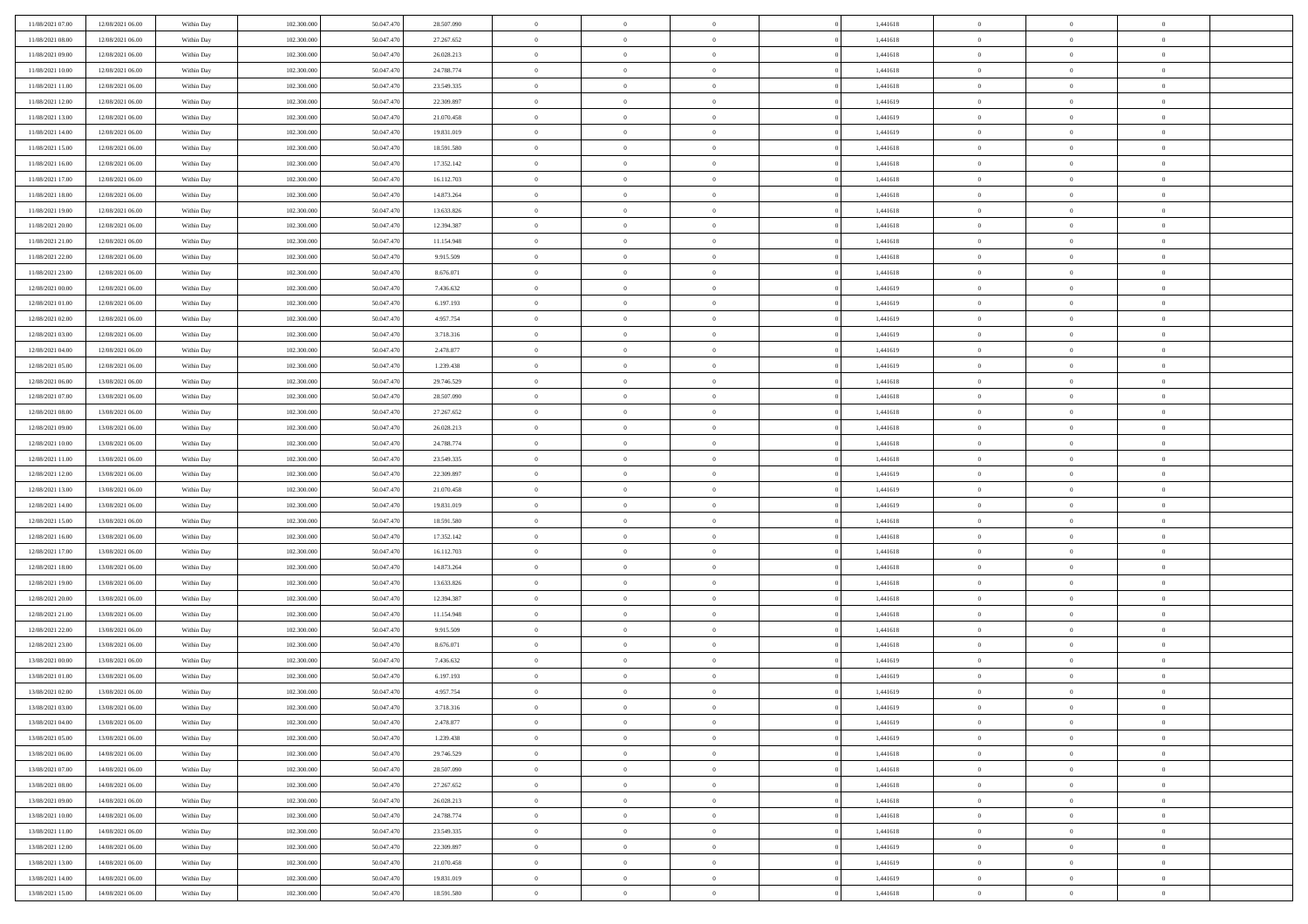| 11/08/2021 07:00 | 12/08/2021 06:00 | Within Day | 102.300.000 | 50.047.470 | 28.507.090 | $\,$ 0 $\,$    | $\overline{0}$ | $\overline{0}$ | 1,441618 | $\bf{0}$       | $\overline{0}$ | $\,0\,$        |  |
|------------------|------------------|------------|-------------|------------|------------|----------------|----------------|----------------|----------|----------------|----------------|----------------|--|
| 11/08/2021 08:00 | 12/08/2021 06:00 | Within Day | 102,300,000 | 50,047.470 | 27.267.652 | $\overline{0}$ | $\overline{0}$ | $\mathbf{0}$   | 1,441618 | $\theta$       | $\overline{0}$ | $\theta$       |  |
| 11/08/2021 09:00 | 12/08/2021 06:00 | Within Dav | 102.300.000 | 50.047.470 | 26.028.213 | $\theta$       | $\overline{0}$ | $\overline{0}$ | 1,441618 | $\mathbf{0}$   | $\overline{0}$ | $\overline{0}$ |  |
| 11/08/2021 10:00 | 12/08/2021 06:00 | Within Day | 102.300.000 | 50.047.470 | 24.788.774 | $\,$ 0 $\,$    | $\overline{0}$ | $\overline{0}$ | 1,441618 | $\bf{0}$       | $\overline{0}$ | $\bf{0}$       |  |
| 11/08/2021 11:00 | 12/08/2021 06:00 | Within Day | 102.300.000 | 50.047.470 | 23.549.335 | $\bf{0}$       | $\overline{0}$ | $\mathbf{0}$   | 1,441618 | $\bf{0}$       | $\theta$       | $\,0\,$        |  |
| 11/08/2021 12:00 | 12/08/2021 06:00 | Within Dav | 102.300.000 | 50.047.470 | 22.309.897 | $\theta$       | $\overline{0}$ | $\mathbf{0}$   | 1,441619 | $\mathbf{0}$   | $\overline{0}$ | $\overline{0}$ |  |
| 11/08/2021 13:00 | 12/08/2021 06:00 | Within Day | 102.300.000 | 50.047.470 | 21.070.458 | $\,$ 0 $\,$    | $\overline{0}$ | $\overline{0}$ | 1,441619 | $\bf{0}$       | $\overline{0}$ | $\,0\,$        |  |
| 11/08/2021 14:00 | 12/08/2021 06:00 | Within Day | 102.300.000 | 50,047.470 | 19.831.019 | $\overline{0}$ | $\overline{0}$ | $\mathbf{0}$   | 1,441619 | $\,$ 0 $\,$    | $\overline{0}$ | $\theta$       |  |
| 11/08/2021 15:00 | 12/08/2021 06:00 | Within Day | 102.300.000 | 50.047.470 | 18.591.580 | $\theta$       | $\overline{0}$ | $\mathbf{0}$   | 1,441618 | $\mathbf{0}$   | $\bf{0}$       | $\overline{0}$ |  |
| 11/08/2021 16:00 | 12/08/2021 06:00 |            | 102.300.000 | 50.047.470 | 17.352.142 | $\,$ 0 $\,$    | $\overline{0}$ | $\Omega$       | 1,441618 | $\bf{0}$       | $\overline{0}$ | $\,0\,$        |  |
|                  |                  | Within Day | 102,300,000 | 50.047.470 |            |                |                |                |          |                | $\mathbf{0}$   | $\theta$       |  |
| 11/08/2021 17:00 | 12/08/2021 06:00 | Within Day |             |            | 16.112.703 | $\bf{0}$       | $\overline{0}$ | $\mathbf{0}$   | 1,441618 | $\bf{0}$       |                |                |  |
| 11/08/2021 18:00 | 12/08/2021 06:00 | Within Dav | 102.300.000 | 50.047.470 | 14.873.264 | $\theta$       | $\overline{0}$ | $\overline{0}$ | 1,441618 | $\mathbf{0}$   | $\overline{0}$ | $\overline{0}$ |  |
| 11/08/2021 19:00 | 12/08/2021 06:00 | Within Day | 102.300.000 | 50.047.470 | 13.633.826 | $\,$ 0 $\,$    | $\overline{0}$ | $\overline{0}$ | 1,441618 | $\bf{0}$       | $\overline{0}$ | $\bf{0}$       |  |
| 11/08/2021 20:00 | 12/08/2021 06:00 | Within Day | 102.300.000 | 50.047.470 | 12.394.387 | $\bf{0}$       | $\overline{0}$ | $\mathbf{0}$   | 1,441618 | $\bf{0}$       | $\theta$       | $\,0\,$        |  |
| 11/08/2021 21:00 | 12/08/2021 06:00 | Within Dav | 102.300.000 | 50.047.470 | 11.154.948 | $\theta$       | $\overline{0}$ | $\mathbf{0}$   | 1,441618 | $\mathbf{0}$   | $\overline{0}$ | $\overline{0}$ |  |
| 11/08/2021 22:00 | 12/08/2021 06:00 | Within Day | 102.300.000 | 50.047.470 | 9.915.509  | $\,$ 0 $\,$    | $\overline{0}$ | $\Omega$       | 1,441618 | $\bf{0}$       | $\overline{0}$ | $\bf{0}$       |  |
| 11/08/2021 23:00 | 12/08/2021 06:00 | Within Day | 102,300,000 | 50,047.470 | 8.676.071  | $\,$ 0 $\,$    | $\overline{0}$ | $\mathbf{0}$   | 1,441618 | $\bf{0}$       | $\overline{0}$ | $\theta$       |  |
| 12/08/2021 00:00 | 12/08/2021 06:00 | Within Day | 102.300.000 | 50.047.470 | 7.436.632  | $\theta$       | $\overline{0}$ | $\mathbf{0}$   | 1,441619 | $\mathbf{0}$   | $\overline{0}$ | $\overline{0}$ |  |
| 12/08/2021 01:00 | 12/08/2021 06:00 | Within Day | 102.300.000 | 50.047.470 | 6.197.193  | $\,$ 0 $\,$    | $\overline{0}$ | $\Omega$       | 1,441619 | $\bf{0}$       | $\overline{0}$ | $\,0\,$        |  |
| 12/08/2021 02:00 | 12/08/2021 06:00 | Within Day | 102.300.000 | 50,047.470 | 4.957.754  | $\bf{0}$       | $\overline{0}$ | $\mathbf{0}$   | 1,441619 | $\bf{0}$       | $\mathbf{0}$   | $\theta$       |  |
| 12/08/2021 03:00 | 12/08/2021 06:00 | Within Dav | 102.300.000 | 50.047.470 | 3.718.316  | $\theta$       | $\overline{0}$ | $\mathbf{0}$   | 1,441619 | $\mathbf{0}$   | $\overline{0}$ | $\overline{0}$ |  |
| 12/08/2021 04:00 | 12/08/2021 06:00 | Within Day | 102.300.000 | 50.047.470 | 2.478.877  | $\,$ 0 $\,$    | $\overline{0}$ | $\overline{0}$ | 1,441619 | $\bf{0}$       | $\overline{0}$ | $\bf{0}$       |  |
| 12/08/2021 05:00 | 12/08/2021 06:00 | Within Day | 102.300.000 | 50.047.470 | 1.239.438  | $\,$ 0         | $\overline{0}$ | $\mathbf{0}$   | 1,441619 | $\bf{0}$       | $\bf{0}$       | $\,0\,$        |  |
| 12/08/2021 06:00 | 13/08/2021 06:00 | Within Dav | 102.300.000 | 50.047.470 | 29.746.529 | $\theta$       | $\overline{0}$ | $\mathbf{0}$   | 1,441618 | $\mathbf{0}$   | $\overline{0}$ | $\theta$       |  |
| 12/08/2021 07:00 | 13/08/2021 06:00 | Within Day | 102.300.000 | 50.047.470 | 28.507.090 | $\,$ 0 $\,$    | $\overline{0}$ | $\overline{0}$ | 1,441618 | $\bf{0}$       | $\overline{0}$ | $\,0\,$        |  |
| 12/08/2021 08:00 | 13/08/2021 06:00 | Within Day | 102,300,000 | 50,047.470 | 27.267.652 | $\,$ 0         | $\overline{0}$ | $\mathbf{0}$   | 1,441618 | $\bf{0}$       | $\overline{0}$ | $\theta$       |  |
| 12/08/2021 09:00 | 13/08/2021 06:00 | Within Day | 102.300.000 | 50.047.470 | 26.028.213 | $\theta$       | $\overline{0}$ | $\overline{0}$ | 1,441618 | $\mathbf{0}$   | $\bf{0}$       | $\overline{0}$ |  |
| 12/08/2021 10:00 | 13/08/2021 06:00 | Within Day | 102.300.000 | 50.047.470 | 24.788.774 | $\,$ 0 $\,$    | $\overline{0}$ | $\Omega$       | 1,441618 | $\bf{0}$       | $\overline{0}$ | $\,0\,$        |  |
| 12/08/2021 11:00 | 13/08/2021 06:00 | Within Day | 102,300,000 | 50,047.470 | 23.549.335 | $\bf{0}$       | $\overline{0}$ | $\mathbf{0}$   | 1,441618 | $\bf{0}$       | $\mathbf{0}$   | $\overline{0}$ |  |
| 12/08/2021 12:00 | 13/08/2021 06:00 | Within Dav | 102.300.000 | 50.047.470 | 22.309.897 | $\theta$       | $\overline{0}$ | $\overline{0}$ | 1,441619 | $\mathbf{0}$   | $\overline{0}$ | $\overline{0}$ |  |
| 12/08/2021 13:00 | 13/08/2021 06:00 | Within Day | 102.300.000 | 50.047.470 | 21.070.458 | $\theta$       | $\overline{0}$ | $\overline{0}$ | 1,441619 | $\,$ 0         | $\overline{0}$ | $\,$ 0 $\,$    |  |
| 12/08/2021 14:00 | 13/08/2021 06:00 | Within Day | 102.300.000 | 50.047.470 | 19.831.019 | $\bf{0}$       | $\overline{0}$ | $\mathbf{0}$   | 1,441619 | $\bf{0}$       | $\mathbf{0}$   | $\overline{0}$ |  |
| 12/08/2021 15:00 | 13/08/2021 06:00 | Within Dav | 102.300.000 | 50.047.470 | 18.591.580 | $\theta$       | $\overline{0}$ | $\mathbf{0}$   | 1,441618 | $\mathbf{0}$   | $\overline{0}$ | $\overline{0}$ |  |
| 12/08/2021 16:00 | 13/08/2021 06:00 | Within Day | 102.300.000 | 50.047.470 | 17.352.142 | $\theta$       | $\overline{0}$ | $\overline{0}$ | 1,441618 | $\,$ 0         | $\overline{0}$ | $\theta$       |  |
| 12/08/2021 17:00 | 13/08/2021 06:00 | Within Day | 102,300,000 | 50,047.470 | 16.112.703 | $\bf{0}$       | $\overline{0}$ | $\mathbf{0}$   | 1,441618 | $\mathbf{0}$   | $\overline{0}$ | $\overline{0}$ |  |
| 12/08/2021 18:00 | 13/08/2021 06:00 | Within Day | 102.300.000 | 50.047.470 | 14.873.264 | $\theta$       | $\overline{0}$ | $\mathbf{0}$   | 1,441618 | $\mathbf{0}$   | $\overline{0}$ | $\overline{0}$ |  |
| 12/08/2021 19:00 | 13/08/2021 06:00 | Within Day | 102.300.000 | 50.047.470 | 13.633.826 | $\theta$       | $\overline{0}$ | $\overline{0}$ | 1,441618 | $\,$ 0         | $\overline{0}$ | $\theta$       |  |
| 12/08/2021 20:00 | 13/08/2021 06:00 | Within Day | 102,300,000 | 50,047.470 | 12.394.387 | $\bf{0}$       | $\overline{0}$ | $\mathbf{0}$   | 1,441618 | $\bf{0}$       | $\mathbf{0}$   | $\overline{0}$ |  |
| 12/08/2021 21:00 | 13/08/2021 06:00 | Within Dav | 102.300.000 | 50.047.470 | 11.154.948 | $\theta$       | $\overline{0}$ | $\overline{0}$ | 1,441618 | $\mathbf{0}$   | $\overline{0}$ | $\overline{0}$ |  |
| 12/08/2021 22:00 | 13/08/2021 06:00 | Within Day | 102.300.000 | 50.047.470 | 9.915.509  | $\,$ 0 $\,$    | $\overline{0}$ | $\overline{0}$ | 1,441618 | $\,$ 0         | $\overline{0}$ | $\,$ 0 $\,$    |  |
| 12/08/2021 23:00 | 13/08/2021 06:00 | Within Day | 102.300.000 | 50.047.470 | 8.676.071  | $\bf{0}$       | $\,$ 0 $\,$    | $\overline{0}$ | 1,441618 | $\,$ 0 $\,$    | $\bf{0}$       | $\overline{0}$ |  |
| 13/08/2021 00:00 | 13/08/2021 06:00 | Within Dav | 102.300.000 | 50.047.470 | 7.436.632  | $\theta$       | $\overline{0}$ | $\mathbf{0}$   | 1,441619 | $\mathbf{0}$   | $\overline{0}$ | $\theta$       |  |
| 13/08/2021 01:00 | 13/08/2021 06:00 | Within Day | 102.300.000 | 50.047.470 | 6.197.193  | $\theta$       | $\overline{0}$ | $\overline{0}$ | 1,441619 | $\,$ 0         | $\overline{0}$ | $\theta$       |  |
| 13/08/2021 02:00 | 13/08/2021 06:00 | Within Day | 102,300,000 | 50,047.470 | 4.957.754  | $\bf{0}$       | $\overline{0}$ | $\mathbf{0}$   | 1,441619 | $\mathbf{0}$   | $\overline{0}$ | $\overline{0}$ |  |
| 13/08/2021 03:00 | 13/08/2021 06:00 | Within Day | 102.300.000 | 50.047.470 | 3.718.316  | $\overline{0}$ | $\theta$       |                | 1,441619 | $\overline{0}$ | $\theta$       | $\theta$       |  |
| 13/08/2021 04:00 | 13/08/2021 06:00 | Within Day | 102.300.000 | 50.047.470 | 2.478.877  | $\,$ 0 $\,$    | $\overline{0}$ | $\overline{0}$ | 1,441619 | $\,$ 0 $\,$    | $\bf{0}$       | $\theta$       |  |
|                  |                  |            |             |            |            |                |                |                |          |                |                |                |  |
| 13/08/2021 05:00 | 13/08/2021 06:00 | Within Day | 102.300.000 | 50.047.470 | 1.239.438  | $\bf{0}$       | $\,$ 0 $\,$    | $\overline{0}$ | 1,441619 | $\,$ 0 $\,$    | $\overline{0}$ | $\overline{0}$ |  |
| 13/08/2021 06:00 | 14/08/2021 06:00 | Within Day | 102.300.000 | 50.047.470 | 29.746.529 | $\mathbf{0}$   | $\overline{0}$ | $\overline{0}$ | 1,441618 | $\,$ 0 $\,$    | $\bf{0}$       | $\overline{0}$ |  |
| 13/08/2021 07:00 | 14/08/2021 06:00 | Within Day | 102.300.000 | 50.047.470 | 28.507.090 | $\,$ 0 $\,$    | $\overline{0}$ | $\overline{0}$ | 1,441618 | $\,$ 0 $\,$    | $\bf{0}$       | $\,$ 0 $\,$    |  |
| 13/08/2021 08:00 | 14/08/2021 06:00 | Within Day | 102.300.000 | 50.047.470 | 27.267.652 | $\,$ 0 $\,$    | $\,$ 0 $\,$    | $\overline{0}$ | 1,441618 | $\,$ 0 $\,$    | $\overline{0}$ | $\overline{0}$ |  |
| 13/08/2021 09:00 | 14/08/2021 06:00 | Within Day | 102.300.000 | 50.047.470 | 26.028.213 | $\mathbf{0}$   | $\overline{0}$ | $\overline{0}$ | 1,441618 | $\mathbf{0}$   | $\bf{0}$       | $\overline{0}$ |  |
| 13/08/2021 10:00 | 14/08/2021 06:00 | Within Day | 102.300.000 | 50.047.470 | 24.788.774 | $\,$ 0 $\,$    | $\overline{0}$ | $\overline{0}$ | 1,441618 | $\,$ 0 $\,$    | $\mathbf{0}$   | $\,$ 0 $\,$    |  |
| 13/08/2021 11:00 | 14/08/2021 06:00 | Within Day | 102.300.000 | 50.047.470 | 23.549.335 | $\bf{0}$       | $\overline{0}$ | $\overline{0}$ | 1,441618 | $\,$ 0 $\,$    | $\overline{0}$ | $\overline{0}$ |  |
| 13/08/2021 12:00 | 14/08/2021 06:00 | Within Day | 102.300.000 | 50.047.470 | 22.309.897 | $\mathbf{0}$   | $\overline{0}$ | $\overline{0}$ | 1,441619 | $\mathbf{0}$   | $\bf{0}$       | $\overline{0}$ |  |
| 13/08/2021 13:00 | 14/08/2021 06:00 | Within Day | 102.300.000 | 50.047.470 | 21.070.458 | $\,$ 0 $\,$    | $\overline{0}$ | $\overline{0}$ | 1,441619 | $\,$ 0 $\,$    | $\mathbf{0}$   | $\,$ 0 $\,$    |  |
| 13/08/2021 14:00 | 14/08/2021 06:00 | Within Day | 102,300,000 | 50.047.470 | 19.831.019 | $\,$ 0 $\,$    | $\,$ 0 $\,$    | $\overline{0}$ | 1,441619 | $\bf{0}$       | $\overline{0}$ | $\overline{0}$ |  |
| 13/08/2021 15:00 | 14/08/2021 06:00 | Within Day | 102.300.000 | 50.047.470 | 18.591.580 | $\theta$       | $\overline{0}$ | $\overline{0}$ | 1,441618 | $\mathbf{0}$   | $\overline{0}$ | $\overline{0}$ |  |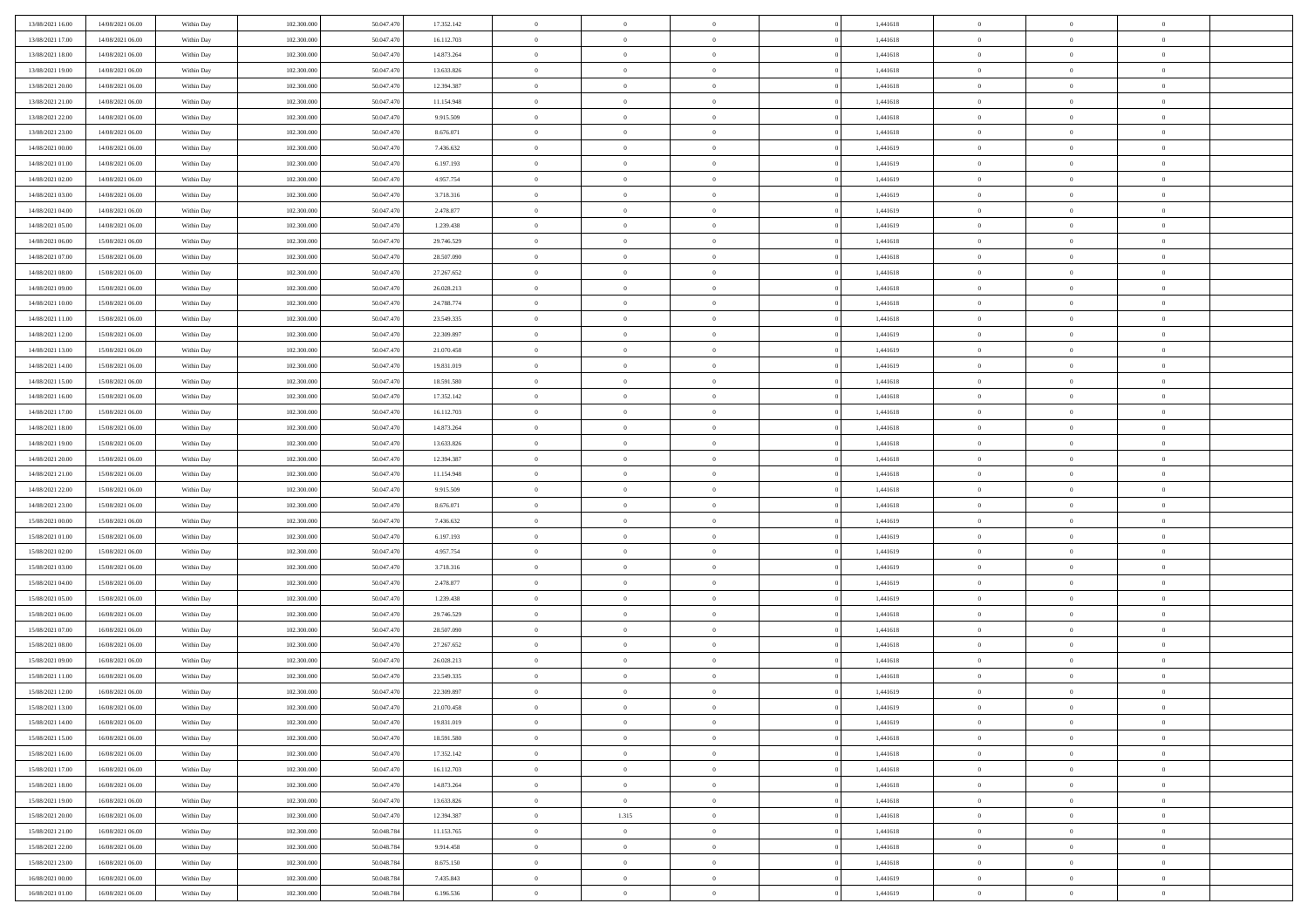| 13/08/2021 16:00 | 14/08/2021 06:00                     | Within Day               | 102.300.000 | 50.047.470 | 17.352.142 | $\,$ 0 $\,$    | $\overline{0}$ | $\overline{0}$ | 1,441618 | $\bf{0}$       | $\overline{0}$ | $\,0\,$        |  |
|------------------|--------------------------------------|--------------------------|-------------|------------|------------|----------------|----------------|----------------|----------|----------------|----------------|----------------|--|
| 13/08/2021 17:00 | 14/08/2021 06:00                     | Within Day               | 102,300,000 | 50.047.47  | 16.112.703 | $\theta$       | $\overline{0}$ | $\mathbf{0}$   | 1,441618 | $\theta$       | $\overline{0}$ | $\theta$       |  |
| 13/08/2021 18:00 | 14/08/2021 06:00                     | Within Dav               | 102.300.000 | 50.047.470 | 14.873.264 | $\theta$       | $\overline{0}$ | $\overline{0}$ | 1,441618 | $\mathbf{0}$   | $\overline{0}$ | $\overline{0}$ |  |
| 13/08/2021 19:00 | 14/08/2021 06:00                     | Within Day               | 102.300.000 | 50.047.470 | 13.633.826 | $\,$ 0 $\,$    | $\overline{0}$ | $\overline{0}$ | 1,441618 | $\bf{0}$       | $\overline{0}$ | $\bf{0}$       |  |
| 13/08/2021 20:00 | 14/08/2021 06:00                     | Within Day               | 102.300.000 | 50.047.470 | 12.394.387 | $\bf{0}$       | $\overline{0}$ | $\mathbf{0}$   | 1,441618 | $\bf{0}$       | $\theta$       | $\,0\,$        |  |
| 13/08/2021 21:00 | 14/08/2021 06:00                     | Within Dav               | 102.300.000 | 50.047.470 | 11.154.948 | $\theta$       | $\overline{0}$ | $\mathbf{0}$   | 1,441618 | $\mathbf{0}$   | $\overline{0}$ | $\overline{0}$ |  |
| 13/08/2021 22:00 | 14/08/2021 06:00                     | Within Day               | 102.300.000 | 50.047.470 | 9.915.509  | $\,$ 0 $\,$    | $\overline{0}$ | $\overline{0}$ | 1,441618 | $\bf{0}$       | $\overline{0}$ | $\,0\,$        |  |
|                  |                                      |                          |             |            |            |                |                |                |          |                |                |                |  |
| 13/08/2021 23:00 | 14/08/2021 06:00                     | Within Day               | 102.300.000 | 50,047.470 | 8.676.071  | $\,$ 0         | $\overline{0}$ | $\mathbf{0}$   | 1,441618 | $\,$ 0 $\,$    | $\overline{0}$ | $\theta$       |  |
| 14/08/2021 00:00 | 14/08/2021 06:00                     | Within Day               | 102.300.000 | 50.047.470 | 7.436.632  | $\theta$       | $\overline{0}$ | $\mathbf{0}$   | 1,441619 | $\mathbf{0}$   | $\bf{0}$       | $\overline{0}$ |  |
| 14/08/2021 01:00 | 14/08/2021 06:00                     | Within Day               | 102.300.000 | 50.047.470 | 6.197.193  | $\,$ 0 $\,$    | $\overline{0}$ | $\Omega$       | 1,441619 | $\bf{0}$       | $\overline{0}$ | $\,0\,$        |  |
| 14/08/2021 02:00 | 14/08/2021 06:00                     | Within Day               | 102,300,000 | 50,047.470 | 4.957.754  | $\bf{0}$       | $\overline{0}$ | $\mathbf{0}$   | 1,441619 | $\bf{0}$       | $\mathbf{0}$   | $\theta$       |  |
| 14/08/2021 03:00 | 14/08/2021 06:00                     | Within Dav               | 102.300.000 | 50.047.470 | 3.718.316  | $\theta$       | $\overline{0}$ | $\overline{0}$ | 1,441619 | $\mathbf{0}$   | $\overline{0}$ | $\overline{0}$ |  |
| 14/08/2021 04:00 | 14/08/2021 06:00                     | Within Day               | 102.300.000 | 50.047.470 | 2.478.877  | $\,$ 0 $\,$    | $\overline{0}$ | $\overline{0}$ | 1,441619 | $\bf{0}$       | $\overline{0}$ | $\bf{0}$       |  |
| 14/08/2021 05:00 | 14/08/2021 06:00                     | Within Day               | 102.300.000 | 50.047.470 | 1.239.438  | $\bf{0}$       | $\overline{0}$ | $\mathbf{0}$   | 1,441619 | $\bf{0}$       | $\theta$       | $\,0\,$        |  |
| 14/08/2021 06:00 | 15/08/2021 06:00                     | Within Dav               | 102.300.000 | 50.047.470 | 29.746.529 | $\theta$       | $\overline{0}$ | $\mathbf{0}$   | 1,441618 | $\mathbf{0}$   | $\overline{0}$ | $\overline{0}$ |  |
| 14/08/2021 07:00 | 15/08/2021 06:00                     | Within Day               | 102.300.000 | 50.047.470 | 28.507.090 | $\,$ 0 $\,$    | $\overline{0}$ | $\Omega$       | 1,441618 | $\bf{0}$       | $\overline{0}$ | $\bf{0}$       |  |
| 14/08/2021 08:00 | 15/08/2021 06:00                     | Within Day               | 102,300,000 | 50,047.470 | 27.267.652 | $\,$ 0         | $\overline{0}$ | $\mathbf{0}$   | 1,441618 | $\bf{0}$       | $\overline{0}$ | $\theta$       |  |
| 14/08/2021 09:00 | 15/08/2021 06:00                     | Within Day               | 102.300.000 | 50.047.470 | 26.028.213 | $\theta$       | $\overline{0}$ | $\mathbf{0}$   | 1,441618 | $\mathbf{0}$   | $\overline{0}$ | $\overline{0}$ |  |
| 14/08/2021 10:00 | 15/08/2021 06:00                     | Within Day               | 102.300.000 | 50.047.470 | 24.788.774 | $\,$ 0 $\,$    | $\overline{0}$ | $\overline{0}$ | 1,441618 | $\bf{0}$       | $\overline{0}$ | $\,0\,$        |  |
| 14/08/2021 11:00 | 15/08/2021 06:00                     | Within Day               | 102.300.000 | 50.047.470 | 23.549.335 | $\bf{0}$       | $\overline{0}$ | $\mathbf{0}$   | 1,441618 | $\bf{0}$       | $\mathbf{0}$   | $\theta$       |  |
| 14/08/2021 12:00 | 15/08/2021 06:00                     | Within Dav               | 102.300.000 | 50.047.470 | 22.309.897 | $\theta$       | $\overline{0}$ | $\mathbf{0}$   | 1,441619 | $\mathbf{0}$   | $\overline{0}$ | $\overline{0}$ |  |
| 14/08/2021 13:00 | 15/08/2021 06:00                     | Within Day               | 102.300.000 | 50.047.470 | 21.070.458 | $\,$ 0 $\,$    | $\overline{0}$ | $\overline{0}$ | 1,441619 | $\bf{0}$       | $\overline{0}$ | $\bf{0}$       |  |
| 14/08/2021 14:00 | 15/08/2021 06:00                     | Within Day               | 102.300.000 | 50.047.470 | 19.831.019 | $\,$ 0         | $\overline{0}$ | $\mathbf{0}$   | 1,441619 | $\bf{0}$       | $\bf{0}$       | $\,0\,$        |  |
| 14/08/2021 15:00 | 15/08/2021 06:00                     | Within Dav               | 102.300.000 | 50.047.470 | 18.591.580 | $\theta$       | $\overline{0}$ | $\mathbf{0}$   | 1,441618 | $\mathbf{0}$   | $\overline{0}$ | $\theta$       |  |
| 14/08/2021 16:00 | 15/08/2021 06:00                     | Within Day               | 102.300.000 | 50.047.470 | 17.352.142 | $\,$ 0 $\,$    | $\overline{0}$ | $\overline{0}$ | 1,441618 | $\bf{0}$       | $\overline{0}$ | $\,0\,$        |  |
| 14/08/2021 17:00 | 15/08/2021 06:00                     | Within Day               | 102,300,000 | 50,047.470 | 16.112.703 | $\,$ 0         | $\overline{0}$ | $\mathbf{0}$   | 1,441618 | $\bf{0}$       | $\overline{0}$ | $\theta$       |  |
| 14/08/2021 18:00 | 15/08/2021 06:00                     | Within Day               | 102.300.000 | 50.047.470 | 14.873.264 | $\theta$       | $\overline{0}$ | $\overline{0}$ | 1,441618 | $\mathbf{0}$   | $\bf{0}$       | $\overline{0}$ |  |
| 14/08/2021 19:00 | 15/08/2021 06:00                     | Within Day               | 102.300.000 | 50.047.470 | 13.633.826 | $\,$ 0 $\,$    | $\overline{0}$ | $\overline{0}$ | 1,441618 | $\bf{0}$       | $\overline{0}$ | $\,0\,$        |  |
| 14/08/2021 20:00 | 15/08/2021 06:00                     | Within Day               | 102,300,000 | 50.047.470 | 12.394.387 | $\bf{0}$       | $\overline{0}$ | $\mathbf{0}$   | 1,441618 | $\bf{0}$       | $\mathbf{0}$   | $\overline{0}$ |  |
| 14/08/2021 21:00 | 15/08/2021 06:00                     | Within Dav               | 102.300.000 | 50.047.470 | 11.154.948 | $\theta$       | $\overline{0}$ | $\overline{0}$ | 1,441618 | $\mathbf{0}$   | $\overline{0}$ | $\overline{0}$ |  |
| 14/08/2021 22:00 | 15/08/2021 06:00                     | Within Day               | 102.300.000 | 50.047.470 | 9.915.509  | $\theta$       | $\overline{0}$ | $\overline{0}$ | 1,441618 | $\,$ 0         | $\overline{0}$ | $\,$ 0 $\,$    |  |
| 14/08/2021 23:00 | 15/08/2021 06:00                     | Within Day               | 102.300.000 | 50.047.470 | 8.676.071  | $\,$ 0         | $\overline{0}$ | $\mathbf{0}$   | 1,441618 | $\bf{0}$       | $\mathbf{0}$   | $\overline{0}$ |  |
| 15/08/2021 00:00 | 15/08/2021 06:00                     | Within Dav               | 102.300.000 | 50.047.470 | 7.436.632  | $\theta$       | $\overline{0}$ | $\mathbf{0}$   | 1,441619 | $\mathbf{0}$   | $\overline{0}$ | $\overline{0}$ |  |
| 15/08/2021 01:00 | 15/08/2021 06:00                     | Within Day               | 102.300.000 | 50.047.470 | 6.197.193  | $\theta$       | $\overline{0}$ | $\overline{0}$ | 1,441619 | $\,$ 0         | $\overline{0}$ | $\theta$       |  |
| 15/08/2021 02:00 | 15/08/2021 06:00                     | Within Day               | 102,300,000 | 50,047.470 | 4.957.754  | $\bf{0}$       | $\overline{0}$ | $\mathbf{0}$   | 1,441619 | $\mathbf{0}$   | $\overline{0}$ | $\overline{0}$ |  |
| 15/08/2021 03:00 | 15/08/2021 06:00                     | Within Day               | 102.300.000 | 50.047.470 | 3.718.316  | $\theta$       | $\overline{0}$ | $\mathbf{0}$   | 1,441619 | $\mathbf{0}$   | $\overline{0}$ | $\overline{0}$ |  |
| 15/08/2021 04:00 | 15/08/2021 06:00                     | Within Day               | 102.300.000 | 50.047.470 | 2.478.877  | $\theta$       | $\overline{0}$ | $\overline{0}$ | 1,441619 | $\,$ 0         | $\overline{0}$ | $\theta$       |  |
| 15/08/2021 05:00 | 15/08/2021 06:00                     | Within Day               | 102,300,000 | 50,047.470 | 1.239.438  | $\bf{0}$       | $\overline{0}$ | $\mathbf{0}$   | 1,441619 | $\bf{0}$       | $\mathbf{0}$   | $\overline{0}$ |  |
| 15/08/2021 06:00 | 16/08/2021 06:00                     | Within Dav               | 102.300.000 | 50.047.470 | 29.746.529 | $\theta$       | $\overline{0}$ | $\overline{0}$ | 1,441618 | $\mathbf{0}$   | $\overline{0}$ | $\overline{0}$ |  |
| 15/08/2021 07:00 | 16/08/2021 06:00                     | Within Day               | 102.300.000 | 50.047.470 | 28.507.090 | $\,$ 0 $\,$    | $\overline{0}$ | $\overline{0}$ | 1,441618 | $\,$ 0         | $\overline{0}$ | $\,$ 0 $\,$    |  |
| 15/08/2021 08:00 | 16/08/2021 06:00                     | Within Day               | 102.300.000 | 50,047.470 | 27.267.652 | $\,$ 0         | $\,$ 0 $\,$    | $\overline{0}$ | 1,441618 | $\,$ 0 $\,$    | $\bf{0}$       | $\overline{0}$ |  |
| 15/08/2021 09:00 | 16/08/2021 06:00                     | Within Dav               | 102.300.000 | 50.047.470 | 26.028.213 | $\theta$       | $\overline{0}$ | $\mathbf{0}$   | 1,441618 | $\mathbf{0}$   | $\overline{0}$ | $\theta$       |  |
| 15/08/2021 11:00 | 16/08/2021 06:00                     | Within Day               | 102.300.000 | 50.047.470 | 23.549.335 | $\overline{0}$ | $\overline{0}$ | $\overline{0}$ | 1,441618 | $\,$ 0         | $\overline{0}$ | $\theta$       |  |
| 15/08/2021 12:00 | 16/08/2021 06:00                     | Within Day               | 102,300,000 | 50,047.470 | 22.309.897 | $\bf{0}$       | $\overline{0}$ | $\mathbf{0}$   | 1,441619 | $\,$ 0 $\,$    | $\overline{0}$ | $\overline{0}$ |  |
| 15/08/2021 13:00 | 16/08/2021 06:00                     | Within Day               | 102.300.000 | 50.047.470 | 21.070.458 | $\overline{0}$ | $\theta$       |                | 1,441619 | $\overline{0}$ | $\theta$       | $\theta$       |  |
| 15/08/2021 14:00 | 16/08/2021 06:00                     | Within Day               | 102.300.000 | 50.047.470 | 19.831.019 | $\,$ 0 $\,$    | $\overline{0}$ | $\overline{0}$ | 1,441619 | $\,$ 0 $\,$    | $\bf{0}$       | $\theta$       |  |
| 15/08/2021 15:00 | 16/08/2021 06:00                     | Within Day               | 102.300.000 | 50.047.470 | 18.591.580 | $\bf{0}$       | $\,$ 0 $\,$    | $\overline{0}$ | 1,441618 | $\,$ 0 $\,$    | $\overline{0}$ | $\overline{0}$ |  |
| 15/08/2021 16:00 | 16/08/2021 06:00                     | Within Day               | 102.300.000 | 50.047.470 | 17.352.142 | $\overline{0}$ | $\overline{0}$ | $\overline{0}$ | 1,441618 | $\,$ 0 $\,$    | $\bf{0}$       | $\overline{0}$ |  |
| 15/08/2021 17:00 | 16/08/2021 06:00                     | Within Day               | 102.300.000 | 50.047.470 | 16.112.703 | $\,$ 0 $\,$    | $\overline{0}$ | $\overline{0}$ | 1,441618 | $\,$ 0 $\,$    | $\bf{0}$       | $\,$ 0 $\,$    |  |
| 15/08/2021 18:00 | 16/08/2021 06:00                     | Within Day               | 102.300.000 | 50.047.470 | 14.873.264 | $\,$ 0 $\,$    | $\,$ 0 $\,$    | $\overline{0}$ | 1,441618 | $\,$ 0 $\,$    | $\overline{0}$ | $\overline{0}$ |  |
| 15/08/2021 19:00 | 16/08/2021 06:00                     | Within Day               | 102.300.000 | 50.047.470 | 13.633.826 | $\mathbf{0}$   | $\overline{0}$ | $\overline{0}$ | 1,441618 | $\mathbf{0}$   | $\bf{0}$       | $\overline{0}$ |  |
| 15/08/2021 20:00 | 16/08/2021 06:00                     |                          | 102.300.000 | 50.047.470 | 12.394.387 | $\,$ 0 $\,$    | 1.315          | $\overline{0}$ | 1,441618 | $\,$ 0 $\,$    | $\mathbf{0}$   | $\,$ 0 $\,$    |  |
| 15/08/2021 21:00 | 16/08/2021 06:00                     | Within Day<br>Within Day | 102.300.000 | 50.048.784 | 11.153.765 | $\overline{0}$ | $\overline{0}$ | $\overline{0}$ | 1,441618 | $\,$ 0 $\,$    | $\overline{0}$ | $\overline{0}$ |  |
| 15/08/2021 22:00 | 16/08/2021 06:00                     | Within Day               | 102.300.000 | 50.048.784 | 9.914.458  | $\mathbf{0}$   | $\overline{0}$ | $\overline{0}$ | 1,441618 | $\mathbf{0}$   | $\bf{0}$       | $\overline{0}$ |  |
| 15/08/2021 23:00 | 16/08/2021 06:00                     |                          | 102.300.000 | 50.048.784 | 8.675.150  | $\,$ 0 $\,$    | $\overline{0}$ | $\overline{0}$ | 1,441618 | $\,$ 0 $\,$    | $\mathbf{0}$   | $\,$ 0 $\,$    |  |
|                  |                                      | Within Day<br>Within Day | 102,300,000 | 50,048,784 |            |                |                |                |          |                | $\overline{0}$ |                |  |
| 16/08/2021 00:00 | 16/08/2021 06:00<br>16/08/2021 06:00 |                          |             |            | 7.435.843  | $\,$ 0 $\,$    | $\,$ 0 $\,$    | $\overline{0}$ | 1,441619 | $\bf{0}$       |                | $\overline{0}$ |  |
| 16/08/2021 01:00 |                                      | Within Day               | 102.300.000 | 50.048.784 | 6.196.536  | $\theta$       | $\overline{0}$ | $\overline{0}$ | 1,441619 | $\mathbf{0}$   | $\overline{0}$ | $\overline{0}$ |  |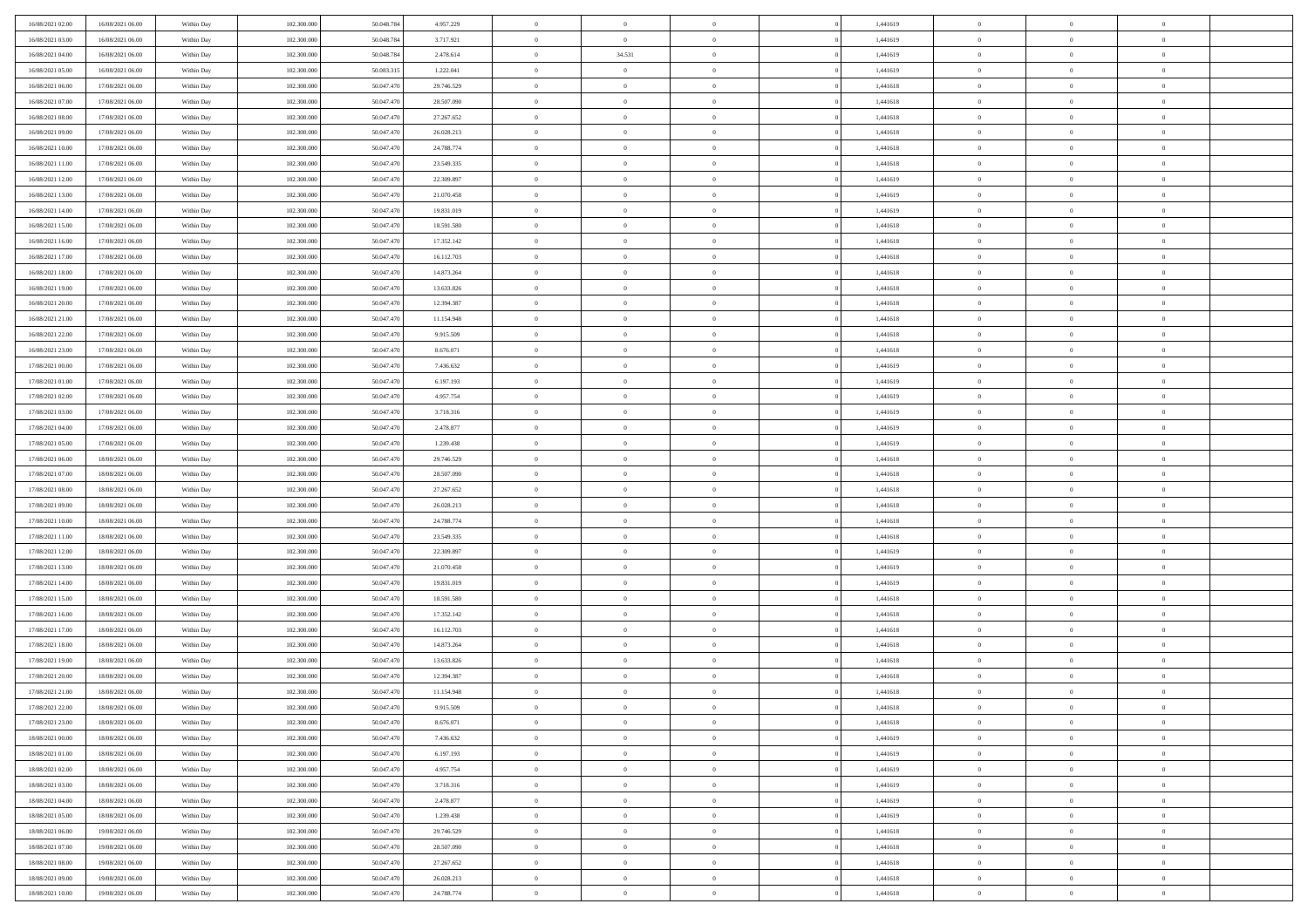| 16/08/2021 02:00                     | 16/08/2021 06:00                     | Within Day               | 102,300,000                | 50.048.784               | 4.957.229                | $\bf{0}$                | $\overline{0}$                   | $^{\circ}$                       | 1,441619             | $\bf{0}$                 | $\overline{0}$             | $\bf{0}$                  |  |
|--------------------------------------|--------------------------------------|--------------------------|----------------------------|--------------------------|--------------------------|-------------------------|----------------------------------|----------------------------------|----------------------|--------------------------|----------------------------|---------------------------|--|
| 16/08/2021 03:00                     | 16/08/2021 06:00                     | Within Dav               | 102.300.000                | 50.048.784               | 3.717.921                | $\theta$                | $\overline{0}$                   | $\overline{0}$                   | 1,441619             | $\mathbf{0}$             | $\bf{0}$                   | $\overline{0}$            |  |
| 16/08/2021 04:00                     | 16/08/2021 06:00                     | Within Day               | 102.300.000                | 50.048.784               | 2.478.614                | $\theta$                | 34.531                           | $\bf{0}$                         | 1,441619             | $\,$ 0                   | $\overline{0}$             | $\,$ 0 $\,$               |  |
| 16/08/2021 05:00                     | 16/08/2021 06:00                     | Within Day               | 102,300,000                | 50,083,315               | 1.222.041                | $\mathbf{0}$            | $\overline{0}$                   | $\mathbf{0}$                     | 1.441619             | $\bf{0}$                 | $\mathbf{0}$               | $\theta$                  |  |
| 16/08/2021 06:00                     | 17/08/2021 06:00                     | Within Day               | 102.300.000                | 50.047.470               | 29.746.529               | $\mathbf{0}$            | $\overline{0}$                   | $\overline{0}$                   | 1,441618             | $\mathbf{0}$             | $\bf{0}$                   | $\overline{0}$            |  |
| 16/08/2021 07:00                     | 17/08/2021 06:00                     | Within Day               | 102.300.000                | 50.047.470               | 28.507.090               | $\theta$                | $\overline{0}$                   | $\bf{0}$                         | 1,441618             | $\,$ 0                   | $\overline{0}$             | $\,$ 0 $\,$               |  |
| 16/08/2021 08:00                     | 17/08/2021 06:00                     | Within Day               | 102,300,000                | 50,047.470               | 27.267.652               | $\,$ 0 $\,$             | $\overline{0}$                   | $\mathbf{0}$                     | 1,441618             | $\bf{0}$                 | $\bf{0}$                   | $\theta$                  |  |
| 16/08/2021 09:00                     | 17/08/2021 06:00                     | Within Day               | 102.300.000                | 50.047.470               | 26.028.213               | $\overline{0}$          | $\overline{0}$                   | $\overline{0}$                   | 1,441618             | $\mathbf{0}$             | $\bf{0}$                   | $\overline{0}$            |  |
| 16/08/2021 10:00                     | 17/08/2021 06:00                     | Within Day               | 102.300.000                | 50.047.470               | 24.788.774               | $\theta$                | $\overline{0}$                   | $\bf{0}$                         | 1,441618             | $\,$ 0                   | $\overline{0}$             | $\,$ 0 $\,$               |  |
| 16/08/2021 11:00                     | 17/08/2021 06:00                     | Within Day               | 102,300,000                | 50.047.470               | 23.549.335               | $\mathbf{0}$            | $\overline{0}$                   | $\mathbf{0}$                     | 1.441618             | $\bf{0}$                 | $\mathbf{0}$               | $\theta$                  |  |
| 16/08/2021 12:00                     | 17/08/2021 06:00                     | Within Day               | 102.300.000                | 50.047.470               | 22.309.897               | $\mathbf{0}$            | $\overline{0}$                   | $\overline{0}$                   | 1,441619             | $\mathbf{0}$             | $\bf{0}$                   | $\overline{0}$            |  |
| 16/08/2021 13:00                     | 17/08/2021 06:00                     | Within Day               | 102.300.000                | 50.047.470               | 21.070.458               | $\theta$                | $\overline{0}$                   | $\bf{0}$                         | 1,441619             | $\,$ 0                   | $\overline{0}$             | $\,$ 0 $\,$               |  |
| 16/08/2021 14:00                     | 17/08/2021 06:00                     | Within Day               | 102,300,000                | 50.047.470               | 19.831.019               | $\mathbf{0}$            | $\overline{0}$                   | $\mathbf{0}$                     | 1.441619             | $\bf{0}$                 | $\mathbf{0}$               | $\theta$                  |  |
| 16/08/2021 15:00                     | 17/08/2021 06:00                     | Within Day               | 102.300.000                | 50.047.470               | 18.591.580               | $\overline{0}$          | $\overline{0}$                   | $\overline{0}$                   | 1,441618             | $\mathbf{0}$             | $\bf{0}$                   | $\overline{0}$            |  |
| 16/08/2021 16:00                     | 17/08/2021 06:00                     | Within Day               | 102.300.000                | 50.047.470               | 17.352.142               | $\theta$                | $\overline{0}$                   | $\overline{0}$                   | 1,441618             | $\,$ 0                   | $\overline{0}$             | $\,$ 0 $\,$               |  |
| 16/08/2021 17:00                     | 17/08/2021 06:00                     | Within Day               | 102,300,000                | 50.047.470               | 16.112.703               | $\bf{0}$                | $\overline{0}$                   | $\mathbf{0}$                     | 1,441618             | $\bf{0}$                 | $\mathbf{0}$               | $\bf{0}$                  |  |
| 16/08/2021 18:00                     | 17/08/2021 06:00                     | Within Day               | 102.300.000                | 50.047.470               | 14.873.264               | $\overline{0}$          | $\overline{0}$                   | $\overline{0}$                   | 1,441618             | $\mathbf{0}$             | $\bf{0}$                   | $\overline{0}$            |  |
| 16/08/2021 19:00                     | 17/08/2021 06:00                     | Within Day               | 102.300.000                | 50.047.470               | 13.633.826               | $\theta$                | $\overline{0}$                   | $\bf{0}$                         | 1,441618             | $\,$ 0                   | $\overline{0}$             | $\,0\,$                   |  |
| 16/08/2021 20:00                     | 17/08/2021 06:00                     | Within Day               | 102,300,000                | 50.047.470               | 12.394.387               | $\mathbf{0}$            | $\overline{0}$                   | $\mathbf{0}$                     | 1,441618             | $\bf{0}$                 | $\mathbf{0}$               | $\theta$                  |  |
| 16/08/2021 21:00                     | 17/08/2021 06:00                     | Within Dav               | 102.300.000                | 50.047.470               | 11.154.948               | $\overline{0}$          | $\overline{0}$                   | $\overline{0}$                   | 1,441618             | $\mathbf{0}$             | $\bf{0}$                   | $\overline{0}$            |  |
| 16/08/2021 22:00                     | 17/08/2021 06:00                     | Within Day               | 102.300.000                | 50.047.470               | 9.915.509                | $\theta$                | $\overline{0}$                   | $\bf{0}$                         | 1,441618             | $\,$ 0                   | $\overline{0}$             | $\,$ 0 $\,$               |  |
| 16/08/2021 23:00                     | 17/08/2021 06:00                     | Within Day               | 102,300,000                | 50.047.470               | 8.676.071                | $\mathbf{0}$            | $\overline{0}$                   | $\mathbf{0}$                     | 1.441618             | $\bf{0}$                 | $\mathbf{0}$               | $\theta$                  |  |
| 17/08/2021 00:00                     | 17/08/2021 06:00                     | Within Dav               | 102.300.000                | 50.047.470               | 7.436.632                | $\mathbf{0}$            | $\overline{0}$                   | $\overline{0}$                   | 1,441619             | $\mathbf{0}$             | $\bf{0}$                   | $\overline{0}$            |  |
| 17/08/2021 01:00                     | 17/08/2021 06:00                     | Within Day               | 102.300.000                | 50.047.470               | 6.197.193                | $\theta$                | $\overline{0}$                   | $\bf{0}$                         | 1,441619             | $\,$ 0                   | $\overline{0}$             | $\,$ 0 $\,$               |  |
| 17/08/2021 02:00                     | 17/08/2021 06:00                     | Within Day               | 102,300,000                | 50,047.470               | 4.957.754                | $\bf{0}$                | $\overline{0}$                   | $\mathbf{0}$                     | 1,441619             | $\bf{0}$                 | $\bf{0}$                   | $\bf{0}$                  |  |
| 17/08/2021 03:00                     | 17/08/2021 06:00                     | Within Dav               | 102.300.000                | 50.047.470               | 3.718.316                | $\overline{0}$          | $\overline{0}$                   | $\overline{0}$                   | 1,441619             | $\mathbf{0}$             | $\bf{0}$                   | $\overline{0}$            |  |
| 17/08/2021 04:00                     | 17/08/2021 06:00                     | Within Day               | 102.300.000                | 50.047.470               | 2.478.877                | $\theta$                | $\overline{0}$                   | $\bf{0}$                         | 1,441619             | $\,$ 0                   | $\overline{0}$             | $\,$ 0 $\,$               |  |
| 17/08/2021 05:00                     | 17/08/2021 06:00                     | Within Day               | 102,300,000                | 50.047.470               | 1.239.438                | $\overline{0}$          | $\overline{0}$                   | $\mathbf{0}$                     | 1.441619             | $\bf{0}$                 | $\mathbf{0}$               | $\theta$                  |  |
| 17/08/2021 06:00                     | 18/08/2021 06:00                     | Within Dav               | 102.300.000                | 50.047.470               | 29.746.529               | $\mathbf{0}$            | $\overline{0}$                   | $\overline{0}$                   | 1,441618             | $\mathbf{0}$             | $\bf{0}$                   | $\overline{0}$            |  |
| 17/08/2021 07:00                     | 18/08/2021 06:00                     | Within Day               | 102.300.000                | 50.047.470               | 28.507.090               | $\theta$                | $\overline{0}$                   | $\bf{0}$                         | 1,441618             | $\,$ 0                   | $\overline{0}$             | $\,$ 0 $\,$               |  |
| 17/08/2021 08:00                     | 18/08/2021 06:00                     | Within Day               | 102.300.000                | 50.047.470               | 27.267.652               | $\,$ 0 $\,$             | $\overline{0}$                   | $\overline{0}$                   | 1,441618             | $\bf{0}$                 | $\overline{0}$             | $\,0\,$                   |  |
| 17/08/2021 09:00                     | 18/08/2021 06:00                     | Within Dav               | 102.300.000                | 50.047.470               | 26.028.213               | $\overline{0}$          | $\overline{0}$                   | $\overline{0}$                   | 1,441618             | $\mathbf{0}$             | $\bf{0}$                   | $\overline{0}$            |  |
| 17/08/2021 10:00                     | 18/08/2021 06:00                     | Within Day               | 102.300.000                | 50.047.470               | 24.788.774               | $\theta$                | $\overline{0}$                   | $\overline{0}$                   | 1,441618             | $\,$ 0                   | $\overline{0}$             | $\,$ 0 $\,$               |  |
| 17/08/2021 11:00<br>17/08/2021 12:00 | 18/08/2021 06:00<br>18/08/2021 06:00 | Within Day<br>Within Dav | 102.300.000<br>102.300.000 | 50.047.470<br>50.047.470 | 23.549.335<br>22.309.897 | $\,$ 0 $\,$<br>$\theta$ | $\overline{0}$<br>$\overline{0}$ | $\overline{0}$<br>$\overline{0}$ | 1,441618<br>1,441619 | $\bf{0}$<br>$\mathbf{0}$ | $\overline{0}$<br>$\bf{0}$ | $\,0\,$<br>$\overline{0}$ |  |
| 17/08/2021 13:00                     | 18/08/2021 06:00                     | Within Day               | 102.300.000                | 50.047.470               | 21.070.458               | $\theta$                | $\overline{0}$                   | $\bf{0}$                         | 1,441619             | $\,$ 0                   | $\overline{0}$             | $\,$ 0 $\,$               |  |
| 17/08/2021 14:00                     | 18/08/2021 06:00                     | Within Day               | 102.300.000                | 50.047.470               | 19.831.019               | $\,$ 0 $\,$             | $\overline{0}$                   | $\overline{0}$                   | 1,441619             | $\bf{0}$                 | $\overline{0}$             | $\,0\,$                   |  |
| 17/08/2021 15:00                     | 18/08/2021 06:00                     | Within Dav               | 102.300.000                | 50.047.470               | 18.591.580               | $\overline{0}$          | $\overline{0}$                   | $\overline{0}$                   | 1,441618             | $\mathbf{0}$             | $\bf{0}$                   | $\overline{0}$            |  |
| 17/08/2021 16:00                     | 18/08/2021 06:00                     | Within Day               | 102.300.000                | 50.047.470               | 17.352.142               | $\theta$                | $\overline{0}$                   | $\bf{0}$                         | 1,441618             | $\,$ 0                   | $\overline{0}$             | $\,$ 0 $\,$               |  |
| 17/08/2021 17:00                     | 18/08/2021 06:00                     | Within Day               | 102.300.000                | 50.047.470               | 16.112.703               | $\,$ 0 $\,$             | $\overline{0}$                   | $\overline{0}$                   | 1,441618             | $\bf{0}$                 | $\overline{0}$             | $\,0\,$                   |  |
| 17/08/2021 18:00                     | 18/08/2021 06:00                     | Within Dav               | 102.300.000                | 50.047.470               | 14.873.264               | $\theta$                | $\overline{0}$                   | $\overline{0}$                   | 1,441618             | $\mathbf{0}$             | $\bf{0}$                   | $\overline{0}$            |  |
| 17/08/2021 19:00                     | 18/08/2021 06:00                     | Within Day               | 102.300.000                | 50.047.470               | 13.633.826               | $\theta$                | $\overline{0}$                   | $\bf{0}$                         | 1,441618             | $\,$ 0                   | $\overline{0}$             | $\,$ 0 $\,$               |  |
| 17/08/2021 20:00                     | 18/08/2021 06:00                     | Within Day               | 102.300.000                | 50.047.470               | 12.394.387               | $\,$ 0 $\,$             | $\overline{0}$                   | $\overline{0}$                   | 1,441618             | $\bf{0}$                 | $\overline{0}$             | $\,0\,$                   |  |
| 17/08/2021 21:00                     | 18/08/2021 06:00                     | Within Dav               | 102.300.000                | 50.047.470               | 11.154.948               | $\theta$                | $\overline{0}$                   | $\overline{0}$                   | 1,441618             | $\mathbf{0}$             | $\bf{0}$                   | $\overline{0}$            |  |
| 17/08/2021 22:00                     | 18/08/2021 06:00                     | Within Day               | 102.300.000                | 50.047.470               | 9.915.509                | $\overline{0}$          | $\overline{0}$                   | $\overline{0}$                   | 1,441618             | $\overline{0}$           | $\theta$                   | $\theta$                  |  |
| 17/08/2021 23:00                     | 18/08/2021 06:00                     | Within Day               | 102.300.000                | 50.047.470               | 8.676.071                | $\bf{0}$                | $\overline{0}$                   | $\overline{0}$                   | 1,441618             | $\bf{0}$                 | $\overline{0}$             | $\bf{0}$                  |  |
| 18/08/2021 00:00                     | 18/08/2021 06:00                     | Within Day               | 102.300.000                | 50.047.470               | 7.436.632                | $\overline{0}$          | $\overline{0}$                   | $\overline{0}$                   | 1,441619             | $\overline{0}$           | $\bf{0}$                   | $\overline{0}$            |  |
| 18/08/2021 01:00                     | 18/08/2021 06:00                     | Within Day               | 102.300.000                | 50.047.470               | 6.197.193                | $\,$ 0 $\,$             | $\overline{0}$                   | $\overline{0}$                   | 1,441619             | $\,$ 0 $\,$              | $\,$ 0 $\,$                | $\,$ 0 $\,$               |  |
| 18/08/2021 02:00                     | 18/08/2021 06:00                     | Within Day               | 102.300.000                | 50.047.470               | 4.957.754                | $\bf{0}$                | $\overline{0}$                   | $\overline{0}$                   | 1,441619             | $\mathbf{0}$             | $\overline{0}$             | $\bf{0}$                  |  |
| 18/08/2021 03:00                     | 18/08/2021 06:00                     | Within Day               | 102.300.000                | 50.047.470               | 3.718.316                | $\,$ 0 $\,$             | $\overline{0}$                   | $\overline{0}$                   | 1,441619             | $\,$ 0 $\,$              | $\bf{0}$                   | $\overline{0}$            |  |
| 18/08/2021 04:00                     | 18/08/2021 06:00                     | Within Day               | 102.300.000                | 50.047.470               | 2.478.877                | $\,$ 0                  | $\overline{0}$                   | $\overline{0}$                   | 1,441619             | $\,$ 0 $\,$              | $\overline{0}$             | $\,$ 0 $\,$               |  |
| 18/08/2021 05:00                     | 18/08/2021 06:00                     | Within Day               | 102.300.000                | 50.047.470               | 1.239.438                | $\bf{0}$                | $\overline{0}$                   | $\overline{0}$                   | 1,441619             | $\overline{0}$           | $\overline{0}$             | $\overline{0}$            |  |
| 18/08/2021 06:00                     | 19/08/2021 06:00                     | Within Day               | 102.300.000                | 50.047.470               | 29.746.529               | $\mathbf{0}$            | $\overline{0}$                   | $\overline{0}$                   | 1,441618             | $\,$ 0 $\,$              | $\bf{0}$                   | $\overline{0}$            |  |
| 18/08/2021 07:00                     | 19/08/2021 06:00                     | Within Day               | 102.300.000                | 50.047.470               | 28.507.090               | $\,$ 0                  | $\overline{0}$                   | $\overline{0}$                   | 1,441618             | $\,$ 0 $\,$              | $\,$ 0 $\,$                | $\,$ 0 $\,$               |  |
| 18/08/2021 08:00                     | 19/08/2021 06:00                     | Within Day               | 102.300.000                | 50.047.470               | 27.267.652               | $\bf{0}$                | $\overline{0}$                   | $\overline{0}$                   | 1,441618             | $\mathbf{0}$             | $\overline{0}$             | $\bf{0}$                  |  |
| 18/08/2021 09:00                     | 19/08/2021 06:00                     | Within Day               | 102.300.000                | 50.047.470               | 26.028.213               | $\mathbf{0}$            | $\overline{0}$                   | $\overline{0}$                   | 1,441618             | $\mathbf{0}$             | $\bf{0}$                   | $\overline{0}$            |  |
| 18/08/2021 10:00                     | 19/08/2021 06:00                     | Within Day               | 102.300.000                | 50.047.470               | 24.788.774               | $\,$ 0 $\,$             | $\overline{0}$                   | $\overline{0}$                   | 1,441618             | $\,$ 0 $\,$              | $\overline{0}$             | $\,$ 0 $\,$               |  |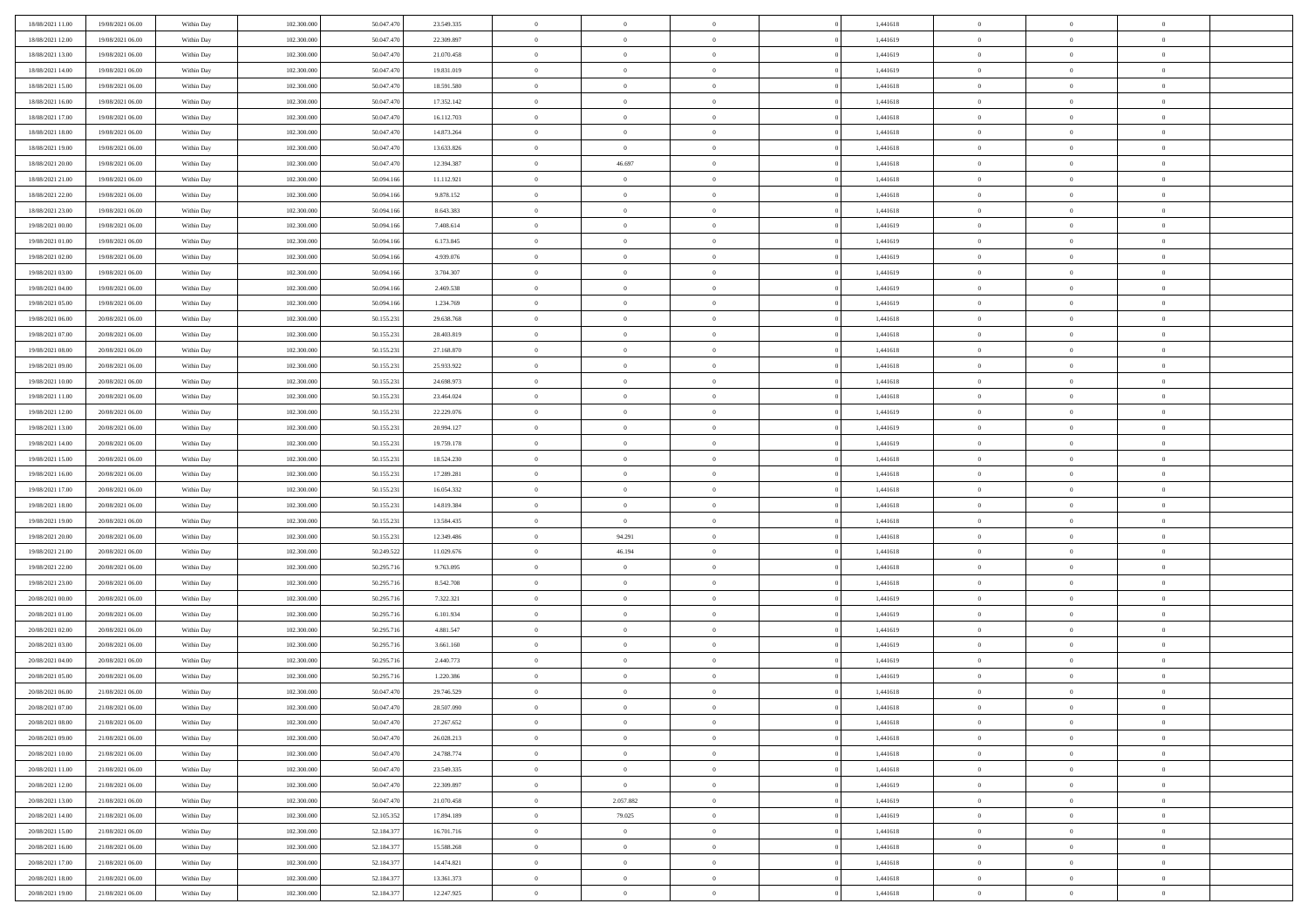| 18/08/2021 11:00 | 19/08/2021 06:00 | Within Day | 102.300.000 | 50.047.470 | 23.549.335 | $\,$ 0         | $\overline{0}$ | $\theta$       |          | 1,441618 | $\bf{0}$       | $\overline{0}$ | $\,0\,$        |  |
|------------------|------------------|------------|-------------|------------|------------|----------------|----------------|----------------|----------|----------|----------------|----------------|----------------|--|
| 18/08/2021 12:00 | 19/08/2021 06:00 | Within Day | 102.300,000 | 50.047.470 | 22.309.897 | $\overline{0}$ | $\overline{0}$ | $\overline{0}$ |          | 1,441619 | $\overline{0}$ | $\overline{0}$ | $\theta$       |  |
| 18/08/2021 13:00 | 19/08/2021 06:00 | Within Dav | 102.300.000 | 50.047.470 | 21.070.458 | $\mathbf{0}$   | $\overline{0}$ | $\overline{0}$ |          | 1,441619 | $\mathbf{0}$   | $\overline{0}$ | $\overline{0}$ |  |
| 18/08/2021 14:00 | 19/08/2021 06:00 | Within Day | 102.300.000 | 50.047.470 | 19.831.019 | $\bf{0}$       | $\overline{0}$ | $\bf{0}$       |          | 1,441619 | $\bf{0}$       | $\overline{0}$ | $\bf{0}$       |  |
| 18/08/2021 15:00 | 19/08/2021 06:00 | Within Day | 102.300.000 | 50.047.470 | 18.591.580 | $\bf{0}$       | $\overline{0}$ | $\overline{0}$ |          | 1,441618 | $\bf{0}$       | $\bf{0}$       | $\,0\,$        |  |
| 18/08/2021 16:00 | 19/08/2021 06:00 | Within Dav | 102.300.000 | 50.047.470 | 17.352.142 | $\mathbf{0}$   | $\overline{0}$ | $\overline{0}$ |          | 1,441618 | $\mathbf{0}$   | $\overline{0}$ | $\theta$       |  |
| 18/08/2021 17:00 | 19/08/2021 06:00 | Within Day | 102.300.000 | 50.047.470 | 16.112.703 | $\bf{0}$       | $\overline{0}$ | $\overline{0}$ |          | 1,441618 | $\bf{0}$       | $\overline{0}$ | $\,0\,$        |  |
| 18/08/2021 18:00 | 19/08/2021 06:00 | Within Day | 102.300.000 | 50.047.470 | 14.873.264 | $\overline{0}$ | $\overline{0}$ | $\overline{0}$ |          | 1,441618 | $\,$ 0 $\,$    | $\overline{0}$ | $\theta$       |  |
| 18/08/2021 19:00 | 19/08/2021 06:00 | Within Dav | 102.300.000 | 50.047.470 | 13.633.826 | $\mathbf{0}$   | $\overline{0}$ | $\overline{0}$ |          | 1,441618 | $\mathbf{0}$   | $\overline{0}$ | $\overline{0}$ |  |
| 18/08/2021 20:00 | 19/08/2021 06:00 | Within Day | 102.300.000 | 50.047.470 | 12.394.387 | $\bf{0}$       | 46.697         | $\overline{0}$ |          | 1,441618 | $\bf{0}$       | $\overline{0}$ | $\,0\,$        |  |
| 18/08/2021 21:00 | 19/08/2021 06:00 | Within Day | 102.300,000 | 50.094.166 | 11.112.921 | $\bf{0}$       | $\overline{0}$ | $\overline{0}$ |          | 1,441618 | $\bf{0}$       | $\mathbf{0}$   | $\theta$       |  |
| 18/08/2021 22:00 | 19/08/2021 06:00 | Within Dav | 102.300.000 | 50.094.166 | 9.878.152  | $\mathbf{0}$   | $\overline{0}$ | $\overline{0}$ |          | 1,441618 | $\mathbf{0}$   | $\overline{0}$ | $\overline{0}$ |  |
| 18/08/2021 23:00 | 19/08/2021 06:00 | Within Day | 102.300.000 | 50.094.166 | 8.643.383  | $\bf{0}$       | $\overline{0}$ | $\bf{0}$       |          | 1,441618 | $\bf{0}$       | $\overline{0}$ | $\overline{0}$ |  |
| 19/08/2021 00:00 | 19/08/2021 06:00 | Within Day | 102.300.000 | 50.094.166 | 7.408.614  | $\bf{0}$       | $\overline{0}$ | $\overline{0}$ |          | 1,441619 | $\bf{0}$       | $\theta$       | $\,0\,$        |  |
| 19/08/2021 01:00 | 19/08/2021 06:00 | Within Dav | 102.300.000 | 50.094.166 | 6.173.845  | $\overline{0}$ | $\overline{0}$ | $\overline{0}$ |          | 1,441619 | $\mathbf{0}$   | $\overline{0}$ | $\overline{0}$ |  |
| 19/08/2021 02:00 | 19/08/2021 06:00 | Within Day | 102.300.000 | 50.094.166 | 4.939.076  | $\bf{0}$       | $\bf{0}$       | $\overline{0}$ |          | 1,441619 | $\bf{0}$       | $\overline{0}$ | $\,0\,$        |  |
| 19/08/2021 03:00 | 19/08/2021 06:00 | Within Day | 102.300,000 | 50.094.166 | 3.704.307  | $\overline{0}$ | $\overline{0}$ | $\overline{0}$ |          | 1,441619 | $\bf{0}$       | $\overline{0}$ | $\theta$       |  |
| 19/08/2021 04:00 | 19/08/2021 06:00 | Within Day | 102.300.000 | 50.094.166 | 2.469.538  | $\mathbf{0}$   | $\overline{0}$ | $\overline{0}$ |          | 1,441619 | $\mathbf{0}$   | $\overline{0}$ | $\overline{0}$ |  |
| 19/08/2021 05:00 | 19/08/2021 06:00 | Within Day | 102.300.000 | 50.094.166 | 1.234.769  | $\bf{0}$       | $\bf{0}$       | $\overline{0}$ |          | 1,441619 | $\bf{0}$       | $\overline{0}$ | $\,0\,$        |  |
| 19/08/2021 06:00 | 20/08/2021 06:00 | Within Day | 102.300.000 | 50.155.231 | 29.638.768 | $\bf{0}$       | $\overline{0}$ | $\overline{0}$ |          | 1,441618 | $\bf{0}$       | $\overline{0}$ | $\overline{0}$ |  |
| 19/08/2021 07:00 | 20/08/2021 06:00 | Within Dav | 102.300.000 | 50.155.231 | 28.403.819 | $\mathbf{0}$   | $\overline{0}$ | $\overline{0}$ |          | 1,441618 | $\mathbf{0}$   | $\overline{0}$ | $\overline{0}$ |  |
| 19/08/2021 08:00 | 20/08/2021 06:00 | Within Day | 102.300.000 | 50.155.231 | 27.168.870 | $\bf{0}$       | $\overline{0}$ | $\bf{0}$       |          | 1,441618 | $\bf{0}$       | $\overline{0}$ | $\bf{0}$       |  |
| 19/08/2021 09:00 | 20/08/2021 06:00 | Within Day | 102.300.000 | 50.155.23  | 25.933.922 | $\bf{0}$       | $\bf{0}$       | $\overline{0}$ |          | 1,441618 | $\bf{0}$       | $\bf{0}$       | $\,0\,$        |  |
| 19/08/2021 10:00 | 20/08/2021 06:00 | Within Dav | 102.300.000 | 50.155.231 | 24.698.973 | $\mathbf{0}$   | $\overline{0}$ | $\overline{0}$ |          | 1,441618 | $\mathbf{0}$   | $\overline{0}$ | $\theta$       |  |
| 19/08/2021 11:00 | 20/08/2021 06:00 | Within Day | 102.300.000 | 50.155.231 | 23.464.024 | $\bf{0}$       | $\bf{0}$       | $\overline{0}$ |          | 1,441618 | $\bf{0}$       | $\overline{0}$ | $\,0\,$        |  |
| 19/08/2021 12:00 | 20/08/2021 06:00 | Within Day | 102.300.000 | 50.155.231 | 22.229.076 | $\overline{0}$ | $\overline{0}$ | $\overline{0}$ |          | 1,441619 | $\bf{0}$       | $\overline{0}$ | $\overline{0}$ |  |
| 19/08/2021 13:00 | 20/08/2021 06:00 | Within Dav | 102.300.000 | 50.155.231 | 20.994.127 | $\mathbf{0}$   | $\overline{0}$ | $\overline{0}$ |          | 1,441619 | $\mathbf{0}$   | $\overline{0}$ | $\overline{0}$ |  |
| 19/08/2021 14:00 | 20/08/2021 06:00 | Within Day | 102.300.000 | 50.155.231 | 19.759.178 | $\bf{0}$       | $\bf{0}$       | $\overline{0}$ |          | 1,441619 | $\bf{0}$       | $\overline{0}$ | $\,0\,$        |  |
| 19/08/2021 15:00 | 20/08/2021 06:00 | Within Day | 102.300,000 | 50.155.231 | 18.524.230 | $\bf{0}$       | $\bf{0}$       | $\overline{0}$ |          | 1,441618 | $\bf{0}$       | $\bf{0}$       | $\overline{0}$ |  |
| 19/08/2021 16:00 | 20/08/2021 06:00 | Within Dav | 102.300.000 | 50.155.231 | 17.289.281 | $\mathbf{0}$   | $\overline{0}$ | $\overline{0}$ |          | 1,441618 | $\mathbf{0}$   | $\overline{0}$ | $\overline{0}$ |  |
| 19/08/2021 17:00 | 20/08/2021 06:00 | Within Day | 102.300.000 | 50.155.231 | 16.054.332 | $\bf{0}$       | $\overline{0}$ | $\theta$       |          | 1,441618 | $\,$ 0         | $\overline{0}$ | $\theta$       |  |
| 19/08/2021 18:00 | 20/08/2021 06:00 | Within Day | 102.300.000 | 50.155.23  | 14.819.384 | $\bf{0}$       | $\bf{0}$       | $\overline{0}$ |          | 1,441618 | $\bf{0}$       | $\mathbf{0}$   | $\overline{0}$ |  |
| 19/08/2021 19:00 | 20/08/2021 06:00 | Within Dav | 102.300.000 | 50.155.231 | 13.584.435 | $\mathbf{0}$   | $\overline{0}$ | $\overline{0}$ |          | 1,441618 | $\mathbf{0}$   | $\overline{0}$ | $\overline{0}$ |  |
| 19/08/2021 20:00 | 20/08/2021 06:00 | Within Day | 102.300.000 | 50.155.231 | 12.349.486 | $\bf{0}$       | 94.291         | $\theta$       |          | 1,441618 | $\,$ 0         | $\overline{0}$ | $\theta$       |  |
| 19/08/2021 21:00 | 20/08/2021 06:00 | Within Day | 102.300,000 | 50.249.522 | 11.029.676 | $\bf{0}$       | 46.194         | $\overline{0}$ |          | 1,441618 | $\bf{0}$       | $\overline{0}$ | $\overline{0}$ |  |
| 19/08/2021 22:00 | 20/08/2021 06:00 | Within Day | 102.300.000 | 50.295.716 | 9.763.095  | $\mathbf{0}$   | $\overline{0}$ | $\overline{0}$ |          | 1,441618 | $\mathbf{0}$   | $\overline{0}$ | $\overline{0}$ |  |
| 19/08/2021 23:00 | 20/08/2021 06:00 | Within Day | 102.300.000 | 50.295.716 | 8.542.708  | $\bf{0}$       | $\overline{0}$ | $\theta$       |          | 1,441618 | $\,$ 0         | $\overline{0}$ | $\theta$       |  |
| 20/08/2021 00:00 | 20/08/2021 06:00 | Within Day | 102.300.000 | 50.295.716 | 7.322.321  | $\bf{0}$       | $\overline{0}$ | $\overline{0}$ |          | 1,441619 | $\bf{0}$       | $\bf{0}$       | $\overline{0}$ |  |
| 20/08/2021 01:00 | 20/08/2021 06:00 | Within Dav | 102.300.000 | 50.295.716 | 6.101.934  | $\mathbf{0}$   | $\overline{0}$ | $\overline{0}$ |          | 1,441619 | $\mathbf{0}$   | $\overline{0}$ | $\overline{0}$ |  |
| 20/08/2021 02:00 | 20/08/2021 06:00 | Within Day | 102.300.000 | 50.295.716 | 4.881.547  | $\,0\,$        | $\overline{0}$ | $\theta$       |          | 1,441619 | $\,$ 0         | $\overline{0}$ | $\theta$       |  |
| 20/08/2021 03:00 | 20/08/2021 06:00 | Within Day | 102.300.000 | 50.295.716 | 3.661.160  | $\bf{0}$       | $\overline{0}$ | $\overline{0}$ |          | 1,441619 | $\bf{0}$       | $\overline{0}$ | $\overline{0}$ |  |
| 20/08/2021 04:00 | 20/08/2021 06:00 | Within Dav | 102.300.000 | 50.295.716 | 2.440.773  | $\mathbf{0}$   | $\overline{0}$ | $\overline{0}$ |          | 1,441619 | $\mathbf{0}$   | $\overline{0}$ | $\overline{0}$ |  |
| 20/08/2021 05:00 | 20/08/2021 06:00 | Within Day | 102.300.000 | 50.295.716 | 1.220.386  | $\bf{0}$       | $\overline{0}$ | $\theta$       |          | 1,441619 | $\,$ 0         | $\overline{0}$ | $\theta$       |  |
| 20/08/2021 06:00 | 21/08/2021 06:00 | Within Day | 102.300,000 | 50.047.470 | 29.746.529 | $\bf{0}$       | $\overline{0}$ | $\overline{0}$ |          | 1,441618 | $\,$ 0 $\,$    | $\overline{0}$ | $\overline{0}$ |  |
| 20/08/2021 07:00 | 21/08/2021 06:00 | Within Day | 102.300.000 | 50.047.470 | 28.507.090 | $\bf{0}$       | $\overline{0}$ |                |          | 1,441618 | $\overline{0}$ | $\theta$       | $\theta$       |  |
| 20/08/2021 08:00 | 21/08/2021 06:00 | Within Day | 102.300.000 | 50.047.470 | 27.267.652 | $\,0\,$        | $\overline{0}$ | $\theta$       |          | 1,441618 | $\,$ 0 $\,$    | $\bf{0}$       | $\theta$       |  |
| 20/08/2021 09:00 | 21/08/2021 06:00 | Within Day | 102.300.000 | 50.047.470 | 26.028.213 | $\overline{0}$ | $\overline{0}$ | $\overline{0}$ |          | 1,441618 | $\overline{0}$ | $\overline{0}$ | $\overline{0}$ |  |
| 20/08/2021 10:00 | 21/08/2021 06:00 | Within Day | 102.300.000 | 50.047.470 | 24.788.774 | $\bf{0}$       | $\overline{0}$ | $\overline{0}$ |          | 1,441618 | $\overline{0}$ | $\bf{0}$       | $\mathbf{0}$   |  |
| 20/08/2021 11:00 | 21/08/2021 06:00 | Within Day | 102.300.000 | 50.047.470 | 23.549.335 | $\bf{0}$       | $\overline{0}$ | $\bf{0}$       | $\theta$ | 1,441618 | $\mathbf{0}$   | $\bf{0}$       | $\,$ 0 $\,$    |  |
| 20/08/2021 12:00 | 21/08/2021 06:00 | Within Day | 102.300.000 | 50.047.470 | 22.309.897 | $\bf{0}$       | $\overline{0}$ | $\overline{0}$ |          | 1,441619 | $\,$ 0 $\,$    | $\overline{0}$ | $\overline{0}$ |  |
| 20/08/2021 13:00 | 21/08/2021 06:00 | Within Day | 102.300.000 | 50.047.470 | 21.070.458 | $\bf{0}$       | 2.057.882      | $\overline{0}$ |          | 1,441619 | $\mathbf{0}$   | $\overline{0}$ | $\overline{0}$ |  |
| 20/08/2021 14:00 | 21/08/2021 06:00 | Within Day | 102.300.000 | 52.105.352 | 17.894.189 | $\,$ 0 $\,$    | 79.025         | $\mathbf{0}$   | $\theta$ | 1,441619 | $\,$ 0 $\,$    | $\overline{0}$ | $\overline{0}$ |  |
| 20/08/2021 15:00 | 21/08/2021 06:00 | Within Day | 102.300.000 | 52.184.377 | 16.701.716 | $\bf{0}$       | $\overline{0}$ | $\overline{0}$ |          | 1,441618 | $\overline{0}$ | $\overline{0}$ | $\overline{0}$ |  |
| 20/08/2021 16:00 | 21/08/2021 06:00 | Within Day | 102.300.000 | 52.184.377 | 15.588.268 | $\bf{0}$       | $\overline{0}$ | $\overline{0}$ |          | 1,441618 | $\mathbf{0}$   | $\overline{0}$ | $\mathbf{0}$   |  |
| 20/08/2021 17:00 | 21/08/2021 06:00 | Within Day | 102.300.000 | 52.184.377 | 14.474.821 | $\,0\,$        | $\overline{0}$ | $\overline{0}$ |          | 1,441618 | $\,$ 0 $\,$    | $\mathbf{0}$   | $\theta$       |  |
| 20/08/2021 18:00 | 21/08/2021 06:00 | Within Day | 102.300.000 | 52.184.377 | 13.361.373 | $\bf{0}$       | $\bf{0}$       | $\overline{0}$ |          | 1,441618 | $\mathbf 0$    | $\mathbf{0}$   | $\overline{0}$ |  |
| 20/08/2021 19:00 | 21/08/2021 06:00 | Within Day | 102.300.000 | 52.184.377 | 12.247.925 | $\mathbf{0}$   | $\overline{0}$ | $\overline{0}$ |          | 1,441618 | $\mathbf{0}$   | $\overline{0}$ | $\overline{0}$ |  |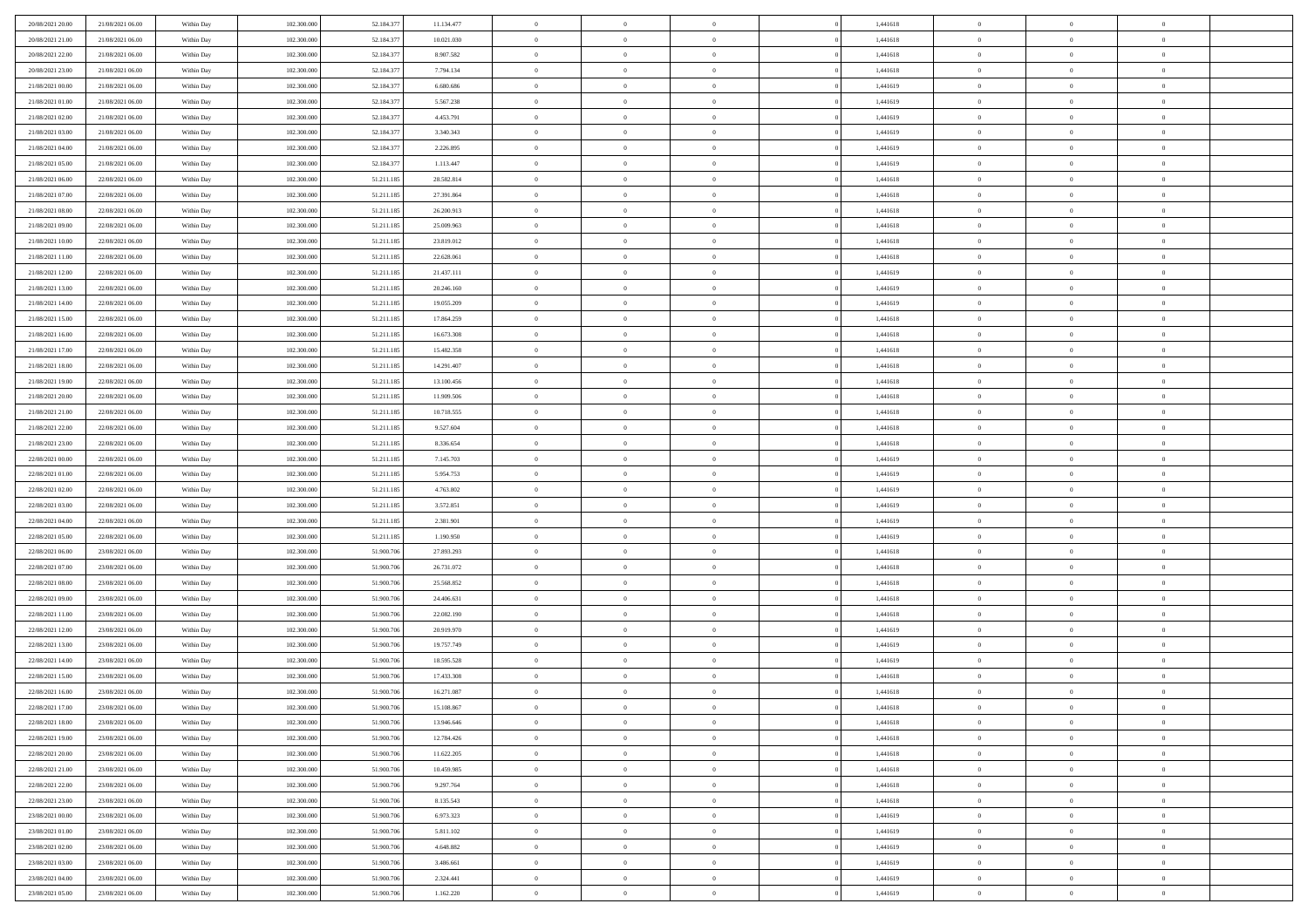| 20/08/2021 20:00 | 21/08/2021 06:00                     | Within Day | 102.300.000 | 52.184.377 | 11.134.477 | $\,$ 0         | $\bf{0}$       | $\theta$       |          | 1,441618 | $\bf{0}$       | $\overline{0}$ | $\,0\,$        |  |
|------------------|--------------------------------------|------------|-------------|------------|------------|----------------|----------------|----------------|----------|----------|----------------|----------------|----------------|--|
| 20/08/2021 21:00 | 21/08/2021 06:00                     | Within Day | 102.300,000 | 52.184.377 | 10.021.030 | $\overline{0}$ | $\overline{0}$ | $\overline{0}$ |          | 1,441618 | $\theta$       | $\overline{0}$ | $\theta$       |  |
| 20/08/2021 22:00 | 21/08/2021 06:00                     | Within Dav | 102.300.000 | 52.184.377 | 8.907.582  | $\mathbf{0}$   | $\overline{0}$ | $\overline{0}$ |          | 1,441618 | $\mathbf{0}$   | $\overline{0}$ | $\overline{0}$ |  |
| 20/08/2021 23:00 | 21/08/2021 06:00                     | Within Day | 102.300.000 | 52.184.377 | 7.794.134  | $\bf{0}$       | $\overline{0}$ | $\bf{0}$       |          | 1,441618 | $\bf{0}$       | $\overline{0}$ | $\bf{0}$       |  |
| 21/08/2021 00:00 | 21/08/2021 06:00                     | Within Day | 102.300.000 | 52.184.377 | 6.680.686  | $\bf{0}$       | $\bf{0}$       | $\overline{0}$ |          | 1,441619 | $\bf{0}$       | $\bf{0}$       | $\,0\,$        |  |
| 21/08/2021 01:00 | 21/08/2021 06:00                     | Within Dav | 102.300.000 | 52.184.377 | 5.567.238  | $\mathbf{0}$   | $\overline{0}$ | $\overline{0}$ |          | 1,441619 | $\mathbf{0}$   | $\overline{0}$ | $\overline{0}$ |  |
| 21/08/2021 02:00 | 21/08/2021 06:00                     | Within Day | 102.300.000 | 52.184.377 | 4.453.791  | $\bf{0}$       | $\bf{0}$       | $\overline{0}$ |          | 1,441619 | $\bf{0}$       | $\overline{0}$ | $\,0\,$        |  |
| 21/08/2021 03:00 | 21/08/2021 06:00                     | Within Day | 102.300.000 | 52.184.377 | 3.340.343  | $\overline{0}$ | $\overline{0}$ | $\overline{0}$ |          | 1,441619 | $\,$ 0 $\,$    | $\overline{0}$ | $\theta$       |  |
| 21/08/2021 04:00 | 21/08/2021 06:00                     | Within Dav | 102.300.000 | 52.184.377 | 2.226.895  | $\mathbf{0}$   | $\overline{0}$ | $\overline{0}$ |          | 1,441619 | $\mathbf{0}$   | $\overline{0}$ | $\overline{0}$ |  |
| 21/08/2021 05:00 | 21/08/2021 06:00                     |            | 102.300.000 | 52.184.377 | 1.113.447  | $\bf{0}$       | $\bf{0}$       | $\overline{0}$ |          | 1,441619 | $\bf{0}$       | $\overline{0}$ | $\,0\,$        |  |
|                  |                                      | Within Day |             |            |            |                |                |                |          |          |                | $\overline{0}$ |                |  |
| 21/08/2021 06:00 | 22/08/2021 06:00<br>22/08/2021 06:00 | Within Day | 102.300,000 | 51.211.185 | 28.582.814 | $\bf{0}$       | $\overline{0}$ | $\overline{0}$ |          | 1,441618 | $\bf{0}$       |                | $\theta$       |  |
| 21/08/2021 07:00 |                                      | Within Dav | 102.300.000 | 51.211.185 | 27.391.864 | $\mathbf{0}$   | $\overline{0}$ | $\overline{0}$ |          | 1,441618 | $\mathbf{0}$   | $\overline{0}$ | $\overline{0}$ |  |
| 21/08/2021 08:00 | 22/08/2021 06:00                     | Within Day | 102.300.000 | 51.211.185 | 26.200.913 | $\bf{0}$       | $\overline{0}$ | $\bf{0}$       |          | 1,441618 | $\bf{0}$       | $\overline{0}$ | $\overline{0}$ |  |
| 21/08/2021 09:00 | 22/08/2021 06:00                     | Within Day | 102.300.000 | 51.211.185 | 25.009.963 | $\bf{0}$       | $\overline{0}$ | $\overline{0}$ |          | 1,441618 | $\bf{0}$       | $\theta$       | $\,0\,$        |  |
| 21/08/2021 10:00 | 22/08/2021 06:00                     | Within Dav | 102.300.000 | 51.211.185 | 23.819.012 | $\overline{0}$ | $\overline{0}$ | $\overline{0}$ |          | 1,441618 | $\mathbf{0}$   | $\overline{0}$ | $\overline{0}$ |  |
| 21/08/2021 11:00 | 22/08/2021 06:00                     | Within Day | 102.300.000 | 51.211.185 | 22.628.061 | $\bf{0}$       | $\bf{0}$       | $\overline{0}$ |          | 1,441618 | $\bf{0}$       | $\overline{0}$ | $\bf{0}$       |  |
| 21/08/2021 12:00 | 22/08/2021 06:00                     | Within Day | 102.300,000 | 51.211.185 | 21.437.111 | $\bf{0}$       | $\overline{0}$ | $\overline{0}$ |          | 1,441619 | $\bf{0}$       | $\overline{0}$ | $\theta$       |  |
| 21/08/2021 13:00 | 22/08/2021 06:00                     | Within Day | 102.300.000 | 51.211.185 | 20.246.160 | $\mathbf{0}$   | $\overline{0}$ | $\overline{0}$ |          | 1,441619 | $\mathbf{0}$   | $\overline{0}$ | $\overline{0}$ |  |
| 21/08/2021 14:00 | 22/08/2021 06:00                     | Within Day | 102.300.000 | 51.211.185 | 19.055.209 | $\bf{0}$       | $\bf{0}$       | $\overline{0}$ |          | 1,441619 | $\bf{0}$       | $\overline{0}$ | $\,0\,$        |  |
| 21/08/2021 15:00 | 22/08/2021 06:00                     | Within Day | 102.300.000 | 51.211.185 | 17.864.259 | $\bf{0}$       | $\overline{0}$ | $\overline{0}$ |          | 1,441618 | $\bf{0}$       | $\overline{0}$ | $\overline{0}$ |  |
| 21/08/2021 16:00 | 22/08/2021 06:00                     | Within Dav | 102.300.000 | 51.211.185 | 16.673.308 | $\mathbf{0}$   | $\overline{0}$ | $\overline{0}$ |          | 1,441618 | $\mathbf{0}$   | $\overline{0}$ | $\overline{0}$ |  |
| 21/08/2021 17:00 | 22/08/2021 06:00                     | Within Day | 102.300.000 | 51.211.185 | 15.482.358 | $\bf{0}$       | $\overline{0}$ | $\overline{0}$ |          | 1,441618 | $\bf{0}$       | $\overline{0}$ | $\bf{0}$       |  |
| 21/08/2021 18:00 | 22/08/2021 06:00                     | Within Day | 102.300.000 | 51.211.185 | 14.291.407 | $\bf{0}$       | $\overline{0}$ | $\overline{0}$ |          | 1,441618 | $\bf{0}$       | $\bf{0}$       | $\,0\,$        |  |
| 21/08/2021 19:00 | 22/08/2021 06:00                     | Within Dav | 102.300.000 | 51.211.185 | 13.100.456 | $\mathbf{0}$   | $\overline{0}$ | $\overline{0}$ |          | 1,441618 | $\mathbf{0}$   | $\overline{0}$ | $\overline{0}$ |  |
| 21/08/2021 20:00 | 22/08/2021 06:00                     | Within Day | 102.300.000 | 51.211.185 | 11.909.506 | $\bf{0}$       | $\overline{0}$ | $\overline{0}$ |          | 1,441618 | $\bf{0}$       | $\overline{0}$ | $\,0\,$        |  |
| 21/08/2021 21:00 | 22/08/2021 06:00                     | Within Day | 102.300.000 | 51.211.185 | 10.718.555 | $\bf{0}$       | $\overline{0}$ | $\overline{0}$ |          | 1,441618 | $\bf{0}$       | $\overline{0}$ | $\overline{0}$ |  |
| 21/08/2021 22:00 | 22/08/2021 06:00                     | Within Dav | 102.300.000 | 51.211.185 | 9.527.604  | $\mathbf{0}$   | $\overline{0}$ | $\overline{0}$ |          | 1,441618 | $\mathbf{0}$   | $\overline{0}$ | $\overline{0}$ |  |
| 21/08/2021 23:00 | 22/08/2021 06:00                     | Within Day | 102.300.000 | 51.211.185 | 8.336.654  | $\bf{0}$       | $\overline{0}$ | $\overline{0}$ |          | 1,441618 | $\bf{0}$       | $\overline{0}$ | $\,0\,$        |  |
| 22/08/2021 00:00 | 22/08/2021 06:00                     | Within Day | 102.300,000 | 51.211.185 | 7.145.703  | $\bf{0}$       | $\overline{0}$ | $\overline{0}$ |          | 1,441619 | $\bf{0}$       | $\bf{0}$       | $\overline{0}$ |  |
| 22/08/2021 01:00 | 22/08/2021 06:00                     | Within Dav | 102.300.000 | 51.211.185 | 5.954.753  | $\mathbf{0}$   | $\overline{0}$ | $\overline{0}$ |          | 1,441619 | $\mathbf{0}$   | $\overline{0}$ | $\overline{0}$ |  |
| 22/08/2021 02:00 | 22/08/2021 06:00                     | Within Day | 102.300.000 | 51.211.185 | 4.763.802  | $\bf{0}$       | $\overline{0}$ | $\theta$       |          | 1,441619 | $\,$ 0         | $\overline{0}$ | $\theta$       |  |
| 22/08/2021 03:00 | 22/08/2021 06:00                     | Within Day | 102.300.000 | 51.211.185 | 3.572.851  | $\bf{0}$       | $\overline{0}$ | $\overline{0}$ |          | 1,441619 | $\bf{0}$       | $\bf{0}$       | $\overline{0}$ |  |
| 22/08/2021 04:00 | 22/08/2021 06:00                     | Within Dav | 102.300.000 | 51.211.185 | 2.381.901  | $\mathbf{0}$   | $\overline{0}$ | $\overline{0}$ |          | 1,441619 | $\mathbf{0}$   | $\overline{0}$ | $\overline{0}$ |  |
| 22/08/2021 05:00 | 22/08/2021 06:00                     | Within Day | 102.300.000 | 51.211.185 | 1.190.950  | $\bf{0}$       | $\overline{0}$ | $\theta$       |          | 1,441619 | $\,$ 0         | $\overline{0}$ | $\theta$       |  |
| 22/08/2021 06:00 | 23/08/2021 06:00                     | Within Day | 102.300,000 | 51,900,706 | 27.893.293 | $\bf{0}$       | $\overline{0}$ | $\overline{0}$ |          | 1,441618 | $\bf{0}$       | $\overline{0}$ | $\overline{0}$ |  |
| 22/08/2021 07:00 | 23/08/2021 06:00                     | Within Day | 102.300.000 | 51.900.706 | 26.731.072 | $\mathbf{0}$   | $\overline{0}$ | $\overline{0}$ |          | 1,441618 | $\mathbf{0}$   | $\overline{0}$ | $\overline{0}$ |  |
| 22/08/2021 08:00 | 23/08/2021 06:00                     | Within Day | 102.300.000 | 51.900.706 | 25.568.852 | $\bf{0}$       | $\overline{0}$ | $\theta$       |          | 1,441618 | $\,$ 0         | $\overline{0}$ | $\theta$       |  |
| 22/08/2021 09:00 | 23/08/2021 06:00                     | Within Day | 102.300.000 | 51.900.706 | 24.406.631 | $\bf{0}$       | $\overline{0}$ | $\overline{0}$ |          | 1,441618 | $\bf{0}$       | $\bf{0}$       | $\overline{0}$ |  |
| 22/08/2021 11:00 | 23/08/2021 06:00                     | Within Dav | 102.300.000 | 51.900.706 | 22.082.190 | $\mathbf{0}$   | $\overline{0}$ | $\overline{0}$ |          | 1,441618 | $\mathbf{0}$   | $\overline{0}$ | $\overline{0}$ |  |
| 22/08/2021 12:00 | 23/08/2021 06:00                     | Within Day | 102.300.000 | 51.900.706 | 20.919.970 | $\,0\,$        | $\overline{0}$ | $\theta$       |          | 1,441619 | $\,$ 0         | $\overline{0}$ | $\theta$       |  |
| 22/08/2021 13:00 | 23/08/2021 06:00                     | Within Day | 102.300.000 | 51.900.706 | 19.757.749 | $\bf{0}$       | $\overline{0}$ | $\overline{0}$ |          | 1,441619 | $\bf{0}$       | $\overline{0}$ | $\bf{0}$       |  |
| 22/08/2021 14:00 | 23/08/2021 06:00                     | Within Dav | 102.300.000 | 51.900.706 | 18.595.528 | $\mathbf{0}$   | $\overline{0}$ | $\overline{0}$ |          | 1,441619 | $\mathbf{0}$   | $\overline{0}$ | $\overline{0}$ |  |
| 22/08/2021 15:00 | 23/08/2021 06:00                     | Within Day | 102.300.000 | 51.900.706 | 17.433.308 | $\bf{0}$       | $\overline{0}$ | $\theta$       |          | 1,441618 | $\,$ 0         | $\overline{0}$ | $\theta$       |  |
| 22/08/2021 16:00 | 23/08/2021 06:00                     | Within Day | 102.300.000 | 51.900.706 | 16.271.087 | $\bf{0}$       | $\overline{0}$ | $\overline{0}$ |          | 1,441618 | $\,$ 0 $\,$    | $\overline{0}$ | $\bf{0}$       |  |
| 22/08/2021 17:00 | 23/08/2021 06:00                     | Within Day | 102.300.000 | 51.900.706 | 15.108.867 | $\bf{0}$       | $\overline{0}$ |                |          | 1,441618 | $\overline{0}$ | $\theta$       | $\theta$       |  |
|                  |                                      |            |             |            |            |                |                |                |          |          |                |                | $\theta$       |  |
| 22/08/2021 18:00 | 23/08/2021 06:00                     | Within Day | 102.300.000 | 51.900.706 | 13.946.646 | $\,0\,$        | $\overline{0}$ | $\theta$       |          | 1,441618 | $\,$ 0 $\,$    | $\overline{0}$ |                |  |
| 22/08/2021 19:00 | 23/08/2021 06:00                     | Within Day | 102.300.000 | 51.900.706 | 12.784.426 | $\overline{0}$ | $\overline{0}$ | $\overline{0}$ |          | 1,441618 | $\overline{0}$ | $\overline{0}$ | $\overline{0}$ |  |
| 22/08/2021 20:00 | 23/08/2021 06:00                     | Within Day | 102.300.000 | 51.900.706 | 11.622.205 | $\bf{0}$       | $\overline{0}$ | $\overline{0}$ |          | 1,441618 | $\overline{0}$ | $\bf{0}$       | $\mathbf{0}$   |  |
| 22/08/2021 21:00 | 23/08/2021 06:00                     | Within Day | 102.300.000 | 51.900.706 | 10.459.985 | $\bf{0}$       | $\overline{0}$ | $\overline{0}$ | $\theta$ | 1,441618 | $\,$ 0 $\,$    | $\bf{0}$       | $\,$ 0 $\,$    |  |
| 22/08/2021 22:00 | 23/08/2021 06:00                     | Within Day | 102.300.000 | 51.900.706 | 9.297.764  | $\bf{0}$       | $\overline{0}$ | $\overline{0}$ |          | 1,441618 | $\,$ 0 $\,$    | $\overline{0}$ | $\overline{0}$ |  |
| 22/08/2021 23:00 | 23/08/2021 06:00                     | Within Day | 102.300.000 | 51.900.706 | 8.135.543  | $\bf{0}$       | $\overline{0}$ | $\overline{0}$ |          | 1,441618 | $\mathbf{0}$   | $\overline{0}$ | $\overline{0}$ |  |
| 23/08/2021 00:00 | 23/08/2021 06:00                     | Within Day | 102.300.000 | 51.900.706 | 6.973.323  | $\,0\,$        | $\overline{0}$ | $\overline{0}$ | $\theta$ | 1,441619 | $\,$ 0 $\,$    | $\overline{0}$ | $\overline{0}$ |  |
| 23/08/2021 01:00 | 23/08/2021 06:00                     | Within Day | 102.300.000 | 51.900.706 | 5.811.102  | $\bf{0}$       | $\overline{0}$ | $\overline{0}$ |          | 1,441619 | $\overline{0}$ | $\overline{0}$ | $\overline{0}$ |  |
| 23/08/2021 02:00 | 23/08/2021 06:00                     | Within Day | 102.300.000 | 51.900.706 | 4.648.882  | $\bf{0}$       | $\overline{0}$ | $\overline{0}$ |          | 1,441619 | $\mathbf{0}$   | $\overline{0}$ | $\mathbf{0}$   |  |
| 23/08/2021 03:00 | 23/08/2021 06:00                     | Within Day | 102.300.000 | 51.900.706 | 3.486.661  | $\,0\,$        | $\overline{0}$ | $\overline{0}$ |          | 1,441619 | $\,$ 0 $\,$    | $\mathbf{0}$   | $\theta$       |  |
| 23/08/2021 04:00 | 23/08/2021 06:00                     | Within Day | 102.300.000 | 51.900.706 | 2.324.441  | $\overline{0}$ | $\bf{0}$       | $\overline{0}$ |          | 1,441619 | $\bf{0}$       | $\mathbf{0}$   | $\overline{0}$ |  |
| 23/08/2021 05:00 | 23/08/2021 06:00                     | Within Day | 102.300.000 | 51.900.706 | 1.162.220  | $\mathbf{0}$   | $\overline{0}$ | $\overline{0}$ |          | 1,441619 | $\mathbf{0}$   | $\overline{0}$ | $\overline{0}$ |  |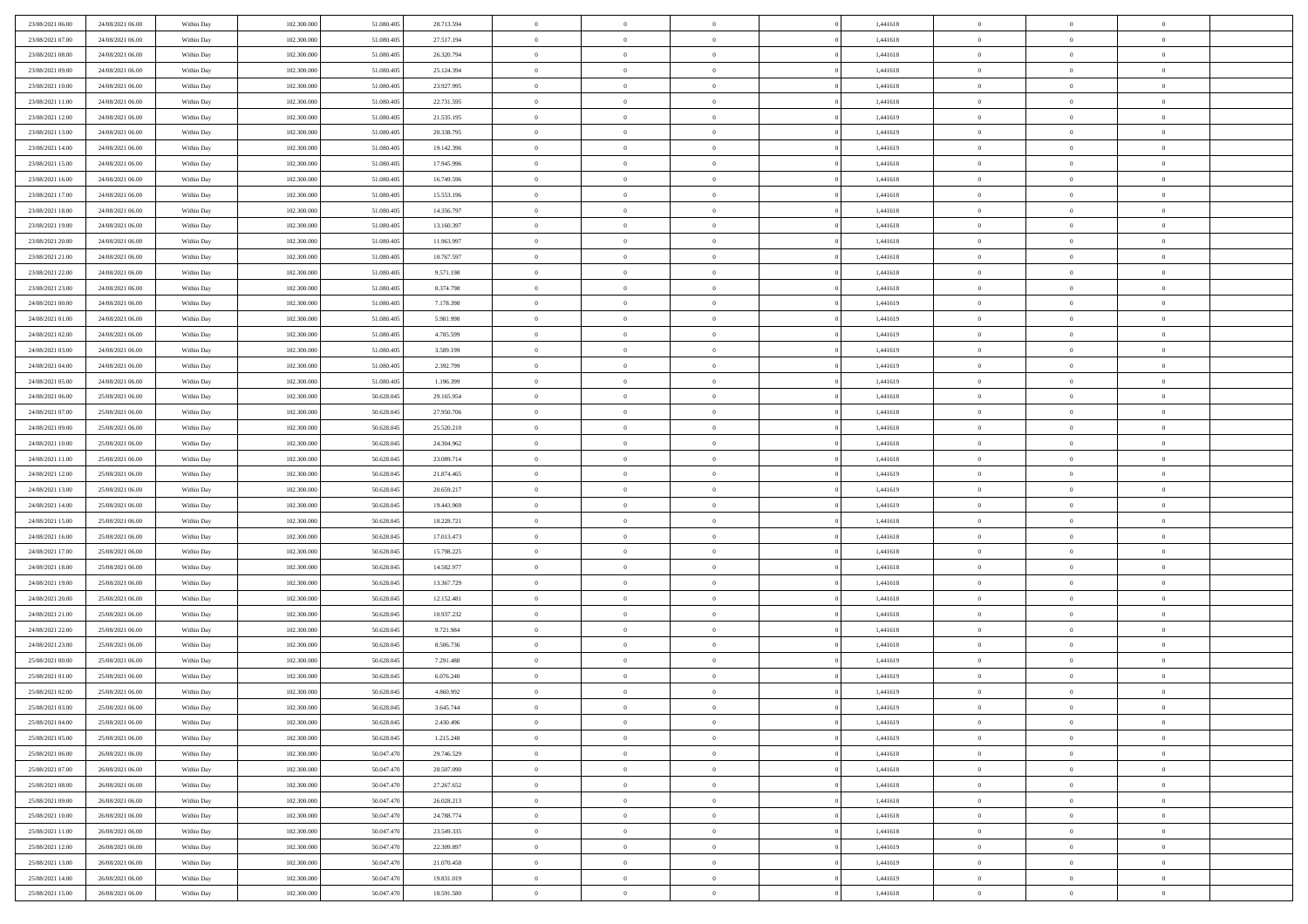| 23/08/2021 06:00                     | 24/08/2021 06:00                     | Within Day               | 102,300,000                | 51.080.405               | 28.713.594               | $\bf{0}$                    | $\overline{0}$                   | $\Omega$                   | 1,441618             | $\bf{0}$                 | $\overline{0}$                   | $\bf{0}$                  |  |
|--------------------------------------|--------------------------------------|--------------------------|----------------------------|--------------------------|--------------------------|-----------------------------|----------------------------------|----------------------------|----------------------|--------------------------|----------------------------------|---------------------------|--|
| 23/08/2021 07:00                     | 24/08/2021 06:00                     | Within Dav               | 102.300.000                | 51.080.405               | 27.517.194               | $\theta$                    | $\overline{0}$                   | $\overline{0}$             | 1,441618             | $\mathbf{0}$             | $\bf{0}$                         | $\overline{0}$            |  |
| 23/08/2021 08:00                     | 24/08/2021 06:00                     | Within Day               | 102.300.000                | 51.080.405               | 26.320.794               | $\theta$                    | $\overline{0}$                   | $\bf{0}$                   | 1,441618             | $\,$ 0                   | $\overline{0}$                   | $\,$ 0 $\,$               |  |
| 23/08/2021 09:00                     | 24/08/2021 06:00                     | Within Day               | 102,300,000                | 51.080.405               | 25.124.394               | $\mathbf{0}$                | $\overline{0}$                   | $\mathbf{0}$               | 1.441618             | $\bf{0}$                 | $\mathbf{0}$                     | $\theta$                  |  |
| 23/08/2021 10:00                     | 24/08/2021 06:00                     | Within Dav               | 102.300.000                | 51.080.405               | 23.927.995               | $\mathbf{0}$                | $\overline{0}$                   | $\overline{0}$             | 1,441618             | $\mathbf{0}$             | $\bf{0}$                         | $\overline{0}$            |  |
| 23/08/2021 11:00                     | 24/08/2021 06:00                     | Within Day               | 102.300.000                | 51.080.405               | 22.731.595               | $\theta$                    | $\overline{0}$                   | $\bf{0}$                   | 1,441618             | $\,$ 0                   | $\overline{0}$                   | $\,$ 0 $\,$               |  |
| 23/08/2021 12:00                     | 24/08/2021 06:00                     | Within Day               | 102,300,000                | 51.080.405               | 21.535.195               | $\bf{0}$                    | $\overline{0}$                   | $\Omega$                   | 1,441619             | $\bf{0}$                 | $\mathbf{0}$                     | $\theta$                  |  |
| 23/08/2021 13:00                     | 24/08/2021 06:00                     | Within Dav               | 102.300.000                | 51.080.405               | 20.338.795               | $\overline{0}$              | $\overline{0}$                   | $\overline{0}$             | 1,441619             | $\mathbf{0}$             | $\bf{0}$                         | $\overline{0}$            |  |
| 23/08/2021 14:00                     | 24/08/2021 06:00                     | Within Day               | 102.300.000                | 51.080.405               | 19.142.396               | $\theta$                    | $\overline{0}$                   | $\bf{0}$                   | 1,441619             | $\,$ 0                   | $\overline{0}$                   | $\,$ 0 $\,$               |  |
| 23/08/2021 15:00                     | 24/08/2021 06:00                     | Within Day               | 102,300,000                | 51.080.405               | 17.945.996               | $\mathbf{0}$                | $\overline{0}$                   | $\mathbf{0}$               | 1.441618             | $\bf{0}$                 | $\mathbf{0}$                     | $\theta$                  |  |
| 23/08/2021 16:00                     | 24/08/2021 06:00                     | Within Dav               | 102.300.000                | 51.080.405               | 16.749.596               | $\overline{0}$              | $\overline{0}$                   | $\overline{0}$             | 1,441618             | $\mathbf{0}$             | $\bf{0}$                         | $\overline{0}$            |  |
| 23/08/2021 17:00                     | 24/08/2021 06:00                     | Within Day               | 102.300.000                | 51.080.405               | 15.553.196               | $\theta$                    | $\overline{0}$                   | $\bf{0}$                   | 1,441618             | $\,$ 0                   | $\overline{0}$                   | $\,$ 0 $\,$               |  |
| 23/08/2021 18:00                     | 24/08/2021 06:00                     | Within Day               | 102,300,000                | 51.080.405               | 14.356.797               | $\theta$                    | $\overline{0}$                   | $\mathbf{0}$               | 1.441618             | $\bf{0}$                 | $\theta$                         | $\theta$                  |  |
| 23/08/2021 19:00                     | 24/08/2021 06:00                     | Within Dav               | 102.300.000                | 51.080.405               | 13.160.397               | $\overline{0}$              | $\overline{0}$                   | $\overline{0}$             | 1,441618             | $\mathbf{0}$             | $\bf{0}$                         | $\overline{0}$            |  |
| 23/08/2021 20:00                     | 24/08/2021 06:00                     | Within Day               | 102.300.000                | 51.080.405               | 11.963.997               | $\theta$                    | $\overline{0}$                   | $\overline{0}$             | 1,441618             | $\,$ 0                   | $\overline{0}$                   | $\,$ 0 $\,$               |  |
| 23/08/2021 21:00                     | 24/08/2021 06:00                     | Within Day               | 102,300,000                | 51.080.405               | 10.767.597               | $\bf{0}$                    | $\overline{0}$                   | $\mathbf{0}$               | 1,441618             | $\bf{0}$                 | $\mathbf{0}$                     | $\bf{0}$                  |  |
| 23/08/2021 22:00                     | 24/08/2021 06:00                     | Within Dav               | 102.300.000                | 51.080.405               | 9.571.198                | $\overline{0}$              | $\overline{0}$                   | $\overline{0}$             | 1,441618             | $\mathbf{0}$             | $\bf{0}$                         | $\overline{0}$            |  |
| 23/08/2021 23:00                     | 24/08/2021 06:00                     | Within Day               | 102.300.000                | 51.080.405               | 8.374.798                | $\theta$                    | $\overline{0}$                   | $\bf{0}$                   | 1,441618             | $\,$ 0                   | $\overline{0}$                   | $\,0\,$                   |  |
| 24/08/2021 00:00                     | 24/08/2021 06:00                     | Within Day               | 102,300,000                | 51.080.405               | 7.178.398                | $\mathbf{0}$                | $\overline{0}$                   | $\mathbf{0}$               | 1.441619             | $\bf{0}$                 | $\mathbf{0}$                     | $\theta$                  |  |
| 24/08/2021 01:00                     | 24/08/2021 06:00                     | Within Dav               | 102.300.000                | 51.080.405               | 5.981.998                | $\overline{0}$              | $\overline{0}$                   | $\overline{0}$             | 1,441619             | $\mathbf{0}$             | $\bf{0}$                         | $\overline{0}$            |  |
| 24/08/2021 02:00                     | 24/08/2021 06:00                     | Within Day               | 102.300.000                | 51.080.405               | 4.785.599                | $\theta$                    | $\overline{0}$                   | $\bf{0}$                   | 1,441619             | $\,$ 0                   | $\overline{0}$                   | $\,$ 0 $\,$               |  |
| 24/08/2021 03:00                     | 24/08/2021 06:00                     | Within Day               | 102,300,000                | 51.080.405               | 3.589.199                | $\mathbf{0}$                | $\overline{0}$                   | $\mathbf{0}$               | 1.441619             | $\bf{0}$                 | $\theta$                         | $\theta$                  |  |
| 24/08/2021 04:00                     | 24/08/2021 06:00                     | Within Dav               | 102.300.000                | 51.080.405               | 2.392.799                | $\overline{0}$              | $\overline{0}$                   | $\overline{0}$             | 1,441619             | $\mathbf{0}$             | $\bf{0}$                         | $\overline{0}$            |  |
| 24/08/2021 05:00                     | 24/08/2021 06:00                     | Within Day               | 102.300.000                | 51.080.405               | 1.196.399                | $\theta$                    | $\overline{0}$                   | $\bf{0}$                   | 1,441619             | $\,$ 0                   | $\overline{0}$                   | $\,$ 0 $\,$               |  |
| 24/08/2021 06:00                     | 25/08/2021 06:00                     | Within Day               | 102,300,000                | 50.628.045               | 29.165.954               | $\bf{0}$                    | $\overline{0}$                   | $\mathbf{0}$               | 1,441618             | $\bf{0}$                 | $\overline{0}$                   | $\bf{0}$                  |  |
| 24/08/2021 07:00                     | 25/08/2021 06:00                     | Within Dav               | 102.300.000                | 50.628.045               | 27.950.706               | $\overline{0}$              | $\overline{0}$                   | $\overline{0}$             | 1,441618             | $\mathbf{0}$             | $\bf{0}$                         | $\overline{0}$            |  |
| 24/08/2021 09:00                     | 25/08/2021 06:00                     | Within Day               | 102.300.000                | 50.628.045               | 25.520.210               | $\theta$                    | $\overline{0}$                   | $\overline{0}$             | 1,441618             | $\,$ 0                   | $\overline{0}$                   | $\,$ 0 $\,$               |  |
| 24/08/2021 10:00                     | 25/08/2021 06:00                     | Within Day               | 102,300,000                | 50.628,045               | 24.304.962               | $\mathbf{0}$                | $\overline{0}$                   | $\mathbf{0}$               | 1.441618             | $\bf{0}$                 | $\mathbf{0}$                     | $\theta$                  |  |
| 24/08/2021 11:00                     | 25/08/2021 06:00                     | Within Dav               | 102.300.000                | 50.628.045               | 23.089.714               | $\overline{0}$              | $\overline{0}$                   | $\overline{0}$             | 1,441618             | $\mathbf{0}$             | $\bf{0}$                         | $\overline{0}$            |  |
| 24/08/2021 12:00                     | 25/08/2021 06:00                     | Within Day               | 102.300.000                | 50.628.045               | 21.874.465               | $\theta$                    | $\overline{0}$                   | $\bf{0}$                   | 1,441619             | $\,$ 0                   | $\overline{0}$                   | $\,$ 0 $\,$               |  |
| 24/08/2021 13:00                     | 25/08/2021 06:00                     | Within Day               | 102.300.000                | 50.628.045               | 20.659.217               | $\bf{0}$                    | $\overline{0}$                   | $\overline{0}$             | 1,441619             | $\bf{0}$                 | $\overline{0}$                   | $\,0\,$                   |  |
| 24/08/2021 14:00                     | 25/08/2021 06:00                     | Within Dav               | 102.300.000                | 50.628.045               | 19.443.969               | $\overline{0}$              | $\overline{0}$                   | $\overline{0}$             | 1,441619             | $\mathbf{0}$             | $\bf{0}$                         | $\overline{0}$            |  |
| 24/08/2021 15:00                     | 25/08/2021 06:00                     | Within Day               | 102.300.000                | 50.628.045               | 18.228.721               | $\theta$                    | $\overline{0}$                   | $\overline{0}$             | 1,441618             | $\,$ 0                   | $\overline{0}$                   | $\,$ 0 $\,$               |  |
| 24/08/2021 16:00                     | 25/08/2021 06:00                     | Within Day               | 102.300.000                | 50.628.045               | 17.013.473               | $\,$ 0 $\,$                 | $\overline{0}$                   | $\overline{0}$             | 1,441618             | $\bf{0}$                 | $\overline{0}$                   | $\,0\,$                   |  |
| 24/08/2021 17:00                     | 25/08/2021 06:00                     | Within Dav               | 102.300.000                | 50.628.045               | 15.798.225               | $\theta$                    | $\overline{0}$                   | $\overline{0}$             | 1,441618             | $\mathbf{0}$             | $\bf{0}$                         | $\overline{0}$            |  |
| 24/08/2021 18:00                     | 25/08/2021 06:00                     | Within Day               | 102.300.000                | 50.628.045               | 14.582.977               | $\theta$                    | $\overline{0}$                   | $\bf{0}$<br>$\overline{0}$ | 1,441618             | $\,$ 0                   | $\overline{0}$<br>$\overline{0}$ | $\,$ 0 $\,$               |  |
| 24/08/2021 19:00<br>24/08/2021 20:00 | 25/08/2021 06:00<br>25/08/2021 06:00 | Within Day<br>Within Dav | 102.300.000<br>102.300.000 | 50.628.045<br>50.628.045 | 13.367.729<br>12.152.481 | $\,$ 0 $\,$<br>$\mathbf{0}$ | $\overline{0}$<br>$\overline{0}$ | $\overline{0}$             | 1,441618<br>1,441618 | $\bf{0}$<br>$\mathbf{0}$ | $\bf{0}$                         | $\,0\,$<br>$\overline{0}$ |  |
| 24/08/2021 21:00                     | 25/08/2021 06:00                     | Within Day               | 102.300.000                | 50.628.045               | 10.937.232               | $\theta$                    | $\overline{0}$                   | $\bf{0}$                   | 1,441618             | $\,$ 0                   | $\overline{0}$                   | $\,$ 0 $\,$               |  |
| 24/08/2021 22:00                     | 25/08/2021 06:00                     | Within Day               | 102.300.000                | 50.628.045               | 9.721.984                | $\,$ 0 $\,$                 | $\overline{0}$                   | $\overline{0}$             | 1,441618             | $\bf{0}$                 | $\overline{0}$                   | $\,0\,$                   |  |
| 24/08/2021 23:00                     | 25/08/2021 06:00                     | Within Dav               | 102.300.000                | 50.628.045               | 8.506.736                | $\theta$                    | $\overline{0}$                   | $\overline{0}$             | 1,441618             | $\mathbf{0}$             | $\bf{0}$                         | $\overline{0}$            |  |
| 25/08/2021 00:00                     | 25/08/2021 06:00                     | Within Day               | 102.300.000                | 50.628.045               | 7.291.488                | $\theta$                    | $\overline{0}$                   | $\bf{0}$                   | 1,441619             | $\,$ 0                   | $\overline{0}$                   | $\,$ 0 $\,$               |  |
| 25/08/2021 01:00                     | 25/08/2021 06:00                     | Within Day               | 102.300.000                | 50.628.045               | 6.076.240                | $\,$ 0 $\,$                 | $\overline{0}$                   | $\overline{0}$             | 1,441619             | $\bf{0}$                 | $\overline{0}$                   | $\,0\,$                   |  |
| 25/08/2021 02:00                     | 25/08/2021 06:00                     | Within Dav               | 102.300.000                | 50.628.045               | 4.860.992                | $\theta$                    | $\overline{0}$                   | $\overline{0}$             | 1,441619             | $\mathbf{0}$             | $\bf{0}$                         | $\overline{0}$            |  |
| 25/08/2021 03:00                     | 25/08/2021 06:00                     | Within Day               | 102.300.000                | 50.628.045               | 3.645.744                | $\overline{0}$              | $\overline{0}$                   | $\overline{0}$             | 1,441619             | $\overline{0}$           | $\overline{0}$                   | $\theta$                  |  |
| 25/08/2021 04:00                     | 25/08/2021 06:00                     | Within Day               | 102.300.000                | 50.628.045               | 2.430.496                | $\bf{0}$                    | $\overline{0}$                   | $\overline{0}$             | 1,441619             | $\bf{0}$                 | $\overline{0}$                   | $\bf{0}$                  |  |
| 25/08/2021 05:00                     | 25/08/2021 06:00                     | Within Day               | 102.300.000                | 50.628.045               | 1.215.248                | $\overline{0}$              | $\overline{0}$                   | $\overline{0}$             | 1,441619             | $\overline{0}$           | $\overline{0}$                   | $\overline{0}$            |  |
| 25/08/2021 06:00                     | 26/08/2021 06:00                     | Within Day               | 102.300.000                | 50.047.470               | 29.746.529               | $\,$ 0 $\,$                 | $\overline{0}$                   | $\overline{0}$             | 1,441618             | $\,$ 0 $\,$              | $\,$ 0 $\,$                      | $\,$ 0 $\,$               |  |
| 25/08/2021 07:00                     | 26/08/2021 06:00                     | Within Day               | 102.300.000                | 50.047.470               | 28.507.090               | $\bf{0}$                    | $\overline{0}$                   | $\overline{0}$             | 1,441618             | $\mathbf{0}$             | $\overline{0}$                   | $\bf{0}$                  |  |
| 25/08/2021 08:00                     | 26/08/2021 06:00                     | Within Day               | 102.300.000                | 50.047.470               | 27.267.652               | $\,$ 0 $\,$                 | $\overline{0}$                   | $\overline{0}$             | 1,441618             | $\,$ 0 $\,$              | $\bf{0}$                         | $\overline{0}$            |  |
| 25/08/2021 09:00                     | 26/08/2021 06:00                     | Within Day               | 102.300.000                | 50.047.470               | 26.028.213               | $\,$ 0                      | $\overline{0}$                   | $\overline{0}$             | 1,441618             | $\,$ 0 $\,$              | $\overline{0}$                   | $\,$ 0 $\,$               |  |
| 25/08/2021 10:00                     | 26/08/2021 06:00                     | Within Day               | 102.300.000                | 50.047.470               | 24.788.774               | $\bf{0}$                    | $\overline{0}$                   | $\overline{0}$             | 1,441618             | $\overline{0}$           | $\overline{0}$                   | $\overline{0}$            |  |
| 25/08/2021 11:00                     | 26/08/2021 06:00                     | Within Day               | 102.300.000                | 50.047.470               | 23.549.335               | $\mathbf{0}$                | $\overline{0}$                   | $\overline{0}$             | 1,441618             | $\,$ 0 $\,$              | $\bf{0}$                         | $\mathbf{0}$              |  |
| 25/08/2021 12:00                     | 26/08/2021 06:00                     | Within Day               | 102.300.000                | 50.047.470               | 22.309.897               | $\,$ 0                      | $\overline{0}$                   | $\overline{0}$             | 1,441619             | $\,$ 0 $\,$              | $\,$ 0 $\,$                      | $\,$ 0 $\,$               |  |
| 25/08/2021 13:00                     | 26/08/2021 06:00                     | Within Day               | 102.300.000                | 50.047.470               | 21.070.458               | $\bf{0}$                    | $\overline{0}$                   | $\overline{0}$             | 1,441619             | $\mathbf{0}$             | $\overline{0}$                   | $\bf{0}$                  |  |
| 25/08/2021 14:00                     | 26/08/2021 06:00                     | Within Day               | 102.300.000                | 50.047.470               | 19.831.019               | $\mathbf{0}$                | $\overline{0}$                   | $\overline{0}$             | 1,441619             | $\mathbf{0}$             | $\bf{0}$                         | $\overline{0}$            |  |
| 25/08/2021 15:00                     | 26/08/2021 06:00                     | Within Day               | 102.300.000                | 50.047.470               | 18.591.580               | $\,$ 0 $\,$                 | $\overline{0}$                   | $\overline{0}$             | 1,441618             | $\,$ 0 $\,$              | $\overline{0}$                   | $\,$ 0 $\,$               |  |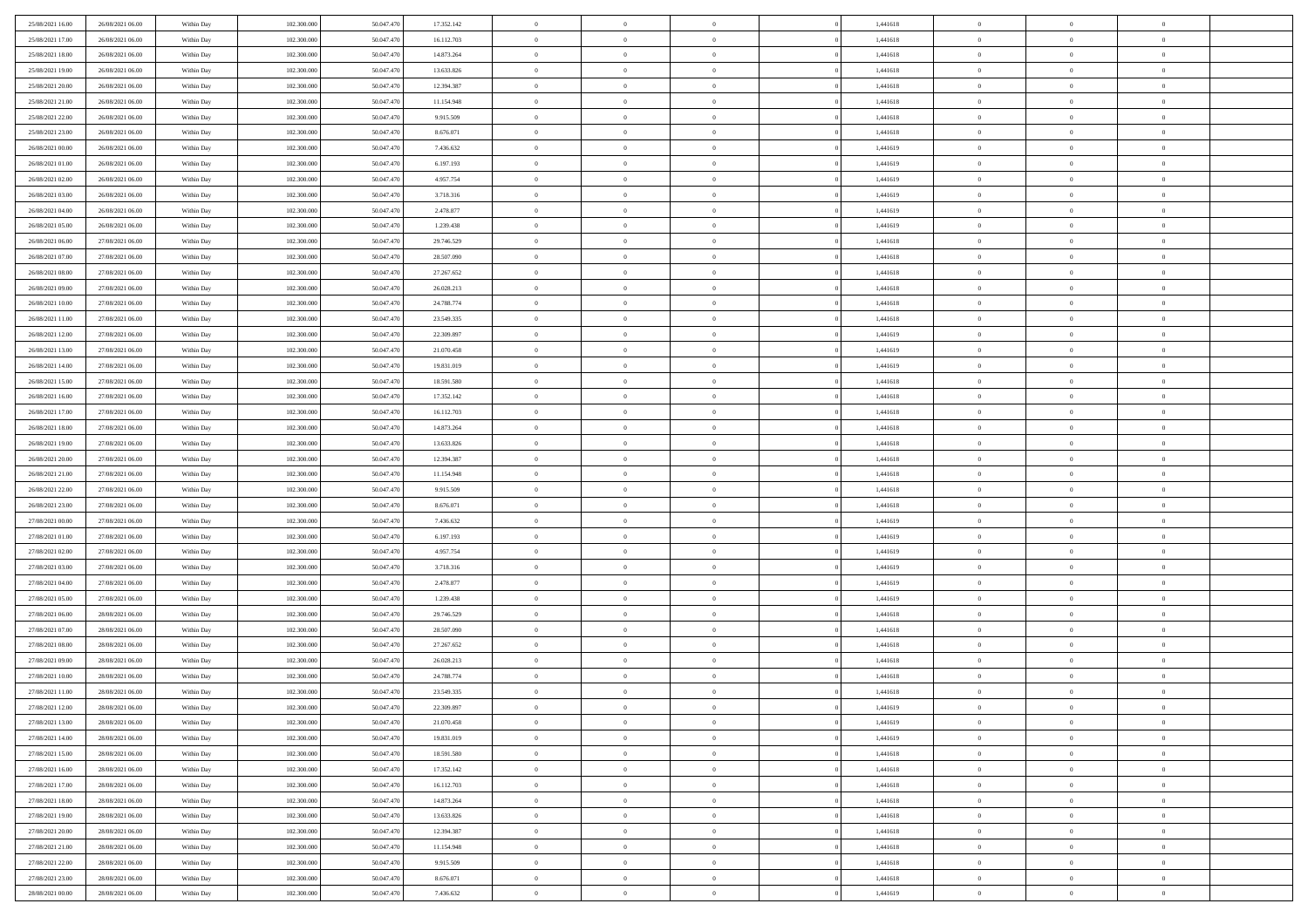| 25/08/2021 16:00                     | 26/08/2021 06:00                     | Within Day               | 102.300,000                | 50.047.470               | 17.352.142             | $\overline{0}$             | $\overline{0}$             | $\Omega$       | 1,441618             | $\bf{0}$                   | $\mathbf{0}$   | $\bf{0}$                  |  |
|--------------------------------------|--------------------------------------|--------------------------|----------------------------|--------------------------|------------------------|----------------------------|----------------------------|----------------|----------------------|----------------------------|----------------|---------------------------|--|
| 25/08/2021 17:00                     | 26/08/2021 06:00                     | Within Day               | 102.300.000                | 50.047.470               | 16.112.703             | $\mathbf{0}$               | $\overline{0}$             | $\overline{0}$ | 1,441618             | $\overline{0}$             | $\overline{0}$ | $\overline{0}$            |  |
| 25/08/2021 18:00                     | 26/08/2021 06:00                     | Within Day               | 102.300.000                | 50.047.470               | 14.873.264             | $\,$ 0                     | $\overline{0}$             | $\bf{0}$       | 1,441618             | $\,$ 0                     | $\overline{0}$ | $\,$ 0 $\,$               |  |
| 25/08/2021 19:00                     | 26/08/2021 06:00                     | Within Day               | 102.300,000                | 50.047.470               | 13.633.826             | $\bf{0}$                   | $\overline{0}$             | $\Omega$       | 1,441618             | $\bf{0}$                   | $\mathbf{0}$   | $\theta$                  |  |
| 25/08/2021 20:00                     | 26/08/2021 06:00                     | Within Day               | 102.300.000                | 50.047.470               | 12.394.387             | $\bf{0}$                   | $\overline{0}$             | $\overline{0}$ | 1,441618             | $\mathbf{0}$               | $\overline{0}$ | $\overline{0}$            |  |
| 25/08/2021 21:00                     | 26/08/2021 06:00                     | Within Day               | 102.300.000                | 50.047.470               | 11.154.948             | $\bf{0}$                   | $\overline{0}$             | $\bf{0}$       | 1,441618             | $\,$ 0                     | $\overline{0}$ | $\,$ 0 $\,$               |  |
|                                      | 26/08/2021 06:00                     |                          | 102.300,000                | 50.047.470               |                        | $\bf{0}$                   |                            | $\overline{0}$ |                      | $\theta$                   | $\overline{0}$ | $\theta$                  |  |
| 25/08/2021 22.00                     |                                      | Within Day               |                            |                          | 9.915.509              |                            | $\overline{0}$             |                | 1,441618             |                            |                |                           |  |
| 25/08/2021 23:00                     | 26/08/2021 06:00                     | Within Day               | 102.300.000                | 50.047.470               | 8.676.071              | $\overline{0}$             | $\overline{0}$             | $\overline{0}$ | 1,441618             | $\mathbf{0}$               | $\overline{0}$ | $\overline{0}$            |  |
| 26/08/2021 00:00                     | 26/08/2021 06:00                     | Within Day               | 102.300.000                | 50.047.470               | 7.436.632              | $\bf{0}$                   | $\overline{0}$             | $\bf{0}$       | 1,441619             | $\,$ 0                     | $\overline{0}$ | $\,$ 0 $\,$               |  |
| 26/08/2021 01:00                     | 26/08/2021 06:00                     | Within Day               | 102.300,000                | 50.047.470               | 6.197.193              | $\bf{0}$                   | $\overline{0}$             | $\Omega$       | 1,441619             | $\theta$                   | $\mathbf{0}$   | $\theta$                  |  |
| 26/08/2021 02:00                     | 26/08/2021 06:00                     | Within Day               | 102.300.000                | 50.047.470               | 4.957.754              | $\overline{0}$             | $\overline{0}$             | $\overline{0}$ | 1,441619             | $\mathbf{0}$               | $\overline{0}$ | $\overline{0}$            |  |
| 26/08/2021 03:00                     | 26/08/2021 06:00                     | Within Day               | 102.300.000                | 50.047.470               | 3.718.316              | $\bf{0}$                   | $\overline{0}$             | $\bf{0}$       | 1,441619             | $\,$ 0                     | $\overline{0}$ | $\,$ 0 $\,$               |  |
| 26/08/2021 04:00                     | 26/08/2021 06:00                     | Within Day               | 102.300,000                | 50.047.470               | 2.478.877              | $\bf{0}$                   | $\overline{0}$             | $\Omega$       | 1,441619             | $\overline{0}$             | $\mathbf{0}$   | $\theta$                  |  |
| 26/08/2021 05:00                     | 26/08/2021 06:00                     | Within Day               | 102.300.000                | 50.047.470               | 1.239.438              | $\overline{0}$             | $\overline{0}$             | $\overline{0}$ | 1,441619             | $\mathbf{0}$               | $\overline{0}$ | $\overline{0}$            |  |
| 26/08/2021 06:00                     | 27/08/2021 06:00                     | Within Day               | 102.300.000                | 50.047.470               | 29.746.529             | $\bf{0}$                   | $\overline{0}$             | $\bf{0}$       | 1,441618             | $\,$ 0                     | $\overline{0}$ | $\,$ 0 $\,$               |  |
| 26/08/2021 07:00                     | 27/08/2021 06:00                     | Within Day               | 102.300,000                | 50.047.470               | 28.507.090             | $\bf{0}$                   | $\overline{0}$             | $\overline{0}$ | 1,441618             | $\bf{0}$                   | $\mathbf{0}$   | $\bf{0}$                  |  |
| 26/08/2021 08:00                     | 27/08/2021 06:00                     | Within Day               | 102.300.000                | 50.047.470               | 27.267.652             | $\overline{0}$             | $\overline{0}$             | $\overline{0}$ | 1,441618             | $\mathbf{0}$               | $\overline{0}$ | $\overline{0}$            |  |
| 26/08/2021 09:00                     | 27/08/2021 06:00                     | Within Day               | 102.300.000                | 50.047.470               | 26.028.213             | $\bf{0}$                   | $\overline{0}$             | $\bf{0}$       | 1,441618             | $\,$ 0                     | $\overline{0}$ | $\,0\,$                   |  |
| 26/08/2021 10:00                     | 27/08/2021 06:00                     | Within Day               | 102.300,000                | 50.047.470               | 24.788.774             | $\bf{0}$                   | $\overline{0}$             | $\Omega$       | 1,441618             | $\theta$                   | $\mathbf{0}$   | $\theta$                  |  |
| 26/08/2021 11:00                     | 27/08/2021 06:00                     | Within Day               | 102.300.000                | 50.047.470               | 23.549.335             | $\overline{0}$             | $\overline{0}$             | $\overline{0}$ | 1,441618             | $\mathbf{0}$               | $\overline{0}$ | $\overline{0}$            |  |
| 26/08/2021 12:00                     | 27/08/2021 06:00                     | Within Day               | 102.300.000                | 50.047.470               | 22.309.897             | $\bf{0}$                   | $\overline{0}$             | $\bf{0}$       | 1,441619             | $\,$ 0                     | $\overline{0}$ | $\,$ 0 $\,$               |  |
| 26/08/2021 13:00                     | 27/08/2021 06:00                     | Within Day               | 102.300,000                | 50.047.470               | 21.070.458             | $\bf{0}$                   | $\overline{0}$             | $\Omega$       | 1,441619             | $\bf{0}$                   | $\theta$       | $\theta$                  |  |
| 26/08/2021 14:00                     | 27/08/2021 06:00                     | Within Day               | 102.300.000                | 50.047.470               | 19.831.019             | $\overline{0}$             | $\overline{0}$             | $\overline{0}$ | 1,441619             | $\mathbf{0}$               | $\overline{0}$ | $\overline{0}$            |  |
| 26/08/2021 15:00                     | 27/08/2021 06:00                     | Within Day               | 102.300.000                | 50.047.470               | 18.591.580             | $\bf{0}$                   | $\overline{0}$             | $\bf{0}$       | 1,441618             | $\,$ 0                     | $\overline{0}$ | $\,$ 0 $\,$               |  |
| 26/08/2021 16:00                     | 27/08/2021 06:00                     | Within Day               | 102.300,000                | 50.047.470               | 17.352.142             | $\bf{0}$                   | $\overline{0}$             | $\overline{0}$ | 1,441618             | $\bf{0}$                   | $\bf{0}$       | $\bf{0}$                  |  |
| 26/08/2021 17:00                     | 27/08/2021 06:00                     | Within Day               | 102.300.000                | 50.047.470               | 16.112.703             | $\overline{0}$             | $\overline{0}$             | $\overline{0}$ | 1,441618             | $\mathbf{0}$               | $\overline{0}$ | $\overline{0}$            |  |
| 26/08/2021 18:00                     | 27/08/2021 06:00                     | Within Day               | 102.300.000                | 50.047.470               | 14.873.264             | $\bf{0}$                   | $\overline{0}$             | $\bf{0}$       | 1,441618             | $\,$ 0                     | $\overline{0}$ | $\,$ 0 $\,$               |  |
| 26/08/2021 19:00                     | 27/08/2021 06:00                     | Within Day               | 102.300,000                | 50.047.470               | 13.633.826             | $\bf{0}$                   | $\overline{0}$             | $\Omega$       | 1,441618             | $\theta$                   | $\mathbf{0}$   | $\theta$                  |  |
| 26/08/2021 20:00                     | 27/08/2021 06:00                     | Within Day               | 102.300.000                | 50.047.470               | 12.394.387             | $\overline{0}$             | $\overline{0}$             | $\overline{0}$ | 1,441618             | $\mathbf{0}$               | $\overline{0}$ | $\overline{0}$            |  |
| 26/08/2021 21:00                     | 27/08/2021 06:00                     | Within Day               | 102.300.000                | 50.047.470               | 11.154.948             | $\bf{0}$                   | $\overline{0}$             | $\bf{0}$       | 1,441618             | $\,$ 0                     | $\overline{0}$ | $\,$ 0 $\,$               |  |
|                                      |                                      |                          |                            |                          |                        | $\bf{0}$                   |                            | $\overline{0}$ |                      | $\bf{0}$                   | $\overline{0}$ | $\,0\,$                   |  |
| 26/08/2021 22.00<br>26/08/2021 23:00 | 27/08/2021 06:00<br>27/08/2021 06:00 | Within Day<br>Within Day | 102.300.000<br>102.300.000 | 50.047.470<br>50.047.470 | 9.915.509<br>8.676.071 | $\overline{0}$             | $\bf{0}$<br>$\overline{0}$ | $\overline{0}$ | 1,441618<br>1,441618 | $\mathbf{0}$               | $\overline{0}$ | $\overline{0}$            |  |
|                                      |                                      |                          |                            |                          |                        | $\bf{0}$                   | $\overline{0}$             |                |                      | $\,$ 0                     | $\overline{0}$ | $\,$ 0 $\,$               |  |
| 27/08/2021 00:00                     | 27/08/2021 06:00                     | Within Day               | 102.300.000                | 50.047.470               | 7.436.632              |                            |                            | $\bf{0}$       | 1,441619             |                            |                |                           |  |
| 27/08/2021 01:00                     | 27/08/2021 06:00                     | Within Day               | 102.300.000                | 50.047.470               | 6.197.193              | $\bf{0}$<br>$\overline{0}$ | $\bf{0}$                   | $\bf{0}$       | 1,441619             | $\bf{0}$<br>$\overline{0}$ | $\overline{0}$ | $\,0\,$<br>$\overline{0}$ |  |
| 27/08/2021 02:00                     | 27/08/2021 06:00                     | Within Day               | 102.300.000                | 50.047.470               | 4.957.754              |                            | $\overline{0}$             | $\overline{0}$ | 1,441619             |                            | $\overline{0}$ |                           |  |
| 27/08/2021 03:00                     | 27/08/2021 06:00                     | Within Day               | 102.300.000                | 50.047.470               | 3.718.316              | $\bf{0}$                   | $\overline{0}$             | $\bf{0}$       | 1,441619             | $\,$ 0                     | $\overline{0}$ | $\,$ 0 $\,$               |  |
| 27/08/2021 04:00                     | 27/08/2021 06:00                     | Within Day               | 102.300.000                | 50.047.470               | 2.478.877              | $\bf{0}$                   | $\bf{0}$                   | $\overline{0}$ | 1,441619             | $\bf{0}$                   | $\overline{0}$ | $\,0\,$                   |  |
| 27/08/2021 05:00                     | 27/08/2021 06:00                     | Within Day               | 102.300.000                | 50.047.470               | 1.239.438              | $\overline{0}$             | $\overline{0}$             | $\overline{0}$ | 1,441619             | $\mathbf{0}$               | $\overline{0}$ | $\overline{0}$            |  |
| 27/08/2021 06:00                     | 28/08/2021 06:00                     | Within Day               | 102.300.000                | 50.047.470               | 29.746.529             | $\bf{0}$                   | $\overline{0}$             | $\bf{0}$       | 1,441618             | $\,$ 0                     | $\overline{0}$ | $\,$ 0 $\,$               |  |
| 27/08/2021 07:00                     | 28/08/2021 06:00                     | Within Day               | 102.300.000                | 50.047.470               | 28.507.090             | $\bf{0}$                   | $\bf{0}$                   | $\overline{0}$ | 1,441618             | $\bf{0}$                   | $\overline{0}$ | $\,0\,$                   |  |
| 27/08/2021 08:00                     | 28/08/2021 06:00                     | Within Day               | 102.300.000                | 50.047.470               | 27.267.652             | $\overline{0}$             | $\overline{0}$             | $\overline{0}$ | 1,441618             | $\overline{0}$             | $\overline{0}$ | $\overline{0}$            |  |
| 27/08/2021 09:00                     | 28/08/2021 06:00                     | Within Day               | 102.300.000                | 50.047.470               | 26.028.213             | $\bf{0}$                   | $\overline{0}$             | $\bf{0}$       | 1,441618             | $\,$ 0                     | $\overline{0}$ | $\,$ 0 $\,$               |  |
| 27/08/2021 10:00                     | 28/08/2021 06:00                     | Within Day               | 102.300.000                | 50.047.470               | 24.788.774             | $\bf{0}$                   | $\bf{0}$                   | $\bf{0}$       | 1,441618             | $\bf{0}$                   | $\overline{0}$ | $\,0\,$                   |  |
| 27/08/2021 11:00                     | 28/08/2021 06:00                     | Within Day               | 102.300.000                | 50.047.470               | 23.549.335             | $\mathbf{0}$               | $\overline{0}$             | $\overline{0}$ | 1,441618             | $\mathbf{0}$               | $\overline{0}$ | $\overline{0}$            |  |
| 27/08/2021 12:00                     | 28/08/2021 06:00                     | Within Day               | 102.300.000                | 50.047.470               | 22.309.897             | $\bf{0}$                   | $\overline{0}$             | $\theta$       | 1,441619             | $\overline{0}$             | $\theta$       | $\theta$                  |  |
| 27/08/2021 13:00                     | 28/08/2021 06:00                     | Within Day               | 102.300.000                | 50.047.470               | 21.070.458             | $\bf{0}$                   | $\bf{0}$                   | $\bf{0}$       | 1,441619             | $\bf{0}$                   | $\overline{0}$ | $\bf{0}$                  |  |
| 27/08/2021 14:00                     | 28/08/2021 06:00                     | Within Day               | 102.300.000                | 50.047.470               | 19.831.019             | $\overline{0}$             | $\overline{0}$             | $\overline{0}$ | 1,441619             | $\overline{0}$             | $\bf{0}$       | $\overline{0}$            |  |
| 27/08/2021 15:00                     | 28/08/2021 06:00                     | Within Day               | 102.300.000                | 50.047.470               | 18.591.580             | $\,$ 0 $\,$                | $\overline{0}$             | $\overline{0}$ | 1,441618             | $\mathbf{0}$               | $\,$ 0 $\,$    | $\,$ 0 $\,$               |  |
| 27/08/2021 16:00                     | 28/08/2021 06:00                     | Within Day               | 102.300.000                | 50.047.470               | 17.352.142             | $\bf{0}$                   | $\bf{0}$                   | $\overline{0}$ | 1,441618             | $\bf{0}$                   | $\overline{0}$ | $\bf{0}$                  |  |
| 27/08/2021 17:00                     | 28/08/2021 06:00                     | Within Day               | 102.300.000                | 50.047.470               | 16.112.703             | $\bf{0}$                   | $\overline{0}$             | $\overline{0}$ | 1,441618             | $\overline{0}$             | $\overline{0}$ | $\overline{0}$            |  |
| 27/08/2021 18:00                     | 28/08/2021 06:00                     | Within Day               | 102.300.000                | 50.047.470               | 14.873.264             | $\,$ 0 $\,$                | $\overline{0}$             | $\overline{0}$ | 1,441618             | $\,$ 0 $\,$                | $\overline{0}$ | $\,$ 0 $\,$               |  |
| 27/08/2021 19:00                     | 28/08/2021 06:00                     | Within Day               | 102.300.000                | 50.047.470               | 13.633.826             | $\overline{0}$             | $\overline{0}$             | $\overline{0}$ | 1,441618             | $\bf{0}$                   | $\overline{0}$ | $\overline{0}$            |  |
| 27/08/2021 20:00                     | 28/08/2021 06:00                     | Within Day               | 102.300.000                | 50.047.470               | 12.394.387             | $\overline{0}$             | $\overline{0}$             | $\overline{0}$ | 1,441618             | $\overline{0}$             | $\bf{0}$       | $\overline{0}$            |  |
| 27/08/2021 21:00                     | 28/08/2021 06:00                     | Within Day               | 102.300.000                | 50.047.470               | 11.154.948             | $\,$ 0 $\,$                | $\overline{0}$             | $\overline{0}$ | 1,441618             | $\,$ 0 $\,$                | $\,$ 0 $\,$    | $\,$ 0 $\,$               |  |
| 27/08/2021 22:00                     | 28/08/2021 06:00                     | Within Day               | 102.300.000                | 50.047.470               | 9.915.509              | $\bf{0}$                   | $\bf{0}$                   | $\overline{0}$ | 1,441618             | $\bf{0}$                   | $\overline{0}$ | $\bf{0}$                  |  |
| 27/08/2021 23:00                     | 28/08/2021 06:00                     | Within Day               | 102.300.000                | 50.047.470               | 8.676.071              | $\bf{0}$                   | $\overline{0}$             | $\overline{0}$ | 1,441618             | $\mathbf{0}$               | $\bf{0}$       | $\overline{0}$            |  |
| 28/08/2021 00:00                     | 28/08/2021 06:00                     | Within Day               | 102.300.000                | 50.047.470               | 7.436.632              | $\,0\,$                    | $\overline{0}$             | $\overline{0}$ | 1,441619             | $\,$ 0                     | $\overline{0}$ | $\,$ 0 $\,$               |  |
|                                      |                                      |                          |                            |                          |                        |                            |                            |                |                      |                            |                |                           |  |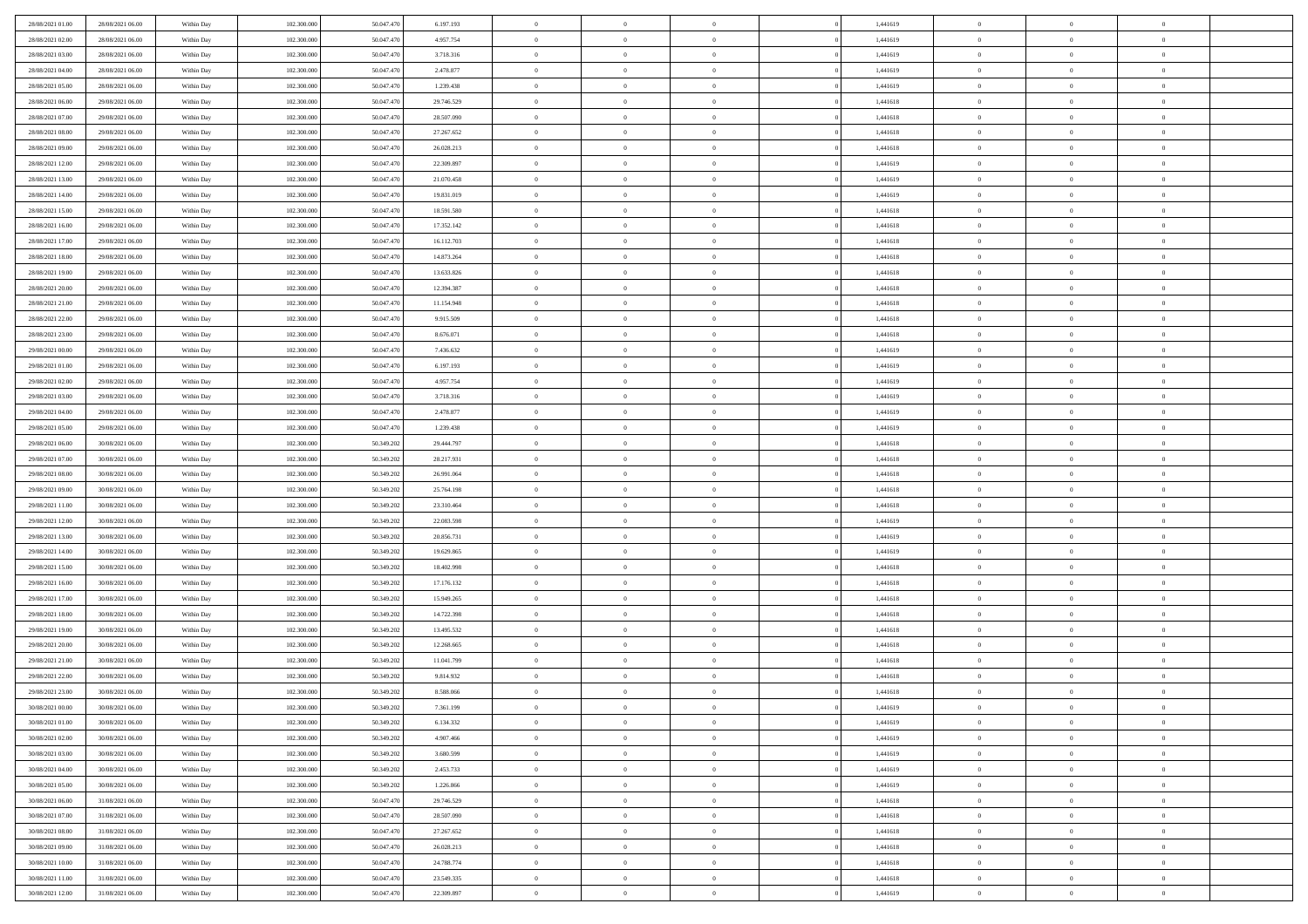| 28/08/2021 01:00 | 28/08/2021 06:00 | Within Day | 102,300,000 | 50.047.470 | 6.197.193  | $\bf{0}$       | $\overline{0}$ | $\Omega$       | 1,441619 | $\bf{0}$       | $\overline{0}$ | $\bf{0}$       |  |
|------------------|------------------|------------|-------------|------------|------------|----------------|----------------|----------------|----------|----------------|----------------|----------------|--|
| 28/08/2021 02:00 | 28/08/2021 06:00 | Within Day | 102.300.000 | 50.047.470 | 4.957.754  | $\theta$       | $\overline{0}$ | $\overline{0}$ | 1,441619 | $\mathbf{0}$   | $\bf{0}$       | $\overline{0}$ |  |
| 28/08/2021 03:00 | 28/08/2021 06:00 | Within Day | 102.300.000 | 50.047.470 | 3.718.316  | $\bf{0}$       | $\overline{0}$ | $\bf{0}$       | 1,441619 | $\,$ 0         | $\overline{0}$ | $\,$ 0 $\,$    |  |
| 28/08/2021 04:00 | 28/08/2021 06:00 | Within Day | 102,300,000 | 50.047.470 | 2.478.877  | $\mathbf{0}$   | $\overline{0}$ | $\mathbf{0}$   | 1.441619 | $\bf{0}$       | $\mathbf{0}$   | $\theta$       |  |
| 28/08/2021 05:00 | 28/08/2021 06:00 | Within Day | 102.300.000 | 50.047.470 | 1.239.438  | $\mathbf{0}$   | $\overline{0}$ | $\overline{0}$ | 1,441619 | $\mathbf{0}$   | $\bf{0}$       | $\overline{0}$ |  |
| 28/08/2021 06:00 | 29/08/2021 06:00 | Within Day | 102.300.000 | 50.047.470 | 29.746.529 | $\theta$       | $\overline{0}$ | $\bf{0}$       | 1,441618 | $\,$ 0         | $\overline{0}$ | $\,$ 0 $\,$    |  |
| 28/08/2021 07:00 | 29/08/2021 06:00 | Within Day | 102,300,000 | 50,047.470 | 28.507.090 | $\bf{0}$       | $\overline{0}$ | $\Omega$       | 1,441618 | $\bf{0}$       | $\mathbf{0}$   | $\theta$       |  |
| 28/08/2021 08:00 | 29/08/2021 06:00 | Within Day | 102.300.000 | 50.047.470 | 27.267.652 | $\overline{0}$ | $\overline{0}$ | $\overline{0}$ | 1,441618 | $\mathbf{0}$   | $\bf{0}$       | $\overline{0}$ |  |
| 28/08/2021 09:00 | 29/08/2021 06:00 | Within Day | 102.300.000 | 50.047.470 | 26.028.213 | $\theta$       | $\overline{0}$ | $\bf{0}$       | 1,441618 | $\,$ 0         | $\overline{0}$ | $\,$ 0 $\,$    |  |
| 28/08/2021 12:00 | 29/08/2021 06:00 | Within Day | 102,300,000 | 50.047.470 | 22.309.897 | $\mathbf{0}$   | $\overline{0}$ | $\mathbf{0}$   | 1.441619 | $\bf{0}$       | $\mathbf{0}$   | $\theta$       |  |
| 28/08/2021 13:00 | 29/08/2021 06:00 | Within Day | 102.300.000 | 50.047.470 | 21.070.458 | $\mathbf{0}$   | $\overline{0}$ | $\overline{0}$ | 1,441619 | $\mathbf{0}$   | $\bf{0}$       | $\overline{0}$ |  |
| 28/08/2021 14:00 | 29/08/2021 06:00 | Within Day | 102.300.000 | 50.047.470 | 19.831.019 | $\theta$       | $\overline{0}$ | $\bf{0}$       | 1,441619 | $\,$ 0         | $\overline{0}$ | $\,$ 0 $\,$    |  |
| 28/08/2021 15:00 | 29/08/2021 06:00 | Within Day | 102,300,000 | 50.047.470 | 18.591.580 | $\mathbf{0}$   | $\overline{0}$ | $\mathbf{0}$   | 1.441618 | $\bf{0}$       | $\theta$       | $\theta$       |  |
| 28/08/2021 16:00 | 29/08/2021 06:00 | Within Day | 102.300.000 | 50.047.470 | 17.352.142 | $\overline{0}$ | $\overline{0}$ | $\overline{0}$ | 1,441618 | $\mathbf{0}$   | $\bf{0}$       | $\overline{0}$ |  |
| 28/08/2021 17:00 | 29/08/2021 06:00 | Within Day | 102.300.000 | 50.047.470 | 16.112.703 | $\theta$       | $\overline{0}$ | $\overline{0}$ | 1,441618 | $\,$ 0         | $\overline{0}$ | $\,$ 0 $\,$    |  |
| 28/08/2021 18:00 | 29/08/2021 06:00 | Within Day | 102,300,000 | 50.047.470 | 14.873.264 | $\bf{0}$       | $\overline{0}$ | $\mathbf{0}$   | 1,441618 | $\bf{0}$       | $\mathbf{0}$   | $\bf{0}$       |  |
| 28/08/2021 19:00 | 29/08/2021 06:00 | Within Day | 102.300.000 | 50.047.470 | 13.633.826 | $\theta$       | $\overline{0}$ | $\overline{0}$ | 1,441618 | $\mathbf{0}$   | $\bf{0}$       | $\overline{0}$ |  |
| 28/08/2021 20:00 | 29/08/2021 06:00 | Within Day | 102.300.000 | 50.047.470 | 12.394.387 | $\theta$       | $\overline{0}$ | $\bf{0}$       | 1,441618 | $\,$ 0         | $\overline{0}$ | $\,0\,$        |  |
| 28/08/2021 21:00 | 29/08/2021 06:00 | Within Day | 102,300,000 | 50.047.470 | 11.154.948 | $\mathbf{0}$   | $\overline{0}$ | $\mathbf{0}$   | 1,441618 | $\bf{0}$       | $\mathbf{0}$   | $\theta$       |  |
| 28/08/2021 22:00 | 29/08/2021 06:00 | Within Dav | 102.300.000 | 50.047.470 | 9.915.509  | $\overline{0}$ | $\overline{0}$ | $\overline{0}$ | 1,441618 | $\mathbf{0}$   | $\bf{0}$       | $\overline{0}$ |  |
| 28/08/2021 23:00 | 29/08/2021 06:00 | Within Day | 102.300.000 | 50.047.470 | 8.676.071  | $\theta$       | $\overline{0}$ | $\bf{0}$       | 1,441618 | $\,$ 0         | $\overline{0}$ | $\,$ 0 $\,$    |  |
| 29/08/2021 00:00 | 29/08/2021 06:00 | Within Day | 102,300,000 | 50,047.470 | 7.436.632  | $\mathbf{0}$   | $\overline{0}$ | $\mathbf{0}$   | 1.441619 | $\bf{0}$       | $\theta$       | $\theta$       |  |
| 29/08/2021 01:00 | 29/08/2021 06:00 | Within Dav | 102.300.000 | 50.047.470 | 6.197.193  | $\mathbf{0}$   | $\overline{0}$ | $\overline{0}$ | 1,441619 | $\mathbf{0}$   | $\bf{0}$       | $\overline{0}$ |  |
| 29/08/2021 02:00 | 29/08/2021 06:00 | Within Day | 102.300.000 | 50.047.470 | 4.957.754  | $\theta$       | $\overline{0}$ | $\bf{0}$       | 1,441619 | $\,$ 0         | $\overline{0}$ | $\,$ 0 $\,$    |  |
| 29/08/2021 03:00 | 29/08/2021 06:00 | Within Day | 102,300,000 | 50,047.470 | 3.718.316  | $\bf{0}$       | $\overline{0}$ | $\mathbf{0}$   | 1,441619 | $\bf{0}$       | $\bf{0}$       | $\bf{0}$       |  |
| 29/08/2021 04:00 | 29/08/2021 06:00 | Within Dav | 102.300.000 | 50.047.470 | 2.478.877  | $\overline{0}$ | $\overline{0}$ | $\overline{0}$ | 1,441619 | $\mathbf{0}$   | $\bf{0}$       | $\overline{0}$ |  |
| 29/08/2021 05:00 | 29/08/2021 06:00 | Within Day | 102.300.000 | 50.047.470 | 1.239.438  | $\theta$       | $\overline{0}$ | $\overline{0}$ | 1,441619 | $\,$ 0         | $\overline{0}$ | $\,$ 0 $\,$    |  |
| 29/08/2021 06:00 | 30/08/2021 06:00 | Within Day | 102,300,000 | 50.349.202 | 29.444.797 | $\overline{0}$ | $\overline{0}$ | $\mathbf{0}$   | 1.441618 | $\bf{0}$       | $\mathbf{0}$   | $\theta$       |  |
| 29/08/2021 07:00 | 30/08/2021 06:00 | Within Dav | 102.300.000 | 50.349.202 | 28.217.931 | $\mathbf{0}$   | $\overline{0}$ | $\overline{0}$ | 1,441618 | $\mathbf{0}$   | $\bf{0}$       | $\overline{0}$ |  |
| 29/08/2021 08:00 | 30/08/2021 06:00 | Within Day | 102.300.000 | 50.349.202 | 26.991.064 | $\theta$       | $\overline{0}$ | $\bf{0}$       | 1,441618 | $\,$ 0         | $\overline{0}$ | $\,$ 0 $\,$    |  |
| 29/08/2021 09:00 | 30/08/2021 06:00 | Within Day | 102.300.000 | 50.349.202 | 25.764.198 | $\bf{0}$       | $\overline{0}$ | $\overline{0}$ | 1,441618 | $\bf{0}$       | $\overline{0}$ | $\,0\,$        |  |
| 29/08/2021 11:00 | 30/08/2021 06:00 | Within Dav | 102.300.000 | 50.349.202 | 23.310.464 | $\overline{0}$ | $\overline{0}$ | $\overline{0}$ | 1,441618 | $\mathbf{0}$   | $\bf{0}$       | $\overline{0}$ |  |
| 29/08/2021 12:00 | 30/08/2021 06:00 | Within Day | 102.300.000 | 50.349.202 | 22.083.598 | $\theta$       | $\overline{0}$ | $\overline{0}$ | 1,441619 | $\,$ 0         | $\overline{0}$ | $\,$ 0 $\,$    |  |
| 29/08/2021 13:00 | 30/08/2021 06:00 | Within Day | 102.300.000 | 50.349.202 | 20.856.731 | $\,$ 0 $\,$    | $\overline{0}$ | $\overline{0}$ | 1,441619 | $\bf{0}$       | $\overline{0}$ | $\,0\,$        |  |
| 29/08/2021 14:00 | 30/08/2021 06:00 | Within Dav | 102.300.000 | 50.349.202 | 19.629.865 | $\theta$       | $\overline{0}$ | $\overline{0}$ | 1,441619 | $\mathbf{0}$   | $\bf{0}$       | $\overline{0}$ |  |
| 29/08/2021 15:00 | 30/08/2021 06:00 | Within Day | 102.300.000 | 50.349.202 | 18.402.998 | $\theta$       | $\overline{0}$ | $\bf{0}$       | 1,441618 | $\,$ 0         | $\overline{0}$ | $\,$ 0 $\,$    |  |
| 29/08/2021 16:00 | 30/08/2021 06:00 | Within Day | 102.300.000 | 50.349.202 | 17.176.132 | $\,$ 0 $\,$    | $\overline{0}$ | $\overline{0}$ | 1,441618 | $\bf{0}$       | $\overline{0}$ | $\,0\,$        |  |
| 29/08/2021 17:00 | 30/08/2021 06:00 | Within Dav | 102.300.000 | 50.349.202 | 15.949.265 | $\overline{0}$ | $\overline{0}$ | $\overline{0}$ | 1,441618 | $\mathbf{0}$   | $\bf{0}$       | $\overline{0}$ |  |
| 29/08/2021 18:00 | 30/08/2021 06:00 | Within Day | 102.300.000 | 50.349.202 | 14.722.398 | $\theta$       | $\overline{0}$ | $\bf{0}$       | 1,441618 | $\,$ 0         | $\overline{0}$ | $\,$ 0 $\,$    |  |
| 29/08/2021 19:00 | 30/08/2021 06:00 | Within Day | 102.300.000 | 50.349.202 | 13.495.532 | $\,$ 0 $\,$    | $\overline{0}$ | $\overline{0}$ | 1,441618 | $\bf{0}$       | $\overline{0}$ | $\,0\,$        |  |
| 29/08/2021 20:00 | 30/08/2021 06:00 | Within Dav | 102.300.000 | 50.349.202 | 12.268.665 | $\theta$       | $\overline{0}$ | $\overline{0}$ | 1,441618 | $\mathbf{0}$   | $\bf{0}$       | $\overline{0}$ |  |
| 29/08/2021 21:00 | 30/08/2021 06:00 | Within Day | 102.300.000 | 50.349.202 | 11.041.799 | $\theta$       | $\overline{0}$ | $\bf{0}$       | 1,441618 | $\,$ 0         | $\overline{0}$ | $\,$ 0 $\,$    |  |
| 29/08/2021 22:00 | 30/08/2021 06:00 | Within Day | 102.300.000 | 50.349.202 | 9.814.932  | $\,$ 0 $\,$    | $\overline{0}$ | $\overline{0}$ | 1,441618 | $\bf{0}$       | $\overline{0}$ | $\,0\,$        |  |
| 29/08/2021 23:00 | 30/08/2021 06:00 | Within Dav | 102.300.000 | 50.349.202 | 8.588.066  | $\theta$       | $\overline{0}$ | $\overline{0}$ | 1,441618 | $\mathbf{0}$   | $\bf{0}$       | $\overline{0}$ |  |
| 30/08/2021 00:00 | 30/08/2021 06:00 | Within Day | 102.300.000 | 50.349.202 | 7.361.199  | $\overline{0}$ | $\overline{0}$ | $\overline{0}$ | 1,441619 | $\overline{0}$ | $\overline{0}$ | $\theta$       |  |
| 30/08/2021 01:00 | 30/08/2021 06:00 | Within Day | 102.300.000 | 50.349.202 | 6.134.332  | $\bf{0}$       | $\overline{0}$ | $\overline{0}$ | 1,441619 | $\bf{0}$       | $\overline{0}$ | $\bf{0}$       |  |
| 30/08/2021 02:00 | 30/08/2021 06:00 | Within Day | 102.300.000 | 50.349.202 | 4.907.466  | $\overline{0}$ | $\overline{0}$ | $\overline{0}$ | 1,441619 | $\overline{0}$ | $\overline{0}$ | $\overline{0}$ |  |
| 30/08/2021 03:00 | 30/08/2021 06:00 | Within Day | 102.300.000 | 50.349.202 | 3.680.599  | $\,$ 0 $\,$    | $\overline{0}$ | $\overline{0}$ | 1,441619 | $\,$ 0 $\,$    | $\,$ 0 $\,$    | $\,$ 0 $\,$    |  |
| 30/08/2021 04:00 | 30/08/2021 06:00 | Within Day | 102.300.000 | 50.349.202 | 2.453.733  | $\bf{0}$       | $\overline{0}$ | $\overline{0}$ | 1,441619 | $\mathbf{0}$   | $\overline{0}$ | $\bf{0}$       |  |
| 30/08/2021 05:00 | 30/08/2021 06:00 | Within Day | 102.300.000 | 50.349.202 | 1.226.866  | $\,$ 0 $\,$    | $\overline{0}$ | $\overline{0}$ | 1,441619 | $\,$ 0 $\,$    | $\bf{0}$       | $\overline{0}$ |  |
| 30/08/2021 06:00 | 31/08/2021 06:00 | Within Day | 102.300.000 | 50.047.470 | 29.746.529 | $\,$ 0         | $\overline{0}$ | $\overline{0}$ | 1,441618 | $\,$ 0 $\,$    | $\overline{0}$ | $\,$ 0 $\,$    |  |
| 30/08/2021 07:00 | 31/08/2021 06:00 | Within Day | 102.300.000 | 50.047.470 | 28.507.090 | $\bf{0}$       | $\overline{0}$ | $\overline{0}$ | 1,441618 | $\overline{0}$ | $\overline{0}$ | $\overline{0}$ |  |
| 30/08/2021 08:00 | 31/08/2021 06:00 | Within Day | 102.300.000 | 50.047.470 | 27.267.652 | $\,$ 0 $\,$    | $\overline{0}$ | $\overline{0}$ | 1,441618 | $\,$ 0 $\,$    | $\bf{0}$       | $\overline{0}$ |  |
| 30/08/2021 09:00 | 31/08/2021 06:00 | Within Day | 102.300.000 | 50.047.470 | 26.028.213 | $\,$ 0         | $\overline{0}$ | $\overline{0}$ | 1,441618 | $\,$ 0 $\,$    | $\,$ 0 $\,$    | $\,$ 0 $\,$    |  |
| 30/08/2021 10:00 | 31/08/2021 06:00 | Within Day | 102.300.000 | 50.047.470 | 24.788.774 | $\bf{0}$       | $\overline{0}$ | $\overline{0}$ | 1,441618 | $\mathbf{0}$   | $\overline{0}$ | $\bf{0}$       |  |
| 30/08/2021 11:00 | 31/08/2021 06:00 | Within Day | 102.300.000 | 50.047.470 | 23.549.335 | $\mathbf{0}$   | $\overline{0}$ | $\overline{0}$ | 1,441618 | $\overline{0}$ | $\bf{0}$       | $\overline{0}$ |  |
| 30/08/2021 12:00 | 31/08/2021 06:00 | Within Day | 102.300.000 | 50.047.470 | 22.309.897 | $\,$ 0 $\,$    | $\overline{0}$ | $\overline{0}$ | 1,441619 | $\,$ 0 $\,$    | $\overline{0}$ | $\,$ 0 $\,$    |  |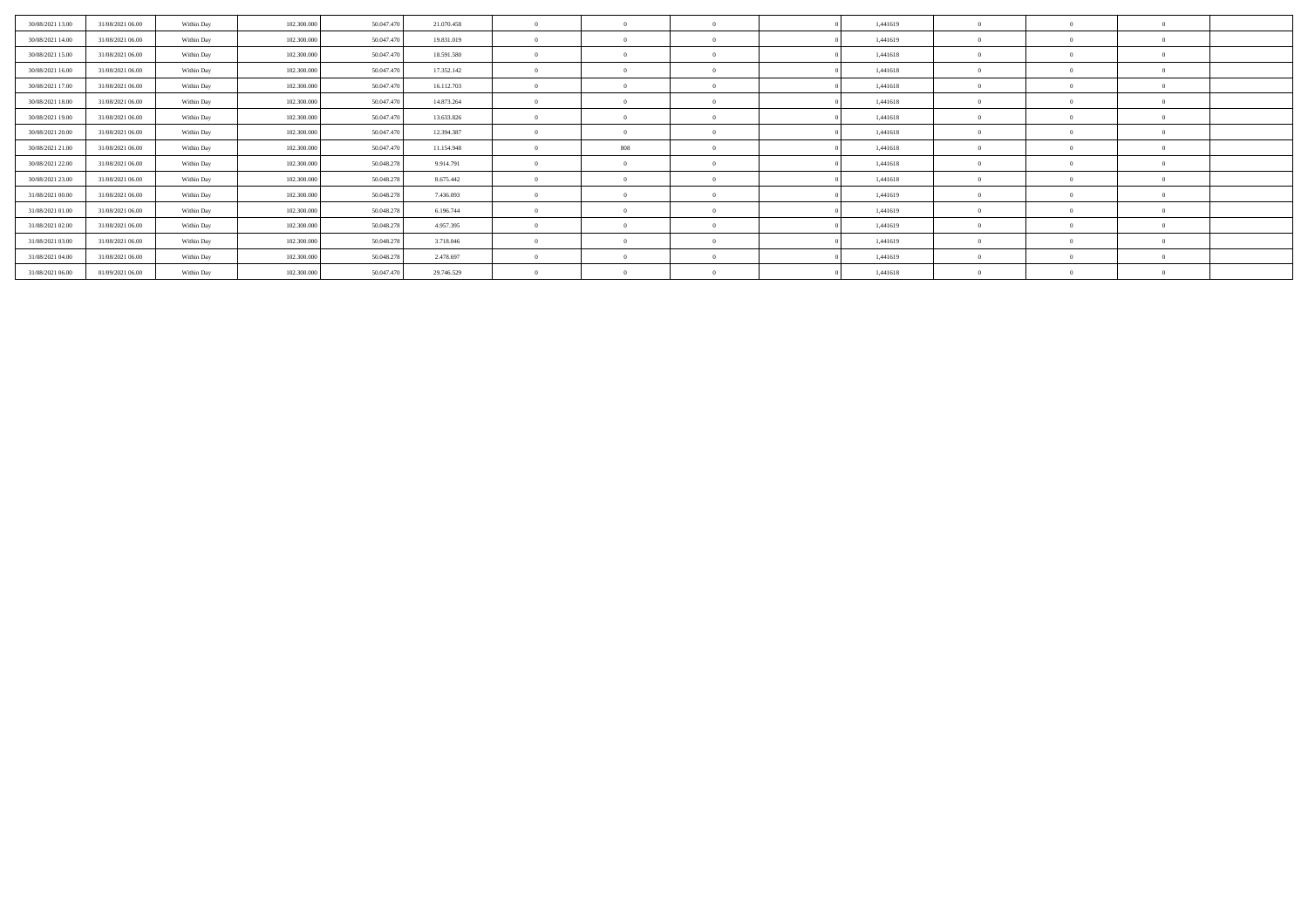| 30/08/2021 13:00 | 31/08/2021 06:00 | Within Day | 102.300,000 | 50,047.470 | 21.070.458 |          | $\Omega$ |  | 1,441619 | $\Omega$     | $\sqrt{ }$     |  |
|------------------|------------------|------------|-------------|------------|------------|----------|----------|--|----------|--------------|----------------|--|
| 30/08/2021 14:00 | 31/08/2021 06:00 | Within Day | 102.300.000 | 50.047.470 | 19.831.019 |          | $\theta$ |  | 1,441619 | $\Omega$     | - 0            |  |
| 30/08/2021 15:00 | 31/08/2021 06:00 | Within Day | 102.300.000 | 50,047.470 | 18.591.580 |          | $\Omega$ |  | 1,441618 | $\Omega$     | - 0            |  |
| 30/08/2021 16:00 | 31/08/2021 06:00 | Within Day | 102.300.000 | 50.047.470 | 17.352.142 |          | $\Omega$ |  | 1,441618 | $\Omega$     | - 0            |  |
| 30/08/2021 17:00 | 31/08/2021 06:00 | Within Day | 102,300,000 | 50,047.47  | 16.112.703 |          | $\Omega$ |  | 1,441618 | $\Omega$     | $\theta$       |  |
| 30/08/2021 18:00 | 31/08/2021 06:00 | Within Day | 102.300.000 | 50.047.470 | 14.873.264 |          | $\Omega$ |  | 1,441618 | $\Omega$     | - 0            |  |
| 30/08/2021 19:00 | 31/08/2021 06:00 | Within Day | 102.300.000 | 50.047.470 | 13.633.826 | $\Omega$ | $\Omega$ |  | 1,441618 | $\mathbf{0}$ | $\overline{0}$ |  |
| 30/08/2021 20:00 | 31/08/2021 06:00 | Within Day | 102.300.000 | 50.047.470 | 12.394.387 |          | $\Omega$ |  | 1,441618 | $\Omega$     | - 0            |  |
| 30/08/2021 21:00 | 31/08/2021 06:00 | Within Day | 102.300,000 | 50,047.470 | 11.154.948 |          | 808      |  | 1,441618 | $\Omega$     | $\sqrt{ }$     |  |
| 30/08/2021 22:00 | 31/08/2021 06:00 | Within Day | 102.300.000 | 50.048.278 | 9.914.791  |          | $\Omega$ |  | 1,441618 | $\Omega$     | $\theta$       |  |
| 30/08/2021 23:00 | 31/08/2021 06:00 | Within Day | 102.300.000 | 50.048.278 | 8.675.442  |          | $\Omega$ |  | 1,441618 | $\Omega$     | - 0            |  |
| 31/08/2021 00:00 | 31/08/2021 06:00 | Within Day | 102.300.000 | 50.048.27  | 7.436.093  |          | $\Omega$ |  | 1,441619 | $\Omega$     | - 0            |  |
| 31/08/2021 01:00 | 31/08/2021 06:00 | Within Day | 102.300.000 | 50.048.27  | 6.196.744  |          | $\theta$ |  | 1,441619 | $\Omega$     | $\sqrt{ }$     |  |
| 31/08/2021 02:00 | 31/08/2021 06:00 | Within Day | 102,300,000 | 50,048,278 | 4.957.395  |          | $\Omega$ |  | 1,441619 | $\Omega$     | $\overline{0}$ |  |
| 31/08/2021 03:00 | 31/08/2021 06:00 | Within Day | 102.300.000 | 50.048.278 | 3.718.046  |          | $\Omega$ |  | 1,441619 | $\Omega$     | - 0            |  |
| 31/08/2021 04:00 | 31/08/2021 06:00 | Within Day | 102.300,000 | 50.048.278 | 2.478.697  |          | $\Omega$ |  | 1,441619 | $\Omega$     | $\theta$       |  |
| 31/08/2021 06:00 | 01/09/2021 06:00 | Within Day | 102.300.000 | 50.047.470 | 29.746.529 |          | $\Omega$ |  | 1,441618 |              | - 0            |  |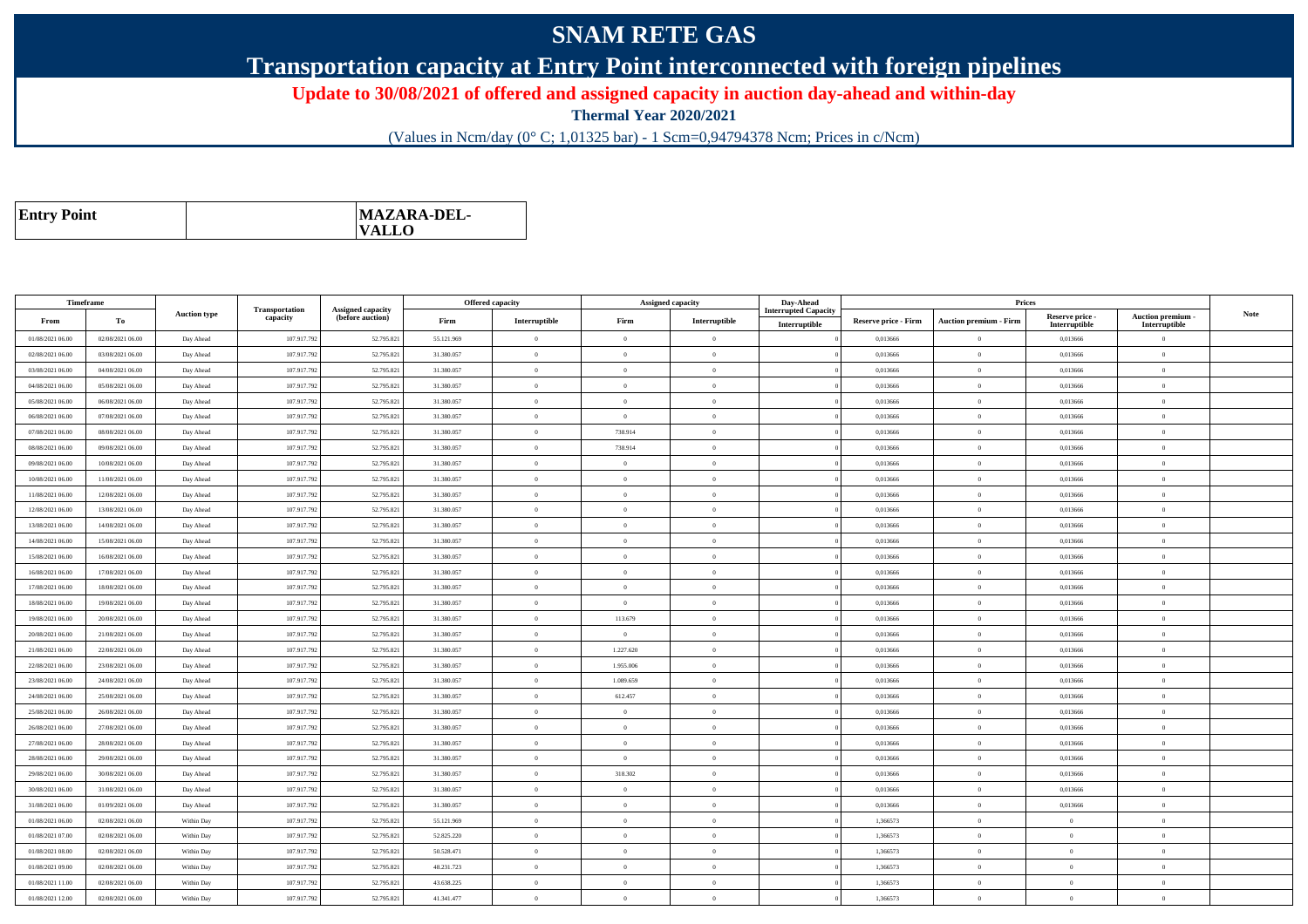## **SNAM RETE GAS**

**Transportation capacity at Entry Point interconnected with foreign pipelines**

**Update to 30/08/2021 of offered and assigned capacity in auction day-ahead and within-day**

**Thermal Year 2020/2021**

(Values in Ncm/day (0° C; 1,01325 bar) - 1 Scm=0,94794378 Ncm; Prices in c/Ncm)

| <b>Entry Point</b> | <b>MAZARA-DEL-</b><br><b>VALLO</b> |
|--------------------|------------------------------------|
|--------------------|------------------------------------|

|                                      | Timeframe                            |                     |                            |                                              |            | <b>Offered capacity</b> |                | <b>Assigned capacity</b> | Day-Ahead                   |                             | Prices                          |                           |                                 |             |
|--------------------------------------|--------------------------------------|---------------------|----------------------------|----------------------------------------------|------------|-------------------------|----------------|--------------------------|-----------------------------|-----------------------------|---------------------------------|---------------------------|---------------------------------|-------------|
| From                                 | To                                   | <b>Auction type</b> | Transportation<br>capacity | <b>Assigned capacity</b><br>(before auction) | Firm       | Interruptible           | Firm           | Interruptible            | <b>Interrupted Capacity</b> | <b>Reserve price - Firm</b> | <b>Auction premium - Firm</b>   | Reserve price -           | Auction premium -               | <b>Note</b> |
| 01/08/2021 06:00                     | 02/08/2021 06:00                     | Day Ahead           | 107.917.792                | 52.795.821                                   | 55.121.969 | $\theta$                | $\Omega$       | $\theta$                 | Interruptible               | 0,013666                    | $\Omega$                        | Interruptible<br>0,013666 | Interruptible<br>$\overline{0}$ |             |
| 02/08/2021 06:00                     | 03/08/2021 06:00                     | Day Ahead           | 107.917.792                | 52.795.821                                   | 31.380.057 | $\overline{0}$          | $\Omega$       | $\Omega$                 |                             | 0,013666                    | $\theta$                        | 0,013666                  | $\theta$                        |             |
|                                      |                                      |                     | 107.917.792                | 52.795.821                                   | 31.380.057 | $\overline{0}$          | $\theta$       | $\overline{0}$           |                             | 0,013666                    | $\bf{0}$                        |                           | $\overline{0}$                  |             |
| 03/08/2021 06:00<br>04/08/2021 06:00 | 04/08/2021 06:00<br>05/08/2021 06:00 | Day Ahead           | 107.917.792                | 52.795.821                                   | 31.380.057 | $\overline{0}$          | $\overline{0}$ | $\Omega$                 |                             | 0.013666                    |                                 | 0,013666<br>0.013666      | $\overline{0}$                  |             |
|                                      |                                      | Day Ahead           |                            |                                              |            |                         |                | $\theta$                 |                             |                             | $\bf{0}$                        |                           |                                 |             |
| 05/08/2021 06:00                     | 06/08/2021 06:00                     | Day Ahead           | 107.917.792                | 52.795.821                                   | 31.380.057 | $\overline{0}$          | $\Omega$       |                          |                             | 0,013666                    | $\hspace{0.1mm}0\hspace{0.1mm}$ | 0,013666                  | $\overline{0}$                  |             |
| 06/08/2021 06:00                     | 07/08/2021 06:00                     | Day Ahead           | 107.917.792                | 52.795.821                                   | 31.380.057 | $\overline{0}$          | $\Omega$       | $\Omega$                 |                             | 0.013666                    | $\theta$                        | 0.013666                  | $\overline{0}$                  |             |
| 07/08/2021 06:00                     | 08/08/2021 06:00                     | Day Ahead           | 107.917.792                | 52.795.821                                   | 31.380.057 | $\theta$                | 738.914        | $\overline{0}$           |                             | 0,013666                    | $\overline{0}$                  | 0,013666                  | $\overline{0}$                  |             |
| 08/08/2021 06:00                     | 09/08/2021 06:00                     | Day Ahead           | 107.917.792                | 52.795.821                                   | 31.380.057 | $\overline{0}$          | 738.914        | $\theta$                 |                             | 0.013666                    | $\overline{0}$                  | 0.013666                  | $\overline{0}$                  |             |
| 09/08/2021 06:00                     | 10/08/2021 06:00                     | Day Ahead           | 107.917.792                | 52.795.821                                   | 31.380.057 | $\overline{0}$          | $\Omega$       | $\theta$                 |                             | 0,013666                    | $\overline{0}$                  | 0,013666                  | $\overline{0}$                  |             |
| 10/08/2021 06:00                     | 11/08/2021 06:00                     | Day Ahead           | 107.917.792                | 52.795.821                                   | 31.380.057 | $\overline{0}$          | $\Omega$       | $\Omega$                 |                             | 0.013666                    | $\theta$                        | 0.013666                  | $\overline{0}$                  |             |
| 11/08/2021 06:00                     | 12/08/2021 06:00                     | Day Ahead           | 107.917.792                | 52.795.821                                   | 31.380.057 | $\theta$                | $\Omega$       | $\Omega$                 |                             | 0,013666                    | $\theta$                        | 0,013666                  | $\theta$                        |             |
| 12/08/2021 06:00                     | 13/08/2021 06:00                     | Day Ahead           | 107.917.792                | 52.795.821                                   | 31.380.057 | $\overline{0}$          | $\theta$       | $\theta$                 |                             | 0.013666                    | $\overline{0}$                  | 0.013666                  | $\overline{0}$                  |             |
| 13/08/2021 06:00                     | 14/08/2021 06:00                     | Day Ahead           | 107.917.792                | 52.795.821                                   | 31.380.057 | $\overline{0}$          | $\Omega$       | $\theta$                 |                             | 0,013666                    | $\overline{0}$                  | 0,013666                  | $\overline{0}$                  |             |
| 14/08/2021 06:00                     | 15/08/2021 06:00                     | Day Ahead           | 107.917.792                | 52.795.821                                   | 31.380.057 | $\overline{0}$          | $\overline{0}$ | $\theta$                 |                             | 0.013666                    | $\bf{0}$                        | 0,013666                  | $\overline{0}$                  |             |
| 15/08/2021 06:00                     | 16/08/2021 06:00                     | Day Ahead           | 107.917.792                | 52.795.821                                   | 31.380.057 | $\theta$                | $\Omega$       | $\mathbf{0}$             |                             | 0,013666                    | $\overline{0}$                  | 0,013666                  | $\theta$                        |             |
| 16/08/2021 06:00                     | 17/08/2021 06:00                     | Day Ahead           | 107.917.792                | 52.795.821                                   | 31.380.057 | $\overline{0}$          | $\overline{0}$ | $\theta$                 |                             | 0,013666                    | $\bf{0}$                        | 0,013666                  | $\overline{0}$                  |             |
| 17/08/2021 06:00                     | 18/08/2021 06:00                     | Day Ahead           | 107.917.792                | 52.795.821                                   | 31.380.057 | $\overline{0}$          | $\overline{0}$ | $\Omega$                 |                             | 0.013666                    | $\theta$                        | 0.013666                  | $\overline{0}$                  |             |
| 18/08/2021 06:00                     | 19/08/2021 06:00                     | Day Ahead           | 107.917.792                | 52.795.821                                   | 31.380.057 | $\overline{0}$          | $\Omega$       | $\theta$                 |                             | 0,013666                    | $\overline{0}$                  | 0,013666                  | $\overline{0}$                  |             |
| 19/08/2021 06:00                     | 20/08/2021 06:00                     | Day Ahead           | 107.917.792                | 52.795.821                                   | 31.380.057 | $\sqrt{2}$              | 113,679        | $\Omega$                 |                             | 0.013666                    | $\theta$                        | 0.013666                  | $\overline{0}$                  |             |
| 20/08/2021 06:00                     | 21/08/2021 06:00                     | Day Ahead           | 107.917.792                | 52.795.821                                   | 31.380.057 | $\overline{0}$          | $\theta$       | $\overline{0}$           |                             | 0,013666                    | $\theta$                        | 0,013666                  | $\overline{0}$                  |             |
| 21/08/2021 06:00                     | 22/08/2021 06:00                     | Day Ahead           | 107.917.792                | 52.795.821                                   | 31.380.057 | $\overline{0}$          | 1.227.620      | $\Omega$                 |                             | 0.013666                    | $\bf{0}$                        | 0.013666                  | $\overline{0}$                  |             |
| 22/08/2021 06:00                     | 23/08/2021 06:00                     | Day Ahead           | 107.917.792                | 52.795.821                                   | 31.380.057 | $\overline{0}$          | 1.955.006      | $\theta$                 |                             | 0,013666                    | $\overline{0}$                  | 0,013666                  | $\overline{0}$                  |             |
| 23/08/2021 06:00                     | 24/08/2021 06:00                     | Day Ahead           | 107.917.792                | 52.795.821                                   | 31.380.057 | $\overline{0}$          | 1.089.659      | $\Omega$                 |                             | 0.013666                    | $\bf{0}$                        | 0.013666                  | $\overline{0}$                  |             |
| 24/08/2021 06:00                     | 25/08/2021 06:00                     | Day Ahead           | 107.917.792                | 52.795.821                                   | 31.380.057 | $\theta$                | 612.457        | $\overline{0}$           |                             | 0,013666                    | $\overline{0}$                  | 0,013666                  | $\overline{0}$                  |             |
| 25/08/2021 06:00                     | 26/08/2021 06:00                     | Day Ahead           | 107.917.792                | 52.795.821                                   | 31.380.057 | $\overline{0}$          | $\overline{0}$ | $\theta$                 |                             | 0.013666                    | $\overline{0}$                  | 0,013666                  | $\overline{0}$                  |             |
| 26/08/2021 06:00                     | 27/08/2021 06:00                     | Day Ahead           | 107.917.792                | 52.795.821                                   | 31.380.057 | $\overline{0}$          | $\Omega$       | $\theta$                 |                             | 0,013666                    | $\overline{0}$                  | 0,013666                  | $\overline{0}$                  |             |
| 27/08/2021 06:00                     | 28/08/2021 06:00                     | Day Ahead           | 107.917.792                | 52.795.821                                   | 31.380.057 | $\overline{0}$          | $\theta$       | $\Omega$                 |                             | 0.013666                    | $\theta$                        | 0.013666                  | $\overline{0}$                  |             |
| 28/08/2021 06:00                     | 29/08/2021 06:00                     | Day Ahead           | 107.917.792                | 52.795.821                                   | 31.380.057 | $\theta$                | $\Omega$       | $\theta$                 |                             | 0,013666                    | $\theta$                        | 0,013666                  | $\theta$                        |             |
| 29/08/2021 06:00                     | 30/08/2021 06:00                     | Day Ahead           | 107.917.792                | 52.795.821                                   | 31.380.057 | $\overline{0}$          | 318.302        | $\theta$                 |                             | 0,013666                    | $\bf{0}$                        | 0,013666                  | $\overline{0}$                  |             |
| 30/08/2021 06:00                     | 31/08/2021 06:00                     | Day Ahead           | 107.917.792                | 52.795.821                                   | 31.380.057 | $\overline{0}$          | $\overline{0}$ | $\theta$                 |                             | 0,013666                    | $\bf{0}$                        | 0,013666                  | $\overline{0}$                  |             |
| 31/08/2021 06:00                     | 01/09/2021 06:00                     | Day Ahead           | 107.917.792                | 52.795.821                                   | 31.380.057 | $\overline{0}$          | $\overline{0}$ | $\theta$                 |                             | 0,013666                    | $\,$ 0 $\,$                     | 0,013666                  | $\overline{0}$                  |             |
| 01/08/2021 06:00                     | 02/08/2021 06:00                     | Within Day          | 107.917.792                | 52.795.821                                   | 55.121.969 | $\overline{0}$          | $\theta$       | $\Omega$                 |                             | 1.366573                    | $\overline{0}$                  | $\theta$                  | $\overline{0}$                  |             |
| 01/08/2021 07:00                     | 02/08/2021 06:00                     | Within Day          | 107.917.792                | 52.795.821                                   | 52.825.220 | $\overline{0}$          | $\overline{0}$ | $\mathbf{0}$             |                             | 1,366573                    | $\overline{0}$                  | $\overline{0}$            | $\overline{0}$                  |             |
| 01/08/2021 08:00                     | 02/08/2021 06:00                     | Within Day          | 107.917.792                | 52.795.821                                   | 50.528.471 | $\overline{0}$          | $\overline{0}$ | $\Omega$                 |                             | 1.366573                    | $\overline{0}$                  | $\theta$                  | $\overline{0}$                  |             |
| 01/08/2021 09:00                     | 02/08/2021 06:00                     | Within Day          | 107.917.792                | 52.795.821                                   | 48.231.723 | $\overline{0}$          | $\Omega$       | $\overline{0}$           |                             | 1,366573                    | $\theta$                        | $\overline{0}$            | $\overline{0}$                  |             |
| 01/08/2021 11:00                     | 02/08/2021 06:00                     | Within Day          | 107.917.792                | 52.795.821                                   | 43.638.225 | $\theta$                | $\overline{0}$ | $\Omega$                 |                             | 1.366573                    | $\theta$                        | $\Omega$                  | $\overline{0}$                  |             |
| 01/08/2021 12:00                     | 02/08/2021 06:00                     | Within Day          | 107.917.792                | 52.795.821                                   | 41.341.477 | $\overline{0}$          | $\theta$       | $\overline{0}$           |                             | 1,366573                    | $\theta$                        | $\overline{0}$            | $\overline{0}$                  |             |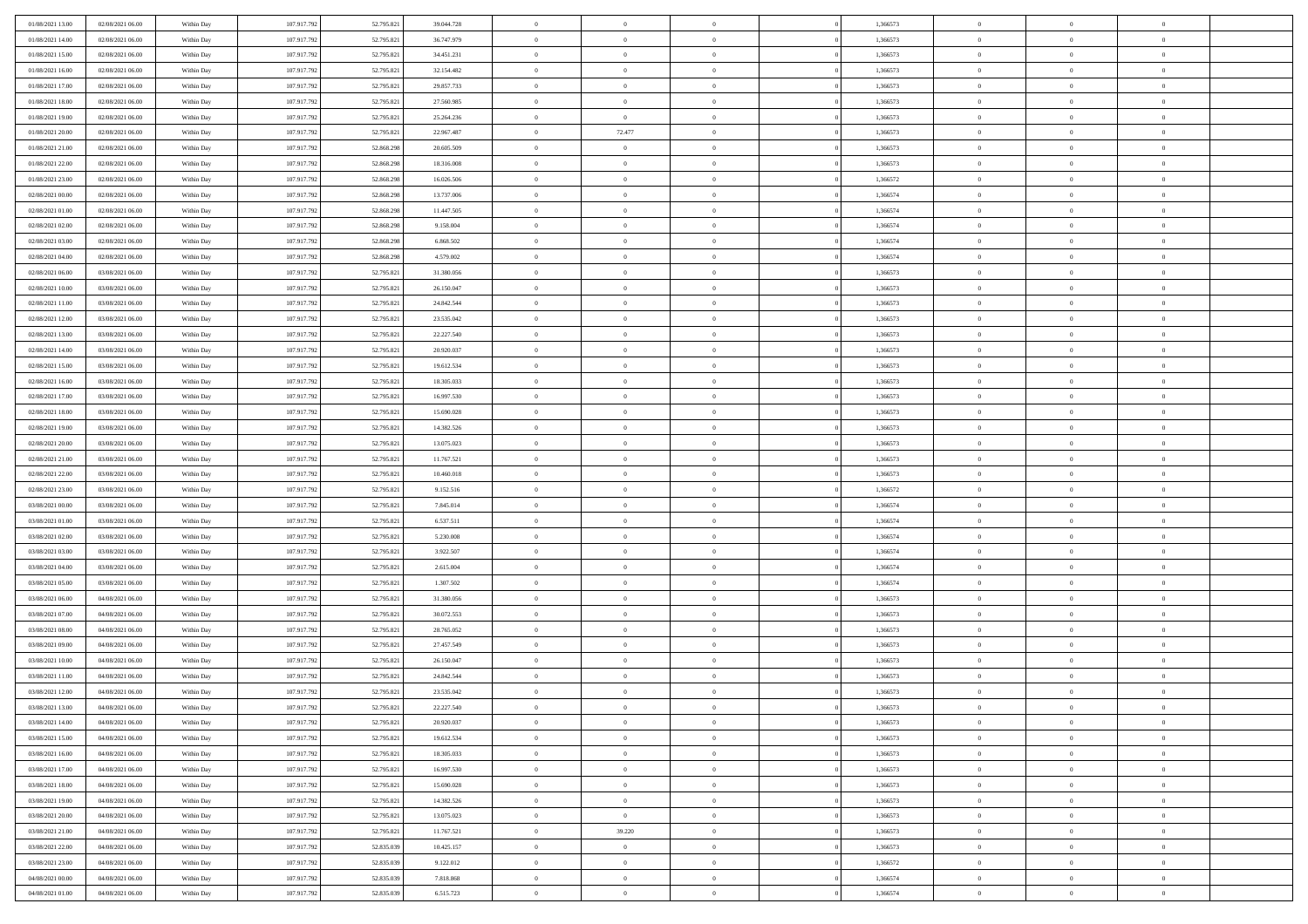| 01/08/2021 13:00                     | 02/08/2021 06:00 | Within Day               | 107.917.792 | 52.795.821 | 39.044.728 | $\,$ 0         | $\bf{0}$       | $\theta$       |          | 1,366573 | $\bf{0}$       | $\overline{0}$ | $\,0\,$        |  |
|--------------------------------------|------------------|--------------------------|-------------|------------|------------|----------------|----------------|----------------|----------|----------|----------------|----------------|----------------|--|
| 01/08/2021 14:00                     | 02/08/2021 06:00 | Within Day               | 107.917.792 | 52.795.821 | 36.747.979 | $\overline{0}$ | $\overline{0}$ | $\Omega$       |          | 1,366573 | $\overline{0}$ | $\overline{0}$ | $\theta$       |  |
| 01/08/2021 15:00                     | 02/08/2021 06:00 | Within Dav               | 107.917.792 | 52.795.821 | 34.451.231 | $\mathbf{0}$   | $\overline{0}$ | $\overline{0}$ |          | 1,366573 | $\mathbf{0}$   | $\overline{0}$ | $\overline{0}$ |  |
| 01/08/2021 16:00                     | 02/08/2021 06:00 | Within Day               | 107.917.792 | 52.795.821 | 32.154.482 | $\bf{0}$       | $\overline{0}$ | $\bf{0}$       |          | 1,366573 | $\bf{0}$       | $\overline{0}$ | $\,0\,$        |  |
| 01/08/2021 17:00                     | 02/08/2021 06:00 | Within Day               | 107.917.792 | 52.795.821 | 29.857.733 | $\bf{0}$       | $\bf{0}$       | $\overline{0}$ |          | 1,366573 | $\bf{0}$       | $\theta$       | $\theta$       |  |
| 01/08/2021 18:00                     | 02/08/2021 06:00 | Within Dav               | 107.917.792 | 52.795.821 | 27.560.985 | $\mathbf{0}$   | $\overline{0}$ | $\overline{0}$ |          | 1,366573 | $\mathbf{0}$   | $\overline{0}$ | $\theta$       |  |
| 01/08/2021 19:00                     | 02/08/2021 06:00 | Within Day               | 107.917.792 | 52.795.821 | 25.264.236 | $\bf{0}$       | $\overline{0}$ | $\overline{0}$ |          | 1,366573 | $\bf{0}$       | $\overline{0}$ | $\,0\,$        |  |
| 01/08/2021 20:00                     | 02/08/2021 06:00 | Within Day               | 107.917.792 | 52.795.821 | 22.967.487 | $\theta$       | 72.477         | $\overline{0}$ |          | 1,366573 | $\,$ 0 $\,$    | $\overline{0}$ | $\theta$       |  |
| 01/08/2021 21:00                     | 02/08/2021 06:00 | Within Day               | 107.917.792 | 52.868.298 | 20.605.509 | $\mathbf{0}$   | $\overline{0}$ | $\overline{0}$ |          | 1,366573 | $\mathbf{0}$   | $\overline{0}$ | $\overline{0}$ |  |
| 01/08/2021 22.00                     | 02/08/2021 06:00 | Within Day               | 107.917.792 | 52.868.298 | 18.316.008 | $\bf{0}$       | $\overline{0}$ | $\theta$       |          | 1,366573 | $\bf{0}$       | $\overline{0}$ | $\theta$       |  |
| 01/08/2021 23:00                     | 02/08/2021 06:00 | Within Day               | 107.917.792 | 52.868.298 | 16.026.506 | $\overline{0}$ | $\overline{0}$ | $\overline{0}$ |          | 1,366572 | $\bf{0}$       | $\mathbf{0}$   | $\theta$       |  |
| 02/08/2021 00:00                     | 02/08/2021 06:00 | Within Dav               | 107.917.792 | 52.868.298 | 13.737.006 | $\mathbf{0}$   | $\overline{0}$ | $\overline{0}$ |          | 1,366574 | $\mathbf{0}$   | $\overline{0}$ | $\overline{0}$ |  |
| 02/08/2021 01:00                     | 02/08/2021 06:00 | Within Day               | 107.917.792 | 52.868.298 | 11.447.505 | $\bf{0}$       | $\overline{0}$ | $\bf{0}$       |          | 1,366574 | $\bf{0}$       | $\overline{0}$ | $\,0\,$        |  |
| 02/08/2021 02:00                     | 02/08/2021 06:00 | Within Day               | 107.917.792 | 52.868.298 | 9.158.004  | $\bf{0}$       | $\overline{0}$ | $\overline{0}$ |          | 1,366574 | $\bf{0}$       | $\theta$       | $\,0\,$        |  |
| 02/08/2021 03:00                     | 02/08/2021 06:00 | Within Dav               | 107.917.792 | 52.868.298 | 6.868.502  | $\mathbf{0}$   | $\overline{0}$ | $\overline{0}$ |          | 1,366574 | $\mathbf{0}$   | $\overline{0}$ | $\overline{0}$ |  |
| 02/08/2021 04:00                     | 02/08/2021 06:00 | Within Day               | 107.917.792 | 52.868.298 | 4.579.002  | $\bf{0}$       | $\overline{0}$ | $\overline{0}$ |          | 1,366574 | $\bf{0}$       | $\overline{0}$ | $\,0\,$        |  |
| 02/08/2021 06:00                     | 03/08/2021 06:00 |                          | 107.917.792 | 52.795.821 | 31.380.056 | $\overline{0}$ | $\overline{0}$ | $\overline{0}$ |          | 1,366573 | $\bf{0}$       | $\overline{0}$ | $\theta$       |  |
| 02/08/2021 10:00                     | 03/08/2021 06:00 | Within Day<br>Within Day | 107.917.792 | 52.795.821 | 26.150.047 | $\mathbf{0}$   | $\overline{0}$ | $\overline{0}$ |          | 1,366573 | $\mathbf{0}$   | $\overline{0}$ | $\overline{0}$ |  |
| 02/08/2021 11:00                     | 03/08/2021 06:00 | Within Day               | 107.917.792 | 52.795.821 | 24.842.544 | $\,$ 0         | $\overline{0}$ | $\overline{0}$ |          | 1,366573 | $\bf{0}$       | $\overline{0}$ | $\,0\,$        |  |
| 02/08/2021 12:00                     | 03/08/2021 06:00 |                          | 107.917.792 | 52.795.821 | 23.535.042 | $\overline{0}$ | $\overline{0}$ | $\overline{0}$ |          | 1,366573 | $\bf{0}$       | $\overline{0}$ | $\overline{0}$ |  |
| 02/08/2021 13:00                     | 03/08/2021 06:00 | Within Day<br>Within Dav | 107.917.792 | 52.795.821 | 22.227.540 | $\mathbf{0}$   | $\overline{0}$ | $\overline{0}$ |          | 1,366573 | $\mathbf{0}$   | $\overline{0}$ | $\overline{0}$ |  |
|                                      | 03/08/2021 06:00 |                          |             |            |            | $\bf{0}$       |                |                |          |          | $\bf{0}$       |                | $\bf{0}$       |  |
| 02/08/2021 14:00                     |                  | Within Day               | 107.917.792 | 52.795.821 | 20.920.037 |                | $\overline{0}$ | $\bf{0}$       |          | 1,366573 |                | $\overline{0}$ |                |  |
| 02/08/2021 15:00<br>02/08/2021 16:00 | 03/08/2021 06:00 | Within Day               | 107.917.792 | 52.795.821 | 19.612.534 | $\bf{0}$       | $\overline{0}$ | $\overline{0}$ |          | 1,366573 | $\bf{0}$       | $\bf{0}$       | $\,0\,$        |  |
|                                      | 03/08/2021 06:00 | Within Dav               | 107.917.792 | 52.795.821 | 18.305.033 | $\mathbf{0}$   | $\overline{0}$ | $\overline{0}$ |          | 1,366573 | $\mathbf{0}$   | $\overline{0}$ | $\theta$       |  |
| 02/08/2021 17:00                     | 03/08/2021 06:00 | Within Day               | 107.917.792 | 52.795.821 | 16.997.530 | $\bf{0}$       | $\overline{0}$ | $\overline{0}$ |          | 1,366573 | $\bf{0}$       | $\overline{0}$ | $\,0\,$        |  |
| 02/08/2021 18:00                     | 03/08/2021 06:00 | Within Day               | 107.917.792 | 52.795.821 | 15.690.028 | $\overline{0}$ | $\overline{0}$ | $\overline{0}$ |          | 1,366573 | $\bf{0}$       | $\overline{0}$ | $\overline{0}$ |  |
| 02/08/2021 19:00                     | 03/08/2021 06:00 | Within Dav               | 107.917.792 | 52.795.821 | 14.382.526 | $\mathbf{0}$   | $\overline{0}$ | $\overline{0}$ |          | 1,366573 | $\mathbf{0}$   | $\overline{0}$ | $\overline{0}$ |  |
| 02/08/2021 20:00                     | 03/08/2021 06:00 | Within Day               | 107.917.792 | 52.795.821 | 13.075.023 | $\bf{0}$       | $\overline{0}$ | $\overline{0}$ |          | 1,366573 | $\bf{0}$       | $\overline{0}$ | $\,0\,$        |  |
| 02/08/2021 21:00                     | 03/08/2021 06:00 | Within Day               | 107.917.792 | 52.795.821 | 11.767.521 | $\bf{0}$       | $\overline{0}$ | $\overline{0}$ |          | 1,366573 | $\bf{0}$       | $\mathbf{0}$   | $\overline{0}$ |  |
| 02/08/2021 22:00                     | 03/08/2021 06:00 | Within Dav               | 107.917.792 | 52.795.821 | 10.460.018 | $\mathbf{0}$   | $\overline{0}$ | $\overline{0}$ |          | 1,366573 | $\mathbf{0}$   | $\overline{0}$ | $\overline{0}$ |  |
| 02/08/2021 23:00                     | 03/08/2021 06:00 | Within Day               | 107.917.792 | 52.795.821 | 9.152.516  | $\bf{0}$       | $\overline{0}$ | $\theta$       |          | 1,366572 | $\,$ 0         | $\overline{0}$ | $\theta$       |  |
| 03/08/2021 00:00                     | 03/08/2021 06:00 | Within Day               | 107.917.792 | 52.795.82  | 7.845.014  | $\bf{0}$       | $\overline{0}$ | $\overline{0}$ |          | 1,366574 | $\bf{0}$       | $\mathbf{0}$   | $\overline{0}$ |  |
| 03/08/2021 01:00                     | 03/08/2021 06:00 | Within Dav               | 107.917.792 | 52.795.821 | 6.537.511  | $\mathbf{0}$   | $\overline{0}$ | $\overline{0}$ |          | 1,366574 | $\mathbf{0}$   | $\overline{0}$ | $\overline{0}$ |  |
| 03/08/2021 02:00                     | 03/08/2021 06:00 | Within Day               | 107.917.792 | 52.795.821 | 5.230.008  | $\bf{0}$       | $\overline{0}$ | $\theta$       |          | 1,366574 | $\,$ 0         | $\overline{0}$ | $\theta$       |  |
| 03/08/2021 03:00                     | 03/08/2021 06:00 | Within Day               | 107.917.792 | 52.795.821 | 3.922.507  | $\overline{0}$ | $\overline{0}$ | $\overline{0}$ |          | 1,366574 | $\bf{0}$       | $\overline{0}$ | $\overline{0}$ |  |
| 03/08/2021 04:00                     | 03/08/2021 06:00 | Within Day               | 107.917.792 | 52.795.821 | 2.615.004  | $\mathbf{0}$   | $\overline{0}$ | $\overline{0}$ |          | 1,366574 | $\mathbf{0}$   | $\overline{0}$ | $\overline{0}$ |  |
| 03/08/2021 05:00                     | 03/08/2021 06:00 | Within Day               | 107.917.792 | 52.795.821 | 1.307.502  | $\bf{0}$       | $\overline{0}$ | $\theta$       |          | 1,366574 | $\,$ 0         | $\overline{0}$ | $\theta$       |  |
| 03/08/2021 06:00                     | 04/08/2021 06:00 | Within Day               | 107.917.792 | 52.795.821 | 31.380.056 | $\bf{0}$       | $\overline{0}$ | $\overline{0}$ |          | 1,366573 | $\bf{0}$       | $\mathbf{0}$   | $\overline{0}$ |  |
| 03/08/2021 07:00                     | 04/08/2021 06:00 | Within Dav               | 107.917.792 | 52.795.821 | 30.072.553 | $\mathbf{0}$   | $\overline{0}$ | $\overline{0}$ |          | 1,366573 | $\mathbf{0}$   | $\overline{0}$ | $\overline{0}$ |  |
| 03/08/2021 08:00                     | 04/08/2021 06:00 | Within Day               | 107.917.792 | 52.795.821 | 28.765.052 | $\bf{0}$       | $\overline{0}$ | $\theta$       |          | 1,366573 | $\,$ 0         | $\overline{0}$ | $\theta$       |  |
| 03/08/2021 09:00                     | 04/08/2021 06:00 | Within Day               | 107.917.792 | 52.795.821 | 27.457.549 | $\bf{0}$       | $\bf{0}$       | $\overline{0}$ |          | 1,366573 | $\bf{0}$       | $\overline{0}$ | $\overline{0}$ |  |
| 03/08/2021 10:00                     | 04/08/2021 06:00 | Within Dav               | 107.917.792 | 52.795.821 | 26.150.047 | $\mathbf{0}$   | $\overline{0}$ | $\overline{0}$ |          | 1,366573 | $\mathbf{0}$   | $\overline{0}$ | $\overline{0}$ |  |
| 03/08/2021 11:00                     | 04/08/2021 06:00 | Within Day               | 107.917.792 | 52.795.821 | 24.842.544 | $\bf{0}$       | $\overline{0}$ | $\theta$       |          | 1,366573 | $\,$ 0         | $\overline{0}$ | $\theta$       |  |
| 03/08/2021 12:00                     | 04/08/2021 06:00 | Within Day               | 107.917.792 | 52.795.821 | 23.535.042 | $\bf{0}$       | $\overline{0}$ | $\overline{0}$ |          | 1,366573 | $\,$ 0 $\,$    | $\overline{0}$ | $\overline{0}$ |  |
| 03/08/2021 13:00                     | 04/08/2021 06:00 | Within Day               | 107.917.792 | 52.795.821 | 22.227.540 | $\bf{0}$       | $\overline{0}$ |                |          | 1,366573 | $\overline{0}$ | $\theta$       | $\theta$       |  |
| 03/08/2021 14:00                     | 04/08/2021 06:00 | Within Day               | 107.917.792 | 52.795.821 | 20.920.037 | $\,0\,$        | $\overline{0}$ | $\theta$       |          | 1,366573 | $\,$ 0 $\,$    | $\overline{0}$ | $\theta$       |  |
| 03/08/2021 15:00                     | 04/08/2021 06:00 | Within Day               | 107.917.792 | 52.795.821 | 19.612.534 | $\overline{0}$ | $\overline{0}$ | $\overline{0}$ |          | 1,366573 | $\overline{0}$ | $\overline{0}$ | $\overline{0}$ |  |
| 03/08/2021 16:00                     | 04/08/2021 06:00 | Within Day               | 107.917.792 | 52.795.821 | 18.305.033 | $\bf{0}$       | $\overline{0}$ | $\overline{0}$ |          | 1,366573 | $\overline{0}$ | $\bf{0}$       | $\mathbf{0}$   |  |
| 03/08/2021 17:00                     | 04/08/2021 06:00 | Within Day               | 107.917.792 | 52.795.821 | 16.997.530 | $\bf{0}$       | $\overline{0}$ | $\overline{0}$ | $\theta$ | 1,366573 | $\,$ 0 $\,$    | $\bf{0}$       | $\,$ 0 $\,$    |  |
| 03/08/2021 18:00                     | 04/08/2021 06:00 | Within Day               | 107.917.792 | 52.795.821 | 15.690.028 | $\bf{0}$       | $\overline{0}$ | $\overline{0}$ |          | 1,366573 | $\,$ 0 $\,$    | $\overline{0}$ | $\overline{0}$ |  |
| 03/08/2021 19:00                     | 04/08/2021 06:00 | Within Day               | 107.917.792 | 52.795.821 | 14.382.526 | $\bf{0}$       | $\overline{0}$ | $\overline{0}$ |          | 1,366573 | $\mathbf{0}$   | $\overline{0}$ | $\overline{0}$ |  |
| 03/08/2021 20:00                     | 04/08/2021 06:00 | Within Day               | 107.917.792 | 52.795.821 | 13.075.023 | $\,0\,$        | $\overline{0}$ | $\mathbf{0}$   | $\theta$ | 1,366573 | $\,$ 0 $\,$    | $\overline{0}$ | $\overline{0}$ |  |
| 03/08/2021 21:00                     | 04/08/2021 06:00 | Within Day               | 107.917.792 | 52.795.821 | 11.767.521 | $\bf{0}$       | 39.220         | $\overline{0}$ |          | 1,366573 | $\overline{0}$ | $\overline{0}$ | $\overline{0}$ |  |
| 03/08/2021 22:00                     | 04/08/2021 06:00 | Within Day               | 107.917.792 | 52.835.039 | 10.425.157 | $\bf{0}$       | $\overline{0}$ | $\overline{0}$ |          | 1,366573 | $\mathbf{0}$   | $\overline{0}$ | $\mathbf{0}$   |  |
| 03/08/2021 23:00                     | 04/08/2021 06:00 | Within Day               | 107.917.792 | 52.835.039 | 9.122.012  | $\,0\,$        | $\overline{0}$ | $\overline{0}$ |          | 1,366572 | $\,$ 0 $\,$    | $\mathbf{0}$   | $\overline{0}$ |  |
| 04/08/2021 00:00                     | 04/08/2021 06:00 | Within Day               | 107.917.792 | 52.835.039 | 7.818.868  | $\bf{0}$       | $\bf{0}$       | $\overline{0}$ |          | 1,366574 | $\bf{0}$       | $\mathbf{0}$   | $\overline{0}$ |  |
| 04/08/2021 01:00                     | 04/08/2021 06:00 | Within Day               | 107.917.792 | 52.835.039 | 6.515.723  | $\mathbf{0}$   | $\overline{0}$ | $\overline{0}$ |          | 1,366574 | $\mathbf{0}$   | $\overline{0}$ | $\overline{0}$ |  |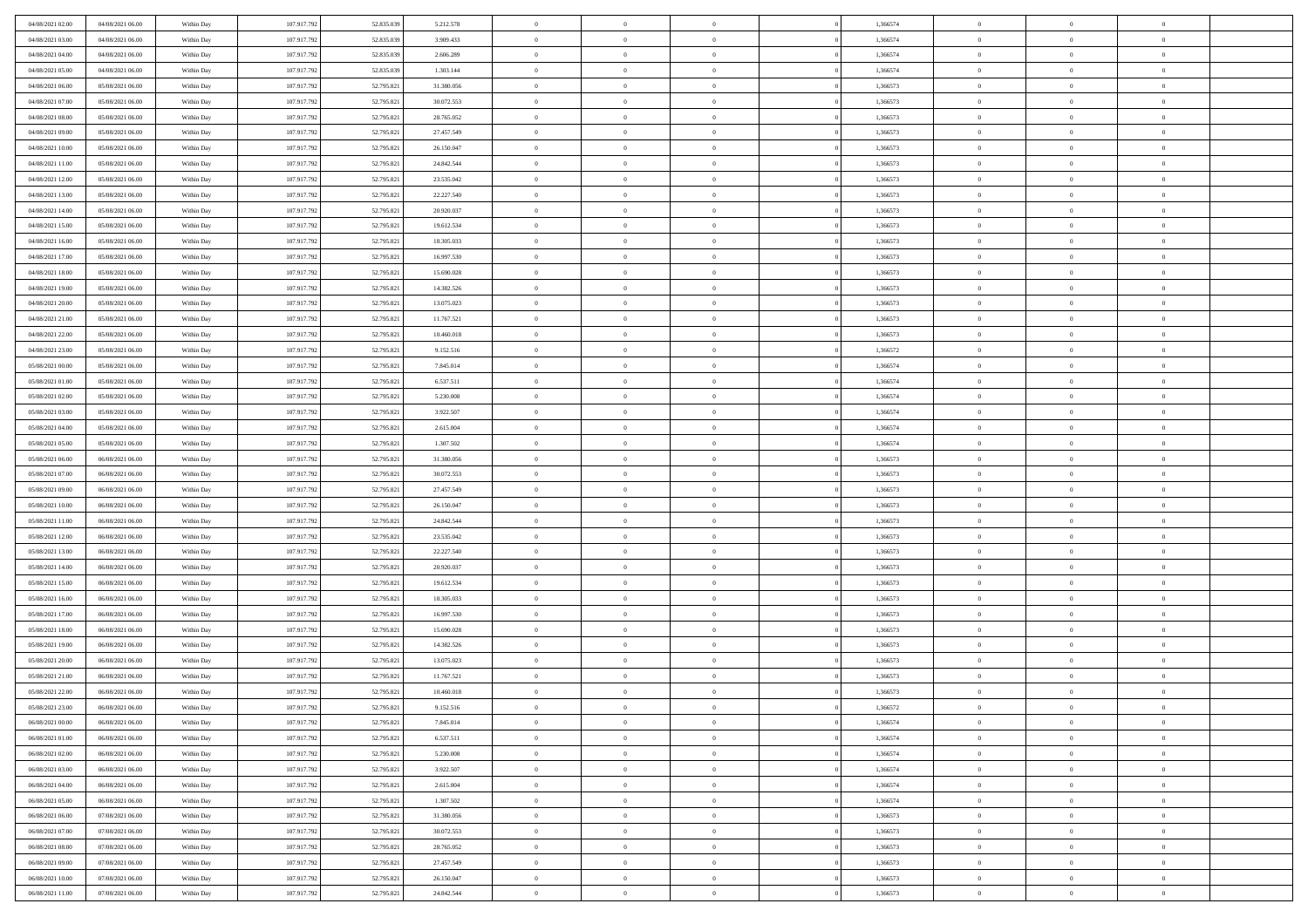| 04/08/2021 02:00 | 04/08/2021 06:00 | Within Day | 107.917.792 | 52.835.039 | 5.212.578  | $\,$ 0 $\,$    | $\overline{0}$ | $\overline{0}$ | 1,366574 | $\bf{0}$       | $\overline{0}$ | $\,0\,$        |  |
|------------------|------------------|------------|-------------|------------|------------|----------------|----------------|----------------|----------|----------------|----------------|----------------|--|
| 04/08/2021 03:00 | 04/08/2021 06:00 | Within Day | 107.917.792 | 52.835.039 | 3.909.433  | $\theta$       | $\overline{0}$ | $\mathbf{0}$   | 1,366574 | $\theta$       | $\mathbf{0}$   | $\theta$       |  |
| 04/08/2021 04:00 | 04/08/2021 06:00 | Within Dav | 107.917.792 | 52.835.039 | 2.606.289  | $\theta$       | $\overline{0}$ | $\mathbf{0}$   | 1,366574 | $\mathbf{0}$   | $\overline{0}$ | $\overline{0}$ |  |
| 04/08/2021 05:00 | 04/08/2021 06:00 | Within Day | 107.917.792 | 52.835.039 | 1.303.144  | $\,$ 0 $\,$    | $\overline{0}$ | $\overline{0}$ | 1,366574 | $\bf{0}$       | $\overline{0}$ | $\bf{0}$       |  |
| 04/08/2021 06:00 | 05/08/2021 06:00 | Within Day | 107.917.792 | 52.795.821 | 31.380.056 | $\bf{0}$       | $\overline{0}$ | $\mathbf{0}$   | 1,366573 | $\bf{0}$       | $\theta$       | $\theta$       |  |
| 04/08/2021 07:00 | 05/08/2021 06:00 | Within Dav | 107.917.792 | 52.795.821 | 30.072.553 | $\theta$       | $\overline{0}$ | $\mathbf{0}$   | 1,366573 | $\mathbf{0}$   | $\overline{0}$ | $\overline{0}$ |  |
| 04/08/2021 08:00 | 05/08/2021 06:00 | Within Day | 107.917.792 | 52.795.821 | 28.765.052 | $\,$ 0 $\,$    | $\overline{0}$ | $\overline{0}$ | 1,366573 | $\bf{0}$       | $\overline{0}$ | $\,0\,$        |  |
|                  |                  |            |             |            |            | $\theta$       | $\overline{0}$ | $\mathbf{0}$   |          | $\,$ 0 $\,$    | $\overline{0}$ | $\theta$       |  |
| 04/08/2021 09:00 | 05/08/2021 06:00 | Within Day | 107.917.792 | 52.795.821 | 27.457.549 | $\theta$       |                |                | 1,366573 | $\mathbf{0}$   |                | $\overline{0}$ |  |
| 04/08/2021 10:00 | 05/08/2021 06:00 | Within Day | 107.917.792 | 52.795.821 | 26.150.047 |                | $\overline{0}$ | $\overline{0}$ | 1,366573 |                | $\bf{0}$       |                |  |
| 04/08/2021 11:00 | 05/08/2021 06:00 | Within Day | 107.917.792 | 52.795.821 | 24.842.544 | $\,$ 0 $\,$    | $\overline{0}$ | $\Omega$       | 1,366573 | $\bf{0}$       | $\overline{0}$ | $\,0\,$        |  |
| 04/08/2021 12:00 | 05/08/2021 06:00 | Within Day | 107.917.792 | 52.795.821 | 23.535.042 | $\bf{0}$       | $\overline{0}$ | $\mathbf{0}$   | 1,366573 | $\bf{0}$       | $\mathbf{0}$   | $\theta$       |  |
| 04/08/2021 13:00 | 05/08/2021 06:00 | Within Dav | 107.917.792 | 52.795.821 | 22.227.540 | $\theta$       | $\overline{0}$ | $\mathbf{0}$   | 1,366573 | $\mathbf{0}$   | $\overline{0}$ | $\overline{0}$ |  |
| 04/08/2021 14:00 | 05/08/2021 06:00 | Within Day | 107.917.792 | 52.795.821 | 20.920.037 | $\,$ 0 $\,$    | $\overline{0}$ | $\overline{0}$ | 1,366573 | $\bf{0}$       | $\overline{0}$ | $\bf{0}$       |  |
| 04/08/2021 15:00 | 05/08/2021 06:00 | Within Day | 107.917.792 | 52.795.821 | 19.612.534 | $\bf{0}$       | $\overline{0}$ | $\mathbf{0}$   | 1,366573 | $\bf{0}$       | $\theta$       | $\,0\,$        |  |
| 04/08/2021 16:00 | 05/08/2021 06:00 | Within Dav | 107.917.792 | 52.795.821 | 18.305.033 | $\theta$       | $\overline{0}$ | $\mathbf{0}$   | 1,366573 | $\mathbf{0}$   | $\bf{0}$       | $\overline{0}$ |  |
| 04/08/2021 17:00 | 05/08/2021 06:00 | Within Day | 107.917.792 | 52.795.821 | 16.997.530 | $\,$ 0 $\,$    | $\overline{0}$ | $\Omega$       | 1,366573 | $\bf{0}$       | $\overline{0}$ | $\,0\,$        |  |
| 04/08/2021 18:00 | 05/08/2021 06:00 | Within Day | 107.917.792 | 52.795.821 | 15.690.028 | $\,$ 0         | $\overline{0}$ | $\mathbf{0}$   | 1,366573 | $\bf{0}$       | $\overline{0}$ | $\theta$       |  |
| 04/08/2021 19:00 | 05/08/2021 06:00 | Within Day | 107.917.792 | 52.795.821 | 14.382.526 | $\theta$       | $\overline{0}$ | $\mathbf{0}$   | 1,366573 | $\mathbf{0}$   | $\bf{0}$       | $\overline{0}$ |  |
| 04/08/2021 20:00 | 05/08/2021 06:00 | Within Day | 107.917.792 | 52.795.821 | 13.075.023 | $\,$ 0 $\,$    | $\overline{0}$ | $\Omega$       | 1,366573 | $\bf{0}$       | $\overline{0}$ | $\,0\,$        |  |
| 04/08/2021 21:00 | 05/08/2021 06:00 | Within Day | 107.917.792 | 52.795.821 | 11.767.521 | $\bf{0}$       | $\overline{0}$ | $\mathbf{0}$   | 1,366573 | $\bf{0}$       | $\mathbf{0}$   | $\theta$       |  |
| 04/08/2021 22:00 | 05/08/2021 06:00 | Within Dav | 107.917.792 | 52.795.821 | 10.460.018 | $\theta$       | $\overline{0}$ | $\mathbf{0}$   | 1,366573 | $\mathbf{0}$   | $\overline{0}$ | $\overline{0}$ |  |
| 04/08/2021 23:00 | 05/08/2021 06:00 | Within Day | 107.917.792 | 52.795.821 | 9.152.516  | $\,$ 0 $\,$    | $\overline{0}$ | $\overline{0}$ | 1,366572 | $\bf{0}$       | $\overline{0}$ | $\bf{0}$       |  |
| 05/08/2021 00:00 | 05/08/2021 06:00 | Within Day | 107.917.792 | 52.795.821 | 7.845.014  | $\bf{0}$       | $\overline{0}$ | $\mathbf{0}$   | 1,366574 | $\bf{0}$       | $\theta$       | $\,0\,$        |  |
| 05/08/2021 01:00 | 05/08/2021 06:00 | Within Dav | 107.917.792 | 52.795.821 | 6.537.511  | $\theta$       | $\overline{0}$ | $\mathbf{0}$   | 1,366574 | $\mathbf{0}$   | $\overline{0}$ | $\theta$       |  |
| 05/08/2021 02:00 | 05/08/2021 06:00 | Within Day | 107.917.792 | 52.795.821 | 5.230.008  | $\,$ 0 $\,$    | $\overline{0}$ | $\overline{0}$ | 1,366574 | $\bf{0}$       | $\overline{0}$ | $\,0\,$        |  |
| 05/08/2021 03:00 | 05/08/2021 06:00 | Within Day | 107.917.792 | 52.795.821 | 3.922.507  | $\,$ 0         | $\overline{0}$ | $\mathbf{0}$   | 1,366574 | $\bf{0}$       | $\overline{0}$ | $\theta$       |  |
| 05/08/2021 04:00 | 05/08/2021 06:00 | Within Day | 107.917.792 | 52.795.821 | 2.615.004  | $\theta$       | $\overline{0}$ | $\overline{0}$ | 1,366574 | $\mathbf{0}$   | $\bf{0}$       | $\overline{0}$ |  |
| 05/08/2021 05:00 | 05/08/2021 06:00 | Within Day | 107.917.792 | 52.795.821 | 1.307.502  | $\,$ 0 $\,$    | $\overline{0}$ | $\Omega$       | 1,366574 | $\bf{0}$       | $\overline{0}$ | $\,0\,$        |  |
| 05/08/2021 06:00 | 06/08/2021 06:00 | Within Day | 107.917.792 | 52.795.821 | 31.380.056 | $\bf{0}$       | $\overline{0}$ | $\mathbf{0}$   | 1,366573 | $\bf{0}$       | $\mathbf{0}$   | $\theta$       |  |
| 05/08/2021 07:00 | 06/08/2021 06:00 | Within Dav | 107.917.792 | 52.795.821 | 30.072.553 | $\theta$       | $\overline{0}$ | $\overline{0}$ | 1,366573 | $\mathbf{0}$   | $\overline{0}$ | $\overline{0}$ |  |
| 05/08/2021 09:00 | 06/08/2021 06:00 | Within Day | 107.917.792 | 52.795.821 | 27.457.549 | $\theta$       | $\overline{0}$ | $\overline{0}$ | 1,366573 | $\,$ 0         | $\overline{0}$ | $\theta$       |  |
| 05/08/2021 10:00 | 06/08/2021 06:00 | Within Day | 107.917.792 | 52.795.821 | 26.150.047 | $\bf{0}$       | $\overline{0}$ | $\mathbf{0}$   | 1,366573 | $\bf{0}$       | $\mathbf{0}$   | $\overline{0}$ |  |
| 05/08/2021 11:00 | 06/08/2021 06:00 | Within Dav | 107.917.792 | 52.795.821 | 24.842.544 | $\theta$       | $\overline{0}$ | $\mathbf{0}$   | 1,366573 | $\mathbf{0}$   | $\bf{0}$       | $\overline{0}$ |  |
| 05/08/2021 12:00 | 06/08/2021 06:00 | Within Day | 107.917.792 | 52.795.821 | 23.535.042 | $\overline{0}$ | $\overline{0}$ | $\overline{0}$ | 1,366573 | $\,$ 0         | $\overline{0}$ | $\theta$       |  |
| 05/08/2021 13:00 | 06/08/2021 06:00 | Within Day | 107.917.792 | 52.795.821 | 22.227.540 | $\bf{0}$       | $\overline{0}$ | $\mathbf{0}$   | 1,366573 | $\mathbf{0}$   | $\overline{0}$ | $\overline{0}$ |  |
| 05/08/2021 14:00 | 06/08/2021 06:00 | Within Day | 107.917.792 | 52.795.821 | 20.920.037 | $\theta$       | $\overline{0}$ | $\mathbf{0}$   | 1,366573 | $\mathbf{0}$   | $\overline{0}$ | $\overline{0}$ |  |
| 05/08/2021 15:00 | 06/08/2021 06:00 | Within Day | 107.917.792 | 52.795.821 | 19.612.534 | $\theta$       | $\overline{0}$ | $\overline{0}$ | 1,366573 | $\,$ 0         | $\overline{0}$ | $\theta$       |  |
| 05/08/2021 16:00 | 06/08/2021 06:00 | Within Day | 107.917.792 | 52.795.821 | 18.305.033 | $\bf{0}$       | $\overline{0}$ | $\mathbf{0}$   | 1,366573 | $\bf{0}$       | $\mathbf{0}$   | $\overline{0}$ |  |
| 05/08/2021 17:00 | 06/08/2021 06:00 | Within Dav | 107.917.792 | 52.795.821 | 16.997.530 | $\theta$       | $\overline{0}$ | $\mathbf{0}$   | 1,366573 | $\mathbf{0}$   | $\overline{0}$ | $\overline{0}$ |  |
| 05/08/2021 18:00 | 06/08/2021 06:00 | Within Day | 107.917.792 | 52.795.821 | 15.690.028 | $\,$ 0 $\,$    | $\overline{0}$ | $\overline{0}$ | 1,366573 | $\,$ 0         | $\overline{0}$ | $\theta$       |  |
| 05/08/2021 19:00 | 06/08/2021 06:00 | Within Day | 107.917.792 | 52.795.821 | 14.382.526 | $\bf{0}$       | $\overline{0}$ | $\mathbf{0}$   | 1,366573 | $\bf{0}$       | $\overline{0}$ | $\bf{0}$       |  |
| 05/08/2021 20:00 | 06/08/2021 06:00 | Within Dav | 107.917.792 | 52.795.821 | 13.075.023 | $\theta$       | $\overline{0}$ | $\mathbf{0}$   | 1,366573 | $\mathbf{0}$   | $\overline{0}$ | $\theta$       |  |
| 05/08/2021 21:00 | 06/08/2021 06:00 | Within Day | 107.917.792 | 52.795.821 | 11.767.521 | $\overline{0}$ | $\overline{0}$ | $\overline{0}$ | 1,366573 | $\,$ 0         | $\overline{0}$ | $\theta$       |  |
| 05/08/2021 22:00 | 06/08/2021 06:00 | Within Day | 107.917.792 | 52.795.821 | 10.460.018 | $\bf{0}$       | $\overline{0}$ | $\mathbf{0}$   | 1,366573 | $\bf{0}$       | $\overline{0}$ | $\overline{0}$ |  |
| 05/08/2021 23:00 | 06/08/2021 06:00 | Within Day | 107.917.792 | 52.795.821 | 9.152.516  | $\overline{0}$ | $\theta$       |                | 1,366572 | $\overline{0}$ |                | $\theta$       |  |
|                  |                  |            |             |            |            |                |                |                |          |                |                | $\theta$       |  |
| 06/08/2021 00:00 | 06/08/2021 06:00 | Within Day | 107.917.792 | 52.795.821 | 7.845.014  | $\,$ 0 $\,$    | $\overline{0}$ | $\overline{0}$ | 1,366574 | $\,$ 0 $\,$    | $\bf{0}$       |                |  |
| 06/08/2021 01:00 | 06/08/2021 06:00 | Within Day | 107.917.792 | 52.795.821 | 6.537.511  | $\overline{0}$ | $\,$ 0 $\,$    | $\mathbf{0}$   | 1,366574 | $\,$ 0 $\,$    | $\overline{0}$ | $\overline{0}$ |  |
| 06/08/2021 02:00 | 06/08/2021 06:00 | Within Day | 107.917.792 | 52.795.821 | 5.230.008  | $\mathbf{0}$   | $\overline{0}$ | $\overline{0}$ | 1,366574 | $\,$ 0 $\,$    | $\bf{0}$       | $\mathbf{0}$   |  |
| 06/08/2021 03:00 | 06/08/2021 06:00 | Within Day | 107.917.792 | 52.795.821 | 3.922.507  | $\,$ 0 $\,$    | $\overline{0}$ | $\overline{0}$ | 1,366574 | $\,$ 0 $\,$    | $\bf{0}$       | $\,$ 0 $\,$    |  |
| 06/08/2021 04:00 | 06/08/2021 06:00 | Within Day | 107.917.792 | 52.795.821 | 2.615.004  | $\,$ 0 $\,$    | $\,$ 0 $\,$    | $\overline{0}$ | 1,366574 | $\,$ 0 $\,$    | $\overline{0}$ | $\overline{0}$ |  |
| 06/08/2021 05:00 | 06/08/2021 06:00 | Within Day | 107.917.792 | 52.795.821 | 1.307.502  | $\mathbf{0}$   | $\overline{0}$ | $\overline{0}$ | 1,366574 | $\mathbf{0}$   | $\bf{0}$       | $\overline{0}$ |  |
| 06/08/2021 06:00 | 07/08/2021 06:00 | Within Day | 107.917.792 | 52.795.821 | 31.380.056 | $\,$ 0 $\,$    | $\overline{0}$ | $\overline{0}$ | 1,366573 | $\,$ 0 $\,$    | $\overline{0}$ | $\,$ 0 $\,$    |  |
| 06/08/2021 07:00 | 07/08/2021 06:00 | Within Day | 107.917.792 | 52.795.821 | 30.072.553 | $\bf{0}$       | $\overline{0}$ | $\overline{0}$ | 1,366573 | $\mathbf{0}$   | $\overline{0}$ | $\overline{0}$ |  |
| 06/08/2021 08:00 | 07/08/2021 06:00 | Within Day | 107.917.792 | 52.795.821 | 28.765.052 | $\overline{0}$ | $\overline{0}$ | $\overline{0}$ | 1,366573 | $\mathbf{0}$   | $\bf{0}$       | $\overline{0}$ |  |
| 06/08/2021 09:00 | 07/08/2021 06:00 | Within Day | 107.917.792 | 52.795.821 | 27.457.549 | $\,$ 0 $\,$    | $\overline{0}$ | $\overline{0}$ | 1,366573 | $\,$ 0 $\,$    | $\overline{0}$ | $\,$ 0 $\,$    |  |
| 06/08/2021 10:00 | 07/08/2021 06:00 | Within Day | 107.917.792 | 52.795.821 | 26.150.047 | $\,$ 0 $\,$    | $\,$ 0 $\,$    | $\overline{0}$ | 1,366573 | $\bf{0}$       | $\overline{0}$ | $\overline{0}$ |  |
| 06/08/2021 11:00 | 07/08/2021 06:00 | Within Day | 107.917.792 | 52.795.821 | 24.842.544 | $\theta$       | $\overline{0}$ | $\overline{0}$ | 1,366573 | $\mathbf{0}$   | $\overline{0}$ | $\overline{0}$ |  |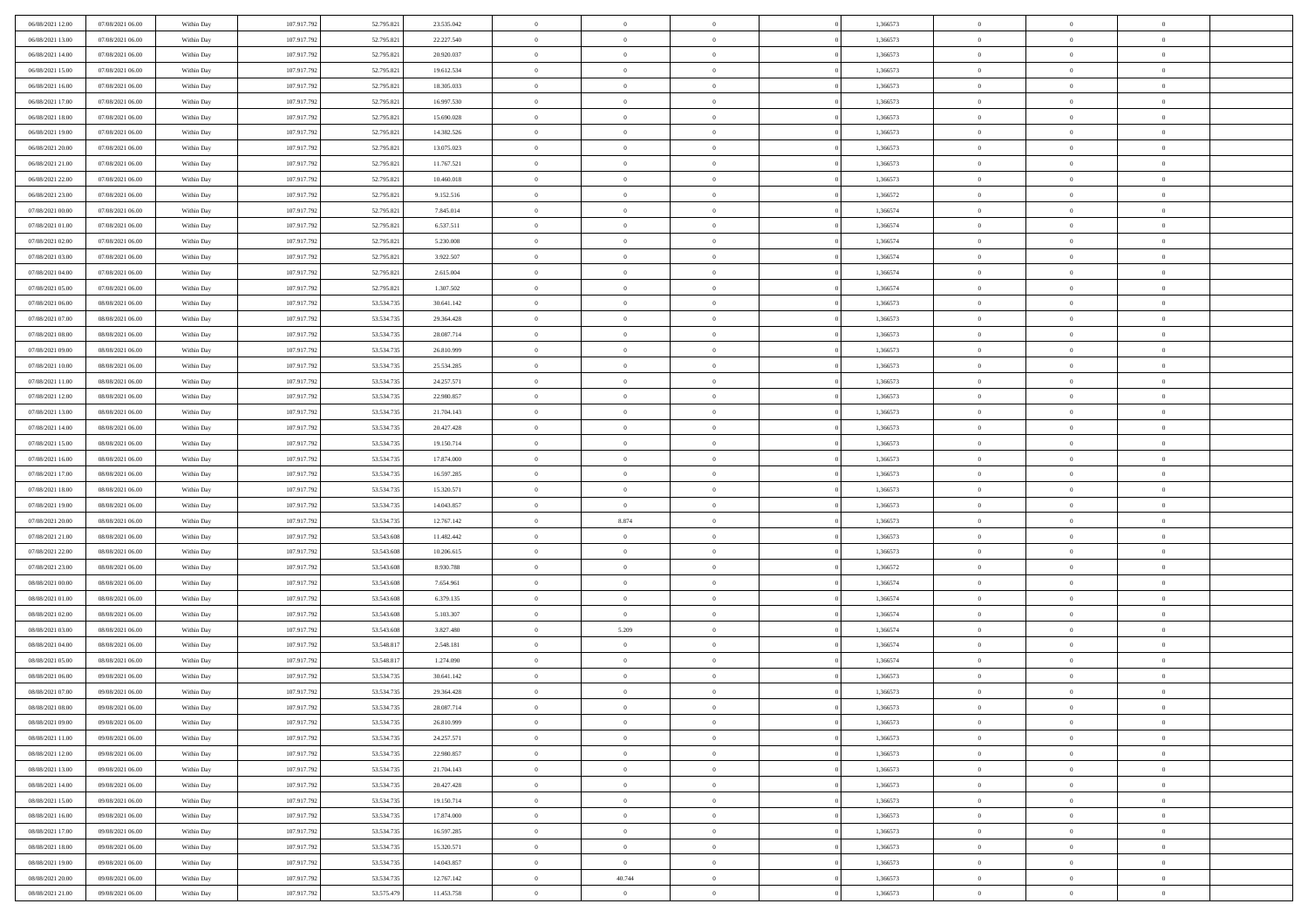| 06/08/2021 12:00 | 07/08/2021 06:00 | Within Day               | 107.917.792 | 52.795.821 | 23.535.042 | $\,$ 0         | $\overline{0}$ | $\theta$       |          | 1,366573 | $\bf{0}$       | $\overline{0}$ | $\,0\,$        |  |
|------------------|------------------|--------------------------|-------------|------------|------------|----------------|----------------|----------------|----------|----------|----------------|----------------|----------------|--|
| 06/08/2021 13:00 | 07/08/2021 06:00 | Within Day               | 107.917.792 | 52.795.821 | 22.227.540 | $\overline{0}$ | $\overline{0}$ | $\Omega$       |          | 1,366573 | $\overline{0}$ | $\overline{0}$ | $\theta$       |  |
| 06/08/2021 14:00 | 07/08/2021 06:00 | Within Dav               | 107.917.792 | 52.795.821 | 20.920.037 | $\mathbf{0}$   | $\overline{0}$ | $\overline{0}$ |          | 1,366573 | $\mathbf{0}$   | $\overline{0}$ | $\overline{0}$ |  |
| 06/08/2021 15:00 | 07/08/2021 06:00 | Within Day               | 107.917.792 | 52.795.821 | 19.612.534 | $\bf{0}$       | $\overline{0}$ | $\bf{0}$       |          | 1,366573 | $\bf{0}$       | $\overline{0}$ | $\,0\,$        |  |
| 06/08/2021 16:00 | 07/08/2021 06:00 | Within Day               | 107.917.792 | 52.795.821 | 18.305.033 | $\bf{0}$       | $\overline{0}$ | $\overline{0}$ |          | 1,366573 | $\bf{0}$       | $\theta$       | $\theta$       |  |
| 06/08/2021 17:00 | 07/08/2021 06:00 | Within Dav               | 107.917.792 | 52.795.821 | 16.997.530 | $\mathbf{0}$   | $\overline{0}$ | $\overline{0}$ |          | 1,366573 | $\mathbf{0}$   | $\overline{0}$ | $\theta$       |  |
| 06/08/2021 18:00 | 07/08/2021 06:00 | Within Day               | 107.917.792 | 52.795.821 | 15.690.028 | $\bf{0}$       | $\overline{0}$ | $\overline{0}$ |          | 1,366573 | $\bf{0}$       | $\overline{0}$ | $\,0\,$        |  |
| 06/08/2021 19:00 | 07/08/2021 06:00 | Within Day               | 107.917.792 | 52.795.821 | 14.382.526 | $\overline{0}$ | $\overline{0}$ | $\overline{0}$ |          | 1,366573 | $\,$ 0 $\,$    | $\overline{0}$ | $\theta$       |  |
| 06/08/2021 20:00 | 07/08/2021 06:00 | Within Day               | 107.917.792 | 52.795.821 | 13.075.023 | $\mathbf{0}$   | $\overline{0}$ | $\overline{0}$ |          | 1,366573 | $\mathbf{0}$   | $\overline{0}$ | $\overline{0}$ |  |
| 06/08/2021 21:00 | 07/08/2021 06:00 | Within Day               | 107.917.792 | 52.795.821 | 11.767.521 | $\bf{0}$       | $\bf{0}$       | $\overline{0}$ |          | 1,366573 | $\bf{0}$       | $\overline{0}$ | $\theta$       |  |
| 06/08/2021 22.00 | 07/08/2021 06:00 | Within Day               | 107.917.792 | 52.795.821 | 10.460.018 | $\overline{0}$ | $\overline{0}$ | $\overline{0}$ |          | 1,366573 | $\bf{0}$       | $\mathbf{0}$   | $\theta$       |  |
| 06/08/2021 23:00 | 07/08/2021 06:00 | Within Dav               | 107.917.792 | 52.795.821 | 9.152.516  | $\mathbf{0}$   | $\overline{0}$ | $\overline{0}$ |          | 1,366572 | $\mathbf{0}$   | $\overline{0}$ | $\overline{0}$ |  |
| 07/08/2021 00:00 | 07/08/2021 06:00 | Within Day               | 107.917.792 | 52.795.821 | 7.845.014  | $\bf{0}$       | $\overline{0}$ | $\bf{0}$       |          | 1,366574 | $\bf{0}$       | $\overline{0}$ | $\,0\,$        |  |
| 07/08/2021 01:00 | 07/08/2021 06:00 | Within Day               | 107.917.792 | 52.795.821 | 6.537.511  | $\bf{0}$       | $\overline{0}$ | $\overline{0}$ |          | 1,366574 | $\bf{0}$       | $\theta$       | $\,0\,$        |  |
| 07/08/2021 02:00 | 07/08/2021 06:00 | Within Dav               | 107.917.792 | 52.795.821 | 5.230.008  | $\mathbf{0}$   | $\overline{0}$ | $\overline{0}$ |          | 1,366574 | $\mathbf{0}$   | $\overline{0}$ | $\overline{0}$ |  |
| 07/08/2021 03:00 | 07/08/2021 06:00 | Within Day               | 107.917.792 | 52.795.821 | 3.922.507  | $\bf{0}$       | $\overline{0}$ | $\overline{0}$ |          | 1,366574 | $\bf{0}$       | $\overline{0}$ | $\,0\,$        |  |
| 07/08/2021 04:00 | 07/08/2021 06:00 |                          | 107.917.792 | 52.795.821 | 2.615.004  | $\overline{0}$ | $\overline{0}$ | $\overline{0}$ |          | 1,366574 | $\bf{0}$       | $\overline{0}$ | $\theta$       |  |
| 07/08/2021 05:00 | 07/08/2021 06:00 | Within Day<br>Within Day | 107.917.792 | 52.795.821 | 1.307.502  | $\mathbf{0}$   | $\overline{0}$ | $\overline{0}$ |          | 1,366574 | $\mathbf{0}$   | $\overline{0}$ | $\overline{0}$ |  |
| 07/08/2021 06:00 | 08/08/2021 06:00 | Within Day               | 107.917.792 | 53.534.735 | 30.641.142 | $\,$ 0         | $\bf{0}$       | $\overline{0}$ |          | 1,366573 | $\bf{0}$       | $\overline{0}$ | $\,0\,$        |  |
| 07/08/2021 07:00 | 08/08/2021 06:00 |                          | 107.917.792 | 53.534.735 | 29.364.428 | $\overline{0}$ | $\overline{0}$ | $\overline{0}$ |          | 1,366573 | $\bf{0}$       | $\overline{0}$ | $\overline{0}$ |  |
| 07/08/2021 08:00 | 08/08/2021 06:00 | Within Day<br>Within Dav | 107.917.792 | 53.534.735 | 28.087.714 | $\mathbf{0}$   | $\overline{0}$ | $\overline{0}$ |          | 1,366573 | $\mathbf{0}$   | $\overline{0}$ | $\overline{0}$ |  |
|                  |                  |                          |             |            |            | $\bf{0}$       |                |                |          |          | $\bf{0}$       |                | $\bf{0}$       |  |
| 07/08/2021 09:00 | 08/08/2021 06:00 | Within Day               | 107.917.792 | 53.534.735 | 26.810.999 |                | $\bf{0}$       | $\bf{0}$       |          | 1,366573 |                | $\overline{0}$ |                |  |
| 07/08/2021 10:00 | 08/08/2021 06:00 | Within Day               | 107.917.792 | 53.534.735 | 25.534.285 | $\bf{0}$       | $\bf{0}$       | $\overline{0}$ |          | 1,366573 | $\bf{0}$       | $\bf{0}$       | $\,0\,$        |  |
| 07/08/2021 11:00 | 08/08/2021 06:00 | Within Dav               | 107.917.792 | 53.534.735 | 24.257.571 | $\mathbf{0}$   | $\overline{0}$ | $\overline{0}$ |          | 1,366573 | $\mathbf{0}$   | $\overline{0}$ | $\theta$       |  |
| 07/08/2021 12:00 | 08/08/2021 06:00 | Within Day               | 107.917.792 | 53.534.735 | 22.980.857 | $\bf{0}$       | $\bf{0}$       | $\overline{0}$ |          | 1,366573 | $\bf{0}$       | $\overline{0}$ | $\,0\,$        |  |
| 07/08/2021 13:00 | 08/08/2021 06:00 | Within Day               | 107.917.792 | 53.534.735 | 21.704.143 | $\overline{0}$ | $\overline{0}$ | $\overline{0}$ |          | 1,366573 | $\bf{0}$       | $\overline{0}$ | $\overline{0}$ |  |
| 07/08/2021 14:00 | 08/08/2021 06:00 | Within Dav               | 107.917.792 | 53.534.735 | 20.427.428 | $\mathbf{0}$   | $\overline{0}$ | $\overline{0}$ |          | 1,366573 | $\mathbf{0}$   | $\overline{0}$ | $\overline{0}$ |  |
| 07/08/2021 15:00 | 08/08/2021 06:00 | Within Day               | 107.917.792 | 53.534.735 | 19.150.714 | $\bf{0}$       | $\bf{0}$       | $\overline{0}$ |          | 1,366573 | $\bf{0}$       | $\overline{0}$ | $\,0\,$        |  |
| 07/08/2021 16:00 | 08/08/2021 06:00 | Within Day               | 107.917.792 | 53.534.735 | 17.874.000 | $\bf{0}$       | $\overline{0}$ | $\overline{0}$ |          | 1,366573 | $\bf{0}$       | $\mathbf{0}$   | $\overline{0}$ |  |
| 07/08/2021 17:00 | 08/08/2021 06:00 | Within Dav               | 107.917.792 | 53.534.735 | 16.597.285 | $\mathbf{0}$   | $\overline{0}$ | $\overline{0}$ |          | 1,366573 | $\mathbf{0}$   | $\overline{0}$ | $\overline{0}$ |  |
| 07/08/2021 18:00 | 08/08/2021 06:00 | Within Day               | 107.917.792 | 53.534.735 | 15.320.571 | $\bf{0}$       | $\overline{0}$ | $\theta$       |          | 1,366573 | $\,$ 0         | $\overline{0}$ | $\theta$       |  |
| 07/08/2021 19:00 | 08/08/2021 06:00 | Within Day               | 107.917.792 | 53.534.735 | 14.043.857 | $\bf{0}$       | $\overline{0}$ | $\overline{0}$ |          | 1,366573 | $\bf{0}$       | $\mathbf{0}$   | $\overline{0}$ |  |
| 07/08/2021 20:00 | 08/08/2021 06:00 | Within Dav               | 107.917.792 | 53.534.735 | 12.767.142 | $\mathbf{0}$   | 8.874          | $\overline{0}$ |          | 1,366573 | $\mathbf{0}$   | $\overline{0}$ | $\overline{0}$ |  |
| 07/08/2021 21:00 | 08/08/2021 06:00 | Within Day               | 107.917.792 | 53.543.608 | 11.482.442 | $\bf{0}$       | $\overline{0}$ | $\theta$       |          | 1,366573 | $\,$ 0         | $\overline{0}$ | $\theta$       |  |
| 07/08/2021 22:00 | 08/08/2021 06:00 | Within Day               | 107.917.792 | 53.543.608 | 10.206.615 | $\overline{0}$ | $\overline{0}$ | $\overline{0}$ |          | 1,366573 | $\bf{0}$       | $\overline{0}$ | $\overline{0}$ |  |
| 07/08/2021 23:00 | 08/08/2021 06:00 | Within Day               | 107.917.792 | 53.543.608 | 8.930.788  | $\mathbf{0}$   | $\overline{0}$ | $\overline{0}$ |          | 1,366572 | $\mathbf{0}$   | $\overline{0}$ | $\overline{0}$ |  |
| 08/08/2021 00:00 | 08/08/2021 06:00 | Within Day               | 107.917.792 | 53.543.608 | 7.654.961  | $\bf{0}$       | $\overline{0}$ | $\theta$       |          | 1,366574 | $\,$ 0         | $\overline{0}$ | $\theta$       |  |
| 08/08/2021 01:00 | 08/08/2021 06:00 | Within Day               | 107.917.792 | 53.543.608 | 6.379.135  | $\bf{0}$       | $\overline{0}$ | $\overline{0}$ |          | 1,366574 | $\bf{0}$       | $\mathbf{0}$   | $\overline{0}$ |  |
| 08/08/2021 02:00 | 08/08/2021 06:00 | Within Dav               | 107.917.792 | 53.543.608 | 5.103.307  | $\mathbf{0}$   | $\overline{0}$ | $\overline{0}$ |          | 1,366574 | $\mathbf{0}$   | $\overline{0}$ | $\overline{0}$ |  |
| 08/08/2021 03:00 | 08/08/2021 06:00 | Within Day               | 107.917.792 | 53.543.608 | 3.827.480  | $\,0\,$        | 5.209          | $\theta$       |          | 1,366574 | $\,$ 0         | $\overline{0}$ | $\theta$       |  |
| 08/08/2021 04:00 | 08/08/2021 06:00 | Within Day               | 107.917.792 | 53.548.817 | 2.548.181  | $\bf{0}$       | $\overline{0}$ | $\overline{0}$ |          | 1,366574 | $\bf{0}$       | $\overline{0}$ | $\overline{0}$ |  |
| 08/08/2021 05:00 | 08/08/2021 06:00 | Within Dav               | 107.917.792 | 53.548.817 | 1.274.090  | $\mathbf{0}$   | $\overline{0}$ | $\overline{0}$ |          | 1,366574 | $\mathbf{0}$   | $\overline{0}$ | $\overline{0}$ |  |
| 08/08/2021 06:00 | 09/08/2021 06:00 | Within Day               | 107.917.792 | 53.534.735 | 30.641.142 | $\bf{0}$       | $\overline{0}$ | $\theta$       |          | 1,366573 | $\,$ 0         | $\overline{0}$ | $\theta$       |  |
| 08/08/2021 07:00 | 09/08/2021 06:00 | Within Day               | 107.917.792 | 53.534.735 | 29.364.428 | $\bf{0}$       | $\overline{0}$ | $\overline{0}$ |          | 1,366573 | $\,$ 0 $\,$    | $\overline{0}$ | $\overline{0}$ |  |
| 08/08/2021 08:00 | 09/08/2021 06:00 | Within Day               | 107.917.792 | 53.534.735 | 28.087.714 | $\bf{0}$       | $\overline{0}$ | $\Omega$       |          | 1,366573 | $\overline{0}$ | $\theta$       | $\theta$       |  |
| 08/08/2021 09:00 | 09/08/2021 06:00 | Within Day               | 107.917.792 | 53.534.735 | 26.810.999 | $\,0\,$        | $\overline{0}$ | $\theta$       |          | 1,366573 | $\,$ 0 $\,$    | $\overline{0}$ | $\theta$       |  |
| 08/08/2021 11:00 | 09/08/2021 06:00 | Within Day               | 107.917.792 | 53.534.735 | 24.257.571 | $\overline{0}$ | $\overline{0}$ | $\overline{0}$ |          | 1,366573 | $\overline{0}$ | $\overline{0}$ | $\overline{0}$ |  |
| 08/08/2021 12:00 | 09/08/2021 06:00 | Within Day               | 107.917.792 | 53.534.735 | 22.980.857 | $\bf{0}$       | $\overline{0}$ | $\overline{0}$ |          | 1,366573 | $\overline{0}$ | $\bf{0}$       | $\mathbf{0}$   |  |
| 08/08/2021 13:00 | 09/08/2021 06:00 | Within Day               | 107.917.792 | 53.534.735 | 21.704.143 | $\bf{0}$       | $\overline{0}$ | $\overline{0}$ | $\theta$ | 1,366573 | $\,$ 0 $\,$    | $\bf{0}$       | $\overline{0}$ |  |
| 08/08/2021 14:00 | 09/08/2021 06:00 | Within Day               | 107.917.792 | 53.534.735 | 20.427.428 | $\bf{0}$       | $\overline{0}$ | $\overline{0}$ |          | 1,366573 | $\,$ 0 $\,$    | $\overline{0}$ | $\overline{0}$ |  |
| 08/08/2021 15:00 | 09/08/2021 06:00 | Within Day               | 107.917.792 | 53.534.735 | 19.150.714 | $\bf{0}$       | $\overline{0}$ | $\overline{0}$ |          | 1,366573 | $\mathbf{0}$   | $\overline{0}$ | $\overline{0}$ |  |
| 08/08/2021 16:00 | 09/08/2021 06:00 | Within Day               | 107.917.792 | 53.534.735 | 17.874.000 | $\,0\,$        | $\overline{0}$ | $\overline{0}$ | $\theta$ | 1,366573 | $\,$ 0 $\,$    | $\overline{0}$ | $\overline{0}$ |  |
| 08/08/2021 17:00 | 09/08/2021 06:00 | Within Day               | 107.917.792 | 53.534.735 | 16.597.285 | $\bf{0}$       | $\overline{0}$ | $\overline{0}$ |          | 1,366573 | $\overline{0}$ | $\overline{0}$ | $\overline{0}$ |  |
| 08/08/2021 18:00 | 09/08/2021 06:00 | Within Day               | 107.917.792 | 53.534.735 | 15.320.571 | $\bf{0}$       | $\overline{0}$ | $\overline{0}$ |          | 1,366573 | $\mathbf{0}$   | $\overline{0}$ | $\mathbf{0}$   |  |
| 08/08/2021 19:00 | 09/08/2021 06:00 | Within Day               | 107.917.792 | 53.534.735 | 14.043.857 | $\,0\,$        | $\overline{0}$ | $\overline{0}$ |          | 1,366573 | $\,$ 0 $\,$    | $\overline{0}$ | $\theta$       |  |
| 08/08/2021 20:00 | 09/08/2021 06:00 | Within Day               | 107.917.792 | 53.534.735 | 12.767.142 | $\bf{0}$       | 40.744         | $\overline{0}$ |          | 1,366573 | $\bf{0}$       | $\mathbf{0}$   | $\overline{0}$ |  |
| 08/08/2021 21:00 | 09/08/2021 06:00 | Within Day               | 107.917.792 | 53.575.479 | 11.453.758 | $\mathbf{0}$   | $\overline{0}$ | $\overline{0}$ |          | 1,366573 | $\mathbf{0}$   | $\overline{0}$ | $\overline{0}$ |  |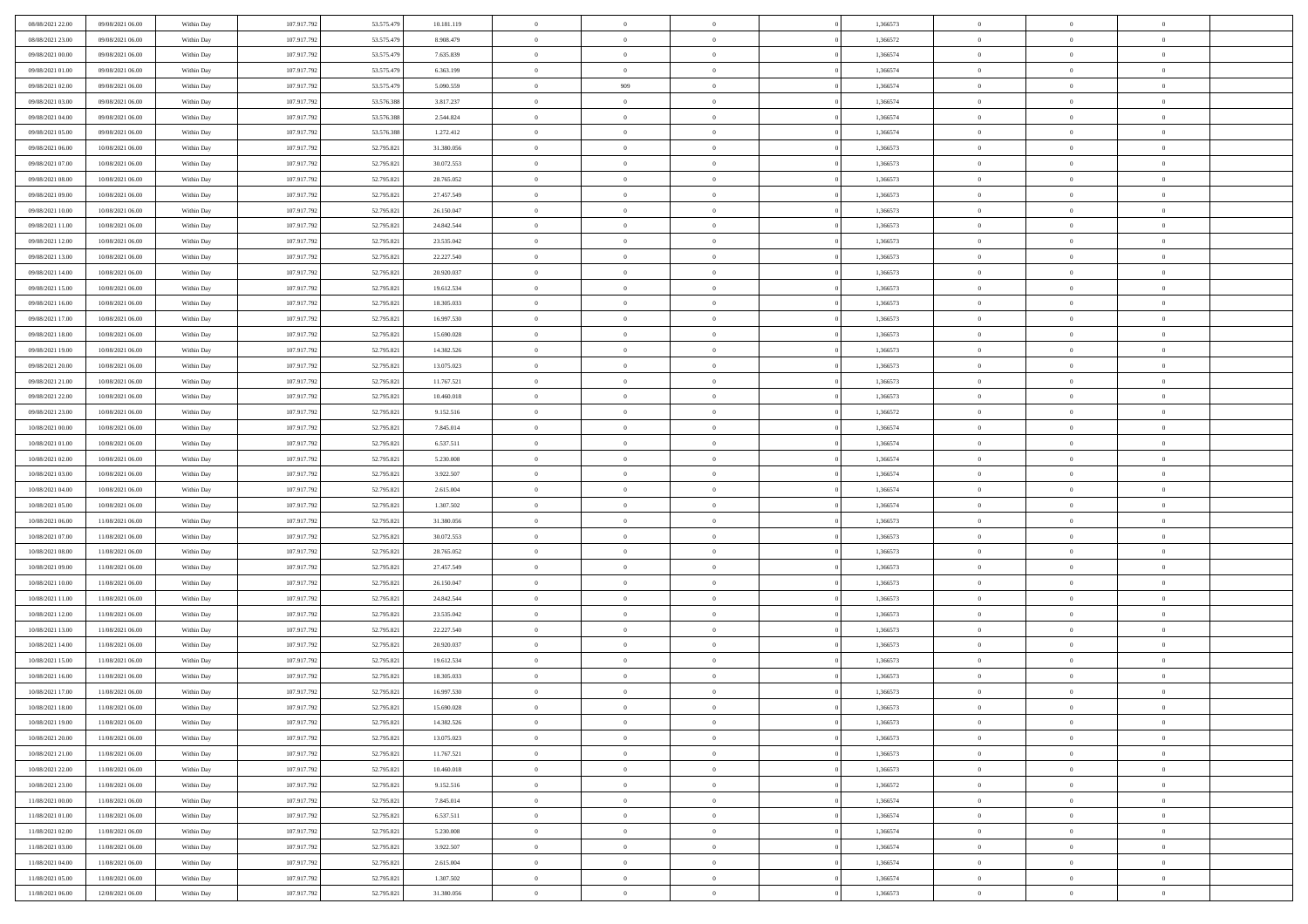| 08/08/2021 22:00 | 09/08/2021 06:00 | Within Day | 107.917.792 | 53.575.479 | 10.181.119 | $\overline{0}$ | $\overline{0}$ | $\Omega$       | 1,366573 | $\bf{0}$       | $\mathbf{0}$   | $\theta$       |  |
|------------------|------------------|------------|-------------|------------|------------|----------------|----------------|----------------|----------|----------------|----------------|----------------|--|
| 08/08/2021 23:00 | 09/08/2021 06:00 | Within Day | 107.917.792 | 53.575.479 | 8.908.479  | $\mathbf{0}$   | $\overline{0}$ | $\overline{0}$ | 1,366572 | $\overline{0}$ | $\overline{0}$ | $\theta$       |  |
| 09/08/2021 00:00 | 09/08/2021 06:00 | Within Day | 107.917.792 | 53.575.479 | 7.635.839  | $\,$ 0         | $\overline{0}$ | $\bf{0}$       | 1,366574 | $\,$ 0         | $\overline{0}$ | $\,$ 0 $\,$    |  |
| 09/08/2021 01:00 | 09/08/2021 06:00 | Within Day | 107.917.792 | 53.575.479 | 6.363.199  | $\bf{0}$       | $\overline{0}$ | $\Omega$       | 1.366574 | $\bf{0}$       | $\theta$       | $\theta$       |  |
| 09/08/2021 02:00 | 09/08/2021 06:00 | Within Dav | 107.917.792 | 53.575.479 | 5.090.559  | $\bf{0}$       | 909            | $\overline{0}$ | 1,366574 | $\mathbf{0}$   | $\overline{0}$ | $\overline{0}$ |  |
| 09/08/2021 03:00 | 09/08/2021 06:00 | Within Day | 107.917.792 | 53.576.388 | 3.817.237  | $\bf{0}$       | $\overline{0}$ | $\bf{0}$       | 1,366574 | $\,$ 0         | $\overline{0}$ | $\,$ 0 $\,$    |  |
| 09/08/2021 04:00 | 09/08/2021 06:00 | Within Day | 107.917.792 | 53.576.388 | 2.544.824  | $\bf{0}$       | $\overline{0}$ | $\Omega$       | 1,366574 | $\theta$       | $\mathbf{0}$   | $\theta$       |  |
| 09/08/2021 05:00 | 09/08/2021 06:00 | Within Dav | 107.917.792 | 53.576.388 | 1.272.412  | $\overline{0}$ | $\overline{0}$ | $\overline{0}$ | 1,366574 | $\mathbf{0}$   | $\overline{0}$ | $\overline{0}$ |  |
| 09/08/2021 06:00 | 10/08/2021 06:00 | Within Day | 107.917.792 | 52.795.821 | 31.380.056 | $\bf{0}$       | $\overline{0}$ | $\bf{0}$       | 1,366573 | $\,$ 0         | $\overline{0}$ | $\,$ 0 $\,$    |  |
| 09/08/2021 07:00 | 10/08/2021 06:00 | Within Day | 107.917.792 | 52.795.821 | 30.072.553 | $\bf{0}$       | $\overline{0}$ | $\Omega$       | 1,366573 | $\bf{0}$       | $\mathbf{0}$   | $\theta$       |  |
| 09/08/2021 08:00 | 10/08/2021 06:00 | Within Day | 107.917.792 | 52.795.821 | 28.765.052 | $\overline{0}$ | $\overline{0}$ | $\overline{0}$ | 1,366573 | $\overline{0}$ | $\overline{0}$ | $\overline{0}$ |  |
| 09/08/2021 09:00 | 10/08/2021 06:00 | Within Day | 107.917.792 | 52.795.821 | 27.457.549 | $\,$ 0         | $\overline{0}$ | $\bf{0}$       | 1,366573 | $\,$ 0         | $\overline{0}$ | $\,$ 0 $\,$    |  |
| 09/08/2021 10:00 | 10/08/2021 06:00 | Within Day | 107.917.792 | 52.795.821 | 26.150.047 | $\bf{0}$       | $\overline{0}$ | $\Omega$       | 1,366573 | $\overline{0}$ | $\theta$       | $\theta$       |  |
| 09/08/2021 11:00 | 10/08/2021 06:00 | Within Dav | 107.917.792 | 52.795.821 | 24.842.544 | $\overline{0}$ | $\overline{0}$ | $\overline{0}$ | 1,366573 | $\mathbf{0}$   | $\overline{0}$ | $\overline{0}$ |  |
| 09/08/2021 12:00 | 10/08/2021 06:00 | Within Day | 107.917.792 | 52.795.821 | 23.535.042 | $\bf{0}$       | $\overline{0}$ | $\bf{0}$       | 1,366573 | $\,$ 0         | $\overline{0}$ | $\,$ 0 $\,$    |  |
| 09/08/2021 13:00 | 10/08/2021 06:00 | Within Day | 107.917.792 | 52.795.821 | 22.227.540 | $\bf{0}$       | $\overline{0}$ | $\overline{0}$ | 1,366573 | $\bf{0}$       | $\mathbf{0}$   | $\theta$       |  |
| 09/08/2021 14:00 | 10/08/2021 06:00 | Within Dav | 107.917.792 | 52.795.821 | 20.920.037 | $\overline{0}$ | $\overline{0}$ | $\overline{0}$ | 1,366573 | $\mathbf{0}$   | $\overline{0}$ | $\overline{0}$ |  |
| 09/08/2021 15:00 | 10/08/2021 06:00 | Within Day | 107.917.792 | 52.795.821 | 19.612.534 | $\bf{0}$       | $\overline{0}$ | $\bf{0}$       | 1,366573 | $\,$ 0         | $\overline{0}$ | $\,0\,$        |  |
| 09/08/2021 16:00 | 10/08/2021 06:00 | Within Day | 107.917.792 | 52.795.821 | 18.305.033 | $\bf{0}$       | $\overline{0}$ | $\Omega$       | 1,366573 | $\theta$       | $\mathbf{0}$   | $\theta$       |  |
| 09/08/2021 17:00 | 10/08/2021 06:00 | Within Day | 107.917.792 | 52.795.821 | 16.997.530 | $\overline{0}$ | $\overline{0}$ | $\overline{0}$ | 1,366573 | $\mathbf{0}$   | $\overline{0}$ | $\overline{0}$ |  |
| 09/08/2021 18:00 | 10/08/2021 06:00 | Within Day | 107.917.792 | 52.795.821 | 15.690.028 | $\bf{0}$       | $\overline{0}$ | $\bf{0}$       | 1,366573 | $\,$ 0         | $\overline{0}$ | $\,$ 0 $\,$    |  |
| 09/08/2021 19:00 | 10/08/2021 06:00 | Within Day | 107.917.792 | 52.795.821 | 14.382.526 | $\bf{0}$       | $\overline{0}$ | $\Omega$       | 1,366573 | $\bf{0}$       | $\theta$       | $\theta$       |  |
| 09/08/2021 20:00 | 10/08/2021 06:00 | Within Dav | 107.917.792 | 52.795.821 | 13.075.023 | $\overline{0}$ | $\overline{0}$ | $\overline{0}$ | 1,366573 | $\mathbf{0}$   | $\overline{0}$ | $\overline{0}$ |  |
| 09/08/2021 21:00 | 10/08/2021 06:00 | Within Day | 107.917.792 | 52.795.821 | 11.767.521 | $\bf{0}$       | $\overline{0}$ | $\bf{0}$       | 1,366573 | $\,$ 0         | $\overline{0}$ | $\,$ 0 $\,$    |  |
| 09/08/2021 22.00 | 10/08/2021 06:00 | Within Day | 107.917.792 | 52.795.821 | 10.460.018 | $\bf{0}$       | $\overline{0}$ | $\overline{0}$ | 1,366573 | $\bf{0}$       | $\mathbf{0}$   | $\theta$       |  |
| 09/08/2021 23:00 | 10/08/2021 06:00 | Within Day | 107.917.792 | 52.795.821 | 9.152.516  | $\overline{0}$ | $\overline{0}$ | $\overline{0}$ | 1,366572 | $\overline{0}$ | $\overline{0}$ | $\overline{0}$ |  |
| 10/08/2021 00:00 | 10/08/2021 06:00 | Within Day | 107.917.792 | 52.795.821 | 7.845.014  | $\bf{0}$       | $\overline{0}$ | $\bf{0}$       | 1,366574 | $\,$ 0         | $\overline{0}$ | $\,$ 0 $\,$    |  |
| 10/08/2021 01:00 | 10/08/2021 06:00 | Within Day | 107.917.792 | 52.795.821 | 6.537.511  | $\bf{0}$       | $\overline{0}$ | $\Omega$       | 1,366574 | $\bf{0}$       | $\mathbf{0}$   | $\theta$       |  |
| 10/08/2021 02:00 | 10/08/2021 06:00 | Within Day | 107.917.792 | 52.795.821 | 5.230.008  | $\overline{0}$ | $\overline{0}$ | $\overline{0}$ | 1,366574 | $\mathbf{0}$   | $\overline{0}$ | $\overline{0}$ |  |
| 10/08/2021 03:00 | 10/08/2021 06:00 | Within Day | 107.917.792 | 52.795.821 | 3.922.507  | $\bf{0}$       | $\overline{0}$ | $\bf{0}$       | 1,366574 | $\,$ 0         | $\overline{0}$ | $\,$ 0 $\,$    |  |
| 10/08/2021 04:00 | 10/08/2021 06:00 | Within Day | 107.917.792 | 52.795.821 | 2.615.004  | $\,$ 0         | $\bf{0}$       | $\overline{0}$ | 1,366574 | $\bf{0}$       | $\overline{0}$ | $\,0\,$        |  |
| 10/08/2021 05:00 | 10/08/2021 06:00 | Within Dav | 107.917.792 | 52.795.821 | 1.307.502  | $\overline{0}$ | $\overline{0}$ | $\overline{0}$ | 1,366574 | $\mathbf{0}$   | $\overline{0}$ | $\overline{0}$ |  |
| 10/08/2021 06:00 | 11/08/2021 06:00 | Within Day | 107.917.792 | 52.795.821 | 31.380.056 | $\bf{0}$       | $\overline{0}$ | $\bf{0}$       | 1,366573 | $\,$ 0         | $\overline{0}$ | $\,$ 0 $\,$    |  |
| 10/08/2021 07:00 | 11/08/2021 06:00 | Within Day | 107.917.792 | 52.795.821 | 30.072.553 | $\bf{0}$       | $\bf{0}$       | $\bf{0}$       | 1,366573 | $\bf{0}$       | $\overline{0}$ | $\,0\,$        |  |
| 10/08/2021 08:00 | 11/08/2021 06:00 | Within Day | 107.917.792 | 52.795.821 | 28.765.052 | $\overline{0}$ | $\overline{0}$ | $\overline{0}$ | 1,366573 | $\overline{0}$ | $\overline{0}$ | $\overline{0}$ |  |
| 10/08/2021 09:00 | 11/08/2021 06:00 | Within Day | 107.917.792 | 52.795.821 | 27.457.549 | $\bf{0}$       | $\overline{0}$ | $\bf{0}$       | 1,366573 | $\,$ 0         | $\overline{0}$ | $\,$ 0 $\,$    |  |
| 10/08/2021 10:00 | 11/08/2021 06:00 | Within Day | 107.917.792 | 52.795.821 | 26.150.047 | $\,$ 0         | $\bf{0}$       | $\theta$       | 1,366573 | $\bf{0}$       | $\overline{0}$ | $\,0\,$        |  |
| 10/08/2021 11:00 | 11/08/2021 06:00 | Within Day | 107.917.792 | 52.795.821 | 24.842.544 | $\overline{0}$ | $\overline{0}$ | $\overline{0}$ | 1,366573 | $\mathbf{0}$   | $\overline{0}$ | $\overline{0}$ |  |
| 10/08/2021 12:00 | 11/08/2021 06:00 | Within Day | 107.917.792 | 52.795.821 | 23.535.042 | $\bf{0}$       | $\overline{0}$ | $\bf{0}$       | 1,366573 | $\,$ 0         | $\overline{0}$ | $\,$ 0 $\,$    |  |
| 10/08/2021 13:00 | 11/08/2021 06:00 | Within Day | 107.917.792 | 52.795.821 | 22.227.540 | $\bf{0}$       | $\bf{0}$       | $\overline{0}$ | 1,366573 | $\bf{0}$       | $\overline{0}$ | $\,0\,$        |  |
| 10/08/2021 14:00 | 11/08/2021 06:00 | Within Dav | 107.917.792 | 52.795.821 | 20.920.037 | $\overline{0}$ | $\overline{0}$ | $\overline{0}$ | 1,366573 | $\overline{0}$ | $\overline{0}$ | $\overline{0}$ |  |
| 10/08/2021 15:00 | 11/08/2021 06:00 | Within Day | 107.917.792 | 52.795.821 | 19.612.534 | $\bf{0}$       | $\overline{0}$ | $\bf{0}$       | 1,366573 | $\,$ 0         | $\overline{0}$ | $\,$ 0 $\,$    |  |
| 10/08/2021 16:00 | 11/08/2021 06:00 | Within Day | 107.917.792 | 52.795.821 | 18.305.033 | $\bf{0}$       | $\overline{0}$ | $\bf{0}$       | 1,366573 | $\bf{0}$       | $\overline{0}$ | $\,0\,$        |  |
| 10/08/2021 17:00 | 11/08/2021 06:00 | Within Day | 107.917.792 | 52.795.821 | 16.997.530 | $\mathbf{0}$   | $\overline{0}$ | $\overline{0}$ | 1,366573 | $\mathbf{0}$   | $\overline{0}$ | $\overline{0}$ |  |
| 10/08/2021 18:00 | 11/08/2021 06:00 | Within Day | 107.917.792 | 52.795.821 | 15.690.028 | $\bf{0}$       | $\overline{0}$ | $\theta$       | 1,366573 | $\overline{0}$ | $\theta$       | $\theta$       |  |
| 10/08/2021 19:00 | 11/08/2021 06:00 | Within Day | 107.917.792 | 52.795.821 | 14.382.526 | $\bf{0}$       | $\overline{0}$ | $\bf{0}$       | 1,366573 | $\bf{0}$       | $\overline{0}$ | $\bf{0}$       |  |
| 10/08/2021 20:00 | 11/08/2021 06:00 | Within Day | 107.917.792 | 52.795.821 | 13.075.023 | $\overline{0}$ | $\overline{0}$ | $\overline{0}$ | 1,366573 | $\overline{0}$ | $\overline{0}$ | $\overline{0}$ |  |
| 10/08/2021 21:00 | 11/08/2021 06:00 | Within Day | 107.917.792 | 52.795.821 | 11.767.521 | $\,$ 0 $\,$    | $\overline{0}$ | $\overline{0}$ | 1,366573 | $\mathbf{0}$   | $\,$ 0 $\,$    | $\,$ 0 $\,$    |  |
| 10/08/2021 22:00 | 11/08/2021 06:00 | Within Day | 107.917.792 | 52.795.821 | 10.460.018 | $\bf{0}$       | $\overline{0}$ | $\overline{0}$ | 1,366573 | $\bf{0}$       | $\overline{0}$ | $\bf{0}$       |  |
| 10/08/2021 23:00 | 11/08/2021 06:00 | Within Day | 107.917.792 | 52.795.821 | 9.152.516  | $\bf{0}$       | $\overline{0}$ | $\overline{0}$ | 1,366572 | $\overline{0}$ | $\overline{0}$ | $\overline{0}$ |  |
| 11/08/2021 00:00 | 11/08/2021 06:00 | Within Day | 107.917.792 | 52.795.821 | 7.845.014  | $\,$ 0 $\,$    | $\overline{0}$ | $\overline{0}$ | 1,366574 | $\,$ 0 $\,$    | $\overline{0}$ | $\,$ 0 $\,$    |  |
| 11/08/2021 01:00 | 11/08/2021 06:00 | Within Day | 107.917.792 | 52.795.821 | 6.537.511  | $\overline{0}$ | $\overline{0}$ | $\overline{0}$ | 1,366574 | $\bf{0}$       | $\overline{0}$ | $\overline{0}$ |  |
| 11/08/2021 02:00 | 11/08/2021 06:00 | Within Day | 107.917.792 | 52.795.821 | 5.230.008  | $\overline{0}$ | $\overline{0}$ | $\overline{0}$ | 1,366574 | $\overline{0}$ | $\bf{0}$       | $\overline{0}$ |  |
| 11/08/2021 03:00 | 11/08/2021 06:00 | Within Day | 107.917.792 | 52.795.821 | 3.922.507  | $\,$ 0 $\,$    | $\overline{0}$ | $\overline{0}$ | 1,366574 | $\mathbf{0}$   | $\,$ 0 $\,$    | $\,$ 0 $\,$    |  |
| 11/08/2021 04:00 | 11/08/2021 06:00 | Within Day | 107.917.792 | 52.795.821 | 2.615.004  | $\bf{0}$       | $\overline{0}$ | $\overline{0}$ | 1,366574 | $\bf{0}$       | $\overline{0}$ | $\bf{0}$       |  |
| 11/08/2021 05:00 | 11/08/2021 06:00 | Within Day | 107.917.792 | 52.795.821 | 1.307.502  | $\bf{0}$       | $\overline{0}$ | $\overline{0}$ | 1,366574 | $\mathbf{0}$   | $\bf{0}$       | $\overline{0}$ |  |
| 11/08/2021 06:00 | 12/08/2021 06:00 | Within Day | 107.917.792 | 52.795.821 | 31.380.056 | $\,0\,$        | $\overline{0}$ | $\overline{0}$ | 1,366573 | $\,$ 0         | $\overline{0}$ | $\,$ 0 $\,$    |  |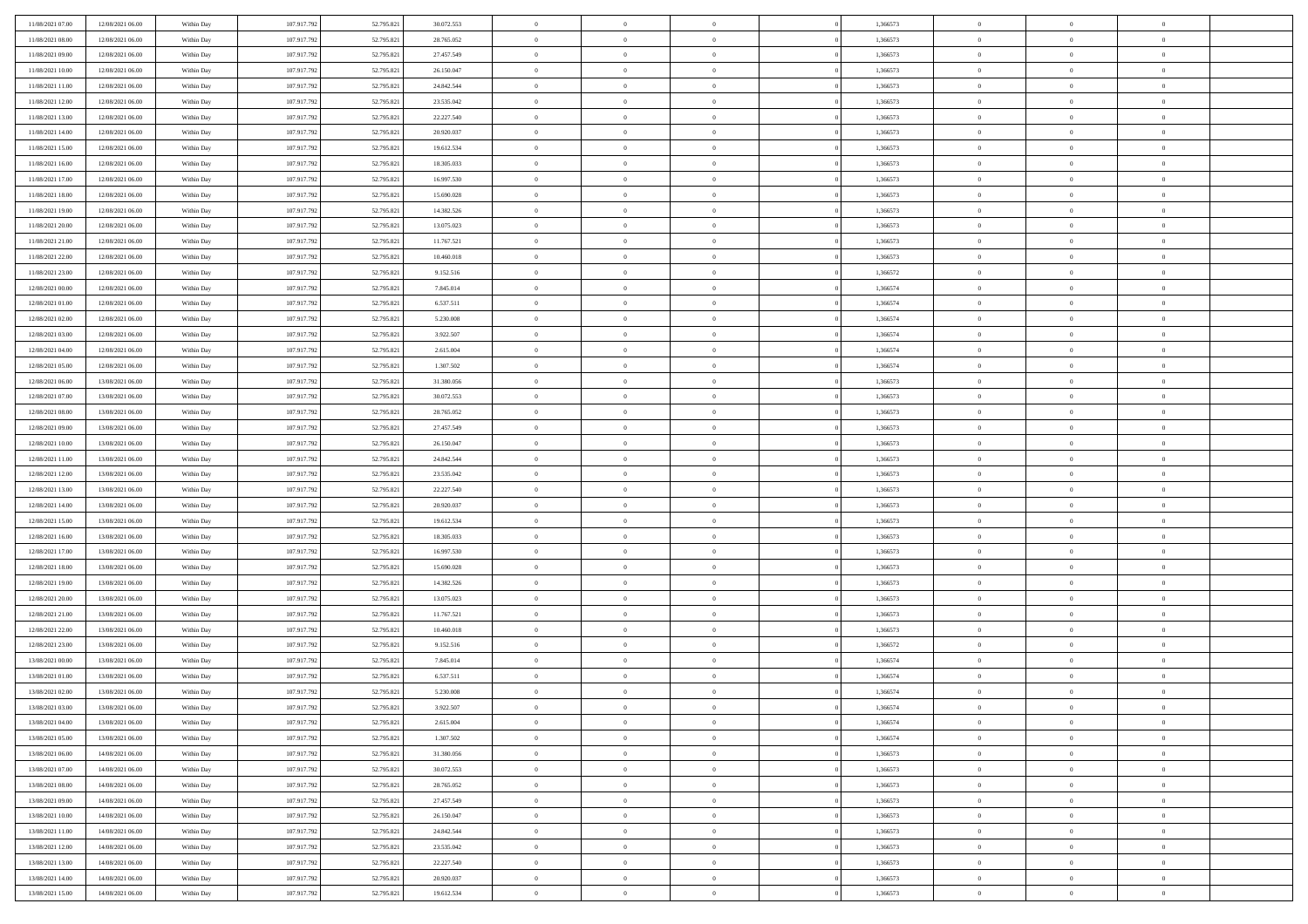| 11/08/2021 07:00 | 12/08/2021 06:00 | Within Day | 107.917.792 | 52.795.821 | 30.072.553 | $\,$ 0 $\,$    | $\overline{0}$ | $\overline{0}$ | 1,366573 | $\bf{0}$       | $\overline{0}$ | $\,0\,$        |  |
|------------------|------------------|------------|-------------|------------|------------|----------------|----------------|----------------|----------|----------------|----------------|----------------|--|
| 11/08/2021 08:00 | 12/08/2021 06:00 | Within Day | 107.917.792 | 52.795.821 | 28.765.052 | $\theta$       | $\overline{0}$ | $\mathbf{0}$   | 1,366573 | $\theta$       | $\overline{0}$ | $\theta$       |  |
| 11/08/2021 09:00 | 12/08/2021 06:00 | Within Dav | 107.917.792 | 52.795.821 | 27.457.549 | $\theta$       | $\overline{0}$ | $\overline{0}$ | 1,366573 | $\mathbf{0}$   | $\overline{0}$ | $\overline{0}$ |  |
| 11/08/2021 10:00 | 12/08/2021 06:00 | Within Day | 107.917.792 | 52.795.821 | 26.150.047 | $\,$ 0 $\,$    | $\overline{0}$ | $\overline{0}$ | 1,366573 | $\bf{0}$       | $\overline{0}$ | $\bf{0}$       |  |
| 11/08/2021 11:00 | 12/08/2021 06:00 | Within Day | 107.917.792 | 52.795.821 | 24.842.544 | $\bf{0}$       | $\overline{0}$ | $\mathbf{0}$   | 1,366573 | $\bf{0}$       | $\theta$       | $\,0\,$        |  |
| 11/08/2021 12:00 | 12/08/2021 06:00 | Within Day | 107.917.792 | 52.795.821 | 23.535.042 | $\theta$       | $\overline{0}$ | $\mathbf{0}$   | 1,366573 | $\mathbf{0}$   | $\overline{0}$ | $\overline{0}$ |  |
| 11/08/2021 13:00 | 12/08/2021 06:00 | Within Day | 107.917.792 | 52.795.821 | 22.227.540 | $\,$ 0 $\,$    | $\overline{0}$ | $\overline{0}$ | 1,366573 | $\bf{0}$       | $\overline{0}$ | $\,0\,$        |  |
| 11/08/2021 14:00 | 12/08/2021 06:00 | Within Day | 107.917.792 | 52.795.821 | 20.920.037 | $\overline{0}$ | $\overline{0}$ | $\mathbf{0}$   | 1,366573 | $\,$ 0 $\,$    | $\overline{0}$ | $\theta$       |  |
| 11/08/2021 15:00 | 12/08/2021 06:00 | Within Day | 107.917.792 | 52.795.821 | 19.612.534 | $\theta$       | $\overline{0}$ | $\mathbf{0}$   | 1,366573 | $\mathbf{0}$   | $\bf{0}$       | $\overline{0}$ |  |
| 11/08/2021 16:00 | 12/08/2021 06:00 | Within Day | 107.917.792 | 52.795.821 | 18.305.033 | $\,$ 0 $\,$    | $\overline{0}$ | $\Omega$       | 1,366573 | $\bf{0}$       | $\overline{0}$ | $\,0\,$        |  |
| 11/08/2021 17:00 | 12/08/2021 06:00 | Within Day | 107.917.792 | 52.795.821 | 16.997.530 | $\bf{0}$       | $\overline{0}$ | $\mathbf{0}$   | 1,366573 | $\bf{0}$       | $\mathbf{0}$   | $\theta$       |  |
| 11/08/2021 18:00 | 12/08/2021 06:00 | Within Day | 107.917.792 | 52.795.821 | 15.690.028 | $\theta$       | $\overline{0}$ | $\overline{0}$ | 1,366573 | $\mathbf{0}$   | $\overline{0}$ | $\overline{0}$ |  |
| 11/08/2021 19:00 | 12/08/2021 06:00 | Within Day | 107.917.792 | 52.795.821 | 14.382.526 | $\,$ 0 $\,$    | $\overline{0}$ | $\overline{0}$ | 1,366573 | $\bf{0}$       | $\overline{0}$ | $\bf{0}$       |  |
| 11/08/2021 20:00 | 12/08/2021 06:00 | Within Day | 107.917.792 | 52.795.821 | 13.075.023 | $\bf{0}$       | $\overline{0}$ | $\mathbf{0}$   | 1,366573 | $\bf{0}$       | $\theta$       | $\,0\,$        |  |
| 11/08/2021 21:00 | 12/08/2021 06:00 | Within Day | 107.917.792 | 52.795.821 | 11.767.521 | $\theta$       | $\overline{0}$ | $\mathbf{0}$   | 1,366573 | $\mathbf{0}$   | $\overline{0}$ | $\overline{0}$ |  |
| 11/08/2021 22:00 | 12/08/2021 06:00 | Within Day | 107.917.792 | 52.795.821 | 10.460.018 | $\,$ 0 $\,$    | $\overline{0}$ | $\Omega$       | 1,366573 | $\bf{0}$       | $\overline{0}$ | $\bf{0}$       |  |
| 11/08/2021 23:00 | 12/08/2021 06:00 | Within Day | 107.917.792 | 52.795.821 | 9.152.516  | $\,$ 0         | $\overline{0}$ | $\mathbf{0}$   | 1,366572 | $\bf{0}$       | $\overline{0}$ | $\theta$       |  |
| 12/08/2021 00:00 | 12/08/2021 06:00 | Within Day | 107.917.792 | 52.795.821 | 7.845.014  | $\theta$       | $\overline{0}$ | $\mathbf{0}$   | 1,366574 | $\mathbf{0}$   | $\overline{0}$ | $\overline{0}$ |  |
| 12/08/2021 01:00 | 12/08/2021 06:00 | Within Day | 107.917.792 | 52.795.821 | 6.537.511  | $\,$ 0 $\,$    | $\overline{0}$ | $\Omega$       | 1,366574 | $\bf{0}$       | $\overline{0}$ | $\,0\,$        |  |
| 12/08/2021 02:00 | 12/08/2021 06:00 | Within Day | 107.917.792 | 52.795.821 | 5.230.008  | $\bf{0}$       | $\overline{0}$ | $\mathbf{0}$   | 1,366574 | $\bf{0}$       | $\mathbf{0}$   | $\theta$       |  |
| 12/08/2021 03:00 | 12/08/2021 06:00 | Within Day | 107.917.792 | 52.795.821 | 3.922.507  | $\theta$       | $\overline{0}$ | $\mathbf{0}$   | 1,366574 | $\mathbf{0}$   | $\overline{0}$ | $\overline{0}$ |  |
| 12/08/2021 04:00 | 12/08/2021 06:00 | Within Day | 107.917.792 | 52.795.821 | 2.615.004  | $\,$ 0 $\,$    | $\overline{0}$ | $\overline{0}$ | 1,366574 | $\bf{0}$       | $\overline{0}$ | $\bf{0}$       |  |
| 12/08/2021 05:00 | 12/08/2021 06:00 | Within Day | 107.917.792 | 52.795.821 | 1.307.502  | $\,$ 0         | $\overline{0}$ | $\mathbf{0}$   | 1,366574 | $\bf{0}$       | $\theta$       | $\,0\,$        |  |
| 12/08/2021 06:00 | 13/08/2021 06:00 | Within Day | 107.917.792 | 52.795.821 | 31.380.056 | $\theta$       | $\overline{0}$ | $\mathbf{0}$   | 1,366573 | $\mathbf{0}$   | $\overline{0}$ | $\theta$       |  |
| 12/08/2021 07:00 | 13/08/2021 06:00 | Within Day | 107.917.792 | 52.795.821 | 30.072.553 | $\,$ 0 $\,$    | $\overline{0}$ | $\overline{0}$ | 1,366573 | $\bf{0}$       | $\overline{0}$ | $\,0\,$        |  |
| 12/08/2021 08:00 | 13/08/2021 06:00 | Within Day | 107.917.792 | 52.795.821 | 28.765.052 | $\,$ 0         | $\overline{0}$ | $\mathbf{0}$   | 1,366573 | $\bf{0}$       | $\overline{0}$ | $\theta$       |  |
| 12/08/2021 09:00 | 13/08/2021 06:00 | Within Day | 107.917.792 | 52.795.821 | 27.457.549 | $\theta$       | $\overline{0}$ | $\overline{0}$ | 1,366573 | $\mathbf{0}$   | $\bf{0}$       | $\overline{0}$ |  |
| 12/08/2021 10:00 | 13/08/2021 06:00 | Within Day | 107.917.792 | 52.795.821 | 26.150.047 | $\,$ 0 $\,$    | $\overline{0}$ | $\Omega$       | 1,366573 | $\bf{0}$       | $\overline{0}$ | $\,0\,$        |  |
| 12/08/2021 11:00 | 13/08/2021 06:00 | Within Day | 107.917.792 | 52.795.821 | 24.842.544 | $\bf{0}$       | $\overline{0}$ | $\mathbf{0}$   | 1,366573 | $\bf{0}$       | $\mathbf{0}$   | $\overline{0}$ |  |
| 12/08/2021 12:00 | 13/08/2021 06:00 | Within Day | 107.917.792 | 52.795.821 | 23.535.042 | $\theta$       | $\overline{0}$ | $\overline{0}$ | 1,366573 | $\mathbf{0}$   | $\overline{0}$ | $\overline{0}$ |  |
| 12/08/2021 13:00 | 13/08/2021 06:00 | Within Day | 107.917.792 | 52.795.821 | 22.227.540 | $\theta$       | $\overline{0}$ | $\overline{0}$ | 1,366573 | $\,$ 0         | $\overline{0}$ | $\theta$       |  |
| 12/08/2021 14:00 | 13/08/2021 06:00 | Within Day | 107.917.792 | 52.795.821 | 20.920.037 | $\bf{0}$       | $\overline{0}$ | $\mathbf{0}$   | 1,366573 | $\bf{0}$       | $\mathbf{0}$   | $\overline{0}$ |  |
| 12/08/2021 15:00 | 13/08/2021 06:00 | Within Day | 107.917.792 | 52.795.821 | 19.612.534 | $\theta$       | $\overline{0}$ | $\mathbf{0}$   | 1,366573 | $\mathbf{0}$   | $\overline{0}$ | $\overline{0}$ |  |
| 12/08/2021 16:00 | 13/08/2021 06:00 | Within Day | 107.917.792 | 52.795.821 | 18.305.033 | $\theta$       | $\overline{0}$ | $\overline{0}$ | 1,366573 | $\,$ 0         | $\overline{0}$ | $\theta$       |  |
| 12/08/2021 17:00 | 13/08/2021 06:00 | Within Day | 107.917.792 | 52.795.821 | 16.997.530 | $\bf{0}$       | $\overline{0}$ | $\mathbf{0}$   | 1,366573 | $\mathbf{0}$   | $\overline{0}$ | $\overline{0}$ |  |
| 12/08/2021 18:00 | 13/08/2021 06:00 | Within Day | 107.917.792 | 52.795.821 | 15.690.028 | $\theta$       | $\overline{0}$ | $\mathbf{0}$   | 1,366573 | $\mathbf{0}$   | $\overline{0}$ | $\overline{0}$ |  |
| 12/08/2021 19:00 | 13/08/2021 06:00 | Within Day | 107.917.792 | 52.795.821 | 14.382.526 | $\theta$       | $\overline{0}$ | $\overline{0}$ | 1,366573 | $\,$ 0         | $\overline{0}$ | $\theta$       |  |
| 12/08/2021 20:00 | 13/08/2021 06:00 | Within Day | 107.917.792 | 52.795.821 | 13.075.023 | $\bf{0}$       | $\overline{0}$ | $\mathbf{0}$   | 1,366573 | $\bf{0}$       | $\mathbf{0}$   | $\overline{0}$ |  |
| 12/08/2021 21:00 | 13/08/2021 06:00 | Within Day | 107.917.792 | 52.795.821 | 11.767.521 | $\theta$       | $\overline{0}$ | $\overline{0}$ | 1,366573 | $\mathbf{0}$   | $\overline{0}$ | $\overline{0}$ |  |
| 12/08/2021 22:00 | 13/08/2021 06:00 | Within Day | 107.917.792 | 52.795.821 | 10.460.018 | $\,$ 0 $\,$    | $\overline{0}$ | $\overline{0}$ | 1,366573 | $\,$ 0         | $\overline{0}$ | $\theta$       |  |
| 12/08/2021 23:00 | 13/08/2021 06:00 | Within Day | 107.917.792 | 52.795.821 | 9.152.516  | $\bf{0}$       | $\overline{0}$ | $\overline{0}$ | 1,366572 | $\,$ 0 $\,$    | $\overline{0}$ | $\overline{0}$ |  |
| 13/08/2021 00:00 | 13/08/2021 06:00 | Within Day | 107.917.792 | 52.795.821 | 7.845.014  | $\theta$       | $\overline{0}$ | $\mathbf{0}$   | 1,366574 | $\mathbf{0}$   | $\overline{0}$ | $\theta$       |  |
| 13/08/2021 01:00 | 13/08/2021 06:00 | Within Day | 107.917.792 | 52.795.821 | 6.537.511  | $\overline{0}$ | $\overline{0}$ | $\overline{0}$ | 1,366574 | $\,$ 0         | $\overline{0}$ | $\theta$       |  |
| 13/08/2021 02:00 | 13/08/2021 06:00 | Within Day | 107.917.792 | 52.795.821 | 5.230.008  | $\bf{0}$       | $\overline{0}$ | $\mathbf{0}$   | 1,366574 | $\mathbf{0}$   | $\overline{0}$ | $\overline{0}$ |  |
| 13/08/2021 03:00 | 13/08/2021 06:00 | Within Day | 107.917.792 | 52.795.821 | 3.922.507  | $\overline{0}$ | $\theta$       |                | 1,366574 | $\overline{0}$ | $\Omega$       | $\theta$       |  |
| 13/08/2021 04:00 | 13/08/2021 06:00 | Within Day | 107.917.792 | 52.795.821 | 2.615.004  | $\,$ 0 $\,$    | $\overline{0}$ | $\overline{0}$ | 1,366574 | $\,$ 0 $\,$    | $\bf{0}$       | $\theta$       |  |
| 13/08/2021 05:00 | 13/08/2021 06:00 | Within Day | 107.917.792 | 52.795.821 | 1.307.502  | $\bf{0}$       | $\,$ 0 $\,$    | $\overline{0}$ | 1,366574 | $\,$ 0 $\,$    | $\overline{0}$ | $\overline{0}$ |  |
| 13/08/2021 06:00 | 14/08/2021 06:00 | Within Day | 107.917.792 | 52.795.821 | 31.380.056 | $\overline{0}$ | $\overline{0}$ | $\overline{0}$ | 1,366573 | $\,$ 0 $\,$    | $\bf{0}$       | $\overline{0}$ |  |
| 13/08/2021 07:00 | 14/08/2021 06:00 | Within Day | 107.917.792 | 52.795.821 | 30.072.553 | $\,$ 0 $\,$    | $\overline{0}$ | $\overline{0}$ | 1,366573 | $\,$ 0 $\,$    | $\bf{0}$       | $\,$ 0 $\,$    |  |
| 13/08/2021 08:00 | 14/08/2021 06:00 | Within Day | 107.917.792 | 52.795.821 | 28.765.052 | $\,$ 0 $\,$    | $\,$ 0 $\,$    | $\overline{0}$ | 1,366573 | $\,$ 0 $\,$    | $\overline{0}$ | $\overline{0}$ |  |
| 13/08/2021 09:00 | 14/08/2021 06:00 | Within Day | 107.917.792 | 52.795.821 | 27.457.549 | $\overline{0}$ | $\overline{0}$ | $\overline{0}$ | 1,366573 | $\mathbf{0}$   | $\bf{0}$       | $\overline{0}$ |  |
| 13/08/2021 10:00 | 14/08/2021 06:00 | Within Day | 107.917.792 | 52.795.821 | 26.150.047 | $\,$ 0 $\,$    | $\overline{0}$ | $\overline{0}$ | 1,366573 | $\,$ 0 $\,$    | $\overline{0}$ | $\,$ 0 $\,$    |  |
| 13/08/2021 11:00 | 14/08/2021 06:00 | Within Day | 107.917.792 | 52.795.821 | 24.842.544 | $\bf{0}$       | $\overline{0}$ | $\overline{0}$ | 1,366573 | $\,$ 0 $\,$    | $\overline{0}$ | $\overline{0}$ |  |
| 13/08/2021 12:00 | 14/08/2021 06:00 | Within Day | 107.917.792 | 52.795.821 | 23.535.042 | $\mathbf{0}$   | $\overline{0}$ | $\overline{0}$ | 1,366573 | $\mathbf{0}$   | $\bf{0}$       | $\overline{0}$ |  |
| 13/08/2021 13:00 | 14/08/2021 06:00 | Within Day | 107.917.792 | 52.795.821 | 22.227.540 | $\,$ 0 $\,$    | $\overline{0}$ | $\overline{0}$ | 1,366573 | $\,$ 0 $\,$    | $\mathbf{0}$   | $\,$ 0 $\,$    |  |
| 13/08/2021 14:00 | 14/08/2021 06:00 | Within Day | 107.917.792 | 52.795.821 | 20.920.037 | $\,$ 0 $\,$    | $\,$ 0 $\,$    | $\overline{0}$ | 1,366573 | $\bf{0}$       | $\overline{0}$ | $\overline{0}$ |  |
| 13/08/2021 15:00 | 14/08/2021 06:00 | Within Day | 107.917.792 | 52.795.821 | 19.612.534 | $\theta$       | $\overline{0}$ | $\overline{0}$ | 1,366573 | $\mathbf{0}$   | $\overline{0}$ | $\overline{0}$ |  |
|                  |                  |            |             |            |            |                |                |                |          |                |                |                |  |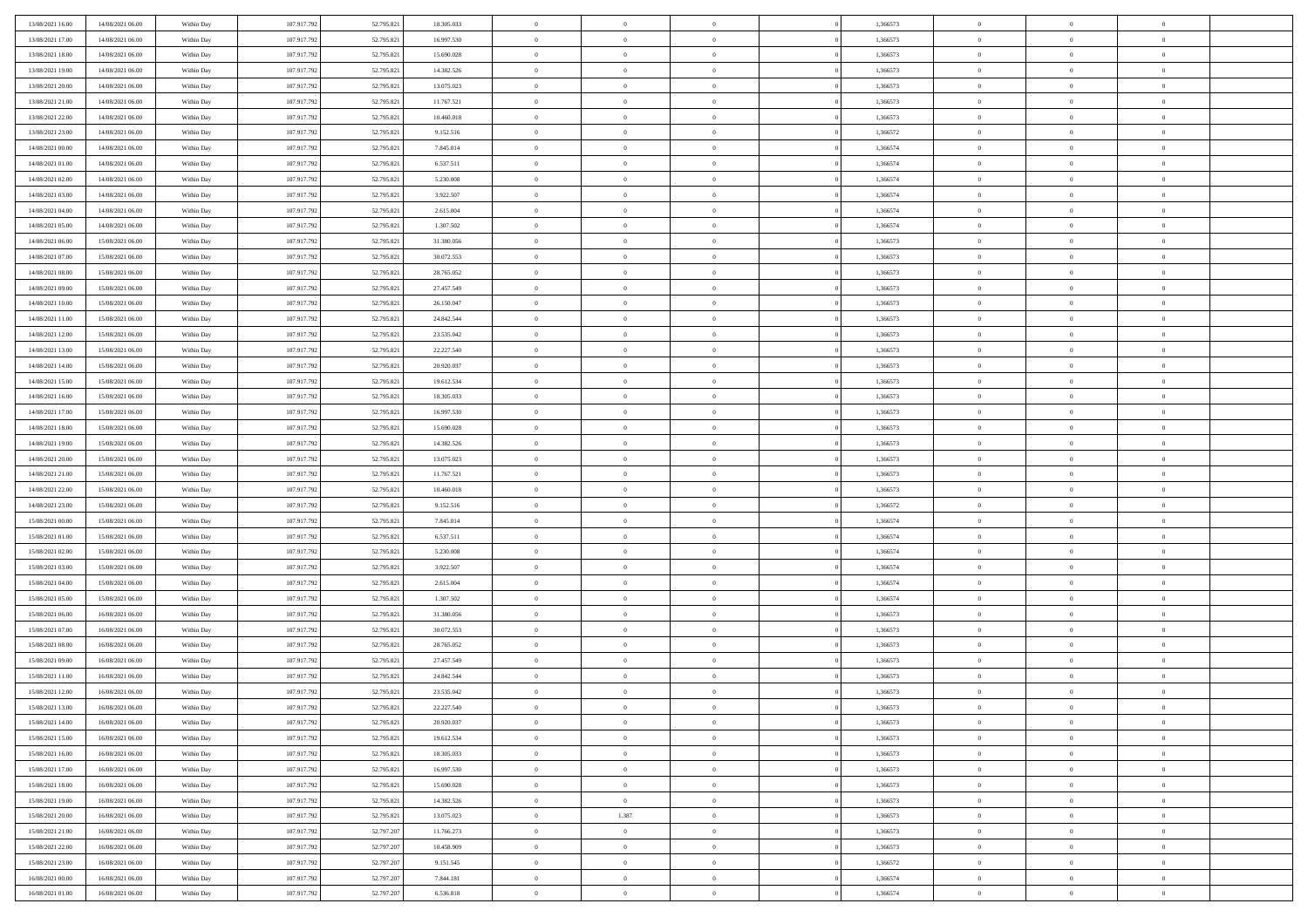| 13/08/2021 16:00                     | 14/08/2021 06:00                     | Within Day               | 107.917.792                | 52.795.821               | 18.305.033               | $\bf{0}$                | $\overline{0}$                   | $\Omega$                         | 1,366573             | $\bf{0}$                      | $\overline{0}$             | $\theta$                         |  |
|--------------------------------------|--------------------------------------|--------------------------|----------------------------|--------------------------|--------------------------|-------------------------|----------------------------------|----------------------------------|----------------------|-------------------------------|----------------------------|----------------------------------|--|
| 13/08/2021 17:00                     | 14/08/2021 06:00                     | Within Day               | 107.917.792                | 52.795.821               | 16.997.530               | $\theta$                | $\overline{0}$                   | $\overline{0}$                   | 1,366573             | $\mathbf{0}$                  | $\bf{0}$                   | $\overline{0}$                   |  |
| 13/08/2021 18:00                     | 14/08/2021 06:00                     | Within Day               | 107.917.792                | 52.795.821               | 15.690.028               | $\bf{0}$                | $\overline{0}$                   | $\overline{0}$                   | 1,366573             | $\,$ 0                        | $\overline{0}$             | $\,$ 0 $\,$                      |  |
| 13/08/2021 19:00                     | 14/08/2021 06:00                     | Within Day               | 107.917.792                | 52.795.821               | 14.382.526               | $\mathbf{0}$            | $\overline{0}$                   | $\mathbf{0}$                     | 1,366573             | $\bf{0}$                      | $\mathbf{0}$               | $\theta$                         |  |
| 13/08/2021 20:00                     | 14/08/2021 06:00                     | Within Day               | 107.917.792                | 52.795.821               | 13.075.023               | $\mathbf{0}$            | $\overline{0}$                   | $\overline{0}$                   | 1,366573             | $\mathbf{0}$                  | $\bf{0}$                   | $\overline{0}$                   |  |
| 13/08/2021 21:00                     | 14/08/2021 06:00                     | Within Day               | 107.917.792                | 52.795.821               | 11.767.521               | $\theta$                | $\overline{0}$                   | $\bf{0}$                         | 1,366573             | $\,$ 0                        | $\overline{0}$             | $\,$ 0 $\,$                      |  |
| 13/08/2021 22:00                     | 14/08/2021 06:00                     | Within Day               | 107.917.792                | 52.795.821               | 10.460.018               | $\,$ 0 $\,$             | $\overline{0}$                   | $\Omega$                         | 1,366573             | $\bf{0}$                      | $\mathbf{0}$               | $\theta$                         |  |
| 13/08/2021 23:00                     | 14/08/2021 06:00                     | Within Day               | 107.917.792                | 52.795.821               | 9.152.516                | $\overline{0}$          | $\overline{0}$                   | $\overline{0}$                   | 1,366572             | $\mathbf{0}$                  | $\bf{0}$                   | $\overline{0}$                   |  |
|                                      |                                      |                          |                            |                          |                          | $\theta$                |                                  |                                  |                      | $\,$ 0                        | $\overline{0}$             | $\,$ 0 $\,$                      |  |
| 14/08/2021 00:00                     | 14/08/2021 06:00                     | Within Day               | 107.917.792<br>107.917.792 | 52.795.821               | 7.845.014                |                         | $\overline{0}$                   | $\bf{0}$<br>$\mathbf{0}$         | 1,366574<br>1.366574 |                               | $\mathbf{0}$               |                                  |  |
| 14/08/2021 01:00<br>14/08/2021 02:00 | 14/08/2021 06:00                     | Within Day               |                            | 52.795.821               | 6.537.511                | $\mathbf{0}$            | $\overline{0}$<br>$\overline{0}$ |                                  |                      | $\bf{0}$<br>$\mathbf{0}$      |                            | $\theta$<br>$\overline{0}$       |  |
|                                      | 14/08/2021 06:00                     | Within Day               | 107.917.792                | 52.795.821               | 5.230.008                | $\mathbf{0}$            |                                  | $\overline{0}$                   | 1,366574             |                               | $\bf{0}$                   |                                  |  |
| 14/08/2021 03:00                     | 14/08/2021 06:00                     | Within Day               | 107.917.792                | 52.795.821               | 3.922.507                | $\theta$                | $\overline{0}$                   | $\bf{0}$                         | 1,366574             | $\,$ 0                        | $\overline{0}$             | $\,$ 0 $\,$                      |  |
| 14/08/2021 04:00                     | 14/08/2021 06:00                     | Within Day               | 107.917.792                | 52.795.821               | 2.615.004                | $\theta$                | $\overline{0}$                   | $\mathbf{0}$                     | 1.366574             | $\bf{0}$                      | $\theta$                   | $\theta$                         |  |
| 14/08/2021 05:00                     | 14/08/2021 06:00                     | Within Day               | 107.917.792                | 52.795.821               | 1.307.502                | $\mathbf{0}$            | $\overline{0}$                   | $\overline{0}$                   | 1,366574             | $\mathbf{0}$                  | $\bf{0}$                   | $\overline{0}$                   |  |
| 14/08/2021 06:00                     | 15/08/2021 06:00                     | Within Day               | 107.917.792                | 52.795.821               | 31.380.056               | $\theta$                | $\overline{0}$                   | $\overline{0}$                   | 1,366573             | $\,$ 0                        | $\overline{0}$             | $\,$ 0 $\,$                      |  |
| 14/08/2021 07:00                     | 15/08/2021 06:00                     | Within Day               | 107.917.792                | 52.795.821               | 30.072.553               | $\bf{0}$                | $\overline{0}$                   | $\mathbf{0}$                     | 1,366573             | $\bf{0}$                      | $\mathbf{0}$               | $\bf{0}$                         |  |
| 14/08/2021 08:00                     | 15/08/2021 06:00                     | Within Day               | 107.917.792                | 52.795.821               | 28.765.052               | $\overline{0}$          | $\overline{0}$                   | $\overline{0}$                   | 1,366573             | $\mathbf{0}$                  | $\bf{0}$                   | $\overline{0}$                   |  |
| 14/08/2021 09:00                     | 15/08/2021 06:00                     | Within Day               | 107.917.792                | 52.795.821               | 27.457.549               | $\theta$                | $\overline{0}$                   | $\bf{0}$                         | 1,366573             | $\,$ 0                        | $\overline{0}$             | $\,0\,$                          |  |
| 14/08/2021 10:00                     | 15/08/2021 06:00                     | Within Day               | 107.917.792                | 52.795.821               | 26.150.047               | $\mathbf{0}$            | $\overline{0}$                   | $\mathbf{0}$                     | 1,366573             | $\bf{0}$                      | $\mathbf{0}$               | $\theta$                         |  |
| 14/08/2021 11:00                     | 15/08/2021 06:00                     | Within Day               | 107.917.792                | 52.795.821               | 24.842.544               | $\overline{0}$          | $\overline{0}$                   | $\overline{0}$                   | 1,366573             | $\mathbf{0}$                  | $\bf{0}$                   | $\overline{0}$                   |  |
| 14/08/2021 12:00                     | 15/08/2021 06:00                     | Within Day               | 107.917.792                | 52.795.821               | 23.535.042               | $\theta$                | $\overline{0}$                   | $\bf{0}$                         | 1,366573             | $\,$ 0                        | $\overline{0}$             | $\,$ 0 $\,$                      |  |
| 14/08/2021 13:00                     | 15/08/2021 06:00                     | Within Day               | 107.917.792                | 52.795.821               | 22.227.540               | $\mathbf{0}$            | $\overline{0}$                   | $\mathbf{0}$                     | 1,366573             | $\bf{0}$                      | $\theta$                   | $\theta$                         |  |
| 14/08/2021 14:00                     | 15/08/2021 06:00                     | Within Day               | 107.917.792                | 52.795.821               | 20.920.037               | $\overline{0}$          | $\overline{0}$                   | $\overline{0}$                   | 1,366573             | $\mathbf{0}$                  | $\bf{0}$                   | $\overline{0}$                   |  |
| 14/08/2021 15:00                     | 15/08/2021 06:00                     | Within Day               | 107.917.792                | 52.795.821               | 19.612.534               | $\theta$                | $\overline{0}$                   | $\bf{0}$                         | 1,366573             | $\,$ 0                        | $\overline{0}$             | $\,$ 0 $\,$                      |  |
| 14/08/2021 16:00                     | 15/08/2021 06:00                     | Within Day               | 107.917.792                | 52.795.821               | 18.305.033               | $\bf{0}$                | $\overline{0}$                   | $\mathbf{0}$                     | 1,366573             | $\bf{0}$                      | $\overline{0}$             | $\bf{0}$                         |  |
| 14/08/2021 17:00                     | 15/08/2021 06:00                     | Within Day               | 107.917.792                | 52.795.821               | 16.997.530               | $\overline{0}$          | $\overline{0}$                   | $\overline{0}$                   | 1,366573             | $\mathbf{0}$                  | $\bf{0}$                   | $\overline{0}$                   |  |
| 14/08/2021 18:00                     | 15/08/2021 06:00                     | Within Day               | 107.917.792                | 52.795.821               | 15.690.028               | $\theta$                | $\overline{0}$                   | $\overline{0}$                   | 1,366573             | $\,$ 0                        | $\overline{0}$             | $\,$ 0 $\,$                      |  |
| 14/08/2021 19:00                     | 15/08/2021 06:00                     | Within Day               | 107.917.792                | 52.795.821               | 14.382.526               | $\mathbf{0}$            | $\overline{0}$                   | $\mathbf{0}$                     | 1,366573             | $\bf{0}$                      | $\mathbf{0}$               | $\theta$                         |  |
| 14/08/2021 20:00                     | 15/08/2021 06:00                     | Within Day               | 107.917.792                | 52.795.821               | 13.075.023               | $\mathbf{0}$            | $\overline{0}$                   | $\overline{0}$                   | 1,366573             | $\mathbf{0}$                  | $\bf{0}$                   | $\overline{0}$                   |  |
| 14/08/2021 21:00                     | 15/08/2021 06:00                     | Within Day               | 107.917.792                | 52.795.821               | 11.767.521               | $\theta$                | $\overline{0}$                   | $\bf{0}$                         | 1,366573             | $\,$ 0                        | $\overline{0}$             | $\,$ 0 $\,$                      |  |
| 14/08/2021 22:00                     | 15/08/2021 06:00                     | Within Day               | 107.917.792                | 52.795.821               | 10.460.018               | $\,$ 0 $\,$             | $\overline{0}$                   | $\overline{0}$                   | 1,366573             | $\bf{0}$                      | $\overline{0}$             | $\,0\,$                          |  |
| 14/08/2021 23:00                     | 15/08/2021 06:00                     | Within Day               | 107.917.792                | 52.795.821               | 9.152.516                | $\overline{0}$          | $\overline{0}$                   | $\overline{0}$                   | 1,366572             | $\mathbf{0}$                  | $\bf{0}$                   | $\overline{0}$                   |  |
| 15/08/2021 00:00                     | 15/08/2021 06:00                     | Within Day               | 107.917.792                | 52.795.821               | 7.845.014                | $\theta$                | $\overline{0}$                   | $\overline{0}$                   | 1,366574             | $\,$ 0                        | $\overline{0}$             | $\,$ 0 $\,$                      |  |
| 15/08/2021 01:00                     | 15/08/2021 06:00                     | Within Day               | 107.917.792                | 52.795.821               | 6.537.511                | $\,$ 0 $\,$             | $\overline{0}$                   | $\overline{0}$                   | 1,366574             | $\bf{0}$                      | $\overline{0}$             | $\,0\,$                          |  |
| 15/08/2021 02:00                     | 15/08/2021 06:00                     | Within Day               | 107.917.792                | 52.795.821               | 5.230.008                | $\overline{0}$          | $\overline{0}$                   | $\overline{0}$                   | 1,366574             | $\mathbf{0}$                  | $\bf{0}$                   | $\overline{0}$                   |  |
| 15/08/2021 03:00                     | 15/08/2021 06:00                     | Within Day               | 107.917.792                | 52.795.821               | 3.922.507                | $\theta$                | $\overline{0}$                   | $\bf{0}$                         | 1,366574             | $\,$ 0                        | $\overline{0}$             | $\,$ 0 $\,$                      |  |
| 15/08/2021 04:00                     | 15/08/2021 06:00                     | Within Day               | 107.917.792                | 52.795.821               | 2.615.004                | $\,$ 0 $\,$             | $\overline{0}$                   | $\overline{0}$                   | 1,366574             | $\bf{0}$                      | $\overline{0}$             | $\,0\,$                          |  |
| 15/08/2021 05:00                     | 15/08/2021 06:00                     | Within Day               | 107.917.792                | 52.795.821               | 1.307.502                | $\mathbf{0}$            | $\overline{0}$                   | $\overline{0}$                   | 1,366574             | $\mathbf{0}$                  | $\bf{0}$                   | $\overline{0}$                   |  |
| 15/08/2021 06:00                     | 16/08/2021 06:00                     | Within Day               | 107.917.792                | 52.795.821               | 31.380.056               | $\theta$                | $\overline{0}$                   | $\bf{0}$                         | 1,366573             | $\,$ 0                        | $\overline{0}$             | $\,$ 0 $\,$                      |  |
| 15/08/2021 07:00                     | 16/08/2021 06:00                     | Within Day               | 107.917.792                | 52.795.821               | 30.072.553               | $\,$ 0 $\,$             | $\overline{0}$                   | $\overline{0}$                   | 1,366573             | $\bf{0}$                      | $\overline{0}$             | $\,0\,$                          |  |
| 15/08/2021 08:00                     | 16/08/2021 06:00                     | Within Day               | 107.917.792                | 52.795.821               | 28.765.052               | $\theta$                | $\overline{0}$                   | $\overline{0}$                   | 1,366573             | $\mathbf{0}$                  | $\bf{0}$                   | $\overline{0}$                   |  |
| 15/08/2021 09:00                     | 16/08/2021 06:00                     | Within Day               | 107.917.792                | 52.795.821               | 27.457.549               | $\theta$                | $\overline{0}$                   | $\bf{0}$                         | 1,366573             | $\,$ 0                        | $\overline{0}$             | $\,$ 0 $\,$                      |  |
| 15/08/2021 11:00                     | 16/08/2021 06:00                     | Within Day               | 107.917.792                | 52.795.821               | 24.842.544               | $\,$ 0 $\,$             | $\overline{0}$                   | $\overline{0}$                   | 1,366573             | $\bf{0}$                      | $\overline{0}$             | $\,0\,$                          |  |
| 15/08/2021 12:00                     | 16/08/2021 06:00                     | Within Dav               | 107.917.792                | 52.795.821               | 23.535.042               | $\theta$                | $\overline{0}$                   | $\overline{0}$                   | 1,366573             | $\mathbf{0}$                  | $\bf{0}$                   | $\overline{0}$                   |  |
| 15/08/2021 13:00                     | 16/08/2021 06:00                     | Within Day               | 107.917.792                | 52.795.821               | 22.227.540               | $\overline{0}$          | $\overline{0}$                   | $\overline{0}$                   | 1,366573             | $\overline{0}$                | $\theta$                   | $\theta$                         |  |
| 15/08/2021 14:00                     | 16/08/2021 06:00                     | Within Day               | 107.917.792                | 52.795.821               | 20.920.037               | $\bf{0}$                | $\overline{0}$                   | $\overline{0}$                   | 1,366573             | $\bf{0}$                      | $\overline{0}$             | $\bf{0}$                         |  |
| 15/08/2021 15:00                     | 16/08/2021 06:00                     | Within Day               | 107.917.792                | 52.795.821               | 19.612.534               | $\overline{0}$          | $\overline{0}$                   | $\overline{0}$                   | 1,366573             | $\overline{0}$                | $\overline{0}$             | $\overline{0}$                   |  |
| 15/08/2021 16:00                     | 16/08/2021 06:00                     | Within Day               | 107.917.792                | 52.795.821               | 18.305.033               | $\,$ 0 $\,$             | $\overline{0}$                   | $\overline{0}$                   | 1,366573             | $\,$ 0 $\,$                   | $\,$ 0 $\,$                | $\,$ 0 $\,$                      |  |
| 15/08/2021 17:00                     | 16/08/2021 06:00                     | Within Day               | 107.917.792                | 52.795.821               | 16.997.530               | $\bf{0}$                | $\overline{0}$                   | $\overline{0}$                   | 1,366573             | $\mathbf{0}$                  | $\overline{0}$             | $\bf{0}$                         |  |
| 15/08/2021 18:00                     | 16/08/2021 06:00                     | Within Day               | 107.917.792                | 52.795.821               | 15.690.028               | $\,$ 0 $\,$             | $\overline{0}$                   | $\overline{0}$                   | 1,366573             | $\,$ 0 $\,$                   | $\bf{0}$                   | $\overline{0}$                   |  |
| 15/08/2021 19:00                     | 16/08/2021 06:00                     | Within Day               | 107.917.792                | 52.795.821               | 14.382.526               | $\,$ 0                  | $\overline{0}$                   | $\overline{0}$                   | 1,366573             | $\,$ 0 $\,$                   | $\overline{0}$             | $\,$ 0 $\,$                      |  |
|                                      |                                      |                          |                            |                          |                          |                         |                                  |                                  |                      |                               |                            |                                  |  |
| 15/08/2021 20:00<br>15/08/2021 21:00 | 16/08/2021 06:00<br>16/08/2021 06:00 | Within Day<br>Within Day | 107.917.792<br>107.917.792 | 52.795.821<br>52.797.207 | 13.075.023<br>11.766.273 | $\bf{0}$<br>$\,$ 0 $\,$ | 1.387<br>$\overline{0}$          | $\overline{0}$<br>$\overline{0}$ | 1,366573<br>1,366573 | $\overline{0}$<br>$\,$ 0 $\,$ | $\overline{0}$<br>$\bf{0}$ | $\overline{0}$<br>$\overline{0}$ |  |
|                                      |                                      |                          |                            |                          |                          |                         |                                  |                                  |                      |                               |                            |                                  |  |
| 15/08/2021 22:00                     | 16/08/2021 06:00                     | Within Day               | 107.917.792                | 52.797.207               | 10.458.909               | $\,$ 0                  | $\overline{0}$                   | $\overline{0}$                   | 1,366573             | $\,$ 0 $\,$                   | $\,$ 0 $\,$                | $\,$ 0 $\,$                      |  |
| 15/08/2021 23:00                     | 16/08/2021 06:00                     | Within Day               | 107.917.792                | 52.797.207               | 9.151.545                | $\bf{0}$                | $\overline{0}$                   | $\overline{0}$                   | 1,366572             | $\mathbf{0}$                  | $\overline{0}$             | $\bf{0}$                         |  |
| 16/08/2021 00:00                     | 16/08/2021 06:00                     | Within Day               | 107.917.792                | 52.797.207               | 7.844.181                | $\,$ 0 $\,$             | $\overline{0}$                   | $\overline{0}$                   | 1,366574             | $\overline{0}$                | $\bf{0}$                   | $\overline{0}$                   |  |
| 16/08/2021 01:00                     | 16/08/2021 06:00                     | Within Day               | 107.917.792                | 52.797.207               | 6.536.818                | $\,$ 0 $\,$             | $\overline{0}$                   | $\overline{0}$                   | 1,366574             | $\,$ 0 $\,$                   | $\overline{0}$             | $\,$ 0 $\,$                      |  |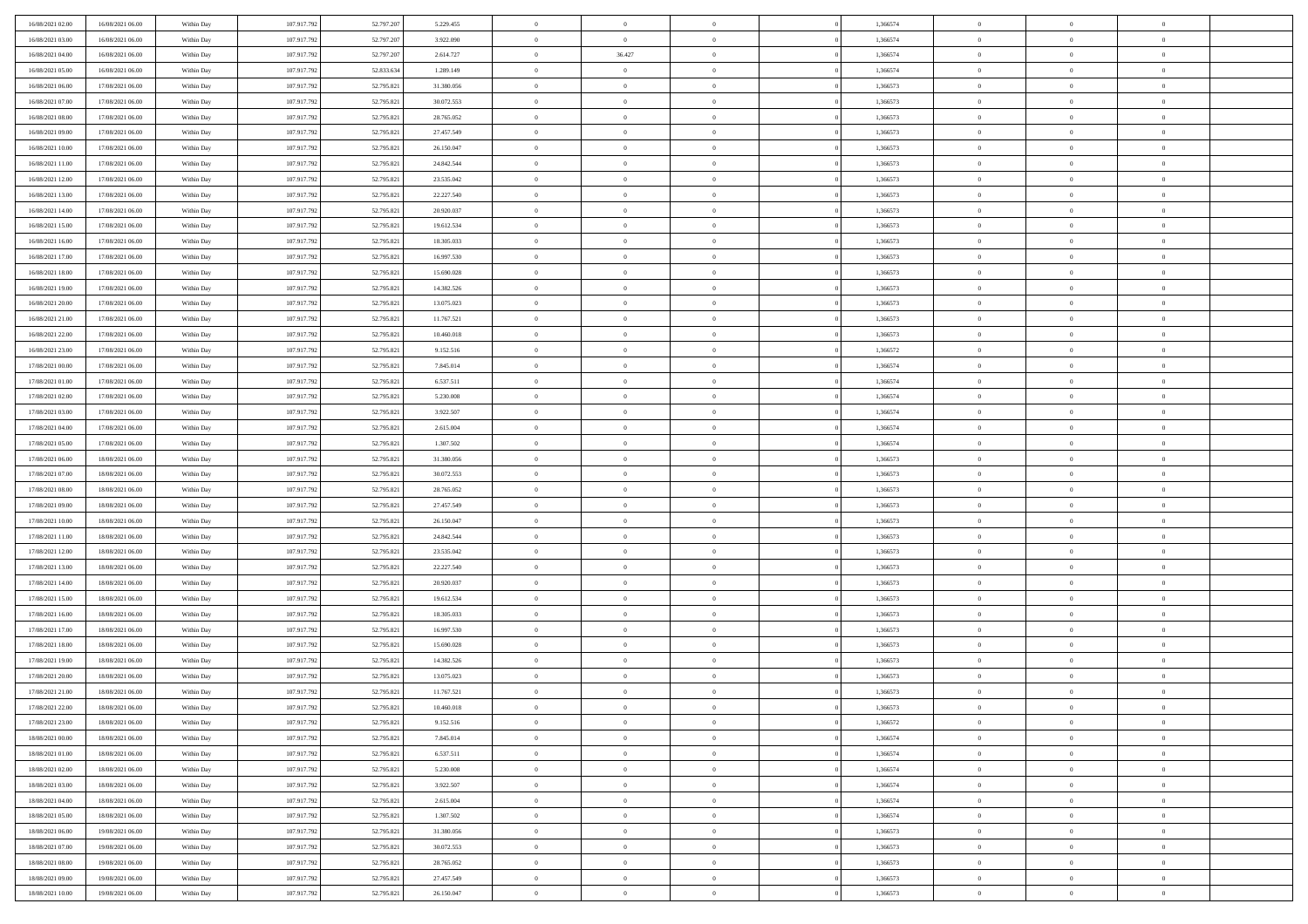| 16/08/2021 02:00 | 16/08/2021 06:00 | Within Day | 107.917.792 | 52.797.207 | 5.229.455  | $\,$ 0 $\,$    | $\overline{0}$ | $\overline{0}$ | 1,366574 | $\bf{0}$       | $\overline{0}$ | $\,0\,$        |  |
|------------------|------------------|------------|-------------|------------|------------|----------------|----------------|----------------|----------|----------------|----------------|----------------|--|
| 16/08/2021 03:00 | 16/08/2021 06:00 | Within Day | 107.917.792 | 52.797.207 | 3.922.090  | $\theta$       | $\overline{0}$ | $\mathbf{0}$   | 1,366574 | $\theta$       | $\overline{0}$ | $\theta$       |  |
| 16/08/2021 04:00 | 16/08/2021 06:00 | Within Day | 107.917.792 | 52.797.207 | 2.614.727  | $\theta$       | 36.427         | $\overline{0}$ | 1,366574 | $\mathbf{0}$   | $\overline{0}$ | $\overline{0}$ |  |
| 16/08/2021 05:00 | 16/08/2021 06:00 | Within Day | 107.917.792 | 52.833.634 | 1.289.149  | $\,$ 0 $\,$    | $\overline{0}$ | $\overline{0}$ | 1,366574 | $\bf{0}$       | $\overline{0}$ | $\bf{0}$       |  |
| 16/08/2021 06:00 | 17/08/2021 06:00 | Within Day | 107.917.792 | 52.795.821 | 31.380.056 | $\bf{0}$       | $\overline{0}$ | $\mathbf{0}$   | 1,366573 | $\bf{0}$       | $\theta$       | $\,0\,$        |  |
| 16/08/2021 07:00 | 17/08/2021 06:00 | Within Dav | 107.917.792 | 52.795.821 | 30.072.553 | $\theta$       | $\overline{0}$ | $\mathbf{0}$   | 1,366573 | $\mathbf{0}$   | $\overline{0}$ | $\overline{0}$ |  |
| 16/08/2021 08:00 | 17/08/2021 06:00 | Within Day | 107.917.792 | 52.795.821 | 28.765.052 | $\,$ 0 $\,$    | $\overline{0}$ | $\overline{0}$ | 1,366573 | $\bf{0}$       | $\overline{0}$ | $\,0\,$        |  |
| 16/08/2021 09:00 | 17/08/2021 06:00 | Within Day | 107.917.792 | 52.795.821 | 27.457.549 | $\overline{0}$ | $\overline{0}$ | $\mathbf{0}$   | 1,366573 | $\,$ 0 $\,$    | $\overline{0}$ | $\theta$       |  |
| 16/08/2021 10:00 | 17/08/2021 06:00 | Within Day | 107.917.792 | 52.795.821 | 26.150.047 | $\theta$       | $\overline{0}$ | $\mathbf{0}$   | 1,366573 | $\mathbf{0}$   | $\bf{0}$       | $\overline{0}$ |  |
| 16/08/2021 11:00 | 17/08/2021 06:00 | Within Day | 107.917.792 | 52.795.821 | 24.842.544 | $\,$ 0 $\,$    | $\overline{0}$ | $\Omega$       | 1,366573 | $\bf{0}$       | $\overline{0}$ | $\,0\,$        |  |
| 16/08/2021 12:00 | 17/08/2021 06:00 | Within Day | 107.917.792 | 52.795.821 | 23.535.042 | $\bf{0}$       | $\overline{0}$ | $\mathbf{0}$   | 1,366573 | $\bf{0}$       | $\mathbf{0}$   | $\theta$       |  |
| 16/08/2021 13:00 | 17/08/2021 06:00 | Within Dav | 107.917.792 | 52.795.821 | 22.227.540 | $\theta$       | $\overline{0}$ | $\overline{0}$ | 1,366573 | $\mathbf{0}$   | $\overline{0}$ | $\overline{0}$ |  |
| 16/08/2021 14:00 | 17/08/2021 06:00 | Within Day | 107.917.792 | 52.795.821 | 20.920.037 | $\,$ 0 $\,$    | $\overline{0}$ | $\overline{0}$ | 1,366573 | $\bf{0}$       | $\overline{0}$ | $\bf{0}$       |  |
| 16/08/2021 15:00 | 17/08/2021 06:00 | Within Day | 107.917.792 | 52.795.821 | 19.612.534 | $\bf{0}$       | $\overline{0}$ | $\mathbf{0}$   | 1,366573 | $\bf{0}$       | $\theta$       | $\,0\,$        |  |
| 16/08/2021 16:00 | 17/08/2021 06:00 | Within Dav | 107.917.792 | 52.795.821 | 18.305.033 | $\theta$       | $\overline{0}$ | $\mathbf{0}$   | 1,366573 | $\mathbf{0}$   | $\bf{0}$       | $\overline{0}$ |  |
| 16/08/2021 17:00 | 17/08/2021 06:00 | Within Day | 107.917.792 | 52.795.821 | 16.997.530 | $\,$ 0 $\,$    | $\overline{0}$ | $\Omega$       | 1,366573 | $\bf{0}$       | $\overline{0}$ | $\bf{0}$       |  |
| 16/08/2021 18:00 | 17/08/2021 06:00 | Within Day | 107.917.792 | 52.795.821 | 15.690.028 | $\,$ 0         | $\overline{0}$ | $\mathbf{0}$   | 1,366573 | $\bf{0}$       | $\overline{0}$ | $\theta$       |  |
| 16/08/2021 19:00 | 17/08/2021 06:00 | Within Day | 107.917.792 | 52.795.821 | 14.382.526 | $\theta$       | $\overline{0}$ | $\mathbf{0}$   | 1,366573 | $\mathbf{0}$   | $\overline{0}$ | $\overline{0}$ |  |
| 16/08/2021 20:00 | 17/08/2021 06:00 | Within Day | 107.917.792 | 52.795.821 | 13.075.023 | $\,$ 0 $\,$    | $\overline{0}$ | $\Omega$       | 1,366573 | $\bf{0}$       | $\overline{0}$ | $\,0\,$        |  |
| 16/08/2021 21:00 | 17/08/2021 06:00 | Within Day | 107.917.792 | 52.795.821 | 11.767.521 | $\bf{0}$       | $\overline{0}$ | $\mathbf{0}$   | 1,366573 | $\bf{0}$       | $\mathbf{0}$   | $\theta$       |  |
| 16/08/2021 22:00 | 17/08/2021 06:00 | Within Dav | 107.917.792 | 52.795.821 | 10.460.018 | $\theta$       | $\overline{0}$ | $\mathbf{0}$   | 1,366573 | $\mathbf{0}$   | $\overline{0}$ | $\overline{0}$ |  |
| 16/08/2021 23:00 | 17/08/2021 06:00 | Within Day | 107.917.792 | 52.795.821 | 9.152.516  | $\,$ 0 $\,$    | $\overline{0}$ | $\overline{0}$ | 1,366572 | $\bf{0}$       | $\overline{0}$ | $\bf{0}$       |  |
| 17/08/2021 00:00 | 17/08/2021 06:00 | Within Day | 107.917.792 | 52.795.821 | 7.845.014  | $\bf{0}$       | $\overline{0}$ | $\mathbf{0}$   | 1,366574 | $\bf{0}$       | $\theta$       | $\,0\,$        |  |
| 17/08/2021 01:00 | 17/08/2021 06:00 | Within Dav | 107.917.792 | 52.795.821 | 6.537.511  | $\theta$       | $\overline{0}$ | $\mathbf{0}$   | 1,366574 | $\mathbf{0}$   | $\overline{0}$ | $\theta$       |  |
| 17/08/2021 02:00 | 17/08/2021 06:00 | Within Day | 107.917.792 | 52.795.821 | 5.230.008  | $\,$ 0 $\,$    | $\overline{0}$ | $\overline{0}$ | 1,366574 | $\bf{0}$       | $\overline{0}$ | $\,0\,$        |  |
| 17/08/2021 03:00 | 17/08/2021 06:00 | Within Day | 107.917.792 | 52.795.821 | 3.922.507  | $\,$ 0         | $\overline{0}$ | $\mathbf{0}$   | 1,366574 | $\bf{0}$       | $\overline{0}$ | $\theta$       |  |
| 17/08/2021 04:00 | 17/08/2021 06:00 | Within Day | 107.917.792 | 52.795.821 | 2.615.004  | $\theta$       | $\overline{0}$ | $\overline{0}$ | 1,366574 | $\mathbf{0}$   | $\bf{0}$       | $\overline{0}$ |  |
| 17/08/2021 05:00 | 17/08/2021 06:00 | Within Day | 107.917.792 | 52.795.821 | 1.307.502  | $\,$ 0 $\,$    | $\overline{0}$ | $\Omega$       | 1,366574 | $\bf{0}$       | $\overline{0}$ | $\,0\,$        |  |
| 17/08/2021 06:00 | 18/08/2021 06:00 | Within Day | 107.917.792 | 52.795.821 | 31.380.056 | $\bf{0}$       | $\overline{0}$ | $\mathbf{0}$   | 1,366573 | $\bf{0}$       | $\mathbf{0}$   | $\overline{0}$ |  |
| 17/08/2021 07:00 | 18/08/2021 06:00 | Within Dav | 107.917.792 | 52.795.821 | 30.072.553 | $\theta$       | $\overline{0}$ | $\overline{0}$ | 1,366573 | $\mathbf{0}$   | $\overline{0}$ | $\overline{0}$ |  |
| 17/08/2021 08:00 | 18/08/2021 06:00 | Within Day | 107.917.792 | 52.795.821 | 28.765.052 | $\theta$       | $\overline{0}$ | $\overline{0}$ | 1,366573 | $\,$ 0         | $\overline{0}$ | $\theta$       |  |
| 17/08/2021 09:00 | 18/08/2021 06:00 | Within Day | 107.917.792 | 52.795.821 | 27.457.549 | $\bf{0}$       | $\overline{0}$ | $\mathbf{0}$   | 1,366573 | $\bf{0}$       | $\mathbf{0}$   | $\bf{0}$       |  |
| 17/08/2021 10:00 | 18/08/2021 06:00 | Within Dav | 107.917.792 | 52.795.821 | 26.150.047 | $\theta$       | $\overline{0}$ | $\mathbf{0}$   | 1,366573 | $\mathbf{0}$   | $\bf{0}$       | $\overline{0}$ |  |
| 17/08/2021 11:00 | 18/08/2021 06:00 | Within Day | 107.917.792 | 52.795.821 | 24.842.544 | $\theta$       | $\overline{0}$ | $\overline{0}$ | 1,366573 | $\,$ 0         | $\overline{0}$ | $\theta$       |  |
| 17/08/2021 12:00 | 18/08/2021 06:00 | Within Day | 107.917.792 | 52.795.821 | 23.535.042 | $\bf{0}$       | $\overline{0}$ | $\mathbf{0}$   | 1,366573 | $\mathbf{0}$   | $\overline{0}$ | $\overline{0}$ |  |
| 17/08/2021 13:00 | 18/08/2021 06:00 | Within Day | 107.917.792 | 52.795.821 | 22.227.540 | $\theta$       | $\overline{0}$ | $\mathbf{0}$   | 1,366573 | $\mathbf{0}$   | $\overline{0}$ | $\overline{0}$ |  |
| 17/08/2021 14:00 | 18/08/2021 06:00 | Within Day | 107.917.792 | 52.795.821 | 20.920.037 | $\theta$       | $\overline{0}$ | $\overline{0}$ | 1,366573 | $\,$ 0         | $\overline{0}$ | $\theta$       |  |
| 17/08/2021 15:00 | 18/08/2021 06:00 | Within Day | 107.917.792 | 52.795.821 | 19.612.534 | $\bf{0}$       | $\overline{0}$ | $\mathbf{0}$   | 1,366573 | $\bf{0}$       | $\mathbf{0}$   | $\bf{0}$       |  |
| 17/08/2021 16:00 | 18/08/2021 06:00 | Within Dav | 107.917.792 | 52.795.821 | 18.305.033 | $\theta$       | $\overline{0}$ | $\mathbf{0}$   | 1,366573 | $\mathbf{0}$   | $\overline{0}$ | $\overline{0}$ |  |
| 17/08/2021 17:00 | 18/08/2021 06:00 | Within Day | 107.917.792 | 52.795.821 | 16.997.530 | $\,$ 0 $\,$    | $\overline{0}$ | $\overline{0}$ | 1,366573 | $\,$ 0         | $\overline{0}$ | $\theta$       |  |
| 17/08/2021 18:00 | 18/08/2021 06:00 | Within Day | 107.917.792 | 52.795.821 | 15.690.028 | $\,$ 0         | $\overline{0}$ | $\mathbf{0}$   | 1,366573 | $\,$ 0 $\,$    | $\overline{0}$ | $\bf{0}$       |  |
| 17/08/2021 19:00 | 18/08/2021 06:00 | Within Dav | 107.917.792 | 52.795.821 | 14.382.526 | $\theta$       | $\overline{0}$ | $\mathbf{0}$   | 1,366573 | $\mathbf{0}$   | $\overline{0}$ | $\theta$       |  |
| 17/08/2021 20:00 | 18/08/2021 06:00 | Within Day | 107.917.792 | 52.795.821 | 13.075.023 | $\overline{0}$ | $\overline{0}$ | $\overline{0}$ | 1,366573 | $\,$ 0         | $\overline{0}$ | $\theta$       |  |
| 17/08/2021 21:00 | 18/08/2021 06:00 | Within Day | 107.917.792 | 52.795.821 | 11.767.521 | $\bf{0}$       | $\overline{0}$ | $\mathbf{0}$   | 1,366573 | $\bf{0}$       | $\overline{0}$ | $\overline{0}$ |  |
| 17/08/2021 22:00 | 18/08/2021 06:00 | Within Day | 107.917.792 | 52.795.821 | 10.460.018 | $\overline{0}$ | $\theta$       |                | 1,366573 | $\overline{0}$ | $\Omega$       | $\theta$       |  |
| 17/08/2021 23:00 | 18/08/2021 06:00 | Within Day | 107.917.792 | 52.795.821 | 9.152.516  | $\,$ 0 $\,$    | $\overline{0}$ | $\overline{0}$ | 1,366572 | $\,$ 0 $\,$    | $\bf{0}$       | $\theta$       |  |
| 18/08/2021 00:00 | 18/08/2021 06:00 | Within Day | 107.917.792 | 52.795.821 | 7.845.014  | $\overline{0}$ | $\,$ 0 $\,$    | $\mathbf{0}$   | 1,366574 | $\,$ 0 $\,$    | $\overline{0}$ | $\overline{0}$ |  |
| 18/08/2021 01:00 | 18/08/2021 06:00 | Within Day | 107.917.792 | 52.795.821 | 6.537.511  | $\mathbf{0}$   | $\overline{0}$ | $\overline{0}$ | 1,366574 | $\,$ 0 $\,$    | $\bf{0}$       | $\mathbf{0}$   |  |
| 18/08/2021 02:00 | 18/08/2021 06:00 | Within Day | 107.917.792 | 52.795.821 | 5.230.008  | $\,$ 0 $\,$    | $\overline{0}$ | $\overline{0}$ | 1,366574 | $\,$ 0 $\,$    | $\bf{0}$       | $\,$ 0 $\,$    |  |
| 18/08/2021 03:00 | 18/08/2021 06:00 | Within Day | 107.917.792 | 52.795.821 | 3.922.507  | $\,$ 0 $\,$    | $\,$ 0 $\,$    | $\overline{0}$ | 1,366574 | $\,$ 0 $\,$    | $\overline{0}$ | $\overline{0}$ |  |
| 18/08/2021 04:00 | 18/08/2021 06:00 | Within Day | 107.917.792 | 52.795.821 | 2.615.004  | $\overline{0}$ | $\overline{0}$ | $\overline{0}$ | 1,366574 | $\mathbf{0}$   | $\overline{0}$ | $\overline{0}$ |  |
| 18/08/2021 05:00 | 18/08/2021 06:00 | Within Day | 107.917.792 | 52.795.821 | 1.307.502  | $\,$ 0 $\,$    | $\overline{0}$ | $\overline{0}$ | 1,366574 | $\,$ 0 $\,$    | $\overline{0}$ | $\,$ 0 $\,$    |  |
| 18/08/2021 06:00 | 19/08/2021 06:00 | Within Day | 107.917.792 | 52.795.821 | 31.380.056 | $\bf{0}$       | $\overline{0}$ | $\overline{0}$ | 1,366573 | $\,$ 0 $\,$    | $\overline{0}$ | $\overline{0}$ |  |
| 18/08/2021 07:00 | 19/08/2021 06:00 | Within Day | 107.917.792 | 52.795.821 | 30.072.553 | $\overline{0}$ | $\overline{0}$ | $\overline{0}$ | 1,366573 | $\mathbf{0}$   | $\bf{0}$       | $\overline{0}$ |  |
| 18/08/2021 08:00 | 19/08/2021 06:00 | Within Day | 107.917.792 | 52.795.821 | 28.765.052 | $\,$ 0 $\,$    | $\overline{0}$ | $\overline{0}$ | 1,366573 | $\,$ 0 $\,$    | $\overline{0}$ | $\,$ 0 $\,$    |  |
| 18/08/2021 09:00 | 19/08/2021 06:00 | Within Day | 107.917.792 | 52.795.821 | 27.457.549 | $\,$ 0 $\,$    | $\,$ 0 $\,$    | $\overline{0}$ | 1,366573 | $\bf{0}$       | $\overline{0}$ | $\overline{0}$ |  |
| 18/08/2021 10:00 | 19/08/2021 06:00 | Within Day | 107.917.792 | 52.795.821 | 26.150.047 | $\theta$       | $\overline{0}$ | $\overline{0}$ | 1,366573 | $\mathbf{0}$   | $\overline{0}$ | $\overline{0}$ |  |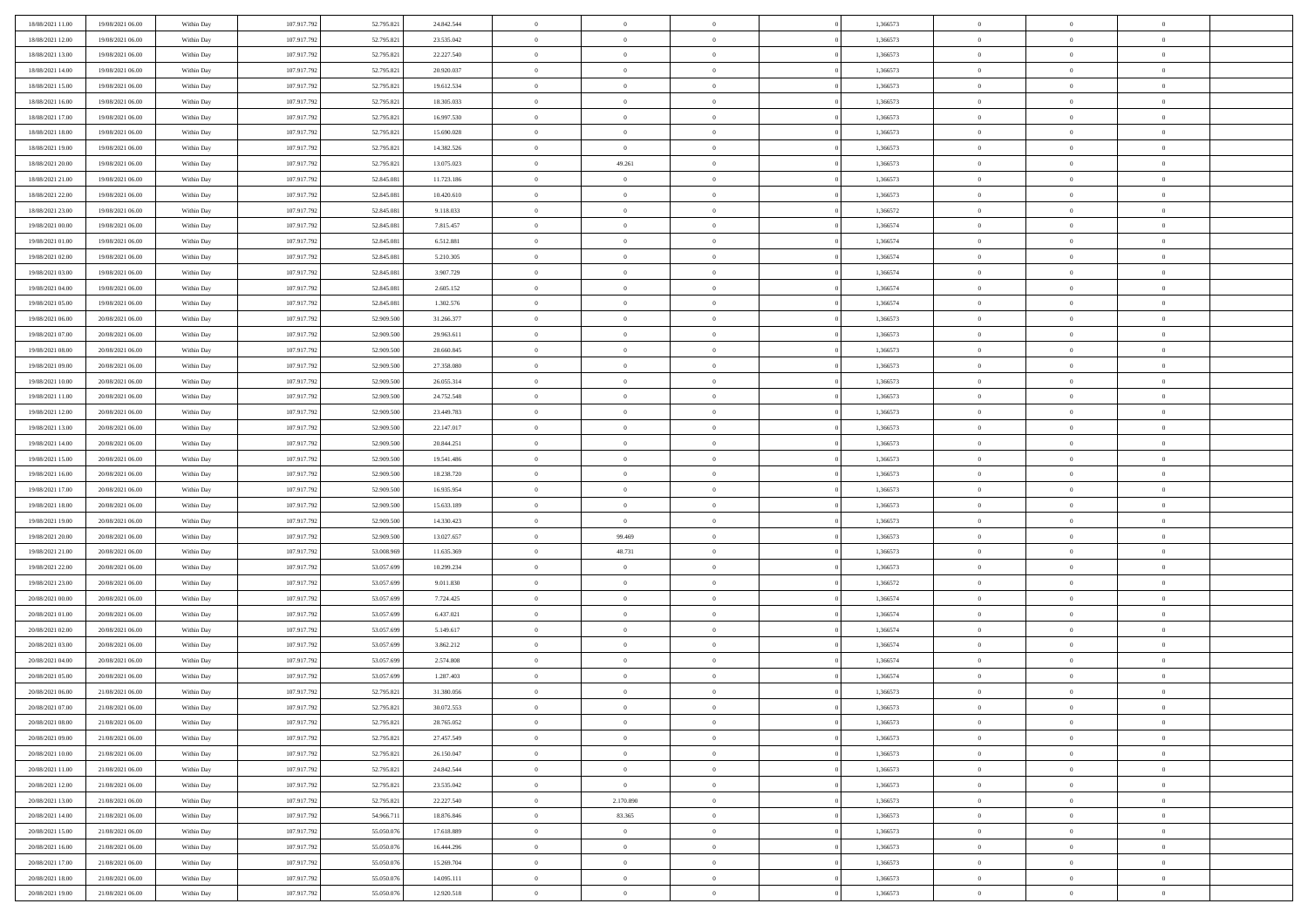| 18/08/2021 11:00                     | 19/08/2021 06:00 | Within Day | 107.917.792 | 52.795.821 | 24.842.544 | $\,$ 0                   | $\overline{0}$ | $\theta$       |          | 1,366573 | $\bf{0}$                 | $\overline{0}$ | $\,0\,$        |  |
|--------------------------------------|------------------|------------|-------------|------------|------------|--------------------------|----------------|----------------|----------|----------|--------------------------|----------------|----------------|--|
| 18/08/2021 12:00                     | 19/08/2021 06:00 | Within Day | 107.917.792 | 52.795.821 | 23.535.042 | $\overline{0}$           | $\overline{0}$ | $\Omega$       |          | 1,366573 | $\overline{0}$           | $\overline{0}$ | $\theta$       |  |
| 18/08/2021 13:00                     | 19/08/2021 06:00 | Within Dav | 107.917.792 | 52.795.821 | 22.227.540 | $\mathbf{0}$             | $\overline{0}$ | $\overline{0}$ |          | 1,366573 | $\mathbf{0}$             | $\overline{0}$ | $\overline{0}$ |  |
| 18/08/2021 14:00                     | 19/08/2021 06:00 | Within Day | 107.917.792 | 52.795.821 | 20.920.037 | $\bf{0}$                 | $\overline{0}$ | $\bf{0}$       |          | 1,366573 | $\bf{0}$                 | $\overline{0}$ | $\bf{0}$       |  |
| 18/08/2021 15:00                     | 19/08/2021 06:00 | Within Day | 107.917.792 | 52.795.821 | 19.612.534 | $\bf{0}$                 | $\overline{0}$ | $\overline{0}$ |          | 1,366573 | $\bf{0}$                 | $\theta$       | $\theta$       |  |
| 18/08/2021 16:00                     | 19/08/2021 06:00 | Within Dav | 107.917.792 | 52.795.821 | 18.305.033 | $\mathbf{0}$             | $\overline{0}$ | $\overline{0}$ |          | 1,366573 | $\mathbf{0}$             | $\overline{0}$ | $\theta$       |  |
| 18/08/2021 17:00                     | 19/08/2021 06:00 | Within Day | 107.917.792 | 52.795.821 | 16.997.530 | $\bf{0}$                 | $\bf{0}$       | $\overline{0}$ |          | 1,366573 | $\bf{0}$                 | $\overline{0}$ | $\,0\,$        |  |
| 18/08/2021 18:00                     | 19/08/2021 06:00 | Within Day | 107.917.792 | 52.795.821 | 15.690.028 | $\overline{0}$           | $\overline{0}$ | $\overline{0}$ |          | 1,366573 | $\,$ 0 $\,$              | $\overline{0}$ | $\theta$       |  |
| 18/08/2021 19:00                     | 19/08/2021 06:00 | Within Dav | 107.917.792 | 52.795.821 | 14.382.526 | $\mathbf{0}$             | $\overline{0}$ | $\overline{0}$ |          | 1,366573 | $\mathbf{0}$             | $\overline{0}$ | $\overline{0}$ |  |
| 18/08/2021 20:00                     | 19/08/2021 06:00 |            | 107.917.792 | 52.795.821 | 13.075.023 | $\bf{0}$                 | 49.261         | $\overline{0}$ |          | 1,366573 | $\bf{0}$                 | $\overline{0}$ | $\theta$       |  |
|                                      |                  | Within Day |             | 52.845.081 |            |                          | $\overline{0}$ |                |          |          |                          | $\mathbf{0}$   | $\theta$       |  |
| 18/08/2021 21:00<br>18/08/2021 22:00 | 19/08/2021 06:00 | Within Day | 107.917.792 |            | 11.723.186 | $\bf{0}$<br>$\mathbf{0}$ |                | $\overline{0}$ |          | 1,366573 | $\bf{0}$<br>$\mathbf{0}$ |                | $\overline{0}$ |  |
|                                      | 19/08/2021 06:00 | Within Dav | 107.917.792 | 52.845.081 | 10.420.610 |                          | $\overline{0}$ | $\overline{0}$ |          | 1,366573 |                          | $\overline{0}$ |                |  |
| 18/08/2021 23:00                     | 19/08/2021 06:00 | Within Day | 107.917.792 | 52.845.081 | 9.118.033  | $\bf{0}$                 | $\overline{0}$ | $\bf{0}$       |          | 1,366572 | $\bf{0}$                 | $\overline{0}$ | $\,0\,$        |  |
| 19/08/2021 00:00                     | 19/08/2021 06:00 | Within Day | 107.917.792 | 52.845.081 | 7.815.457  | $\bf{0}$                 | $\overline{0}$ | $\overline{0}$ |          | 1,366574 | $\bf{0}$                 | $\theta$       | $\,0\,$        |  |
| 19/08/2021 01:00                     | 19/08/2021 06:00 | Within Dav | 107.917.792 | 52.845.081 | 6.512.881  | $\mathbf{0}$             | $\overline{0}$ | $\overline{0}$ |          | 1,366574 | $\mathbf{0}$             | $\overline{0}$ | $\overline{0}$ |  |
| 19/08/2021 02:00                     | 19/08/2021 06:00 | Within Day | 107.917.792 | 52.845.081 | 5.210.305  | $\bf{0}$                 | $\overline{0}$ | $\overline{0}$ |          | 1,366574 | $\bf{0}$                 | $\overline{0}$ | $\,0\,$        |  |
| 19/08/2021 03:00                     | 19/08/2021 06:00 | Within Day | 107.917.792 | 52.845.081 | 3.907.729  | $\overline{0}$           | $\overline{0}$ | $\overline{0}$ |          | 1,366574 | $\bf{0}$                 | $\overline{0}$ | $\theta$       |  |
| 19/08/2021 04:00                     | 19/08/2021 06:00 | Within Day | 107.917.792 | 52.845.081 | 2.605.152  | $\mathbf{0}$             | $\overline{0}$ | $\overline{0}$ |          | 1,366574 | $\mathbf{0}$             | $\overline{0}$ | $\overline{0}$ |  |
| 19/08/2021 05:00                     | 19/08/2021 06:00 | Within Day | 107.917.792 | 52.845.081 | 1.302.576  | $\bf{0}$                 | $\bf{0}$       | $\overline{0}$ |          | 1,366574 | $\bf{0}$                 | $\overline{0}$ | $\,0\,$        |  |
| 19/08/2021 06:00                     | 20/08/2021 06:00 | Within Day | 107.917.792 | 52.909.500 | 31.266.377 | $\overline{0}$           | $\overline{0}$ | $\overline{0}$ |          | 1,366573 | $\bf{0}$                 | $\overline{0}$ | $\overline{0}$ |  |
| 19/08/2021 07:00                     | 20/08/2021 06:00 | Within Dav | 107.917.792 | 52.909.500 | 29.963.611 | $\mathbf{0}$             | $\overline{0}$ | $\overline{0}$ |          | 1,366573 | $\mathbf{0}$             | $\overline{0}$ | $\overline{0}$ |  |
| 19/08/2021 08:00                     | 20/08/2021 06:00 | Within Day | 107.917.792 | 52.909.500 | 28.660.845 | $\bf{0}$                 | $\bf{0}$       | $\bf{0}$       |          | 1,366573 | $\bf{0}$                 | $\overline{0}$ | $\bf{0}$       |  |
| 19/08/2021 09:00                     | 20/08/2021 06:00 | Within Day | 107.917.792 | 52.909.500 | 27.358.080 | $\bf{0}$                 | $\bf{0}$       | $\overline{0}$ |          | 1,366573 | $\bf{0}$                 | $\bf{0}$       | $\,0\,$        |  |
| 19/08/2021 10:00                     | 20/08/2021 06:00 | Within Dav | 107.917.792 | 52.909.500 | 26.055.314 | $\mathbf{0}$             | $\overline{0}$ | $\overline{0}$ |          | 1,366573 | $\mathbf{0}$             | $\overline{0}$ | $\theta$       |  |
| 19/08/2021 11:00                     | 20/08/2021 06:00 | Within Day | 107.917.792 | 52.909.500 | 24.752.548 | $\bf{0}$                 | $\overline{0}$ | $\overline{0}$ |          | 1,366573 | $\bf{0}$                 | $\overline{0}$ | $\,0\,$        |  |
| 19/08/2021 12:00                     | 20/08/2021 06:00 | Within Day | 107.917.792 | 52.909.500 | 23.449.783 | $\overline{0}$           | $\overline{0}$ | $\overline{0}$ |          | 1,366573 | $\bf{0}$                 | $\overline{0}$ | $\overline{0}$ |  |
| 19/08/2021 13:00                     | 20/08/2021 06:00 | Within Dav | 107.917.792 | 52.909.500 | 22.147.017 | $\mathbf{0}$             | $\overline{0}$ | $\overline{0}$ |          | 1,366573 | $\mathbf{0}$             | $\overline{0}$ | $\overline{0}$ |  |
| 19/08/2021 14:00                     | 20/08/2021 06:00 | Within Day | 107.917.792 | 52.909.500 | 20.844.251 | $\bf{0}$                 | $\overline{0}$ | $\overline{0}$ |          | 1,366573 | $\bf{0}$                 | $\overline{0}$ | $\,0\,$        |  |
| 19/08/2021 15:00                     | 20/08/2021 06:00 | Within Day | 107.917.792 | 52.909.500 | 19.541.486 | $\bf{0}$                 | $\overline{0}$ | $\overline{0}$ |          | 1,366573 | $\bf{0}$                 | $\mathbf{0}$   | $\overline{0}$ |  |
| 19/08/2021 16:00                     | 20/08/2021 06:00 | Within Dav | 107.917.792 | 52.909.500 | 18.238.720 | $\mathbf{0}$             | $\overline{0}$ | $\overline{0}$ |          | 1,366573 | $\mathbf{0}$             | $\overline{0}$ | $\overline{0}$ |  |
| 19/08/2021 17:00                     | 20/08/2021 06:00 | Within Day | 107.917.792 | 52.909.500 | 16.935.954 | $\bf{0}$                 | $\overline{0}$ | $\theta$       |          | 1,366573 | $\,$ 0                   | $\overline{0}$ | $\theta$       |  |
| 19/08/2021 18:00                     | 20/08/2021 06:00 | Within Day | 107.917.792 | 52.909.500 | 15.633.189 | $\bf{0}$                 | $\overline{0}$ | $\overline{0}$ |          | 1,366573 | $\bf{0}$                 | $\mathbf{0}$   | $\bf{0}$       |  |
| 19/08/2021 19:00                     | 20/08/2021 06:00 | Within Dav | 107.917.792 | 52.909.500 | 14.330.423 | $\mathbf{0}$             | $\overline{0}$ | $\overline{0}$ |          | 1,366573 | $\mathbf{0}$             | $\overline{0}$ | $\overline{0}$ |  |
| 19/08/2021 20:00                     | 20/08/2021 06:00 | Within Day | 107.917.792 | 52.909.500 | 13.027.657 | $\bf{0}$                 | 99.469         | $\theta$       |          | 1,366573 | $\,$ 0                   | $\overline{0}$ | $\theta$       |  |
| 19/08/2021 21:00                     | 20/08/2021 06:00 | Within Day | 107.917.792 | 53,008,969 | 11.635.369 | $\overline{0}$           | 48.731         | $\overline{0}$ |          | 1,366573 | $\bf{0}$                 | $\overline{0}$ | $\overline{0}$ |  |
| 19/08/2021 22:00                     | 20/08/2021 06:00 | Within Day | 107.917.792 | 53.057.699 | 10.299.234 | $\mathbf{0}$             | $\overline{0}$ | $\overline{0}$ |          | 1,366573 | $\mathbf{0}$             | $\overline{0}$ | $\overline{0}$ |  |
| 19/08/2021 23:00                     | 20/08/2021 06:00 | Within Day | 107.917.792 | 53.057.699 | 9.011.830  | $\bf{0}$                 | $\overline{0}$ | $\theta$       |          | 1,366572 | $\,$ 0                   | $\overline{0}$ | $\theta$       |  |
| 20/08/2021 00:00                     | 20/08/2021 06:00 | Within Day | 107.917.792 | 53.057.699 | 7.724.425  | $\bf{0}$                 | $\bf{0}$       | $\overline{0}$ |          | 1,366574 | $\bf{0}$                 | $\mathbf{0}$   | $\bf{0}$       |  |
| 20/08/2021 01:00                     | 20/08/2021 06:00 | Within Dav | 107.917.792 | 53.057.699 | 6.437.021  | $\mathbf{0}$             | $\overline{0}$ | $\overline{0}$ |          | 1,366574 | $\mathbf{0}$             | $\overline{0}$ | $\overline{0}$ |  |
| 20/08/2021 02:00                     | 20/08/2021 06:00 | Within Day | 107.917.792 | 53.057.699 | 5.149.617  | $\,0\,$                  | $\overline{0}$ | $\theta$       |          | 1,366574 | $\,$ 0                   | $\overline{0}$ | $\theta$       |  |
| 20/08/2021 03:00                     | 20/08/2021 06:00 | Within Day | 107.917.792 | 53.057.699 | 3.862.212  | $\bf{0}$                 | $\bf{0}$       | $\overline{0}$ |          | 1,366574 | $\bf{0}$                 | $\overline{0}$ | $\bf{0}$       |  |
| 20/08/2021 04:00                     | 20/08/2021 06:00 | Within Dav | 107.917.792 | 53.057.699 | 2.574.808  | $\mathbf{0}$             | $\overline{0}$ | $\overline{0}$ |          | 1,366574 | $\mathbf{0}$             | $\overline{0}$ | $\overline{0}$ |  |
| 20/08/2021 05:00                     | 20/08/2021 06:00 | Within Day | 107.917.792 | 53.057.699 | 1.287.403  | $\bf{0}$                 | $\overline{0}$ | $\theta$       |          | 1,366574 | $\,$ 0                   | $\overline{0}$ | $\theta$       |  |
| 20/08/2021 06:00                     | 21/08/2021 06:00 | Within Day | 107.917.792 | 52.795.821 | 31.380.056 | $\bf{0}$                 | $\overline{0}$ | $\overline{0}$ |          | 1,366573 | $\,$ 0 $\,$              | $\overline{0}$ | $\bf{0}$       |  |
| 20/08/2021 07:00                     | 21/08/2021 06:00 | Within Day | 107.917.792 | 52.795.821 | 30.072.553 | $\bf{0}$                 | $\overline{0}$ |                |          | 1,366573 | $\overline{0}$           | $\theta$       | $\theta$       |  |
| 20/08/2021 08:00                     | 21/08/2021 06:00 | Within Day | 107.917.792 | 52.795.821 | 28.765.052 | $\,0\,$                  | $\overline{0}$ | $\theta$       |          | 1,366573 | $\,$ 0 $\,$              | $\bf{0}$       | $\theta$       |  |
| 20/08/2021 09:00                     | 21/08/2021 06:00 | Within Day | 107.917.792 | 52.795.821 | 27.457.549 | $\overline{0}$           | $\overline{0}$ | $\overline{0}$ |          | 1,366573 | $\overline{0}$           | $\overline{0}$ | $\overline{0}$ |  |
| 20/08/2021 10:00                     | 21/08/2021 06:00 | Within Day | 107.917.792 | 52.795.821 | 26.150.047 | $\bf{0}$                 | $\overline{0}$ | $\overline{0}$ |          | 1,366573 | $\overline{0}$           | $\bf{0}$       | $\mathbf{0}$   |  |
| 20/08/2021 11:00                     | 21/08/2021 06:00 | Within Day | 107.917.792 | 52.795.821 | 24.842.544 | $\bf{0}$                 | $\overline{0}$ | $\overline{0}$ | $\theta$ | 1,366573 | $\,$ 0 $\,$              | $\bf{0}$       | $\,$ 0 $\,$    |  |
| 20/08/2021 12:00                     | 21/08/2021 06:00 | Within Day | 107.917.792 | 52.795.821 | 23.535.042 | $\bf{0}$                 | $\overline{0}$ | $\overline{0}$ |          | 1,366573 | $\,$ 0 $\,$              | $\overline{0}$ | $\overline{0}$ |  |
| 20/08/2021 13:00                     | 21/08/2021 06:00 | Within Day | 107.917.792 | 52.795.821 | 22.227.540 | $\bf{0}$                 | 2.170.890      | $\overline{0}$ |          | 1,366573 | $\mathbf{0}$             | $\overline{0}$ | $\overline{0}$ |  |
| 20/08/2021 14:00                     | 21/08/2021 06:00 |            | 107.917.792 | 54.966.711 | 18.876.846 | $\,0\,$                  | 83.365         | $\mathbf{0}$   | $\theta$ | 1,366573 | $\,$ 0 $\,$              | $\overline{0}$ | $\overline{0}$ |  |
|                                      |                  | Within Day | 107.917.792 | 55.050.076 |            | $\bf{0}$                 |                | $\overline{0}$ |          |          | $\overline{0}$           | $\overline{0}$ |                |  |
| 20/08/2021 15:00<br>20/08/2021 16:00 | 21/08/2021 06:00 | Within Day |             |            | 17.618.889 |                          | $\bf{0}$       |                |          | 1,366573 |                          |                | $\overline{0}$ |  |
|                                      | 21/08/2021 06:00 | Within Day | 107.917.792 | 55.050.076 | 16.444.296 | $\bf{0}$                 | $\overline{0}$ | $\overline{0}$ |          | 1,366573 | $\mathbf{0}$             | $\overline{0}$ | $\mathbf{0}$   |  |
| 20/08/2021 17:00                     | 21/08/2021 06:00 | Within Day | 107.917.792 | 55.050.076 | 15.269.704 | $\,0\,$                  | $\overline{0}$ | $\overline{0}$ |          | 1,366573 | $\,$ 0 $\,$              | $\mathbf{0}$   | $\overline{0}$ |  |
| 20/08/2021 18:00                     | 21/08/2021 06:00 | Within Day | 107.917.792 | 55.050.076 | 14.095.111 | $\bf{0}$                 | $\bf{0}$       | $\overline{0}$ |          | 1,366573 | $\bf{0}$                 | $\mathbf{0}$   | $\overline{0}$ |  |
| 20/08/2021 19:00                     | 21/08/2021 06:00 | Within Day | 107.917.792 | 55.050.076 | 12.920.518 | $\mathbf{0}$             | $\overline{0}$ | $\overline{0}$ |          | 1,366573 | $\mathbf{0}$             | $\overline{0}$ | $\overline{0}$ |  |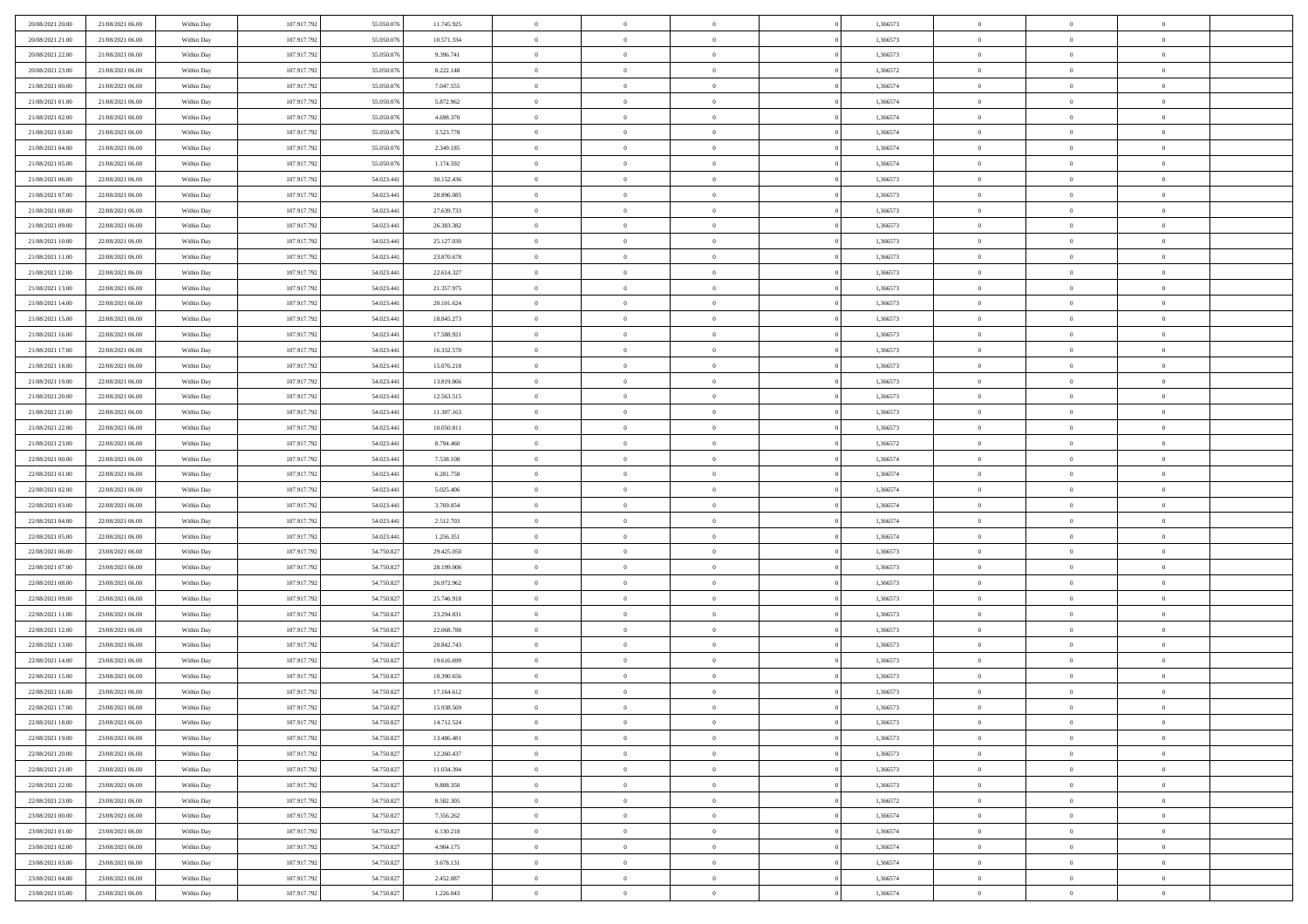| 20/08/2021 20:00 | 21/08/2021 06:00 | Within Day | 107.917.792 | 55.050.076 | 11.745.925 | $\overline{0}$ | $\overline{0}$ | $\overline{0}$ | 1,366573 | $\overline{0}$ | $\bf{0}$       | $\overline{0}$ |  |
|------------------|------------------|------------|-------------|------------|------------|----------------|----------------|----------------|----------|----------------|----------------|----------------|--|
| 20/08/2021 21:00 | 21/08/2021 06:00 | Within Day | 107.917.792 | 55.050.076 | 10.571.334 | $\overline{0}$ | $\overline{0}$ | $\overline{0}$ | 1,366573 | $\bf{0}$       | $\bf{0}$       | $\overline{0}$ |  |
| 20/08/2021 22:00 | 21/08/2021 06:00 | Within Day | 107.917.792 | 55.050.076 | 9.396.741  | $\overline{0}$ | $\overline{0}$ | $\overline{0}$ | 1,366573 | $\bf{0}$       | $\overline{0}$ | $\,$ 0         |  |
| 20/08/2021 23:00 | 21/08/2021 06:00 | Within Day | 107.917.792 | 55,050,076 | 8.222.148  | $\overline{0}$ | $\overline{0}$ | $\Omega$       | 1,366572 | $\overline{0}$ | $\mathbf{0}$   | $\theta$       |  |
| 21/08/2021 00:00 | 21/08/2021 06:00 | Within Day | 107.917.792 | 55.050.076 | 7.047.555  | $\mathbf{0}$   | $\overline{0}$ | $\overline{0}$ | 1,366574 | $\overline{0}$ | $\bf{0}$       | $\mathbf{0}$   |  |
| 21/08/2021 01:00 | 21/08/2021 06:00 | Within Day | 107.917.792 | 55.050.076 | 5.872.962  | $\overline{0}$ | $\overline{0}$ | $\overline{0}$ | 1,366574 | $\bf{0}$       | $\overline{0}$ | $\,$ 0         |  |
| 21/08/2021 02:00 | 21/08/2021 06:00 | Within Day | 107.917.792 | 55,050,076 | 4.698.370  | $\bf{0}$       | $\overline{0}$ | $\Omega$       | 1.366574 | $\overline{0}$ | $\mathbf{0}$   | $\bf{0}$       |  |
| 21/08/2021 03:00 | 21/08/2021 06:00 | Within Day | 107.917.792 | 55.050.076 | 3.523.778  | $\overline{0}$ | $\overline{0}$ | $\overline{0}$ | 1,366574 | $\bf{0}$       | $\bf{0}$       | $\overline{0}$ |  |
| 21/08/2021 04:00 | 21/08/2021 06:00 | Within Day | 107.917.792 | 55.050.076 | 2.349.185  | $\overline{0}$ | $\overline{0}$ | $\overline{0}$ | 1,366574 | $\bf{0}$       | $\overline{0}$ | $\bf{0}$       |  |
| 21/08/2021 05:00 | 21/08/2021 06:00 | Within Day | 107.917.792 | 55,050,076 | 1.174.592  | $\overline{0}$ | $\overline{0}$ | $\Omega$       | 1.366574 | $\overline{0}$ | $\mathbf{0}$   | $\theta$       |  |
| 21/08/2021 06:00 | 22/08/2021 06:00 | Within Day | 107.917.792 | 54.023.441 | 30.152.436 | $\mathbf{0}$   | $\overline{0}$ | $\overline{0}$ | 1,366573 | $\bf{0}$       | $\bf{0}$       | $\overline{0}$ |  |
| 21/08/2021 07:00 | 22/08/2021 06:00 | Within Day | 107.917.792 | 54.023.441 | 28.896.085 | $\overline{0}$ | $\overline{0}$ | $\overline{0}$ | 1,366573 | $\bf{0}$       | $\overline{0}$ | $\,$ 0         |  |
| 21/08/2021 08:00 | 22/08/2021 06:00 | Within Day | 107.917.792 | 54.023.441 | 27.639.733 | $\overline{0}$ | $\overline{0}$ | $\Omega$       | 1.366573 | $\overline{0}$ | $\theta$       | $\overline{0}$ |  |
| 21/08/2021 09:00 | 22/08/2021 06:00 | Within Day | 107.917.792 | 54.023.441 | 26.383.382 | $\overline{0}$ | $\overline{0}$ | $\overline{0}$ | 1,366573 | $\bf{0}$       | $\bf{0}$       | $\mathbf{0}$   |  |
| 21/08/2021 10:00 | 22/08/2021 06:00 | Within Day | 107.917.792 | 54.023.441 | 25.127.030 | $\overline{0}$ | $\overline{0}$ | $\overline{0}$ | 1,366573 | $\bf{0}$       | $\overline{0}$ | $\,$ 0         |  |
| 21/08/2021 11:00 | 22/08/2021 06:00 | Within Day | 107.917.792 | 54.023.441 | 23.870.678 | $\bf{0}$       | $\overline{0}$ | $\Omega$       | 1.366573 | $\overline{0}$ | $\bf{0}$       | $\bf{0}$       |  |
| 21/08/2021 12:00 | 22/08/2021 06:00 | Within Day | 107.917.792 | 54.023.441 | 22.614.327 | $\overline{0}$ | $\overline{0}$ | $\overline{0}$ | 1,366573 | $\bf{0}$       | $\bf{0}$       | $\overline{0}$ |  |
| 21/08/2021 13:00 | 22/08/2021 06:00 | Within Day | 107.917.792 | 54.023.441 | 21.357.975 | $\overline{0}$ | $\overline{0}$ | $\overline{0}$ | 1,366573 | $\bf{0}$       | $\overline{0}$ | $\bf{0}$       |  |
| 21/08/2021 14:00 | 22/08/2021 06:00 | Within Day | 107.917.792 | 54.023.441 | 20.101.624 | $\overline{0}$ | $\overline{0}$ | $\Omega$       | 1,366573 | $\overline{0}$ | $\mathbf{0}$   | $\theta$       |  |
| 21/08/2021 15:00 | 22/08/2021 06:00 | Within Day | 107.917.792 | 54.023.441 | 18.845.273 | $\overline{0}$ | $\overline{0}$ | $\overline{0}$ | 1,366573 | $\bf{0}$       | $\bf{0}$       | $\overline{0}$ |  |
| 21/08/2021 16:00 | 22/08/2021 06:00 | Within Day | 107.917.792 | 54.023.441 | 17.588.921 | $\overline{0}$ | $\overline{0}$ | $\overline{0}$ | 1,366573 | $\bf{0}$       | $\overline{0}$ | $\,$ 0         |  |
| 21/08/2021 17:00 | 22/08/2021 06:00 | Within Day | 107.917.793 | 54.023.441 | 16.332.570 | $\overline{0}$ | $\overline{0}$ | $\Omega$       | 1.366573 | $\overline{0}$ | $\theta$       | $\overline{0}$ |  |
| 21/08/2021 18:00 | 22/08/2021 06:00 | Within Day | 107.917.792 | 54.023.441 | 15.076.218 | $\mathbf{0}$   | $\overline{0}$ | $\overline{0}$ | 1,366573 | $\bf{0}$       | $\bf{0}$       | $\overline{0}$ |  |
| 21/08/2021 19:00 | 22/08/2021 06:00 | Within Day | 107.917.792 | 54.023.441 | 13.819.866 | $\overline{0}$ | $\overline{0}$ | $\overline{0}$ | 1,366573 | $\bf{0}$       | $\overline{0}$ | $\,$ 0         |  |
| 21/08/2021 20:00 | 22/08/2021 06:00 | Within Day | 107.917.792 | 54.023.44  | 12.563.515 | $\bf{0}$       | $\overline{0}$ | $\Omega$       | 1.366573 | $\bf{0}$       | $\bf{0}$       | $\bf{0}$       |  |
| 21/08/2021 21:00 | 22/08/2021 06:00 | Within Day | 107.917.792 | 54.023.441 | 11.307.163 | $\overline{0}$ | $\overline{0}$ | $\overline{0}$ | 1,366573 | $\bf{0}$       | $\bf{0}$       | $\overline{0}$ |  |
| 21/08/2021 22:00 | 22/08/2021 06:00 | Within Day | 107.917.792 | 54.023.441 | 10.050.811 | $\overline{0}$ | $\overline{0}$ | $\overline{0}$ | 1,366573 | $\bf{0}$       | $\overline{0}$ | $\bf{0}$       |  |
| 21/08/2021 23:00 | 22/08/2021 06:00 | Within Day | 107.917.792 | 54.023.441 | 8.794.460  | $\overline{0}$ | $\overline{0}$ | $\Omega$       | 1.366572 | $\overline{0}$ | $\theta$       | $\theta$       |  |
| 22/08/2021 00:00 | 22/08/2021 06:00 | Within Day | 107.917.792 | 54.023.441 | 7.538.108  | $\mathbf{0}$   | $\overline{0}$ | $\overline{0}$ | 1,366574 | $\bf{0}$       | $\bf{0}$       | $\overline{0}$ |  |
| 22/08/2021 01:00 | 22/08/2021 06:00 | Within Day | 107.917.792 | 54.023.441 | 6.281.758  | $\overline{0}$ | $\overline{0}$ | $\overline{0}$ | 1,366574 | $\bf{0}$       | $\overline{0}$ | $\,$ 0         |  |
| 22/08/2021 02:00 | 22/08/2021 06:00 | Within Day | 107.917.792 | 54.023.441 | 5.025.406  | $\bf{0}$       | $\overline{0}$ | $\overline{0}$ | 1,366574 | $\bf{0}$       | $\overline{0}$ | $\bf{0}$       |  |
| 22/08/2021 03:00 | 22/08/2021 06:00 | Within Day | 107.917.792 | 54.023.441 | 3.769.054  | $\overline{0}$ | $\overline{0}$ | $\overline{0}$ | 1,366574 | $\bf{0}$       | $\bf{0}$       | $\overline{0}$ |  |
| 22/08/2021 04:00 | 22/08/2021 06:00 | Within Day | 107.917.792 | 54.023.441 | 2.512.703  | $\overline{0}$ | $\overline{0}$ | $\overline{0}$ | 1,366574 | $\bf{0}$       | $\overline{0}$ | $\,$ 0         |  |
| 22/08/2021 05:00 | 22/08/2021 06:00 | Within Day | 107.917.792 | 54.023.441 | 1.256.351  | $\bf{0}$       | $\overline{0}$ | $\overline{0}$ | 1,366574 | $\bf{0}$       | $\overline{0}$ | $\bf{0}$       |  |
| 22/08/2021 06:00 | 23/08/2021 06:00 | Within Day | 107.917.792 | 54.750.827 | 29.425.050 | $\overline{0}$ | $\overline{0}$ | $\overline{0}$ | 1,366573 | $\bf{0}$       | $\bf{0}$       | $\overline{0}$ |  |
| 22/08/2021 07:00 | 23/08/2021 06:00 | Within Day | 107.917.792 | 54.750.827 | 28.199.006 | $\overline{0}$ | $\overline{0}$ | $\overline{0}$ | 1,366573 | $\bf{0}$       | $\overline{0}$ | $\,$ 0         |  |
| 22/08/2021 08:00 | 23/08/2021 06:00 | Within Day | 107.917.792 | 54.750.827 | 26.972.962 | $\bf{0}$       | $\overline{0}$ | $\Omega$       | 1,366573 | $\bf{0}$       | $\overline{0}$ | $\bf{0}$       |  |
| 22/08/2021 09:00 | 23/08/2021 06:00 | Within Day | 107.917.792 | 54.750.827 | 25.746.918 | $\overline{0}$ | $\overline{0}$ | $\overline{0}$ | 1,366573 | $\bf{0}$       | $\bf{0}$       | $\overline{0}$ |  |
| 22/08/2021 11:00 | 23/08/2021 06:00 | Within Day | 107.917.792 | 54.750.827 | 23.294.831 | $\overline{0}$ | $\overline{0}$ | $\overline{0}$ | 1,366573 | $\bf{0}$       | $\overline{0}$ | $\,$ 0         |  |
| 22/08/2021 12:00 | 23/08/2021 06:00 | Within Day | 107.917.792 | 54.750.827 | 22.068.788 | $\bf{0}$       | $\overline{0}$ | $\Omega$       | 1,366573 | $\bf{0}$       | $\overline{0}$ | $\bf{0}$       |  |
| 22/08/2021 13:00 | 23/08/2021 06:00 | Within Day | 107.917.792 | 54.750.827 | 20.842.743 | $\overline{0}$ | $\overline{0}$ | $\overline{0}$ | 1,366573 | $\bf{0}$       | $\overline{0}$ | $\overline{0}$ |  |
| 22/08/2021 14:00 | 23/08/2021 06:00 | Within Day | 107.917.792 | 54.750.827 | 19.616.699 | $\overline{0}$ | $\overline{0}$ | $\overline{0}$ | 1,366573 | $\bf{0}$       | $\overline{0}$ | $\,$ 0         |  |
| 22/08/2021 15:00 | 23/08/2021 06:00 | Within Day | 107.917.792 | 54.750.827 | 18.390.656 | $\bf{0}$       | $\overline{0}$ | $\overline{0}$ | 1,366573 | $\bf{0}$       | $\overline{0}$ | $\bf{0}$       |  |
| 22/08/2021 16:00 | 23/08/2021 06:00 | Within Day | 107.917.792 | 54.750.827 | 17.164.612 | $\overline{0}$ | $\overline{0}$ | $\overline{0}$ | 1,366573 | $\bf{0}$       | $\bf{0}$       | $\overline{0}$ |  |
| 22/08/2021 17:00 | 23/08/2021 06:00 | Within Day | 107.917.792 | 54.750.827 | 15.938.569 | $\theta$       | $\overline{0}$ | $\Omega$       | 1,366573 | $\mathbf{0}$   | $\overline{0}$ | $\overline{0}$ |  |
| 22/08/2021 18:00 | 23/08/2021 06:00 | Within Day | 107.917.792 | 54.750.827 | 14.712.524 | $\bf{0}$       | $\overline{0}$ | $\overline{0}$ | 1,366573 | $\bf{0}$       | $\overline{0}$ | $\bf{0}$       |  |
| 22/08/2021 19:00 | 23/08/2021 06:00 | Within Day | 107.917.792 | 54.750.827 | 13.486.481 | $\overline{0}$ | $\overline{0}$ | $\overline{0}$ | 1,366573 | $\overline{0}$ | $\overline{0}$ | $\mathbf{0}$   |  |
| 22/08/2021 20:00 | 23/08/2021 06:00 | Within Day | 107.917.792 | 54.750.827 | 12.260.437 | $\,$ 0 $\,$    | $\overline{0}$ | $\overline{0}$ | 1,366573 | $\,$ 0 $\,$    | $\overline{0}$ | $\,0\,$        |  |
| 22/08/2021 21:00 | 23/08/2021 06:00 | Within Day | 107.917.792 | 54.750.827 | 11.034.394 | $\bf{0}$       | $\overline{0}$ | $\overline{0}$ | 1,366573 | $\mathbf{0}$   | $\overline{0}$ | $\mathbf{0}$   |  |
| 22/08/2021 22:00 | 23/08/2021 06:00 | Within Day | 107.917.792 | 54.750.827 | 9.808.350  | $\mathbf{0}$   | $\overline{0}$ | $\overline{0}$ | 1,366573 | $\overline{0}$ | $\overline{0}$ | $\mathbf{0}$   |  |
| 22/08/2021 23:00 | 23/08/2021 06:00 | Within Day | 107.917.792 | 54.750.827 | 8.582.305  | $\,$ 0 $\,$    | $\overline{0}$ | $\overline{0}$ | 1,366572 | $\,$ 0 $\,$    | $\overline{0}$ | $\,0\,$        |  |
| 23/08/2021 00:00 | 23/08/2021 06:00 | Within Day | 107.917.792 | 54.750.827 | 7.356.262  | $\bf{0}$       | $\overline{0}$ | $\overline{0}$ | 1,366574 | $\mathbf{0}$   | $\bf{0}$       | $\mathbf{0}$   |  |
| 23/08/2021 01:00 | 23/08/2021 06:00 | Within Day | 107.917.792 | 54.750.827 | 6.130.218  | $\mathbf{0}$   | $\overline{0}$ | $\overline{0}$ | 1,366574 | $\mathbf{0}$   | $\overline{0}$ | $\mathbf{0}$   |  |
| 23/08/2021 02:00 | 23/08/2021 06:00 | Within Day | 107.917.792 | 54.750.827 | 4.904.175  | $\,$ 0         | $\overline{0}$ | $\overline{0}$ | 1,366574 | $\,$ 0 $\,$    | $\overline{0}$ | $\,0\,$        |  |
| 23/08/2021 03:00 | 23/08/2021 06:00 | Within Day | 107.917.792 | 54.750.827 | 3.678.131  | $\bf{0}$       | $\overline{0}$ | $\overline{0}$ | 1,366574 | $\mathbf{0}$   | $\overline{0}$ | $\bf{0}$       |  |
| 23/08/2021 04:00 | 23/08/2021 06:00 | Within Day | 107.917.792 | 54.750.827 | 2.452.087  | $\overline{0}$ | $\overline{0}$ | $\overline{0}$ | 1,366574 | $\overline{0}$ | $\overline{0}$ | $\mathbf{0}$   |  |
| 23/08/2021 05:00 | 23/08/2021 06:00 | Within Day | 107.917.792 | 54.750.827 | 1.226.043  | $\,$ 0         | $\overline{0}$ | $\overline{0}$ | 1,366574 | $\bf{0}$       | $\overline{0}$ | $\,0\,$        |  |
|                  |                  |            |             |            |            |                |                |                |          |                |                |                |  |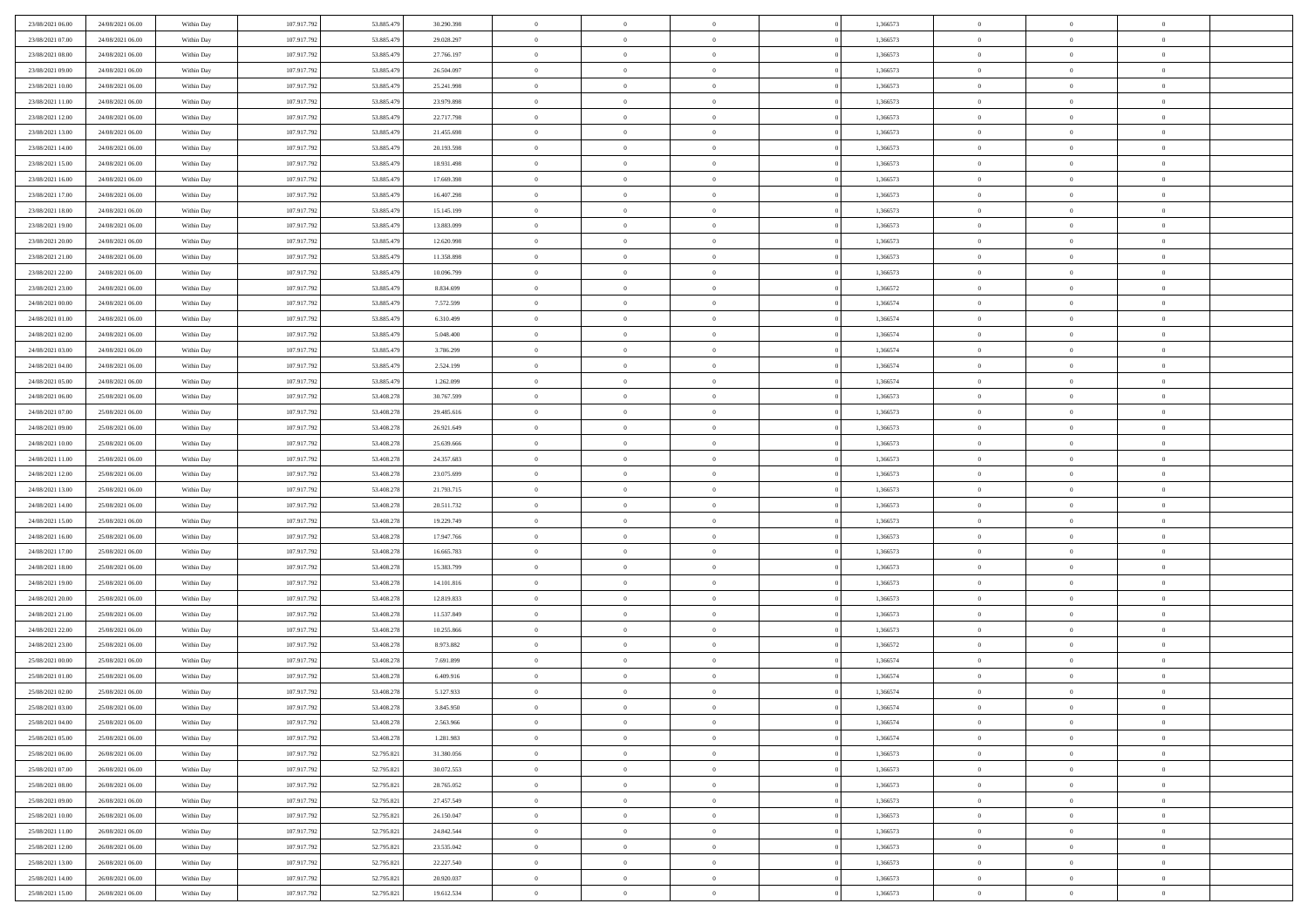| 23/08/2021 06:00 | 24/08/2021 06:00 | Within Day | 107.917.792 | 53.885.479 | 30.290.398 | $\overline{0}$ | $\overline{0}$ | $\Omega$       | 1,366573 | $\bf{0}$       | $\mathbf{0}$   | $\bf{0}$       |  |
|------------------|------------------|------------|-------------|------------|------------|----------------|----------------|----------------|----------|----------------|----------------|----------------|--|
| 23/08/2021 07:00 | 24/08/2021 06:00 | Within Day | 107.917.792 | 53.885.479 | 29.028.297 | $\mathbf{0}$   | $\overline{0}$ | $\overline{0}$ | 1,366573 | $\overline{0}$ | $\overline{0}$ | $\theta$       |  |
| 23/08/2021 08:00 | 24/08/2021 06:00 | Within Day | 107.917.792 | 53.885.479 | 27.766.197 | $\,$ 0         | $\overline{0}$ | $\bf{0}$       | 1,366573 | $\,$ 0         | $\overline{0}$ | $\,$ 0 $\,$    |  |
| 23/08/2021 09:00 | 24/08/2021 06:00 | Within Day | 107.917.792 | 53,885,479 | 26,504,097 | $\bf{0}$       | $\overline{0}$ | $\Omega$       | 1,366573 | $\bf{0}$       | $\mathbf{0}$   | $\theta$       |  |
| 23/08/2021 10:00 | 24/08/2021 06:00 | Within Dav | 107.917.792 | 53.885.479 | 25.241.998 | $\bf{0}$       | $\overline{0}$ | $\overline{0}$ | 1,366573 | $\overline{0}$ | $\overline{0}$ | $\overline{0}$ |  |
| 23/08/2021 11:00 | 24/08/2021 06:00 | Within Day | 107.917.792 | 53.885.479 | 23.979.898 | $\bf{0}$       | $\overline{0}$ | $\bf{0}$       | 1,366573 | $\,$ 0         | $\overline{0}$ | $\,$ 0 $\,$    |  |
| 23/08/2021 12:00 | 24/08/2021 06:00 | Within Day | 107.917.792 | 53.885.479 | 22.717.798 | $\bf{0}$       | $\overline{0}$ | $\Omega$       | 1,366573 | $\theta$       | $\mathbf{0}$   | $\theta$       |  |
| 23/08/2021 13:00 | 24/08/2021 06:00 | Within Dav | 107.917.792 | 53.885.479 | 21.455.698 | $\overline{0}$ | $\overline{0}$ | $\overline{0}$ | 1,366573 | $\mathbf{0}$   | $\overline{0}$ | $\overline{0}$ |  |
| 23/08/2021 14:00 | 24/08/2021 06:00 | Within Day | 107.917.792 | 53.885.479 | 20.193.598 | $\bf{0}$       | $\overline{0}$ | $\bf{0}$       | 1,366573 | $\,$ 0         | $\overline{0}$ | $\,$ 0 $\,$    |  |
| 23/08/2021 15:00 | 24/08/2021 06:00 | Within Day | 107.917.792 | 53.885.479 | 18.931.498 | $\bf{0}$       | $\overline{0}$ | $\Omega$       | 1,366573 | $\bf{0}$       | $\mathbf{0}$   | $\theta$       |  |
| 23/08/2021 16:00 | 24/08/2021 06:00 | Within Day | 107.917.792 | 53.885.479 | 17.669.398 | $\overline{0}$ | $\overline{0}$ | $\overline{0}$ | 1,366573 | $\mathbf{0}$   | $\overline{0}$ | $\overline{0}$ |  |
| 23/08/2021 17:00 | 24/08/2021 06:00 | Within Day | 107.917.792 | 53.885.479 | 16.407.298 | $\bf{0}$       | $\overline{0}$ | $\bf{0}$       | 1,366573 | $\,$ 0         | $\overline{0}$ | $\,$ 0 $\,$    |  |
| 23/08/2021 18:00 | 24/08/2021 06:00 | Within Day | 107.917.792 | 53,885,479 | 15.145.199 | $\bf{0}$       | $\overline{0}$ | $\Omega$       | 1,366573 | $\bf{0}$       | $\theta$       | $\theta$       |  |
| 23/08/2021 19:00 | 24/08/2021 06:00 | Within Dav | 107.917.792 | 53.885.479 | 13.883.099 | $\overline{0}$ | $\overline{0}$ | $\overline{0}$ | 1,366573 | $\mathbf{0}$   | $\overline{0}$ | $\overline{0}$ |  |
| 23/08/2021 20:00 | 24/08/2021 06:00 | Within Day | 107.917.792 | 53.885.479 | 12.620.998 | $\bf{0}$       | $\overline{0}$ | $\bf{0}$       | 1,366573 | $\,$ 0         | $\overline{0}$ | $\,$ 0 $\,$    |  |
| 23/08/2021 21:00 | 24/08/2021 06:00 | Within Day | 107.917.792 | 53.885.479 | 11.358.898 | $\bf{0}$       | $\overline{0}$ | $\overline{0}$ | 1,366573 | $\bf{0}$       | $\mathbf{0}$   | $\theta$       |  |
| 23/08/2021 22:00 | 24/08/2021 06:00 | Within Dav | 107.917.792 | 53.885.479 | 10.096.799 | $\overline{0}$ | $\overline{0}$ | $\overline{0}$ | 1,366573 | $\mathbf{0}$   | $\overline{0}$ | $\overline{0}$ |  |
| 23/08/2021 23:00 | 24/08/2021 06:00 | Within Day | 107.917.792 | 53.885.479 | 8.834.699  | $\bf{0}$       | $\overline{0}$ | $\bf{0}$       | 1,366572 | $\,$ 0         | $\overline{0}$ | $\,0\,$        |  |
| 24/08/2021 00:00 | 24/08/2021 06:00 | Within Day | 107.917.792 | 53,885,479 | 7.572.599  | $\bf{0}$       | $\overline{0}$ | $\Omega$       | 1,366574 | $\theta$       | $\mathbf{0}$   | $\theta$       |  |
| 24/08/2021 01:00 | 24/08/2021 06:00 | Within Day | 107.917.792 | 53.885.479 | 6.310.499  | $\overline{0}$ | $\overline{0}$ | $\overline{0}$ | 1,366574 | $\mathbf{0}$   | $\overline{0}$ | $\overline{0}$ |  |
| 24/08/2021 02:00 | 24/08/2021 06:00 | Within Day | 107.917.792 | 53.885.479 | 5.048.400  | $\bf{0}$       | $\overline{0}$ | $\bf{0}$       | 1,366574 | $\,$ 0         | $\overline{0}$ | $\,$ 0 $\,$    |  |
| 24/08/2021 03:00 | 24/08/2021 06:00 | Within Day | 107.917.792 | 53.885.479 | 3.786.299  | $\bf{0}$       | $\overline{0}$ | $\Omega$       | 1,366574 | $\bf{0}$       | $\theta$       | $\theta$       |  |
| 24/08/2021 04:00 | 24/08/2021 06:00 | Within Dav | 107.917.792 | 53.885.479 | 2.524.199  | $\overline{0}$ | $\overline{0}$ | $\overline{0}$ | 1,366574 | $\mathbf{0}$   | $\overline{0}$ | $\overline{0}$ |  |
| 24/08/2021 05:00 | 24/08/2021 06:00 | Within Day | 107.917.792 | 53.885.479 | 1.262.099  | $\bf{0}$       | $\overline{0}$ | $\bf{0}$       | 1,366574 | $\,$ 0         | $\overline{0}$ | $\,$ 0 $\,$    |  |
| 24/08/2021 06:00 | 25/08/2021 06:00 | Within Day | 107.917.792 | 53.408.278 | 30.767.599 | $\bf{0}$       | $\overline{0}$ | $\overline{0}$ | 1,366573 | $\bf{0}$       | $\overline{0}$ | $\theta$       |  |
| 24/08/2021 07:00 | 25/08/2021 06:00 | Within Day | 107.917.792 | 53.408.278 | 29.485.616 | $\overline{0}$ | $\overline{0}$ | $\overline{0}$ | 1,366573 | $\mathbf{0}$   | $\overline{0}$ | $\overline{0}$ |  |
| 24/08/2021 09:00 | 25/08/2021 06:00 | Within Day | 107.917.792 | 53.408.278 | 26.921.649 | $\bf{0}$       | $\overline{0}$ | $\bf{0}$       | 1,366573 | $\,$ 0         | $\overline{0}$ | $\,$ 0 $\,$    |  |
| 24/08/2021 10:00 | 25/08/2021 06:00 | Within Day | 107.917.792 | 53,408.278 | 25.639.666 | $\bf{0}$       | $\overline{0}$ | $\Omega$       | 1,366573 | $\bf{0}$       | $\mathbf{0}$   | $\theta$       |  |
| 24/08/2021 11:00 | 25/08/2021 06:00 | Within Day | 107.917.792 | 53.408.278 | 24.357.683 | $\overline{0}$ | $\overline{0}$ | $\overline{0}$ | 1,366573 | $\mathbf{0}$   | $\overline{0}$ | $\overline{0}$ |  |
| 24/08/2021 12:00 | 25/08/2021 06:00 | Within Day | 107.917.792 | 53.408.278 | 23.075.699 | $\bf{0}$       | $\overline{0}$ | $\bf{0}$       | 1,366573 | $\,$ 0         | $\overline{0}$ | $\,$ 0 $\,$    |  |
| 24/08/2021 13:00 | 25/08/2021 06:00 | Within Day | 107.917.792 | 53.408.278 | 21.793.715 | $\,$ 0         | $\overline{0}$ | $\overline{0}$ | 1,366573 | $\bf{0}$       | $\overline{0}$ | $\,0\,$        |  |
| 24/08/2021 14:00 | 25/08/2021 06:00 | Within Dav | 107.917.792 | 53.408.278 | 20.511.732 | $\overline{0}$ | $\overline{0}$ | $\overline{0}$ | 1,366573 | $\mathbf{0}$   | $\overline{0}$ | $\overline{0}$ |  |
| 24/08/2021 15:00 | 25/08/2021 06:00 | Within Day | 107.917.792 | 53.408.278 | 19.229.749 | $\bf{0}$       | $\overline{0}$ | $\bf{0}$       | 1,366573 | $\,$ 0         | $\overline{0}$ | $\,$ 0 $\,$    |  |
| 24/08/2021 16:00 | 25/08/2021 06:00 | Within Day | 107.917.792 | 53.408.278 | 17.947.766 | $\bf{0}$       | $\overline{0}$ | $\bf{0}$       | 1,366573 | $\bf{0}$       | $\overline{0}$ | $\,0\,$        |  |
| 24/08/2021 17:00 | 25/08/2021 06:00 | Within Day | 107.917.792 | 53.408.278 | 16.665.783 | $\mathbf{0}$   | $\overline{0}$ | $\overline{0}$ | 1,366573 | $\overline{0}$ | $\overline{0}$ | $\overline{0}$ |  |
| 24/08/2021 18:00 | 25/08/2021 06:00 | Within Day | 107.917.792 | 53.408.278 | 15.383.799 | $\bf{0}$       | $\overline{0}$ | $\bf{0}$       | 1,366573 | $\,$ 0         | $\overline{0}$ | $\,$ 0 $\,$    |  |
| 24/08/2021 19:00 | 25/08/2021 06:00 | Within Day | 107.917.792 | 53.408.278 | 14.101.816 | $\bf{0}$       | $\overline{0}$ | $\overline{0}$ | 1,366573 | $\bf{0}$       | $\overline{0}$ | $\,0\,$        |  |
| 24/08/2021 20:00 | 25/08/2021 06:00 | Within Day | 107.917.792 | 53.408.278 | 12.819.833 | $\overline{0}$ | $\overline{0}$ | $\overline{0}$ | 1,366573 | $\mathbf{0}$   | $\overline{0}$ | $\overline{0}$ |  |
| 24/08/2021 21:00 | 25/08/2021 06:00 | Within Day | 107.917.792 | 53.408.278 | 11.537.849 | $\bf{0}$       | $\overline{0}$ | $\bf{0}$       | 1,366573 | $\,$ 0         | $\overline{0}$ | $\,$ 0 $\,$    |  |
| 24/08/2021 22.00 | 25/08/2021 06:00 | Within Day | 107.917.792 | 53.408.278 | 10.255.866 | $\bf{0}$       | $\overline{0}$ | $\overline{0}$ | 1,366573 | $\bf{0}$       | $\overline{0}$ | $\,0\,$        |  |
| 24/08/2021 23:00 | 25/08/2021 06:00 | Within Dav | 107.917.792 | 53.408.278 | 8.973.882  | $\overline{0}$ | $\overline{0}$ | $\overline{0}$ | 1,366572 | $\overline{0}$ | $\overline{0}$ | $\overline{0}$ |  |
| 25/08/2021 00:00 | 25/08/2021 06:00 | Within Day | 107.917.792 | 53.408.278 | 7.691.899  | $\bf{0}$       | $\overline{0}$ | $\bf{0}$       | 1,366574 | $\,$ 0         | $\overline{0}$ | $\,$ 0 $\,$    |  |
| 25/08/2021 01:00 | 25/08/2021 06:00 | Within Day | 107.917.792 | 53.408.278 | 6.409.916  | $\bf{0}$       | $\bf{0}$       | $\bf{0}$       | 1,366574 | $\bf{0}$       | $\overline{0}$ | $\,0\,$        |  |
| 25/08/2021 02:00 | 25/08/2021 06:00 | Within Dav | 107.917.792 | 53.408.278 | 5.127.933  | $\mathbf{0}$   | $\overline{0}$ | $\overline{0}$ | 1,366574 | $\mathbf{0}$   | $\overline{0}$ | $\overline{0}$ |  |
| 25/08/2021 03:00 | 25/08/2021 06:00 | Within Day | 107.917.792 | 53.408.278 | 3.845.950  | $\bf{0}$       | $\overline{0}$ | $\theta$       | 1,366574 | $\overline{0}$ | $\theta$       | $\theta$       |  |
| 25/08/2021 04:00 | 25/08/2021 06:00 | Within Day | 107.917.792 | 53.408.278 | 2.563.966  | $\bf{0}$       | $\bf{0}$       | $\bf{0}$       | 1,366574 | $\bf{0}$       | $\overline{0}$ | $\bf{0}$       |  |
| 25/08/2021 05:00 | 25/08/2021 06:00 | Within Day | 107.917.792 | 53.408.278 | 1.281.983  | $\overline{0}$ | $\overline{0}$ | $\overline{0}$ | 1,366574 | $\mathbf{0}$   | $\bf{0}$       | $\overline{0}$ |  |
| 25/08/2021 06:00 | 26/08/2021 06:00 | Within Day | 107.917.792 | 52.795.821 | 31.380.056 | $\,$ 0 $\,$    | $\overline{0}$ | $\overline{0}$ | 1,366573 | $\mathbf{0}$   | $\overline{0}$ | $\,$ 0 $\,$    |  |
| 25/08/2021 07:00 | 26/08/2021 06:00 | Within Day | 107.917.792 | 52.795.821 | 30.072.553 | $\bf{0}$       | $\bf{0}$       | $\overline{0}$ | 1,366573 | $\bf{0}$       | $\overline{0}$ | $\bf{0}$       |  |
| 25/08/2021 08:00 | 26/08/2021 06:00 | Within Day | 107.917.792 | 52.795.821 | 28.765.052 | $\bf{0}$       | $\overline{0}$ | $\overline{0}$ | 1,366573 | $\mathbf{0}$   | $\overline{0}$ | $\overline{0}$ |  |
| 25/08/2021 09:00 | 26/08/2021 06:00 | Within Day | 107.917.792 | 52.795.821 | 27.457.549 | $\,$ 0 $\,$    | $\overline{0}$ | $\overline{0}$ | 1,366573 | $\,$ 0 $\,$    | $\overline{0}$ | $\,$ 0 $\,$    |  |
| 25/08/2021 10:00 | 26/08/2021 06:00 | Within Day | 107.917.792 | 52.795.821 | 26.150.047 | $\bf{0}$       | $\overline{0}$ | $\overline{0}$ | 1,366573 | $\bf{0}$       | $\overline{0}$ | $\overline{0}$ |  |
| 25/08/2021 11:00 | 26/08/2021 06:00 | Within Day | 107.917.792 | 52.795.821 | 24.842.544 | $\overline{0}$ | $\overline{0}$ | $\overline{0}$ | 1,366573 | $\overline{0}$ | $\bf{0}$       | $\overline{0}$ |  |
| 25/08/2021 12:00 | 26/08/2021 06:00 | Within Day | 107.917.792 | 52.795.821 | 23.535.042 | $\,$ 0 $\,$    | $\overline{0}$ | $\overline{0}$ | 1,366573 | $\,$ 0 $\,$    | $\,$ 0 $\,$    | $\,$ 0 $\,$    |  |
| 25/08/2021 13:00 | 26/08/2021 06:00 | Within Day | 107.917.792 | 52.795.821 | 22.227.540 | $\bf{0}$       | $\bf{0}$       | $\overline{0}$ | 1,366573 | $\mathbf{0}$   | $\overline{0}$ | $\bf{0}$       |  |
| 25/08/2021 14:00 | 26/08/2021 06:00 | Within Day | 107.917.792 | 52.795.821 | 20.920.037 | $\bf{0}$       | $\overline{0}$ | $\overline{0}$ | 1,366573 | $\mathbf{0}$   | $\bf{0}$       | $\overline{0}$ |  |
| 25/08/2021 15:00 | 26/08/2021 06:00 | Within Day | 107.917.792 | 52.795.821 | 19.612.534 | $\,0\,$        | $\overline{0}$ | $\overline{0}$ | 1,366573 | $\,$ 0         | $\overline{0}$ | $\,$ 0 $\,$    |  |
|                  |                  |            |             |            |            |                |                |                |          |                |                |                |  |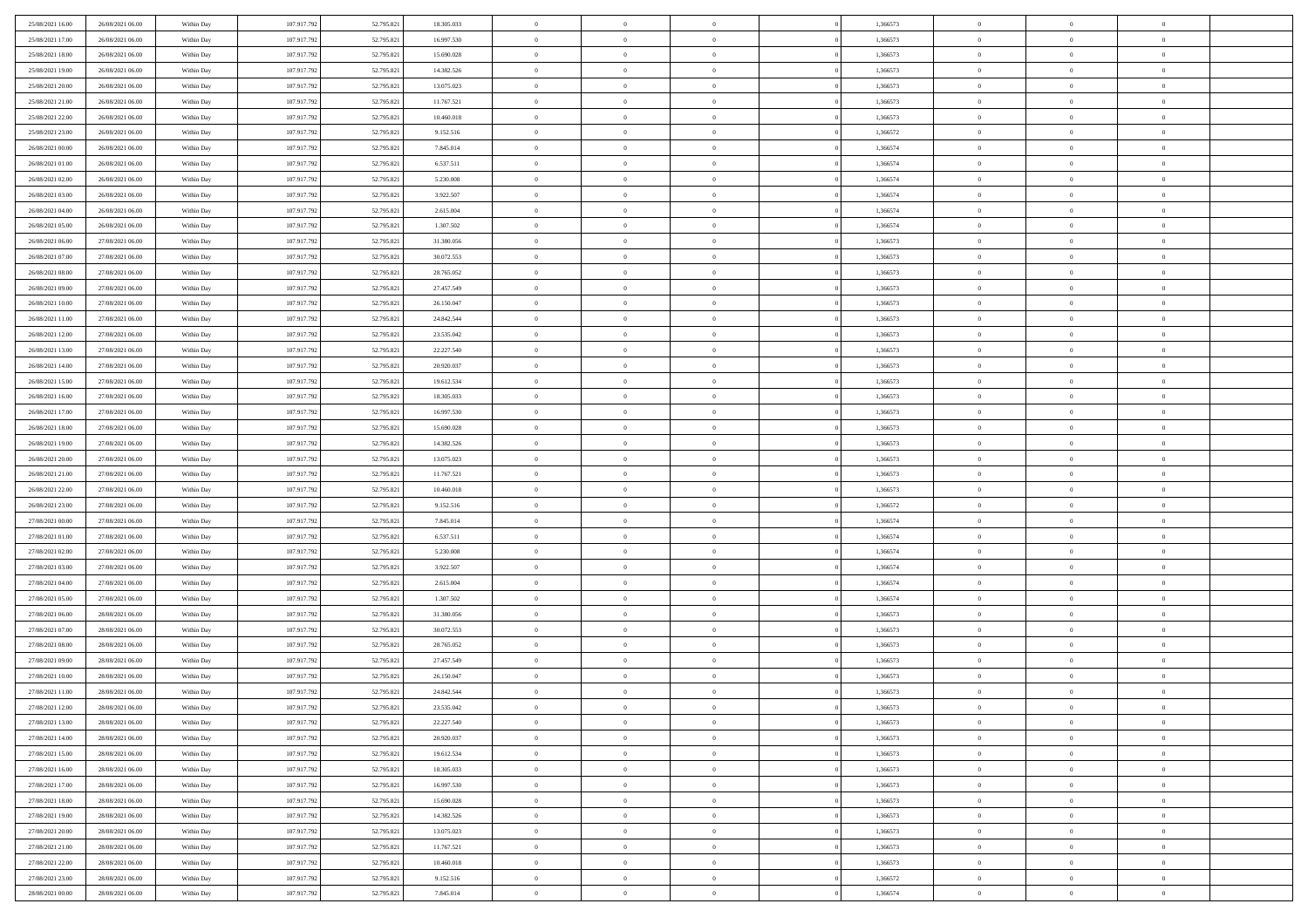| 25/08/2021 16:00 | 26/08/2021 06:00 | Within Day | 107.917.792 | 52.795.821 | 18.305.033 | $\overline{0}$ | $\overline{0}$ | $\Omega$       | 1,366573 | $\bf{0}$       | $\mathbf{0}$   | $\theta$       |  |
|------------------|------------------|------------|-------------|------------|------------|----------------|----------------|----------------|----------|----------------|----------------|----------------|--|
| 25/08/2021 17:00 | 26/08/2021 06:00 | Within Day | 107.917.792 | 52.795.821 | 16.997.530 | $\mathbf{0}$   | $\overline{0}$ | $\overline{0}$ | 1,366573 | $\overline{0}$ | $\overline{0}$ | $\overline{0}$ |  |
| 25/08/2021 18:00 | 26/08/2021 06:00 | Within Day | 107.917.792 | 52.795.821 | 15.690.028 | $\,$ 0         | $\overline{0}$ | $\bf{0}$       | 1,366573 | $\,$ 0         | $\overline{0}$ | $\,$ 0 $\,$    |  |
| 25/08/2021 19:00 | 26/08/2021 06:00 | Within Day | 107.917.792 | 52.795.821 | 14.382.526 | $\bf{0}$       | $\overline{0}$ | $\Omega$       | 1,366573 | $\bf{0}$       | $\mathbf{0}$   | $\theta$       |  |
| 25/08/2021 20:00 | 26/08/2021 06:00 | Within Dav | 107.917.792 | 52.795.821 | 13.075.023 | $\bf{0}$       | $\overline{0}$ | $\overline{0}$ | 1,366573 | $\overline{0}$ | $\overline{0}$ | $\overline{0}$ |  |
| 25/08/2021 21:00 | 26/08/2021 06:00 | Within Day | 107.917.792 | 52.795.821 | 11.767.521 | $\bf{0}$       | $\overline{0}$ | $\bf{0}$       | 1,366573 | $\,$ 0         | $\overline{0}$ | $\,$ 0 $\,$    |  |
| 25/08/2021 22.00 | 26/08/2021 06:00 | Within Day | 107.917.792 | 52.795.821 | 10.460.018 | $\bf{0}$       | $\overline{0}$ | $\Omega$       | 1,366573 | $\theta$       | $\mathbf{0}$   | $\theta$       |  |
| 25/08/2021 23:00 | 26/08/2021 06:00 | Within Dav | 107.917.792 | 52.795.821 | 9.152.516  | $\overline{0}$ | $\overline{0}$ | $\overline{0}$ | 1,366572 | $\mathbf{0}$   | $\overline{0}$ | $\overline{0}$ |  |
| 26/08/2021 00:00 | 26/08/2021 06:00 | Within Day | 107.917.792 | 52.795.821 | 7.845.014  | $\bf{0}$       | $\overline{0}$ | $\bf{0}$       | 1,366574 | $\,$ 0         | $\overline{0}$ | $\,$ 0 $\,$    |  |
| 26/08/2021 01:00 | 26/08/2021 06:00 | Within Day | 107.917.792 | 52.795.821 | 6.537.511  | $\bf{0}$       | $\overline{0}$ | $\Omega$       | 1,366574 | $\bf{0}$       | $\mathbf{0}$   | $\theta$       |  |
| 26/08/2021 02:00 | 26/08/2021 06:00 | Within Day | 107.917.792 | 52.795.821 | 5.230.008  | $\overline{0}$ | $\overline{0}$ | $\overline{0}$ | 1,366574 | $\mathbf{0}$   | $\overline{0}$ | $\overline{0}$ |  |
| 26/08/2021 03:00 | 26/08/2021 06:00 | Within Day | 107.917.792 | 52.795.821 | 3.922.507  | $\bf{0}$       | $\overline{0}$ | $\bf{0}$       | 1,366574 | $\,$ 0         | $\overline{0}$ | $\,$ 0 $\,$    |  |
| 26/08/2021 04:00 | 26/08/2021 06:00 | Within Day | 107.917.792 | 52.795.821 | 2.615.004  | $\bf{0}$       | $\overline{0}$ | $\Omega$       | 1.366574 | $\bf{0}$       | $\theta$       | $\theta$       |  |
| 26/08/2021 05:00 | 26/08/2021 06:00 | Within Dav | 107.917.792 | 52.795.821 | 1.307.502  | $\overline{0}$ | $\overline{0}$ | $\overline{0}$ | 1,366574 | $\mathbf{0}$   | $\overline{0}$ | $\overline{0}$ |  |
| 26/08/2021 06:00 | 27/08/2021 06:00 | Within Day | 107.917.792 | 52.795.821 | 31.380.056 | $\bf{0}$       | $\overline{0}$ | $\bf{0}$       | 1,366573 | $\,$ 0         | $\overline{0}$ | $\,$ 0 $\,$    |  |
| 26/08/2021 07:00 | 27/08/2021 06:00 | Within Day | 107.917.792 | 52.795.821 | 30.072.553 | $\bf{0}$       | $\overline{0}$ | $\overline{0}$ | 1,366573 | $\bf{0}$       | $\mathbf{0}$   | $\theta$       |  |
| 26/08/2021 08:00 | 27/08/2021 06:00 | Within Dav | 107.917.792 | 52.795.821 | 28.765.052 | $\overline{0}$ | $\overline{0}$ | $\overline{0}$ | 1,366573 | $\mathbf{0}$   | $\overline{0}$ | $\overline{0}$ |  |
| 26/08/2021 09:00 | 27/08/2021 06:00 | Within Day | 107.917.792 | 52.795.821 | 27.457.549 | $\bf{0}$       | $\overline{0}$ | $\bf{0}$       | 1,366573 | $\,$ 0         | $\overline{0}$ | $\,0\,$        |  |
| 26/08/2021 10:00 | 27/08/2021 06:00 | Within Day | 107.917.792 | 52.795.821 | 26.150.047 | $\bf{0}$       | $\overline{0}$ | $\Omega$       | 1,366573 | $\theta$       | $\mathbf{0}$   | $\theta$       |  |
| 26/08/2021 11:00 | 27/08/2021 06:00 | Within Day | 107.917.792 | 52.795.821 | 24.842.544 | $\overline{0}$ | $\overline{0}$ | $\overline{0}$ | 1,366573 | $\mathbf{0}$   | $\overline{0}$ | $\overline{0}$ |  |
| 26/08/2021 12:00 | 27/08/2021 06:00 | Within Day | 107.917.792 | 52.795.821 | 23.535.042 | $\bf{0}$       | $\overline{0}$ | $\bf{0}$       | 1,366573 | $\,$ 0         | $\overline{0}$ | $\,$ 0 $\,$    |  |
| 26/08/2021 13:00 | 27/08/2021 06:00 | Within Day | 107.917.792 | 52.795.821 | 22.227.540 | $\bf{0}$       | $\overline{0}$ | $\Omega$       | 1,366573 | $\bf{0}$       | $\theta$       | $\theta$       |  |
| 26/08/2021 14:00 | 27/08/2021 06:00 | Within Dav | 107.917.792 | 52.795.821 | 20.920.037 | $\overline{0}$ | $\overline{0}$ | $\overline{0}$ | 1,366573 | $\mathbf{0}$   | $\overline{0}$ | $\overline{0}$ |  |
| 26/08/2021 15:00 | 27/08/2021 06:00 | Within Day | 107.917.792 | 52.795.821 | 19.612.534 | $\bf{0}$       | $\overline{0}$ | $\bf{0}$       | 1,366573 | $\,$ 0         | $\overline{0}$ | $\,$ 0 $\,$    |  |
| 26/08/2021 16:00 | 27/08/2021 06:00 | Within Day | 107.917.792 | 52.795.821 | 18.305.033 | $\bf{0}$       | $\overline{0}$ | $\overline{0}$ | 1,366573 | $\bf{0}$       | $\overline{0}$ | $\theta$       |  |
| 26/08/2021 17:00 | 27/08/2021 06:00 | Within Day | 107.917.792 | 52.795.821 | 16.997.530 | $\overline{0}$ | $\overline{0}$ | $\overline{0}$ | 1,366573 | $\mathbf{0}$   | $\overline{0}$ | $\overline{0}$ |  |
| 26/08/2021 18:00 | 27/08/2021 06:00 | Within Day | 107.917.792 | 52.795.821 | 15.690.028 | $\bf{0}$       | $\overline{0}$ | $\bf{0}$       | 1,366573 | $\,$ 0         | $\overline{0}$ | $\,$ 0 $\,$    |  |
| 26/08/2021 19:00 | 27/08/2021 06:00 | Within Day | 107.917.792 | 52.795.821 | 14.382.526 | $\bf{0}$       | $\overline{0}$ | $\Omega$       | 1,366573 | $\theta$       | $\mathbf{0}$   | $\theta$       |  |
| 26/08/2021 20:00 | 27/08/2021 06:00 | Within Day | 107.917.792 | 52.795.821 | 13.075.023 | $\overline{0}$ | $\overline{0}$ | $\overline{0}$ | 1,366573 | $\mathbf{0}$   | $\overline{0}$ | $\overline{0}$ |  |
| 26/08/2021 21:00 | 27/08/2021 06:00 | Within Day | 107.917.792 | 52.795.821 | 11.767.521 | $\bf{0}$       | $\overline{0}$ | $\bf{0}$       | 1,366573 | $\,$ 0         | $\overline{0}$ | $\,$ 0 $\,$    |  |
| 26/08/2021 22.00 | 27/08/2021 06:00 | Within Day | 107.917.792 | 52.795.821 | 10.460.018 | $\,$ 0         | $\overline{0}$ | $\overline{0}$ | 1,366573 | $\bf{0}$       | $\overline{0}$ | $\,0\,$        |  |
| 26/08/2021 23:00 | 27/08/2021 06:00 | Within Dav | 107.917.792 | 52.795.821 | 9.152.516  | $\overline{0}$ | $\overline{0}$ | $\overline{0}$ | 1,366572 | $\mathbf{0}$   | $\overline{0}$ | $\overline{0}$ |  |
| 27/08/2021 00:00 | 27/08/2021 06:00 | Within Day | 107.917.792 | 52.795.821 | 7.845.014  | $\bf{0}$       | $\overline{0}$ | $\bf{0}$       | 1,366574 | $\,$ 0         | $\overline{0}$ | $\,$ 0 $\,$    |  |
| 27/08/2021 01:00 | 27/08/2021 06:00 | Within Day | 107.917.792 | 52.795.821 | 6.537.511  | $\bf{0}$       | $\overline{0}$ | $\bf{0}$       | 1,366574 | $\bf{0}$       | $\overline{0}$ | $\,0\,$        |  |
| 27/08/2021 02:00 | 27/08/2021 06:00 | Within Day | 107.917.792 | 52.795.821 | 5.230.008  | $\overline{0}$ | $\overline{0}$ | $\overline{0}$ | 1,366574 | $\overline{0}$ | $\overline{0}$ | $\overline{0}$ |  |
| 27/08/2021 03:00 | 27/08/2021 06:00 | Within Day | 107.917.792 | 52.795.821 | 3.922.507  | $\bf{0}$       | $\overline{0}$ | $\bf{0}$       | 1,366574 | $\,$ 0         | $\overline{0}$ | $\,$ 0 $\,$    |  |
| 27/08/2021 04:00 | 27/08/2021 06:00 | Within Day | 107.917.792 | 52.795.821 | 2.615.004  | $\bf{0}$       | $\overline{0}$ | $\theta$       | 1,366574 | $\bf{0}$       | $\overline{0}$ | $\,0\,$        |  |
| 27/08/2021 05:00 | 27/08/2021 06:00 | Within Day | 107.917.792 | 52.795.821 | 1.307.502  | $\overline{0}$ | $\overline{0}$ | $\overline{0}$ | 1,366574 | $\mathbf{0}$   | $\overline{0}$ | $\overline{0}$ |  |
| 27/08/2021 06:00 | 28/08/2021 06:00 | Within Day | 107.917.792 | 52.795.821 | 31.380.056 | $\bf{0}$       | $\overline{0}$ | $\bf{0}$       | 1,366573 | $\,$ 0         | $\overline{0}$ | $\,$ 0 $\,$    |  |
| 27/08/2021 07:00 | 28/08/2021 06:00 | Within Day | 107.917.792 | 52.795.821 | 30.072.553 | $\bf{0}$       | $\overline{0}$ | $\overline{0}$ | 1,366573 | $\bf{0}$       | $\overline{0}$ | $\,0\,$        |  |
| 27/08/2021 08:00 | 28/08/2021 06:00 | Within Day | 107.917.792 | 52.795.821 | 28.765.052 | $\overline{0}$ | $\overline{0}$ | $\overline{0}$ | 1,366573 | $\overline{0}$ | $\overline{0}$ | $\overline{0}$ |  |
| 27/08/2021 09:00 | 28/08/2021 06:00 | Within Day | 107.917.792 | 52.795.821 | 27.457.549 | $\bf{0}$       | $\overline{0}$ | $\bf{0}$       | 1,366573 | $\,$ 0         | $\overline{0}$ | $\,$ 0 $\,$    |  |
| 27/08/2021 10:00 | 28/08/2021 06:00 | Within Day | 107.917.792 | 52.795.821 | 26.150.047 | $\bf{0}$       | $\overline{0}$ | $\bf{0}$       | 1,366573 | $\bf{0}$       | $\overline{0}$ | $\,0\,$        |  |
| 27/08/2021 11:00 | 28/08/2021 06:00 | Within Dav | 107.917.792 | 52.795.821 | 24.842.544 | $\mathbf{0}$   | $\overline{0}$ | $\overline{0}$ | 1,366573 | $\mathbf{0}$   | $\overline{0}$ | $\overline{0}$ |  |
| 27/08/2021 12:00 | 28/08/2021 06:00 | Within Day | 107.917.792 | 52.795.821 | 23.535.042 | $\bf{0}$       | $\overline{0}$ | $\overline{0}$ | 1,366573 | $\overline{0}$ | $\theta$       | $\theta$       |  |
| 27/08/2021 13:00 | 28/08/2021 06:00 | Within Day | 107.917.792 | 52.795.821 | 22.227.540 | $\bf{0}$       | $\bf{0}$       | $\bf{0}$       | 1,366573 | $\bf{0}$       | $\overline{0}$ | $\bf{0}$       |  |
| 27/08/2021 14:00 | 28/08/2021 06:00 | Within Day | 107.917.792 | 52.795.821 | 20.920.037 | $\overline{0}$ | $\overline{0}$ | $\overline{0}$ | 1,366573 | $\overline{0}$ | $\bf{0}$       | $\overline{0}$ |  |
| 27/08/2021 15:00 | 28/08/2021 06:00 | Within Day | 107.917.792 | 52.795.821 | 19.612.534 | $\,$ 0 $\,$    | $\overline{0}$ | $\overline{0}$ | 1,366573 | $\mathbf{0}$   | $\,$ 0 $\,$    | $\,$ 0 $\,$    |  |
| 27/08/2021 16:00 | 28/08/2021 06:00 | Within Day | 107.917.792 | 52.795.821 | 18.305.033 | $\bf{0}$       | $\bf{0}$       | $\overline{0}$ | 1,366573 | $\bf{0}$       | $\overline{0}$ | $\bf{0}$       |  |
| 27/08/2021 17:00 | 28/08/2021 06:00 | Within Day | 107.917.792 | 52.795.821 | 16.997.530 | $\bf{0}$       | $\overline{0}$ | $\overline{0}$ | 1,366573 | $\overline{0}$ | $\overline{0}$ | $\overline{0}$ |  |
| 27/08/2021 18:00 | 28/08/2021 06:00 | Within Day | 107.917.792 | 52.795.821 | 15.690.028 | $\,$ 0 $\,$    | $\overline{0}$ | $\overline{0}$ | 1,366573 | $\,$ 0 $\,$    | $\overline{0}$ | $\,$ 0 $\,$    |  |
| 27/08/2021 19:00 | 28/08/2021 06:00 | Within Day | 107.917.792 | 52.795.821 | 14.382.526 | $\overline{0}$ | $\overline{0}$ | $\overline{0}$ | 1,366573 | $\bf{0}$       | $\overline{0}$ | $\overline{0}$ |  |
| 27/08/2021 20:00 | 28/08/2021 06:00 | Within Day | 107.917.792 | 52.795.821 | 13.075.023 | $\overline{0}$ | $\overline{0}$ | $\overline{0}$ | 1,366573 | $\overline{0}$ | $\bf{0}$       | $\overline{0}$ |  |
| 27/08/2021 21:00 | 28/08/2021 06:00 | Within Day | 107.917.792 | 52.795.821 | 11.767.521 | $\,$ 0 $\,$    | $\overline{0}$ | $\overline{0}$ | 1,366573 | $\mathbf{0}$   | $\,$ 0 $\,$    | $\,$ 0 $\,$    |  |
| 27/08/2021 22:00 | 28/08/2021 06:00 | Within Day | 107.917.792 | 52.795.821 | 10.460.018 | $\bf{0}$       | $\bf{0}$       | $\overline{0}$ | 1,366573 | $\bf{0}$       | $\overline{0}$ | $\bf{0}$       |  |
| 27/08/2021 23:00 | 28/08/2021 06:00 | Within Day | 107.917.792 | 52.795.821 | 9.152.516  | $\bf{0}$       | $\overline{0}$ | $\overline{0}$ | 1,366572 | $\mathbf{0}$   | $\bf{0}$       | $\overline{0}$ |  |
| 28/08/2021 00:00 | 28/08/2021 06:00 | Within Day | 107.917.792 | 52.795.821 | 7.845.014  | $\,0\,$        | $\overline{0}$ | $\overline{0}$ | 1,366574 | $\,$ 0         | $\overline{0}$ | $\,$ 0 $\,$    |  |
|                  |                  |            |             |            |            |                |                |                |          |                |                |                |  |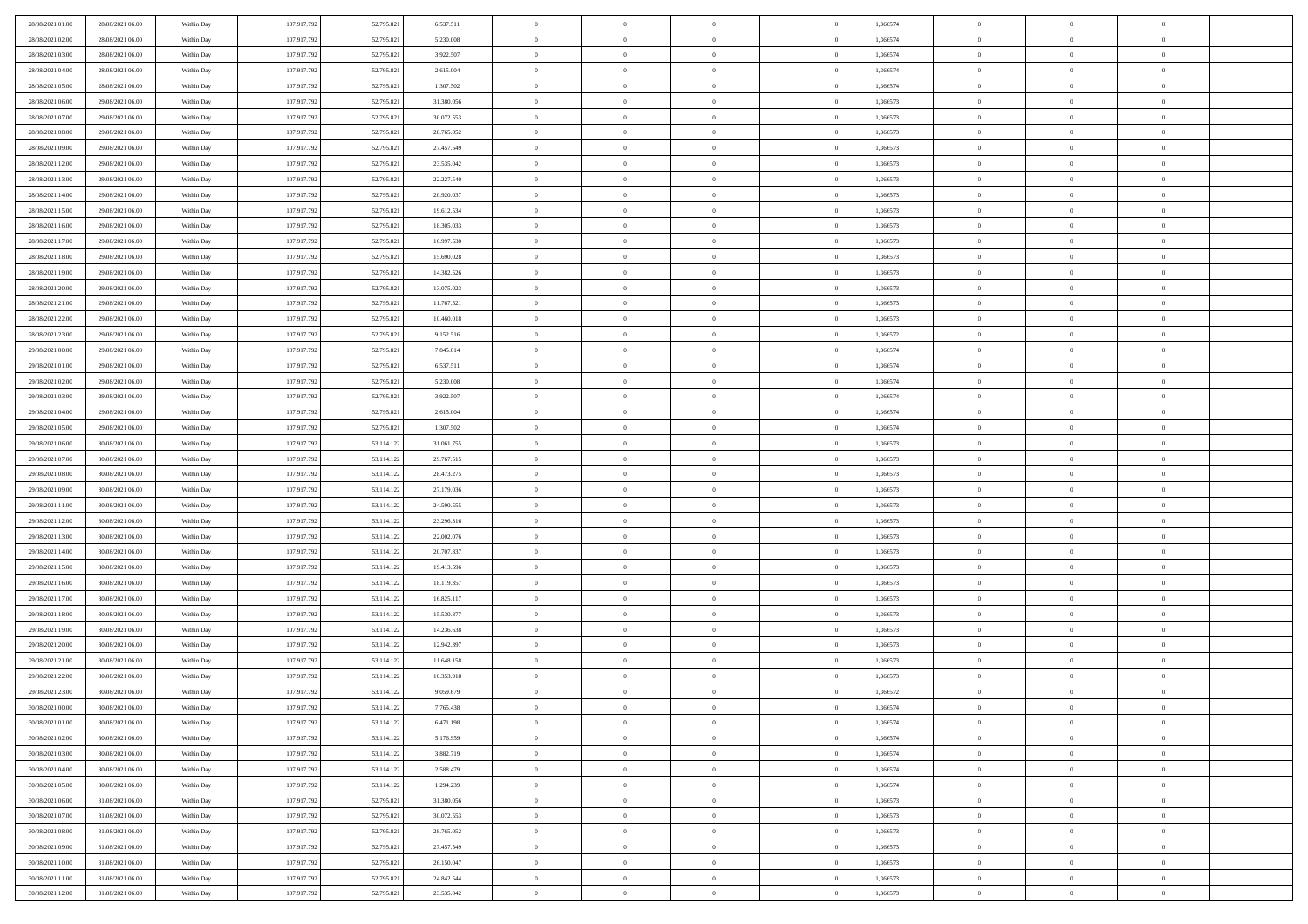| 28/08/2021 01:00 | 28/08/2021 06:00 | Within Day               | 107.917.792 | 52.795.821 | 6.537.511  | $\,$ 0         | $\bf{0}$       | $\overline{0}$ |          | 1,366574 | $\bf{0}$       | $\overline{0}$                   | $\,0\,$        |  |
|------------------|------------------|--------------------------|-------------|------------|------------|----------------|----------------|----------------|----------|----------|----------------|----------------------------------|----------------|--|
| 28/08/2021 02:00 | 28/08/2021 06:00 | Within Day               | 107.917.792 | 52.795.821 | 5.230.008  | $\overline{0}$ | $\overline{0}$ | $\overline{0}$ |          | 1,366574 | $\overline{0}$ | $\overline{0}$                   | $\theta$       |  |
| 28/08/2021 03:00 | 28/08/2021 06:00 | Within Dav               | 107.917.792 | 52.795.821 | 3.922.507  | $\mathbf{0}$   | $\overline{0}$ | $\overline{0}$ |          | 1,366574 | $\mathbf{0}$   | $\overline{0}$                   | $\overline{0}$ |  |
| 28/08/2021 04:00 | 28/08/2021 06:00 | Within Day               | 107.917.792 | 52.795.821 | 2.615.004  | $\bf{0}$       | $\overline{0}$ | $\bf{0}$       |          | 1,366574 | $\bf{0}$       | $\overline{0}$                   | $\bf{0}$       |  |
| 28/08/2021 05:00 | 28/08/2021 06:00 | Within Day               | 107.917.792 | 52.795.821 | 1.307.502  | $\bf{0}$       | $\bf{0}$       | $\overline{0}$ |          | 1,366574 | $\bf{0}$       | $\theta$                         | $\,0\,$        |  |
| 28/08/2021 06:00 | 29/08/2021 06:00 | Within Dav               | 107.917.792 | 52.795.821 | 31.380.056 | $\mathbf{0}$   | $\overline{0}$ | $\overline{0}$ |          | 1,366573 | $\mathbf{0}$   | $\overline{0}$                   | $\theta$       |  |
|                  |                  |                          |             |            |            |                |                |                |          |          |                |                                  |                |  |
| 28/08/2021 07:00 | 29/08/2021 06:00 | Within Day               | 107.917.792 | 52.795.821 | 30.072.553 | $\bf{0}$       | $\bf{0}$       | $\overline{0}$ |          | 1,366573 | $\bf{0}$       | $\overline{0}$                   | $\,0\,$        |  |
| 28/08/2021 08:00 | 29/08/2021 06:00 | Within Day               | 107.917.792 | 52.795.821 | 28.765.052 | $\overline{0}$ | $\overline{0}$ | $\overline{0}$ |          | 1,366573 | $\,$ 0 $\,$    | $\overline{0}$                   | $\theta$       |  |
| 28/08/2021 09:00 | 29/08/2021 06:00 | Within Dav               | 107.917.792 | 52.795.821 | 27.457.549 | $\mathbf{0}$   | $\overline{0}$ | $\overline{0}$ |          | 1,366573 | $\mathbf{0}$   | $\overline{0}$                   | $\overline{0}$ |  |
| 28/08/2021 12:00 | 29/08/2021 06:00 | Within Day               | 107.917.792 | 52.795.821 | 23.535.042 | $\bf{0}$       | $\bf{0}$       | $\overline{0}$ |          | 1,366573 | $\bf{0}$       | $\overline{0}$                   | $\theta$       |  |
| 28/08/2021 13:00 | 29/08/2021 06:00 | Within Day               | 107.917.792 | 52.795.821 | 22.227.540 | $\overline{0}$ | $\overline{0}$ | $\overline{0}$ |          | 1,366573 | $\bf{0}$       | $\mathbf{0}$                     | $\theta$       |  |
| 28/08/2021 14:00 | 29/08/2021 06:00 | Within Dav               | 107.917.792 | 52.795.821 | 20.920.037 | $\mathbf{0}$   | $\overline{0}$ | $\overline{0}$ |          | 1,366573 | $\mathbf{0}$   | $\overline{0}$                   | $\overline{0}$ |  |
| 28/08/2021 15:00 | 29/08/2021 06:00 | Within Day               | 107.917.792 | 52.795.821 | 19.612.534 | $\bf{0}$       | $\overline{0}$ | $\bf{0}$       |          | 1,366573 | $\bf{0}$       | $\overline{0}$                   | $\bf{0}$       |  |
| 28/08/2021 16:00 | 29/08/2021 06:00 | Within Day               | 107.917.792 | 52.795.821 | 18.305.033 | $\bf{0}$       | $\overline{0}$ | $\overline{0}$ |          | 1,366573 | $\bf{0}$       | $\theta$                         | $\,0\,$        |  |
| 28/08/2021 17:00 | 29/08/2021 06:00 | Within Dav               | 107.917.792 | 52.795.821 | 16.997.530 | $\mathbf{0}$   | $\overline{0}$ | $\overline{0}$ |          | 1,366573 | $\mathbf{0}$   | $\overline{0}$                   | $\overline{0}$ |  |
| 28/08/2021 18:00 | 29/08/2021 06:00 | Within Day               | 107.917.792 | 52.795.821 | 15.690.028 | $\bf{0}$       | $\overline{0}$ | $\overline{0}$ |          | 1,366573 | $\bf{0}$       | $\overline{0}$                   | $\bf{0}$       |  |
| 28/08/2021 19:00 | 29/08/2021 06:00 | Within Day               | 107.917.792 | 52.795.821 | 14.382.526 | $\overline{0}$ | $\overline{0}$ | $\overline{0}$ |          | 1,366573 | $\bf{0}$       | $\overline{0}$                   | $\theta$       |  |
| 28/08/2021 20:00 | 29/08/2021 06:00 | Within Day               | 107.917.792 | 52.795.821 | 13.075.023 | $\mathbf{0}$   | $\overline{0}$ | $\overline{0}$ |          | 1,366573 | $\mathbf{0}$   | $\overline{0}$                   | $\overline{0}$ |  |
| 28/08/2021 21:00 | 29/08/2021 06:00 | Within Day               | 107.917.792 | 52.795.821 | 11.767.521 | $\bf{0}$       | $\bf{0}$       | $\overline{0}$ |          | 1,366573 | $\bf{0}$       | $\overline{0}$                   | $\,0\,$        |  |
| 28/08/2021 22:00 | 29/08/2021 06:00 | Within Day               | 107.917.792 | 52.795.821 | 10.460.018 | $\overline{0}$ | $\overline{0}$ | $\overline{0}$ |          | 1,366573 | $\bf{0}$       | $\overline{0}$                   | $\overline{0}$ |  |
| 28/08/2021 23:00 | 29/08/2021 06:00 | Within Dav               | 107.917.792 | 52.795.821 | 9.152.516  | $\mathbf{0}$   | $\overline{0}$ | $\overline{0}$ |          | 1,366572 | $\mathbf{0}$   | $\overline{0}$                   | $\overline{0}$ |  |
| 29/08/2021 00:00 | 29/08/2021 06:00 | Within Day               | 107.917.792 | 52.795.821 | 7.845.014  | $\bf{0}$       | $\bf{0}$       | $\bf{0}$       |          | 1,366574 | $\bf{0}$       | $\overline{0}$                   | $\bf{0}$       |  |
| 29/08/2021 01:00 | 29/08/2021 06:00 | Within Day               | 107.917.792 | 52.795.821 | 6.537.511  | $\bf{0}$       | $\bf{0}$       | $\overline{0}$ |          | 1,366574 | $\bf{0}$       | $\overline{0}$                   | $\,0\,$        |  |
| 29/08/2021 02:00 | 29/08/2021 06:00 | Within Dav               | 107.917.792 | 52.795.821 | 5.230.008  | $\mathbf{0}$   | $\overline{0}$ | $\overline{0}$ |          | 1,366574 | $\mathbf{0}$   | $\overline{0}$                   | $\theta$       |  |
| 29/08/2021 03:00 | 29/08/2021 06:00 | Within Day               | 107.917.792 | 52.795.821 | 3.922.507  | $\bf{0}$       | $\overline{0}$ | $\overline{0}$ |          | 1,366574 | $\bf{0}$       | $\overline{0}$                   | $\,0\,$        |  |
| 29/08/2021 04:00 | 29/08/2021 06:00 | Within Day               | 107.917.792 | 52.795.821 | 2.615.004  | $\overline{0}$ | $\overline{0}$ | $\overline{0}$ |          | 1,366574 | $\bf{0}$       | $\overline{0}$                   | $\overline{0}$ |  |
| 29/08/2021 05:00 | 29/08/2021 06:00 | Within Dav               | 107.917.792 | 52.795.821 | 1.307.502  | $\mathbf{0}$   | $\overline{0}$ | $\overline{0}$ |          | 1,366574 | $\mathbf{0}$   | $\overline{0}$                   | $\overline{0}$ |  |
| 29/08/2021 06:00 | 30/08/2021 06:00 | Within Day               | 107.917.792 | 53.114.122 | 31.061.755 | $\bf{0}$       | $\overline{0}$ | $\overline{0}$ |          | 1,366573 | $\bf{0}$       | $\overline{0}$                   | $\,0\,$        |  |
| 29/08/2021 07:00 | 30/08/2021 06:00 | Within Day               | 107.917.792 | 53.114.122 | 29.767.515 | $\bf{0}$       | $\overline{0}$ | $\overline{0}$ |          | 1,366573 | $\bf{0}$       | $\mathbf{0}$                     | $\overline{0}$ |  |
| 29/08/2021 08:00 | 30/08/2021 06:00 | Within Dav               | 107.917.792 | 53.114.122 | 28.473.275 | $\mathbf{0}$   | $\overline{0}$ | $\overline{0}$ |          | 1,366573 | $\mathbf{0}$   | $\overline{0}$                   | $\overline{0}$ |  |
| 29/08/2021 09:00 | 30/08/2021 06:00 | Within Day               | 107.917.792 | 53.114.122 | 27.179.036 | $\bf{0}$       | $\overline{0}$ | $\theta$       |          | 1,366573 | $\,$ 0         | $\overline{0}$                   | $\theta$       |  |
| 29/08/2021 11:00 | 30/08/2021 06:00 | Within Day               | 107.917.792 | 53.114.122 | 24.590.555 | $\bf{0}$       | $\overline{0}$ | $\overline{0}$ |          | 1,366573 | $\bf{0}$       | $\mathbf{0}$                     | $\overline{0}$ |  |
| 29/08/2021 12:00 | 30/08/2021 06:00 | Within Dav               | 107.917.792 | 53.114.122 | 23.296.316 | $\mathbf{0}$   | $\overline{0}$ | $\overline{0}$ |          | 1,366573 | $\mathbf{0}$   | $\overline{0}$                   | $\overline{0}$ |  |
| 29/08/2021 13:00 | 30/08/2021 06:00 | Within Day               | 107.917.792 | 53.114.122 | 22.002.076 | $\bf{0}$       | $\overline{0}$ | $\theta$       |          | 1,366573 | $\,$ 0         | $\overline{0}$                   | $\theta$       |  |
| 29/08/2021 14:00 | 30/08/2021 06:00 | Within Day               | 107.917.792 | 53.114.122 | 20.707.837 | $\overline{0}$ | $\overline{0}$ | $\overline{0}$ |          | 1,366573 | $\bf{0}$       | $\overline{0}$                   | $\overline{0}$ |  |
| 29/08/2021 15:00 | 30/08/2021 06:00 | Within Day               | 107.917.792 | 53.114.122 | 19.413.596 | $\mathbf{0}$   | $\overline{0}$ | $\overline{0}$ |          | 1,366573 | $\mathbf{0}$   | $\overline{0}$                   | $\overline{0}$ |  |
| 29/08/2021 16:00 | 30/08/2021 06:00 | Within Day               | 107.917.792 | 53.114.122 | 18.119.357 | $\bf{0}$       | $\overline{0}$ | $\theta$       |          | 1,366573 | $\,$ 0         | $\overline{0}$                   | $\theta$       |  |
| 29/08/2021 17:00 | 30/08/2021 06:00 |                          | 107.917.792 | 53.114.122 | 16.825.117 | $\bf{0}$       | $\overline{0}$ | $\overline{0}$ |          | 1,366573 | $\bf{0}$       | $\mathbf{0}$                     | $\overline{0}$ |  |
| 29/08/2021 18:00 | 30/08/2021 06:00 | Within Day<br>Within Dav | 107.917.792 | 53.114.122 | 15.530.877 | $\mathbf{0}$   | $\overline{0}$ | $\overline{0}$ |          | 1,366573 | $\mathbf{0}$   | $\overline{0}$                   | $\overline{0}$ |  |
|                  |                  |                          |             |            |            |                |                |                |          |          |                |                                  |                |  |
| 29/08/2021 19:00 | 30/08/2021 06:00 | Within Day               | 107.917.792 | 53.114.122 | 14.236.638 | $\bf{0}$       | $\overline{0}$ | $\theta$       |          | 1,366573 | $\,$ 0         | $\overline{0}$<br>$\overline{0}$ | $\theta$       |  |
| 29/08/2021 20:00 | 30/08/2021 06:00 | Within Day               | 107.917.792 | 53.114.122 | 12.942.397 | $\bf{0}$       | $\overline{0}$ | $\overline{0}$ |          | 1,366573 | $\bf{0}$       |                                  | $\overline{0}$ |  |
| 29/08/2021 21:00 | 30/08/2021 06:00 | Within Dav               | 107.917.792 | 53.114.122 | 11.648.158 | $\mathbf{0}$   | $\overline{0}$ | $\overline{0}$ |          | 1,366573 | $\mathbf{0}$   | $\overline{0}$                   | $\overline{0}$ |  |
| 29/08/2021 22:00 | 30/08/2021 06:00 | Within Day               | 107.917.792 | 53.114.122 | 10.353.918 | $\bf{0}$       | $\overline{0}$ | $\theta$       |          | 1,366573 | $\,$ 0         | $\overline{0}$                   | $\theta$       |  |
| 29/08/2021 23:00 | 30/08/2021 06:00 | Within Day               | 107.917.792 | 53.114.122 | 9.059.679  | $\bf{0}$       | $\overline{0}$ | $\overline{0}$ |          | 1,366572 | $\,$ 0 $\,$    | $\overline{0}$                   | $\bf{0}$       |  |
| 30/08/2021 00:00 | 30/08/2021 06:00 | Within Day               | 107.917.792 | 53.114.122 | 7.765.438  | $\bf{0}$       | $\overline{0}$ |                |          | 1,366574 | $\overline{0}$ | $\theta$                         | $\theta$       |  |
| 30/08/2021 01:00 | 30/08/2021 06:00 | Within Day               | 107.917.792 | 53.114.122 | 6.471.198  | $\,0\,$        | $\overline{0}$ | $\theta$       |          | 1,366574 | $\,$ 0 $\,$    | $\overline{0}$                   | $\theta$       |  |
| 30/08/2021 02:00 | 30/08/2021 06:00 | Within Day               | 107.917.792 | 53.114.122 | 5.176.959  | $\overline{0}$ | $\overline{0}$ | $\overline{0}$ |          | 1,366574 | $\overline{0}$ | $\overline{0}$                   | $\overline{0}$ |  |
| 30/08/2021 03:00 | 30/08/2021 06:00 | Within Day               | 107.917.792 | 53.114.122 | 3.882.719  | $\bf{0}$       | $\overline{0}$ | $\overline{0}$ |          | 1,366574 | $\overline{0}$ | $\bf{0}$                         | $\mathbf{0}$   |  |
| 30/08/2021 04:00 | 30/08/2021 06:00 | Within Day               | 107.917.792 | 53.114.122 | 2.588.479  | $\bf{0}$       | $\overline{0}$ | $\overline{0}$ | $\theta$ | 1,366574 | $\,$ 0 $\,$    | $\bf{0}$                         | $\,$ 0 $\,$    |  |
| 30/08/2021 05:00 | 30/08/2021 06:00 | Within Day               | 107.917.792 | 53.114.122 | 1.294.239  | $\bf{0}$       | $\overline{0}$ | $\overline{0}$ |          | 1,366574 | $\,$ 0 $\,$    | $\overline{0}$                   | $\overline{0}$ |  |
| 30/08/2021 06:00 | 31/08/2021 06:00 | Within Day               | 107.917.792 | 52.795.821 | 31.380.056 | $\bf{0}$       | $\overline{0}$ | $\overline{0}$ |          | 1,366573 | $\mathbf{0}$   | $\overline{0}$                   | $\overline{0}$ |  |
| 30/08/2021 07:00 | 31/08/2021 06:00 | Within Day               | 107.917.792 | 52.795.821 | 30.072.553 | $\,0\,$        | $\overline{0}$ | $\mathbf{0}$   | $\theta$ | 1,366573 | $\,$ 0 $\,$    | $\overline{0}$                   | $\overline{0}$ |  |
| 30/08/2021 08:00 | 31/08/2021 06:00 | Within Day               | 107.917.792 | 52.795.821 | 28.765.052 | $\bf{0}$       | $\overline{0}$ | $\overline{0}$ |          | 1,366573 | $\overline{0}$ | $\overline{0}$                   | $\overline{0}$ |  |
| 30/08/2021 09:00 | 31/08/2021 06:00 | Within Day               | 107.917.792 | 52.795.821 | 27.457.549 | $\bf{0}$       | $\overline{0}$ | $\overline{0}$ |          | 1,366573 | $\mathbf{0}$   | $\overline{0}$                   | $\overline{0}$ |  |
| 30/08/2021 10:00 | 31/08/2021 06:00 | Within Day               | 107.917.792 | 52.795.821 | 26.150.047 | $\,0\,$        | $\overline{0}$ | $\overline{0}$ |          | 1,366573 | $\,$ 0 $\,$    | $\mathbf{0}$                     | $\overline{0}$ |  |
| 30/08/2021 11:00 | 31/08/2021 06:00 | Within Day               | 107.917.792 | 52.795.821 | 24.842.544 | $\bf{0}$       | $\bf{0}$       | $\overline{0}$ |          | 1,366573 | $\bf{0}$       | $\mathbf{0}$                     | $\overline{0}$ |  |
| 30/08/2021 12:00 | 31/08/2021 06:00 | Within Day               | 107.917.792 | 52.795.821 | 23.535.042 | $\mathbf{0}$   | $\overline{0}$ | $\overline{0}$ |          | 1,366573 | $\mathbf{0}$   | $\overline{0}$                   | $\overline{0}$ |  |